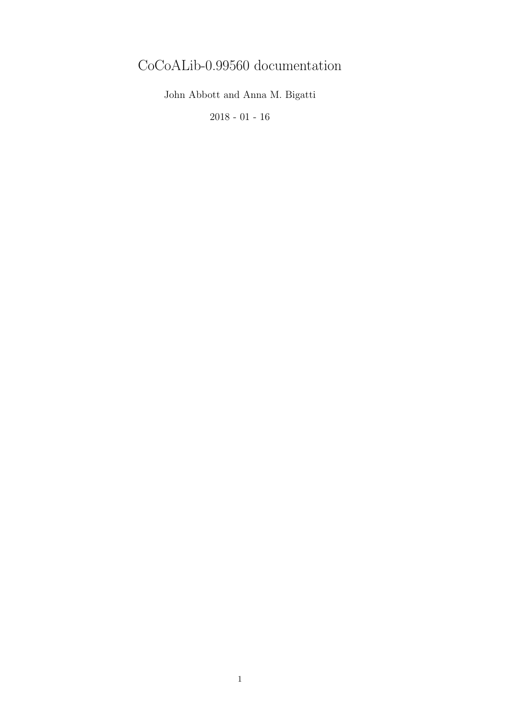# CoCoALib-0.99560 documentation

John Abbott and Anna M. Bigatti

2018 - 01 - 16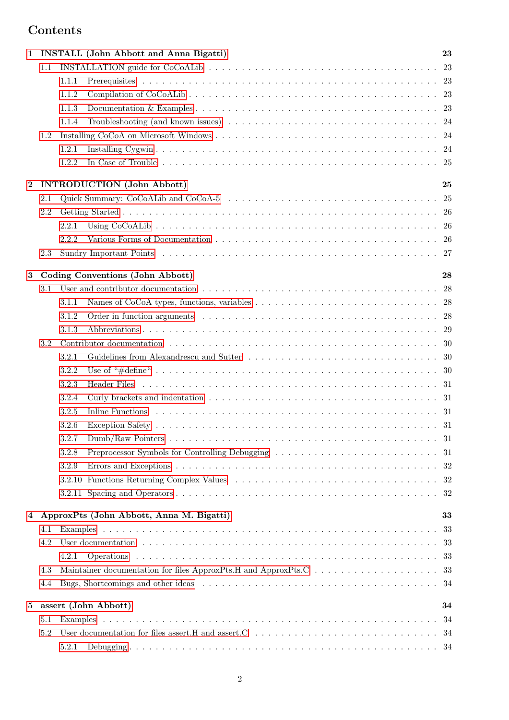# Contents

| 1        |     | <b>INSTALL</b> (John Abbott and Anna Bigatti)<br>23                                                                                                                                                                                 |  |
|----------|-----|-------------------------------------------------------------------------------------------------------------------------------------------------------------------------------------------------------------------------------------|--|
|          | 1.1 |                                                                                                                                                                                                                                     |  |
|          |     | 1.1.1                                                                                                                                                                                                                               |  |
|          |     | 1.1.2                                                                                                                                                                                                                               |  |
|          |     | 1.1.3                                                                                                                                                                                                                               |  |
|          |     | 1.1.4                                                                                                                                                                                                                               |  |
|          | 1.2 |                                                                                                                                                                                                                                     |  |
|          |     | 1.2.1                                                                                                                                                                                                                               |  |
|          |     | 1.2.2                                                                                                                                                                                                                               |  |
| $\bf{2}$ |     | <b>INTRODUCTION</b> (John Abbott)<br>25                                                                                                                                                                                             |  |
|          | 2.1 | 25                                                                                                                                                                                                                                  |  |
|          | 2.2 |                                                                                                                                                                                                                                     |  |
|          |     | -26<br>2.2.1                                                                                                                                                                                                                        |  |
|          |     | 2.2.2                                                                                                                                                                                                                               |  |
|          | 2.3 |                                                                                                                                                                                                                                     |  |
| 3        |     | Coding Conventions (John Abbott)<br>28                                                                                                                                                                                              |  |
|          | 3.1 | User and contributor documentation respectively.<br>-28                                                                                                                                                                             |  |
|          |     | 3.1.1                                                                                                                                                                                                                               |  |
|          |     |                                                                                                                                                                                                                                     |  |
|          |     | 3.1.2                                                                                                                                                                                                                               |  |
|          |     | 3.1.3                                                                                                                                                                                                                               |  |
|          | 3.2 |                                                                                                                                                                                                                                     |  |
|          |     | 3.2.1                                                                                                                                                                                                                               |  |
|          |     | 3.2.2<br>- 30                                                                                                                                                                                                                       |  |
|          |     | 3.2.3                                                                                                                                                                                                                               |  |
|          |     | 3.2.4                                                                                                                                                                                                                               |  |
|          |     | 3.2.5                                                                                                                                                                                                                               |  |
|          |     | 3.2.6                                                                                                                                                                                                                               |  |
|          |     | 3.2.7                                                                                                                                                                                                                               |  |
|          |     | 3.2.8                                                                                                                                                                                                                               |  |
|          |     | 3.2.9                                                                                                                                                                                                                               |  |
|          |     |                                                                                                                                                                                                                                     |  |
|          |     | 32                                                                                                                                                                                                                                  |  |
| 4        |     | ApproxPts (John Abbott, Anna M. Bigatti)<br>33                                                                                                                                                                                      |  |
|          | 4.1 | 33                                                                                                                                                                                                                                  |  |
|          | 4.2 | User documentation (a) in the contract of the contract of the contract of the contract of the contract of the contract of the contract of the contract of the contract of the contract of the contract of the contract of the<br>33 |  |
|          |     | -33<br>4.2.1                                                                                                                                                                                                                        |  |
|          | 4.3 | -33                                                                                                                                                                                                                                 |  |
|          | 4.4 |                                                                                                                                                                                                                                     |  |
| 5        |     | assert (John Abbott)<br>34                                                                                                                                                                                                          |  |
|          | 5.1 | 34                                                                                                                                                                                                                                  |  |
|          | 5.2 |                                                                                                                                                                                                                                     |  |
|          |     | 5.2.1                                                                                                                                                                                                                               |  |
|          |     |                                                                                                                                                                                                                                     |  |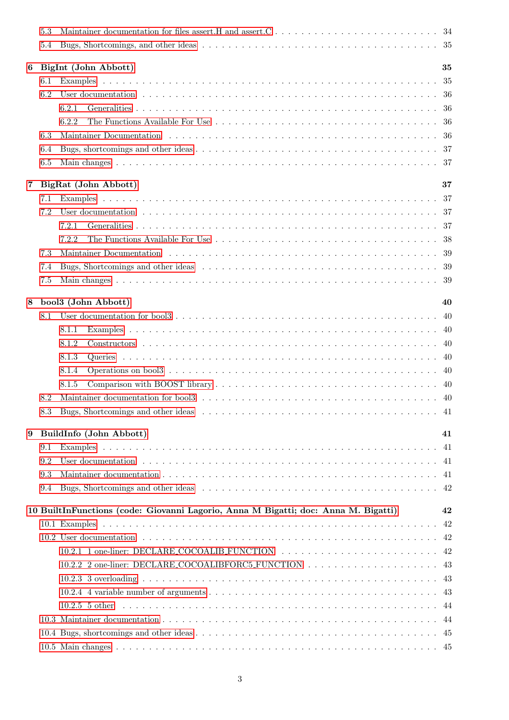|                | 5.3             |                                                                                                                                                                                                                                |          |
|----------------|-----------------|--------------------------------------------------------------------------------------------------------------------------------------------------------------------------------------------------------------------------------|----------|
|                | 5.4             |                                                                                                                                                                                                                                |          |
| 6              |                 | BigInt (John Abbott)                                                                                                                                                                                                           | 35       |
|                | 6.1             |                                                                                                                                                                                                                                | 35       |
|                | 6.2             |                                                                                                                                                                                                                                |          |
|                |                 | 6.2.1                                                                                                                                                                                                                          |          |
|                |                 | 6.2.2                                                                                                                                                                                                                          |          |
|                | 6.3             | Maintainer Documentation (a) results is a series of the series of the series of the series of the series of the series of the series of the series of the series of the series of the series of the series of the series of th |          |
|                | 6.4             |                                                                                                                                                                                                                                |          |
|                | 6.5             |                                                                                                                                                                                                                                |          |
|                |                 |                                                                                                                                                                                                                                |          |
| $\overline{7}$ |                 | BigRat (John Abbott)                                                                                                                                                                                                           | 37       |
|                | 7.1             |                                                                                                                                                                                                                                |          |
|                | 7.2             | User documentation (a) in the context of the context of the context of the context of the context of the context of the context of the context of the context of the context of the context of the context of the context of t |          |
|                |                 | 7.2.1                                                                                                                                                                                                                          |          |
|                |                 | 7.2.2                                                                                                                                                                                                                          |          |
|                | 7.3             | Maintainer Documentation (a) respectively in the contract of the contract of the contract of the contract of the contract of the contract of the contract of the contract of the contract of the contract of the contract of t |          |
|                | 7.4             |                                                                                                                                                                                                                                |          |
|                | 7.5             |                                                                                                                                                                                                                                |          |
| 8              |                 | bool3 (John Abbott)                                                                                                                                                                                                            | 40       |
|                | 8.1             |                                                                                                                                                                                                                                | -40      |
|                |                 | 8.1.1                                                                                                                                                                                                                          |          |
|                |                 | 8.1.2                                                                                                                                                                                                                          |          |
|                |                 | 8.1.3                                                                                                                                                                                                                          |          |
|                |                 | 8.1.4                                                                                                                                                                                                                          |          |
|                |                 | 8.1.5                                                                                                                                                                                                                          |          |
|                | 8.2             |                                                                                                                                                                                                                                |          |
|                | $\!\!\!\!\!8.3$ |                                                                                                                                                                                                                                |          |
| 9              |                 | BuildInfo (John Abbott)                                                                                                                                                                                                        | 41       |
|                | 9.1             |                                                                                                                                                                                                                                | 41       |
|                | 9.2             |                                                                                                                                                                                                                                |          |
|                |                 |                                                                                                                                                                                                                                |          |
|                | 9.3<br>9.4      |                                                                                                                                                                                                                                |          |
|                |                 |                                                                                                                                                                                                                                |          |
|                |                 | 10 BuiltInFunctions (code: Giovanni Lagorio, Anna M Bigatti; doc: Anna M. Bigatti)                                                                                                                                             | 42<br>42 |
|                |                 |                                                                                                                                                                                                                                |          |
|                |                 |                                                                                                                                                                                                                                |          |
|                |                 | 10.2.1 1 one-liner: DECLARE_COCOALIB_FUNCTION  42                                                                                                                                                                              |          |
|                |                 |                                                                                                                                                                                                                                |          |
|                |                 |                                                                                                                                                                                                                                |          |
|                |                 |                                                                                                                                                                                                                                |          |
|                |                 |                                                                                                                                                                                                                                |          |
|                |                 |                                                                                                                                                                                                                                |          |
|                |                 |                                                                                                                                                                                                                                |          |
|                |                 |                                                                                                                                                                                                                                |          |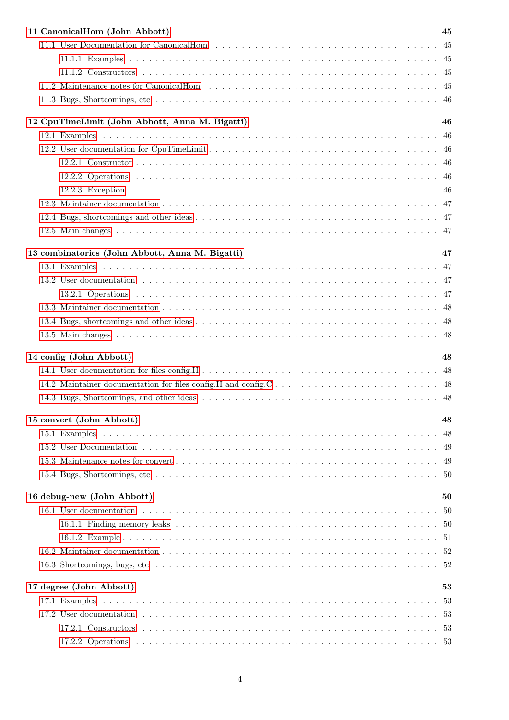| 11 CanonicalHom (John Abbott)                   | 45 |
|-------------------------------------------------|----|
|                                                 |    |
|                                                 |    |
|                                                 |    |
|                                                 |    |
|                                                 |    |
| 12 CpuTimeLimit (John Abbott, Anna M. Bigatti)  | 46 |
|                                                 |    |
|                                                 |    |
|                                                 |    |
|                                                 |    |
|                                                 |    |
|                                                 |    |
|                                                 |    |
|                                                 |    |
|                                                 |    |
| 13 combinatorics (John Abbott, Anna M. Bigatti) | 47 |
|                                                 |    |
|                                                 |    |
|                                                 |    |
|                                                 |    |
|                                                 |    |
|                                                 |    |
| 14 config (John Abbott)                         | 48 |
|                                                 |    |
|                                                 |    |
|                                                 |    |
|                                                 |    |
| 15 convert (John Abbott)                        | 48 |
|                                                 | 48 |
|                                                 |    |
|                                                 |    |
|                                                 |    |
| 16 debug-new (John Abbott)                      | 50 |
|                                                 |    |
|                                                 |    |
|                                                 |    |
|                                                 |    |
|                                                 |    |
|                                                 |    |
| 17 degree (John Abbott)                         | 53 |
|                                                 |    |
|                                                 |    |
|                                                 |    |
|                                                 |    |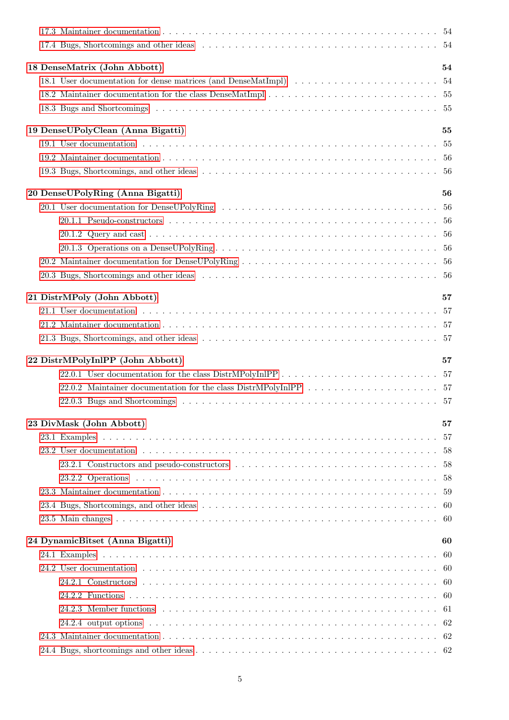| 18 DenseMatrix (John Abbott)      | 54  |
|-----------------------------------|-----|
|                                   |     |
|                                   |     |
|                                   |     |
|                                   |     |
| 19 DenseUPolyClean (Anna Bigatti) | 55  |
|                                   |     |
|                                   |     |
|                                   |     |
| 20 DenseUPolyRing (Anna Bigatti)  | 56  |
|                                   |     |
|                                   |     |
|                                   |     |
|                                   |     |
|                                   |     |
|                                   |     |
|                                   |     |
| 21 DistrMPoly (John Abbott)       | 57  |
|                                   |     |
|                                   |     |
|                                   |     |
| 22 DistrMPolyInlPP (John Abbott)  | 57  |
|                                   |     |
|                                   |     |
|                                   |     |
|                                   |     |
|                                   |     |
| 23 DivMask (John Abbott)          | 57  |
|                                   | -57 |
|                                   |     |
|                                   |     |
|                                   |     |
|                                   |     |
|                                   |     |
|                                   |     |
| 24 DynamicBitset (Anna Bigatti)   | 60  |
|                                   | -60 |
|                                   |     |
|                                   |     |
|                                   |     |
|                                   |     |
|                                   |     |
|                                   |     |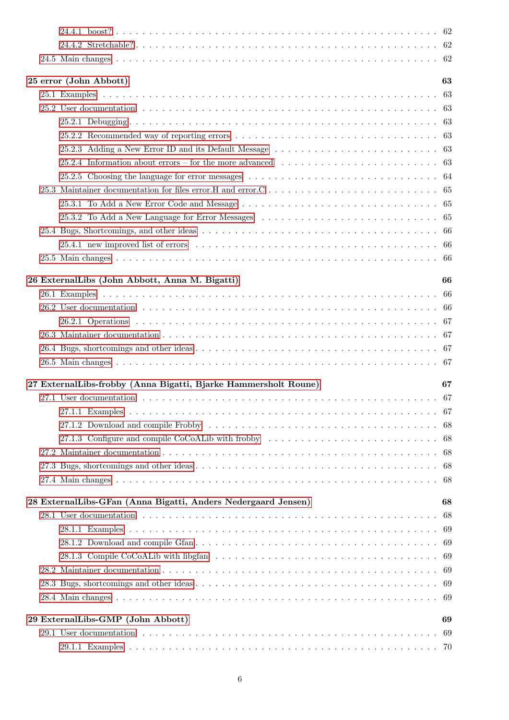|  | 25 error (John Abbott)                                                                                     | 63  |
|--|------------------------------------------------------------------------------------------------------------|-----|
|  |                                                                                                            | 63  |
|  |                                                                                                            |     |
|  |                                                                                                            |     |
|  |                                                                                                            |     |
|  |                                                                                                            |     |
|  | 25.2.4 Information about errors – for the more advanced $\ldots \ldots \ldots \ldots \ldots \ldots \ldots$ |     |
|  |                                                                                                            |     |
|  |                                                                                                            |     |
|  |                                                                                                            |     |
|  |                                                                                                            |     |
|  | 25.3.2 To Add a New Language for Error Messages                                                            | 65  |
|  |                                                                                                            | -66 |
|  |                                                                                                            |     |
|  |                                                                                                            |     |
|  | 26 ExternalLibs (John Abbott, Anna M. Bigatti)                                                             | 66  |
|  |                                                                                                            | -66 |
|  |                                                                                                            |     |
|  |                                                                                                            |     |
|  |                                                                                                            |     |
|  |                                                                                                            |     |
|  |                                                                                                            |     |
|  | 27 ExternalLibs-frobby (Anna Bigatti, Bjarke Hammersholt Roune)                                            | 67  |
|  |                                                                                                            | 67  |
|  |                                                                                                            |     |
|  |                                                                                                            |     |
|  | 27.1.3 Configure and compile CoCoALib with frobby                                                          | -68 |
|  |                                                                                                            | -68 |
|  |                                                                                                            | -68 |
|  |                                                                                                            | -68 |
|  |                                                                                                            |     |
|  | 28 ExternalLibs-GFan (Anna Bigatti, Anders Nedergaard Jensen)                                              | 68  |
|  |                                                                                                            | 68  |
|  |                                                                                                            | -69 |
|  |                                                                                                            | -69 |
|  |                                                                                                            | -69 |
|  |                                                                                                            | -69 |
|  |                                                                                                            | -69 |
|  |                                                                                                            | -69 |
|  | 29 ExternalLibs-GMP (John Abbott)                                                                          | 69  |
|  |                                                                                                            | -69 |
|  |                                                                                                            | -70 |
|  |                                                                                                            |     |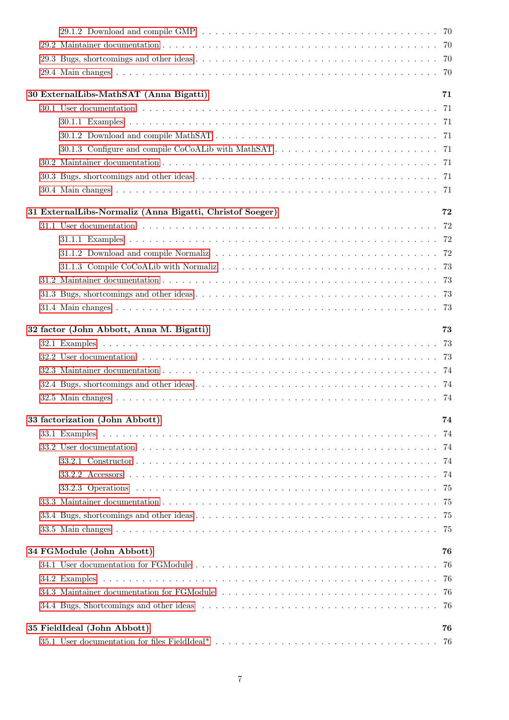| 30 ExternalLibs-MathSAT (Anna Bigatti)                   | 71 |
|----------------------------------------------------------|----|
|                                                          |    |
|                                                          |    |
|                                                          |    |
|                                                          |    |
|                                                          |    |
|                                                          |    |
|                                                          |    |
| 31 ExternalLibs-Normaliz (Anna Bigatti, Christof Soeger) | 72 |
|                                                          |    |
|                                                          |    |
|                                                          |    |
|                                                          |    |
|                                                          |    |
|                                                          |    |
|                                                          |    |
| 32 factor (John Abbott, Anna M. Bigatti)                 | 73 |
|                                                          |    |
|                                                          |    |
|                                                          |    |
|                                                          |    |
|                                                          |    |
| 33 factorization (John Abbott)                           | 74 |
|                                                          |    |
|                                                          |    |
|                                                          |    |
|                                                          |    |
|                                                          |    |
|                                                          |    |
|                                                          |    |
|                                                          |    |
| 34 FGModule (John Abbott)                                | 76 |
|                                                          | 76 |
|                                                          |    |
|                                                          |    |
|                                                          |    |
|                                                          |    |
| 35 FieldIdeal (John Abbott)                              | 76 |
|                                                          |    |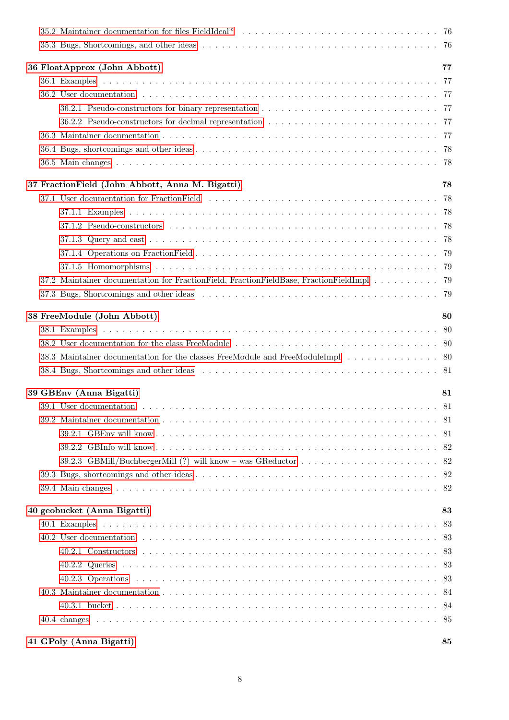| 36 FloatApprox (John Abbott)                                                             | 77 |
|------------------------------------------------------------------------------------------|----|
|                                                                                          |    |
|                                                                                          |    |
|                                                                                          |    |
|                                                                                          |    |
|                                                                                          |    |
|                                                                                          |    |
|                                                                                          |    |
| 37 Fraction Field (John Abbott, Anna M. Bigatti)                                         | 78 |
|                                                                                          |    |
|                                                                                          |    |
|                                                                                          |    |
|                                                                                          |    |
|                                                                                          |    |
|                                                                                          |    |
| 37.2 Maintainer documentation for FractionField, FractionFieldBase, FractionFieldImpl 79 |    |
|                                                                                          |    |
| 38 FreeModule (John Abbott)                                                              | 80 |
|                                                                                          |    |
|                                                                                          |    |
| 38.3 Maintainer documentation for the classes FreeModule and FreeModuleImpl 80           |    |
|                                                                                          |    |
| 39 GBEnv (Anna Bigatti)                                                                  | 81 |
|                                                                                          |    |
|                                                                                          |    |
|                                                                                          |    |
|                                                                                          |    |
|                                                                                          |    |
|                                                                                          |    |
|                                                                                          |    |
| 40 geobucket (Anna Bigatti)                                                              | 83 |
|                                                                                          | 83 |
|                                                                                          |    |
|                                                                                          |    |
|                                                                                          |    |
|                                                                                          |    |
|                                                                                          |    |
|                                                                                          |    |
|                                                                                          |    |
|                                                                                          |    |

# [41 GPoly \(Anna Bigatti\)](#page-84-1) 85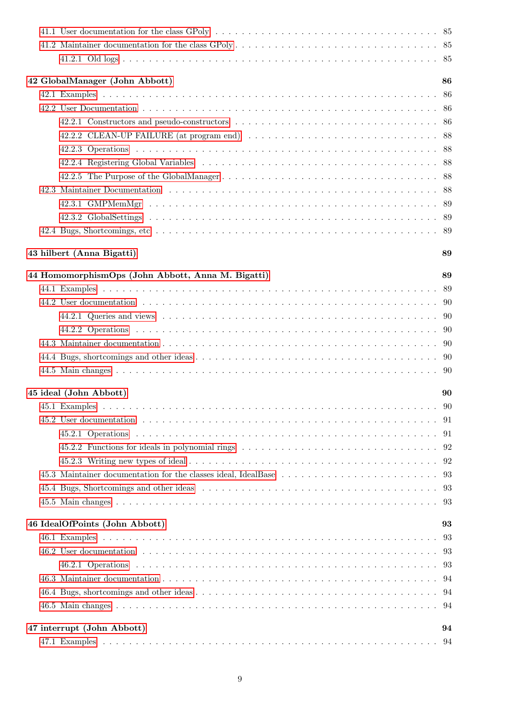| 42 GlobalManager (John Abbott)                    | 86  |
|---------------------------------------------------|-----|
|                                                   |     |
|                                                   |     |
|                                                   |     |
|                                                   |     |
|                                                   |     |
|                                                   |     |
|                                                   |     |
|                                                   |     |
|                                                   |     |
|                                                   |     |
|                                                   |     |
|                                                   |     |
| 43 hilbert (Anna Bigatti)                         | 89  |
| 44 HomomorphismOps (John Abbott, Anna M. Bigatti) | 89  |
|                                                   |     |
|                                                   |     |
|                                                   |     |
|                                                   |     |
|                                                   |     |
|                                                   |     |
|                                                   |     |
| 45 ideal (John Abbott)                            | 90  |
|                                                   |     |
|                                                   |     |
|                                                   |     |
|                                                   |     |
|                                                   |     |
|                                                   |     |
|                                                   |     |
|                                                   |     |
| 46 IdealOfPoints (John Abbott)                    | 93  |
|                                                   | -93 |
|                                                   |     |
|                                                   |     |
|                                                   |     |
|                                                   |     |
|                                                   |     |
|                                                   |     |
| 47 interrupt (John Abbott)                        | 94  |
|                                                   |     |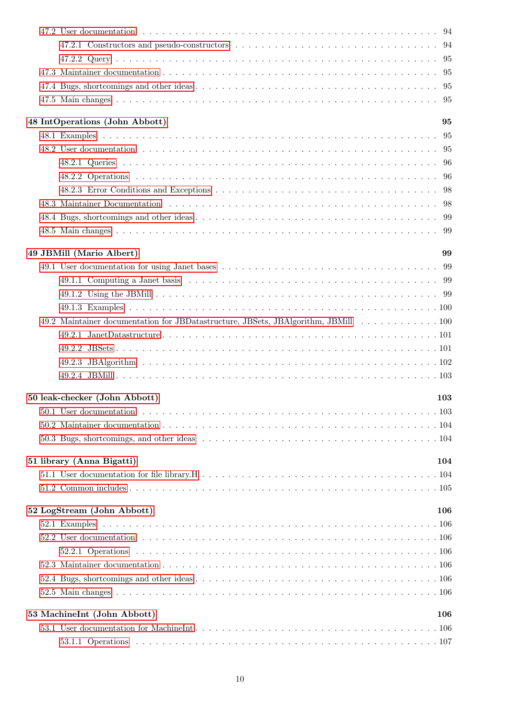| 48 IntOperations (John Abbott)<br>95                                               |
|------------------------------------------------------------------------------------|
|                                                                                    |
|                                                                                    |
|                                                                                    |
|                                                                                    |
|                                                                                    |
|                                                                                    |
|                                                                                    |
|                                                                                    |
| 49 JBMill (Mario Albert)<br>99                                                     |
|                                                                                    |
|                                                                                    |
|                                                                                    |
|                                                                                    |
| 49.2 Maintainer documentation for JBDatastructure, JBSets, JBAlgorithm, JBMill 100 |
|                                                                                    |
|                                                                                    |
|                                                                                    |
|                                                                                    |
| 50 leak-checker (John Abbott)<br>103                                               |
|                                                                                    |
|                                                                                    |
|                                                                                    |
|                                                                                    |
| 51 library (Anna Bigatti)<br>104                                                   |
|                                                                                    |
|                                                                                    |
| 52 LogStream (John Abbott)<br>106                                                  |
|                                                                                    |
|                                                                                    |
|                                                                                    |
|                                                                                    |
|                                                                                    |
|                                                                                    |
| 53 MachineInt (John Abbott)<br>106                                                 |
|                                                                                    |
|                                                                                    |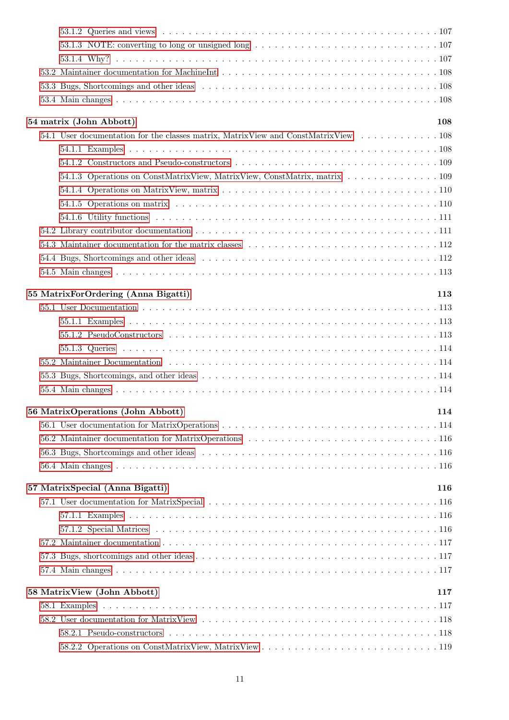|  | 54 matrix (John Abbott)<br>108                                                     |  |
|--|------------------------------------------------------------------------------------|--|
|  | 54.1 User documentation for the classes matrix, MatrixView and ConstMatrixView 108 |  |
|  |                                                                                    |  |
|  |                                                                                    |  |
|  | 54.1.3 Operations on ConstMatrixView, MatrixView, ConstMatrix, matrix 109          |  |
|  |                                                                                    |  |
|  |                                                                                    |  |
|  |                                                                                    |  |
|  |                                                                                    |  |
|  | 54.3 Maintainer documentation for the matrix classes enterior example $112$        |  |
|  |                                                                                    |  |
|  |                                                                                    |  |
|  |                                                                                    |  |
|  | 55 MatrixForOrdering (Anna Bigatti)<br>113                                         |  |
|  |                                                                                    |  |
|  |                                                                                    |  |
|  |                                                                                    |  |
|  |                                                                                    |  |
|  |                                                                                    |  |
|  |                                                                                    |  |
|  |                                                                                    |  |
|  | 56 MatrixOperations (John Abbott)<br>114                                           |  |
|  |                                                                                    |  |
|  |                                                                                    |  |
|  |                                                                                    |  |
|  |                                                                                    |  |
|  |                                                                                    |  |
|  | 57 MatrixSpecial (Anna Bigatti)<br>116                                             |  |
|  |                                                                                    |  |
|  |                                                                                    |  |
|  |                                                                                    |  |
|  |                                                                                    |  |
|  |                                                                                    |  |
|  |                                                                                    |  |
|  | 58 MatrixView (John Abbott)<br>117                                                 |  |
|  |                                                                                    |  |
|  |                                                                                    |  |
|  |                                                                                    |  |
|  |                                                                                    |  |
|  |                                                                                    |  |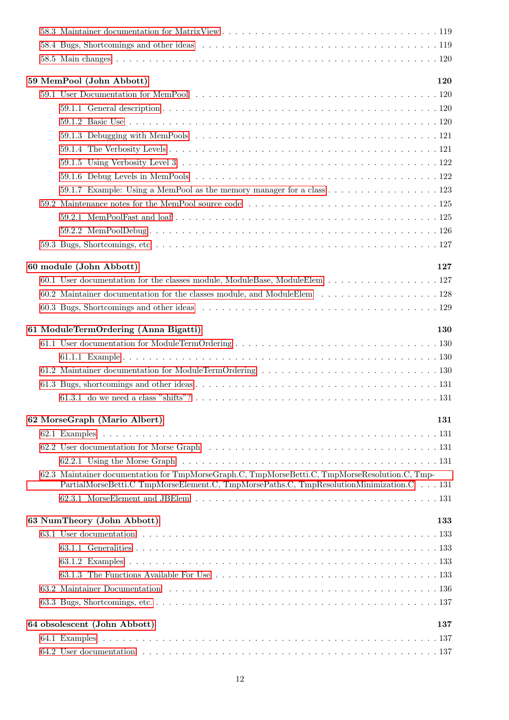|  | 59 MemPool (John Abbott)                                                                       | 120 |
|--|------------------------------------------------------------------------------------------------|-----|
|  |                                                                                                |     |
|  |                                                                                                |     |
|  |                                                                                                |     |
|  |                                                                                                |     |
|  |                                                                                                |     |
|  |                                                                                                |     |
|  |                                                                                                |     |
|  | 59.1.7 Example: Using a MemPool as the memory manager for a class 123                          |     |
|  |                                                                                                |     |
|  |                                                                                                |     |
|  |                                                                                                |     |
|  |                                                                                                |     |
|  |                                                                                                |     |
|  | 60 module (John Abbott)                                                                        | 127 |
|  | 60.1 User documentation for the classes module, ModuleBase, ModuleElem 127                     |     |
|  | 60.2 Maintainer documentation for the classes module, and ModuleElem 128                       |     |
|  |                                                                                                |     |
|  | 61 ModuleTermOrdering (Anna Bigatti)                                                           | 130 |
|  |                                                                                                |     |
|  |                                                                                                |     |
|  |                                                                                                |     |
|  |                                                                                                |     |
|  |                                                                                                |     |
|  |                                                                                                | 131 |
|  | 62 MorseGraph (Mario Albert)                                                                   |     |
|  |                                                                                                |     |
|  |                                                                                                |     |
|  | 62.3 Maintainer documentation for TmpMorseGraph.C, TmpMorseBetti.C, TmpMorseResolution.C, Tmp- |     |
|  | PartialMorseBetti.C TmpMorseElement.C, TmpMorsePaths.C, TmpResolutionMinimization.C 131        |     |
|  |                                                                                                |     |
|  | 63 NumTheory (John Abbott)                                                                     | 133 |
|  |                                                                                                |     |
|  |                                                                                                |     |
|  |                                                                                                |     |
|  |                                                                                                |     |
|  |                                                                                                |     |
|  |                                                                                                |     |
|  |                                                                                                |     |
|  | 64 obsolescent (John Abbott)                                                                   | 137 |
|  |                                                                                                |     |
|  |                                                                                                |     |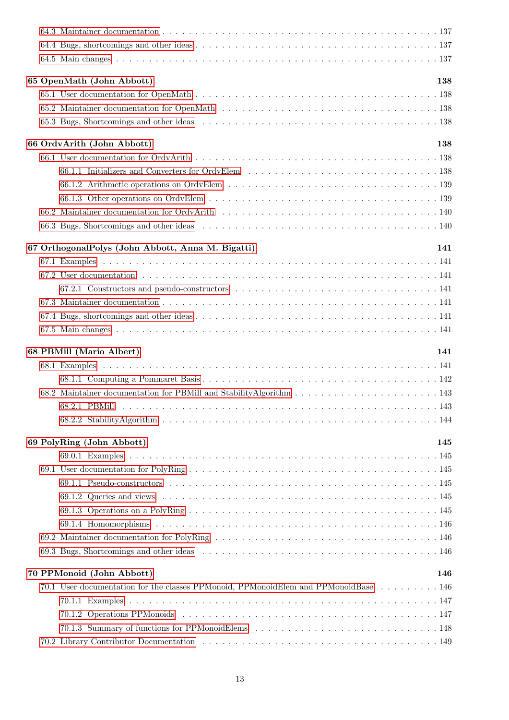|  | 65 OpenMath (John Abbott)                                                           | 138 |
|--|-------------------------------------------------------------------------------------|-----|
|  |                                                                                     |     |
|  |                                                                                     |     |
|  |                                                                                     |     |
|  | 66 OrdvArith (John Abbott)                                                          | 138 |
|  |                                                                                     |     |
|  |                                                                                     |     |
|  |                                                                                     |     |
|  |                                                                                     |     |
|  |                                                                                     |     |
|  |                                                                                     |     |
|  | 67 OrthogonalPolys (John Abbott, Anna M. Bigatti)                                   | 141 |
|  |                                                                                     |     |
|  |                                                                                     |     |
|  |                                                                                     |     |
|  |                                                                                     |     |
|  |                                                                                     |     |
|  |                                                                                     |     |
|  |                                                                                     |     |
|  |                                                                                     |     |
|  | 68 PBMill (Mario Albert)<br>141                                                     |     |
|  |                                                                                     |     |
|  |                                                                                     |     |
|  |                                                                                     |     |
|  |                                                                                     |     |
|  |                                                                                     |     |
|  | 69 PolyRing (John Abbott)                                                           | 145 |
|  |                                                                                     |     |
|  |                                                                                     |     |
|  |                                                                                     |     |
|  |                                                                                     |     |
|  |                                                                                     |     |
|  |                                                                                     |     |
|  |                                                                                     |     |
|  |                                                                                     |     |
|  | 70 PPMonoid (John Abbott)                                                           | 146 |
|  | 70.1 User documentation for the classes PPMonoid, PPMonoidElem and PPMonoidBase 146 |     |
|  |                                                                                     |     |
|  |                                                                                     |     |
|  |                                                                                     |     |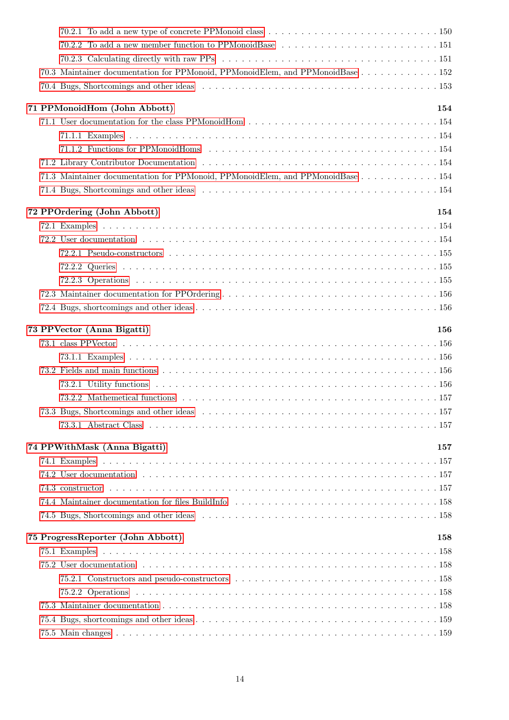| 70.2.2 To add a new member function to PPMonoidBase 151                        |     |
|--------------------------------------------------------------------------------|-----|
|                                                                                |     |
| 70.3 Maintainer documentation for PPMonoid, PPMonoidElem, and PPMonoidBase 152 |     |
|                                                                                |     |
| 71 PPMonoidHom (John Abbott)                                                   | 154 |
|                                                                                |     |
|                                                                                |     |
|                                                                                |     |
|                                                                                |     |
| 71.3 Maintainer documentation for PPMonoid, PPMonoidElem, and PPMonoidBase 154 |     |
|                                                                                |     |
|                                                                                |     |
| 72 PPOrdering (John Abbott)                                                    | 154 |
|                                                                                |     |
|                                                                                |     |
|                                                                                |     |
|                                                                                |     |
|                                                                                |     |
|                                                                                |     |
|                                                                                |     |
| 73 PPVector (Anna Bigatti)                                                     | 156 |
|                                                                                |     |
|                                                                                |     |
|                                                                                |     |
|                                                                                |     |
|                                                                                |     |
|                                                                                |     |
|                                                                                |     |
| 74 PPWithMask (Anna Bigatti)                                                   | 157 |
|                                                                                |     |
|                                                                                |     |
|                                                                                |     |
|                                                                                |     |
|                                                                                |     |
|                                                                                |     |
| 75 ProgressReporter (John Abbott)                                              | 158 |
|                                                                                |     |
|                                                                                |     |
|                                                                                |     |
|                                                                                |     |
|                                                                                |     |
|                                                                                |     |
|                                                                                |     |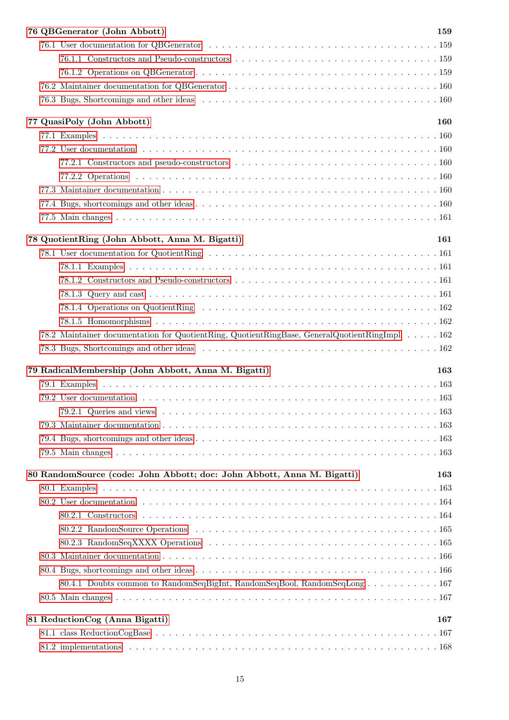|  | 76 QBGenerator (John Abbott)                                                                 | 159 |
|--|----------------------------------------------------------------------------------------------|-----|
|  |                                                                                              |     |
|  |                                                                                              |     |
|  |                                                                                              |     |
|  |                                                                                              |     |
|  |                                                                                              |     |
|  | 77 QuasiPoly (John Abbott)                                                                   | 160 |
|  |                                                                                              |     |
|  |                                                                                              |     |
|  |                                                                                              |     |
|  |                                                                                              |     |
|  |                                                                                              |     |
|  |                                                                                              |     |
|  |                                                                                              |     |
|  | 78 QuotientRing (John Abbott, Anna M. Bigatti)                                               | 161 |
|  |                                                                                              |     |
|  |                                                                                              |     |
|  |                                                                                              |     |
|  |                                                                                              |     |
|  |                                                                                              |     |
|  |                                                                                              |     |
|  | 78.2 Maintainer documentation for QuotientRing, QuotientRingBase, GeneralQuotientRingImpl162 |     |
|  |                                                                                              |     |
|  | 79 RadicalMembership (John Abbott, Anna M. Bigatti)                                          | 163 |
|  |                                                                                              |     |
|  |                                                                                              |     |
|  |                                                                                              |     |
|  |                                                                                              |     |
|  |                                                                                              |     |
|  |                                                                                              |     |
|  | 80 RandomSource (code: John Abbott; doc: John Abbott, Anna M. Bigatti)                       | 163 |
|  |                                                                                              |     |
|  |                                                                                              |     |
|  |                                                                                              |     |
|  |                                                                                              |     |
|  |                                                                                              |     |
|  |                                                                                              |     |
|  |                                                                                              |     |
|  | 80.4.1 Doubts common to RandomSeqBigInt, RandomSeqBool, RandomSeqLong167                     |     |
|  |                                                                                              |     |
|  | 81 ReductionCog (Anna Bigatti)                                                               | 167 |
|  |                                                                                              |     |
|  |                                                                                              |     |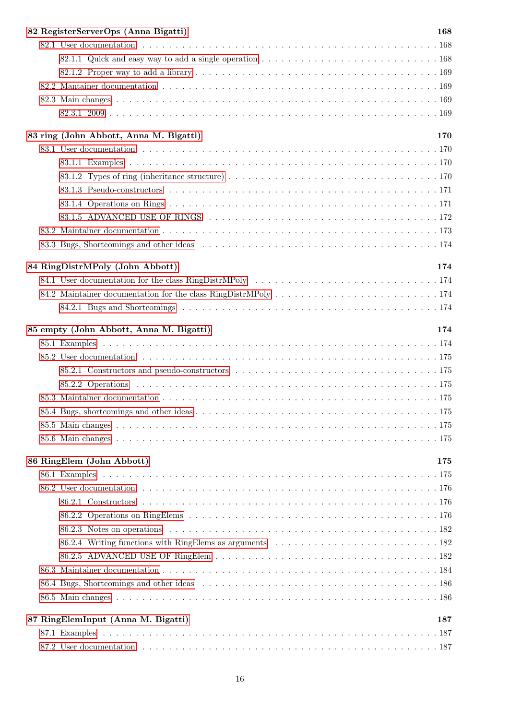| 82 RegisterServerOps (Anna Bigatti)     | 168 |
|-----------------------------------------|-----|
|                                         |     |
|                                         |     |
|                                         |     |
|                                         |     |
|                                         |     |
|                                         |     |
|                                         |     |
| 83 ring (John Abbott, Anna M. Bigatti)  | 170 |
|                                         |     |
|                                         |     |
|                                         |     |
|                                         |     |
|                                         |     |
|                                         |     |
|                                         |     |
|                                         |     |
|                                         |     |
| 84 RingDistrMPoly (John Abbott)         | 174 |
|                                         |     |
|                                         |     |
|                                         |     |
| 85 empty (John Abbott, Anna M. Bigatti) | 174 |
|                                         |     |
|                                         |     |
|                                         |     |
|                                         |     |
|                                         |     |
|                                         |     |
|                                         |     |
|                                         |     |
|                                         |     |
| 86 RingElem (John Abbott)               | 175 |
|                                         |     |
|                                         |     |
|                                         |     |
|                                         |     |
|                                         |     |
|                                         |     |
|                                         |     |
|                                         |     |
|                                         |     |
|                                         |     |
|                                         |     |
| 87 RingElemInput (Anna M. Bigatti)      | 187 |
|                                         |     |
|                                         |     |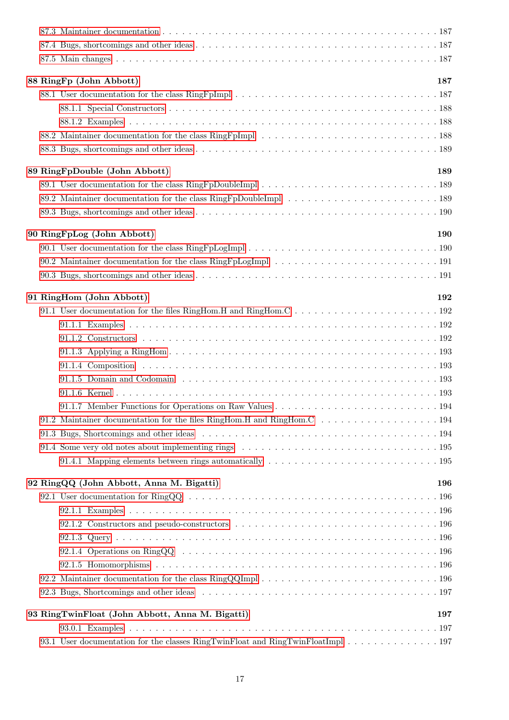|  | 88 RingFp (John Abbott)                                                         | 187 |
|--|---------------------------------------------------------------------------------|-----|
|  |                                                                                 |     |
|  |                                                                                 |     |
|  |                                                                                 |     |
|  |                                                                                 |     |
|  |                                                                                 |     |
|  | 89 RingFpDouble (John Abbott)                                                   | 189 |
|  |                                                                                 |     |
|  |                                                                                 |     |
|  |                                                                                 |     |
|  | 90 RingFpLog (John Abbott)                                                      | 190 |
|  |                                                                                 |     |
|  |                                                                                 |     |
|  |                                                                                 |     |
|  |                                                                                 |     |
|  | 91 RingHom (John Abbott)                                                        | 192 |
|  |                                                                                 |     |
|  |                                                                                 |     |
|  |                                                                                 |     |
|  |                                                                                 |     |
|  |                                                                                 |     |
|  |                                                                                 |     |
|  |                                                                                 |     |
|  |                                                                                 |     |
|  |                                                                                 |     |
|  |                                                                                 |     |
|  |                                                                                 |     |
|  |                                                                                 |     |
|  | 92 RingQQ (John Abbott, Anna M. Bigatti)                                        | 196 |
|  |                                                                                 |     |
|  |                                                                                 |     |
|  |                                                                                 |     |
|  |                                                                                 |     |
|  |                                                                                 |     |
|  |                                                                                 |     |
|  |                                                                                 |     |
|  |                                                                                 |     |
|  | 93 RingTwinFloat (John Abbott, Anna M. Bigatti)                                 | 197 |
|  |                                                                                 |     |
|  | 93.1 User documentation for the classes RingTwinFloat and RingTwinFloatImpl 197 |     |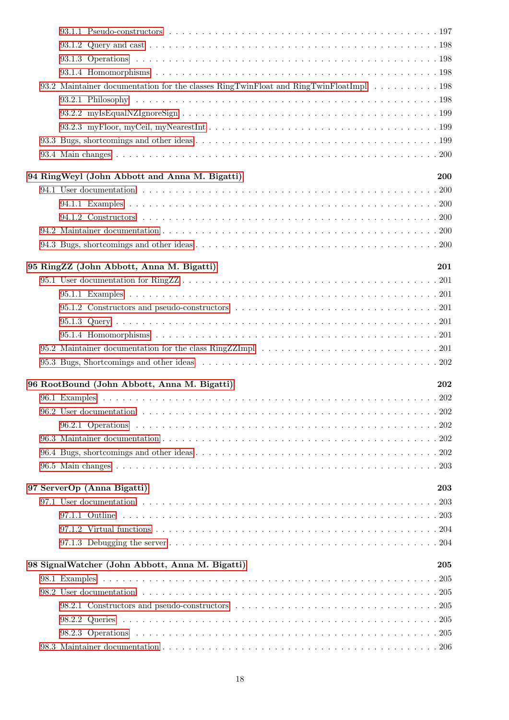| 93.2 Maintainer documentation for the classes RingTwinFloat and RingTwinFloatImpl 198 |  |            |  |
|---------------------------------------------------------------------------------------|--|------------|--|
|                                                                                       |  |            |  |
|                                                                                       |  |            |  |
|                                                                                       |  |            |  |
|                                                                                       |  |            |  |
|                                                                                       |  |            |  |
| 94 RingWeyl (John Abbott and Anna M. Bigatti)                                         |  | <b>200</b> |  |
|                                                                                       |  |            |  |
|                                                                                       |  |            |  |
|                                                                                       |  |            |  |
|                                                                                       |  |            |  |
|                                                                                       |  |            |  |
| 95 RingZZ (John Abbott, Anna M. Bigatti)                                              |  | 201        |  |
|                                                                                       |  |            |  |
|                                                                                       |  |            |  |
|                                                                                       |  |            |  |
|                                                                                       |  |            |  |
|                                                                                       |  |            |  |
|                                                                                       |  |            |  |
|                                                                                       |  |            |  |
|                                                                                       |  |            |  |
| 96 RootBound (John Abbott, Anna M. Bigatti)                                           |  | 202        |  |
|                                                                                       |  |            |  |
|                                                                                       |  |            |  |
|                                                                                       |  |            |  |
|                                                                                       |  |            |  |
|                                                                                       |  |            |  |
|                                                                                       |  |            |  |
| 97 ServerOp (Anna Bigatti)                                                            |  | 203        |  |
|                                                                                       |  |            |  |
|                                                                                       |  |            |  |
|                                                                                       |  |            |  |
|                                                                                       |  |            |  |
| 98 SignalWatcher (John Abbott, Anna M. Bigatti)                                       |  | 205        |  |
|                                                                                       |  |            |  |
|                                                                                       |  |            |  |
|                                                                                       |  |            |  |
|                                                                                       |  |            |  |
|                                                                                       |  |            |  |
|                                                                                       |  |            |  |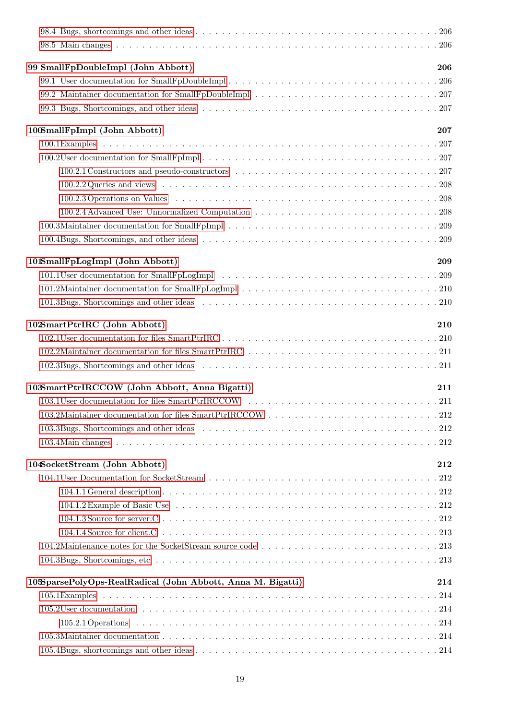| 99 SmallFpDoubleImpl (John Abbott)                                                                             | 206 |
|----------------------------------------------------------------------------------------------------------------|-----|
|                                                                                                                |     |
|                                                                                                                |     |
|                                                                                                                |     |
| 100SmallFpImpl (John Abbott)                                                                                   | 207 |
|                                                                                                                |     |
|                                                                                                                |     |
|                                                                                                                |     |
|                                                                                                                |     |
| 100.2.3 Operations on Values et al., et al., et al., et al., et al., et al., et al., et al., et al., et al., e |     |
|                                                                                                                |     |
|                                                                                                                |     |
|                                                                                                                |     |
| 101SmallFpLogImpl (John Abbott)                                                                                | 209 |
|                                                                                                                |     |
|                                                                                                                |     |
|                                                                                                                |     |
| 102SmartPtrIRC (John Abbott)                                                                                   | 210 |
|                                                                                                                |     |
|                                                                                                                |     |
|                                                                                                                |     |
| 103SmartPtrIRCCOW (John Abbott, Anna Bigatti)                                                                  | 211 |
|                                                                                                                |     |
|                                                                                                                |     |
|                                                                                                                |     |
|                                                                                                                |     |
| 104SocketStream (John Abbott)                                                                                  | 212 |
|                                                                                                                |     |
|                                                                                                                |     |
|                                                                                                                |     |
|                                                                                                                |     |
|                                                                                                                |     |
|                                                                                                                |     |
|                                                                                                                |     |
| 105SparsePolyOps-RealRadical (John Abbott, Anna M. Bigatti)                                                    | 214 |
|                                                                                                                |     |
|                                                                                                                |     |
|                                                                                                                |     |
|                                                                                                                |     |
|                                                                                                                |     |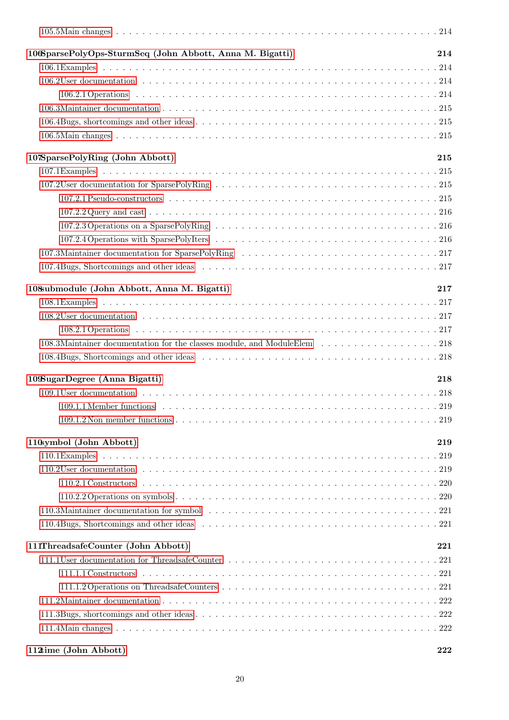| 106SparsePolyOps-SturmSeq (John Abbott, Anna M. Bigatti)                 | 214       |
|--------------------------------------------------------------------------|-----------|
|                                                                          |           |
|                                                                          |           |
|                                                                          |           |
|                                                                          |           |
|                                                                          |           |
|                                                                          |           |
| 107SparsePolyRing (John Abbott)                                          | 215       |
|                                                                          |           |
|                                                                          |           |
|                                                                          |           |
|                                                                          |           |
|                                                                          |           |
|                                                                          |           |
|                                                                          |           |
|                                                                          |           |
| 108 ubmodule (John Abbott, Anna M. Bigatti)                              | 217       |
|                                                                          |           |
|                                                                          |           |
|                                                                          |           |
| 108.3Maintainer documentation for the classes module, and ModuleElem 218 |           |
|                                                                          |           |
| 109SugarDegree (Anna Bigatti)                                            | 218       |
|                                                                          |           |
|                                                                          |           |
|                                                                          |           |
| 110symbol (John Abbott)                                                  | $\bf 219$ |
|                                                                          |           |
|                                                                          |           |
|                                                                          |           |
|                                                                          |           |
|                                                                          |           |
|                                                                          |           |
| 111ThreadsafeCounter (John Abbott)                                       | 221       |
|                                                                          |           |
|                                                                          |           |
|                                                                          |           |
|                                                                          |           |
|                                                                          |           |
|                                                                          |           |
|                                                                          |           |

# [112time \(John Abbott\)](#page-221-3) 222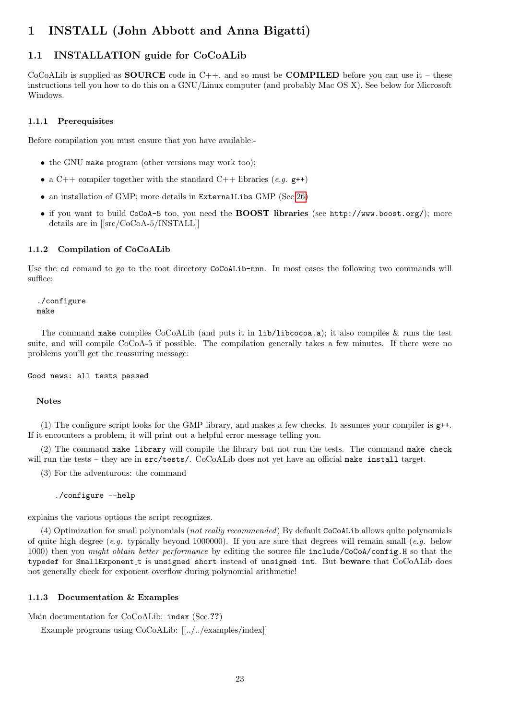# <span id="page-22-0"></span>1 INSTALL (John Abbott and Anna Bigatti)

# <span id="page-22-1"></span>1.1 INSTALLATION guide for CoCoALib

CoCoALib is supplied as **SOURCE** code in  $C_{++}$ , and so must be **COMPILED** before you can use it – these instructions tell you how to do this on a GNU/Linux computer (and probably Mac OS X). See below for Microsoft Windows.

#### <span id="page-22-2"></span>1.1.1 Prerequisites

Before compilation you must ensure that you have available:-

- the GNU make program (other versions may work too);
- a C++ compiler together with the standard C++ libraries (e.g.  $g$ ++)
- an installation of GMP; more details in ExternalLibs GMP (Sec[.26\)](#page-65-3)
- if you want to build CoCoA-5 too, you need the **BOOST libraries** (see http://www.boost.org/); more details are in [[src/CoCoA-5/INSTALL]]

#### <span id="page-22-3"></span>1.1.2 Compilation of CoCoALib

Use the cd comand to go to the root directory CoCoALib-nnn. In most cases the following two commands will suffice:

./configure make

The command make compiles CoCoALib (and puts it in lib/libcocoa.a); it also compiles & runs the test suite, and will compile CoCoA-5 if possible. The compilation generally takes a few minutes. If there were no problems you'll get the reassuring message:

Good news: all tests passed

#### Notes

(1) The configure script looks for the GMP library, and makes a few checks. It assumes your compiler is g++. If it encounters a problem, it will print out a helpful error message telling you.

(2) The command make library will compile the library but not run the tests. The command make check will run the tests – they are in  $src/tests/$ . CoCoALib does not yet have an official make install target.

(3) For the adventurous: the command

./configure --help

explains the various options the script recognizes.

(4) Optimization for small polynomials (not really recommended) By default CoCoALib allows quite polynomials of quite high degree (e.g. typically beyond 1000000). If you are sure that degrees will remain small (e.g. below 1000) then you *might obtain better performance* by editing the source file include/CoCoA/config.H so that the typedef for SmallExponent t is unsigned short instead of unsigned int. But beware that CoCoALib does not generally check for exponent overflow during polynomial arithmetic!

#### <span id="page-22-4"></span>1.1.3 Documentation & Examples

Main documentation for CoCoALib: index (Sec.??)

Example programs using CoCoALib: [[../../examples/index]]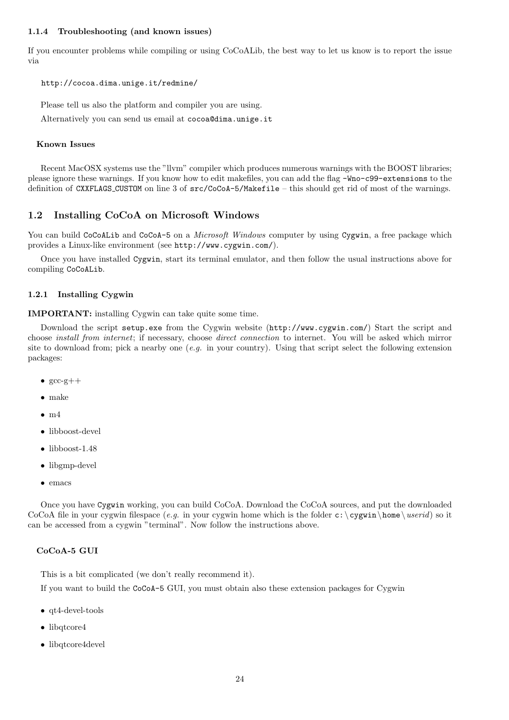#### <span id="page-23-0"></span>1.1.4 Troubleshooting (and known issues)

If you encounter problems while compiling or using CoCoALib, the best way to let us know is to report the issue via

#### http://cocoa.dima.unige.it/redmine/

Please tell us also the platform and compiler you are using.

Alternatively you can send us email at cocoa@dima.unige.it

### Known Issues

Recent MacOSX systems use the "llvm" compiler which produces numerous warnings with the BOOST libraries; please ignore these warnings. If you know how to edit makefiles, you can add the flag -Wno-c99-extensions to the definition of CXXFLAGS CUSTOM on line 3 of src/CoCoA-5/Makefile – this should get rid of most of the warnings.

# <span id="page-23-1"></span>1.2 Installing CoCoA on Microsoft Windows

You can build CoCoALib and CoCoA-5 on a *Microsoft Windows* computer by using Cygwin, a free package which provides a Linux-like environment (see http://www.cygwin.com/).

Once you have installed Cygwin, start its terminal emulator, and then follow the usual instructions above for compiling CoCoALib.

#### <span id="page-23-2"></span>1.2.1 Installing Cygwin

IMPORTANT: installing Cygwin can take quite some time.

Download the script setup.exe from the Cygwin website (http://www.cygwin.com/) Start the script and choose install from internet; if necessary, choose direct connection to internet. You will be asked which mirror site to download from; pick a nearby one  $(e.g.$  in your country). Using that script select the following extension packages:

- $\bullet$  gcc-g++
- make
- $\bullet$  m4
- libboost-devel
- libboost-1.48
- libgmp-devel
- emacs

Once you have Cygwin working, you can build CoCoA. Download the CoCoA sources, and put the downloaded CoCoA file in your cygwin filespace (e.g. in your cygwin home which is the folder c: \cygwin\home\userid) so it can be accessed from a cygwin "terminal". Now follow the instructions above.

#### CoCoA-5 GUI

This is a bit complicated (we don't really recommend it).

If you want to build the CoCoA-5 GUI, you must obtain also these extension packages for Cygwin

- qt4-devel-tools
- libqtcore4
- libqtcore4devel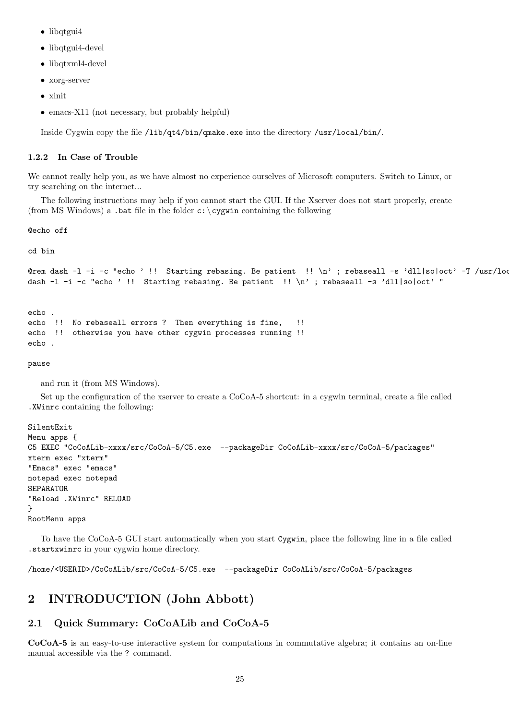- libqtgui4
- libqtgui4-devel
- libqtxml4-devel
- xorg-server
- xinit
- emacs-X11 (not necessary, but probably helpful)

Inside Cygwin copy the file /lib/qt4/bin/qmake.exe into the directory /usr/local/bin/.

#### <span id="page-24-0"></span>1.2.2 In Case of Trouble

We cannot really help you, as we have almost no experience ourselves of Microsoft computers. Switch to Linux, or try searching on the internet...

The following instructions may help if you cannot start the GUI. If the Xserver does not start properly, create (from MS Windows) a .bat file in the folder  $c$ : \cygwin containing the following

@echo off

cd bin

```
@rem dash -1 -i -c "echo ' !! Starting rebasing. Be patient !! \n'; rebaseall -s 'dll|so|oct' -T /usr/loc
dash -l -i -c "echo ' !! Starting rebasing. Be patient !! \n\times ; rebaseall -s 'dll|so|oct' "
```

```
echo .
echo !! No rebaseall errors ? Then everything is fine, !!
echo !! otherwise you have other cygwin processes running !!
echo .
```
pause

and run it (from MS Windows).

Set up the configuration of the xserver to create a CoCoA-5 shortcut: in a cygwin terminal, create a file called .XWinrc containing the following:

```
SilentExit
Menu apps {
C5 EXEC "CoCoALib-xxxx/src/CoCoA-5/C5.exe --packageDir CoCoALib-xxxx/src/CoCoA-5/packages"
xterm exec "xterm"
"Emacs" exec "emacs"
notepad exec notepad
SEPARATOR
"Reload .XWinrc" RELOAD
}
RootMenu apps
```
To have the CoCoA-5 GUI start automatically when you start Cygwin, place the following line in a file called .startxwinrc in your cygwin home directory.

/home/<USERID>/CoCoALib/src/CoCoA-5/C5.exe --packageDir CoCoALib/src/CoCoA-5/packages

# <span id="page-24-1"></span>2 INTRODUCTION (John Abbott)

# <span id="page-24-2"></span>2.1 Quick Summary: CoCoALib and CoCoA-5

CoCoA-5 is an easy-to-use interactive system for computations in commutative algebra; it contains an on-line manual accessible via the ? command.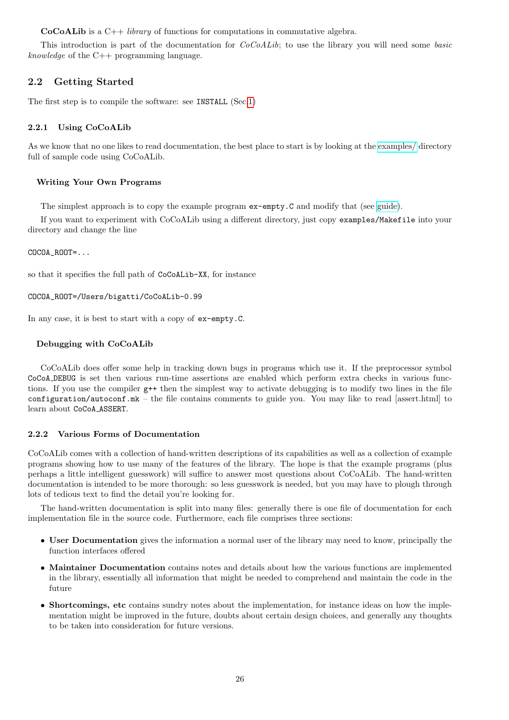**CoCoALib** is a  $C++ library$  of functions for computations in commutative algebra.

This introduction is part of the documentation for  $CoCoALib$ ; to use the library you will need some basic knowledge of the  $C++$  programming language.

# <span id="page-25-0"></span>2.2 Getting Started

The first step is to compile the software: see INSTALL (Sec[.1\)](#page-22-0)

### <span id="page-25-1"></span>2.2.1 Using CoCoALib

As we know that no one likes to read documentation, the best place to start is by looking at the [examples/](../../examples/index.html) directory full of sample code using CoCoALib.

### Writing Your Own Programs

The simplest approach is to copy the example program ex-empty.C and modify that (see [guide\)](../../examples/index.html).

If you want to experiment with CoCoALib using a different directory, just copy examples/Makefile into your directory and change the line

COCOA\_ROOT=...

so that it specifies the full path of CoCoALib-XX, for instance

```
COCOA_ROOT=/Users/bigatti/CoCoALib-0.99
```
In any case, it is best to start with a copy of ex-empty.C.

#### Debugging with CoCoALib

CoCoALib does offer some help in tracking down bugs in programs which use it. If the preprocessor symbol CoCoA DEBUG is set then various run-time assertions are enabled which perform extra checks in various functions. If you use the compiler  $g^{++}$  then the simplest way to activate debugging is to modify two lines in the file configuration/autoconf.mk – the file contains comments to guide you. You may like to read [assert.html] to learn about CoCoA ASSERT.

#### <span id="page-25-2"></span>2.2.2 Various Forms of Documentation

CoCoALib comes with a collection of hand-written descriptions of its capabilities as well as a collection of example programs showing how to use many of the features of the library. The hope is that the example programs (plus perhaps a little intelligent guesswork) will suffice to answer most questions about CoCoALib. The hand-written documentation is intended to be more thorough: so less guesswork is needed, but you may have to plough through lots of tedious text to find the detail you're looking for.

The hand-written documentation is split into many files: generally there is one file of documentation for each implementation file in the source code. Furthermore, each file comprises three sections:

- User Documentation gives the information a normal user of the library may need to know, principally the function interfaces offered
- Maintainer Documentation contains notes and details about how the various functions are implemented in the library, essentially all information that might be needed to comprehend and maintain the code in the future
- Shortcomings, etc contains sundry notes about the implementation, for instance ideas on how the implementation might be improved in the future, doubts about certain design choices, and generally any thoughts to be taken into consideration for future versions.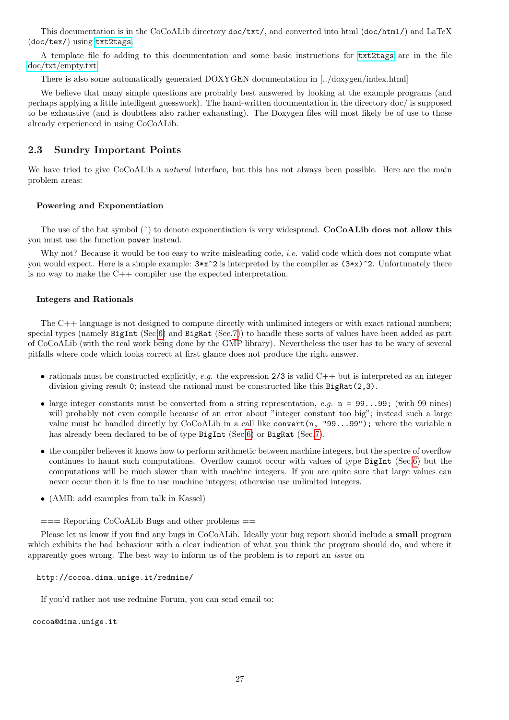This documentation is in the CoCoALib directory doc/txt/, and converted into html (doc/html/) and LaTeX (doc/tex/) using [txt2tags](http://txt2tags.sourceforge.net/).

A template file fo adding to this documentation and some basic instructions for [txt2tags](http://txt2tags.sourceforge.net/) are in the file [doc/txt/empty.txt.](empty.html)

There is also some automatically generated DOXYGEN documentation in [../doxygen/index.html]

We believe that many simple questions are probably best answered by looking at the example programs (and perhaps applying a little intelligent guesswork). The hand-written documentation in the directory doc/ is supposed to be exhaustive (and is doubtless also rather exhausting). The Doxygen files will most likely be of use to those already experienced in using CoCoALib.

### <span id="page-26-0"></span>2.3 Sundry Important Points

We have tried to give CoCoALib a *natural* interface, but this has not always been possible. Here are the main problem areas:

#### Powering and Exponentiation

The use of the hat symbol  $(^{\circ})$  to denote exponentiation is very widespread. **CoCoALib does not allow this** you must use the function power instead.

Why not? Because it would be too easy to write misleading code, *i.e.* valid code which does not compute what you would expect. Here is a simple example:  $3*x^2$  is interpreted by the compiler as  $(3*x)^2$ . Unfortunately there is no way to make the C++ compiler use the expected interpretation.

#### Integers and Rationals

The C++ language is not designed to compute directly with unlimited integers or with exact rational numbers; special types (namely BigInt (Sec[.6\)](#page-34-1) and BigRat (Sec[.7\)](#page-36-2)) to handle these sorts of values have been added as part of CoCoALib (with the real work being done by the GMP library). Nevertheless the user has to be wary of several pitfalls where code which looks correct at first glance does not produce the right answer.

- rationals must be constructed explicitly, e.g. the expression  $2/3$  is valid  $C++$  but is interpreted as an integer division giving result 0; instead the rational must be constructed like this BigRat(2,3).
- large integer constants must be converted from a string representation,  $e.g.$  n = 99...99; (with 99 nines) will probably not even compile because of an error about "integer constant too big"; instead such a large value must be handled directly by  $CoCoALib$  in a call like convert(n, "99...99"); where the variable n has already been declared to be of type BigInt (Sec[.6\)](#page-34-1) or BigRat (Sec[.7\)](#page-36-2).
- the compiler believes it knows how to perform arithmetic between machine integers, but the spectre of overflow continues to haunt such computations. Overflow cannot occur with values of type BigInt (Sec[.6\)](#page-34-1) but the computations will be much slower than with machine integers. If you are quite sure that large values can never occur then it is fine to use machine integers; otherwise use unlimited integers.
- (AMB: add examples from talk in Kassel)

#### $=$  Reporting CoCoALib Bugs and other problems  $=$

Please let us know if you find any bugs in CoCoALib. Ideally your bug report should include a small program which exhibits the bad behaviour with a clear indication of what you think the program should do, and where it apparently goes wrong. The best way to inform us of the problem is to report an issue on

#### http://cocoa.dima.unige.it/redmine/

If you'd rather not use redmine Forum, you can send email to:

cocoa@dima.unige.it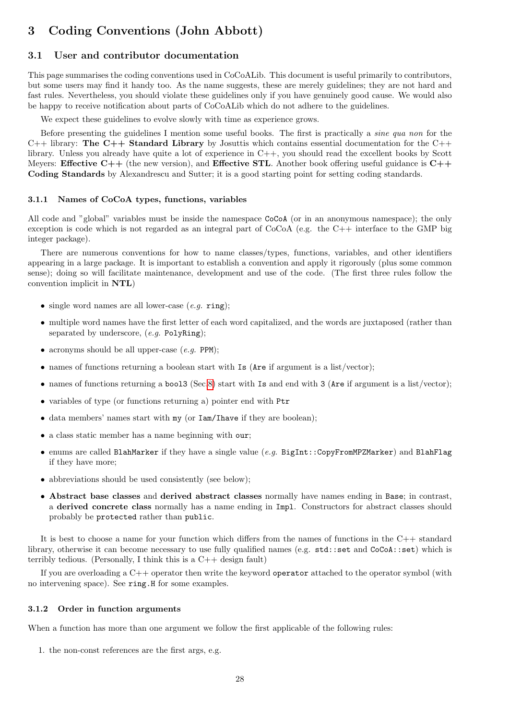# <span id="page-27-0"></span>3 Coding Conventions (John Abbott)

# <span id="page-27-1"></span>3.1 User and contributor documentation

This page summarises the coding conventions used in CoCoALib. This document is useful primarily to contributors, but some users may find it handy too. As the name suggests, these are merely guidelines; they are not hard and fast rules. Nevertheless, you should violate these guidelines only if you have genuinely good cause. We would also be happy to receive notification about parts of CoCoALib which do not adhere to the guidelines.

We expect these guidelines to evolve slowly with time as experience grows.

Before presenting the guidelines I mention some useful books. The first is practically a sine qua non for the  $C++$  library: The  $C++$  Standard Library by Josuttis which contains essential documentation for the  $C++$ library. Unless you already have quite a lot of experience in C++, you should read the excellent books by Scott Meyers: Effective  $C++$  (the new version), and Effective STL. Another book offering useful guidance is  $C++$ Coding Standards by Alexandrescu and Sutter; it is a good starting point for setting coding standards.

#### <span id="page-27-2"></span>3.1.1 Names of CoCoA types, functions, variables

All code and "global" variables must be inside the namespace CoCoA (or in an anonymous namespace); the only exception is code which is not regarded as an integral part of CoCoA (e.g. the C++ interface to the GMP big integer package).

There are numerous conventions for how to name classes/types, functions, variables, and other identifiers appearing in a large package. It is important to establish a convention and apply it rigorously (plus some common sense); doing so will facilitate maintenance, development and use of the code. (The first three rules follow the convention implicit in NTL)

- single word names are all lower-case  $(e.g., \text{ring})$ ;
- multiple word names have the first letter of each word capitalized, and the words are juxtaposed (rather than separated by underscore,  $(e.q.$  PolyRing);
- acronyms should be all upper-case  $(e.g.$  PPM);
- names of functions returning a boolean start with Is (Are if argument is a list/vector);
- names of functions returning a bool3 (Sec[.8\)](#page-39-0) start with Is and end with 3 (Are if argument is a list/vector);
- variables of type (or functions returning a) pointer end with Ptr
- data members' names start with my (or Iam/Ihave if they are boolean);
- a class static member has a name beginning with our;
- enums are called BlahMarker if they have a single value  $(e.g.$  BigInt::CopyFromMPZMarker) and BlahFlag if they have more;
- abbreviations should be used consistently (see below);
- Abstract base classes and derived abstract classes normally have names ending in Base; in contrast, a derived concrete class normally has a name ending in Impl. Constructors for abstract classes should probably be protected rather than public.

It is best to choose a name for your function which differs from the names of functions in the  $C++$  standard library, otherwise it can become necessary to use fully qualified names (e.g. std::set and CoCoA::set) which is terribly tedious. (Personally, I think this is a  $C++$  design fault)

If you are overloading a C++ operator then write the keyword operator attached to the operator symbol (with no intervening space). See ring.H for some examples.

#### <span id="page-27-3"></span>3.1.2 Order in function arguments

When a function has more than one argument we follow the first applicable of the following rules:

1. the non-const references are the first args, e.g.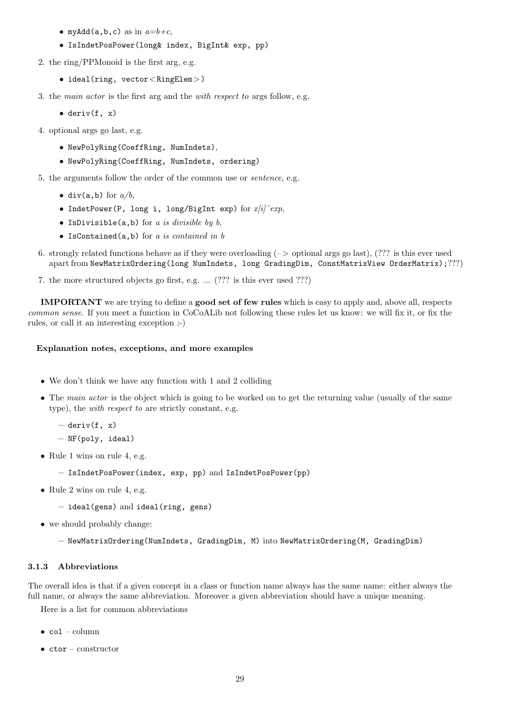- myAdd(a,b,c) as in  $a=b+c$ ,
- IsIndetPosPower(long& index, BigInt& exp, pp)
- 2. the ring/PPMonoid is the first arg, e.g.
	- ideal(ring, vector<RingElem>)
- 3. the main actor is the first arg and the with respect to args follow, e.g.
	- $\bullet$  deriv(f, x)
- 4. optional args go last, e.g.
	- NewPolyRing(CoeffRing, NumIndets),
	- NewPolyRing(CoeffRing, NumIndets, ordering)
- 5. the arguments follow the order of the common use or sentence, e.g.
	- div(a,b) for  $a/b$ ,
	- IndetPower(P, long i, long/BigInt exp) for  $x[i]'^c exp$ ,
	- IsDivisible(a,b) for a is divisible by  $b$ ,
	- IsContained(a,b) for a is contained in b
- 6. strongly related functions behave as if they were overloading  $(->$  optional args go last),  $(??]$  is this ever used apart from NewMatrixOrdering(long NumIndets, long GradingDim, ConstMatrixView OrderMatrix);???)
- 7. the more structured objects go first, e.g. ... (??? is this ever used ???)

IMPORTANT we are trying to define a good set of few rules which is easy to apply and, above all, respects common sense. If you meet a function in CoCoALib not following these rules let us know: we will fix it, or fix the rules, or call it an interesting exception ;-)

#### Explanation notes, exceptions, and more examples

- We don't think we have any function with 1 and 2 colliding
- The main actor is the object which is going to be worked on to get the returning value (usually of the same type), the with respect to are strictly constant, e.g.
	- $-$  deriv(f, x)
	- NF(poly, ideal)
- Rule 1 wins on rule 4, e.g.
	- IsIndetPosPower(index, exp, pp) and IsIndetPosPower(pp)
- Rule 2 wins on rule 4, e.g.
	- ideal(gens) and ideal(ring, gens)
- we should probably change:
	- NewMatrixOrdering(NumIndets, GradingDim, M) into NewMatrixOrdering(M, GradingDim)

#### <span id="page-28-0"></span>3.1.3 Abbreviations

The overall idea is that if a given concept in a class or function name always has the same name: either always the full name, or always the same abbreviation. Moreover a given abbreviation should have a unique meaning.

Here is a list for common abbreviations

- col column
- $\bullet$  ctor constructor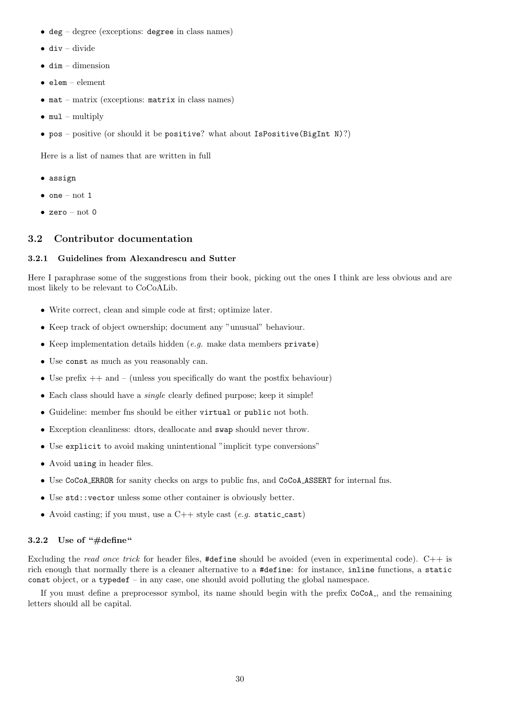- deg degree (exceptions: degree in class names)
- $\bullet$  div divide
- $\bullet$  dim dimension
- $\bullet$  elem element
- $\bullet$  mat matrix (exceptions: matrix in class names)
- $\bullet$  mul-multiply
- pos positive (or should it be positive? what about  $\texttt{IsPositive}(\text{BigInt N})$ ?)

Here is a list of names that are written in full

- assign
- $\bullet$  one not 1
- zero not  $0$

# <span id="page-29-0"></span>3.2 Contributor documentation

#### <span id="page-29-1"></span>3.2.1 Guidelines from Alexandrescu and Sutter

Here I paraphrase some of the suggestions from their book, picking out the ones I think are less obvious and are most likely to be relevant to CoCoALib.

- Write correct, clean and simple code at first; optimize later.
- Keep track of object ownership; document any "unusual" behaviour.
- Keep implementation details hidden (e.g. make data members private)
- Use const as much as you reasonably can.
- Use prefix  $++$  and  $-$  (unless you specifically do want the postfix behaviour)
- Each class should have a *single* clearly defined purpose; keep it simple!
- Guideline: member fns should be either virtual or public not both.
- Exception cleanliness: dtors, deallocate and swap should never throw.
- Use explicit to avoid making unintentional "implicit type conversions"
- Avoid using in header files.
- Use CoCoA ERROR for sanity checks on args to public fns, and CoCoA ASSERT for internal fns.
- Use std::vector unless some other container is obviously better.
- Avoid casting; if you must, use a  $C++$  style cast (e.g. static\_cast)

#### <span id="page-29-2"></span>3.2.2 Use of " $\#$ define"

Excluding the read once trick for header files, #define should be avoided (even in experimental code). C++ is rich enough that normally there is a cleaner alternative to a #define: for instance, inline functions, a static const object, or a typedef – in any case, one should avoid polluting the global namespace.

If you must define a preprocessor symbol, its name should begin with the prefix  $CoCoA_{-}$ , and the remaining letters should all be capital.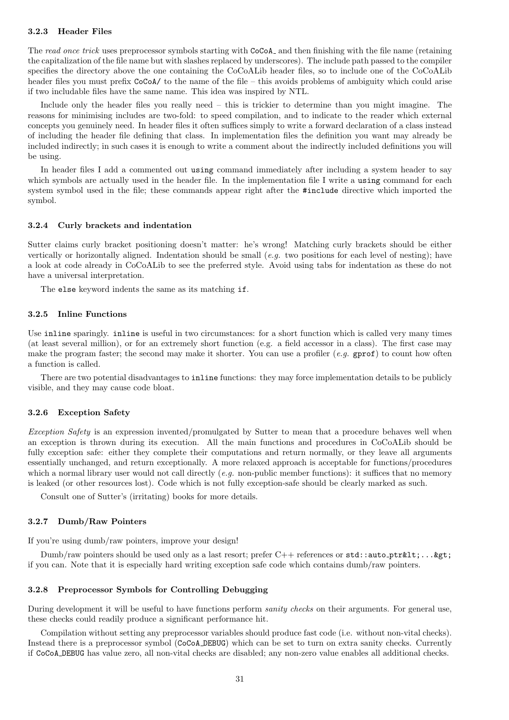#### <span id="page-30-0"></span>3.2.3 Header Files

The read once trick uses preprocessor symbols starting with CoCoA<sub></sub> and then finishing with the file name (retaining the capitalization of the file name but with slashes replaced by underscores). The include path passed to the compiler specifies the directory above the one containing the CoCoALib header files, so to include one of the CoCoALib header files you must prefix  $CoCoA/$  to the name of the file – this avoids problems of ambiguity which could arise if two includable files have the same name. This idea was inspired by NTL.

Include only the header files you really need – this is trickier to determine than you might imagine. The reasons for minimising includes are two-fold: to speed compilation, and to indicate to the reader which external concepts you genuinely need. In header files it often suffices simply to write a forward declaration of a class instead of including the header file defining that class. In implementation files the definition you want may already be included indirectly; in such cases it is enough to write a comment about the indirectly included definitions you will be using.

In header files I add a commented out using command immediately after including a system header to say which symbols are actually used in the header file. In the implementation file I write a using command for each system symbol used in the file; these commands appear right after the #include directive which imported the symbol.

#### <span id="page-30-1"></span>3.2.4 Curly brackets and indentation

Sutter claims curly bracket positioning doesn't matter: he's wrong! Matching curly brackets should be either vertically or horizontally aligned. Indentation should be small  $(e.g.$  two positions for each level of nesting); have a look at code already in CoCoALib to see the preferred style. Avoid using tabs for indentation as these do not have a universal interpretation.

The else keyword indents the same as its matching if.

#### <span id="page-30-2"></span>3.2.5 Inline Functions

Use inline sparingly. inline is useful in two circumstances: for a short function which is called very many times (at least several million), or for an extremely short function (e.g. a field accessor in a class). The first case may make the program faster; the second may make it shorter. You can use a profiler  $(e.g. \text{ gprof})$  to count how often a function is called.

There are two potential disadvantages to inline functions: they may force implementation details to be publicly visible, and they may cause code bloat.

#### <span id="page-30-3"></span>3.2.6 Exception Safety

Exception Safety is an expression invented/promulgated by Sutter to mean that a procedure behaves well when an exception is thrown during its execution. All the main functions and procedures in CoCoALib should be fully exception safe: either they complete their computations and return normally, or they leave all arguments essentially unchanged, and return exceptionally. A more relaxed approach is acceptable for functions/procedures which a normal library user would not call directly  $(e.a.$  non-public member functions): it suffices that no memory is leaked (or other resources lost). Code which is not fully exception-safe should be clearly marked as such.

Consult one of Sutter's (irritating) books for more details.

#### <span id="page-30-4"></span>3.2.7 Dumb/Raw Pointers

If you're using dumb/raw pointers, improve your design!

Dumb/raw pointers should be used only as a last resort; prefer  $C++$  references or  $\text{std}$ :: auto\_ptr<...&gt; if you can. Note that it is especially hard writing exception safe code which contains dumb/raw pointers.

#### <span id="page-30-5"></span>3.2.8 Preprocessor Symbols for Controlling Debugging

During development it will be useful to have functions perform *sanity checks* on their arguments. For general use, these checks could readily produce a significant performance hit.

Compilation without setting any preprocessor variables should produce fast code (i.e. without non-vital checks). Instead there is a preprocessor symbol (CoCoA DEBUG) which can be set to turn on extra sanity checks. Currently if CoCoA DEBUG has value zero, all non-vital checks are disabled; any non-zero value enables all additional checks.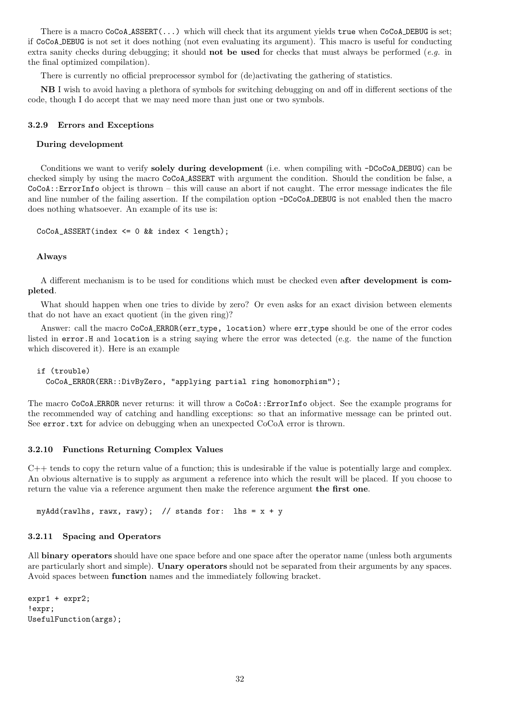There is a macro CoCoA ASSERT(...) which will check that its argument yields true when CoCoA DEBUG is set; if CoCoA DEBUG is not set it does nothing (not even evaluating its argument). This macro is useful for conducting extra sanity checks during debugging; it should **not be used** for checks that must always be performed  $(e.g.$  in the final optimized compilation).

There is currently no official preprocessor symbol for (de)activating the gathering of statistics.

NB I wish to avoid having a plethora of symbols for switching debugging on and off in different sections of the code, though I do accept that we may need more than just one or two symbols.

#### <span id="page-31-0"></span>3.2.9 Errors and Exceptions

#### During development

Conditions we want to verify solely during development (i.e. when compiling with -DCoCoA DEBUG) can be checked simply by using the macro CoCoA ASSERT with argument the condition. Should the condition be false, a CoCoA::ErrorInfo object is thrown – this will cause an abort if not caught. The error message indicates the file and line number of the failing assertion. If the compilation option -DCoCoA DEBUG is not enabled then the macro does nothing whatsoever. An example of its use is:

```
CoCoA_ASSERT(index <= 0 && index < length);
```
#### Always

A different mechanism is to be used for conditions which must be checked even after development is completed.

What should happen when one tries to divide by zero? Or even asks for an exact division between elements that do not have an exact quotient (in the given ring)?

Answer: call the macro CoCoA ERROR(err type, location) where err type should be one of the error codes listed in error.H and location is a string saying where the error was detected (e.g. the name of the function which discovered it). Here is an example

```
if (trouble)
  CoCoA_ERROR(ERR::DivByZero, "applying partial ring homomorphism");
```
The macro CoCoA ERROR never returns: it will throw a CoCoA::ErrorInfo object. See the example programs for the recommended way of catching and handling exceptions: so that an informative message can be printed out. See error.txt for advice on debugging when an unexpected CoCoA error is thrown.

#### <span id="page-31-1"></span>3.2.10 Functions Returning Complex Values

 $C++$  tends to copy the return value of a function; this is undesirable if the value is potentially large and complex. An obvious alternative is to supply as argument a reference into which the result will be placed. If you choose to return the value via a reference argument then make the reference argument the first one.

myAdd(rawlhs, rawx, rawy); // stands for: lhs =  $x + y$ 

#### <span id="page-31-2"></span>3.2.11 Spacing and Operators

All binary operators should have one space before and one space after the operator name (unless both arguments are particularly short and simple). Unary operators should not be separated from their arguments by any spaces. Avoid spaces between function names and the immediately following bracket.

```
expr1 + expr2;
!expr;
UsefulFunction(args);
```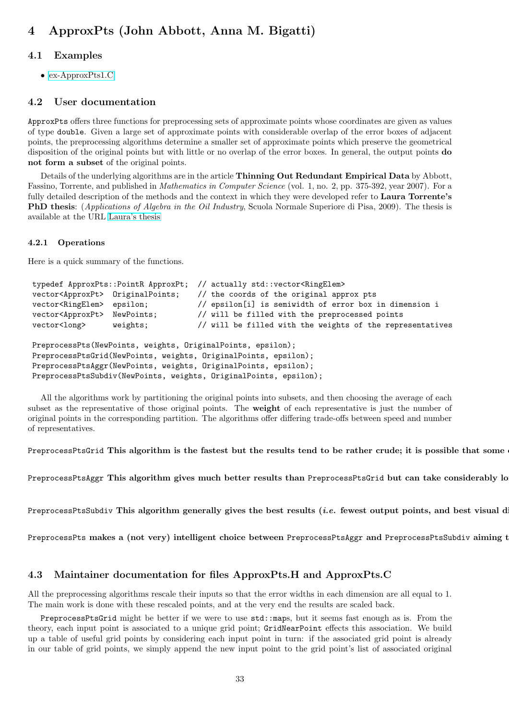# <span id="page-32-0"></span>4 ApproxPts (John Abbott, Anna M. Bigatti)

# <span id="page-32-1"></span>4.1 Examples

• [ex-ApproxPts1.C](../../examples/index.html#ex-ApproxPts1.C)

# <span id="page-32-2"></span>4.2 User documentation

ApproxPts offers three functions for preprocessing sets of approximate points whose coordinates are given as values of type double. Given a large set of approximate points with considerable overlap of the error boxes of adjacent points, the preprocessing algorithms determine a smaller set of approximate points which preserve the geometrical disposition of the original points but with little or no overlap of the error boxes. In general, the output points **do** not form a subset of the original points.

Details of the underlying algorithms are in the article Thinning Out Redundant Empirical Data by Abbott, Fassino, Torrente, and published in Mathematics in Computer Science (vol. 1, no. 2, pp. 375-392, year 2007). For a fully detailed description of the methods and the context in which they were developed refer to Laura Torrente's PhD thesis: (Applications of Algebra in the Oil Industry, Scuola Normale Superiore di Pisa, 2009). The thesis is available at the URL [Laura's thesis](http://www.dima.unige.it/~{}torrente/PhDThesis.pdf)

### <span id="page-32-3"></span>4.2.1 Operations

Here is a quick summary of the functions.

```
typedef ApproxPts::PointR ApproxPt; // actually std::vector<RingElem>
vector<ApproxPt> OriginalPoints; // the coords of the original approx pts
vector<RingElem> epsilon; // epsilon[i] is semiwidth of error box in dimension i
vector<ApproxPt> NewPoints; // will be filled with the preprocessed points
vector<long> weights; // will be filled with the weights of the representatives
PreprocessPts(NewPoints, weights, OriginalPoints, epsilon);
PreprocessPtsGrid(NewPoints, weights, OriginalPoints, epsilon);
PreprocessPtsAggr(NewPoints, weights, OriginalPoints, epsilon);
PreprocessPtsSubdiv(NewPoints, weights, OriginalPoints, epsilon);
```
All the algorithms work by partitioning the original points into subsets, and then choosing the average of each subset as the representative of those original points. The weight of each representative is just the number of original points in the corresponding partition. The algorithms offer differing trade-offs between speed and number of representatives.

PreprocessPtsGrid This algorithm is the fastest but the results tend to be rather crude; it is possible that some

PreprocessPtsAggr This algorithm gives much better results than PreprocessPtsGrid but can take considerably lo

PreprocessPtsSubdiv This algorithm generally gives the best results *(i.e.* fewest output points, and best visual d

PreprocessPts makes a (not very) intelligent choice between PreprocessPtsAggr and PreprocessPtsSubdiv aiming t

# <span id="page-32-4"></span>4.3 Maintainer documentation for files ApproxPts.H and ApproxPts.C

All the preprocessing algorithms rescale their inputs so that the error widths in each dimension are all equal to 1. The main work is done with these rescaled points, and at the very end the results are scaled back.

PreprocessPtsGrid might be better if we were to use std::maps, but it seems fast enough as is. From the theory, each input point is associated to a unique grid point; GridNearPoint effects this association. We build up a table of useful grid points by considering each input point in turn: if the associated grid point is already in our table of grid points, we simply append the new input point to the grid point's list of associated original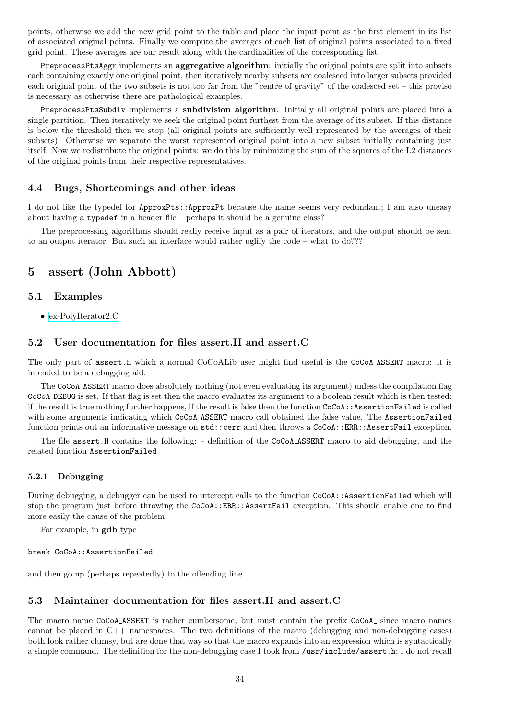points, otherwise we add the new grid point to the table and place the input point as the first element in its list of associated original points. Finally we compute the averages of each list of original points associated to a fixed grid point. These averages are our result along with the cardinalities of the corresponding list.

PreprocessPtsAggr implements an aggregative algorithm: initially the original points are split into subsets each containing exactly one original point, then iteratively nearby subsets are coalesced into larger subsets provided each original point of the two subsets is not too far from the "centre of gravity" of the coalesced set – this proviso is necessary as otherwise there are pathological examples.

PreprocessPtsSubdiv implements a subdivision algorithm. Initially all original points are placed into a single partition. Then iteratively we seek the original point furthest from the average of its subset. If this distance is below the threshold then we stop (all original points are sufficiently well represented by the averages of their subsets). Otherwise we separate the worst represented original point into a new subset initially containing just itself. Now we redistribute the original points: we do this by minimizing the sum of the squares of the L2 distances of the original points from their respective representatives.

### <span id="page-33-0"></span>4.4 Bugs, Shortcomings and other ideas

I do not like the typedef for ApproxPts::ApproxPt because the name seems very redundant; I am also uneasy about having a typedef in a header file – perhaps it should be a genuine class?

The preprocessing algorithms should really receive input as a pair of iterators, and the output should be sent to an output iterator. But such an interface would rather uglify the code – what to do???

# <span id="page-33-1"></span>5 assert (John Abbott)

### <span id="page-33-2"></span>5.1 Examples

• [ex-PolyIterator2.C](../../examples/index.html#ex-PolyIterator2.C)

### <span id="page-33-3"></span>5.2 User documentation for files assert.H and assert.C

The only part of assert.H which a normal CoCoALib user might find useful is the CoCoA ASSERT macro: it is intended to be a debugging aid.

The CoCoA ASSERT macro does absolutely nothing (not even evaluating its argument) unless the compilation flag CoCoA DEBUG is set. If that flag is set then the macro evaluates its argument to a boolean result which is then tested: if the result is true nothing further happens, if the result is false then the function CoCoA::AssertionFailed is called with some arguments indicating which CoCoA\_ASSERT macro call obtained the false value. The AssertionFailed function prints out an informative message on std::cerr and then throws a CoCoA::ERR::AssertFail exception.

The file assert.H contains the following: - definition of the CoCoA ASSERT macro to aid debugging, and the related function AssertionFailed

#### <span id="page-33-4"></span>5.2.1 Debugging

During debugging, a debugger can be used to intercept calls to the function CoCoA::AssertionFailed which will stop the program just before throwing the CoCoA::ERR::AssertFail exception. This should enable one to find more easily the cause of the problem.

For example, in gdb type

break CoCoA::AssertionFailed

and then go up (perhaps repeatedly) to the offending line.

#### <span id="page-33-5"></span>5.3 Maintainer documentation for files assert.H and assert.C

The macro name CoCoA ASSERT is rather cumbersome, but must contain the prefix CoCoA since macro names cannot be placed in C++ namespaces. The two definitions of the macro (debugging and non-debugging cases) both look rather clumsy, but are done that way so that the macro expands into an expression which is syntactically a simple command. The definition for the non-debugging case I took from /usr/include/assert.h; I do not recall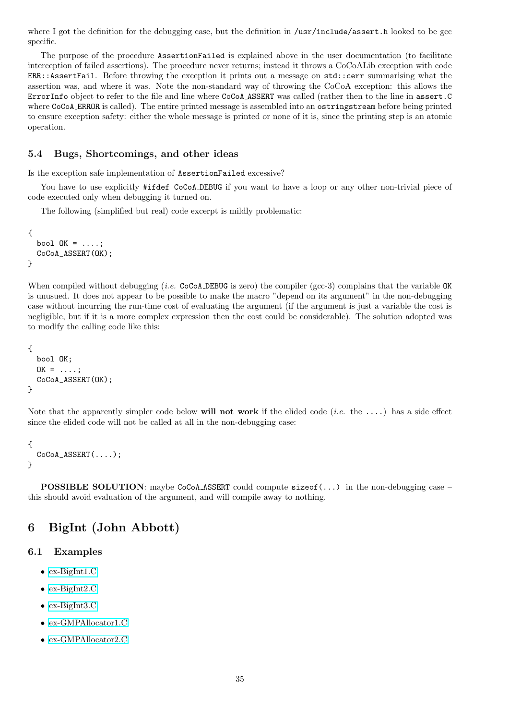where I got the definition for the debugging case, but the definition in /usr/include/assert.h looked to be gcc specific.

The purpose of the procedure AssertionFailed is explained above in the user documentation (to facilitate interception of failed assertions). The procedure never returns; instead it throws a CoCoALib exception with code ERR::AssertFail. Before throwing the exception it prints out a message on std::cerr summarising what the assertion was, and where it was. Note the non-standard way of throwing the CoCoA exception: this allows the ErrorInfo object to refer to the file and line where CoCoA ASSERT was called (rather then to the line in assert.C where CoCoA ERROR is called). The entire printed message is assembled into an ostringstream before being printed to ensure exception safety: either the whole message is printed or none of it is, since the printing step is an atomic operation.

# <span id="page-34-0"></span>5.4 Bugs, Shortcomings, and other ideas

Is the exception safe implementation of AssertionFailed excessive?

You have to use explicitly #ifdef CoCoA DEBUG if you want to have a loop or any other non-trivial piece of code executed only when debugging it turned on.

The following (simplified but real) code excerpt is mildly problematic:

```
{
  bool OK = \ldots;CoCoA_ASSERT(OK);
}
```
When compiled without debugging (*i.e.* CoCoA DEBUG is zero) the compiler (gcc-3) complains that the variable OK is unusued. It does not appear to be possible to make the macro "depend on its argument" in the non-debugging case without incurring the run-time cost of evaluating the argument (if the argument is just a variable the cost is negligible, but if it is a more complex expression then the cost could be considerable). The solution adopted was to modify the calling code like this:

```
{
  bool OK;
  OK = \ldots;CoCoA_ASSERT(OK);
}
```
Note that the apparently simpler code below will not work if the elided code  $(i.e.$  the  $\dots)$  has a side effect since the elided code will not be called at all in the non-debugging case:

```
{
  CoCoA_ASSERT(....);
}
```
**POSSIBLE SOLUTION:** maybe CoCoA ASSERT could compute size of  $(\ldots)$  in the non-debugging case – this should avoid evaluation of the argument, and will compile away to nothing.

# <span id="page-34-1"></span>6 BigInt (John Abbott)

#### <span id="page-34-2"></span>6.1 Examples

- [ex-BigInt1.C](../../examples/index.html#ex-BigInt1.C)
- [ex-BigInt2.C](../../examples/index.html#ex-BigInt2.C)
- [ex-BigInt3.C](../../examples/index.html#ex-BigInt3.C)
- [ex-GMPAllocator1.C](../../examples/index.html#ex-GMPAllocator1.C)
- [ex-GMPAllocator2.C](../../examples/index.html#ex-GMPAllocator2.C)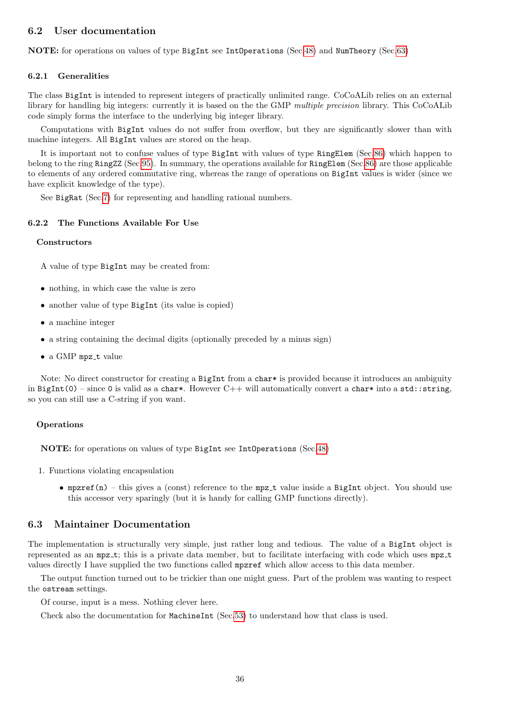# <span id="page-35-0"></span>6.2 User documentation

NOTE: for operations on values of type BigInt see IntOperations (Sec[.48\)](#page-94-4) and NumTheory (Sec[.63\)](#page-132-0)

#### <span id="page-35-1"></span>6.2.1 Generalities

The class BigInt is intended to represent integers of practically unlimited range. CoCoALib relies on an external library for handling big integers: currently it is based on the the GMP multiple precision library. This CoCoALib code simply forms the interface to the underlying big integer library.

Computations with BigInt values do not suffer from overflow, but they are significantly slower than with machine integers. All BigInt values are stored on the heap.

It is important not to confuse values of type BigInt with values of type RingElem (Sec[.86\)](#page-174-7) which happen to belong to the ring RingZZ (Sec[.95\)](#page-200-0). In summary, the operations available for RingElem (Sec[.86\)](#page-174-7) are those applicable to elements of any ordered commutative ring, whereas the range of operations on BigInt values is wider (since we have explicit knowledge of the type).

See BigRat (Sec[.7\)](#page-36-2) for representing and handling rational numbers.

#### <span id="page-35-2"></span>6.2.2 The Functions Available For Use

#### **Constructors**

A value of type BigInt may be created from:

- nothing, in which case the value is zero
- another value of type BigInt (its value is copied)
- a machine integer
- a string containing the decimal digits (optionally preceded by a minus sign)
- $\bullet$  a GMP mpz\_t value

Note: No direct constructor for creating a BigInt from a char\* is provided because it introduces an ambiguity in BigInt(0) – since 0 is valid as a char\*. However C++ will automatically convert a char\* into a std::string, so you can still use a C-string if you want.

#### Operations

NOTE: for operations on values of type BigInt see IntOperations (Sec[.48\)](#page-94-4)

- 1. Functions violating encapsulation
	- mpzref(n) this gives a (const) reference to the mpz\_t value inside a BigInt object. You should use this accessor very sparingly (but it is handy for calling GMP functions directly).

# <span id="page-35-3"></span>6.3 Maintainer Documentation

The implementation is structurally very simple, just rather long and tedious. The value of a BigInt object is represented as an mpz\_t; this is a private data member, but to facilitate interfacing with code which uses mpz\_t values directly I have supplied the two functions called mpzref which allow access to this data member.

The output function turned out to be trickier than one might guess. Part of the problem was wanting to respect the ostream settings.

Of course, input is a mess. Nothing clever here.

Check also the documentation for MachineInt (Sec[.53\)](#page-105-7) to understand how that class is used.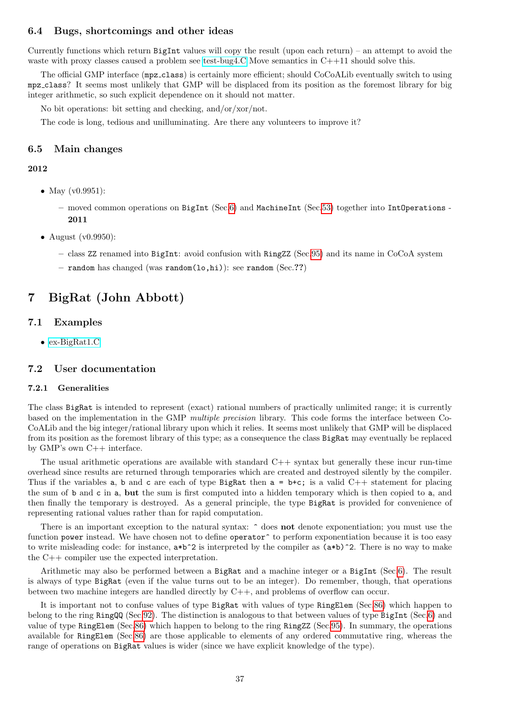## 6.4 Bugs, shortcomings and other ideas

Currently functions which return  $Big$  return  $Big$  values will copy the result (upon each return) – an attempt to avoid the waste with proxy classes caused a problem see [test-bug4.C](../../src/tests/test-bug4.C) Move semantics in C++11 should solve this.

The official GMP interface (mpz class) is certainly more efficient; should CoCoALib eventually switch to using mpz class? It seems most unlikely that GMP will be displaced from its position as the foremost library for big integer arithmetic, so such explicit dependence on it should not matter.

No bit operations: bit setting and checking, and/or/xor/not.

The code is long, tedious and unilluminating. Are there any volunteers to improve it?

## 6.5 Main changes

#### 2012

- May (v0.9951):
	- moved common operations on BigInt (Sec[.6\)](#page-34-0) and MachineInt (Sec[.53\)](#page-105-0) together into IntOperations 2011
- August (v0.9950):
	- class ZZ renamed into BigInt: avoid confusion with RingZZ (Sec[.95\)](#page-200-0) and its name in CoCoA system
	- random has changed (was random(lo,hi)): see random (Sec.??)

## <span id="page-36-0"></span>7 BigRat (John Abbott)

## 7.1 Examples

• [ex-BigRat1.C](../../examples/index.html#ex-BigRat1.C)

## 7.2 User documentation

#### 7.2.1 Generalities

The class BigRat is intended to represent (exact) rational numbers of practically unlimited range; it is currently based on the implementation in the GMP multiple precision library. This code forms the interface between Co-CoALib and the big integer/rational library upon which it relies. It seems most unlikely that GMP will be displaced from its position as the foremost library of this type; as a consequence the class BigRat may eventually be replaced by GMP's own C++ interface.

The usual arithmetic operations are available with standard  $C++$  syntax but generally these incur run-time overhead since results are returned through temporaries which are created and destroyed silently by the compiler. Thus if the variables a, b and c are each of type BigRat then  $a = b+c$ ; is a valid  $C++$  statement for placing the sum of b and c in a, but the sum is first computed into a hidden temporary which is then copied to a, and then finally the temporary is destroyed. As a general principle, the type BigRat is provided for convenience of representing rational values rather than for rapid computation.

There is an important exception to the natural syntax:  $\hat{\ }$  does not denote exponentiation; you must use the function power instead. We have chosen not to define operator<sup>o</sup> to perform exponentiation because it is too easy to write misleading code: for instance,  $a*b^2$  is interpreted by the compiler as  $(a*b)^2$ . There is no way to make the C++ compiler use the expected interpretation.

Arithmetic may also be performed between a BigRat and a machine integer or a BigInt (Sec[.6\)](#page-34-0). The result is always of type BigRat (even if the value turns out to be an integer). Do remember, though, that operations between two machine integers are handled directly by C++, and problems of overflow can occur.

It is important not to confuse values of type BigRat with values of type RingElem (Sec[.86\)](#page-174-0) which happen to belong to the ring RingQQ (Sec[.92\)](#page-195-0). The distinction is analogous to that between values of type BigInt (Sec[.6\)](#page-34-0) and value of type RingElem (Sec[.86\)](#page-174-0) which happen to belong to the ring RingZZ (Sec[.95\)](#page-200-0). In summary, the operations available for RingElem (Sec[.86\)](#page-174-0) are those applicable to elements of any ordered commutative ring, whereas the range of operations on BigRat values is wider (since we have explicit knowledge of the type).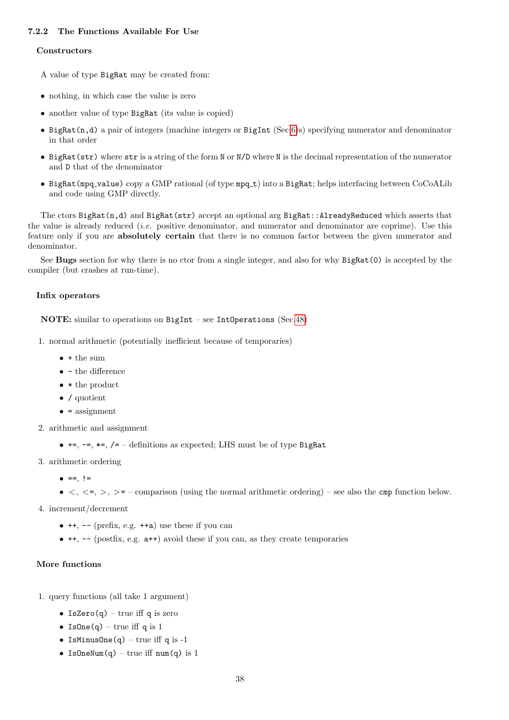## 7.2.2 The Functions Available For Use

#### **Constructors**

A value of type BigRat may be created from:

- nothing, in which case the value is zero
- another value of type BigRat (its value is copied)
- BigRat(n,d) a pair of integers (machine integers or BigInt (Sec[.6\)](#page-34-0)s) specifying numerator and denominator in that order
- BigRat(str) where str is a string of the form N or N/D where N is the decimal representation of the numerator and D that of the denominator
- BigRat(mpq\_value) copy a GMP rational (of type mpq\_t) into a BigRat; helps interfacing between CoCoALib and code using GMP directly.

The ctors BigRat(n,d) and BigRat(str) accept an optional arg BigRat::AlreadyReduced which asserts that the value is already reduced (i.e. positive denominator, and numerator and denominator are coprime). Use this feature only if you are absolutely certain that there is no common factor between the given numerator and denominator.

See Bugs section for why there is no ctor from a single integer, and also for why BigRat(0) is accepted by the compiler (but crashes at run-time).

## Infix operators

#### NOTE: similar to operations on BigInt – see IntOperations (Sec[.48\)](#page-94-0)

- 1. normal arithmetic (potentially inefficient because of temporaries)
	- $\bullet$  + the sum
	- $\bullet$  the difference
	- \* the product
	- / quotient
	- $\bullet$  = assignment
- 2. arithmetic and assignment
	- $\bullet$  +=, -=,  $\ast$ =, /= definitions as expected; LHS must be of type BigRat
- 3. arithmetic ordering
	- $\bullet$  ==, !=
	- $\bullet \lt, \lt;=, >, >=-$  comparison (using the normal arithmetic ordering) see also the cmp function below.
- 4. increment/decrement
	- $\bullet$  ++, -- (prefix, e.g.  $++a$ ) use these if you can
	- $\bullet$  ++,  $\bullet$  (postfix, e.g.  $a$ ++) avoid these if you can, as they create temporaries

#### More functions

- 1. query functions (all take 1 argument)
	- IsZero $(q)$  true iff q is zero
	- Is $One(q)$  true iff q is 1
	- IsMinusOne $(q)$  true iff q is -1
	- IsOneNum(q) true iff  $num(q)$  is 1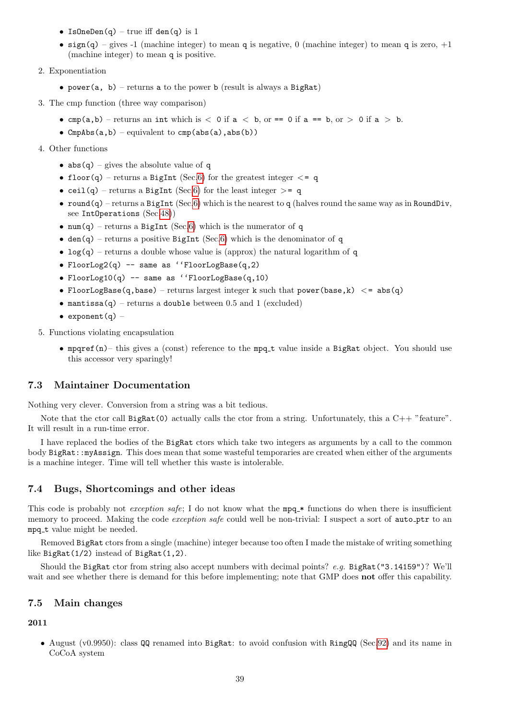- IsOneDen(q) true iff den(q) is  $1$
- sign(q) gives -1 (machine integer) to mean q is negative, 0 (machine integer) to mean q is zero,  $+1$ (machine integer) to mean q is positive.

#### 2. Exponentiation

- power(a, b) returns a to the power b (result is always a BigRat)
- 3. The cmp function (three way comparison)
	- cmp(a,b) returns an int which is  $\langle$  0 if a  $\langle$  b, or == 0 if a == b, or  $>$  0 if a  $>$  b.
	- CmpAbs(a,b) equivalent to  $cmp(abs(a),abs(b))$
- 4. Other functions
	- $abs(q)$  gives the absolute value of q
	- floor(q) returns a BigInt (Sec[.6\)](#page-34-0) for the greatest integer  $\leq$  q
	- ceil(q) returns a BigInt (Sec[.6\)](#page-34-0) for the least integer  $> = q$
	- round(q) returns a BigInt (Sec[.6\)](#page-34-0) which is the nearest to q (halves round the same way as in RoundDiv, see IntOperations (Sec[.48\)](#page-94-0))
	- num(q) returns a BigInt (Sec[.6\)](#page-34-0) which is the numerator of q
	- den(q) returns a positive BigInt (Sec[.6\)](#page-34-0) which is the denominator of q
	- $log(q)$  returns a double whose value is (approx) the natural logarithm of q
	- FloorLog2(q) -- same as ''FloorLogBase(q,2)
	- FloorLog10(q) -- same as ''FloorLogBase(q,10)
	- FloorLogBase(q,base) returns largest integer k such that power(base, k)  $\langle$  = abs(q)
	- mantissa(q) returns a double between 0.5 and 1 (excluded)
	- exponent $(a)$  –
- 5. Functions violating encapsulation
	- mpqref(n)– this gives a (const) reference to the mpq\_t value inside a BigRat object. You should use this accessor very sparingly!

## 7.3 Maintainer Documentation

Nothing very clever. Conversion from a string was a bit tedious.

Note that the ctor call  $Big(0)$  actually calls the ctor from a string. Unfortunately, this a  $C++$  "feature". It will result in a run-time error.

I have replaced the bodies of the BigRat ctors which take two integers as arguments by a call to the common body BigRat::myAssign. This does mean that some wasteful temporaries are created when either of the arguments is a machine integer. Time will tell whether this waste is intolerable.

## 7.4 Bugs, Shortcomings and other ideas

This code is probably not *exception safe*; I do not know what the  $mpq$  \* functions do when there is insufficient memory to proceed. Making the code *exception safe* could well be non-trivial: I suspect a sort of **auto**-ptr to an mpq\_t value might be needed.

Removed BigRat ctors from a single (machine) integer because too often I made the mistake of writing something like BigRat(1/2) instead of BigRat(1,2).

Should the BigRat ctor from string also accept numbers with decimal points? e.g. BigRat("3.14159")? We'll wait and see whether there is demand for this before implementing; note that GMP does **not** offer this capability.

## 7.5 Main changes

## 2011

• August (v0.9950): class QQ renamed into BigRat: to avoid confusion with RingQQ (Sec[.92\)](#page-195-0) and its name in CoCoA system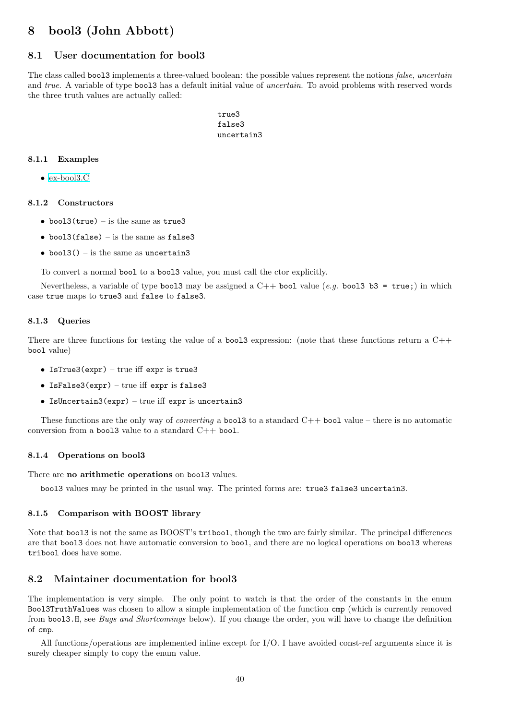# 8 bool3 (John Abbott)

## 8.1 User documentation for bool3

The class called bool3 implements a three-valued boolean: the possible values represent the notions *false*, *uncertain* and true. A variable of type bool3 has a default initial value of *uncertain*. To avoid problems with reserved words the three truth values are actually called:

> true3 false3 uncertain3

#### 8.1.1 Examples

• [ex-bool3.C](../../examples/index.html#ex-bool3.C)

#### 8.1.2 Constructors

- bool3(true) is the same as true3
- bool3(false) is the same as false3
- bool $3()$  is the same as uncertain3

To convert a normal bool to a bool3 value, you must call the ctor explicitly.

Nevertheless, a variable of type bool3 may be assigned a  $C++$  bool value (e.g. bool3 b3 = true;) in which case true maps to true3 and false to false3.

#### 8.1.3 Queries

There are three functions for testing the value of a bool3 expression: (note that these functions return a C++ bool value)

- IsTrue3(expr) true iff expr is true3
- IsFalse3( $expr$ ) true iff expr is false3
- IsUncertain3(expr) true iff expr is uncertain3

These functions are the only way of *converting* a **bool3** to a standard  $C++$  **bool** value – there is no automatic conversion from a bool3 value to a standard  $C++$  bool.

## 8.1.4 Operations on bool3

There are no arithmetic operations on bool3 values.

bool3 values may be printed in the usual way. The printed forms are: true3 false3 uncertain3.

#### 8.1.5 Comparison with BOOST library

Note that bool3 is not the same as BOOST's tribool, though the two are fairly similar. The principal differences are that bool3 does not have automatic conversion to bool, and there are no logical operations on bool3 whereas tribool does have some.

## 8.2 Maintainer documentation for bool3

The implementation is very simple. The only point to watch is that the order of the constants in the enum Bool3TruthValues was chosen to allow a simple implementation of the function cmp (which is currently removed from bool3.H, see Bugs and Shortcomings below). If you change the order, you will have to change the definition of cmp.

All functions/operations are implemented inline except for I/O. I have avoided const-ref arguments since it is surely cheaper simply to copy the enum value.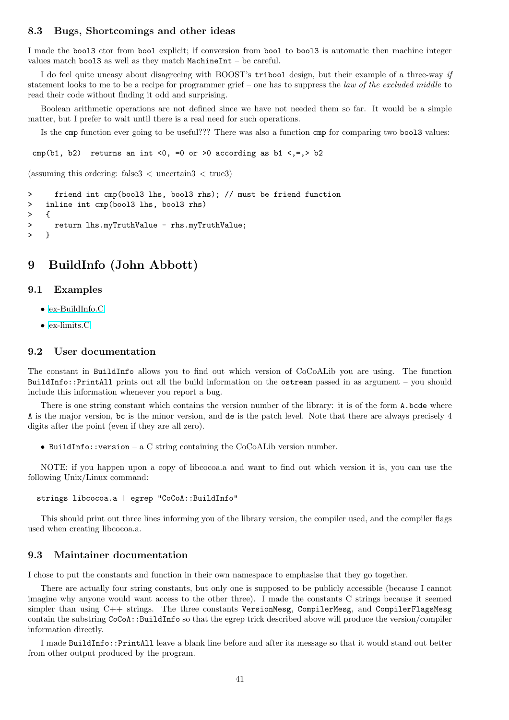### 8.3 Bugs, Shortcomings and other ideas

I made the bool3 ctor from bool explicit; if conversion from bool to bool3 is automatic then machine integer values match bool3 as well as they match MachineInt – be careful.

I do feel quite uneasy about disagreeing with BOOST's tribool design, but their example of a three-way if statement looks to me to be a recipe for programmer grief – one has to suppress the law of the excluded middle to read their code without finding it odd and surprising.

Boolean arithmetic operations are not defined since we have not needed them so far. It would be a simple matter, but I prefer to wait until there is a real need for such operations.

Is the cmp function ever going to be useful??? There was also a function cmp for comparing two bool3 values:

cmp(b1, b2) returns an int <0, =0 or >0 according as b1 <,=,> b2

(assuming this ordering: false  $3 <$  uncertain  $3 <$  true 3)

```
> friend int cmp(bool3 lhs, bool3 rhs); // must be friend function
> inline int cmp(bool3 lhs, bool3 rhs)
> {
> return lhs.myTruthValue - rhs.myTruthValue;
> }
```
## 9 BuildInfo (John Abbott)

### 9.1 Examples

- [ex-BuildInfo.C](../../examples/index.html#ex-BuildInfo.C)
- [ex-limits.C](../../examples/index.html#ex-limits.C)

## 9.2 User documentation

The constant in BuildInfo allows you to find out which version of CoCoALib you are using. The function BuildInfo::PrintAll prints out all the build information on the ostream passed in as argument – you should include this information whenever you report a bug.

There is one string constant which contains the version number of the library: it is of the form A.bcde where A is the major version, bc is the minor version, and de is the patch level. Note that there are always precisely 4 digits after the point (even if they are all zero).

• BuildInfo::version – a C string containing the CoCoALib version number.

NOTE: if you happen upon a copy of libcocoa.a and want to find out which version it is, you can use the following Unix/Linux command:

strings libcocoa.a | egrep "CoCoA::BuildInfo"

This should print out three lines informing you of the library version, the compiler used, and the compiler flags used when creating libcocoa.a.

#### 9.3 Maintainer documentation

I chose to put the constants and function in their own namespace to emphasise that they go together.

There are actually four string constants, but only one is supposed to be publicly accessible (because I cannot imagine why anyone would want access to the other three). I made the constants C strings because it seemed simpler than using  $C++$  strings. The three constants VersionMesg, CompilerMesg, and CompilerFlagsMesg contain the substring CoCoA::BuildInfo so that the egrep trick described above will produce the version/compiler information directly.

I made BuildInfo::PrintAll leave a blank line before and after its message so that it would stand out better from other output produced by the program.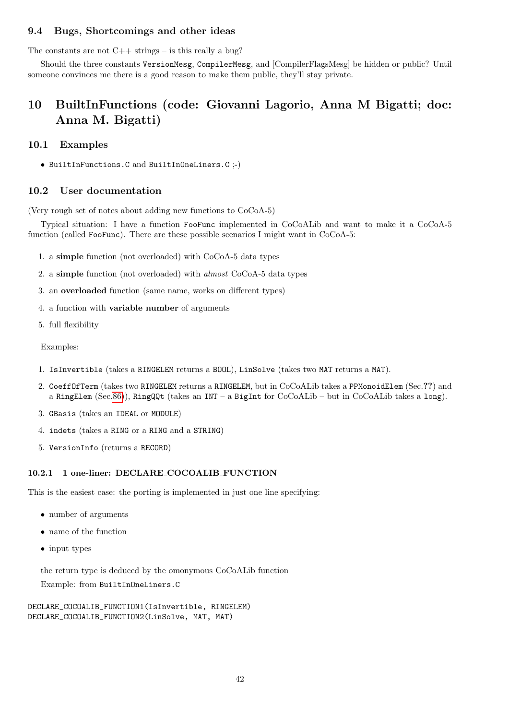## 9.4 Bugs, Shortcomings and other ideas

The constants are not  $C++$  strings – is this really a bug?

Should the three constants VersionMesg, CompilerMesg, and [CompilerFlagsMesg] be hidden or public? Until someone convinces me there is a good reason to make them public, they'll stay private.

# 10 BuiltInFunctions (code: Giovanni Lagorio, Anna M Bigatti; doc: Anna M. Bigatti)

## 10.1 Examples

• BuiltInFunctions.C and BuiltInOneLiners.C ;-)

## 10.2 User documentation

(Very rough set of notes about adding new functions to CoCoA-5)

Typical situation: I have a function FooFunc implemented in CoCoALib and want to make it a CoCoA-5 function (called FooFunc). There are these possible scenarios I might want in CoCoA-5:

- 1. a simple function (not overloaded) with CoCoA-5 data types
- 2. a simple function (not overloaded) with almost CoCoA-5 data types
- 3. an overloaded function (same name, works on different types)
- 4. a function with variable number of arguments
- 5. full flexibility

Examples:

- 1. IsInvertible (takes a RINGELEM returns a BOOL), LinSolve (takes two MAT returns a MAT).
- 2. CoeffOfTerm (takes two RINGELEM returns a RINGELEM, but in CoCoALib takes a PPMonoidElem (Sec.??) and a RingElem (Sec[.86\)](#page-174-0)), RingQQt (takes an INT – a BigInt for CoCoALib – but in CoCoALib takes a long).
- 3. GBasis (takes an IDEAL or MODULE)
- 4. indets (takes a RING or a RING and a STRING)
- 5. VersionInfo (returns a RECORD)

## 10.2.1 1 one-liner: DECLARE COCOALIB FUNCTION

This is the easiest case: the porting is implemented in just one line specifying:

- number of arguments
- name of the function
- input types

the return type is deduced by the omonymous CoCoALib function Example: from BuiltInOneLiners.C

DECLARE\_COCOALIB\_FUNCTION1(IsInvertible, RINGELEM) DECLARE\_COCOALIB\_FUNCTION2(LinSolve, MAT, MAT)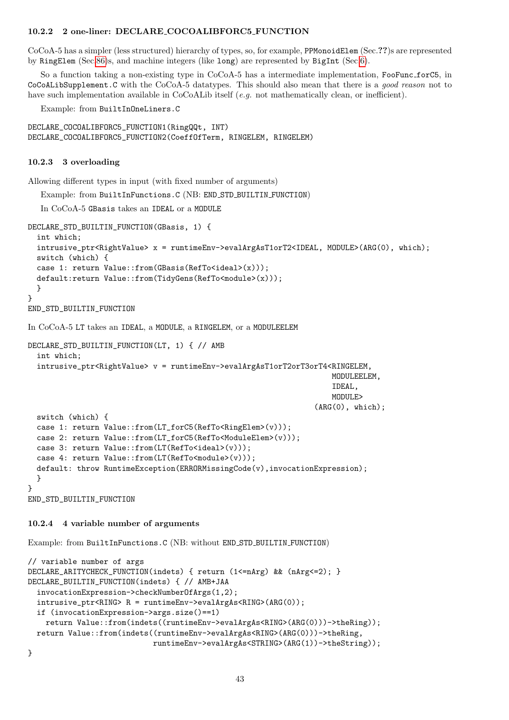#### 10.2.2 2 one-liner: DECLARE COCOALIBFORC5 FUNCTION

CoCoA-5 has a simpler (less structured) hierarchy of types, so, for example, PPMonoidElem (Sec.??)s are represented by RingElem (Sec[.86\)](#page-174-0)s, and machine integers (like long) are represented by BigInt (Sec[.6\)](#page-34-0).

So a function taking a non-existing type in CoCoA-5 has a intermediate implementation, FooFunc\_forC5, in CoCoALibSupplement.C with the CoCoA-5 datatypes. This should also mean that there is a good reason not to have such implementation available in CoCoALib itself (e.g. not mathematically clean, or inefficient).

Example: from BuiltInOneLiners.C

```
DECLARE_COCOALIBFORC5_FUNCTION1(RingQQt, INT)
DECLARE_COCOALIBFORC5_FUNCTION2(CoeffOfTerm, RINGELEM, RINGELEM)
```
#### 10.2.3 3 overloading

Allowing different types in input (with fixed number of arguments)

Example: from BuiltInFunctions.C (NB: END STD BUILTIN FUNCTION)

In CoCoA-5 GBasis takes an IDEAL or a MODULE

```
DECLARE_STD_BUILTIN_FUNCTION(GBasis, 1) {
  int which;
  intrusive_ptr<RightValue> x = runtimeEnv->evalArgAsT1orT2<IDEAL, MODULE>(ARG(0), which);
  switch (which) {
  case 1: return Value::from(GBasis(RefTo<ideal>(x)));
  default:return Value::from(TidyGens(RefTo<module>(x)));
  }
}
END_STD_BUILTIN_FUNCTION
In CoCoA-5 LT takes an IDEAL, a MODULE, a RINGELEM, or a MODULEELEM
DECLARE_STD_BUILTIN_FUNCTION(LT, 1) { // AMB
  int which;
  intrusive_ptr<RightValue> v = runtimeEnv->evalArgAsT1orT2orT3orT4<RINGELEM,
                                                                     MODULEELEM,
                                                                      IDEAL,
                                                                     MODULE>
                                                                  (ARG(0), which);switch (which) {
  case 1: return Value::from(LT_forC5(RefTo<RingElem>(v)));
  case 2: return Value::from(LT_forC5(RefTo<ModuleElem>(v)));
  case 3: return Value::from(LT(RefTo<ideal>(v)));
  case 4: return Value::from(LT(RefTo<module>(v)));
  default: throw RuntimeException(ERRORMissingCode(v),invocationExpression);
  }
}
END_STD_BUILTIN_FUNCTION
```
#### 10.2.4 4 variable number of arguments

Example: from BuiltInFunctions.C (NB: without END STD BUILTIN FUNCTION)

```
// variable number of args
DECLARE_ARITYCHECK_FUNCTION(indets) { return (1<=nArg) && (nArg<=2); }
DECLARE_BUILTIN_FUNCTION(indets) { // AMB+JAA
  invocationExpression->checkNumberOfArgs(1,2);
  intrusive_ptr<RING> R = runtimeEnv->evalArgAs<RING>(ARG(0));
  if (invocationExpression->args.size()==1)
    return Value::from(indets((runtimeEnv->evalArgAs<RING>(ARG(0)))->theRing));
  return Value::from(indets((runtimeEnv->evalArgAs<RING>(ARG(0)))->theRing,
                            runtimeEnv->evalArgAs<STRING>(ARG(1))->theString));
```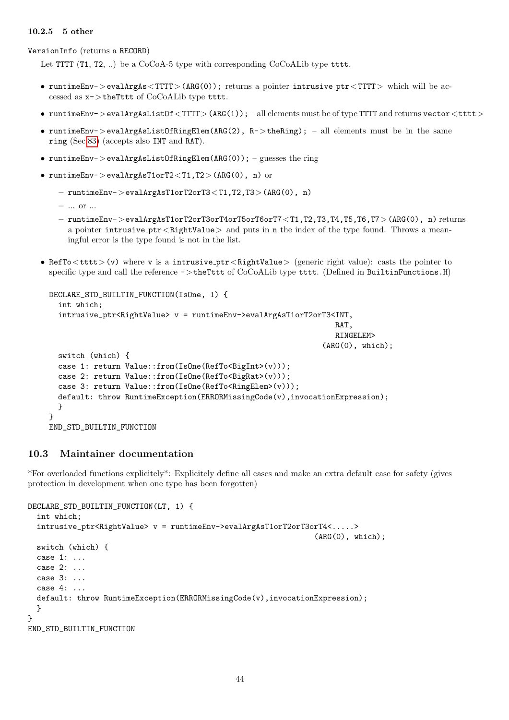### 10.2.5 5 other

VersionInfo (returns a RECORD)

Let TTTT (T1, T2, ..) be a CoCoA-5 type with corresponding CoCoALib type tttt.

- runtimeEnv->evalArgAs<TTTT>(ARG(0)); returns a pointer intrusive\_ptr<TTTT> which will be accessed as x->theTttt of CoCoALib type tttt.
- runtimeEnv->evalArgAsListOf<TTT>(ARG(1)); -all elements must be of type TTTT and returns vector<tttt>
- runtimeEnv->evalArgAsListOfRingElem(ARG(2),  $R$ ->theRing); all elements must be in the same ring (Sec[.83\)](#page-169-0) (accepts also INT and RAT).
- runtimeEnv->evalArgAsListOfRingElem(ARG(0)); guesses the ring
- runtimeEnv->evalArgAsT1orT2<T1,T2>(ARG(0), n) or
	- runtimeEnv->evalArgAsT1orT2orT3<T1,T2,T3>(ARG(0), n)
	- ... or ...
	- runtimeEnv->evalArgAsT1orT2orT3orT4orT5orT6orT7<T1,T2,T3,T4,T5,T6,T7>(ARG(0), n) returns a pointer intrusive  $ptr <$ RightValue  $>$  and puts in n the index of the type found. Throws a meaningful error is the type found is not in the list.
- RefTo<tttt>(v) where v is a intrusive\_ptr<RightValue> (generic right value): casts the pointer to specific type and call the reference  $\sim$  > theTttt of CoCoALib type tttt. (Defined in BuiltinFunctions.H)

```
DECLARE_STD_BUILTIN_FUNCTION(IsOne, 1) {
  int which;
  intrusive_ptr<RightValue> v = runtimeEnv->evalArgAsT1orT2orT3<INT,
                                                                 RAT,
                                                                 RINGELEM>
                                                              (ARG(0), which);switch (which) {
  case 1: return Value::from(IsOne(RefTo<BigInt>(v)));
  case 2: return Value::from(IsOne(RefTo<BigRat>(v)));
  case 3: return Value::from(IsOne(RefTo<RingElem>(v)));
  default: throw RuntimeException(ERRORMissingCode(v),invocationExpression);
  }
}
END STD BUILTIN FUNCTION
```
## 10.3 Maintainer documentation

\*For overloaded functions explicitely\*: Explicitely define all cases and make an extra default case for safety (gives protection in development when one type has been forgotten)

```
DECLARE_STD_BUILTIN_FUNCTION(LT, 1) {
```

```
int which;
  intrusive_ptr<RightValue> v = runtimeEnv->evalArgAsT1orT2orT3orT4<.....>
                                                                 (ARG(0), which);switch (which) {
  case 1: ...
  case 2: ...
  case 3: ...
  case 4: 1.default: throw RuntimeException(ERRORMissingCode(v),invocationExpression);
  }
}
END_STD_BUILTIN_FUNCTION
```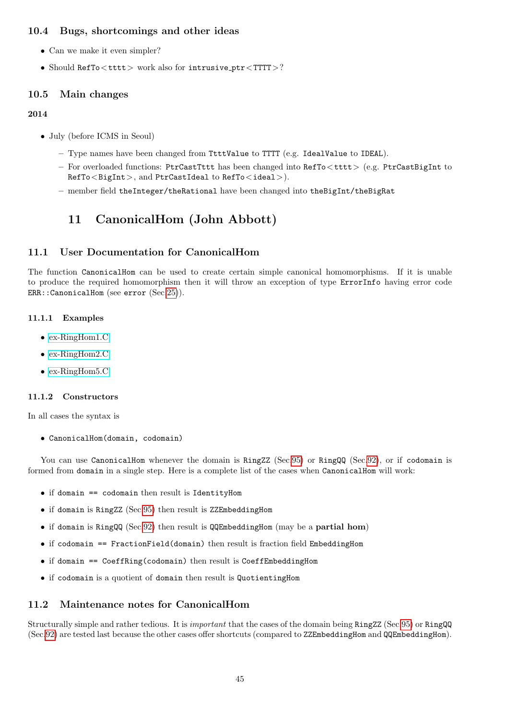## 10.4 Bugs, shortcomings and other ideas

- Can we make it even simpler?
- Should RefTo<tttt> work also for intrusive\_ptr<TTTT>?

## 10.5 Main changes

## 2014

- July (before ICMS in Seoul)
	- Type names have been changed from TtttValue to TTTT (e.g. IdealValue to IDEAL).
	- For overloaded functions: PtrCastTttt has been changed into RefTo<tttt> (e.g. PtrCastBigInt to RefTo<BigInt>, and PtrCastIdeal to RefTo<ideal>).
	- member field theInteger/theRational have been changed into theBigInt/theBigRat

# 11 CanonicalHom (John Abbott)

## 11.1 User Documentation for CanonicalHom

The function CanonicalHom can be used to create certain simple canonical homomorphisms. If it is unable to produce the required homomorphism then it will throw an exception of type ErrorInfo having error code ERR::CanonicalHom (see error (Sec[.25\)](#page-62-0)).

## 11.1.1 Examples

- [ex-RingHom1.C](../../examples/index.html#ex-RingHom1.C)
- [ex-RingHom2.C](../../examples/index.html#ex-RingHom2.C)
- [ex-RingHom5.C](../../examples/index.html#ex-RingHom5.C)

## 11.1.2 Constructors

In all cases the syntax is

• CanonicalHom(domain, codomain)

You can use CanonicalHom whenever the domain is RingZZ (Sec[.95\)](#page-200-0) or RingQQ (Sec[.92\)](#page-195-0), or if codomain is formed from domain in a single step. Here is a complete list of the cases when CanonicalHom will work:

- if domain == codomain then result is IdentityHom
- if domain is RingZZ (Sec[.95\)](#page-200-0) then result is ZZEmbeddingHom
- if domain is RingQQ (Sec[.92\)](#page-195-0) then result is QQEmbeddingHom (may be a partial hom)
- if codomain == FractionField(domain) then result is fraction field EmbeddingHom
- if domain == CoeffRing(codomain) then result is CoeffEmbeddingHom
- if codomain is a quotient of domain then result is QuotientingHom

## 11.2 Maintenance notes for CanonicalHom

Structurally simple and rather tedious. It is important that the cases of the domain being RingZZ (Sec[.95\)](#page-200-0) or RingQQ (Sec[.92\)](#page-195-0) are tested last because the other cases offer shortcuts (compared to ZZEmbeddingHom and QQEmbeddingHom).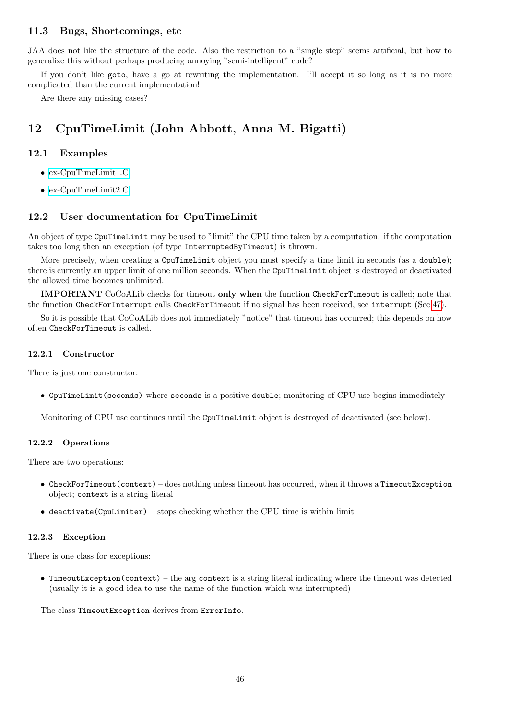## 11.3 Bugs, Shortcomings, etc

JAA does not like the structure of the code. Also the restriction to a "single step" seems artificial, but how to generalize this without perhaps producing annoying "semi-intelligent" code?

If you don't like goto, have a go at rewriting the implementation. I'll accept it so long as it is no more complicated than the current implementation!

Are there any missing cases?

# 12 CpuTimeLimit (John Abbott, Anna M. Bigatti)

## 12.1 Examples

- [ex-CpuTimeLimit1.C](../../examples/index.html#ex-CpuTimeLimit1.C)
- [ex-CpuTimeLimit2.C](../../examples/index.html#ex-CpuTimeLimit2.C)

## 12.2 User documentation for CpuTimeLimit

An object of type CpuTimeLimit may be used to "limit" the CPU time taken by a computation: if the computation takes too long then an exception (of type InterruptedByTimeout) is thrown.

More precisely, when creating a CpuTimeLimit object you must specify a time limit in seconds (as a double); there is currently an upper limit of one million seconds. When the CpuTimeLimit object is destroyed or deactivated the allowed time becomes unlimited.

IMPORTANT CoCoALib checks for timeout only when the function CheckForTimeout is called; note that the function CheckForInterrupt calls CheckForTimeout if no signal has been received, see interrupt (Sec[.47\)](#page-93-0).

So it is possible that CoCoALib does not immediately "notice" that timeout has occurred; this depends on how often CheckForTimeout is called.

#### 12.2.1 Constructor

There is just one constructor:

• CpuTimeLimit(seconds) where seconds is a positive double; monitoring of CPU use begins immediately

Monitoring of CPU use continues until the CpuTimeLimit object is destroyed of deactivated (see below).

#### 12.2.2 Operations

There are two operations:

- CheckForTimeout(context) does nothing unless timeout has occurred, when it throws a TimeoutException object; context is a string literal
- $\bullet$  deactivate (CpuLimiter) stops checking whether the CPU time is within limit

#### 12.2.3 Exception

There is one class for exceptions:

• TimeoutException(context) – the arg context is a string literal indicating where the timeout was detected (usually it is a good idea to use the name of the function which was interrupted)

The class TimeoutException derives from ErrorInfo.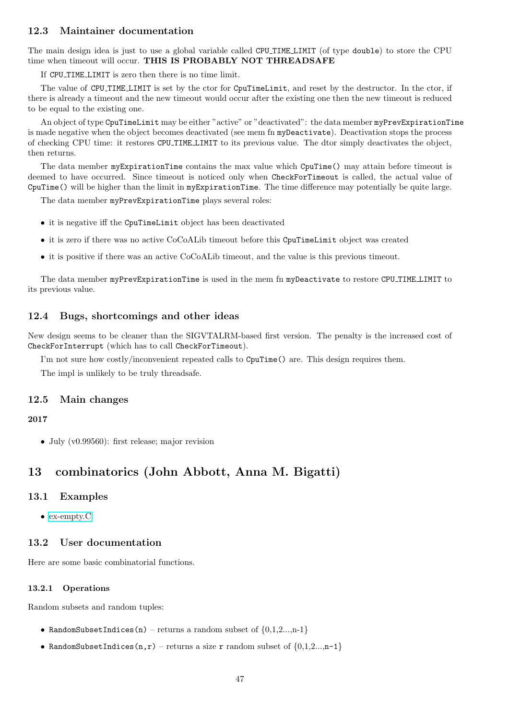## 12.3 Maintainer documentation

The main design idea is just to use a global variable called CPU TIME LIMIT (of type double) to store the CPU time when timeout will occur. THIS IS PROBABLY NOT THREADSAFE

If CPU TIME LIMIT is zero then there is no time limit.

The value of CPU TIME LIMIT is set by the ctor for CpuTimeLimit, and reset by the destructor. In the ctor, if there is already a timeout and the new timeout would occur after the existing one then the new timeout is reduced to be equal to the existing one.

An object of type CpuTimeLimit may be either "active" or "deactivated": the data member myPrevExpirationTime is made negative when the object becomes deactivated (see mem fn myDeactivate). Deactivation stops the process of checking CPU time: it restores CPU TIME LIMIT to its previous value. The dtor simply deactivates the object, then returns.

The data member myExpirationTime contains the max value which CpuTime() may attain before timeout is deemed to have occurred. Since timeout is noticed only when CheckForTimeout is called, the actual value of CpuTime() will be higher than the limit in myExpirationTime. The time difference may potentially be quite large.

The data member myPrevExpirationTime plays several roles:

- it is negative iff the CpuTimeLimit object has been deactivated
- it is zero if there was no active CoCoALib timeout before this CouTimeLimit object was created
- it is positive if there was an active CoCoALib timeout, and the value is this previous timeout.

The data member myPrevExpirationTime is used in the mem fn myDeactivate to restore CPU TIME LIMIT to its previous value.

## 12.4 Bugs, shortcomings and other ideas

New design seems to be cleaner than the SIGVTALRM-based first version. The penalty is the increased cost of CheckForInterrupt (which has to call CheckForTimeout).

I'm not sure how costly/inconvenient repeated calls to CpuTime() are. This design requires them.

The impl is unlikely to be truly threadsafe.

## 12.5 Main changes

## 2017

• July (v0.99560): first release; major revision

# 13 combinatorics (John Abbott, Anna M. Bigatti)

## 13.1 Examples

• [ex-empty.C](../../examples/index.html#ex-empty.C)

## 13.2 User documentation

Here are some basic combinatorial functions.

## 13.2.1 Operations

Random subsets and random tuples:

- RandomSubsetIndices(n) returns a random subset of  $\{0,1,2...$ , n-1}
- RandomSubsetIndices(n,r) returns a size r random subset of  $\{0,1,2...$ , n-1}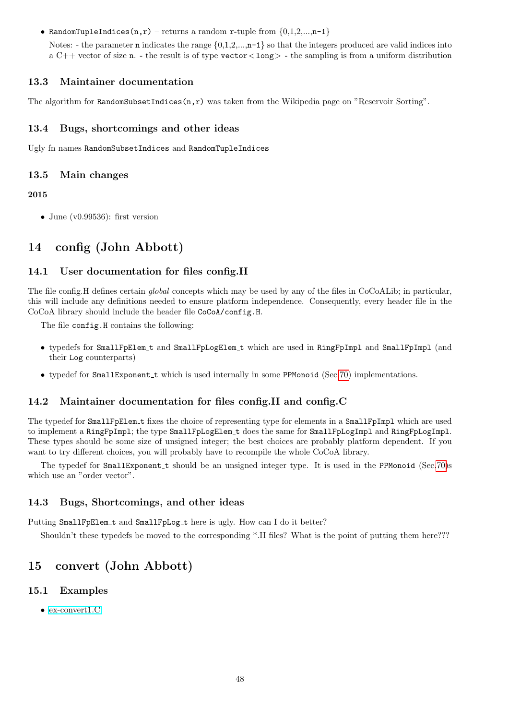• RandomTupleIndices(n,r) – returns a random r-tuple from  $\{0,1,2,...,n-1\}$ 

Notes: - the parameter **n** indicates the range  $\{0,1,2,...,n-1\}$  so that the integers produced are valid indices into a  $C++$  vector of size n. - the result is of type vector  $\langle \text{long} \rangle$  - the sampling is from a uniform distribution

## 13.3 Maintainer documentation

The algorithm for RandomSubsetIndices $(n,r)$  was taken from the Wikipedia page on "Reservoir Sorting".

## 13.4 Bugs, shortcomings and other ideas

Ugly fn names RandomSubsetIndices and RandomTupleIndices

## 13.5 Main changes

## 2015

• June (v0.99536): first version

# 14 config (John Abbott)

## 14.1 User documentation for files config.H

The file config.H defines certain *global* concepts which may be used by any of the files in CoCoALib; in particular, this will include any definitions needed to ensure platform independence. Consequently, every header file in the CoCoA library should include the header file CoCoA/config.H.

The file config.H contains the following:

- typedefs for SmallFpElem t and SmallFpLogElem t which are used in RingFpImpl and SmallFpImpl (and their Log counterparts)
- typedef for SmallExponent\_t which is used internally in some PPMonoid (Sec[.70\)](#page-145-0) implementations.

## 14.2 Maintainer documentation for files config.H and config.C

The typedef for SmallFpElem t fixes the choice of representing type for elements in a SmallFpImpl which are used to implement a RingFpImpl; the type SmallFpLogElem t does the same for SmallFpLogImpl and RingFpLogImpl. These types should be some size of unsigned integer; the best choices are probably platform dependent. If you want to try different choices, you will probably have to recompile the whole CoCoA library.

The typedef for SmallExponent t should be an unsigned integer type. It is used in the PPMonoid (Sec[.70\)](#page-145-0)s which use an "order vector".

## 14.3 Bugs, Shortcomings, and other ideas

Putting SmallFpElem\_t and SmallFpLog\_t here is ugly. How can I do it better?

Shouldn't these typedefs be moved to the corresponding \*.H files? What is the point of putting them here???

# 15 convert (John Abbott)

## 15.1 Examples

• [ex-convert1.C](../../examples/index.html#ex-convert1.C)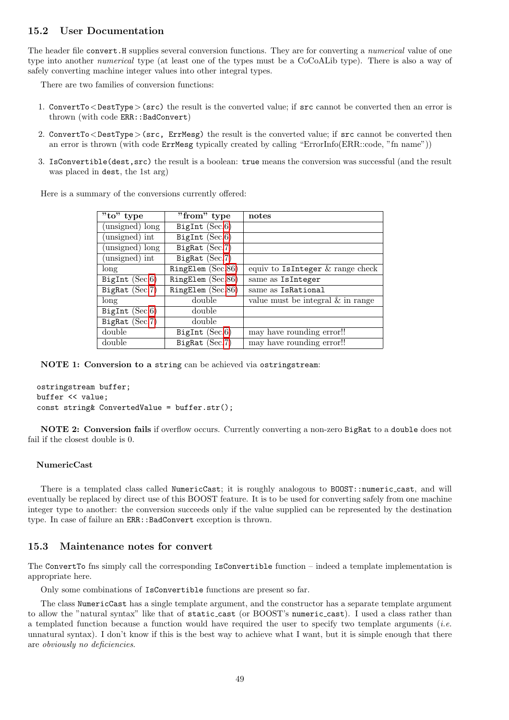## 15.2 User Documentation

The header file convert. H supplies several conversion functions. They are for converting a *numerical* value of one type into another numerical type (at least one of the types must be a CoCoALib type). There is also a way of safely converting machine integer values into other integral types.

There are two families of conversion functions:

- 1. ConvertTo<DestType>(src) the result is the converted value; if src cannot be converted then an error is thrown (with code ERR::BadConvert)
- 2. ConvertTo<DestType>(src, ErrMesg) the result is the converted value; if src cannot be converted then an error is thrown (with code ErrMesg typically created by calling "ErrorInfo(ERR::code, "fn name"))
- 3. IsConvertible(dest,src) the result is a boolean: true means the conversion was successful (and the result was placed in dest, the 1st arg)

Here is a summary of the conversions currently offered:

| $\overline{"\text{to" type}}$ | $\overline{\text{"from"}}$ type | notes                                |
|-------------------------------|---------------------------------|--------------------------------------|
| (unsigned) long               | BigInt $(Sec.6)$                |                                      |
| (unsigned) int                | BigInt $(Sec.6)$                |                                      |
| (unsigned) long               | BigRat $(Sec.7)$                |                                      |
| (unsigned) int                | BigRat $(Sec.7)$                |                                      |
| long                          | RingElem (Sec.86)               | equiv to IsInteger $\&$ range check  |
| BigInt $(Sec.6)$              | RingElem (Sec.86)               | same as IsInteger                    |
| BigRat $(Sec.7)$              | RingElem (Sec.86)               | same as IsRational                   |
| long                          | double                          | value must be integral $\&$ in range |
| BigInt $(Sec.6)$              | double                          |                                      |
| BigRat (Sec.7)                | double                          |                                      |
| double                        | BigInt $(Sec.6)$                | may have rounding error!!            |
| double                        | BigRat $(Sec.7)$                | may have rounding error!!            |

NOTE 1: Conversion to a string can be achieved via ostringstream:

```
ostringstream buffer;
buffer << value;
const string& ConvertedValue = buffer.str();
```
NOTE 2: Conversion fails if overflow occurs. Currently converting a non-zero BigRat to a double does not fail if the closest double is 0.

#### NumericCast

There is a templated class called NumericCast; it is roughly analogous to BOOST::numeric\_cast, and will eventually be replaced by direct use of this BOOST feature. It is to be used for converting safely from one machine integer type to another: the conversion succeeds only if the value supplied can be represented by the destination type. In case of failure an ERR::BadConvert exception is thrown.

### 15.3 Maintenance notes for convert

The ConvertTo fns simply call the corresponding IsConvertible function – indeed a template implementation is appropriate here.

Only some combinations of IsConvertible functions are present so far.

The class NumericCast has a single template argument, and the constructor has a separate template argument to allow the "natural syntax" like that of static cast (or BOOST's numeric cast). I used a class rather than a templated function because a function would have required the user to specify two template arguments (i.e. unnatural syntax). I don't know if this is the best way to achieve what I want, but it is simple enough that there are obviously no deficiencies.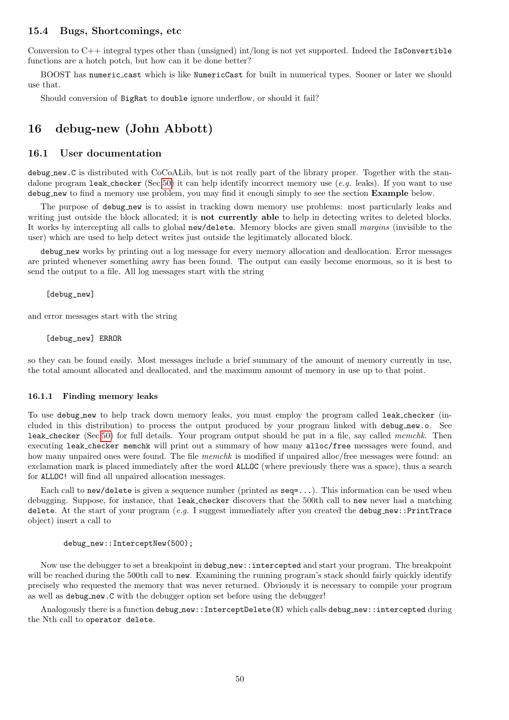### 15.4 Bugs, Shortcomings, etc

Conversion to  $C_{++}$  integral types other than (unsigned) int/long is not yet supported. Indeed the IsConvertible functions are a hotch potch, but how can it be done better?

BOOST has numeric cast which is like NumericCast for built in numerical types. Sooner or later we should use that.

Should conversion of BigRat to double ignore underflow, or should it fail?

## 16 debug-new (John Abbott)

#### 16.1 User documentation

debug new.C is distributed with CoCoALib, but is not really part of the library proper. Together with the standalone program leak checker (Sec[.50\)](#page-102-0) it can help identify incorrect memory use (e.g. leaks). If you want to use debug new to find a memory use problem, you may find it enough simply to see the section Example below.

The purpose of debug new is to assist in tracking down memory use problems: most particularly leaks and writing just outside the block allocated; it is **not currently able** to help in detecting writes to deleted blocks. It works by intercepting all calls to global new/delete. Memory blocks are given small margins (invisible to the user) which are used to help detect writes just outside the legitimately allocated block.

debug new works by printing out a log message for every memory allocation and deallocation. Error messages are printed whenever something awry has been found. The output can easily become enormous, so it is best to send the output to a file. All log messages start with the string

[debug\_new]

and error messages start with the string

[debug\_new] ERROR

so they can be found easily. Most messages include a brief summary of the amount of memory currently in use, the total amount allocated and deallocated, and the maximum amount of memory in use up to that point.

#### 16.1.1 Finding memory leaks

To use debug new to help track down memory leaks, you must employ the program called leak checker (included in this distribution) to process the output produced by your program linked with debug new.o. See leak checker (Sec[.50\)](#page-102-0) for full details. Your program output should be put in a file, say called memchk. Then executing leak checker memchk will print out a summary of how many alloc/free messages were found, and how many unpaired ones were found. The file *memchk* is modified if unpaired alloc/free messages were found: an exclamation mark is placed immediately after the word ALLOC (where previously there was a space), thus a search for ALLOC! will find all unpaired allocation messages.

Each call to new/delete is given a sequence number (printed as seq=...). This information can be used when debugging. Suppose, for instance, that leak checker discovers that the 500th call to new never had a matching delete. At the start of your program  $(e.g. I$  suggest immediately after you created the debug new::PrintTrace object) insert a call to

#### debug\_new::InterceptNew(500);

Now use the debugger to set a breakpoint in debug new::intercepted and start your program. The breakpoint will be reached during the 500th call to new. Examining the running program's stack should fairly quickly identify precisely who requested the memory that was never returned. Obviously it is necessary to compile your program as well as debug new.C with the debugger option set before using the debugger!

Analogously there is a function debug new::InterceptDelete(N) which calls debug new::intercepted during the Nth call to operator delete.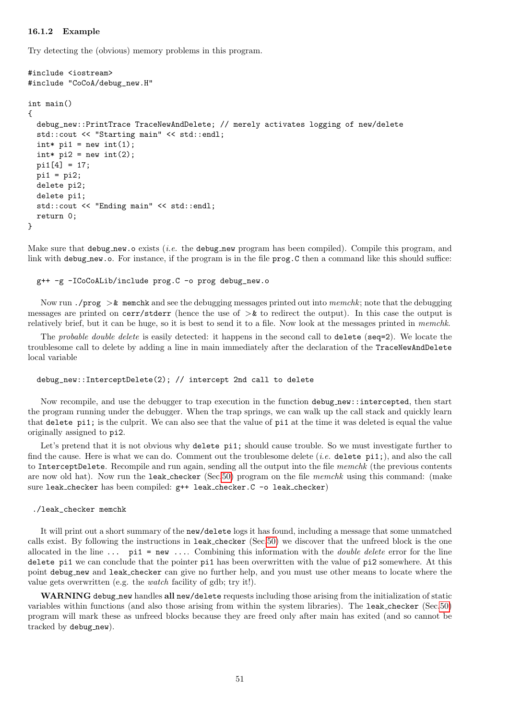#### 16.1.2 Example

Try detecting the (obvious) memory problems in this program.

```
#include <iostream>
#include "CoCoA/debug_new.H"
int main()
{
  debug_new::PrintTrace TraceNewAndDelete; // merely activates logging of new/delete
  std::cout << "Starting main" << std::endl;
  \text{int} * \text{pi1} = \text{new int}(1);
  int* pi2 = new int(2);
  pi1[4] = 17;
  pi1 = \pi2:
  delete pi2;
  delete pi1;
  std::cout << "Ending main" << std::endl;
  return 0;
}
```
Make sure that debug new. o exists *(i.e.* the debug new program has been compiled). Compile this program, and link with debug new.o. For instance, if the program is in the file prog.C then a command like this should suffice:

#### g++ -g -ICoCoALib/include prog.C -o prog debug\_new.o

Now run ./prog  $>\&$  memchk and see the debugging messages printed out into memchk; note that the debugging messages are printed on cerr/stderr (hence the use of  $>\&$  to redirect the output). In this case the output is relatively brief, but it can be huge, so it is best to send it to a file. Now look at the messages printed in memchk.

The *probable double delete* is easily detected: it happens in the second call to delete (seq=2). We locate the troublesome call to delete by adding a line in main immediately after the declaration of the TraceNewAndDelete local variable

#### debug\_new::InterceptDelete(2); // intercept 2nd call to delete

Now recompile, and use the debugger to trap execution in the function debug new::intercepted, then start the program running under the debugger. When the trap springs, we can walk up the call stack and quickly learn that delete pi1; is the culprit. We can also see that the value of pi1 at the time it was deleted is equal the value originally assigned to pi2.

Let's pretend that it is not obvious why delete pi1; should cause trouble. So we must investigate further to find the cause. Here is what we can do. Comment out the troublesome delete  $(i.e.$  delete pi1;), and also the call to InterceptDelete. Recompile and run again, sending all the output into the file memchk (the previous contents are now old hat). Now run the leak checker (Sec[.50\)](#page-102-0) program on the file memchk using this command: (make sure leak\_checker has been compiled:  $g++$  leak\_checker. C -o leak\_checker)

#### ./leak\_checker memchk

It will print out a short summary of the new/delete logs it has found, including a message that some unmatched calls exist. By following the instructions in leak checker (Sec[.50\)](#page-102-0) we discover that the unfreed block is the one allocated in the line  $\dots$  pi1 = new  $\dots$  Combining this information with the *double delete* error for the line delete pi1 we can conclude that the pointer pi1 has been overwritten with the value of pi2 somewhere. At this point debug new and leak checker can give no further help, and you must use other means to locate where the value gets overwritten (e.g. the watch facility of gdb; try it!).

WARNING debug new handles all new/delete requests including those arising from the initialization of static variables within functions (and also those arising from within the system libraries). The leak checker (Sec[.50\)](#page-102-0) program will mark these as unfreed blocks because they are freed only after main has exited (and so cannot be tracked by debug\_new).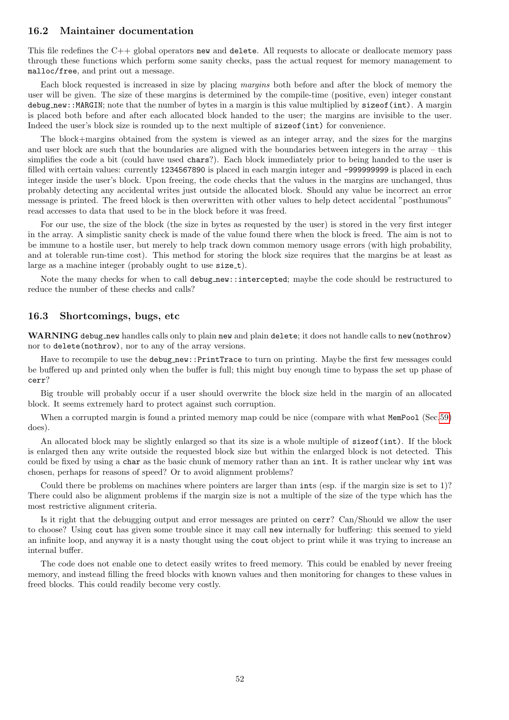#### 16.2 Maintainer documentation

This file redefines the  $C++$  global operators new and delete. All requests to allocate or deallocate memory pass through these functions which perform some sanity checks, pass the actual request for memory management to malloc/free, and print out a message.

Each block requested is increased in size by placing margins both before and after the block of memory the user will be given. The size of these margins is determined by the compile-time (positive, even) integer constant debug new::MARGIN; note that the number of bytes in a margin is this value multiplied by sizeof(int). A margin is placed both before and after each allocated block handed to the user; the margins are invisible to the user. Indeed the user's block size is rounded up to the next multiple of sizeof(int) for convenience.

The block+margins obtained from the system is viewed as an integer array, and the sizes for the margins and user block are such that the boundaries are aligned with the boundaries between integers in the array – this simplifies the code a bit (could have used chars?). Each block immediately prior to being handed to the user is filled with certain values: currently 1234567890 is placed in each margin integer and -999999999 is placed in each integer inside the user's block. Upon freeing, the code checks that the values in the margins are unchanged, thus probably detecting any accidental writes just outside the allocated block. Should any value be incorrect an error message is printed. The freed block is then overwritten with other values to help detect accidental "posthumous" read accesses to data that used to be in the block before it was freed.

For our use, the size of the block (the size in bytes as requested by the user) is stored in the very first integer in the array. A simplistic sanity check is made of the value found there when the block is freed. The aim is not to be immune to a hostile user, but merely to help track down common memory usage errors (with high probability, and at tolerable run-time cost). This method for storing the block size requires that the margins be at least as large as a machine integer (probably ought to use size\_t).

Note the many checks for when to call debug new::intercepted; maybe the code should be restructured to reduce the number of these checks and calls?

### 16.3 Shortcomings, bugs, etc

WARNING debug new handles calls only to plain new and plain delete; it does not handle calls to new (nothrow) nor to delete(nothrow), nor to any of the array versions.

Have to recompile to use the debug new::PrintTrace to turn on printing. Maybe the first few messages could be buffered up and printed only when the buffer is full; this might buy enough time to bypass the set up phase of cerr?

Big trouble will probably occur if a user should overwrite the block size held in the margin of an allocated block. It seems extremely hard to protect against such corruption.

When a corrupted margin is found a printed memory map could be nice (compare with what MemPool (Sec[.59\)](#page-119-0) does).

An allocated block may be slightly enlarged so that its size is a whole multiple of sizeof(int). If the block is enlarged then any write outside the requested block size but within the enlarged block is not detected. This could be fixed by using a char as the basic chunk of memory rather than an int. It is rather unclear why int was chosen, perhaps for reasons of speed? Or to avoid alignment problems?

Could there be problems on machines where pointers are larger than ints (esp. if the margin size is set to 1)? There could also be alignment problems if the margin size is not a multiple of the size of the type which has the most restrictive alignment criteria.

Is it right that the debugging output and error messages are printed on cerr? Can/Should we allow the user to choose? Using cout has given some trouble since it may call new internally for buffering: this seemed to yield an infinite loop, and anyway it is a nasty thought using the cout object to print while it was trying to increase an internal buffer.

The code does not enable one to detect easily writes to freed memory. This could be enabled by never freeing memory, and instead filling the freed blocks with known values and then monitoring for changes to these values in freed blocks. This could readily become very costly.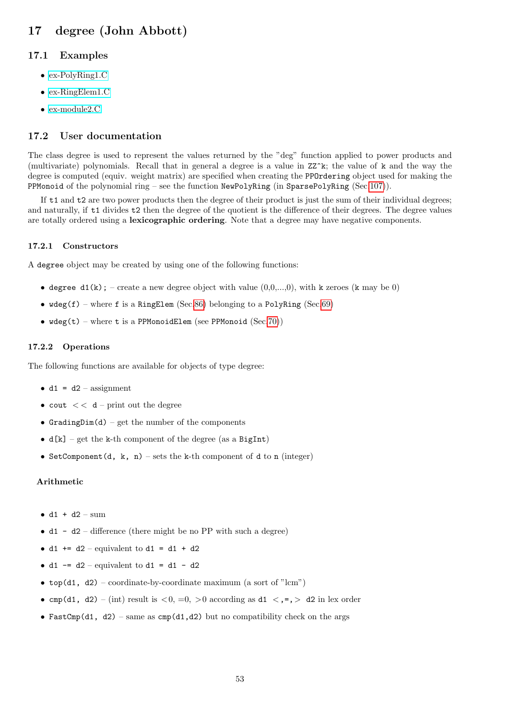# 17 degree (John Abbott)

## 17.1 Examples

- [ex-PolyRing1.C](../../examples/index.html#ex-PolyRing1.C)
- [ex-RingElem1.C](../../examples/index.html#ex-RingElem1.C)
- [ex-module2.C](../../examples/index.html#ex-module2.C)

## 17.2 User documentation

The class degree is used to represent the values returned by the "deg" function applied to power products and (multivariate) polynomials. Recall that in general a degree is a value in ZZ^k; the value of k and the way the degree is computed (equiv. weight matrix) are specified when creating the PPOrdering object used for making the PPMonoid of the polynomial ring – see the function NewPolyRing (in SparsePolyRing (Sec[.107\)](#page-214-0)).

If t1 and t2 are two power products then the degree of their product is just the sum of their individual degrees; and naturally, if t1 divides t2 then the degree of the quotient is the difference of their degrees. The degree values are totally ordered using a lexicographic ordering. Note that a degree may have negative components.

#### 17.2.1 Constructors

A degree object may be created by using one of the following functions:

- degree  $d1(k)$ ; create a new degree object with value  $(0,0,...,0)$ , with k zeroes (k may be 0)
- $wdeg(f)$  where f is a RingElem (Sec[.86\)](#page-174-0) belonging to a PolyRing (Sec[.69\)](#page-144-0)
- $wdeg(t)$  where t is a PPMonoidElem (see PPMonoid (Sec[.70\)](#page-145-0))

#### 17.2.2 Operations

The following functions are available for objects of type degree:

- $d1 = d2 \text{assignment}$
- cout  $<<$  d print out the degree
- GradingDim(d) get the number of the components
- $d[k]$  get the k-th component of the degree (as a BigInt)
- SetComponent(d, k, n) sets the k-th component of d to n (integer)

#### Arithmetic

- $\bullet$  d1 + d2 sum
- d1 d2 difference (there might be no PP with such a degree)
- d1 += d2 equivalent to d1 = d1 + d2
- d1  $-$  = d2 equivalent to d1 = d1 d2
- top(d1, d2) coordinate-by-coordinate maximum (a sort of "lcm")
- cmp(d1, d2) (int) result is  $\langle 0, =0, \rangle$  according as d1  $\langle ,=, \rangle$  d2 in lex order
- FastCmp(d1, d2) same as cmp(d1,d2) but no compatibility check on the args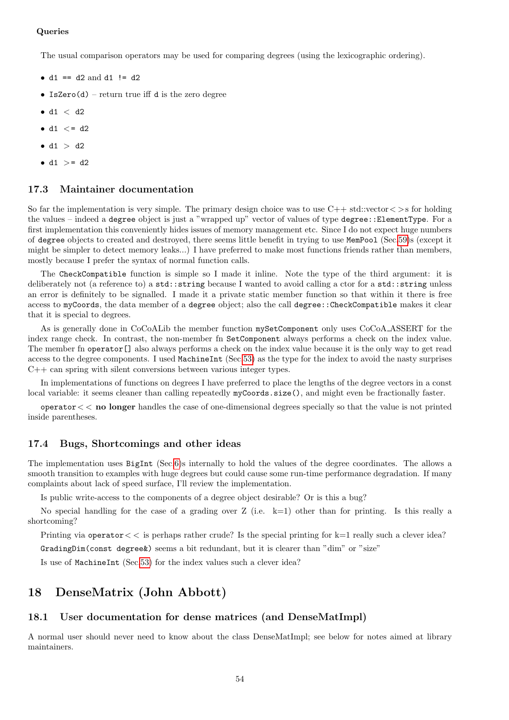### Queries

The usual comparison operators may be used for comparing degrees (using the lexicographic ordering).

- $d1 == d2$  and  $d1 != d2$
- IsZero(d) return true iff d is the zero degree
- $\bullet$  d1  $<$  d2
- $d1 \leq d2$
- $\bullet$  d1  $>$  d2
- $d1$  >=  $d2$

### 17.3 Maintainer documentation

So far the implementation is very simple. The primary design choice was to use  $C++$  std::vector  $\langle >$ s for holding the values – indeed a degree object is just a "wrapped up" vector of values of type degree::ElementType. For a first implementation this conveniently hides issues of memory management etc. Since I do not expect huge numbers of degree objects to created and destroyed, there seems little benefit in trying to use MemPool (Sec[.59\)](#page-119-0)s (except it might be simpler to detect memory leaks...) I have preferred to make most functions friends rather than members, mostly because I prefer the syntax of normal function calls.

The CheckCompatible function is simple so I made it inline. Note the type of the third argument: it is deliberately not (a reference to) a std::string because I wanted to avoid calling a ctor for a std::string unless an error is definitely to be signalled. I made it a private static member function so that within it there is free access to myCoords, the data member of a degree object; also the call degree::CheckCompatible makes it clear that it is special to degrees.

As is generally done in CoCoALib the member function mySetComponent only uses CoCoA ASSERT for the index range check. In contrast, the non-member fn SetComponent always performs a check on the index value. The member fn operator[] also always performs a check on the index value because it is the only way to get read access to the degree components. I used MachineInt (Sec[.53\)](#page-105-0) as the type for the index to avoid the nasty surprises  $C++$  can spring with silent conversions between various integer types.

In implementations of functions on degrees I have preferred to place the lengths of the degree vectors in a const local variable: it seems cleaner than calling repeatedly myCoords.size(), and might even be fractionally faster.

operator< < no longer handles the case of one-dimensional degrees specially so that the value is not printed inside parentheses.

### 17.4 Bugs, Shortcomings and other ideas

The implementation uses BigInt (Sec[.6\)](#page-34-0)s internally to hold the values of the degree coordinates. The allows a smooth transition to examples with huge degrees but could cause some run-time performance degradation. If many complaints about lack of speed surface, I'll review the implementation.

Is public write-access to the components of a degree object desirable? Or is this a bug?

No special handling for the case of a grading over  $Z$  (i.e.  $k=1$ ) other than for printing. Is this really a shortcoming?

Printing via operator  $<<$  is perhaps rather crude? Is the special printing for  $k=1$  really such a clever idea? GradingDim(const degree&) seems a bit redundant, but it is clearer than "dim" or "size"

Is use of MachineInt (Sec[.53\)](#page-105-0) for the index values such a clever idea?

## 18 DenseMatrix (John Abbott)

#### 18.1 User documentation for dense matrices (and DenseMatImpl)

A normal user should never need to know about the class DenseMatImpl; see below for notes aimed at library maintainers.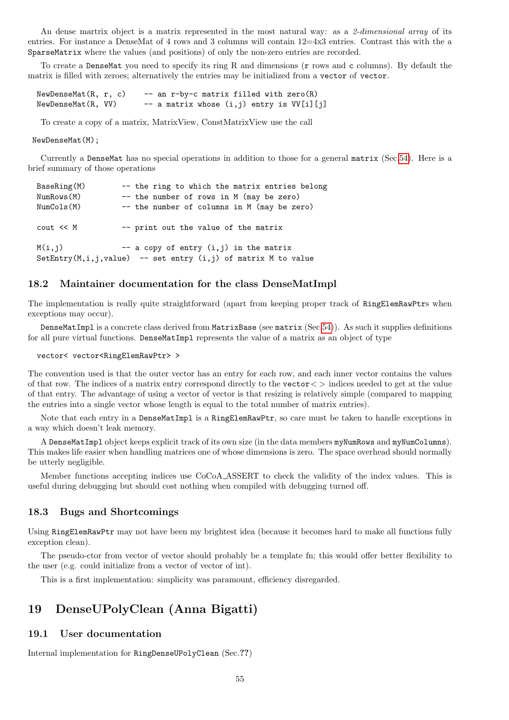An dense martrix object is a matrix represented in the most natural way: as a 2-dimensional array of its entries. For instance a DenseMat of 4 rows and 3 columns will contain 12=4x3 entries. Contrast this with the a SparseMatrix where the values (and positions) of only the non-zero entries are recorded.

To create a DenseMat you need to specify its ring R and dimensions (r rows and c columns). By default the matrix is filled with zeroes; alternatively the entries may be initialized from a vector of vector.

 $NewDenseMat(R, r, c)$  -- an r-by-c matrix filled with zero $(R)$  $NewDenseMat(R, VV)$  -- a matrix whose  $(i,j)$  entry is  $VV[i][j]$ 

To create a copy of a matrix, MatrixView, ConstMatrixView use the call

#### NewDenseMat(M);

Currently a DenseMat has no special operations in addition to those for a general matrix (Sec[.54\)](#page-107-0). Here is a brief summary of those operations

| BaseRing(M)<br>NumRows(M)<br>NumCols(M) | -- the ring to which the matrix entries belong<br>-- the number of rows in M (may be zero)<br>-- the number of columns in M (may be zero) |
|-----------------------------------------|-------------------------------------------------------------------------------------------------------------------------------------------|
| cout << M                               | -- print out the value of the matrix                                                                                                      |
| M(i,j)                                  | $-$ a copy of entry $(i, j)$ in the matrix<br>SetEntry(M,i,j,value) -- set entry $(i,j)$ of matrix M to value                             |

#### 18.2 Maintainer documentation for the class DenseMatImpl

The implementation is really quite straightforward (apart from keeping proper track of RingElemRawPtrs when exceptions may occur).

DenseMatImpl is a concrete class derived from MatrixBase (see matrix (Sec[.54\)](#page-107-0)). As such it supplies definitions for all pure virtual functions. DenseMatImpl represents the value of a matrix as an object of type

#### vector< vector<RingElemRawPtr> >

The convention used is that the outer vector has an entry for each row, and each inner vector contains the values of that row. The indices of a matrix entry correspond directly to the vector  $\langle \rangle$  indices needed to get at the value of that entry. The advantage of using a vector of vector is that resizing is relatively simple (compared to mapping the entries into a single vector whose length is equal to the total number of matrix entries).

Note that each entry in a DenseMatImpl is a RingElemRawPtr, so care must be taken to handle exceptions in a way which doesn't leak memory.

A DenseMatImpl object keeps explicit track of its own size (in the data members myNumRows and myNumColumns). This makes life easier when handling matrices one of whose dimensions is zero. The space overhead should normally be utterly negligible.

Member functions accepting indices use CoCoA ASSERT to check the validity of the index values. This is useful during debugging but should cost nothing when compiled with debugging turned off.

#### 18.3 Bugs and Shortcomings

Using RingElemRawPtr may not have been my brightest idea (because it becomes hard to make all functions fully exception clean).

The pseudo-ctor from vector of vector should probably be a template fn; this would offer better flexibility to the user (e.g. could initialize from a vector of vector of int).

This is a first implementation: simplicity was paramount, efficiency disregarded.

## 19 DenseUPolyClean (Anna Bigatti)

#### 19.1 User documentation

Internal implementation for RingDenseUPolyClean (Sec.??)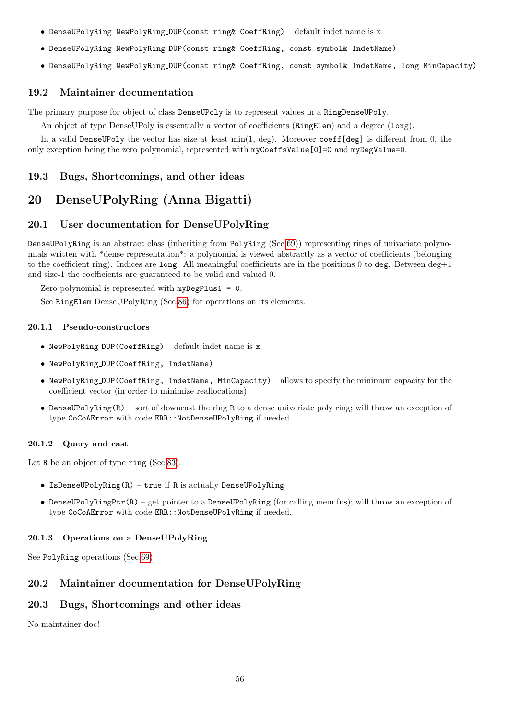- DenseUPolyRing NewPolyRing DUP(const ring& CoeffRing) default indet name is x
- DenseUPolyRing NewPolyRing DUP(const ring& CoeffRing, const symbol& IndetName)
- DenseUPolyRing NewPolyRing DUP(const ring& CoeffRing, const symbol& IndetName, long MinCapacity)

## 19.2 Maintainer documentation

The primary purpose for object of class DenseUPoly is to represent values in a RingDenseUPoly.

An object of type DenseUPoly is essentially a vector of coefficients (RingElem) and a degree (long).

In a valid DenseUPoly the vector has size at least min(1, deg). Moreover coeff[deg] is different from 0, the only exception being the zero polynomial, represented with myCoeffsValue[0]=0 and myDegValue=0.

## 19.3 Bugs, Shortcomings, and other ideas

## 20 DenseUPolyRing (Anna Bigatti)

## 20.1 User documentation for DenseUPolyRing

DenseUPolyRing is an abstract class (inheriting from PolyRing (Sec[.69\)](#page-144-0)) representing rings of univariate polynomials written with \*dense representation\*: a polynomial is viewed abstractly as a vector of coefficients (belonging to the coefficient ring). Indices are long. All meaningful coefficients are in the positions 0 to deg. Between  $\deg+1$ and size-1 the coefficients are guaranteed to be valid and valued 0.

Zero polynomial is represented with myDegPlus1 = 0.

See RingElem DenseUPolyRing (Sec[.86\)](#page-174-0) for operations on its elements.

#### 20.1.1 Pseudo-constructors

- NewPolyRing DUP(CoeffRing) default indet name is x
- NewPolyRing DUP(CoeffRing, IndetName)
- NewPolyRing DUP(CoeffRing, IndetName, MinCapacity) allows to specify the minimum capacity for the coefficient vector (in order to minimize reallocations)
- DenseUPolyRing $(R)$  sort of downcast the ring R to a dense univariate poly ring; will throw an exception of type CoCoAError with code ERR::NotDenseUPolyRing if needed.

## 20.1.2 Query and cast

Let R be an object of type ring (Sec[.83\)](#page-169-0).

- IsDenseUPolyRing(R) true if R is actually DenseUPolyRing
- DenseUPolyRingPtr(R) get pointer to a DenseUPolyRing (for calling mem fns); will throw an exception of type CoCoAError with code ERR::NotDenseUPolyRing if needed.

## 20.1.3 Operations on a DenseUPolyRing

See PolyRing operations (Sec[.69\)](#page-144-0).

## 20.2 Maintainer documentation for DenseUPolyRing

## 20.3 Bugs, Shortcomings and other ideas

No maintainer doc!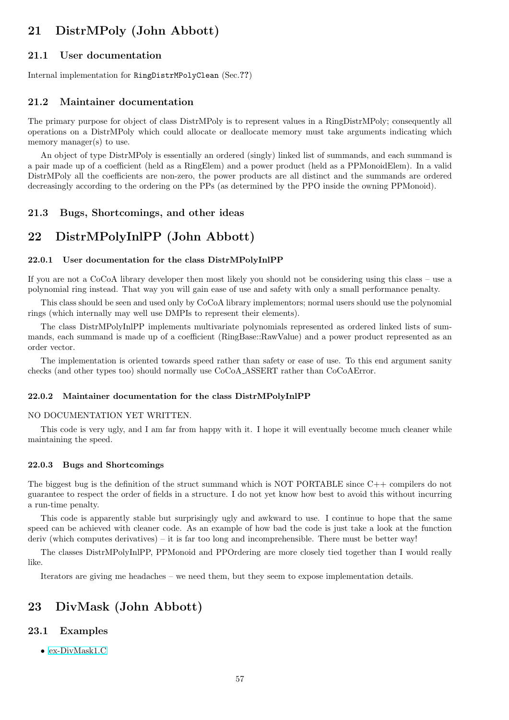# 21 DistrMPoly (John Abbott)

## 21.1 User documentation

Internal implementation for RingDistrMPolyClean (Sec.??)

### 21.2 Maintainer documentation

The primary purpose for object of class DistrMPoly is to represent values in a RingDistrMPoly; consequently all operations on a DistrMPoly which could allocate or deallocate memory must take arguments indicating which memory manager(s) to use.

An object of type DistrMPoly is essentially an ordered (singly) linked list of summands, and each summand is a pair made up of a coefficient (held as a RingElem) and a power product (held as a PPMonoidElem). In a valid DistrMPoly all the coefficients are non-zero, the power products are all distinct and the summands are ordered decreasingly according to the ordering on the PPs (as determined by the PPO inside the owning PPMonoid).

## 21.3 Bugs, Shortcomings, and other ideas

## 22 DistrMPolyInlPP (John Abbott)

#### 22.0.1 User documentation for the class DistrMPolyInlPP

If you are not a CoCoA library developer then most likely you should not be considering using this class – use a polynomial ring instead. That way you will gain ease of use and safety with only a small performance penalty.

This class should be seen and used only by CoCoA library implementors; normal users should use the polynomial rings (which internally may well use DMPIs to represent their elements).

The class DistrMPolyInlPP implements multivariate polynomials represented as ordered linked lists of summands, each summand is made up of a coefficient (RingBase::RawValue) and a power product represented as an order vector.

The implementation is oriented towards speed rather than safety or ease of use. To this end argument sanity checks (and other types too) should normally use CoCoA ASSERT rather than CoCoAError.

#### 22.0.2 Maintainer documentation for the class DistrMPolyInlPP

#### NO DOCUMENTATION YET WRITTEN.

This code is very ugly, and I am far from happy with it. I hope it will eventually become much cleaner while maintaining the speed.

#### 22.0.3 Bugs and Shortcomings

The biggest bug is the definition of the struct summand which is NOT PORTABLE since C++ compilers do not guarantee to respect the order of fields in a structure. I do not yet know how best to avoid this without incurring a run-time penalty.

This code is apparently stable but surprisingly ugly and awkward to use. I continue to hope that the same speed can be achieved with cleaner code. As an example of how bad the code is just take a look at the function deriv (which computes derivatives) – it is far too long and incomprehensible. There must be better way!

The classes DistrMPolyInlPP, PPMonoid and PPOrdering are more closely tied together than I would really like.

Iterators are giving me headaches – we need them, but they seem to expose implementation details.

## 23 DivMask (John Abbott)

## 23.1 Examples

• [ex-DivMask1.C](../../examples/index.html#ex-DivMask1.C)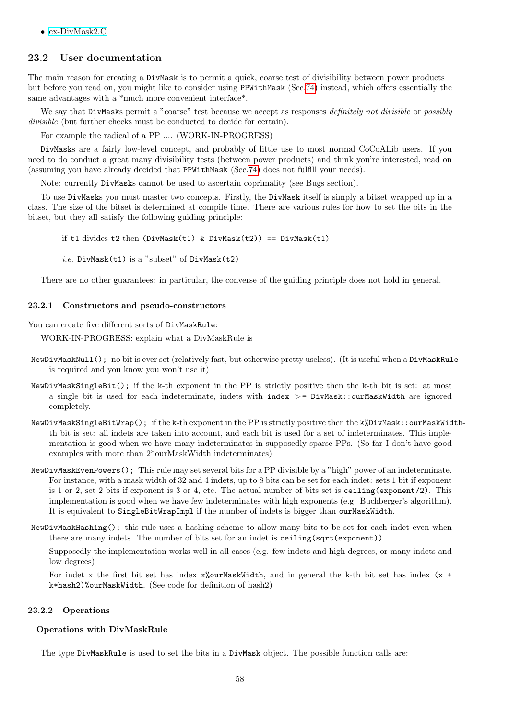• [ex-DivMask2.C](../../examples/index.html#ex-DivMask2.C)

## 23.2 User documentation

The main reason for creating a DivMask is to permit a quick, coarse test of divisibility between power products – but before you read on, you might like to consider using PPWithMask (Sec[.74\)](#page-156-0) instead, which offers essentially the same advantages with a \*much more convenient interface\*.

We say that DivMasks permit a "coarse" test because we accept as responses definitely not divisible or possibly divisible (but further checks must be conducted to decide for certain).

For example the radical of a PP .... (WORK-IN-PROGRESS)

DivMasks are a fairly low-level concept, and probably of little use to most normal CoCoALib users. If you need to do conduct a great many divisibility tests (between power products) and think you're interested, read on (assuming you have already decided that PPWithMask (Sec[.74\)](#page-156-0) does not fulfill your needs).

Note: currently DivMasks cannot be used to ascertain coprimality (see Bugs section).

To use DivMasks you must master two concepts. Firstly, the DivMask itself is simply a bitset wrapped up in a class. The size of the bitset is determined at compile time. There are various rules for how to set the bits in the bitset, but they all satisfy the following guiding principle:

if t1 divides t2 then  $(DivMask(t1)$  &  $DivMask(t2)) == DivMask(t1)$ 

*i.e.* DivMask(t1) is a "subset" of  $DivMask(t2)$ 

There are no other guarantees: in particular, the converse of the guiding principle does not hold in general.

#### 23.2.1 Constructors and pseudo-constructors

You can create five different sorts of DivMaskRule:

WORK-IN-PROGRESS: explain what a DivMaskRule is

- NewDivMaskNull(); no bit is ever set (relatively fast, but otherwise pretty useless). (It is useful when a DivMaskRule is required and you know you won't use it)
- NewDivMaskSingleBit(); if the k-th exponent in the PP is strictly positive then the k-th bit is set: at most a single bit is used for each indeterminate, indets with index >= DivMask::ourMaskWidth are ignored completely.
- NewDivMaskSingleBitWrap(); if the k-th exponent in the PP is strictly positive then the k%DivMask::ourMaskWidthth bit is set: all indets are taken into account, and each bit is used for a set of indeterminates. This implementation is good when we have many indeterminates in supposedly sparse PPs. (So far I don't have good examples with more than 2\*ourMaskWidth indeterminates)
- NewDivMaskEvenPowers(); This rule may set several bits for a PP divisible by a "high" power of an indeterminate. For instance, with a mask width of 32 and 4 indets, up to 8 bits can be set for each indet: sets 1 bit if exponent is 1 or 2, set 2 bits if exponent is 3 or 4, etc. The actual number of bits set is ceiling(exponent/2). This implementation is good when we have few indeterminates with high exponents (e.g. Buchberger's algorithm). It is equivalent to SingleBitWrapImpl if the number of indets is bigger than ourMaskWidth.
- NewDivMaskHashing(); this rule uses a hashing scheme to allow many bits to be set for each indet even when there are many indets. The number of bits set for an indet is ceiling(sqrt(exponent)).

Supposedly the implementation works well in all cases (e.g. few indets and high degrees, or many indets and low degrees)

For indet x the first bit set has index  $x$ %ourMaskWidth, and in general the k-th bit set has index  $(x +$ k\*hash2)%ourMaskWidth. (See code for definition of hash2)

#### 23.2.2 Operations

#### Operations with DivMaskRule

The type DivMaskRule is used to set the bits in a DivMask object. The possible function calls are: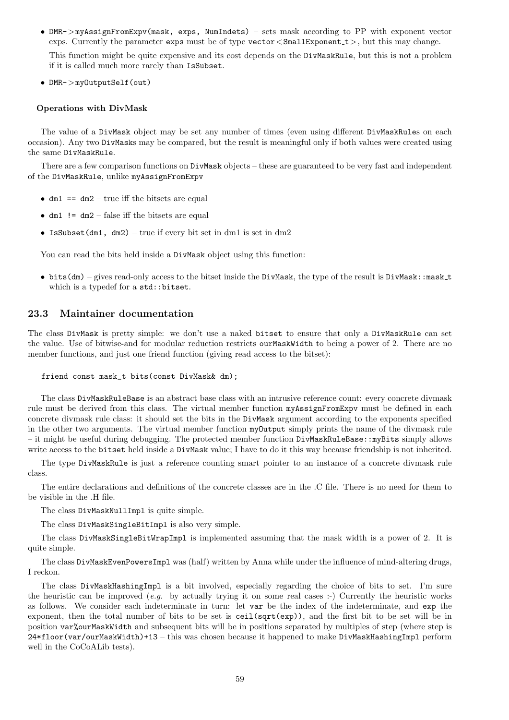• DMR->myAssignFromExpv(mask, exps, NumIndets) – sets mask according to PP with exponent vector exps. Currently the parameter exps must be of type vector  $<$  SmallExponent  $t$  >, but this may change.

This function might be quite expensive and its cost depends on the DivMaskRule, but this is not a problem if it is called much more rarely than IsSubset.

• DMR->myOutputSelf(out)

#### Operations with DivMask

The value of a DivMask object may be set any number of times (even using different DivMaskRules on each occasion). Any two DivMasks may be compared, but the result is meaningful only if both values were created using the same DivMaskRule.

There are a few comparison functions on DivMask objects – these are guaranteed to be very fast and independent of the DivMaskRule, unlike myAssignFromExpv

- $dm1 = dm2 true$  iff the bitsets are equal
- $\bullet$  dm1 != dm2 false iff the bitsets are equal
- IsSubset(dm1, dm2) true if every bit set in dm1 is set in dm2

You can read the bits held inside a DivMask object using this function:

• bits(dm) – gives read-only access to the bitset inside the DivMask, the type of the result is DivMask: :mask\_t which is a typedef for a std::bitset.

## 23.3 Maintainer documentation

The class DivMask is pretty simple: we don't use a naked bitset to ensure that only a DivMaskRule can set the value. Use of bitwise-and for modular reduction restricts ourMaskWidth to being a power of 2. There are no member functions, and just one friend function (giving read access to the bitset):

```
friend const mask_t bits(const DivMask& dm);
```
The class DivMaskRuleBase is an abstract base class with an intrusive reference count: every concrete divmask rule must be derived from this class. The virtual member function myAssignFromExpv must be defined in each concrete divmask rule class: it should set the bits in the DivMask argument according to the exponents specified in the other two arguments. The virtual member function myOutput simply prints the name of the divmask rule – it might be useful during debugging. The protected member function DivMaskRuleBase::myBits simply allows write access to the bitset held inside a DivMask value; I have to do it this way because friendship is not inherited.

The type DivMaskRule is just a reference counting smart pointer to an instance of a concrete divmask rule class.

The entire declarations and definitions of the concrete classes are in the .C file. There is no need for them to be visible in the .H file.

The class DivMaskNullImpl is quite simple.

The class DivMaskSingleBitImpl is also very simple.

The class DivMaskSingleBitWrapImpl is implemented assuming that the mask width is a power of 2. It is quite simple.

The class DivMaskEvenPowersImpl was (half) written by Anna while under the influence of mind-altering drugs, I reckon.

The class DivMaskHashingImpl is a bit involved, especially regarding the choice of bits to set. I'm sure the heuristic can be improved  $(e.g.$  by actually trying it on some real cases :-) Currently the heuristic works as follows. We consider each indeterminate in turn: let var be the index of the indeterminate, and exp the exponent, then the total number of bits to be set is ceil(sqrt(exp)), and the first bit to be set will be in position var%ourMaskWidth and subsequent bits will be in positions separated by multiples of step (where step is 24\*floor(var/ourMaskWidth)+13 – this was chosen because it happened to make DivMaskHashingImpl perform well in the CoCoALib tests).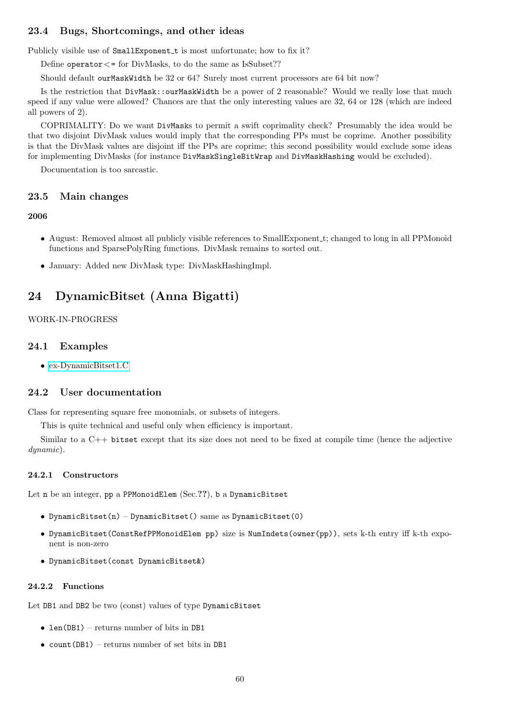## 23.4 Bugs, Shortcomings, and other ideas

Publicly visible use of SmallExponent t is most unfortunate; how to fix it?

Define operator  $\lt$  = for DivMasks, to do the same as IsSubset??

Should default ourMaskWidth be 32 or 64? Surely most current processors are 64 bit now?

Is the restriction that DivMask::ourMaskWidth be a power of 2 reasonable? Would we really lose that much speed if any value were allowed? Chances are that the only interesting values are 32, 64 or 128 (which are indeed all powers of 2).

COPRIMALITY: Do we want DivMasks to permit a swift coprimality check? Presumably the idea would be that two disjoint DivMask values would imply that the corresponding PPs must be coprime. Another possibility is that the DivMask values are disjoint iff the PPs are coprime; this second possibility would exclude some ideas for implementing DivMasks (for instance DivMaskSingleBitWrap and DivMaskHashing would be excluded).

Documentation is too sarcastic.

#### 23.5 Main changes

#### 2006

- August: Removed almost all publicly visible references to SmallExponent t; changed to long in all PPMonoid functions and SparsePolyRing functions. DivMask remains to sorted out.
- January: Added new DivMask type: DivMaskHashingImpl.

## 24 DynamicBitset (Anna Bigatti)

## WORK-IN-PROGRESS

#### 24.1 Examples

• [ex-DynamicBitset1.C](../../examples/index.html#ex-DynamicBitset1.C)

## 24.2 User documentation

Class for representing square free monomials, or subsets of integers.

This is quite technical and useful only when efficiency is important.

Similar to a C++ bitset except that its size does not need to be fixed at compile time (hence the adjective dynamic).

#### 24.2.1 Constructors

Let n be an integer, pp a PPMonoidElem (Sec.??), b a DynamicBitset

- DynamicBitset(n) DynamicBitset() same as DynamicBitset(0)
- DynamicBitset(ConstRefPPMonoidElem pp) size is NumIndets(owner(pp)), sets k-th entry iff k-th exponent is non-zero
- DynamicBitset(const DynamicBitset&)

#### 24.2.2 Functions

Let DB1 and DB2 be two (const) values of type DynamicBitset

- len(DB1) returns number of bits in DB1
- count  $(DB1)$  returns number of set bits in DB1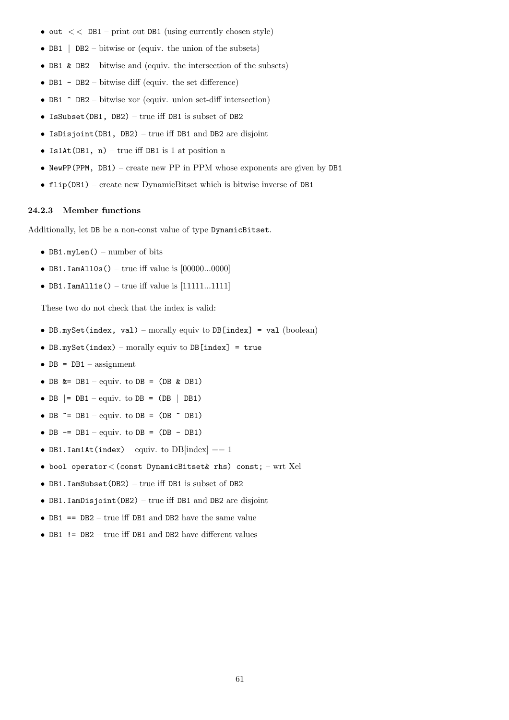- $\bullet$  out  $<<$  DB1 print out DB1 (using currently chosen style)
- DB1 | DB2 bitwise or (equiv. the union of the subsets)
- DB1 & DB2 bitwise and (equiv. the intersection of the subsets)
- DB1 DB2 bitwise diff (equiv. the set difference)
- DB1  $\hat{}$  DB2 bitwise xor (equiv. union set-diff intersection)
- IsSubset(DB1, DB2) true iff DB1 is subset of DB2
- IsDisjoint(DB1, DB2) true iff DB1 and DB2 are disjoint
- Is1At(DB1,  $n$ ) true iff DB1 is 1 at position n
- NewPP(PPM,  $DB1$ ) create new PP in PPM whose exponents are given by DB1
- flip(DB1) create new DynamicBitset which is bitwise inverse of DB1

#### 24.2.3 Member functions

Additionally, let DB be a non-const value of type DynamicBitset.

- DB1.myLen() number of bits
- DB1.IamAll0s() true iff value is  $[00000...0000]$
- DB1.IamAll1s() true iff value is  $[11111...1111]$

These two do not check that the index is valid:

- DB.mySet(index, val) morally equiv to DB[index] = val (boolean)
- DB.mySet(index) morally equiv to DB[index] = true
- $DB = DB1 \text{assignment}$
- DB  $k = DB1 \text{equiv}$ . to  $DB = (DB \& DB1)$
- DB  $|=$  DB1 equiv. to DB = (DB  $|$  DB1)
- DB  $\hat{}$  = DB1 equiv. to DB = (DB  $\hat{}$  DB1)
- $DB$  -=  $DB1$  equiv. to  $DB$  =  $(DB$   $DB1$ )
- DB1.Iam1At(index) equiv. to  $DB$ [index] == 1
- bool operator<(const DynamicBitset& rhs) const; wrt Xel
- DB1.IamSubset(DB2) true iff DB1 is subset of DB2
- DB1.IamDisjoint(DB2) true iff DB1 and DB2 are disjoint
- DB1 ==  $DB2$  true iff DB1 and DB2 have the same value
- DB1 != DB2 true iff DB1 and DB2 have different values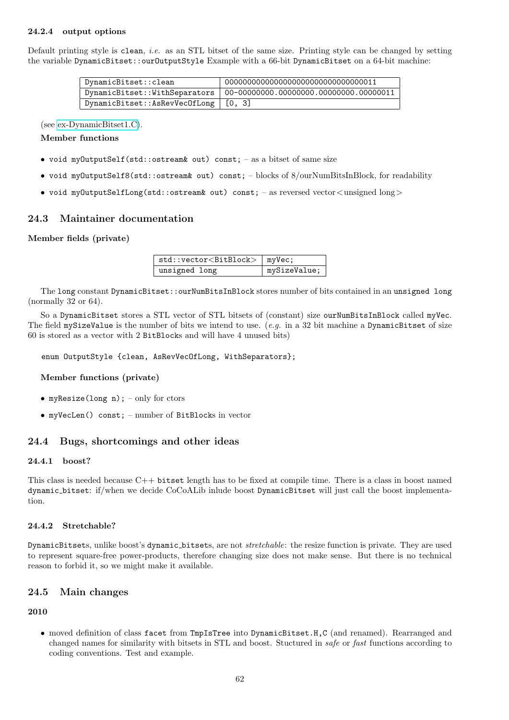## 24.2.4 output options

Default printing style is clean, *i.e.* as an STL bitset of the same size. Printing style can be changed by setting the variable DynamicBitset::ourOutputStyle Example with a 66-bit DynamicBitset on a 64-bit machine:

| DynamicBitset::clean                   | 0000000000000000000000000000000000011  |  |
|----------------------------------------|----------------------------------------|--|
| DynamicBitset::WithSeparators          | 00-00000000.00000000.00000000.00000011 |  |
| DynamicBitset::AsRevVecOfLong   [0, 3] |                                        |  |

(see [ex-DynamicBitset1.C\)](../../examples/index.html#ex-DynamicBitset1.C).

#### Member functions

- void myOutputSelf(std::ostream& out) const; as a bitset of same size
- void myOutputSelf8(std::ostream& out) const; blocks of 8/ourNumBitsInBlock, for readability
- void myOutputSelfLong(std::ostream& out) const; as reversed vector<unsigned long>

## 24.3 Maintainer documentation

#### Member fields (private)

| std::vector <bitblock>   myVec;</bitblock> |              |
|--------------------------------------------|--------------|
| unsigned long                              | mySizeValue; |

The long constant DynamicBitset::ourNumBitsInBlock stores number of bits contained in an unsigned long (normally 32 or 64).

So a DynamicBitset stores a STL vector of STL bitsets of (constant) size ourNumBitsInBlock called myVec. The field mySizeValue is the number of bits we intend to use. (e.g. in a 32 bit machine a DynamicBitset of size 60 is stored as a vector with 2 BitBlocks and will have 4 unused bits)

enum OutputStyle {clean, AsRevVecOfLong, WithSeparators};

Member functions (private)

- myResize(long  $n$ ); only for ctors
- myVecLen() const; number of BitBlocks in vector

## 24.4 Bugs, shortcomings and other ideas

#### 24.4.1 boost?

This class is needed because C++ bitset length has to be fixed at compile time. There is a class in boost named dynamic bitset: if/when we decide CoCoALib inlude boost DynamicBitset will just call the boost implementation.

#### 24.4.2 Stretchable?

DynamicBitsets, unlike boost's dynamic bitsets, are not stretchable: the resize function is private. They are used to represent square-free power-products, therefore changing size does not make sense. But there is no technical reason to forbid it, so we might make it available.

## 24.5 Main changes

#### 2010

• moved definition of class facet from TmpIsTree into DynamicBitset.H,C (and renamed). Rearranged and changed names for similarity with bitsets in STL and boost. Stuctured in safe or fast functions according to coding conventions. Test and example.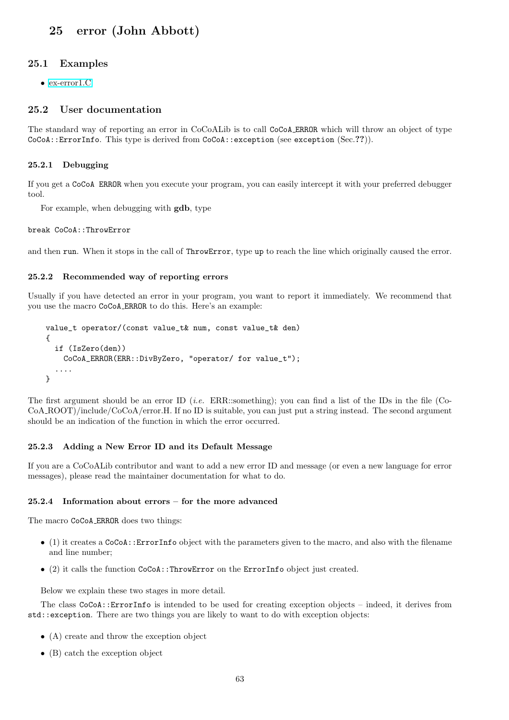## <span id="page-62-0"></span>25 error (John Abbott)

#### 25.1 Examples

• [ex-error1.C](../../examples/index.html#ex-error1.C)

## 25.2 User documentation

The standard way of reporting an error in CoCoALib is to call CoCoA ERROR which will throw an object of type CoCoA::ErrorInfo. This type is derived from CoCoA::exception (see exception (Sec.??)).

#### 25.2.1 Debugging

If you get a CoCoA ERROR when you execute your program, you can easily intercept it with your preferred debugger tool.

For example, when debugging with gdb, type

#### break CoCoA::ThrowError

and then run. When it stops in the call of ThrowError, type up to reach the line which originally caused the error.

#### 25.2.2 Recommended way of reporting errors

Usually if you have detected an error in your program, you want to report it immediately. We recommend that you use the macro CoCoA ERROR to do this. Here's an example:

```
value_t operator/(const value_t& num, const value_t& den)
{
  if (IsZero(den))
    CoCoA_ERROR(ERR::DivByZero, "operator/ for value_t");
  ....
}
```
The first argument should be an error ID (i.e. ERR::something); you can find a list of the IDs in the file (Co-CoA ROOT)/include/CoCoA/error.H. If no ID is suitable, you can just put a string instead. The second argument should be an indication of the function in which the error occurred.

#### 25.2.3 Adding a New Error ID and its Default Message

If you are a CoCoALib contributor and want to add a new error ID and message (or even a new language for error messages), please read the maintainer documentation for what to do.

#### 25.2.4 Information about errors – for the more advanced

The macro CoCoA ERROR does two things:

- (1) it creates a CoCoA::ErrorInfo object with the parameters given to the macro, and also with the filename and line number;
- (2) it calls the function CoCoA::ThrowError on the ErrorInfo object just created.

Below we explain these two stages in more detail.

The class CoCoA::ErrorInfo is intended to be used for creating exception objects – indeed, it derives from std::exception. There are two things you are likely to want to do with exception objects:

- (A) create and throw the exception object
- (B) catch the exception object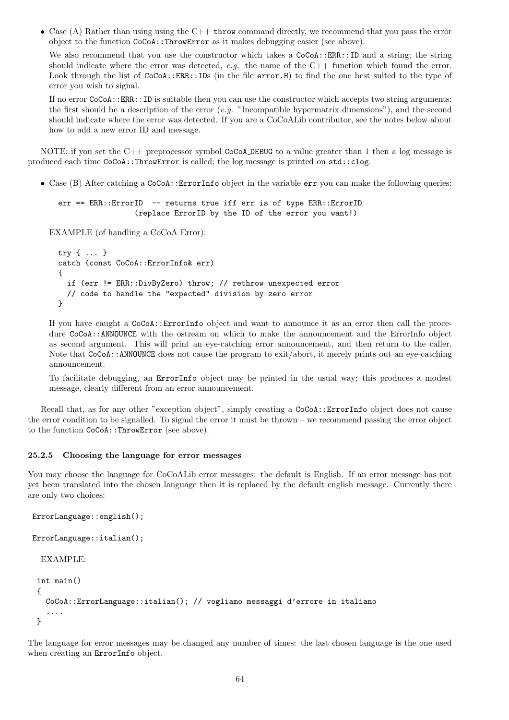• Case (A) Rather than using using the C++ throw command directly, we recommend that you pass the error object to the function CoCoA::ThrowError as it makes debugging easier (see above).

We also recommend that you use the constructor which takes a  $CoCoA::ERR::ID$  and a string; the string should indicate where the error was detected, e.g. the name of the  $C++$  function which found the error. Look through the list of  $CoCoA::ERR::IDs$  (in the file error. H) to find the one best suited to the type of error you wish to signal.

If no error CoCoA::ERR::ID is suitable then you can use the constructor which accepts two string arguments: the first should be a description of the error  $(e,q.$  "Incompatible hypermatrix dimensions"), and the second should indicate where the error was detected. If you are a CoCoALib contributor, see the notes below about how to add a new error ID and message.

NOTE: if you set the C++ preprocessor symbol CoCoA DEBUG to a value greater than 1 then a log message is produced each time CoCoA::ThrowError is called; the log message is printed on std::clog.

• Case (B) After catching a CoCoA::ErrorInfo object in the variable err you can make the following queries:

```
err == ERR::ErrorID -- returns true iff err is of type ERR::ErrorID
                 (replace ErrorID by the ID of the error you want!)
```
EXAMPLE (of handling a CoCoA Error):

```
try { ... }
catch (const CoCoA::ErrorInfo& err)
{
  if (err != ERR::DivByZero) throw; // rethrow unexpected error
 // code to handle the "expected" division by zero error
}
```
If you have caught a  $CoCoA:$ :ErrorInfo object and want to announce it as an error then call the procedure CoCoA::ANNOUNCE with the ostream on which to make the announcement and the ErrorInfo object as second argument. This will print an eye-catching error announcement, and then return to the caller. Note that CoCoA::ANNOUNCE does not cause the program to exit/abort, it merely prints out an eye-catching announcement.

To facilitate debugging, an ErrorInfo object may be printed in the usual way; this produces a modest message, clearly different from an error announcement.

Recall that, as for any other "exception object", simply creating a  $CoCoA::ErrorInfo$  object does not cause the error condition to be signalled. To signal the error it must be thrown – we recommend passing the error object to the function CoCoA::ThrowError (see above).

#### 25.2.5 Choosing the language for error messages

You may choose the language for CoCoALib error messages: the default is English. If an error message has not yet been translated into the chosen language then it is replaced by the default english message. Currently there are only two choices:

```
ErrorLanguage::english();
```

```
ErrorLanguage::italian();
```

```
EXAMPLE:
```

```
int main()
{
  CoCoA::ErrorLanguage::italian(); // vogliamo messaggi d'errore in italiano
   ....
}
```
The language for error messages may be changed any number of times: the last chosen language is the one used when creating an ErrorInfo object.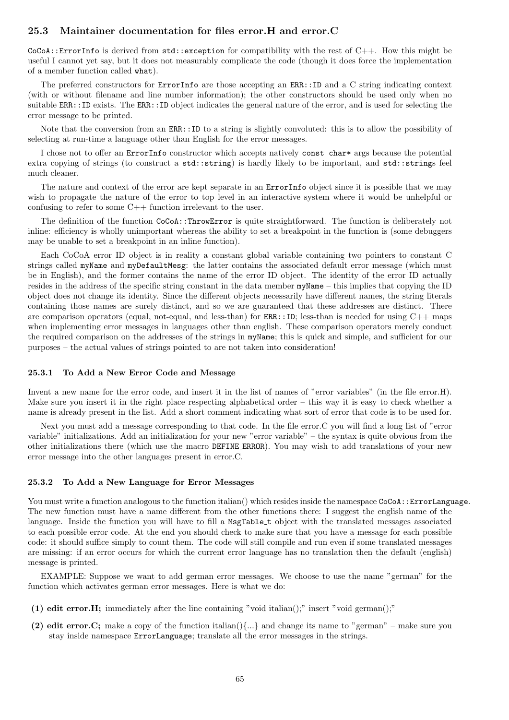## 25.3 Maintainer documentation for files error.H and error.C

 $CoCoA:$ : ErrorInfo is derived from  $std:$ : exception for compatibility with the rest of  $C++$ . How this might be useful I cannot yet say, but it does not measurably complicate the code (though it does force the implementation of a member function called what).

The preferred constructors for ErrorInfo are those accepting an ERR::ID and a C string indicating context (with or without filename and line number information); the other constructors should be used only when no suitable ERR::ID exists. The ERR::ID object indicates the general nature of the error, and is used for selecting the error message to be printed.

Note that the conversion from an ERR::ID to a string is slightly convoluted: this is to allow the possibility of selecting at run-time a language other than English for the error messages.

I chose not to offer an ErrorInfo constructor which accepts natively const char\* args because the potential extra copying of strings (to construct a std::string) is hardly likely to be important, and std::strings feel much cleaner.

The nature and context of the error are kept separate in an ErrorInfo object since it is possible that we may wish to propagate the nature of the error to top level in an interactive system where it would be unhelpful or confusing to refer to some C++ function irrelevant to the user.

The definition of the function CoCoA::ThrowError is quite straightforward. The function is deliberately not inline: efficiency is wholly unimportant whereas the ability to set a breakpoint in the function is (some debuggers may be unable to set a breakpoint in an inline function).

Each CoCoA error ID object is in reality a constant global variable containing two pointers to constant C strings called myName and myDefaultMesg: the latter contains the associated default error message (which must be in English), and the former contains the name of the error ID object. The identity of the error ID actually resides in the address of the specific string constant in the data member myName – this implies that copying the ID object does not change its identity. Since the different objects necessarily have different names, the string literals containing those names are surely distinct, and so we are guaranteed that these addresses are distinct. There are comparison operators (equal, not-equal, and less-than) for  $ER::ID$ ; less-than is needed for using  $C++$  maps when implementing error messages in languages other than english. These comparison operators merely conduct the required comparison on the addresses of the strings in myName; this is quick and simple, and sufficient for our purposes – the actual values of strings pointed to are not taken into consideration!

#### 25.3.1 To Add a New Error Code and Message

Invent a new name for the error code, and insert it in the list of names of "error variables" (in the file error.H). Make sure you insert it in the right place respecting alphabetical order – this way it is easy to check whether a name is already present in the list. Add a short comment indicating what sort of error that code is to be used for.

Next you must add a message corresponding to that code. In the file error.C you will find a long list of "error variable" initializations. Add an initialization for your new "error variable" – the syntax is quite obvious from the other initializations there (which use the macro DEFINE ERROR). You may wish to add translations of your new error message into the other languages present in error.C.

#### 25.3.2 To Add a New Language for Error Messages

You must write a function analogous to the function italian() which resides inside the namespace CoCoA::ErrorLanguage. The new function must have a name different from the other functions there: I suggest the english name of the language. Inside the function you will have to fill a MsgTable\_t object with the translated messages associated to each possible error code. At the end you should check to make sure that you have a message for each possible code: it should suffice simply to count them. The code will still compile and run even if some translated messages are missing: if an error occurs for which the current error language has no translation then the default (english) message is printed.

EXAMPLE: Suppose we want to add german error messages. We choose to use the name "german" for the function which activates german error messages. Here is what we do:

- (1) edit error.H; immediately after the line containing "void italian();" insert "void german();"
- (2) edit error. C; make a copy of the function italian() $\{\ldots\}$  and change its name to "german" make sure you stay inside namespace ErrorLanguage; translate all the error messages in the strings.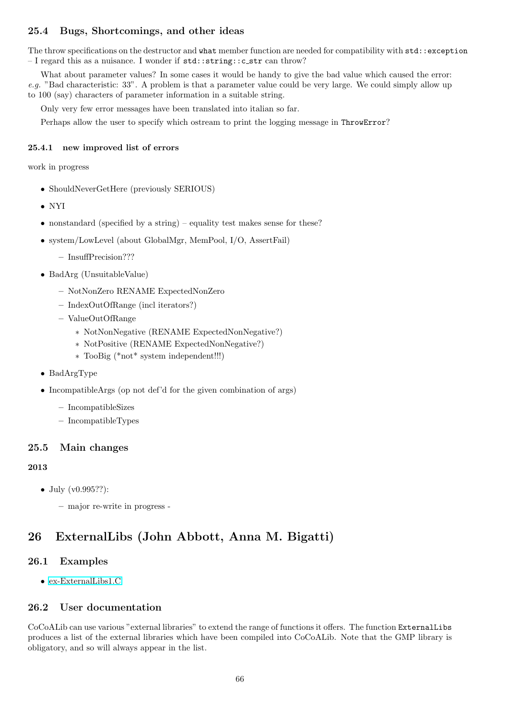## 25.4 Bugs, Shortcomings, and other ideas

The throw specifications on the destructor and what member function are needed for compatibility with std::exception – I regard this as a nuisance. I wonder if std::string::c str can throw?

What about parameter values? In some cases it would be handy to give the bad value which caused the error: e.g. "Bad characteristic: 33". A problem is that a parameter value could be very large. We could simply allow up to 100 (say) characters of parameter information in a suitable string.

Only very few error messages have been translated into italian so far.

Perhaps allow the user to specify which ostream to print the logging message in ThrowError?

### 25.4.1 new improved list of errors

work in progress

- ShouldNeverGetHere (previously SERIOUS)
- NYI
- nonstandard (specified by a string) equality test makes sense for these?
- system/LowLevel (about GlobalMgr, MemPool, I/O, AssertFail)
	- InsuffPrecision???
- BadArg (UnsuitableValue)
	- NotNonZero RENAME ExpectedNonZero
	- IndexOutOfRange (incl iterators?)
	- ValueOutOfRange
		- ∗ NotNonNegative (RENAME ExpectedNonNegative?)
		- ∗ NotPositive (RENAME ExpectedNonNegative?)
		- ∗ TooBig (\*not\* system independent!!!)
- BadArgType
- IncompatibleArgs (op not def'd for the given combination of args)
	- IncompatibleSizes
	- IncompatibleTypes

## 25.5 Main changes

## 2013

• July (v0.995??):

– major re-write in progress -

## 26 ExternalLibs (John Abbott, Anna M. Bigatti)

## 26.1 Examples

• [ex-ExternalLibs1.C](../../examples/index.html#ex-ExternalLibs1.C)

## 26.2 User documentation

CoCoALib can use various "external libraries" to extend the range of functions it offers. The function ExternalLibs produces a list of the external libraries which have been compiled into CoCoALib. Note that the GMP library is obligatory, and so will always appear in the list.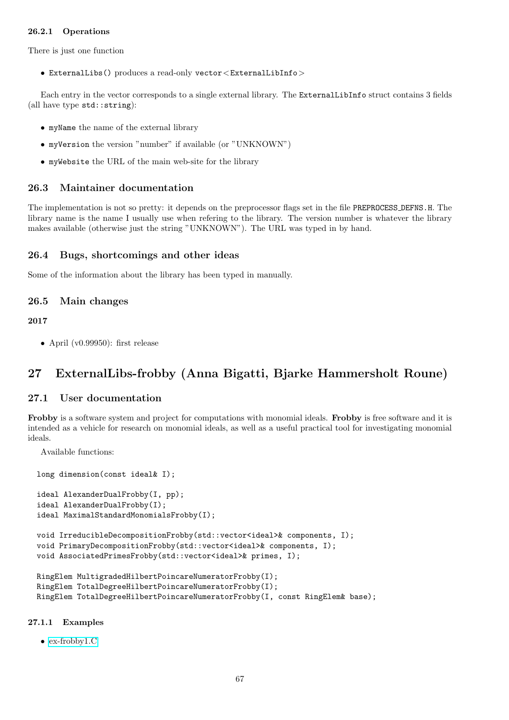## 26.2.1 Operations

There is just one function

• ExternalLibs() produces a read-only vector<ExternalLibInfo>

Each entry in the vector corresponds to a single external library. The ExternalLibInfo struct contains 3 fields (all have type std::string):

- myName the name of the external library
- myVersion the version "number" if available (or "UNKNOWN")
- myWebsite the URL of the main web-site for the library

## 26.3 Maintainer documentation

The implementation is not so pretty: it depends on the preprocessor flags set in the file PREPROCESS DEFNS.H. The library name is the name I usually use when refering to the library. The version number is whatever the library makes available (otherwise just the string "UNKNOWN"). The URL was typed in by hand.

## 26.4 Bugs, shortcomings and other ideas

Some of the information about the library has been typed in manually.

## 26.5 Main changes

#### 2017

• April (v0.99950): first release

## 27 ExternalLibs-frobby (Anna Bigatti, Bjarke Hammersholt Roune)

## 27.1 User documentation

Frobby is a software system and project for computations with monomial ideals. Frobby is free software and it is intended as a vehicle for research on monomial ideals, as well as a useful practical tool for investigating monomial ideals.

Available functions:

long dimension(const ideal& I);

```
ideal AlexanderDualFrobby(I, pp);
ideal AlexanderDualFrobby(I);
ideal MaximalStandardMonomialsFrobby(I);
```

```
void IrreducibleDecompositionFrobby(std::vector<ideal>& components, I);
void PrimaryDecompositionFrobby(std::vector<ideal>& components, I);
void AssociatedPrimesFrobby(std::vector<ideal>& primes, I);
```

```
RingElem MultigradedHilbertPoincareNumeratorFrobby(I);
RingElem TotalDegreeHilbertPoincareNumeratorFrobby(I);
RingElem TotalDegreeHilbertPoincareNumeratorFrobby(I, const RingElem& base);
```
#### 27.1.1 Examples

• [ex-frobby1.C](../../examples/index.html#ex-frobby1.C)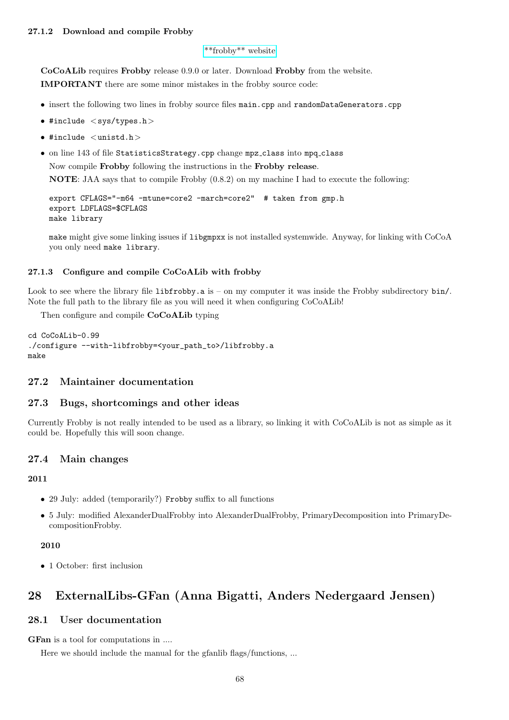#### [\\*\\*frobby\\*\\* website](http://www.broune.com/frobby/)

CoCoALib requires Frobby release 0.9.0 or later. Download Frobby from the website. IMPORTANT there are some minor mistakes in the frobby source code:

- insert the following two lines in frobby source files main.cpp and randomDataGenerators.cpp
- #include <sys/types.h>
- #include  $\langle$ unistd.h $\rangle$
- on line 143 of file StatisticsStrategy.cpp change mpz class into mpq class

Now compile Frobby following the instructions in the Frobby release.

NOTE: JAA says that to compile Frobby (0.8.2) on my machine I had to execute the following:

```
export CFLAGS="-m64 -mtune=core2 -march=core2" # taken from gmp.h
export LDFLAGS=$CFLAGS
make library
```
make might give some linking issues if libgmpxx is not installed systemwide. Anyway, for linking with CoCoA you only need make library.

## 27.1.3 Configure and compile CoCoALib with frobby

Look to see where the library file libfrobby.a is – on my computer it was inside the Frobby subdirectory bin/. Note the full path to the library file as you will need it when configuring CoCoALib!

Then configure and compile CoCoALib typing

```
cd CoCoALib-0.99
./configure --with-libfrobby=<your_path_to>/libfrobby.a
make
```
## 27.2 Maintainer documentation

## 27.3 Bugs, shortcomings and other ideas

Currently Frobby is not really intended to be used as a library, so linking it with CoCoALib is not as simple as it could be. Hopefully this will soon change.

## 27.4 Main changes

2011

- 29 July: added (temporarily?) Frobby suffix to all functions
- 5 July: modified AlexanderDualFrobby into AlexanderDualFrobby, PrimaryDecomposition into PrimaryDecompositionFrobby.

#### 2010

• 1 October: first inclusion

# 28 ExternalLibs-GFan (Anna Bigatti, Anders Nedergaard Jensen)

## 28.1 User documentation

GFan is a tool for computations in ....

Here we should include the manual for the gfanlib flags/functions, ...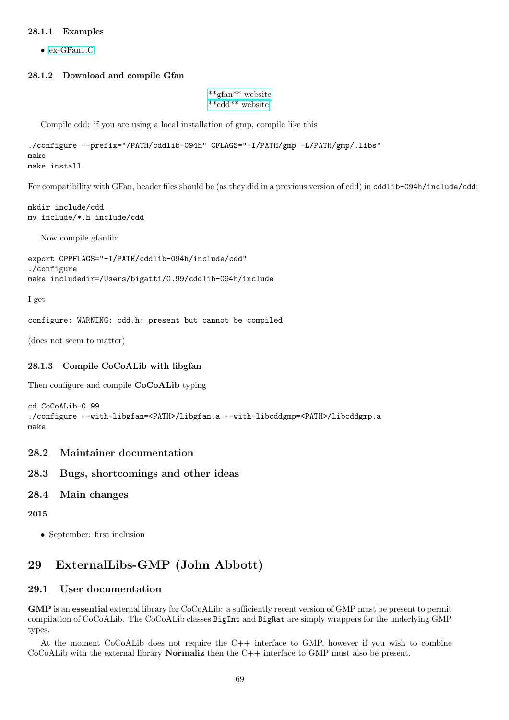## 28.1.1 Examples

• [ex-GFan1.C](../../examples/index.html#ex-GFan1.C)

#### 28.1.2 Download and compile Gfan

```
**gfan** website
**cdd** website
```
Compile cdd: if you are using a local installation of gmp, compile like this

```
./configure --prefix="/PATH/cddlib-094h" CFLAGS="-I/PATH/gmp -L/PATH/gmp/.libs"
make
make install
```
For compatibility with GFan, header files should be (as they did in a previous version of cdd) in cddlib-094h/include/cdd:

mkdir include/cdd mv include/\*.h include/cdd

Now compile gfanlib:

```
export CPPFLAGS="-I/PATH/cddlib-094h/include/cdd"
./configure
make includedir=/Users/bigatti/0.99/cddlib-094h/include
```
I get

configure: WARNING: cdd.h: present but cannot be compiled

(does not seem to matter)

#### 28.1.3 Compile CoCoALib with libgfan

Then configure and compile CoCoALib typing

```
cd CoCoALib-0.99
./configure --with-libgfan=<PATH>/libgfan.a --with-libcddgmp=<PATH>/libcddgmp.a
make
```
## 28.2 Maintainer documentation

## 28.3 Bugs, shortcomings and other ideas

28.4 Main changes

2015

• September: first inclusion

## 29 ExternalLibs-GMP (John Abbott)

## 29.1 User documentation

GMP is an essential external library for CoCoALib: a sufficiently recent version of GMP must be present to permit compilation of CoCoALib. The CoCoALib classes BigInt and BigRat are simply wrappers for the underlying GMP types.

At the moment CoCoALib does not require the C++ interface to GMP, however if you wish to combine CoCoALib with the external library Normaliz then the C++ interface to GMP must also be present.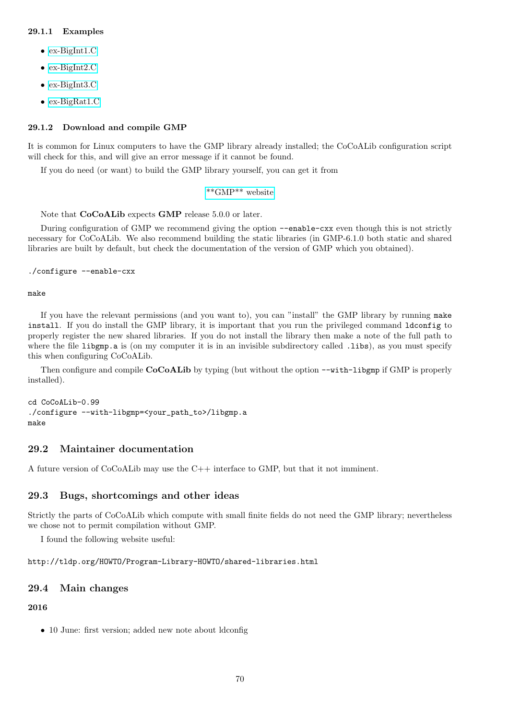#### 29.1.1 Examples

- [ex-BigInt1.C](../../examples/index.html#ex-BigInt1.C)
- [ex-BigInt2.C](../../examples/index.html#ex-BigInt2.C)
- [ex-BigInt3.C](../../examples/index.html#ex-BigInt3.C)
- [ex-BigRat1.C](../../examples/index.html#ex-BigRat1.C)

### 29.1.2 Download and compile GMP

It is common for Linux computers to have the GMP library already installed; the CoCoALib configuration script will check for this, and will give an error message if it cannot be found.

If you do need (or want) to build the GMP library yourself, you can get it from

```
**GMP** website
```
Note that CoCoALib expects GMP release 5.0.0 or later.

During configuration of GMP we recommend giving the option --enable-cxx even though this is not strictly necessary for CoCoALib. We also recommend building the static libraries (in GMP-6.1.0 both static and shared libraries are built by default, but check the documentation of the version of GMP which you obtained).

```
./configure --enable-cxx
```
make

If you have the relevant permissions (and you want to), you can "install" the GMP library by running make install. If you do install the GMP library, it is important that you run the privileged command ldconfig to properly register the new shared libraries. If you do not install the library then make a note of the full path to where the file libgmp.a is (on my computer it is in an invisible subdirectory called .libs), as you must specify this when configuring CoCoALib.

Then configure and compile CoCoALib by typing (but without the option  $--with-libgmp$  if GMP is properly installed).

cd CoCoALib-0.99 ./configure --with-libgmp=<your\_path\_to>/libgmp.a make

## 29.2 Maintainer documentation

A future version of CoCoALib may use the C++ interface to GMP, but that it not imminent.

## 29.3 Bugs, shortcomings and other ideas

Strictly the parts of CoCoALib which compute with small finite fields do not need the GMP library; nevertheless we chose not to permit compilation without GMP.

I found the following website useful:

## http://tldp.org/HOWTO/Program-Library-HOWTO/shared-libraries.html

### 29.4 Main changes

## 2016

• 10 June: first version; added new note about ldconfig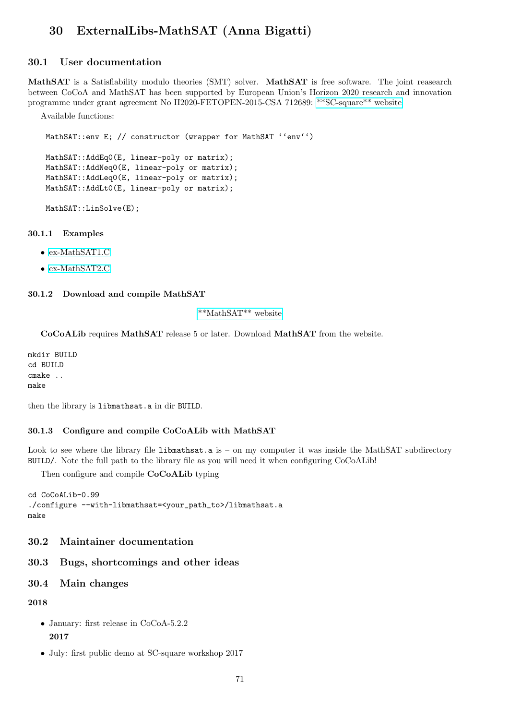# 30 ExternalLibs-MathSAT (Anna Bigatti)

## 30.1 User documentation

MathSAT is a Satisfiability modulo theories (SMT) solver. MathSAT is free software. The joint reasearch between CoCoA and MathSAT has been supported by European Union's Horizon 2020 research and innovation programme under grant agreement No H2020-FETOPEN-2015-CSA 712689: [\\*\\*SC-square\\*\\* website](http://www.sc-square.org/)

Available functions:

MathSAT::env E; // constructor (wrapper for MathSAT ''env'')

```
MathSAT::AddEq0(E, linear-poly or matrix);
MathSAT::AddNeq0(E, linear-poly or matrix);
MathSAT::AddLeq0(E, linear-poly or matrix);
MathSAT::AddLt0(E, linear-poly or matrix);
```
MathSAT::LinSolve(E);

#### 30.1.1 Examples

- [ex-MathSAT1.C](../../examples/index.html#ex-MathSAT1.C)
- [ex-MathSAT2.C](../../examples/index.html#ex-MathSAT2.C)

## 30.1.2 Download and compile MathSAT

## [\\*\\*MathSAT\\*\\* website](http://mathsat.fbk.eu/)

CoCoALib requires MathSAT release 5 or later. Download MathSAT from the website.

mkdir BUILD cd BUILD cmake .. make

then the library is libmathsat.a in dir BUILD.

#### 30.1.3 Configure and compile CoCoALib with MathSAT

Look to see where the library file libmathsat.a is – on my computer it was inside the MathSAT subdirectory BUILD/. Note the full path to the library file as you will need it when configuring CoCoALib!

Then configure and compile CoCoALib typing

```
cd CoCoALib-0.99
./configure --with-libmathsat=<your_path_to>/libmathsat.a
make
```
## 30.2 Maintainer documentation

## 30.3 Bugs, shortcomings and other ideas

## 30.4 Main changes

2018

- January: first release in CoCoA-5.2.2 2017
- July: first public demo at SC-square workshop 2017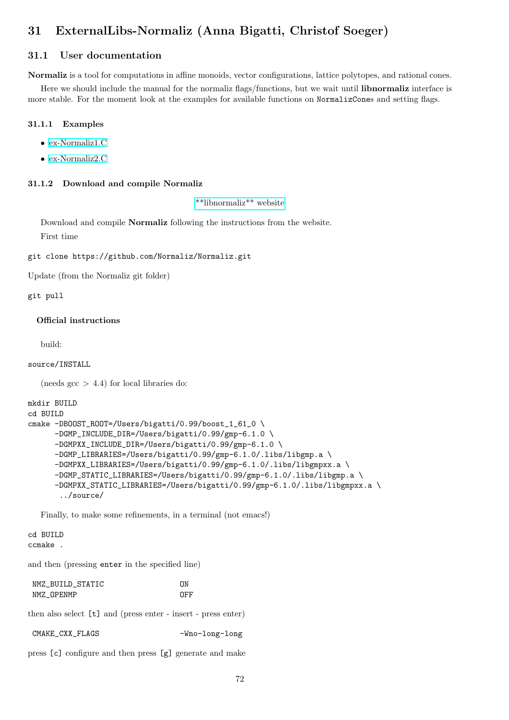# 31 ExternalLibs-Normaliz (Anna Bigatti, Christof Soeger)

## 31.1 User documentation

Normaliz is a tool for computations in affine monoids, vector configurations, lattice polytopes, and rational cones.

Here we should include the manual for the normaliz flags/functions, but we wait until libnormaliz interface is more stable. For the moment look at the examples for available functions on NormalizCones and setting flags.

#### 31.1.1 Examples

- [ex-Normaliz1.C](../../examples/index.html#ex-Normaliz1.C)
- [ex-Normaliz2.C](../../examples/index.html#ex-Normaliz2.C)

#### 31.1.2 Download and compile Normaliz

[\\*\\*libnormaliz\\*\\* website](https://www.normaliz.uni-osnabrueck.de/)

Download and compile Normaliz following the instructions from the website. First time

git clone https://github.com/Normaliz/Normaliz.git

Update (from the Normaliz git folder)

git pull

#### Official instructions

build:

#### source/INSTALL

(needs  $\text{gcc} > 4.4$ ) for local libraries do:

```
mkdir BUILD
cd BUILD
cmake -DBOOST_ROOT=/Users/bigatti/0.99/boost_1_61_0 \
      -DGMP_INCLUDE_DIR=/Users/bigatti/0.99/gmp-6.1.0 \
      -DGMPXX_INCLUDE_DIR=/Users/bigatti/0.99/gmp-6.1.0 \
      -DGMP_LIBRARIES=/Users/bigatti/0.99/gmp-6.1.0/.libs/libgmp.a \
      -DGMPXX_LIBRARIES=/Users/bigatti/0.99/gmp-6.1.0/.libs/libgmpxx.a \
      -DGMP_STATIC_LIBRARIES=/Users/bigatti/0.99/gmp-6.1.0/.libs/libgmp.a \
      -DGMPXX_STATIC_LIBRARIES=/Users/bigatti/0.99/gmp-6.1.0/.libs/libgmpxx.a \
       ../source/
```
Finally, to make some refinements, in a terminal (not emacs!)

cd BUILD ccmake .

and then (pressing enter in the specified line)

| NMZ BUILD STATIC | ΩN  |
|------------------|-----|
| NMZ OPENMP       | OFF |

then also select [t] and (press enter - insert - press enter)

CMAKE\_CXX\_FLAGS -Wno-long-long

press [c] configure and then press [g] generate and make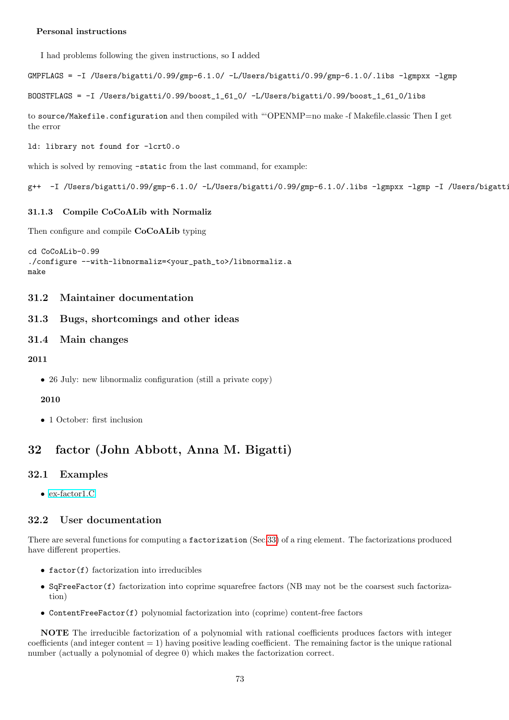## Personal instructions

I had problems following the given instructions, so I added

GMPFLAGS = -I /Users/bigatti/0.99/gmp-6.1.0/ -L/Users/bigatti/0.99/gmp-6.1.0/.libs -lgmpxx -lgmp

BOOSTFLAGS = -I /Users/bigatti/0.99/boost\_1\_61\_0/ -L/Users/bigatti/0.99/boost\_1\_61\_0/libs

to source/Makefile.configuration and then compiled with "'OPENMP=no make -f Makefile.classic Then I get the error

ld: library not found for -lcrt0.o

which is solved by removing -static from the last command, for example:

g++ -I /Users/bigatti/0.99/gmp-6.1.0/ -L/Users/bigatti/0.99/gmp-6.1.0/.libs -lgmpxx -lgmp -I /Users/bigatt:

## 31.1.3 Compile CoCoALib with Normaliz

Then configure and compile CoCoALib typing

```
cd CoCoALib-0.99
./configure --with-libnormaliz=<your_path_to>/libnormaliz.a
make
```
## 31.2 Maintainer documentation

## 31.3 Bugs, shortcomings and other ideas

## 31.4 Main changes

## 2011

• 26 July: new libnormaliz configuration (still a private copy)

## 2010

• 1 October: first inclusion

# <span id="page-72-0"></span>32 factor (John Abbott, Anna M. Bigatti)

## 32.1 Examples

• [ex-factor1.C](../../examples/index.html#ex-factor1.C)

## 32.2 User documentation

There are several functions for computing a factorization (Sec[.33\)](#page-73-0) of a ring element. The factorizations produced have different properties.

- $\bullet$  factor(f) factorization into irreducibles
- SqFreeFactor(f) factorization into coprime squarefree factors (NB may not be the coarsest such factorization)
- ContentFreeFactor(f) polynomial factorization into (coprime) content-free factors

NOTE The irreducible factorization of a polynomial with rational coefficients produces factors with integer coefficients (and integer content  $= 1$ ) having positive leading coefficient. The remaining factor is the unique rational number (actually a polynomial of degree 0) which makes the factorization correct.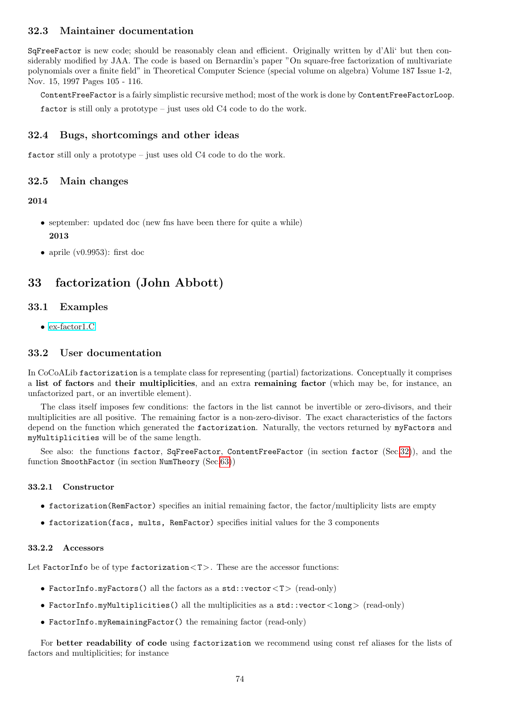## 32.3 Maintainer documentation

SqFreeFactor is new code; should be reasonably clean and efficient. Originally written by d'Ali' but then considerably modified by JAA. The code is based on Bernardin's paper "On square-free factorization of multivariate polynomials over a finite field" in Theoretical Computer Science (special volume on algebra) Volume 187 Issue 1-2, Nov. 15, 1997 Pages 105 - 116.

ContentFreeFactor is a fairly simplistic recursive method; most of the work is done by ContentFreeFactorLoop.

factor is still only a prototype – just uses old C4 code to do the work.

## 32.4 Bugs, shortcomings and other ideas

factor still only a prototype – just uses old C4 code to do the work.

## 32.5 Main changes

## 2014

- september: updated doc (new first have been there for quite a while) 2013
- aprile (v0.9953): first doc

# <span id="page-73-0"></span>33 factorization (John Abbott)

## 33.1 Examples

• [ex-factor1.C](../../examples/index.html#ex-factor1.C)

## 33.2 User documentation

In CoCoALib factorization is a template class for representing (partial) factorizations. Conceptually it comprises a list of factors and their multiplicities, and an extra remaining factor (which may be, for instance, an unfactorized part, or an invertible element).

The class itself imposes few conditions: the factors in the list cannot be invertible or zero-divisors, and their multiplicities are all positive. The remaining factor is a non-zero-divisor. The exact characteristics of the factors depend on the function which generated the factorization. Naturally, the vectors returned by myFactors and myMultiplicities will be of the same length.

See also: the functions factor, SqFreeFactor, ContentFreeFactor (in section factor (Sec[.32\)](#page-72-0)), and the function SmoothFactor (in section NumTheory (Sec[.63\)](#page-132-0))

## 33.2.1 Constructor

- factorization(RemFactor) specifies an initial remaining factor, the factor/multiplicity lists are empty
- factorization(facs, mults, RemFactor) specifies initial values for the 3 components

## 33.2.2 Accessors

Let FactorInfo be of type factorization <T>. These are the accessor functions:

- FactorInfo.myFactors() all the factors as a std::vector $(T>$  (read-only)
- FactorInfo.myMultiplicities() all the multiplicities as a std::vector<long> (read-only)
- FactorInfo.myRemainingFactor() the remaining factor (read-only)

For better readability of code using factorization we recommend using const ref aliases for the lists of factors and multiplicities; for instance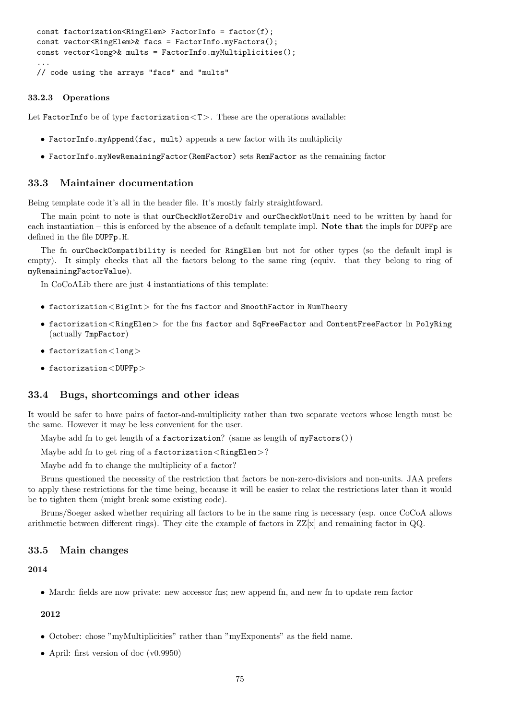```
const factorization<RingElem> FactorInfo = factor(f);
const vector<RingElem>& facs = FactorInfo.myFactors();
const vector<long>& mults = FactorInfo.myMultiplicities();
...
// code using the arrays "facs" and "mults"
```
#### 33.2.3 Operations

Let FactorInfo be of type factorization  $(T>$ . These are the operations available:

- FactorInfo.myAppend(fac, mult) appends a new factor with its multiplicity
- FactorInfo.myNewRemainingFactor(RemFactor) sets RemFactor as the remaining factor

## 33.3 Maintainer documentation

Being template code it's all in the header file. It's mostly fairly straightfoward.

The main point to note is that ourCheckNotZeroDiv and ourCheckNotUnit need to be written by hand for each instantiation – this is enforced by the absence of a default template impl. Note that the impls for DUPFp are defined in the file DUPFp.H.

The fn ourCheckCompatibility is needed for RingElem but not for other types (so the default impl is empty). It simply checks that all the factors belong to the same ring (equiv. that they belong to ring of myRemainingFactorValue).

In CoCoALib there are just 4 instantiations of this template:

- factorization  $\langle$  BigInt  $\rangle$  for the fns factor and SmoothFactor in NumTheory
- factorization<RingElem> for the fns factor and SqFreeFactor and ContentFreeFactor in PolyRing (actually TmpFactor)
- factorization<long>
- factorization  $<$  DUPFp $>$

## 33.4 Bugs, shortcomings and other ideas

It would be safer to have pairs of factor-and-multiplicity rather than two separate vectors whose length must be the same. However it may be less convenient for the user.

Maybe add fn to get length of a factorization? (same as length of myFactors())

Maybe add fn to get ring of a factorization  $\langle$  RingElem $\rangle$ ?

Maybe add fn to change the multiplicity of a factor?

Bruns questioned the necessity of the restriction that factors be non-zero-divisiors and non-units. JAA prefers to apply these restrictions for the time being, because it will be easier to relax the restrictions later than it would be to tighten them (might break some existing code).

Bruns/Soeger asked whether requiring all factors to be in the same ring is necessary (esp. once CoCoA allows arithmetic between different rings). They cite the example of factors in  $ZZ[x]$  and remaining factor in QQ.

#### 33.5 Main changes

## 2014

• March: fields are now private: new accessor fins; new append fn, and new fn to update rem factor

#### 2012

- October: chose "myMultiplicities" rather than "myExponents" as the field name.
- April: first version of doc (v0.9950)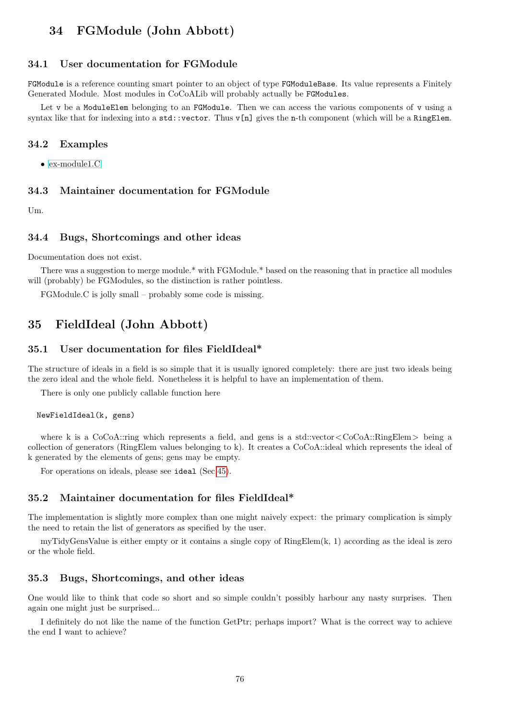# 34 FGModule (John Abbott)

## 34.1 User documentation for FGModule

FGModule is a reference counting smart pointer to an object of type FGModuleBase. Its value represents a Finitely Generated Module. Most modules in CoCoALib will probably actually be FGModules.

Let v be a ModuleElem belonging to an FGModule. Then we can access the various components of v using a syntax like that for indexing into a  $std::vector$ . Thus  $v[n]$  gives the n-th component (which will be a RingElem.

## 34.2 Examples

• [ex-module1.C](../../examples/index.html#ex-module1.C)

## 34.3 Maintainer documentation for FGModule

Um.

#### 34.4 Bugs, Shortcomings and other ideas

Documentation does not exist.

There was a suggestion to merge module.\* with FGModule.\* based on the reasoning that in practice all modules will (probably) be FGModules, so the distinction is rather pointless.

FGModule.C is jolly small – probably some code is missing.

# 35 FieldIdeal (John Abbott)

# 35.1 User documentation for files FieldIdeal\*

The structure of ideals in a field is so simple that it is usually ignored completely: there are just two ideals being the zero ideal and the whole field. Nonetheless it is helpful to have an implementation of them.

There is only one publicly callable function here

#### NewFieldIdeal(k, gens)

where k is a  $CoCoA::ring$  which represents a field, and gens is a std::vector  $\langle CoCoA::RingElem \rangle$  being a collection of generators (RingElem values belonging to k). It creates a CoCoA::ideal which represents the ideal of k generated by the elements of gens; gens may be empty.

For operations on ideals, please see ideal (Sec[.45\)](#page-89-0).

### 35.2 Maintainer documentation for files FieldIdeal\*

The implementation is slightly more complex than one might naively expect: the primary complication is simply the need to retain the list of generators as specified by the user.

myTidyGensValue is either empty or it contains a single copy of RingElem(k, 1) according as the ideal is zero or the whole field.

#### 35.3 Bugs, Shortcomings, and other ideas

One would like to think that code so short and so simple couldn't possibly harbour any nasty surprises. Then again one might just be surprised...

I definitely do not like the name of the function GetPtr; perhaps import? What is the correct way to achieve the end I want to achieve?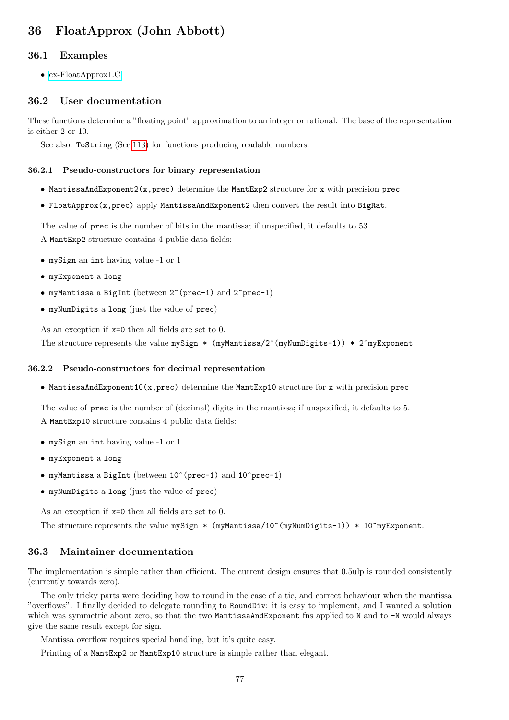# 36 FloatApprox (John Abbott)

## 36.1 Examples

• [ex-FloatApprox1.C](../../examples/index.html#ex-FloatApprox1.C)

## 36.2 User documentation

These functions determine a "floating point" approximation to an integer or rational. The base of the representation is either 2 or 10.

See also: ToString (Sec[.113\)](#page-222-0) for functions producing readable numbers.

#### 36.2.1 Pseudo-constructors for binary representation

- MantissaAndExponent2(x,prec) determine the MantExp2 structure for x with precision prec
- FloatApprox(x,prec) apply MantissaAndExponent2 then convert the result into BigRat.

The value of prec is the number of bits in the mantissa; if unspecified, it defaults to 53. A MantExp2 structure contains 4 public data fields:

- mySign an int having value -1 or 1
- myExponent a long
- myMantissa a BigInt (between 2^(prec-1) and 2^prec-1)
- myNumDigits a long (just the value of prec)

As an exception if x=0 then all fields are set to 0. The structure represents the value mySign \* (myMantissa/2^(myNumDigits-1)) \* 2^myExponent.

#### 36.2.2 Pseudo-constructors for decimal representation

• MantissaAndExponent10(x,prec) determine the MantExp10 structure for x with precision prec

The value of prec is the number of (decimal) digits in the mantissa; if unspecified, it defaults to 5. A MantExp10 structure contains 4 public data fields:

- mySign an int having value -1 or 1
- myExponent a long
- myMantissa a BigInt (between 10^(prec-1) and 10^prec-1)
- myNumDigits a long (just the value of prec)

As an exception if x=0 then all fields are set to 0.

The structure represents the value mySign \* (myMantissa/10^(myNumDigits-1)) \* 10^myExponent.

#### 36.3 Maintainer documentation

The implementation is simple rather than efficient. The current design ensures that 0.5ulp is rounded consistently (currently towards zero).

The only tricky parts were deciding how to round in the case of a tie, and correct behaviour when the mantissa "overflows". I finally decided to delegate rounding to RoundDiv: it is easy to implement, and I wanted a solution which was symmetric about zero, so that the two MantissaAndExponent fns applied to N and to -N would always give the same result except for sign.

Mantissa overflow requires special handling, but it's quite easy.

Printing of a MantExp2 or MantExp10 structure is simple rather than elegant.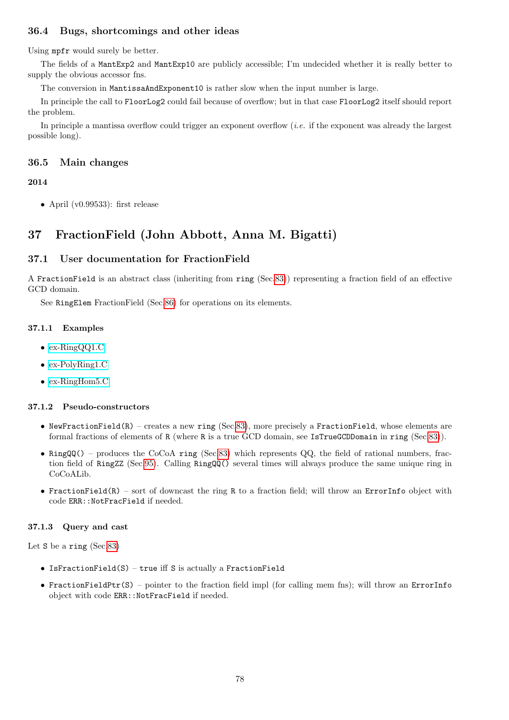# 36.4 Bugs, shortcomings and other ideas

Using mpfr would surely be better.

The fields of a MantExp2 and MantExp10 are publicly accessible; I'm undecided whether it is really better to supply the obvious accessor fns.

The conversion in MantissaAndExponent10 is rather slow when the input number is large.

In principle the call to FloorLog2 could fail because of overflow; but in that case FloorLog2 itself should report the problem.

In principle a mantissa overflow could trigger an exponent overflow *(i.e.* if the exponent was already the largest possible long).

## 36.5 Main changes

## 2014

• April (v0.99533): first release

# 37 FractionField (John Abbott, Anna M. Bigatti)

## 37.1 User documentation for FractionField

A FractionField is an abstract class (inheriting from ring (Sec[.83\)](#page-169-0)) representing a fraction field of an effective GCD domain.

See RingElem FractionField (Sec[.86\)](#page-174-0) for operations on its elements.

## 37.1.1 Examples

- [ex-RingQQ1.C](../../examples/index.html#ex-RingQ1.C)
- [ex-PolyRing1.C](../../examples/index.html#ex-PolyRing1.C)
- [ex-RingHom5.C](../../examples/index.html#ex-RingHom5.C)

## 37.1.2 Pseudo-constructors

- NewFractionField(R) creates a new ring (Sec[.83\)](#page-169-0), more precisely a FractionField, whose elements are formal fractions of elements of R (where R is a true GCD domain, see IsTrueGCDDomain in ring (Sec[.83\)](#page-169-0)).
- RingQQ() produces the CoCoA ring (Sec[.83\)](#page-169-0) which represents QQ, the field of rational numbers, fraction field of RingZZ (Sec[.95\)](#page-200-0). Calling RingQQ() several times will always produce the same unique ring in CoCoALib.
- FractionField(R) sort of downcast the ring R to a fraction field; will throw an ErrorInfo object with code ERR::NotFracField if needed.

## 37.1.3 Query and cast

Let S be a ring (Sec[.83\)](#page-169-0)

- IsFractionField(S) true iff S is actually a FractionField
- FractionFieldPtr(S) pointer to the fraction field impl (for calling mem fns); will throw an ErrorInfo object with code ERR::NotFracField if needed.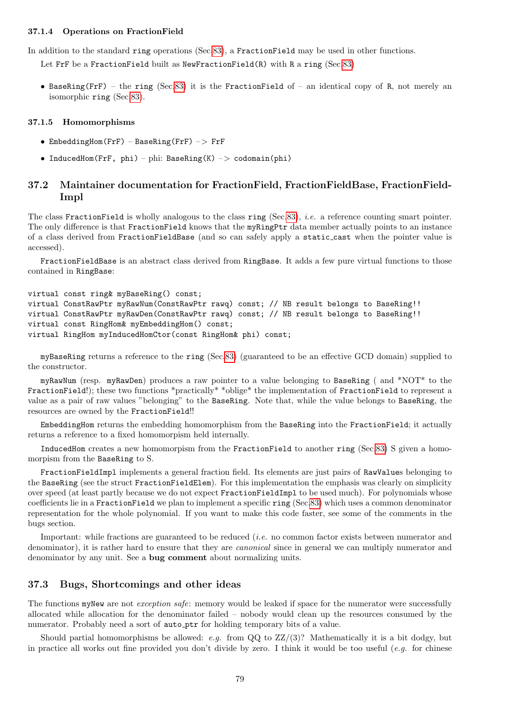#### 37.1.4 Operations on FractionField

In addition to the standard ring operations (Sec[.83\)](#page-169-0), a FractionField may be used in other functions.

Let FrF be a FractionField built as NewFractionField(R) with R a ring (Sec[.83\)](#page-169-0)

• BaseRing(FrF) – the ring (Sec[.83\)](#page-169-0) it is the FractionField of – an identical copy of R, not merely an isomorphic ring (Sec[.83\)](#page-169-0).

#### 37.1.5 Homomorphisms

- EmbeddingHom(FrF) BaseRing(FrF) –> FrF
- InducedHom(FrF, phi) phi: BaseRing(K) –> codomain(phi)

## 37.2 Maintainer documentation for FractionField, FractionFieldBase, FractionField-Impl

The class FractionField is wholly analogous to the class ring (Sec[.83\)](#page-169-0), *i.e.* a reference counting smart pointer. The only difference is that FractionField knows that the myRingPtr data member actually points to an instance of a class derived from FractionFieldBase (and so can safely apply a static cast when the pointer value is accessed).

FractionFieldBase is an abstract class derived from RingBase. It adds a few pure virtual functions to those contained in RingBase:

```
virtual const ring& myBaseRing() const;
virtual ConstRawPtr myRawNum(ConstRawPtr rawq) const; // NB result belongs to BaseRing!!
virtual ConstRawPtr myRawDen(ConstRawPtr rawq) const; // NB result belongs to BaseRing!!
virtual const RingHom& myEmbeddingHom() const;
virtual RingHom myInducedHomCtor(const RingHom& phi) const;
```
myBaseRing returns a reference to the ring (Sec[.83\)](#page-169-0) (guaranteed to be an effective GCD domain) supplied to the constructor.

myRawNum (resp. myRawDen) produces a raw pointer to a value belonging to BaseRing ( and \*NOT\* to the FractionField!); these two functions \*practically\* \*oblige\* the implementation of FractionField to represent a value as a pair of raw values "belonging" to the BaseRing. Note that, while the value belongs to BaseRing, the resources are owned by the FractionField!!

EmbeddingHom returns the embedding homomorphism from the BaseRing into the FractionField; it actually returns a reference to a fixed homomorpism held internally.

InducedHom creates a new homomorpism from the FractionField to another ring (Sec[.83\)](#page-169-0) S given a homomorpism from the BaseRing to S.

FractionFieldImpl implements a general fraction field. Its elements are just pairs of RawValues belonging to the BaseRing (see the struct FractionFieldElem). For this implementation the emphasis was clearly on simplicity over speed (at least partly because we do not expect FractionFieldImpl to be used much). For polynomials whose coefficients lie in a FractionField we plan to implement a specific ring (Sec[.83\)](#page-169-0) which uses a common denominator representation for the whole polynomial. If you want to make this code faster, see some of the comments in the bugs section.

Important: while fractions are guaranteed to be reduced (i.e. no common factor exists between numerator and denominator), it is rather hard to ensure that they are *canonical* since in general we can multiply numerator and denominator by any unit. See a bug comment about normalizing units.

## 37.3 Bugs, Shortcomings and other ideas

The functions myNew are not *exception safe*: memory would be leaked if space for the numerator were successfully allocated while allocation for the denominator failed – nobody would clean up the resources consumed by the numerator. Probably need a sort of auto ptr for holding temporary bits of a value.

Should partial homomorphisms be allowed: e.g. from  $QQ$  to  $ZZ/(3)$ ? Mathematically it is a bit dodgy, but in practice all works out fine provided you don't divide by zero. I think it would be too useful (e.g. for chinese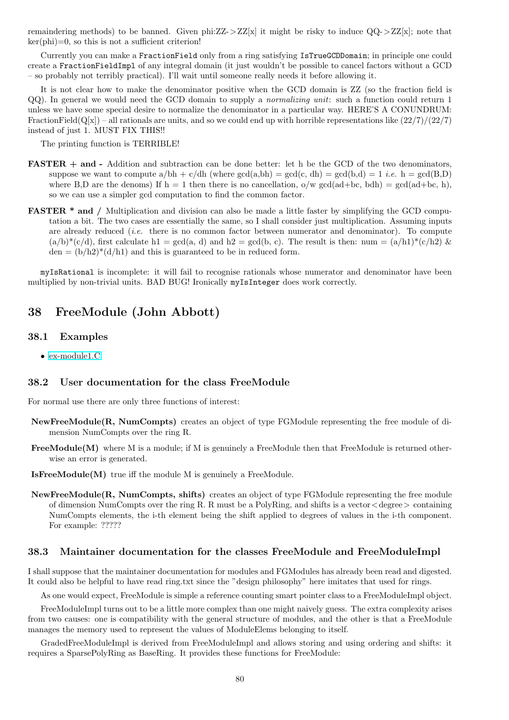remaindering methods) to be banned. Given phi: $ZZ > ZZ[x]$  it might be risky to induce  $QQ > ZZ[x]$ ; note that  $ker(\text{phi})=0$ , so this is not a sufficient criterion!

Currently you can make a FractionField only from a ring satisfying IsTrueGCDDomain; in principle one could create a FractionFieldImpl of any integral domain (it just wouldn't be possible to cancel factors without a GCD – so probably not terribly practical). I'll wait until someone really needs it before allowing it.

It is not clear how to make the denominator positive when the GCD domain is  $ZZ$  (so the fraction field is QQ). In general we would need the GCD domain to supply a normalizing unit: such a function could return 1 unless we have some special desire to normalize the denominator in a particular way. HERE'S A CONUNDRUM: FractionField( $Q[x]$ ) – all rationals are units, and so we could end up with horrible representations like  $(22/7)/(22/7)$ instead of just 1. MUST FIX THIS!!

The printing function is TERRIBLE!

- FASTER + and Addition and subtraction can be done better: let h be the GCD of the two denominators, suppose we want to compute  $a/bh + c/dh$  (where  $gcd(a,bh) = gcd(c, dh) = gcd(b,d) = 1$  *i.e.*  $h = gcd(B,D)$ where B,D are the denoms) If  $h = 1$  then there is no cancellation,  $o/w \text{ gcd}(ad+bc, bdh) = \text{gcd}(ad+bc, h)$ , so we can use a simpler gcd computation to find the common factor.
- FASTER \* and / Multiplication and division can also be made a little faster by simplifying the GCD computation a bit. The two cases are essentially the same, so I shall consider just multiplication. Assuming inputs are already reduced *(i.e.* there is no common factor between numerator and denominator). To compute  $(a/b)^*(c/d)$ , first calculate h1 = gcd(a, d) and h2 = gcd(b, c). The result is then: num =  $(a/h1)^*(c/h2)$  &  $den = (b/h2)^*(d/h1)$  and this is guaranteed to be in reduced form.

myIsRational is incomplete: it will fail to recognise rationals whose numerator and denominator have been multiplied by non-trivial units. BAD BUG! Ironically myIsInteger does work correctly.

# 38 FreeModule (John Abbott)

## 38.1 Examples

• [ex-module1.C](../../examples/index.html#ex-module1.C)

## 38.2 User documentation for the class FreeModule

For normal use there are only three functions of interest:

- NewFreeModule(R, NumCompts) creates an object of type FGModule representing the free module of dimension NumCompts over the ring R.
- $FreeModule(M)$  where M is a module; if M is genuinely a FreeModule then that FreeModule is returned otherwise an error is generated.

IsFreeModule(M) true iff the module M is genuinely a FreeModule.

NewFreeModule(R, NumCompts, shifts) creates an object of type FGModule representing the free module of dimension NumCompts over the ring R. R must be a PolyRing, and shifts is a vector  $\langle$  degree  $\rangle$  containing NumCompts elements, the i-th element being the shift applied to degrees of values in the i-th component. For example: ?????

#### 38.3 Maintainer documentation for the classes FreeModule and FreeModuleImpl

I shall suppose that the maintainer documentation for modules and FGModules has already been read and digested. It could also be helpful to have read ring.txt since the "design philosophy" here imitates that used for rings.

As one would expect, FreeModule is simple a reference counting smart pointer class to a FreeModuleImpl object.

FreeModuleImpl turns out to be a little more complex than one might naively guess. The extra complexity arises from two causes: one is compatibility with the general structure of modules, and the other is that a FreeModule manages the memory used to represent the values of ModuleElems belonging to itself.

GradedFreeModuleImpl is derived from FreeModuleImpl and allows storing and using ordering and shifts: it requires a SparsePolyRing as BaseRing. It provides these functions for FreeModule: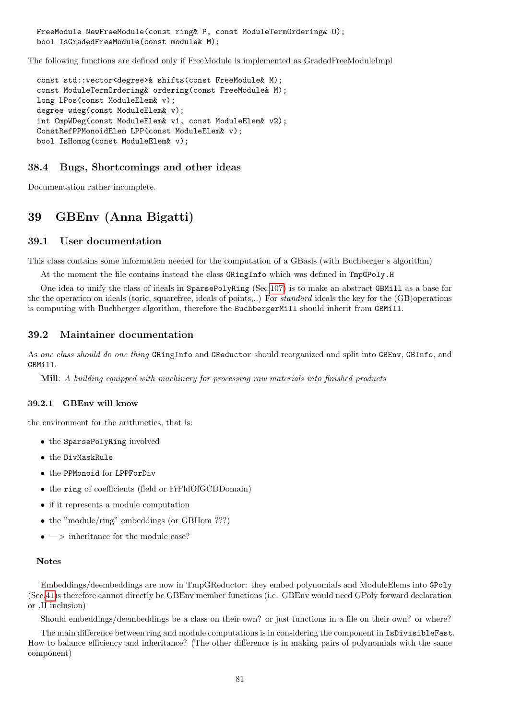FreeModule NewFreeModule(const ring& P, const ModuleTermOrdering& O); bool IsGradedFreeModule(const module& M);

The following functions are defined only if FreeModule is implemented as GradedFreeModuleImpl

```
const std::vector<degree>& shifts(const FreeModule& M);
const ModuleTermOrdering& ordering(const FreeModule& M);
long LPos(const ModuleElem& v);
degree wdeg(const ModuleElem& v);
int CmpWDeg(const ModuleElem& v1, const ModuleElem& v2);
ConstRefPPMonoidElem LPP(const ModuleElem& v);
bool IsHomog(const ModuleElem& v);
```
## 38.4 Bugs, Shortcomings and other ideas

Documentation rather incomplete.

# 39 GBEnv (Anna Bigatti)

#### 39.1 User documentation

This class contains some information needed for the computation of a GBasis (with Buchberger's algorithm)

At the moment the file contains instead the class GRingInfo which was defined in TmpGPoly.H

One idea to unify the class of ideals in SparsePolyRing (Sec[.107\)](#page-214-0) is to make an abstract GBMill as a base for the the operation on ideals (toric, squarefree, ideals of points,..) For standard ideals the key for the (GB)operations is computing with Buchberger algorithm, therefore the BuchbergerMill should inherit from GBMill.

## 39.2 Maintainer documentation

As one class should do one thing GRingInfo and GReductor should reorganized and split into GBEnv, GBInfo, and GBMill.

Mill: A building equipped with machinery for processing raw materials into finished products

#### 39.2.1 GBEnv will know

the environment for the arithmetics, that is:

- the SparsePolyRing involved
- the DivMaskRule
- the PPMonoid for LPPForDiv
- the ring of coefficients (field or FrFldOfGCDDomain)
- if it represents a module computation
- the "module/ring" embeddings (or GBHom ???)
- $\bullet \Longrightarrow$  inheritance for the module case?

#### Notes

Embeddings/deembeddings are now in TmpGReductor: they embed polynomials and ModuleElems into GPoly (Sec[.41\)](#page-84-0)s therefore cannot directly be GBEnv member functions (i.e. GBEnv would need GPoly forward declaration or .H inclusion)

Should embeddings/deembeddings be a class on their own? or just functions in a file on their own? or where?

The main difference between ring and module computations is in considering the component in IsDivisibleFast. How to balance efficiency and inheritance? (The other difference is in making pairs of polynomials with the same component)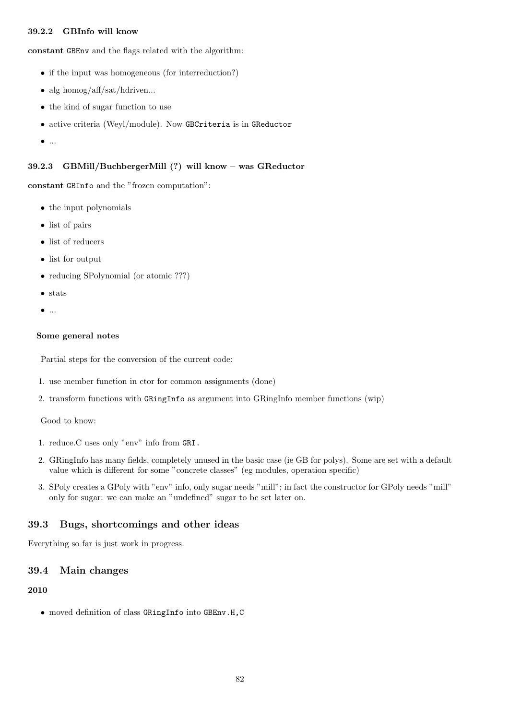## 39.2.2 GBInfo will know

constant GBEnv and the flags related with the algorithm:

- if the input was homogeneous (for interreduction?)
- alg homog/aff/sat/hdriven...
- the kind of sugar function to use
- active criteria (Weyl/module). Now GBCriteria is in GReductor
- $\bullet$  ...

## 39.2.3 GBMill/BuchbergerMill (?) will know – was GReductor

constant GBInfo and the "frozen computation":

- the input polynomials
- list of pairs
- list of reducers
- list for output
- reducing SPolynomial (or atomic ???)
- stats
- $\bullet$  ...

#### Some general notes

Partial steps for the conversion of the current code:

- 1. use member function in ctor for common assignments (done)
- 2. transform functions with GRingInfo as argument into GRingInfo member functions (wip)

Good to know:

- 1. reduce.C uses only "env" info from GRI.
- 2. GRingInfo has many fields, completely unused in the basic case (ie GB for polys). Some are set with a default value which is different for some "concrete classes" (eg modules, operation specific)
- 3. SPoly creates a GPoly with "env" info, only sugar needs "mill"; in fact the constructor for GPoly needs "mill" only for sugar: we can make an "undefined" sugar to be set later on.

## 39.3 Bugs, shortcomings and other ideas

Everything so far is just work in progress.

## 39.4 Main changes

#### 2010

• moved definition of class GRingInfo into GBEnv.H,C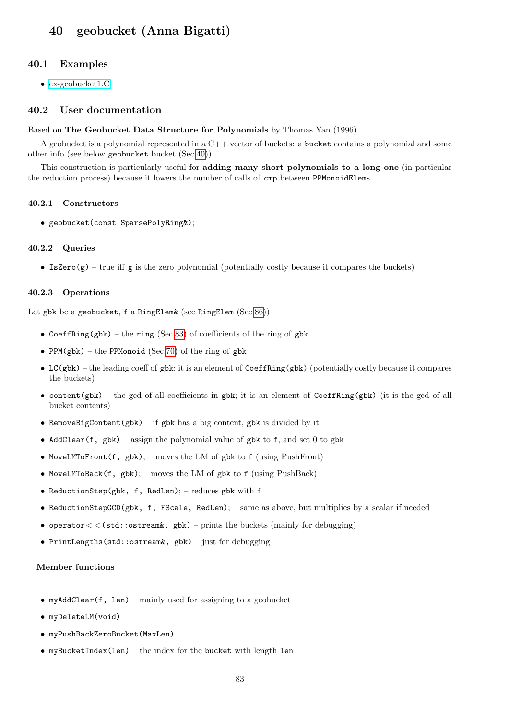# <span id="page-82-0"></span>40 geobucket (Anna Bigatti)

#### 40.1 Examples

• [ex-geobucket1.C](../../examples/index.html#ex-geobucket1.C)

#### 40.2 User documentation

#### Based on The Geobucket Data Structure for Polynomials by Thomas Yan (1996).

A geobucket is a polynomial represented in a C++ vector of buckets: a bucket contains a polynomial and some other info (see below geobucket bucket (Sec[.40\)](#page-82-0))

This construction is particularly useful for adding many short polynomials to a long one (in particular the reduction process) because it lowers the number of calls of cmp between PPMonoidElems.

#### 40.2.1 Constructors

• geobucket(const SparsePolyRing&);

#### 40.2.2 Queries

• IsZero $(g)$  – true iff g is the zero polynomial (potentially costly because it compares the buckets)

#### 40.2.3 Operations

Let gbk be a geobucket, f a RingElem& (see RingElem (Sec[.86\)](#page-174-0))

- CoeffRing(gbk) the ring (Sec[.83\)](#page-169-0) of coefficients of the ring of gbk
- PPM(gbk) the PPMonoid (Sec[.70\)](#page-145-0) of the ring of gbk
- LC(gbk) the leading coeff of gbk; it is an element of CoeffRing(gbk) (potentially costly because it compares the buckets)
- content(gbk) the gcd of all coefficients in gbk; it is an element of CoeffRing(gbk) (it is the gcd of all bucket contents)
- RemoveBigContent(gbk) if gbk has a big content, gbk is divided by it
- AddClear(f, gbk) assign the polynomial value of gbk to f, and set 0 to gbk
- MoveLMToFront(f, gbk); moves the LM of gbk to f (using PushFront)
- MoveLMToBack $(f, gbk)$ ; moves the LM of gbk to f (using PushBack)
- ReductionStep(gbk, f, RedLen); reduces gbk with f
- ReductionStepGCD(gbk, f, FScale, RedLen); same as above, but multiplies by a scalar if needed
- operator  $<<$  (std::ostream&, gbk) prints the buckets (mainly for debugging)
- PrintLengths(std::ostream&, gbk) just for debugging

## Member functions

- myAddClear(f, len) mainly used for assigning to a geobucket
- myDeleteLM(void)
- myPushBackZeroBucket(MaxLen)
- myBucketIndex(len) the index for the bucket with length len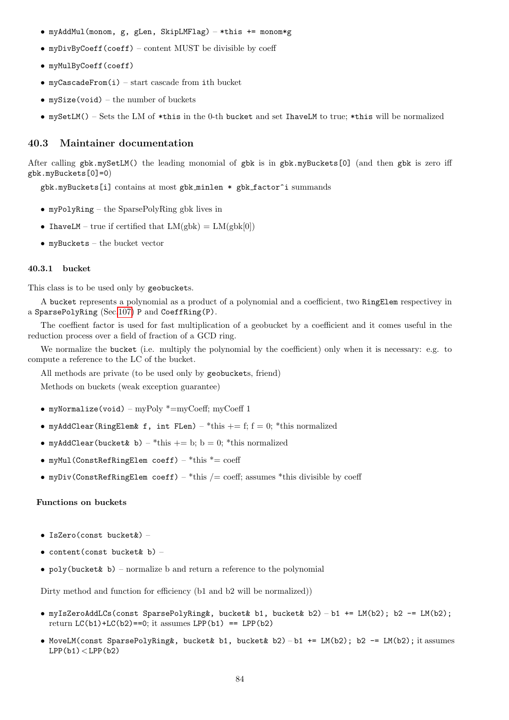- myAddMul(monom, g, gLen, SkipLMFlag) \*this += monom\*g
- myDivByCoeff(coeff) content MUST be divisible by coeff
- myMulByCoeff(coeff)
- myCascadeFrom(i) start cascade from ith bucket
- $mySize(void) the number of buckets$
- mySetLM() Sets the LM of  $*$ this in the 0-th bucket and set IhaveLM to true;  $*$ this will be normalized

## 40.3 Maintainer documentation

After calling gbk.mySetLM() the leading monomial of gbk is in gbk.myBuckets[0] (and then gbk is zero iff gbk.myBuckets[0]=0)

gbk.myBuckets[i] contains at most gbk minlen \* gbk factor^i summands

- myPolyRing the SparsePolyRing gbk lives in
- IhaveLM true if certified that  $LM(gbk) = LM(gbk[0])$
- myBuckets the bucket vector

#### 40.3.1 bucket

This class is to be used only by geobuckets.

A bucket represents a polynomial as a product of a polynomial and a coefficient, two RingElem respectivey in a SparsePolyRing (Sec[.107\)](#page-214-0) P and CoeffRing(P).

The coeffient factor is used for fast multiplication of a geobucket by a coefficient and it comes useful in the reduction process over a field of fraction of a GCD ring.

We normalize the bucket (i.e. multiply the polynomial by the coefficient) only when it is necessary: e.g. to compute a reference to the LC of the bucket.

All methods are private (to be used only by geobuckets, friend)

Methods on buckets (weak exception guarantee)

- myNormalize(void) myPoly \*=myCoeff; myCoeff 1
- myAddClear(RingElem& f, int FLen) \*this  $+= f; f = 0; *$ this normalized
- myAddClear(bucket& b) \*this  $+=$  b; b = 0; \*this normalized
- myMul(ConstRefRingElem coeff) \*this \*= coeff
- myDiv(ConstRefRingElem coeff) \*this  $/$  = coeff; assumes \*this divisible by coeff

#### Functions on buckets

- IsZero(const bucket&) –
- content(const bucket& b)  $-$
- $poly(bucket \& b)$  normalize b and return a reference to the polynomial

Dirty method and function for efficiency (b1 and b2 will be normalized))

- myIsZeroAddLCs(const SparsePolyRing&, bucket& b1, bucket& b2) b1 += LM(b2); b2 -= LM(b2); return  $LC(b1)+LC(b2) == 0$ ; it assumes  $LPP(b1) == LPP(b2)$
- MoveLM(const SparsePolyRing&, bucket& b1, bucket& b2) b1 += LM(b2); b2 -= LM(b2); it assumes  $LPP(b1)<$  $LPP(b2)$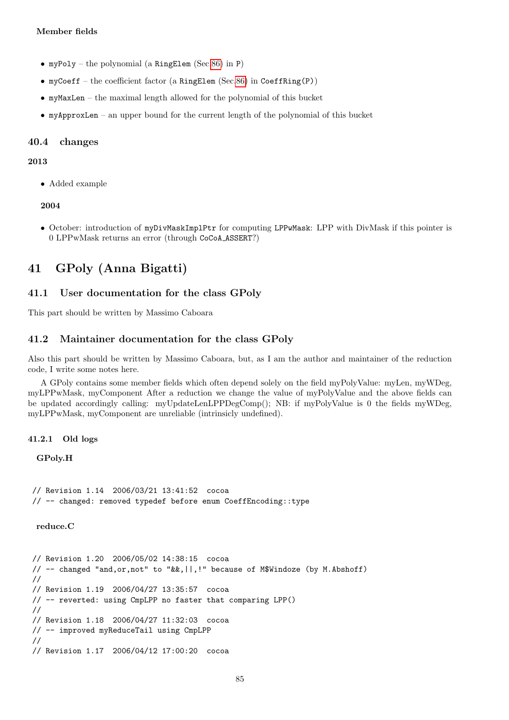#### Member fields

- myPoly the polynomial (a RingElem (Sec[.86\)](#page-174-0) in P)
- myCoeff the coefficient factor (a RingElem (Sec[.86\)](#page-174-0) in CoeffRing(P))
- myMaxLen the maximal length allowed for the polynomial of this bucket
- myApproxLen an upper bound for the current length of the polynomial of this bucket

#### 40.4 changes

#### 2013

• Added example

#### 2004

• October: introduction of myDivMaskImplPtr for computing LPPwMask: LPP with DivMask if this pointer is 0 LPPwMask returns an error (through CoCoA ASSERT?)

# <span id="page-84-0"></span>41 GPoly (Anna Bigatti)

## 41.1 User documentation for the class GPoly

This part should be written by Massimo Caboara

#### 41.2 Maintainer documentation for the class GPoly

Also this part should be written by Massimo Caboara, but, as I am the author and maintainer of the reduction code, I write some notes here.

A GPoly contains some member fields which often depend solely on the field myPolyValue: myLen, myWDeg, myLPPwMask, myComponent After a reduction we change the value of myPolyValue and the above fields can be updated accordingly calling: myUpdateLenLPPDegComp(); NB: if myPolyValue is 0 the fields myWDeg, myLPPwMask, myComponent are unreliable (intrinsicly undefined).

41.2.1 Old logs

GPoly.H

```
// Revision 1.14 2006/03/21 13:41:52 cocoa
// -- changed: removed typedef before enum CoeffEncoding::type
```
reduce.C

```
// Revision 1.20 2006/05/02 14:38:15 cocoa
// -- changed "and,or,not" to "&&,||,!" because of M$Windoze (by M.Abshoff)
//
// Revision 1.19 2006/04/27 13:35:57 cocoa
// -- reverted: using CmpLPP no faster that comparing LPP()
//
// Revision 1.18 2006/04/27 11:32:03 cocoa
// -- improved myReduceTail using CmpLPP
//
// Revision 1.17 2006/04/12 17:00:20 cocoa
```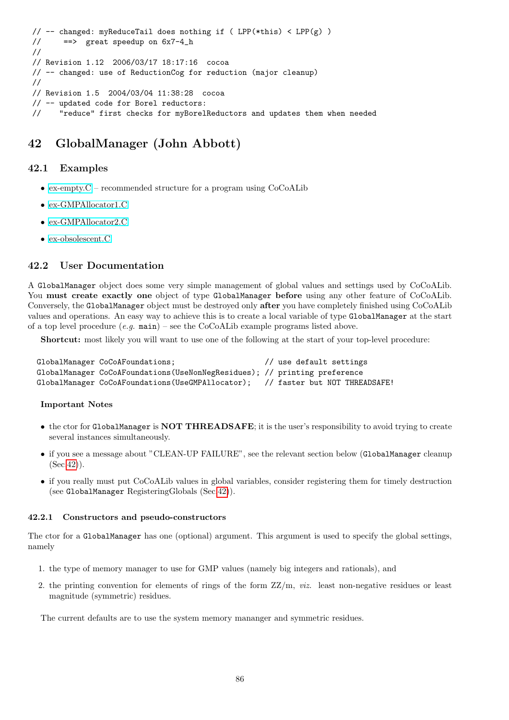```
// -- changed: myReduceTail does nothing if ( LPP(*this) < LPP(g) )
// ==> great speedup on 6x7-4_h
//
// Revision 1.12 2006/03/17 18:17:16 cocoa
// -- changed: use of ReductionCog for reduction (major cleanup)
//
// Revision 1.5 2004/03/04 11:38:28 cocoa
// -- updated code for Borel reductors:
// "reduce" first checks for myBorelReductors and updates them when needed
```
# <span id="page-85-0"></span>42 GlobalManager (John Abbott)

# 42.1 Examples

- ex-empty. $C$  recommended structure for a program using  $CoCoALib$
- [ex-GMPAllocator1.C](../../examples/index.html#ex-GMPAllocator1.C)
- [ex-GMPAllocator2.C](../../examples/index.html#ex-GMPAllocator2.C)
- [ex-obsolescent.C](../../examples/index.html#ex-obsolescent.C)

## 42.2 User Documentation

A GlobalManager object does some very simple management of global values and settings used by CoCoALib. You must create exactly one object of type GlobalManager before using any other feature of CoCoALib. Conversely, the GlobalManager object must be destroyed only after you have completely finished using CoCoALib values and operations. An easy way to achieve this is to create a local variable of type GlobalManager at the start of a top level procedure  $(e,q, \text{main})$  – see the CoCoALib example programs listed above.

Shortcut: most likely you will want to use one of the following at the start of your top-level procedure:

```
GlobalManager CoCoAFoundations; // use default settings
GlobalManager CoCoAFoundations(UseNonNegResidues); // printing preference
GlobalManager CoCoAFoundations(UseGMPAllocator); // faster but NOT THREADSAFE!
```
## Important Notes

- the ctor for GlobalManager is NOT THREADSAFE; it is the user's responsibility to avoid trying to create several instances simultaneously.
- if you see a message about "CLEAN-UP FAILURE", see the relevant section below (GlobalManager cleanup  $(Sec.42)$  $(Sec.42)$ .
- if you really must put CoCoALib values in global variables, consider registering them for timely destruction (see GlobalManager RegisteringGlobals (Sec[.42\)](#page-85-0)).

## 42.2.1 Constructors and pseudo-constructors

The ctor for a GlobalManager has one (optional) argument. This argument is used to specify the global settings, namely

- 1. the type of memory manager to use for GMP values (namely big integers and rationals), and
- 2. the printing convention for elements of rings of the form  $ZZ/m$ , *viz.* least non-negative residues or least magnitude (symmetric) residues.

The current defaults are to use the system memory mananger and symmetric residues.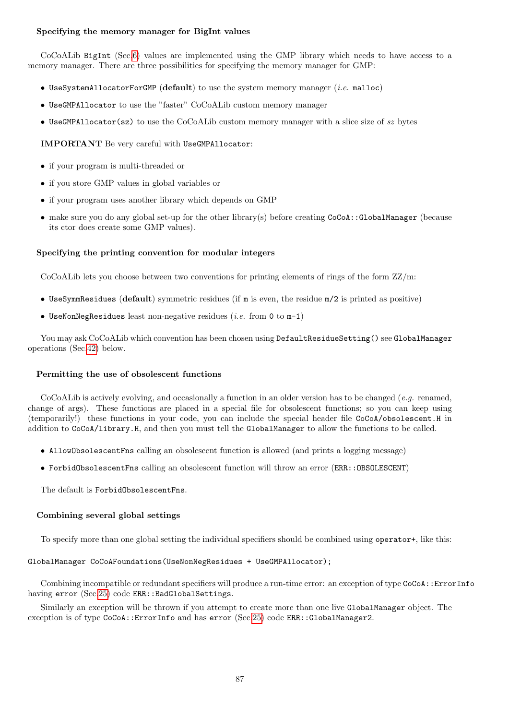## Specifying the memory manager for BigInt values

CoCoALib BigInt (Sec[.6\)](#page-34-0) values are implemented using the GMP library which needs to have access to a memory manager. There are three possibilities for specifying the memory manager for GMP:

- UseSystemAllocatorForGMP (default) to use the system memory manager (i.e. malloc)
- UseGMPAllocator to use the "faster" CoCoALib custom memory manager
- UseGMPAllocator(sz) to use the CoCoALib custom memory manager with a slice size of sz bytes

IMPORTANT Be very careful with UseGMPAllocator:

- if your program is multi-threaded or
- if you store GMP values in global variables or
- if your program uses another library which depends on GMP
- make sure you do any global set-up for the other library(s) before creating  $CoCoA::GlobalManager$  (because its ctor does create some GMP values).

## Specifying the printing convention for modular integers

CoCoALib lets you choose between two conventions for printing elements of rings of the form ZZ/m:

- UseSymmResidues (default) symmetric residues (if m is even, the residue m/2 is printed as positive)
- UseNonNegResidues least non-negative residues (*i.e.* from 0 to  $m-1$ )

You may ask CoCoALib which convention has been chosen using DefaultResidueSetting() see GlobalManager operations (Sec[.42\)](#page-85-0) below.

## Permitting the use of obsolescent functions

CoCoALib is actively evolving, and occasionally a function in an older version has to be changed (e.g. renamed, change of args). These functions are placed in a special file for obsolescent functions; so you can keep using (temporarily!) these functions in your code, you can include the special header file CoCoA/obsolescent.H in addition to CoCoA/library.H, and then you must tell the GlobalManager to allow the functions to be called.

- AllowObsolescentFns calling an obsolescent function is allowed (and prints a logging message)
- ForbidObsolescentFns calling an obsolescent function will throw an error (ERR::OBSOLESCENT)

The default is ForbidObsolescentFns.

## Combining several global settings

To specify more than one global setting the individual specifiers should be combined using operator+, like this:

## GlobalManager CoCoAFoundations(UseNonNegResidues + UseGMPAllocator);

Combining incompatible or redundant specifiers will produce a run-time error: an exception of type CoCoA::ErrorInfo having error (Sec[.25\)](#page-62-0) code ERR::BadGlobalSettings.

Similarly an exception will be thrown if you attempt to create more than one live GlobalManager object. The exception is of type CoCoA::ErrorInfo and has error (Sec[.25\)](#page-62-0) code ERR::GlobalManager2.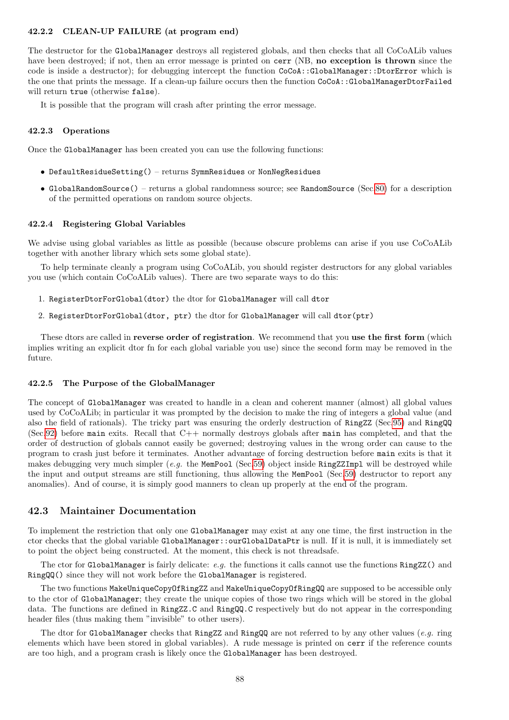#### 42.2.2 CLEAN-UP FAILURE (at program end)

The destructor for the GlobalManager destroys all registered globals, and then checks that all CoCoALib values have been destroyed; if not, then an error message is printed on cerr (NB, no exception is thrown since the code is inside a destructor); for debugging intercept the function CoCoA::GlobalManager::DtorError which is the one that prints the message. If a clean-up failure occurs then the function CoCoA::GlobalManagerDtorFailed will return true (otherwise false).

It is possible that the program will crash after printing the error message.

#### 42.2.3 Operations

Once the GlobalManager has been created you can use the following functions:

- DefaultResidueSetting() returns SymmResidues or NonNegResidues
- GlobalRandomSource() returns a global randomness source; see RandomSource (Sec[.80\)](#page-162-0) for a description of the permitted operations on random source objects.

#### 42.2.4 Registering Global Variables

We advise using global variables as little as possible (because obscure problems can arise if you use CoCoALib together with another library which sets some global state).

To help terminate cleanly a program using CoCoALib, you should register destructors for any global variables you use (which contain CoCoALib values). There are two separate ways to do this:

- 1. RegisterDtorForGlobal(dtor) the dtor for GlobalManager will call dtor
- 2. RegisterDtorForGlobal(dtor, ptr) the dtor for GlobalManager will call dtor(ptr)

These dtors are called in reverse order of registration. We recommend that you use the first form (which implies writing an explicit dtor fn for each global variable you use) since the second form may be removed in the future.

#### 42.2.5 The Purpose of the GlobalManager

The concept of GlobalManager was created to handle in a clean and coherent manner (almost) all global values used by CoCoALib; in particular it was prompted by the decision to make the ring of integers a global value (and also the field of rationals). The tricky part was ensuring the orderly destruction of RingZZ (Sec[.95\)](#page-200-0) and RingQQ (Sec[.92\)](#page-195-0) before main exits. Recall that C++ normally destroys globals after main has completed, and that the order of destruction of globals cannot easily be governed; destroying values in the wrong order can cause to the program to crash just before it terminates. Another advantage of forcing destruction before main exits is that it makes debugging very much simpler (e.g. the MemPool (Sec[.59\)](#page-119-0) object inside RingZZImpl will be destroyed while the input and output streams are still functioning, thus allowing the MemPool (Sec[.59\)](#page-119-0) destructor to report any anomalies). And of course, it is simply good manners to clean up properly at the end of the program.

## 42.3 Maintainer Documentation

To implement the restriction that only one GlobalManager may exist at any one time, the first instruction in the ctor checks that the global variable GlobalManager::ourGlobalDataPtr is null. If it is null, it is immediately set to point the object being constructed. At the moment, this check is not threadsafe.

The ctor for GlobalManager is fairly delicate:  $e.g.$  the functions it calls cannot use the functions  $RingZ()$  and RingQQ() since they will not work before the GlobalManager is registered.

The two functions MakeUniqueCopyOfRingZZ and MakeUniqueCopyOfRingQQ are supposed to be accessible only to the ctor of GlobalManager; they create the unique copies of those two rings which will be stored in the global data. The functions are defined in RingZZ.C and RingQQ.C respectively but do not appear in the corresponding header files (thus making them "invisible" to other users).

The dtor for GlobalManager checks that RingZZ and RingQQ are not referred to by any other values (e.g. ring elements which have been stored in global variables). A rude message is printed on cerr if the reference counts are too high, and a program crash is likely once the GlobalManager has been destroyed.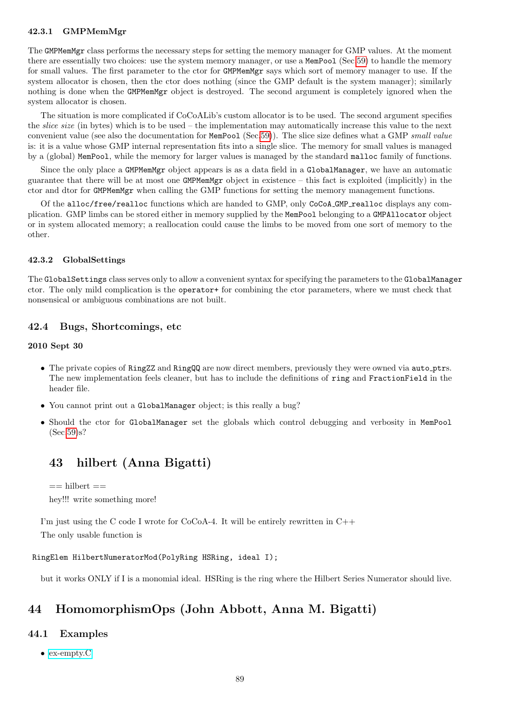## 42.3.1 GMPMemMgr

The GMPMemMgr class performs the necessary steps for setting the memory manager for GMP values. At the moment there are essentially two choices: use the system memory manager, or use a MemPool (Sec[.59\)](#page-119-0) to handle the memory for small values. The first parameter to the ctor for GMPMemMgr says which sort of memory manager to use. If the system allocator is chosen, then the ctor does nothing (since the GMP default is the system manager); similarly nothing is done when the GMPMemMgr object is destroyed. The second argument is completely ignored when the system allocator is chosen.

The situation is more complicated if CoCoALib's custom allocator is to be used. The second argument specifies the slice size (in bytes) which is to be used – the implementation may automatically increase this value to the next convenient value (see also the documentation for MemPool (Sec[.59\)](#page-119-0)). The slice size defines what a GMP small value is: it is a value whose GMP internal representation fits into a single slice. The memory for small values is managed by a (global) MemPool, while the memory for larger values is managed by the standard malloc family of functions.

Since the only place a GMPMemMgr object appears is as a data field in a GlobalManager, we have an automatic guarantee that there will be at most one GMPMemMgr object in existence – this fact is exploited (implicitly) in the ctor and dtor for GMPMemMgr when calling the GMP functions for setting the memory management functions.

Of the alloc/free/realloc functions which are handed to GMP, only CoCoA GMP realloc displays any complication. GMP limbs can be stored either in memory supplied by the MemPool belonging to a GMPAllocator object or in system allocated memory; a reallocation could cause the limbs to be moved from one sort of memory to the other.

#### 42.3.2 GlobalSettings

The GlobalSettings class serves only to allow a convenient syntax for specifying the parameters to the GlobalManager ctor. The only mild complication is the operator+ for combining the ctor parameters, where we must check that nonsensical or ambiguous combinations are not built.

## 42.4 Bugs, Shortcomings, etc

#### 2010 Sept 30

- The private copies of RingZZ and RingQQ are now direct members, previously they were owned via auto ptrs. The new implementation feels cleaner, but has to include the definitions of ring and FractionField in the header file.
- You cannot print out a GlobalManager object; is this really a bug?
- Should the ctor for GlobalManager set the globals which control debugging and verbosity in MemPool (Sec[.59\)](#page-119-0)s?

# 43 hilbert (Anna Bigatti)

```
== hilbert ==hey!!! write something more!
```
I'm just using the C code I wrote for  $CoCoA-4$ . It will be entirely rewritten in  $C++$ 

The only usable function is

## RingElem HilbertNumeratorMod(PolyRing HSRing, ideal I);

but it works ONLY if I is a monomial ideal. HSRing is the ring where the Hilbert Series Numerator should live.

# 44 HomomorphismOps (John Abbott, Anna M. Bigatti)

## 44.1 Examples

• [ex-empty.C](../../examples/index.html#ex-empty.C)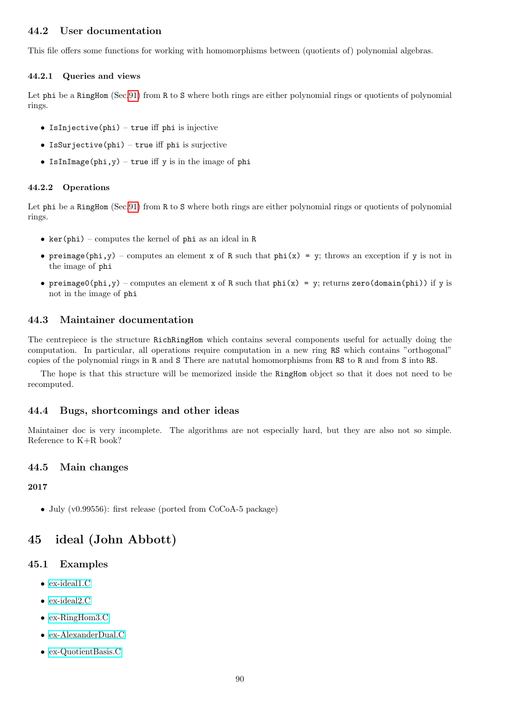## 44.2 User documentation

This file offers some functions for working with homomorphisms between (quotients of) polynomial algebras.

#### 44.2.1 Queries and views

Let phi be a RingHom (Sec[.91\)](#page-191-0) from R to S where both rings are either polynomial rings or quotients of polynomial rings.

- IsInjective(phi) true iff phi is injective
- IsSurjective(phi) true iff phi is surjective
- IsInImage(phi,y) true iff y is in the image of phi

#### 44.2.2 Operations

Let phi be a RingHom (Sec[.91\)](#page-191-0) from R to S where both rings are either polynomial rings or quotients of polynomial rings.

- ker(phi) computes the kernel of phi as an ideal in R
- preimage(phi,y) computes an element x of R such that phi(x) = y; throws an exception if y is not in the image of phi
- preimage0(phi,y) computes an element x of R such that phi(x) = y; returns zero(domain(phi)) if y is not in the image of phi

## 44.3 Maintainer documentation

The centrepiece is the structure RichRingHom which contains several components useful for actually doing the computation. In particular, all operations require computation in a new ring RS which contains "orthogonal" copies of the polynomial rings in R and S There are natutal homomorphisms from RS to R and from S into RS.

The hope is that this structure will be memorized inside the RingHom object so that it does not need to be recomputed.

## 44.4 Bugs, shortcomings and other ideas

Maintainer doc is very incomplete. The algorithms are not especially hard, but they are also not so simple. Reference to K+R book?

## 44.5 Main changes

#### 2017

• July (v0.99556): first release (ported from CoCoA-5 package)

# <span id="page-89-0"></span>45 ideal (John Abbott)

## 45.1 Examples

- [ex-ideal1.C](../../examples/index.html#ex-ideal1.C)
- [ex-ideal2.C](../../examples/index.html#ex-ideal2.C)
- [ex-RingHom3.C](../../examples/index.html#ex-RingHom3.C)
- [ex-AlexanderDual.C](../../examples/index.html#ex-AlexanderDual.C)
- [ex-QuotientBasis.C](../../examples/index.html#ex-QuotientBasis.C)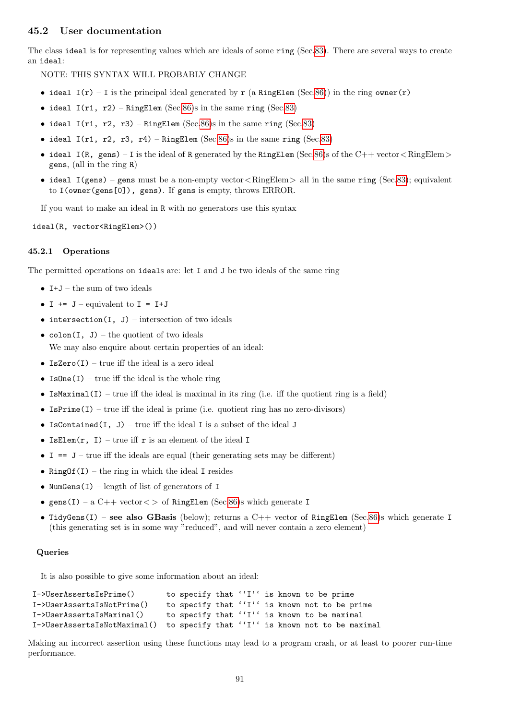## 45.2 User documentation

The class ideal is for representing values which are ideals of some ring (Sec[.83\)](#page-169-0). There are several ways to create an ideal:

NOTE: THIS SYNTAX WILL PROBABLY CHANGE

- ideal  $I(r) I$  is the principal ideal generated by r (a RingElem (Sec[.86\)](#page-174-0)) in the ring owner(r)
- ideal  $I(r1, r2)$  RingElem (Sec[.86\)](#page-174-0)s in the same ring (Sec[.83\)](#page-169-0)
- ideal  $I(r1, r2, r3)$  RingElem (Sec[.86\)](#page-174-0)s in the same ring (Sec[.83\)](#page-169-0)
- ideal  $I(r1, r2, r3, r4)$  RingElem (Sec[.86\)](#page-174-0)s in the same ring (Sec[.83\)](#page-169-0)
- ideal I(R, gens) I is the ideal of R generated by the RingElem (Sec[.86\)](#page-174-0)s of the C++ vector < RingElem > gens, (all in the ring R)
- ideal  $I(gens)$  gens must be a non-empty vector < RingElem > all in the same ring (Sec[.83\)](#page-169-0); equivalent to I(owner(gens[0]), gens). If gens is empty, throws ERROR.

If you want to make an ideal in R with no generators use this syntax

ideal(R, vector<RingElem>())

#### 45.2.1 Operations

The permitted operations on ideals are: let I and J be two ideals of the same ring

- $I+J$  the sum of two ideals
- $I += J -$  equivalent to  $I = I+J$
- intersection(I, J) intersection of two ideals
- colon(I, J) the quotient of two ideals We may also enquire about certain properties of an ideal:
- IsZero $(I)$  true iff the ideal is a zero ideal
- IsOne $(I)$  true iff the ideal is the whole ring
- IsMaximal(I) true iff the ideal is maximal in its ring (i.e. iff the quotient ring is a field)
- IsPrime(I) true iff the ideal is prime (i.e. quotient ring has no zero-divisors)
- IsContained(I, J) true iff the ideal I is a subset of the ideal J
- IsElem $(r, I)$  true iff r is an element of the ideal I
- I ==  $J$  true iff the ideals are equal (their generating sets may be different)
- RingOf(I) the ring in which the ideal I resides
- NumGens $(I)$  length of list of generators of I
- gens(I) a  $C++$  vector  $\lt$   $>$  of RingElem (Sec[.86\)](#page-174-0)s which generate I
- TidyGens(I) see also GBasis (below); returns a  $C++$  vector of RingElem (Sec[.86\)](#page-174-0)s which generate I (this generating set is in some way "reduced", and will never contain a zero element)

#### Queries

It is also possible to give some information about an ideal:

```
I->UserAssertsIsPrime() to specify that ''I'' is known to be prime
I->UserAssertsIsNotPrime() to specify that ''I'' is known not to be prime
I->UserAssertsIsMaximal() to specify that ''I'' is known to be maximal
I->UserAssertsIsNotMaximal() to specify that ''I'' is known not to be maximal
```
Making an incorrect assertion using these functions may lead to a program crash, or at least to poorer run-time performance.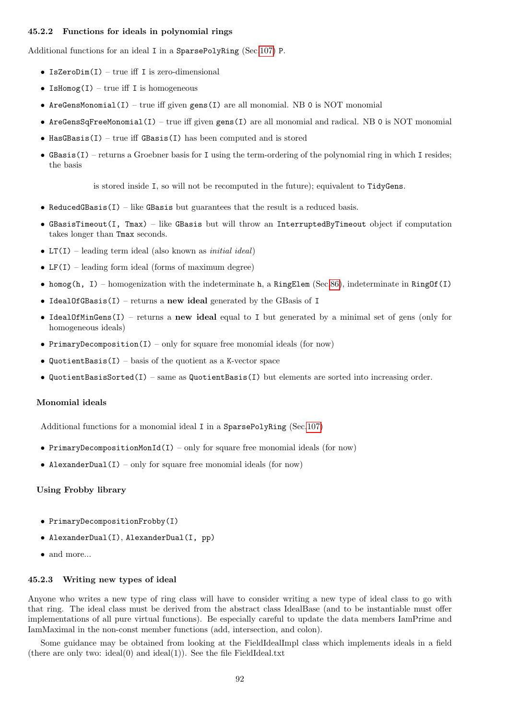#### 45.2.2 Functions for ideals in polynomial rings

Additional functions for an ideal I in a SparsePolyRing (Sec[.107\)](#page-214-0) P.

- IsZeroDim(I) true iff I is zero-dimensional
- IsHomog $(I)$  true iff I is homogeneous
- AreGensMonomial(I) true iff given gens(I) are all monomial. NB 0 is NOT monomial
- AreGensSqFreeMonomial(I) true iff given gens(I) are all monomial and radical. NB 0 is NOT monomial
- HasGBasis(I) true iff GBasis(I) has been computed and is stored
- GBasis(I) returns a Groebner basis for I using the term-ordering of the polynomial ring in which I resides; the basis

is stored inside I, so will not be recomputed in the future); equivalent to TidyGens.

- ReducedGBasis $(I)$  like GBasis but guarantees that the result is a reduced basis.
- GBasisTimeout(I, Tmax) like GBasis but will throw an InterruptedByTimeout object if computation takes longer than Tmax seconds.
- LT(I) leading term ideal (also known as *initial ideal*)
- LF(I) leading form ideal (forms of maximum degree)
- homog(h, I) homogenization with the indeterminate h, a RingElem (Sec[.86\)](#page-174-0), indeterminate in RingOf(I)
- IdealOfGBasis(I) returns a new ideal generated by the GBasis of I
- IdealOfMinGens(I) returns a new ideal equal to I but generated by a minimal set of gens (only for homogeneous ideals)
- PrimaryDecomposition(I) only for square free monomial ideals (for now)
- QuotientBasis(I) basis of the quotient as a K-vector space
- QuotientBasisSorted(I) same as QuotientBasis(I) but elements are sorted into increasing order.

#### Monomial ideals

Additional functions for a monomial ideal I in a SparsePolyRing (Sec[.107\)](#page-214-0)

- PrimaryDecompositionMonId(I) only for square free monomial ideals (for now)
- AlexanderDual(I) only for square free monomial ideals (for now)

#### Using Frobby library

- PrimaryDecompositionFrobby(I)
- AlexanderDual(I), AlexanderDual(I, pp)
- and more...

#### 45.2.3 Writing new types of ideal

Anyone who writes a new type of ring class will have to consider writing a new type of ideal class to go with that ring. The ideal class must be derived from the abstract class IdealBase (and to be instantiable must offer implementations of all pure virtual functions). Be especially careful to update the data members IamPrime and IamMaximal in the non-const member functions (add, intersection, and colon).

Some guidance may be obtained from looking at the FieldIdealImpl class which implements ideals in a field (there are only two: ideal $(0)$  and ideal $(1)$ ). See the file FieldIdeal.txt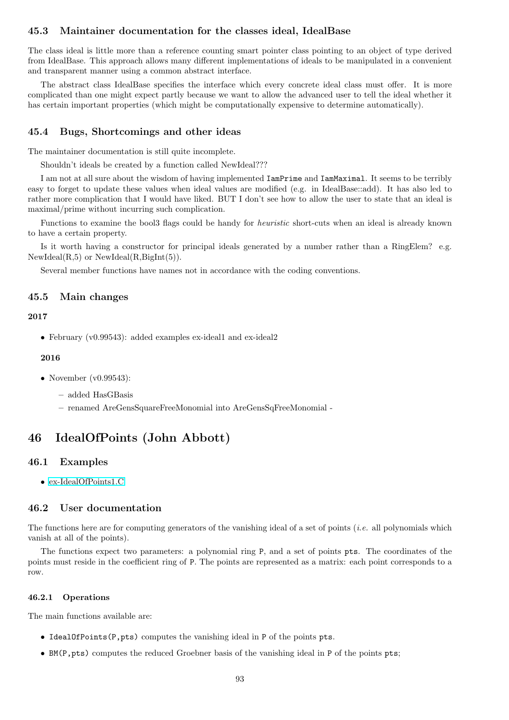## 45.3 Maintainer documentation for the classes ideal, IdealBase

The class ideal is little more than a reference counting smart pointer class pointing to an object of type derived from IdealBase. This approach allows many different implementations of ideals to be manipulated in a convenient and transparent manner using a common abstract interface.

The abstract class IdealBase specifies the interface which every concrete ideal class must offer. It is more complicated than one might expect partly because we want to allow the advanced user to tell the ideal whether it has certain important properties (which might be computationally expensive to determine automatically).

## 45.4 Bugs, Shortcomings and other ideas

The maintainer documentation is still quite incomplete.

Shouldn't ideals be created by a function called NewIdeal???

I am not at all sure about the wisdom of having implemented IamPrime and IamMaximal. It seems to be terribly easy to forget to update these values when ideal values are modified (e.g. in IdealBase::add). It has also led to rather more complication that I would have liked. BUT I don't see how to allow the user to state that an ideal is maximal/prime without incurring such complication.

Functions to examine the bool3 flags could be handy for heuristic short-cuts when an ideal is already known to have a certain property.

Is it worth having a constructor for principal ideals generated by a number rather than a RingElem? e.g.  $NewIdeal(R,5)$  or  $NewIdeal(R,Bight(5)).$ 

Several member functions have names not in accordance with the coding conventions.

## 45.5 Main changes

#### 2017

• February (v0.99543): added examples ex-ideal1 and ex-ideal2

#### 2016

- November (v0.99543):
	- added HasGBasis
	- renamed AreGensSquareFreeMonomial into AreGensSqFreeMonomial -

# 46 IdealOfPoints (John Abbott)

## 46.1 Examples

• [ex-IdealOfPoints1.C](../../examples/index.html#ex-IdealOfPoints1.C)

## 46.2 User documentation

The functions here are for computing generators of the vanishing ideal of a set of points (*i.e.* all polynomials which vanish at all of the points).

The functions expect two parameters: a polynomial ring P, and a set of points pts. The coordinates of the points must reside in the coefficient ring of P. The points are represented as a matrix: each point corresponds to a row.

#### 46.2.1 Operations

The main functions available are:

- IdealOfPoints(P,pts) computes the vanishing ideal in P of the points pts.
- BM(P, pts) computes the reduced Groebner basis of the vanishing ideal in P of the points pts;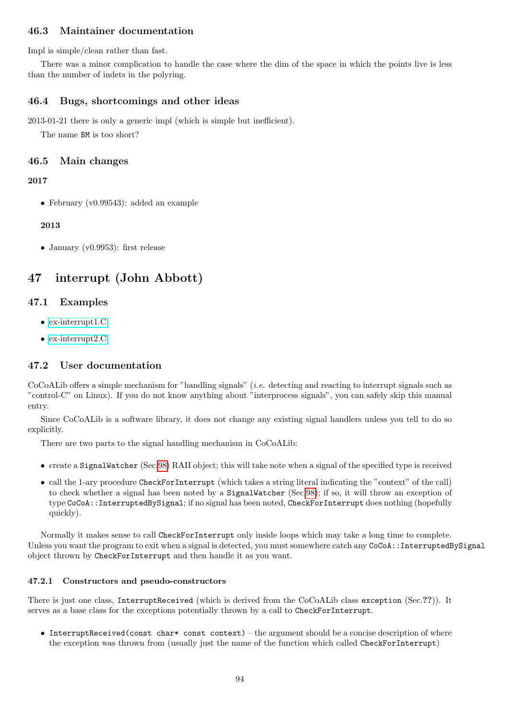# 46.3 Maintainer documentation

Impl is simple/clean rather than fast.

There was a minor complication to handle the case where the dim of the space in which the points live is less than the number of indets in the polyring.

## 46.4 Bugs, shortcomings and other ideas

2013-01-21 there is only a generic impl (which is simple but inefficient).

The name BM is too short?

# 46.5 Main changes

## 2017

• February (v0.99543): added an example

## 2013

• January (v0.9953): first release

# 47 interrupt (John Abbott)

# 47.1 Examples

- [ex-interrupt1.C](../../examples/index.html#ex-interrupt1.C)
- [ex-interrupt2.C](../../examples/index.html#ex-interrupt2.C)

# 47.2 User documentation

CoCoALib offers a simple mechanism for "handling signals" (i.e. detecting and reacting to interrupt signals such as "control-C" on Linux). If you do not know anything about "interprocess signals", you can safely skip this manual entry.

Since CoCoALib is a software library, it does not change any existing signal handlers unless you tell to do so explicitly.

There are two parts to the signal handling mechanism in CoCoALib:

- $\bullet$  create a SignalWatcher (Sec[.98\)](#page-204-0) RAII object; this will take note when a signal of the specified type is received
- call the 1-ary procedure CheckForInterrupt (which takes a string literal indicating the "context" of the call) to check whether a signal has been noted by a SignalWatcher (Sec[.98\)](#page-204-0); if so, it will throw an exception of type CoCoA::InterruptedBySignal; if no signal has been noted, CheckForInterrupt does nothing (hopefully quickly).

Normally it makes sense to call CheckForInterrupt only inside loops which may take a long time to complete. Unless you want the program to exit when a signal is detected, you must somewhere catch any CoCoA::InterruptedBySignal object thrown by CheckForInterrupt and then handle it as you want.

## 47.2.1 Constructors and pseudo-constructors

There is just one class, InterruptReceived (which is derived from the CoCoALib class exception (Sec.??)). It serves as a base class for the exceptions potentially thrown by a call to CheckForInterrupt.

• InterruptReceived(const char\* const context) – the argument should be a concise description of where the exception was thrown from (usually just the name of the function which called CheckForInterrupt)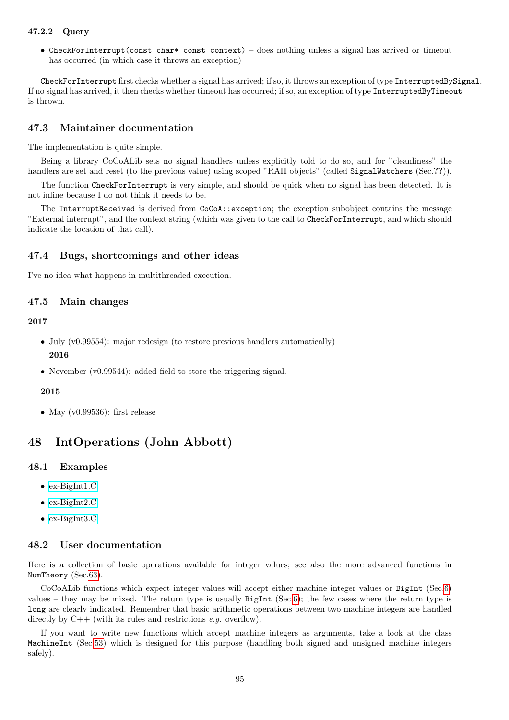## 47.2.2 Query

• CheckForInterrupt(const char\* const context) – does nothing unless a signal has arrived or timeout has occurred (in which case it throws an exception)

CheckForInterrupt first checks whether a signal has arrived; if so, it throws an exception of type InterruptedBySignal. If no signal has arrived, it then checks whether timeout has occurred; if so, an exception of type InterruptedByTimeout is thrown.

## 47.3 Maintainer documentation

The implementation is quite simple.

Being a library CoCoALib sets no signal handlers unless explicitly told to do so, and for "cleanliness" the handlers are set and reset (to the previous value) using scoped "RAII objects" (called SignalWatchers (Sec.??)).

The function CheckForInterrupt is very simple, and should be quick when no signal has been detected. It is not inline because I do not think it needs to be.

The InterruptReceived is derived from CoCoA::exception; the exception subobject contains the message "External interrupt", and the context string (which was given to the call to CheckForInterrupt, and which should indicate the location of that call).

## 47.4 Bugs, shortcomings and other ideas

I've no idea what happens in multithreaded execution.

#### 47.5 Main changes

## 2017

- July (v0.99554): major redesign (to restore previous handlers automatically) 2016
- November (v0.99544): added field to store the triggering signal.

## 2015

• May (v0.99536): first release

# 48 IntOperations (John Abbott)

#### 48.1 Examples

- [ex-BigInt1.C](../../examples/index.html#ex-BigInt1.C)
- [ex-BigInt2.C](../../examples/index.html#ex-BigInt2.C)
- [ex-BigInt3.C](../../examples/index.html#ex-BigInt3.C)

#### 48.2 User documentation

Here is a collection of basic operations available for integer values; see also the more advanced functions in NumTheory (Sec[.63\)](#page-132-0).

CoCoALib functions which expect integer values will accept either machine integer values or BigInt (Sec[.6\)](#page-34-0) values – they may be mixed. The return type is usually  $BigInt (Sec.6);$  $BigInt (Sec.6);$  $BigInt (Sec.6);$  the few cases where the return type is long are clearly indicated. Remember that basic arithmetic operations between two machine integers are handled directly by  $C++$  (with its rules and restrictions *e.g.* overflow).

If you want to write new functions which accept machine integers as arguments, take a look at the class MachineInt (Sec[.53\)](#page-105-0) which is designed for this purpose (handling both signed and unsigned machine integers safely).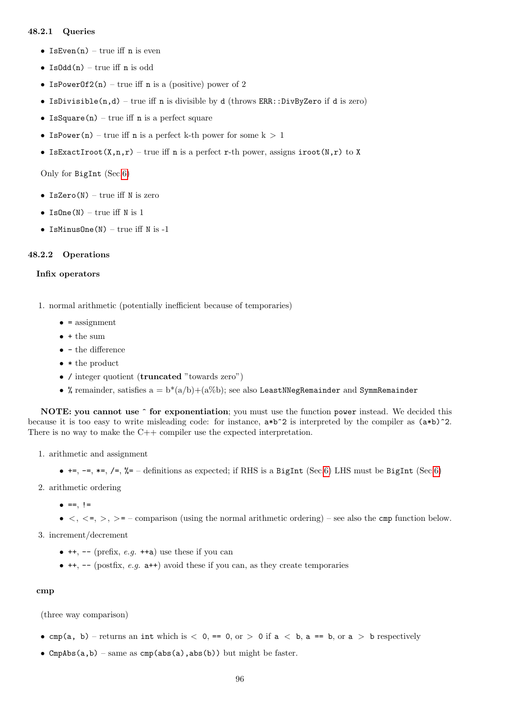## 48.2.1 Queries

- IsEven $(n)$  true iff n is even
- Is $\text{Odd}(n)$  true iff n is odd
- IsPowerOf2(n) true iff n is a (positive) power of 2
- IsDivisible $(n,d)$  true iff n is divisible by d (throws ERR::DivByZero if d is zero)
- IsSquare(n) true iff  $n$  is a perfect square
- IsPower(n) true iff n is a perfect k-th power for some  $k > 1$
- IsExactIroot(X,n,r) true iff n is a perfect r-th power, assigns  $\text{iroot}(N,r)$  to X

Only for BigInt (Sec[.6\)](#page-34-0)

- IsZero( $N$ ) true iff  $N$  is zero
- IsOne(N) true iff N is 1
- IsMinusOne $(N)$  true iff N is -1

#### 48.2.2 Operations

#### Infix operators

- 1. normal arithmetic (potentially inefficient because of temporaries)
	- $\bullet$  = assignment
	- + the sum
	- $\bullet\,$  the difference
	- \* the product
	- / integer quotient (truncated "towards zero")
	- % remainder, satisfies  $a = b^*(a/b)+(a\%)$ ; see also LeastNNegRemainder and SymmRemainder

NOTE: you cannot use  $\hat{ }$  for exponentiation; you must use the function power instead. We decided this because it is too easy to write misleading code: for instance,  $a*b^2$  is interpreted by the compiler as  $(a*b)^2$ . There is no way to make the C++ compiler use the expected interpretation.

- 1. arithmetic and assignment
	- $\bullet$  +=, -=, \*=, /=, %= definitions as expected; if RHS is a BigInt (Sec[.6\)](#page-34-0) LHS must be BigInt (Sec.6)
- 2. arithmetic ordering
	- $\bullet$  ==,  $!=$
	- $\bullet$  <, <=, >, >= comparison (using the normal arithmetic ordering) see also the cmp function below.

3. increment/decrement

- $\bullet$  ++, -- (prefix, e.g. ++a) use these if you can
- $\bullet$  ++, -- (postfix, e.g.  $a++$ ) avoid these if you can, as they create temporaries

#### cmp

(three way comparison)

- cmp(a, b) returns an int which is  $\langle 0, == 0,$  or  $\rangle$  0 if  $a \langle b, a == b,$  or  $a \rangle$  b respectively
- CmpAbs $(a,b)$  same as cmp(abs $(a)$ ,abs(b)) but might be faster.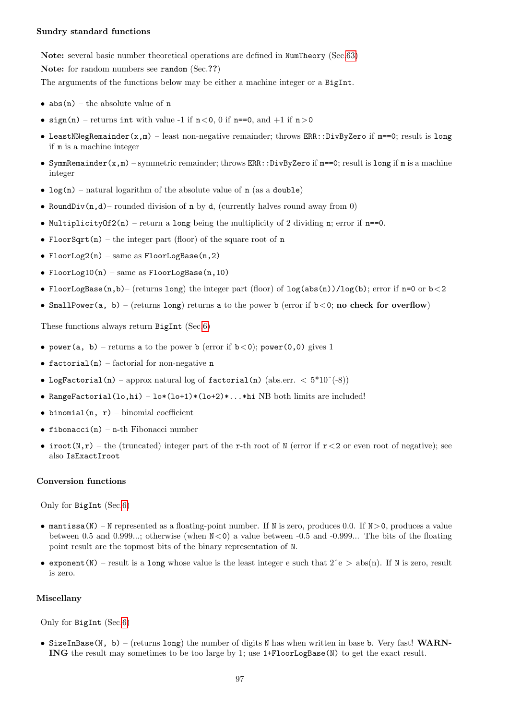#### Sundry standard functions

Note: several basic number theoretical operations are defined in NumTheory (Sec[.63\)](#page-132-0) Note: for random numbers see random (Sec.??)

The arguments of the functions below may be either a machine integer or a BigInt.

- $abs(n)$  the absolute value of n
- sign(n) returns int with value -1 if  $n < 0$ , 0 if n==0, and  $+1$  if  $n > 0$
- LeastNNegRemainder(x,m) least non-negative remainder; throws ERR::DivByZero if m==0; result is long if m is a machine integer
- SymmRemainder(x,m) symmetric remainder; throws ERR::DivByZero if m==0; result is long if m is a machine integer
- $log(n)$  natural logarithm of the absolute value of n (as a double)
- RoundDiv $(n,d)$  rounded division of n by d, (currently halves round away from 0)
- Multiplicity $0f2(n)$  return a long being the multiplicity of 2 dividing n; error if n==0.
- FloorSqrt(n) the integer part (floor) of the square root of n
- FloorLog2(n) same as  $FloorLogBase(n,2)$
- FloorLog10(n) same as FloorLogBase(n,10)
- FloorLogBase(n,b)– (returns long) the integer part (floor) of  $\log(\text{abs}(n))/\log(b)$ ; error if n=0 or b < 2
- SmallPower(a, b) (returns long) returns a to the power b (error if  $b < 0$ ; no check for overflow)

These functions always return BigInt (Sec[.6\)](#page-34-0)

- power(a, b) returns a to the power b (error if  $b < 0$ ); power(0,0) gives 1
- factorial(n) factorial for non-negative  $n$
- LogFactorial(n) approx natural log of factorial(n) (abs.err.  $\langle 5*10^{\degree}(-8)\rangle$
- RangeFactorial(lo,hi) lo\*(lo+1)\*(lo+2)\*...\*hi NB both limits are included!
- binomial(n,  $r$ ) binomial coefficient
- fibonacci(n) n-th Fibonacci number
- iroot(N,r) the (truncated) integer part of the r-th root of N (error if  $r < 2$  or even root of negative); see also IsExactIroot

## Conversion functions

Only for BigInt (Sec[.6\)](#page-34-0)

- mantissa(N) N represented as a floating-point number. If N is zero, produces 0.0. If  $N>0$ , produces a value between 0.5 and 0.999...; otherwise (when  $N<0$ ) a value between -0.5 and -0.999... The bits of the floating point result are the topmost bits of the binary representation of N.
- exponent (N) result is a long whose value is the least integer e such that  $2^e$  > abs(n). If N is zero, result is zero.

#### Miscellany

Only for BigInt (Sec[.6\)](#page-34-0)

• SizeInBase(N, b) – (returns long) the number of digits N has when written in base b. Very fast! WARN-ING the result may sometimes to be too large by 1; use 1+FloorLogBase(N) to get the exact result.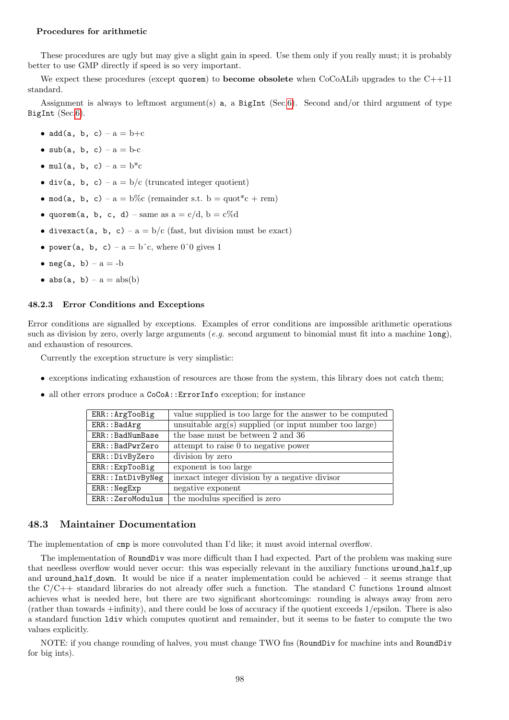#### Procedures for arithmetic

These procedures are ugly but may give a slight gain in speed. Use them only if you really must; it is probably better to use GMP directly if speed is so very important.

We expect these procedures (except quorem) to become obsolete when CoCoALib upgrades to the C++11 standard.

Assignment is always to leftmost argument(s) a, a BigInt (Sec[.6\)](#page-34-0). Second and/or third argument of type BigInt (Sec[.6\)](#page-34-0).

- $add(a, b, c) a = b + c$
- sub(a, b, c)  $a = b-c$
- mul(a, b, c)  $a = b^*c$
- div(a, b, c) a = b/c (truncated integer quotient)
- mod(a, b, c) a = b\%c (remainder s.t. b = quot\*c + rem)
- quorem(a, b, c, d) same as  $a = c/d$ ,  $b = c\%d$
- divexact(a, b, c) a = b/c (fast, but division must be exact)
- power(a, b, c)  $a = b^c$ c, where 0<sup>o</sup>0 gives 1
- neg(a, b)  $a = -b$
- $abs(a, b) a = abs(b)$

#### 48.2.3 Error Conditions and Exceptions

Error conditions are signalled by exceptions. Examples of error conditions are impossible arithmetic operations such as division by zero, overly large arguments (e.g. second argument to binomial must fit into a machine long), and exhaustion of resources.

Currently the exception structure is very simplistic:

- exceptions indicating exhaustion of resources are those from the system, this library does not catch them;
- all other errors produce a CoCoA::ErrorInfo exception; for instance

| ERR:: ArgTooBig                 | value supplied is too large for the answer to be computed |
|---------------------------------|-----------------------------------------------------------|
| ERR::BadArg                     | unsuitable $arg(s)$ supplied (or input number too large)  |
| ERR::BadNumBase                 | the base must be between 2 and 36                         |
| ERR::BadPwrZero                 | attempt to raise 0 to negative power                      |
| ERR::DivByZero                  | division by zero                                          |
| $ERR: \exists$ <i>xp</i> TooBig | exponent is too large                                     |
| ERR::IntDivByNeg                | inexact integer division by a negative divisor            |
| ERR::NegExp                     | negative exponent                                         |
| ERR:: ZeroModulus               | the modulus specified is zero                             |

## 48.3 Maintainer Documentation

The implementation of cmp is more convoluted than I'd like; it must avoid internal overflow.

The implementation of RoundDiv was more difficult than I had expected. Part of the problem was making sure that needless overflow would never occur: this was especially relevant in the auxiliary functions uround half up and uround half down. It would be nice if a neater implementation could be achieved  $-$  it seems strange that the C/C++ standard libraries do not already offer such a function. The standard C functions lround almost achieves what is needed here, but there are two significant shortcomings: rounding is always away from zero (rather than towards +infinity), and there could be loss of accuracy if the quotient exceeds 1/epsilon. There is also a standard function ldiv which computes quotient and remainder, but it seems to be faster to compute the two values explicitly.

NOTE: if you change rounding of halves, you must change TWO fns (RoundDiv for machine ints and RoundDiv for big ints).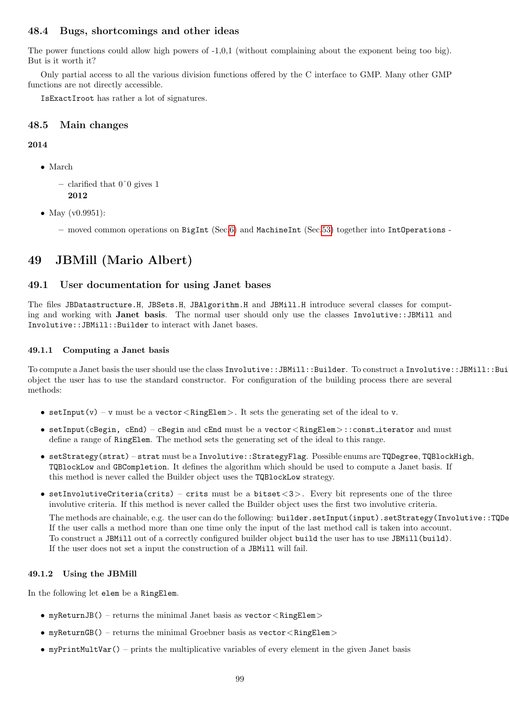# 48.4 Bugs, shortcomings and other ideas

The power functions could allow high powers of -1,0,1 (without complaining about the exponent being too big). But is it worth it?

Only partial access to all the various division functions offered by the C interface to GMP. Many other GMP functions are not directly accessible.

IsExactIroot has rather a lot of signatures.

## 48.5 Main changes

## 2014

• March

```
– clarified that 0^{\circ}0 gives 1
   2012
```
- May (v0.9951):
	- moved common operations on BigInt (Sec[.6\)](#page-34-0) and MachineInt (Sec[.53\)](#page-105-0) together into IntOperations -

# 49 JBMill (Mario Albert)

## 49.1 User documentation for using Janet bases

The files JBDatastructure.H, JBSets.H, JBAlgorithm.H and JBMill.H introduce several classes for computing and working with **Janet basis**. The normal user should only use the classes Involutive::JBMill and Involutive::JBMill::Builder to interact with Janet bases.

## 49.1.1 Computing a Janet basis

To compute a Janet basis the user should use the class Involutive::JBMill::Builder. To construct a Involutive::JBMill::Builder object the user has to use the standard constructor. For configuration of the building process there are several methods:

- setInput(v) v must be a vector  $\leq$ RingElem $>$ . It sets the generating set of the ideal to v.
- setInput(cBegin, cEnd) cBegin and cEnd must be a vector  $\langle$  RingElem $\rangle$ :: const iterator and must define a range of RingElem. The method sets the generating set of the ideal to this range.
- setStrategy(strat) strat must be a Involutive::StrategyFlag. Possible enums are TQDegree, TQBlockHigh, TQBlockLow and GBCompletion. It defines the algorithm which should be used to compute a Janet basis. If this method is never called the Builder object uses the TQBlockLow strategy.
- setInvolutiveCriteria(crits) crits must be a bitset  $<$ 3>. Every bit represents one of the three involutive criteria. If this method is never called the Builder object uses the first two involutive criteria.

The methods are chainable, e.g. the user can do the following: builder.setInput(input).setStrategy(Involutive::TQDe If the user calls a method more than one time only the input of the last method call is taken into account. To construct a JBMill out of a correctly configured builder object build the user has to use JBMill(build). If the user does not set a input the construction of a JBMill will fail.

## 49.1.2 Using the JBMill

In the following let elem be a RingElem.

- myReturnJB() returns the minimal Janet basis as  $\text{vector} \leq \text{RingElement}$
- myReturnGB() returns the minimal Groebner basis as  $\text{vector} < \text{RingElement}$
- myPrintMultVar() prints the multiplicative variables of every element in the given Janet basis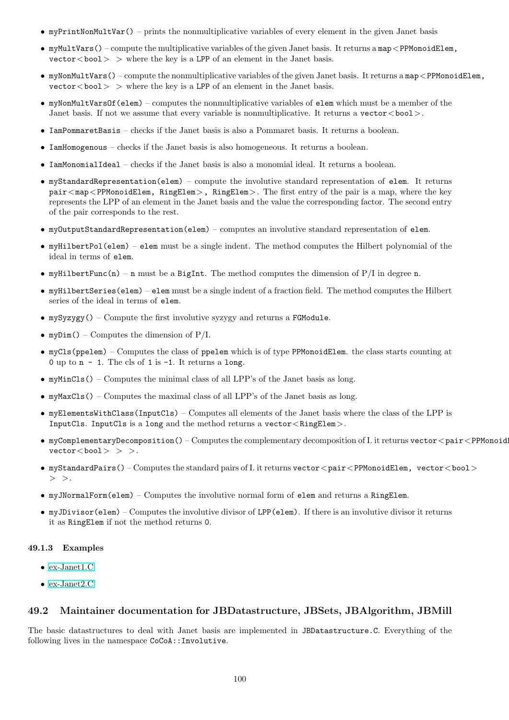- myPrintNonMultVar() prints the nonmultiplicative variables of every element in the given Janet basis
- myMultVars() compute the multiplicative variables of the given Janet basis. It returns a map<PPMonoidElem,  $vector <$  bool  $>$   $\triangleright$  where the key is a LPP of an element in the Janet basis.
- myNonMultVars() compute the nonmultiplicative variables of the given Janet basis. It returns a map<PPMonoidElem,  $\text{vector} \leq \text{bool} > \text{ where the key is a LPP of an element in the Janet basis.}$
- $\bullet$  myNonMultVarsOf(elem) computes the nonmultiplicative variables of elem which must be a member of the Janet basis. If not we assume that every variable is nonmultiplicative. It returns a vector < bool >.
- IamPommaretBasis checks if the Janet basis is also a Pommaret basis. It returns a boolean.
- IamHomogenous checks if the Janet basis is also homogeneous. It returns a boolean.
- IamMonomialIdeal checks if the Janet basis is also a monomial ideal. It returns a boolean.
- myStandardRepresentation(elem) compute the involutive standard representation of elem. It returns  $pair < map < PPMonoidElement, RingElement, )$ , RingElem $>$ , RingElem $>$ . The first entry of the pair is a map, where the key represents the LPP of an element in the Janet basis and the value the corresponding factor. The second entry of the pair corresponds to the rest.
- myOutputStandardRepresentation(elem) computes an involutive standard representation of elem.
- myHilbertPol(elem) elem must be a single indent. The method computes the Hilbert polynomial of the ideal in terms of elem.
- myHilbertFunc(n) n must be a BigInt. The method computes the dimension of  $P/I$  in degree n.
- myHilbertSeries(elem) elem must be a single indent of a fraction field. The method computes the Hilbert series of the ideal in terms of elem.
- mySyzygy() Compute the first involutive syzygy and returns a FGModule.
- myDim() Computes the dimension of  $P/I$ .
- myCls(ppelem) Computes the class of ppelem which is of type PPMonoidElem. the class starts counting at 0 up to  $n - 1$ . The cls of 1 is  $-1$ . It returns a long.
- myMinCls() Computes the minimal class of all LPP's of the Janet basis as long.
- myMaxCls() Computes the maximal class of all LPP's of the Janet basis as long.
- myElementsWithClass(InputCls) Computes all elements of the Janet basis where the class of the LPP is InputCls. InputCls is a long and the method returns a vector  $\langle$  RingElem $\rangle$ .
- myComplementaryDecomposition() Computes the complementary decomposition of I. it returns vector  $\langle$  pair  $\langle$  PPMonoid  $vector <$ bool $>$  > >.
- myStandardPairs() Computes the standard pairs of I. it returns vector  $\lt$  pair  $\lt$  PPMonoidElem, vector  $\lt$  bool  $\gt$  $>$  >.
- myJNormalForm(elem) Computes the involutive normal form of elem and returns a RingElem.
- myJDivisor(elem) Computes the involutive divisor of LPP(elem). If there is an involutive divisor it returns it as RingElem if not the method returns 0.

#### 49.1.3 Examples

- [ex-Janet1.C](../../examples/index.html#ex-Janet1.C)
- [ex-Janet2.C](../../examples/index.html#ex-Janet2.C)

#### 49.2 Maintainer documentation for JBDatastructure, JBSets, JBAlgorithm, JBMill

The basic datastructures to deal with Janet basis are implemented in JBDatastructure.C. Everything of the following lives in the namespace CoCoA::Involutive.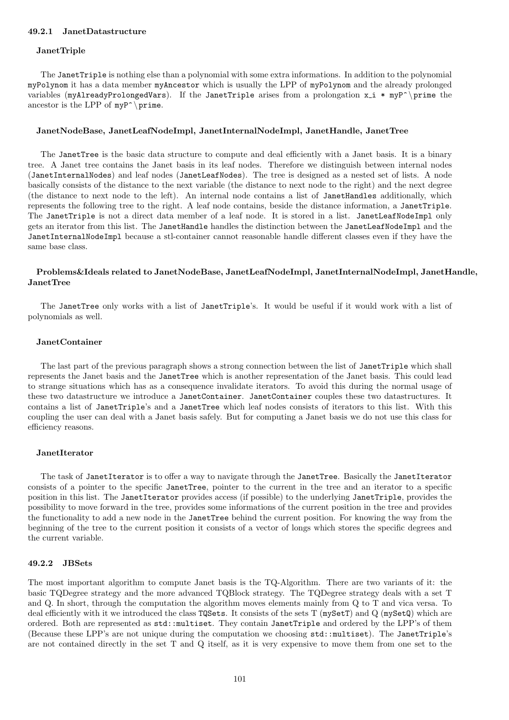#### 49.2.1 JanetDatastructure

#### JanetTriple

The JanetTriple is nothing else than a polynomial with some extra informations. In addition to the polynomial myPolynom it has a data member myAncestor which is usually the LPP of myPolynom and the already prolonged variables (myAlreadyProlongedVars). If the JanetTriple arises from a prolongation  $x_i * myP^\prime$  prime the ancestor is the LPP of  $myP^{\prime}$  prime.

#### JanetNodeBase, JanetLeafNodeImpl, JanetInternalNodeImpl, JanetHandle, JanetTree

The JanetTree is the basic data structure to compute and deal efficiently with a Janet basis. It is a binary tree. A Janet tree contains the Janet basis in its leaf nodes. Therefore we distinguish between internal nodes (JanetInternalNodes) and leaf nodes (JanetLeafNodes). The tree is designed as a nested set of lists. A node basically consists of the distance to the next variable (the distance to next node to the right) and the next degree (the distance to next node to the left). An internal node contains a list of JanetHandles additionally, which represents the following tree to the right. A leaf node contains, beside the distance information, a JanetTriple. The JanetTriple is not a direct data member of a leaf node. It is stored in a list. JanetLeafNodeImpl only gets an iterator from this list. The JanetHandle handles the distinction between the JanetLeafNodeImpl and the JanetInternalNodeImpl because a stl-container cannot reasonable handle different classes even if they have the same base class.

#### Problems&Ideals related to JanetNodeBase, JanetLeafNodeImpl, JanetInternalNodeImpl, JanetHandle, JanetTree

The JanetTree only works with a list of JanetTriple's. It would be useful if it would work with a list of polynomials as well.

#### JanetContainer

The last part of the previous paragraph shows a strong connection between the list of JanetTriple which shall represents the Janet basis and the JanetTree which is another representation of the Janet basis. This could lead to strange situations which has as a consequence invalidate iterators. To avoid this during the normal usage of these two datastructure we introduce a JanetContainer. JanetContainer couples these two datastructures. It contains a list of JanetTriple's and a JanetTree which leaf nodes consists of iterators to this list. With this coupling the user can deal with a Janet basis safely. But for computing a Janet basis we do not use this class for efficiency reasons.

#### JanetIterator

The task of JanetIterator is to offer a way to navigate through the JanetTree. Basically the JanetIterator consists of a pointer to the specific JanetTree, pointer to the current in the tree and an iterator to a specific position in this list. The JanetIterator provides access (if possible) to the underlying JanetTriple, provides the possibility to move forward in the tree, provides some informations of the current position in the tree and provides the functionality to add a new node in the JanetTree behind the current position. For knowing the way from the beginning of the tree to the current position it consists of a vector of longs which stores the specific degrees and the current variable.

#### 49.2.2 JBSets

The most important algorithm to compute Janet basis is the TQ-Algorithm. There are two variants of it: the basic TQDegree strategy and the more advanced TQBlock strategy. The TQDegree strategy deals with a set T and Q. In short, through the computation the algorithm moves elements mainly from Q to T and vica versa. To deal efficiently with it we introduced the class TQSets. It consists of the sets T (mySetT) and Q (mySetQ) which are ordered. Both are represented as std::multiset. They contain JanetTriple and ordered by the LPP's of them (Because these LPP's are not unique during the computation we choosing std::multiset). The JanetTriple's are not contained directly in the set T and Q itself, as it is very expensive to move them from one set to the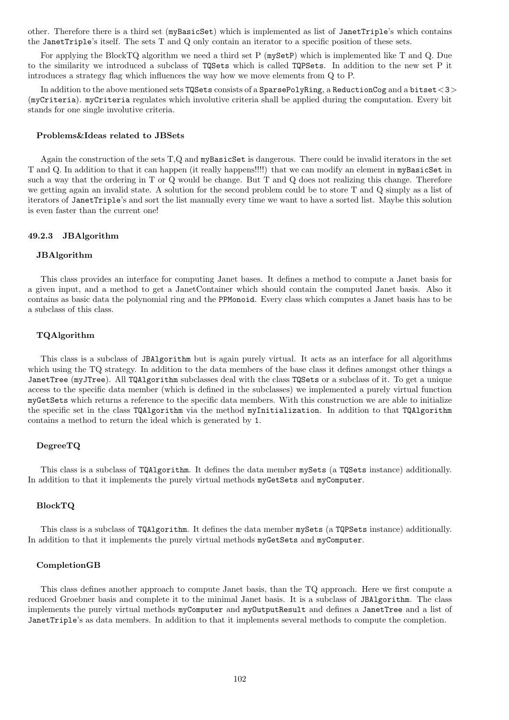other. Therefore there is a third set (myBasicSet) which is implemented as list of JanetTriple's which contains the JanetTriple's itself. The sets T and Q only contain an iterator to a specific position of these sets.

For applying the BlockTQ algorithm we need a third set P (mySetP) which is implemented like T and Q. Due to the similarity we introduced a subclass of TQSets which is called TQPSets. In addition to the new set P it introduces a strategy flag which influences the way how we move elements from Q to P.

In addition to the above mentioned sets TQSets consists of a SparsePolyRing, a ReductionCog and a bitset<3> (myCriteria). myCriteria regulates which involutive criteria shall be applied during the computation. Every bit stands for one single involutive criteria.

#### Problems&Ideas related to JBSets

Again the construction of the sets T,Q and myBasicSet is dangerous. There could be invalid iterators in the set T and Q. In addition to that it can happen (it really happens!!!!) that we can modify an element in myBasicSet in such a way that the ordering in T or Q would be change. But T and Q does not realizing this change. Therefore we getting again an invalid state. A solution for the second problem could be to store T and Q simply as a list of iterators of JanetTriple's and sort the list manually every time we want to have a sorted list. Maybe this solution is even faster than the current one!

#### 49.2.3 JBAlgorithm

#### JBAlgorithm

This class provides an interface for computing Janet bases. It defines a method to compute a Janet basis for a given input, and a method to get a JanetContainer which should contain the computed Janet basis. Also it contains as basic data the polynomial ring and the PPMonoid. Every class which computes a Janet basis has to be a subclass of this class.

#### TQAlgorithm

This class is a subclass of JBAlgorithm but is again purely virtual. It acts as an interface for all algorithms which using the TQ strategy. In addition to the data members of the base class it defines amongst other things a JanetTree (myJTree). All TQAlgorithm subclasses deal with the class TQSets or a subclass of it. To get a unique access to the specific data member (which is defined in the subclasses) we implemented a purely virtual function myGetSets which returns a reference to the specific data members. With this construction we are able to initialize the specific set in the class TQAlgorithm via the method myInitialization. In addition to that TQAlgorithm contains a method to return the ideal which is generated by 1.

#### DegreeTQ

This class is a subclass of TQAlgorithm. It defines the data member mySets (a TQSets instance) additionally. In addition to that it implements the purely virtual methods myGetSets and myComputer.

#### BlockTQ

This class is a subclass of TQAlgorithm. It defines the data member mySets (a TQPSets instance) additionally. In addition to that it implements the purely virtual methods myGetSets and myComputer.

#### CompletionGB

This class defines another approach to compute Janet basis, than the TQ approach. Here we first compute a reduced Groebner basis and complete it to the minimal Janet basis. It is a subclass of JBAlgorithm. The class implements the purely virtual methods myComputer and myOutputResult and defines a JanetTree and a list of JanetTriple's as data members. In addition to that it implements several methods to compute the completion.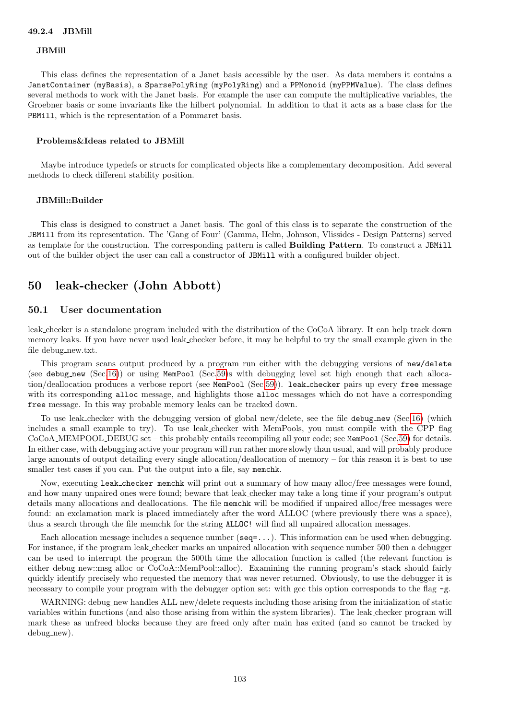#### JBMill

This class defines the representation of a Janet basis accessible by the user. As data members it contains a JanetContainer (myBasis), a SparsePolyRing (myPolyRing) and a PPMonoid (myPPMValue). The class defines several methods to work with the Janet basis. For example the user can compute the multiplicative variables, the Groebner basis or some invariants like the hilbert polynomial. In addition to that it acts as a base class for the PBMill, which is the representation of a Pommaret basis.

#### Problems&Ideas related to JBMill

Maybe introduce typedefs or structs for complicated objects like a complementary decomposition. Add several methods to check different stability position.

#### JBMill::Builder

This class is designed to construct a Janet basis. The goal of this class is to separate the construction of the JBMill from its representation. The 'Gang of Four' (Gamma, Helm, Johnson, Vlissides - Design Patterns) served as template for the construction. The corresponding pattern is called Building Pattern. To construct a JBMill out of the builder object the user can call a constructor of JBMill with a configured builder object.

# 50 leak-checker (John Abbott)

#### 50.1 User documentation

leak checker is a standalone program included with the distribution of the CoCoA library. It can help track down memory leaks. If you have never used leak checker before, it may be helpful to try the small example given in the file debug new.txt.

This program scans output produced by a program run either with the debugging versions of new/delete (see debug new (Sec[.16\)](#page-49-0)) or using MemPool (Sec[.59\)](#page-119-0)s with debugging level set high enough that each allocation/deallocation produces a verbose report (see MemPool (Sec[.59\)](#page-119-0)). leak checker pairs up every free message with its corresponding alloc message, and highlights those alloc messages which do not have a corresponding free message. In this way probable memory leaks can be tracked down.

To use leak checker with the debugging version of global new/delete, see the file debug new (Sec[.16\)](#page-49-0) (which includes a small example to try). To use leak checker with MemPools, you must compile with the CPP flag CoCoA MEMPOOL DEBUG set – this probably entails recompiling all your code; see MemPool (Sec[.59\)](#page-119-0) for details. In either case, with debugging active your program will run rather more slowly than usual, and will probably produce large amounts of output detailing every single allocation/deallocation of memory – for this reason it is best to use smaller test cases if you can. Put the output into a file, say memchk.

Now, executing leak checker memchk will print out a summary of how many alloc/free messages were found, and how many unpaired ones were found; beware that leak checker may take a long time if your program's output details many allocations and deallocations. The file memchk will be modified if unpaired alloc/free messages were found: an exclamation mark is placed immediately after the word ALLOC (where previously there was a space), thus a search through the file memchk for the string ALLOC! will find all unpaired allocation messages.

Each allocation message includes a sequence number ( $seq=...$ ). This information can be used when debugging. For instance, if the program leak checker marks an unpaired allocation with sequence number 500 then a debugger can be used to interrupt the program the 500th time the allocation function is called (the relevant function is either debug new::msg alloc or CoCoA::MemPool::alloc). Examining the running program's stack should fairly quickly identify precisely who requested the memory that was never returned. Obviously, to use the debugger it is necessary to compile your program with the debugger option set: with gcc this option corresponds to the flag  $-g$ .

WARNING: debug new handles ALL new/delete requests including those arising from the initialization of static variables within functions (and also those arising from within the system libraries). The leak checker program will mark these as unfreed blocks because they are freed only after main has exited (and so cannot be tracked by debug new).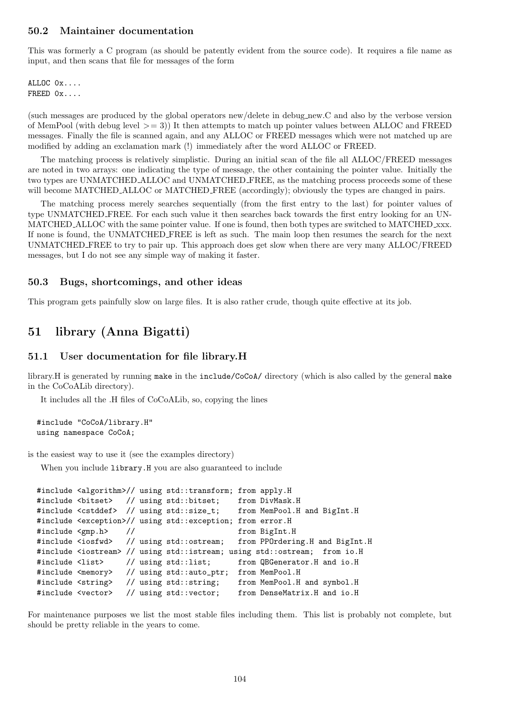## 50.2 Maintainer documentation

This was formerly a C program (as should be patently evident from the source code). It requires a file name as input, and then scans that file for messages of the form

ALLOC 0x.... FREED 0x....

(such messages are produced by the global operators new/delete in debug new.C and also by the verbose version of MemPool (with debug level  $\geq$  = 3)) It then attempts to match up pointer values between ALLOC and FREED messages. Finally the file is scanned again, and any ALLOC or FREED messages which were not matched up are modified by adding an exclamation mark (!) immediately after the word ALLOC or FREED.

The matching process is relatively simplistic. During an initial scan of the file all ALLOC/FREED messages are noted in two arrays: one indicating the type of message, the other containing the pointer value. Initially the two types are UNMATCHED ALLOC and UNMATCHED FREE, as the matching process proceeds some of these will become MATCHED ALLOC or MATCHED FREE (accordingly); obviously the types are changed in pairs.

The matching process merely searches sequentially (from the first entry to the last) for pointer values of type UNMATCHED FREE. For each such value it then searches back towards the first entry looking for an UN-MATCHED ALLOC with the same pointer value. If one is found, then both types are switched to MATCHED xxx. If none is found, the UNMATCHED FREE is left as such. The main loop then resumes the search for the next UNMATCHED FREE to try to pair up. This approach does get slow when there are very many ALLOC/FREED messages, but I do not see any simple way of making it faster.

## 50.3 Bugs, shortcomings, and other ideas

This program gets painfully slow on large files. It is also rather crude, though quite effective at its job.

# 51 library (Anna Bigatti)

#### 51.1 User documentation for file library.H

library.H is generated by running make in the include/CoCoA/ directory (which is also called by the general make in the CoCoALib directory).

It includes all the .H files of CoCoALib, so, copying the lines

```
#include "CoCoA/library.H"
using namespace CoCoA;
```
is the easiest way to use it (see the examples directory)

When you include **library**.H you are also guaranteed to include

```
#include <algorithm>// using std::transform; from apply.H
#include <bitset> // using std::bitset; from DivMask.H
#include <cstddef> // using std::size_t; from MemPool.H and BigInt.H
#include <exception>// using std::exception; from error.H
#include <gmp.h> // from BigInt.H
#include <iosfwd> // using std::ostream; from PPOrdering.H and BigInt.H
#include <iostream> // using std::istream; using std::ostream; from io.H
#include <list> // using std::list; from QBGenerator.H and io.H
#include <memory> // using std::auto_ptr; from MemPool.H
#include <string> // using std::string; from MemPool.H and symbol.H
#include <vector> // using std::vector; from DenseMatrix.H and io.H
```
For maintenance purposes we list the most stable files including them. This list is probably not complete, but should be pretty reliable in the years to come.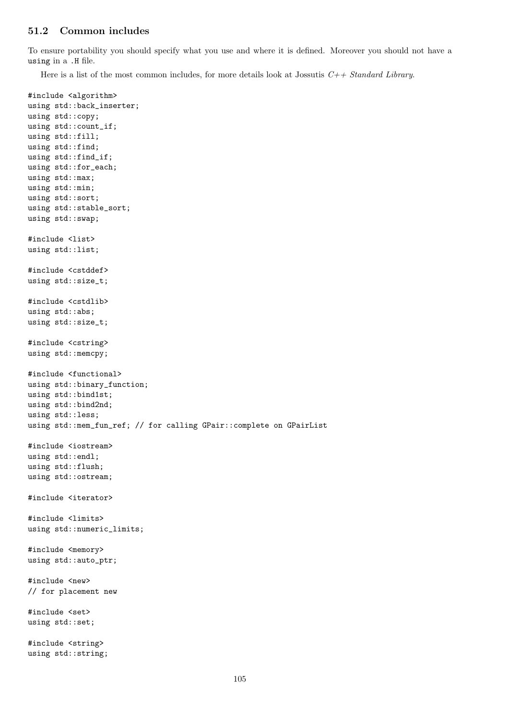# 51.2 Common includes

To ensure portability you should specify what you use and where it is defined. Moreover you should not have a using in a .H file.

Here is a list of the most common includes, for more details look at Jossutis  $C++ Standard Library$ .

```
#include <algorithm>
using std::back_inserter;
using std::copy;
using std::count_if;
using std::fill;
using std::find;
using std::find_if;
using std::for_each;
using std::max;
using std::min;
using std::sort;
using std::stable_sort;
using std::swap;
#include <list>
using std::list;
#include <cstddef>
using std::size_t;
#include <cstdlib>
using std::abs;
using std::size_t;
#include <cstring>
using std::memcpy;
#include <functional>
using std::binary_function;
using std::bind1st;
using std::bind2nd;
using std::less;
using std::mem_fun_ref; // for calling GPair::complete on GPairList
#include <iostream>
using std::endl;
using std::flush;
using std::ostream;
#include <iterator>
#include <limits>
using std::numeric_limits;
#include <memory>
using std::auto_ptr;
#include <new>
// for placement new
#include <set>
using std::set;
#include <string>
using std::string;
```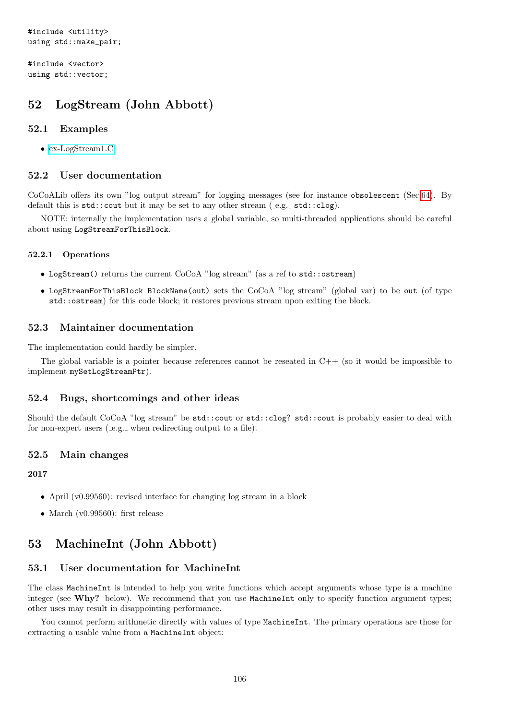#include <vector> using std::vector;

# 52 LogStream (John Abbott)

# 52.1 Examples

• [ex-LogStream1.C](../../examples/index.html#ex-LogStream1.C)

# 52.2 User documentation

CoCoALib offers its own "log output stream" for logging messages (see for instance obsolescent (Sec[.64\)](#page-136-0). By default this is  $std::count$  but it may be set to any other stream  $(e.g., std::clog)$ .

NOTE: internally the implementation uses a global variable, so multi-threaded applications should be careful about using LogStreamForThisBlock.

## 52.2.1 Operations

- LogStream() returns the current CoCoA "log stream" (as a ref to std::ostream)
- LogStreamForThisBlock BlockName(out) sets the CoCoA "log stream" (global var) to be out (of type std::ostream) for this code block; it restores previous stream upon exiting the block.

# 52.3 Maintainer documentation

The implementation could hardly be simpler.

The global variable is a pointer because references cannot be reseated in  $C_{++}$  (so it would be impossible to implement mySetLogStreamPtr).

# 52.4 Bugs, shortcomings and other ideas

Should the default CoCoA "log stream" be std::cout or std::clog? std::cout is probably easier to deal with for non-expert users (e.g. when redirecting output to a file).

## 52.5 Main changes

## 2017

- April (v0.99560): revised interface for changing log stream in a block
- March (v0.99560): first release

# <span id="page-105-0"></span>53 MachineInt (John Abbott)

# 53.1 User documentation for MachineInt

The class MachineInt is intended to help you write functions which accept arguments whose type is a machine integer (see Why? below). We recommend that you use MachineInt only to specify function argument types; other uses may result in disappointing performance.

You cannot perform arithmetic directly with values of type MachineInt. The primary operations are those for extracting a usable value from a MachineInt object: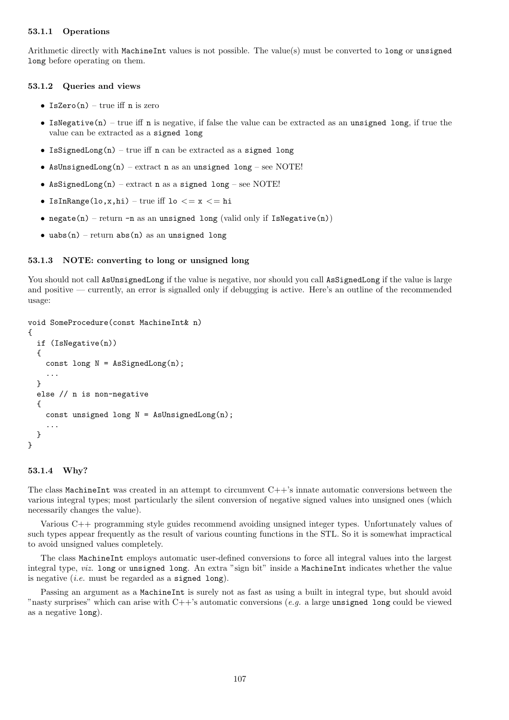## 53.1.1 Operations

Arithmetic directly with MachineInt values is not possible. The value(s) must be converted to long or unsigned long before operating on them.

#### 53.1.2 Queries and views

- IsZero $(n)$  true iff n is zero
- IsNegative(n) true iff n is negative, if false the value can be extracted as an unsigned long, if true the value can be extracted as a signed long
- IsSignedLong(n) true iff n can be extracted as a signed long
- AsUnsignedLong(n) extract n as an unsigned long see NOTE!
- AsSignedLong(n) extract n as a signed long see NOTE!
- IsInRange(lo,x,hi) true iff lo  $\lt = x \lt = h$ i
- negate(n) return -n as an unsigned long (valid only if IsNegative(n))
- uabs $(n)$  return abs $(n)$  as an unsigned long

#### 53.1.3 NOTE: converting to long or unsigned long

You should not call AsUnsignedLong if the value is negative, nor should you call AsSignedLong if the value is large and positive — currently, an error is signalled only if debugging is active. Here's an outline of the recommended usage:

```
void SomeProcedure(const MachineInt& n)
{
  if (IsNegative(n))
  {
    const long N = AsSignedLong(n);
    ...
  }
  else // n is non-negative
  \overline{f}const unsigned long N = AsUnsignedLong(n);
    ...
  }
}
```
#### 53.1.4 Why?

The class MachineInt was created in an attempt to circumvent C++'s innate automatic conversions between the various integral types; most particularly the silent conversion of negative signed values into unsigned ones (which necessarily changes the value).

Various C++ programming style guides recommend avoiding unsigned integer types. Unfortunately values of such types appear frequently as the result of various counting functions in the STL. So it is somewhat impractical to avoid unsigned values completely.

The class MachineInt employs automatic user-defined conversions to force all integral values into the largest integral type, viz. long or unsigned long. An extra "sign bit" inside a MachineInt indicates whether the value is negative (*i.e.* must be regarded as a signed long).

Passing an argument as a MachineInt is surely not as fast as using a built in integral type, but should avoid "nasty surprises" which can arise with  $C++'s$  automatic conversions (e.g. a large unsigned long could be viewed as a negative long).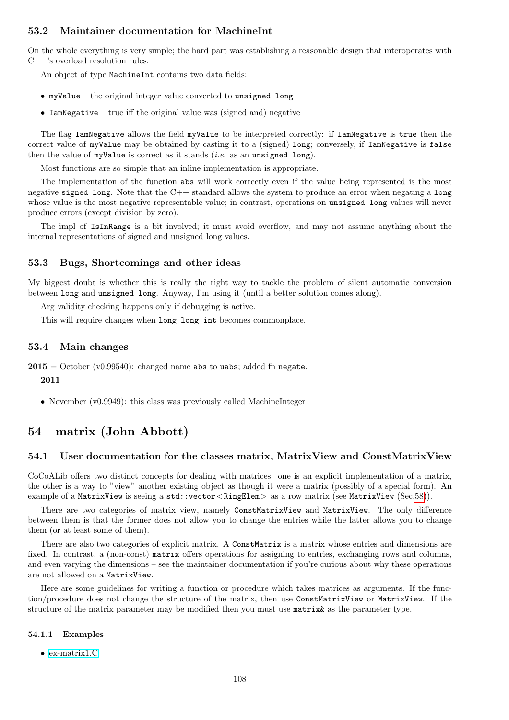## 53.2 Maintainer documentation for MachineInt

On the whole everything is very simple; the hard part was establishing a reasonable design that interoperates with C++'s overload resolution rules.

An object of type MachineInt contains two data fields:

- myValue the original integer value converted to unsigned long
- IamNegative true iff the original value was (signed and) negative

The flag IamNegative allows the field myValue to be interpreted correctly: if IamNegative is true then the correct value of myValue may be obtained by casting it to a (signed) long; conversely, if IamNegative is false then the value of myValue is correct as it stands (*i.e.* as an unsigned long).

Most functions are so simple that an inline implementation is appropriate.

The implementation of the function abs will work correctly even if the value being represented is the most negative signed long. Note that the C++ standard allows the system to produce an error when negating a long whose value is the most negative representable value; in contrast, operations on unsigned long values will never produce errors (except division by zero).

The impl of IsInRange is a bit involved; it must avoid overflow, and may not assume anything about the internal representations of signed and unsigned long values.

## 53.3 Bugs, Shortcomings and other ideas

My biggest doubt is whether this is really the right way to tackle the problem of silent automatic conversion between long and unsigned long. Anyway, I'm using it (until a better solution comes along).

Arg validity checking happens only if debugging is active.

This will require changes when long long int becomes commonplace.

## 53.4 Main changes

 $2015 =$  October (v0.99540): changed name abs to uabs; added fn negate. 2011

• November (v0.9949): this class was previously called MachineInteger

# 54 matrix (John Abbott)

## 54.1 User documentation for the classes matrix, MatrixView and ConstMatrixView

CoCoALib offers two distinct concepts for dealing with matrices: one is an explicit implementation of a matrix, the other is a way to "view" another existing object as though it were a matrix (possibly of a special form). An example of a MatrixView is seeing a std::vector<RingElem> as a row matrix (see MatrixView (Sec[.58\)](#page-116-0)).

There are two categories of matrix view, namely ConstMatrixView and MatrixView. The only difference between them is that the former does not allow you to change the entries while the latter allows you to change them (or at least some of them).

There are also two categories of explicit matrix. A ConstMatrix is a matrix whose entries and dimensions are fixed. In contrast, a (non-const) matrix offers operations for assigning to entries, exchanging rows and columns, and even varying the dimensions – see the maintainer documentation if you're curious about why these operations are not allowed on a MatrixView.

Here are some guidelines for writing a function or procedure which takes matrices as arguments. If the function/procedure does not change the structure of the matrix, then use ConstMatrixView or MatrixView. If the structure of the matrix parameter may be modified then you must use matrix  $\&$  as the parameter type.

#### 54.1.1 Examples

• [ex-matrix1.C](../../examples/index.html#ex-matrix1.C)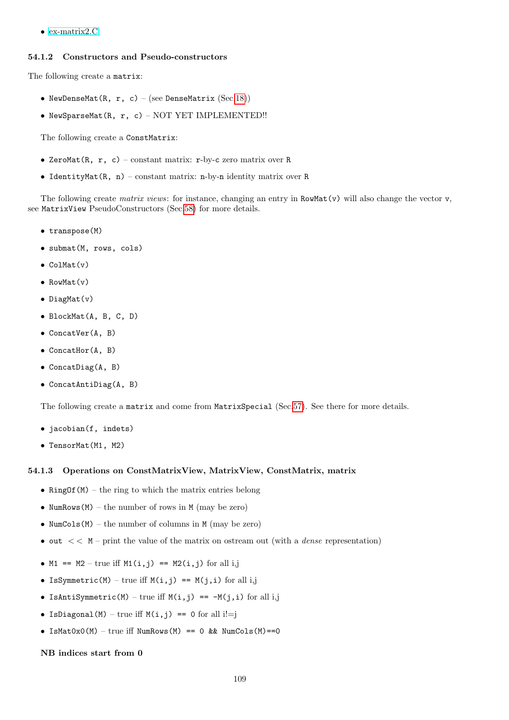• [ex-matrix2.C](../../examples/index.html#ex-matrix2.C)

### 54.1.2 Constructors and Pseudo-constructors

The following create a matrix:

- NewDenseMat(R, r, c) (see DenseMatrix  $(Sec.18)$  $(Sec.18)$ )
- NewSparseMat(R, r, c) NOT YET IMPLEMENTED!!

The following create a ConstMatrix:

- ZeroMat(R,  $r$ , c) constant matrix: r-by-c zero matrix over R
- IdentityMat $(R, n)$  constant matrix: n-by-n identity matrix over R

The following create *matrix views*: for instance, changing an entry in  $RowMat(v)$  will also change the vector v, see MatrixView PseudoConstructors (Sec[.58\)](#page-116-0) for more details.

- transpose(M)
- submat(M, rows, cols)
- ColMat(v)
- RowMat(v)
- DiagMat(v)
- BlockMat(A, B, C, D)
- ConcatVer(A, B)
- ConcatHor(A, B)
- ConcatDiag(A, B)
- ConcatAntiDiag(A, B)

The following create a matrix and come from MatrixSpecial (Sec[.57\)](#page-115-0). See there for more details.

- jacobian(f, indets)
- TensorMat(M1, M2)

### 54.1.3 Operations on ConstMatrixView, MatrixView, ConstMatrix, matrix

- RingOf( $M$ ) the ring to which the matrix entries belong
- NumRows $(M)$  the number of rows in M (may be zero)
- NumCols $(M)$  the number of columns in M (may be zero)
- out  $<< M$  print the value of the matrix on ostream out (with a *dense* representation)
- M1 == M2 true iff M1(i,j) == M2(i,j) for all i,j
- IsSymmetric(M) true iff  $M(i, j)$  ==  $M(j, i)$  for all i,j
- IsAntiSymmetric(M) true iff  $M(i, j)$  ==  $-M(j, i)$  for all i,j
- IsDiagonal(M) true iff  $M(i, j) == 0$  for all i!=j
- IsMat0x0(M) true iff NumRows(M) == 0 && NumCols(M) == 0

### NB indices start from 0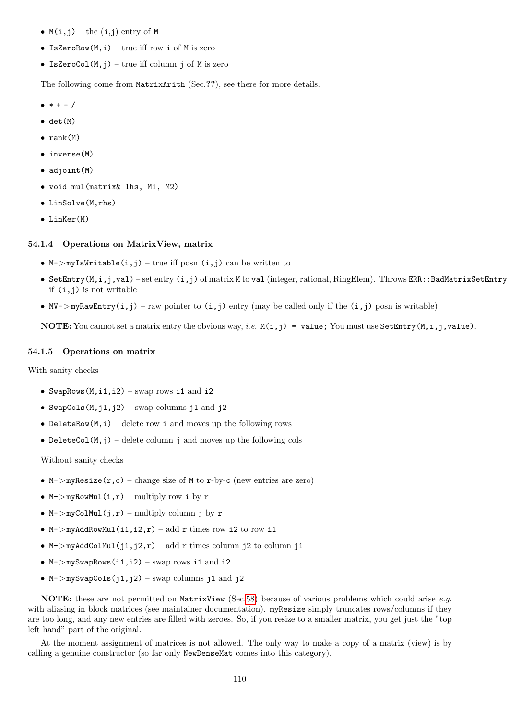- $M(i, j)$  the  $(i, j)$  entry of M
- IsZeroRow $(M, i)$  true iff row i of M is zero
- IsZeroCol $(M, j)$  true iff column j of M is zero

The following come from MatrixArith (Sec.??), see there for more details.

- $\bullet * + /$
- $\bullet$  det $(M)$
- $\bullet$  rank $(M)$
- inverse(M)
- adjoint(M)
- void mul(matrix& lhs, M1, M2)
- LinSolve(M,rhs)
- LinKer(M)

### 54.1.4 Operations on MatrixView, matrix

- M->myIsWritable(i,j) true iff posn (i,j) can be written to
- SetEntry(M,i,j,val) set entry (i,j) of matrix M to val (integer, rational, RingElem). Throws ERR::BadMatrixSetEntry if  $(i, j)$  is not writable
- MV->myRawEntry(i,j) raw pointer to  $(i, j)$  entry (may be called only if the  $(i, j)$  posn is writable)

**NOTE:** You cannot set a matrix entry the obvious way, *i.e.*  $M(i, j) =$  value; You must use SetEntry( $M, i, j$ , value).

### 54.1.5 Operations on matrix

With sanity checks

- SwapRows( $M$ ,i1,i2) swap rows i1 and i2
- SwapCols( $M$ ,  $i$ 1,  $i$ 2) swap columns  $i$ 1 and  $i$ 2
- DeleteRow $(M, i)$  delete row i and moves up the following rows
- DeleteCol(M,j) delete column j and moves up the following cols

Without sanity checks

- $M$ ->myResize(r,c) change size of M to r-by-c (new entries are zero)
- M- $>\text{myRowMul}(i,r)$  multiply row i by r
- M->myColMul(j,r) multiply column j by r
- M->myAddRowMul(i1, i2, r) add r times row i2 to row i1
- M->myAddColMul(j1,j2,r) add r times column j2 to column j1
- M->mySwapRows(i1,i2) swap rows i1 and i2
- $M$ ->mySwapCols(j1,j2) swap columns j1 and j2

NOTE: these are not permitted on MatrixView (Sec[.58\)](#page-116-0) because of various problems which could arise e.g. with aliasing in block matrices (see maintainer documentation). myResize simply truncates rows/columns if they are too long, and any new entries are filled with zeroes. So, if you resize to a smaller matrix, you get just the "top left hand" part of the original.

At the moment assignment of matrices is not allowed. The only way to make a copy of a matrix (view) is by calling a genuine constructor (so far only NewDenseMat comes into this category).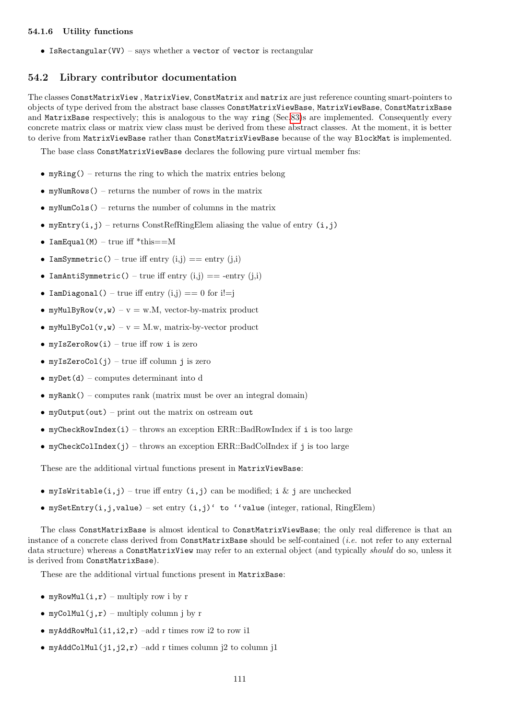# 54.1.6 Utility functions

• IsRectangular(VV) – says whether a vector of vector is rectangular

## 54.2 Library contributor documentation

The classes ConstMatrixView , MatrixView, ConstMatrix and matrix are just reference counting smart-pointers to objects of type derived from the abstract base classes ConstMatrixViewBase, MatrixViewBase, ConstMatrixBase and MatrixBase respectively; this is analogous to the way ring (Sec[.83\)](#page-169-0)s are implemented. Consequently every concrete matrix class or matrix view class must be derived from these abstract classes. At the moment, it is better to derive from MatrixViewBase rather than ConstMatrixViewBase because of the way BlockMat is implemented.

The base class ConstMatrixViewBase declares the following pure virtual member fns:

- myRing() returns the ring to which the matrix entries belong
- myNumRows() returns the number of rows in the matrix
- myNumCols() returns the number of columns in the matrix
- myEntry(i,j) returns ConstRefRingElem aliasing the value of entry  $(i,j)$
- IamEqual(M) true iff  $*$ this==M
- IamSymmetric() true iff entry  $(i,j) == entry (j,i)$
- IamAntiSymmetric() true iff entry  $(i,j) == -entry (j,i)$
- IamDiagonal() true iff entry  $(i,j) == 0$  for  $i!=j$
- myMulByRow(v,w) v = w.M, vector-by-matrix product
- myMulByCol(v,w) v = M.w, matrix-by-vector product
- myIsZeroRow(i) true iff row i is zero
- myIsZeroCol $(j)$  true iff column j is zero
- $myDet(d)$  computes determinant into d
- myRank() computes rank (matrix must be over an integral domain)
- myOutput(out) print out the matrix on ostream out
- myCheckRowIndex(i) throws an exception ERR::BadRowIndex if i is too large
- myCheckColIndex(j) throws an exception ERR::BadColIndex if j is too large

These are the additional virtual functions present in MatrixViewBase:

- myIsWritable(i,j) true iff entry (i,j) can be modified; i & j are unchecked
- mySetEntry(i,j,value) set entry  $(i,j)'$  to ''value (integer, rational, RingElem)

The class ConstMatrixBase is almost identical to ConstMatrixViewBase; the only real difference is that an instance of a concrete class derived from ConstMatrixBase should be self-contained (*i.e.* not refer to any external data structure) whereas a ConstMatrixView may refer to an external object (and typically should do so, unless it is derived from ConstMatrixBase).

These are the additional virtual functions present in MatrixBase:

- myRowMul(i,r) multiply row i by r
- myColMul $(i, r)$  multiply column j by r
- myAddRowMul(i1, i2, r) –add r times row i2 to row i1
- myAddColMul(j1,j2,r) –add r times column j2 to column j1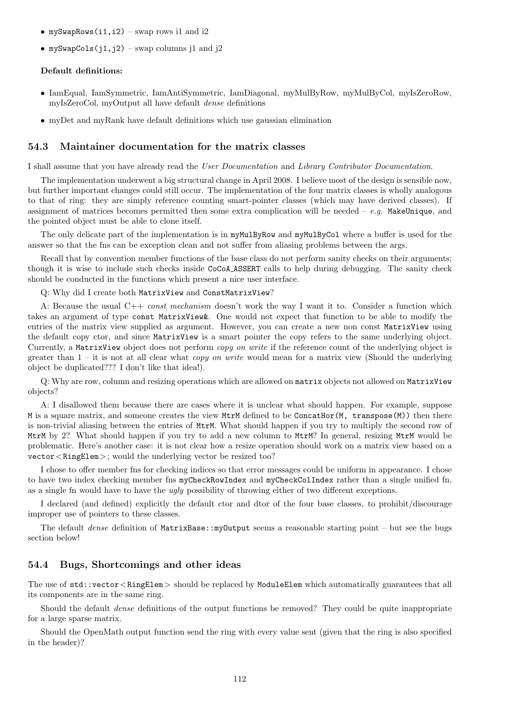- mySwapRows(i1, i2) swap rows il and i2
- mySwapCols(j1,j2) swap columns j1 and j2

## Default definitions:

- IamEqual, IamSymmetric, IamAntiSymmetric, IamDiagonal, myMulByRow, myMulByCol, myIsZeroRow, myIsZeroCol, myOutput all have default dense definitions
- myDet and myRank have default definitions which use gaussian elimination

## 54.3 Maintainer documentation for the matrix classes

I shall assume that you have already read the User Documentation and Library Contributor Documentation.

The implementation underwent a big structural change in April 2008. I believe most of the design is sensible now, but further important changes could still occur. The implementation of the four matrix classes is wholly analogous to that of ring: they are simply reference counting smart-pointer classes (which may have derived classes). If assignment of matrices becomes permitted then some extra complication will be needed –  $e.g.$  MakeUnique, and the pointed object must be able to clone itself.

The only delicate part of the implementation is in myMulByRow and myMulByCol where a buffer is used for the answer so that the fns can be exception clean and not suffer from aliasing problems between the args.

Recall that by convention member functions of the base class do not perform sanity checks on their arguments; though it is wise to include such checks inside CoCoA ASSERT calls to help during debugging. The sanity check should be conducted in the functions which present a nice user interface.

Q: Why did I create both MatrixView and ConstMatrixView?

A: Because the usual  $C++$  const mechanism doesn't work the way I want it to. Consider a function which takes an argument of type const MatrixView&. One would not expect that function to be able to modify the entries of the matrix view supplied as argument. However, you can create a new non const MatrixView using the default copy ctor, and since MatrixView is a smart pointer the copy refers to the same underlying object. Currently, a MatrixView object does not perform copy on write if the reference count of the underlying object is greater than  $1 - it$  is not at all clear what *copy on write* would mean for a matrix view (Should the underlying object be duplicated??? I don't like that idea!).

Q: Why are row, column and resizing operations which are allowed on matrix objects not allowed on MatrixView objects?

A: I disallowed them because there are cases where it is unclear what should happen. For example, suppose M is a square matrix, and someone creates the view MtrM defined to be ConcatHor(M, transpose(M)) then there is non-trivial aliasing between the entries of MtrM. What should happen if you try to multiply the second row of MtrM by 2? What should happen if you try to add a new column to MtrM? In general, resizing MtrM would be problematic. Here's another case: it is not clear how a resize operation should work on a matrix view based on a vector<RingElem>; would the underlying vector be resized too?

I chose to offer member fns for checking indices so that error messages could be uniform in appearance. I chose to have two index checking member fns myCheckRowIndex and myCheckColIndex rather than a single unified fn, as a single fn would have to have the ugly possibility of throwing either of two different exceptions.

I declared (and defined) explicitly the default ctor and dtor of the four base classes, to prohibit/discourage improper use of pointers to these classes.

The default *dense* definition of MatrixBase::myOutput seems a reasonable starting point – but see the bugs section below!

## 54.4 Bugs, Shortcomings and other ideas

The use of  $std::vector$ <RingElem > should be replaced by ModuleElem which automatically guarantees that all its components are in the same ring.

Should the default dense definitions of the output functions be removed? They could be quite inappropriate for a large sparse matrix.

Should the OpenMath output function send the ring with every value sent (given that the ring is also specified in the header)?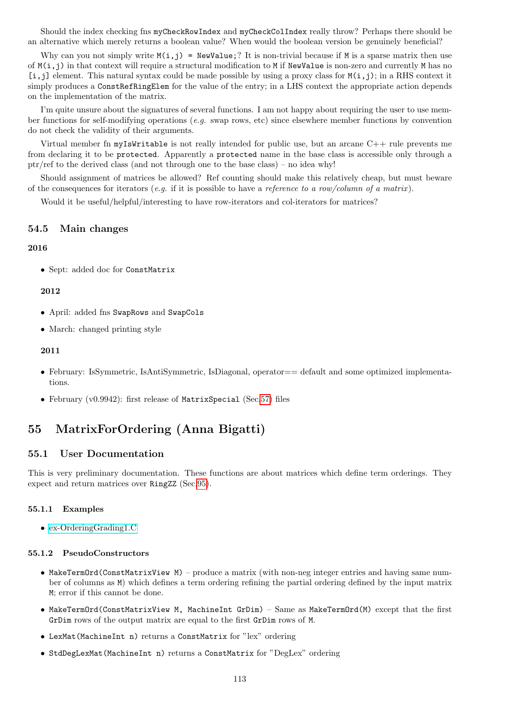Should the index checking fns myCheckRowIndex and myCheckColIndex really throw? Perhaps there should be an alternative which merely returns a boolean value? When would the boolean version be genuinely beneficial?

Why can you not simply write  $M(i,j)$  = NewValue;? It is non-trivial because if M is a sparse matrix then use of  $M(i,j)$  in that context will require a structural modification to M if NewValue is non-zero and currently M has no  $[i, j]$  element. This natural syntax could be made possible by using a proxy class for  $M(i, j)$ ; in a RHS context it simply produces a ConstRefRingElem for the value of the entry; in a LHS context the appropriate action depends on the implementation of the matrix.

I'm quite unsure about the signatures of several functions. I am not happy about requiring the user to use member functions for self-modifying operations (e.g. swap rows, etc) since elsewhere member functions by convention do not check the validity of their arguments.

Virtual member fn myIsWritable is not really intended for public use, but an arcane C++ rule prevents me from declaring it to be protected. Apparently a protected name in the base class is accessible only through a ptr/ref to the derived class (and not through one to the base class) – no idea why!

Should assignment of matrices be allowed? Ref counting should make this relatively cheap, but must beware of the consequences for iterators (e.g. if it is possible to have a reference to a row/column of a matrix).

Would it be useful/helpful/interesting to have row-iterators and col-iterators for matrices?

## 54.5 Main changes

### 2016

• Sept: added doc for ConstMatrix

### 2012

- April: added fns SwapRows and SwapCols
- March: changed printing style

## 2011

- February: IsSymmetric, IsAntiSymmetric, IsDiagonal, operator = default and some optimized implementations.
- February (v0.9942): first release of MatrixSpecial (Sec[.57\)](#page-115-0) files

# 55 MatrixForOrdering (Anna Bigatti)

# 55.1 User Documentation

This is very preliminary documentation. These functions are about matrices which define term orderings. They expect and return matrices over RingZZ (Sec[.95\)](#page-200-0).

## 55.1.1 Examples

• [ex-OrderingGrading1.C](../../examples/index.html#ex-OrderingGrading1.C)

#### 55.1.2 PseudoConstructors

- MakeTermOrd(ConstMatrixView M) produce a matrix (with non-neg integer entries and having same number of columns as M) which defines a term ordering refining the partial ordering defined by the input matrix M; error if this cannot be done.
- MakeTermOrd(ConstMatrixView M, MachineInt GrDim) Same as MakeTermOrd(M) except that the first GrDim rows of the output matrix are equal to the first GrDim rows of M.
- LexMat(MachineInt n) returns a ConstMatrix for "lex" ordering
- StdDegLexMat(MachineInt n) returns a ConstMatrix for "DegLex" ordering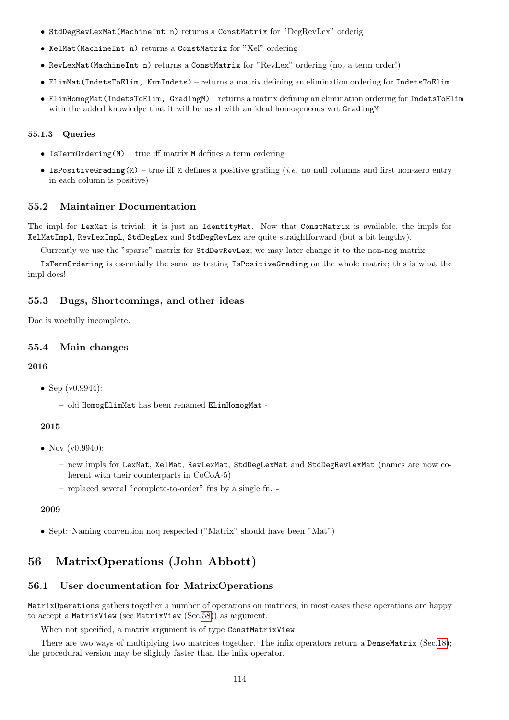- StdDegRevLexMat(MachineInt n) returns a ConstMatrix for "DegRevLex" orderig
- XelMat(MachineInt n) returns a ConstMatrix for "Xel" ordering
- RevLexMat(MachineInt n) returns a ConstMatrix for "RevLex" ordering (not a term order!)
- ElimMat(IndetsToElim, NumIndets) returns a matrix defining an elimination ordering for IndetsToElim.
- ElimHomogMat(IndetsToElim, GradingM) returns a matrix defining an elimination ordering for IndetsToElim with the added knowledge that it will be used with an ideal homogeneous wrt GradingM

### 55.1.3 Queries

- IsTermOrdering $(M)$  true iff matrix M defines a term ordering
- IsPositiveGrading(M) true iff M defines a positive grading (*i.e.* no null columns and first non-zero entry in each column is positive)

## 55.2 Maintainer Documentation

The impl for LexMat is trivial: it is just an IdentityMat. Now that ConstMatrix is available, the impls for XelMatImpl, RevLexImpl, StdDegLex and StdDegRevLex are quite straightforward (but a bit lengthy).

Currently we use the "sparse" matrix for StdDevRevLex; we may later change it to the non-neg matrix.

IsTermOrdering is essentially the same as testing IsPositiveGrading on the whole matrix; this is what the impl does!

### 55.3 Bugs, Shortcomings, and other ideas

Doc is woefully incomplete.

### 55.4 Main changes

### 2016

- Sep (v0.9944):
	- old HomogElimMat has been renamed ElimHomogMat -

## 2015

- Nov  $(v0.9940)$ :
	- new impls for LexMat, XelMat, RevLexMat, StdDegLexMat and StdDegRevLexMat (names are now coherent with their counterparts in  $CoCoA-5$ )
	- replaced several "complete-to-order" fns by a single fn. -

### 2009

• Sept: Naming convention noq respected ("Matrix" should have been "Mat")

# 56 MatrixOperations (John Abbott)

# 56.1 User documentation for MatrixOperations

MatrixOperations gathers together a number of operations on matrices; in most cases these operations are happy to accept a MatrixView (see MatrixView (Sec[.58\)](#page-116-0)) as argument.

When not specified, a matrix argument is of type ConstMatrixView.

There are two ways of multiplying two matrices together. The infix operators return a DenseMatrix (Sec[.18\)](#page-53-0); the procedural version may be slightly faster than the infix operator.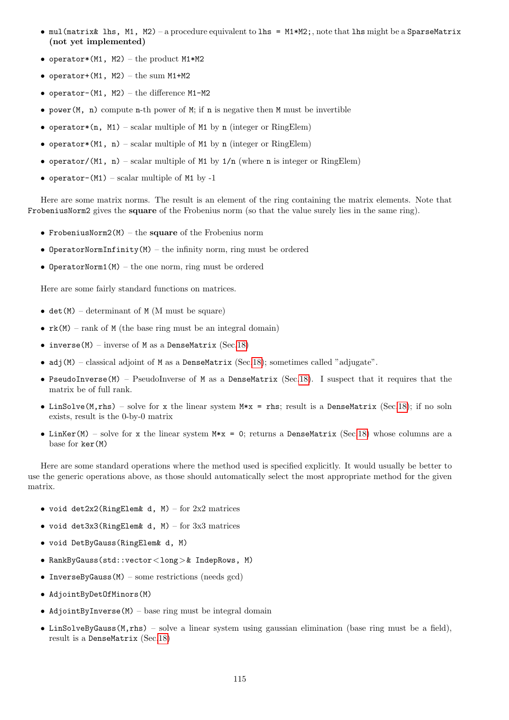- mul(matrix& lhs, M1, M2) a procedure equivalent to lhs = M1\*M2;, note that lhs might be a SparseMatrix (not yet implemented)
- operator\*(M1, M2) the product M1\*M2
- operator+ $(M1, M2)$  the sum M1+M2
- operator- $(M1, M2)$  the difference  $M1-M2$
- power( $M$ , n) compute n-th power of  $M$ ; if n is negative then M must be invertible
- operator\*(n, M1) scalar multiple of M1 by n (integer or RingElem)
- operator\*(M1, n) scalar multiple of M1 by n (integer or RingElem)
- operator/(M1, n) scalar multiple of M1 by  $1/n$  (where n is integer or RingElem)
- operator-(M1) scalar multiple of M1 by -1

Here are some matrix norms. The result is an element of the ring containing the matrix elements. Note that FrobeniusNorm2 gives the square of the Frobenius norm (so that the value surely lies in the same ring).

- FrobeniusNorm2 $(M)$  the square of the Frobenius norm
- OperatorNormInfinity(M) the infinity norm, ring must be ordered
- OperatorNorm1 $(M)$  the one norm, ring must be ordered

Here are some fairly standard functions on matrices.

- det(M) determinant of M (M must be square)
- $rk(M)$  rank of M (the base ring must be an integral domain)
- inverse(M) inverse of M as a DenseMatrix (Sec[.18\)](#page-53-0)
- adj(M) classical adjoint of M as a DenseMatrix (Sec[.18\)](#page-53-0); sometimes called "adjugate".
- PseudoInverse(M) PseudoInverse of M as a DenseMatrix (Sec[.18\)](#page-53-0). I suspect that it requires that the matrix be of full rank.
- LinSolve(M,rhs) solve for x the linear system  $M*x = r$ hs; result is a DenseMatrix (Sec[.18\)](#page-53-0); if no soln exists, result is the 0-by-0 matrix
- LinKer(M) solve for x the linear system  $M*x = 0$ ; returns a DenseMatrix (Sec[.18\)](#page-53-0) whose columns are a base for ker(M)

Here are some standard operations where the method used is specified explicitly. It would usually be better to use the generic operations above, as those should automatically select the most appropriate method for the given matrix.

- void det2x2(RingElem& d, M) for  $2x2$  matrices
- void det3x3(RingElem& d, M) for 3x3 matrices
- void DetByGauss(RingElem& d, M)
- RankByGauss(std::vector<long>& IndepRows, M)
- InverseByGauss $(M)$  some restrictions (needs gcd)
- AdjointByDetOfMinors(M)
- AdjointByInverse $(M)$  base ring must be integral domain
- LinSolveByGauss(M,rhs) solve a linear system using gaussian elimination (base ring must be a field), result is a DenseMatrix (Sec[.18\)](#page-53-0)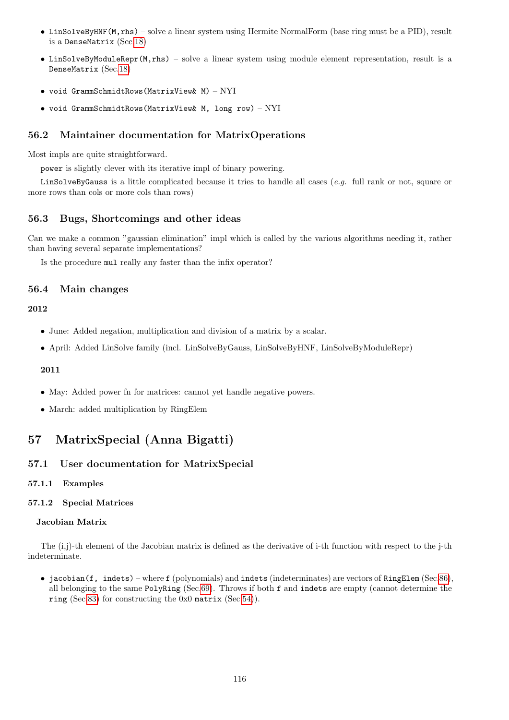- LinSolveByHNF(M,rhs) solve a linear system using Hermite NormalForm (base ring must be a PID), result is a DenseMatrix (Sec[.18\)](#page-53-0)
- LinSolveByModuleRepr(M,rhs) solve a linear system using module element representation, result is a DenseMatrix (Sec[.18\)](#page-53-0)
- void GrammSchmidtRows(MatrixView& M) NYI
- void GrammSchmidtRows(MatrixView& M, long row) NYI

# 56.2 Maintainer documentation for MatrixOperations

Most impls are quite straightforward.

power is slightly clever with its iterative impl of binary powering.

LinSolveByGauss is a little complicated because it tries to handle all cases (e.g. full rank or not, square or more rows than cols or more cols than rows)

## 56.3 Bugs, Shortcomings and other ideas

Can we make a common "gaussian elimination" impl which is called by the various algorithms needing it, rather than having several separate implementations?

Is the procedure mul really any faster than the infix operator?

## 56.4 Main changes

### 2012

- June: Added negation, multiplication and division of a matrix by a scalar.
- April: Added LinSolve family (incl. LinSolveByGauss, LinSolveByHNF, LinSolveByModuleRepr)

# 2011

- May: Added power fn for matrices: cannot yet handle negative powers.
- March: added multiplication by RingElem

# <span id="page-115-0"></span>57 MatrixSpecial (Anna Bigatti)

## 57.1 User documentation for MatrixSpecial

57.1.1 Examples

### 57.1.2 Special Matrices

## Jacobian Matrix

The (i,j)-th element of the Jacobian matrix is defined as the derivative of i-th function with respect to the j-th indeterminate.

• jacobian(f, indets) – where f (polynomials) and indets (indeterminates) are vectors of RingElem (Sec[.86\)](#page-174-0), all belonging to the same PolyRing (Sec[.69\)](#page-144-0). Throws if both f and indets are empty (cannot determine the ring (Sec[.83\)](#page-169-0) for constructing the 0x0 matrix (Sec[.54\)](#page-107-0)).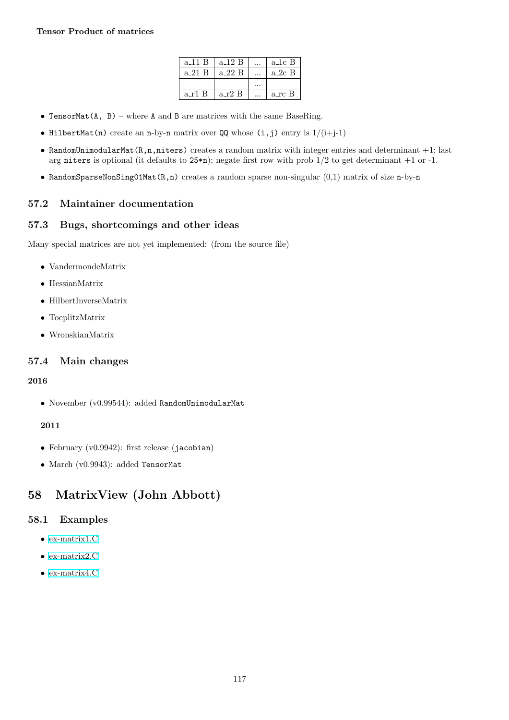| $a_11B$ | a_12 B   | a_1c B   |
|---------|----------|----------|
| a 21 B  | a_22 B   | $a_2c_B$ |
|         |          |          |
| a r1 B  | $a_r2_B$ | a_rc B   |

- TensorMat(A, B) where A and B are matrices with the same BaseRing.
- HilbertMat(n) create an n-by-n matrix over  $QQ$  whose  $(i, j)$  entry is  $1/(i+j-1)$
- RandomUnimodularMat $(R,n,n$ iters) creates a random matrix with integer entries and determinant  $+1$ ; last arg niters is optional (it defaults to  $25\cdot n$ ); negate first row with prob  $1/2$  to get determinant  $+1$  or  $-1$ .
- RandomSparseNonSing01Mat $(R, n)$  creates a random sparse non-singular  $(0,1)$  matrix of size n-by-n

# 57.2 Maintainer documentation

# 57.3 Bugs, shortcomings and other ideas

Many special matrices are not yet implemented: (from the source file)

- VandermondeMatrix
- HessianMatrix
- HilbertInverseMatrix
- ToeplitzMatrix
- WronskianMatrix

# 57.4 Main changes

## 2016

• November (v0.99544): added RandomUnimodularMat

# 2011

- February (v0.9942): first release (jacobian)
- March (v0.9943): added TensorMat

# <span id="page-116-0"></span>58 MatrixView (John Abbott)

# 58.1 Examples

- [ex-matrix1.C](../../examples/index.html#ex-matrix1.C)
- [ex-matrix2.C](../../examples/index.html#ex-matrix2.C)
- [ex-matrix4.C](../../examples/index.html#ex-matrix4.C)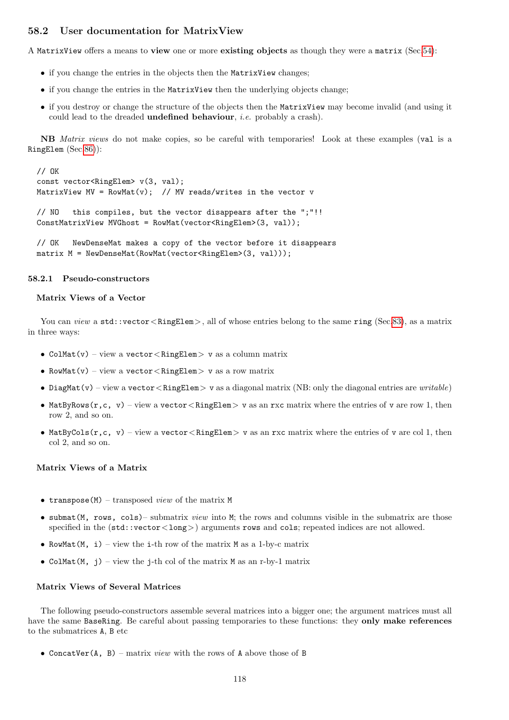# 58.2 User documentation for MatrixView

A MatrixView offers a means to view one or more existing objects as though they were a matrix (Sec[.54\)](#page-107-0):

- if you change the entries in the objects then the MatrixView changes;
- if you change the entries in the MatrixView then the underlying objects change;
- if you destroy or change the structure of the objects then the MatrixView may become invalid (and using it could lead to the dreaded **undefined behaviour**, *i.e.* probably a crash).

NB Matrix views do not make copies, so be careful with temporaries! Look at these examples (val is a RingElem (Sec[.86\)](#page-174-0)):

```
// OK
const vector<RingElem> v(3, val);
MatrixView MV = RowMat(v); // MV reads/writes in the vector v
// NO this compiles, but the vector disappears after the ";"!!
ConstMatrixView MVGhost = RowMat(vector<RingElem>(3, val));
```
// OK NewDenseMat makes a copy of the vector before it disappears matrix M = NewDenseMat(RowMat(vector<RingElem>(3, val)));

### 58.2.1 Pseudo-constructors

## Matrix Views of a Vector

You can view a std::vector <RingElem>, all of whose entries belong to the same ring (Sec[.83\)](#page-169-0), as a matrix in three ways:

- ColMat(v) view a vector  $\langle$  RingElem $\rangle$  v as a column matrix
- RowMat(v) view a vector < RingElem> v as a row matrix
- DiagMat(v) view a vector  $\langle$  RingElem $\rangle$  v as a diagonal matrix (NB: only the diagonal entries are writable)
- MatByRows(r,c, v) view a vector  $\langle$  RingElem  $\rangle$  v as an rxc matrix where the entries of v are row 1, then row 2, and so on.
- MatByCols $(r, c, v)$  view a vector  $\langle$  RingElem $\rangle$  v as an rxc matrix where the entries of v are col 1, then col 2, and so on.

### Matrix Views of a Matrix

- transpose(M) transposed view of the matrix  $M$
- submat(M, rows, cols)– submatrix *view* into M; the rows and columns visible in the submatrix are those specified in the  $(\text{std}:\text{vector} < \text{long})$  arguments rows and cols; repeated indices are not allowed.
- RowMat $(M, i)$  view the i-th row of the matrix M as a 1-by-c matrix
- ColMat $(M, j)$  view the j-th col of the matrix M as an r-by-1 matrix

### Matrix Views of Several Matrices

The following pseudo-constructors assemble several matrices into a bigger one; the argument matrices must all have the same BaseRing. Be careful about passing temporaries to these functions: they only make references to the submatrices A, B etc

• ConcatVer(A, B) – matrix *view* with the rows of A above those of B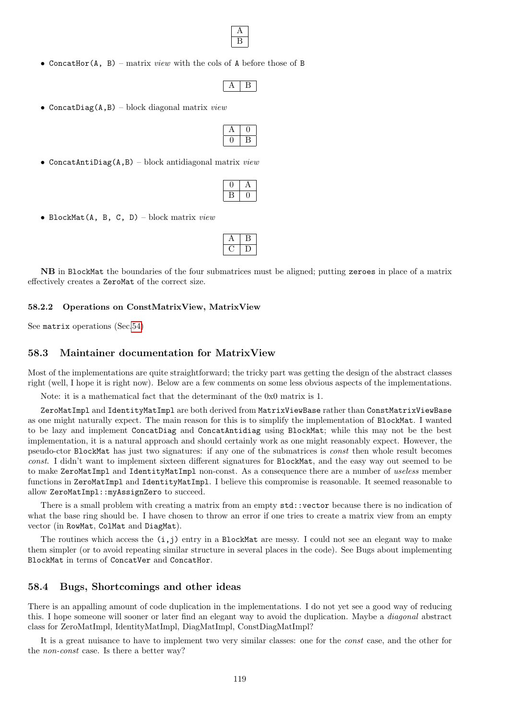

• Concather(A, B) – matrix *view* with the cols of A before those of B

• ConcatDiag( $A$ , B) – block diagonal matrix *view* 

• ConcatAntiDiag(A,B) – block antidiagonal matrix  $view$ 

• BlockMat(A, B, C, D) – block matrix  $view$ 

NB in BlockMat the boundaries of the four submatrices must be aligned; putting zeroes in place of a matrix effectively creates a ZeroMat of the correct size.

### 58.2.2 Operations on ConstMatrixView, MatrixView

See matrix operations (Sec[.54\)](#page-107-0)

# 58.3 Maintainer documentation for MatrixView

Most of the implementations are quite straightforward; the tricky part was getting the design of the abstract classes right (well, I hope it is right now). Below are a few comments on some less obvious aspects of the implementations.

Note: it is a mathematical fact that the determinant of the 0x0 matrix is 1.

ZeroMatImpl and IdentityMatImpl are both derived from MatrixViewBase rather than ConstMatrixViewBase as one might naturally expect. The main reason for this is to simplify the implementation of BlockMat. I wanted to be lazy and implement ConcatDiag and ConcatAntidiag using BlockMat; while this may not be the best implementation, it is a natural approach and should certainly work as one might reasonably expect. However, the pseudo-ctor BlockMat has just two signatures: if any one of the submatrices is const then whole result becomes const. I didn't want to implement sixteen different signatures for BlockMat, and the easy way out seemed to be to make ZeroMatImpl and IdentityMatImpl non-const. As a consequence there are a number of useless member functions in ZeroMatImpl and IdentityMatImpl. I believe this compromise is reasonable. It seemed reasonable to allow ZeroMatImpl::myAssignZero to succeed.

There is a small problem with creating a matrix from an empty  $\text{std}$ : vector because there is no indication of what the base ring should be. I have chosen to throw an error if one tries to create a matrix view from an empty vector (in RowMat, ColMat and DiagMat).

The routines which access the  $(i, j)$  entry in a BlockMat are messy. I could not see an elegant way to make them simpler (or to avoid repeating similar structure in several places in the code). See Bugs about implementing BlockMat in terms of ConcatVer and ConcatHor.

## 58.4 Bugs, Shortcomings and other ideas

There is an appalling amount of code duplication in the implementations. I do not yet see a good way of reducing this. I hope someone will sooner or later find an elegant way to avoid the duplication. Maybe a diagonal abstract class for ZeroMatImpl, IdentityMatImpl, DiagMatImpl, ConstDiagMatImpl?

It is a great nuisance to have to implement two very similar classes: one for the const case, and the other for the non-const case. Is there a better way?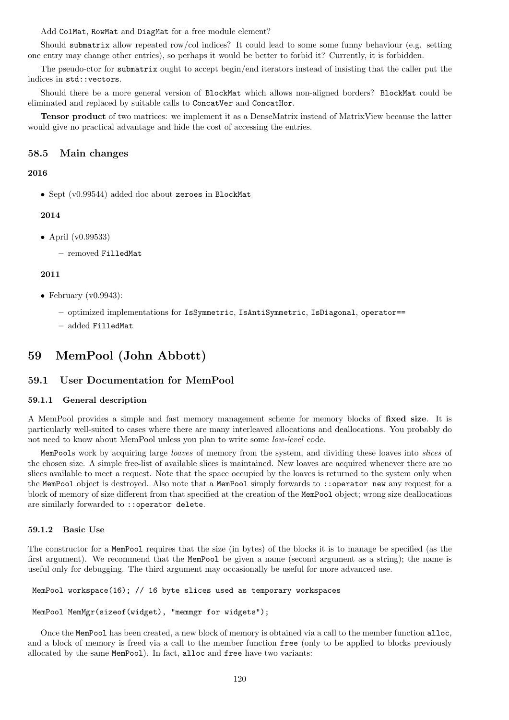Add ColMat, RowMat and DiagMat for a free module element?

Should submatrix allow repeated row/col indices? It could lead to some some funny behaviour (e.g. setting one entry may change other entries), so perhaps it would be better to forbid it? Currently, it is forbidden.

The pseudo-ctor for submatrix ought to accept begin/end iterators instead of insisting that the caller put the indices in std::vectors.

Should there be a more general version of BlockMat which allows non-aligned borders? BlockMat could be eliminated and replaced by suitable calls to ConcatVer and ConcatHor.

Tensor product of two matrices: we implement it as a DenseMatrix instead of MatrixView because the latter would give no practical advantage and hide the cost of accessing the entries.

## 58.5 Main changes

## 2016

• Sept (v0.99544) added doc about zeroes in BlockMat

### 2014

• April (v0.99533)

– removed FilledMat

## 2011

- February  $(v0.9943)$ :
	- optimized implementations for IsSymmetric, IsAntiSymmetric, IsDiagonal, operator==
	- added FilledMat

# 59 MemPool (John Abbott)

# 59.1 User Documentation for MemPool

### 59.1.1 General description

A MemPool provides a simple and fast memory management scheme for memory blocks of fixed size. It is particularly well-suited to cases where there are many interleaved allocations and deallocations. You probably do not need to know about MemPool unless you plan to write some low-level code.

MemPools work by acquiring large *loaves* of memory from the system, and dividing these loaves into *slices* of the chosen size. A simple free-list of available slices is maintained. New loaves are acquired whenever there are no slices available to meet a request. Note that the space occupied by the loaves is returned to the system only when the MemPool object is destroyed. Also note that a MemPool simply forwards to ::operator new any request for a block of memory of size different from that specified at the creation of the MemPool object; wrong size deallocations are similarly forwarded to ::operator delete.

### 59.1.2 Basic Use

The constructor for a MemPool requires that the size (in bytes) of the blocks it is to manage be specified (as the first argument). We recommend that the MemPool be given a name (second argument as a string); the name is useful only for debugging. The third argument may occasionally be useful for more advanced use.

MemPool workspace(16); // 16 byte slices used as temporary workspaces

### MemPool MemMgr(sizeof(widget), "memmgr for widgets");

Once the MemPool has been created, a new block of memory is obtained via a call to the member function alloc, and a block of memory is freed via a call to the member function free (only to be applied to blocks previously allocated by the same MemPool). In fact, alloc and free have two variants: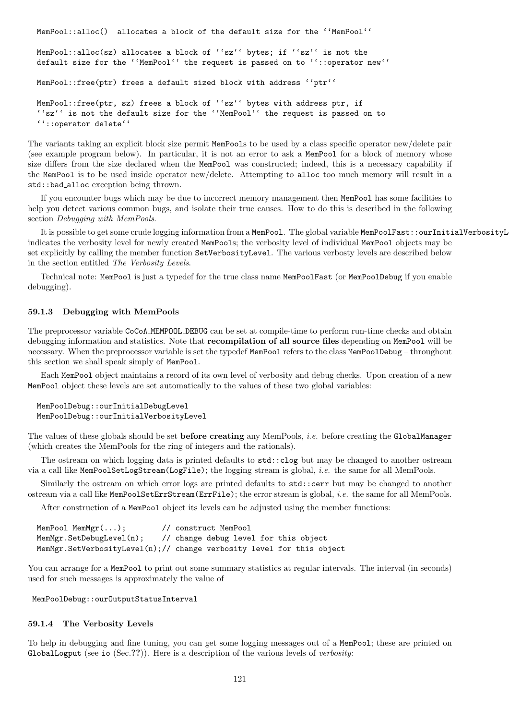```
MemPool::alloc() allocates a block of the default size for the ''MemPool''
MemPool::alloc(sz) allocates a block of ''sz'' bytes; if ''sz'' is not the
default size for the ''MemPool'' the request is passed on to ''::operator new''
MemPool::free(ptr) frees a default sized block with address ''ptr''
MemPool::free(ptr, sz) frees a block of ''sz'' bytes with address ptr, if
''sz'' is not the default size for the ''MemPool'' the request is passed on to
''::operator delete''
```
The variants taking an explicit block size permit MemPools to be used by a class specific operator new/delete pair (see example program below). In particular, it is not an error to ask a MemPool for a block of memory whose size differs from the size declared when the MemPool was constructed; indeed, this is a necessary capability if the MemPool is to be used inside operator new/delete. Attempting to alloc too much memory will result in a std::bad\_alloc exception being thrown.

If you encounter bugs which may be due to incorrect memory management then MemPool has some facilities to help you detect various common bugs, and isolate their true causes. How to do this is described in the following section Debugging with MemPools.

It is possible to get some crude logging information from a MemPool. The global variable MemPoolFast::ourInitialVerbosityL indicates the verbosity level for newly created MemPools; the verbosity level of individual MemPool objects may be set explicitly by calling the member function SetVerbosityLevel. The various verbosty levels are described below in the section entitled The Verbosity Levels.

Technical note: MemPool is just a typedef for the true class name MemPoolFast (or MemPoolDebug if you enable debugging).

### 59.1.3 Debugging with MemPools

The preprocessor variable CoCoA MEMPOOL DEBUG can be set at compile-time to perform run-time checks and obtain debugging information and statistics. Note that recompilation of all source files depending on MemPool will be necessary. When the preprocessor variable is set the typedef MemPool refers to the class MemPoolDebug – throughout this section we shall speak simply of MemPool.

Each MemPool object maintains a record of its own level of verbosity and debug checks. Upon creation of a new MemPool object these levels are set automatically to the values of these two global variables:

```
MemPoolDebug::ourInitialDebugLevel
MemPoolDebug::ourInitialVerbosityLevel
```
The values of these globals should be set before creating any MemPools, i.e. before creating the GlobalManager (which creates the MemPools for the ring of integers and the rationals).

The ostream on which logging data is printed defaults to std::clog but may be changed to another ostream via a call like MemPoolSetLogStream(LogFile); the logging stream is global, i.e. the same for all MemPools.

Similarly the ostream on which error logs are printed defaults to std::cerr but may be changed to another ostream via a call like MemPoolSetErrStream(ErrFile); the error stream is global, i.e. the same for all MemPools.

After construction of a MemPool object its levels can be adjusted using the member functions:

```
MemPool MemMgr(...); // construct MemPool
MemMgr.SetDebugLevel(n); // change debug level for this object
MemMgr.SetVerbosityLevel(n);// change verbosity level for this object
```
You can arrange for a MemPool to print out some summary statistics at regular intervals. The interval (in seconds) used for such messages is approximately the value of

MemPoolDebug::ourOutputStatusInterval

### 59.1.4 The Verbosity Levels

To help in debugging and fine tuning, you can get some logging messages out of a MemPool; these are printed on GlobalLogput (see io  $(Sec.?)$ ). Here is a description of the various levels of *verbosity*: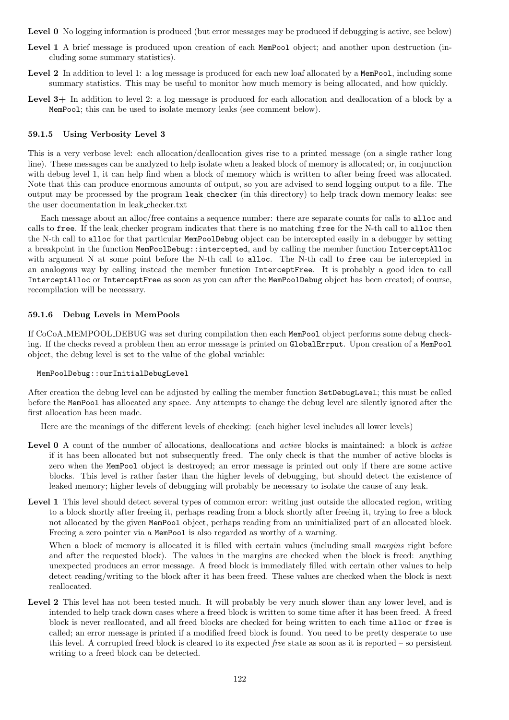Level 0 No logging information is produced (but error messages may be produced if debugging is active, see below)

- Level 1 A brief message is produced upon creation of each MemPool object; and another upon destruction (including some summary statistics).
- Level 2 In addition to level 1: a log message is produced for each new loaf allocated by a MemPool, including some summary statistics. This may be useful to monitor how much memory is being allocated, and how quickly.
- Level 3+ In addition to level 2: a log message is produced for each allocation and deallocation of a block by a MemPool; this can be used to isolate memory leaks (see comment below).

## 59.1.5 Using Verbosity Level 3

This is a very verbose level: each allocation/deallocation gives rise to a printed message (on a single rather long line). These messages can be analyzed to help isolate when a leaked block of memory is allocated; or, in conjunction with debug level 1, it can help find when a block of memory which is written to after being freed was allocated. Note that this can produce enormous amounts of output, so you are advised to send logging output to a file. The output may be processed by the program leak checker (in this directory) to help track down memory leaks: see the user documentation in leak checker.txt

Each message about an alloc/free contains a sequence number: there are separate counts for calls to alloc and calls to free. If the leak checker program indicates that there is no matching free for the N-th call to alloc then the N-th call to alloc for that particular MemPoolDebug object can be intercepted easily in a debugger by setting a breakpoint in the function MemPoolDebug::intercepted, and by calling the member function InterceptAlloc with argument N at some point before the N-th call to alloc. The N-th call to free can be intercepted in an analogous way by calling instead the member function InterceptFree. It is probably a good idea to call InterceptAlloc or InterceptFree as soon as you can after the MemPoolDebug object has been created; of course, recompilation will be necessary.

## 59.1.6 Debug Levels in MemPools

If CoCoA MEMPOOL DEBUG was set during compilation then each MemPool object performs some debug checking. If the checks reveal a problem then an error message is printed on GlobalErrput. Upon creation of a MemPool object, the debug level is set to the value of the global variable:

### MemPoolDebug::ourInitialDebugLevel

After creation the debug level can be adjusted by calling the member function SetDebugLevel; this must be called before the MemPool has allocated any space. Any attempts to change the debug level are silently ignored after the first allocation has been made.

Here are the meanings of the different levels of checking: (each higher level includes all lower levels)

- Level 0 A count of the number of allocations, deallocations and *active* blocks is maintained: a block is *active* if it has been allocated but not subsequently freed. The only check is that the number of active blocks is zero when the MemPool object is destroyed; an error message is printed out only if there are some active blocks. This level is rather faster than the higher levels of debugging, but should detect the existence of leaked memory; higher levels of debugging will probably be necessary to isolate the cause of any leak.
- Level 1 This level should detect several types of common error: writing just outside the allocated region, writing to a block shortly after freeing it, perhaps reading from a block shortly after freeing it, trying to free a block not allocated by the given MemPool object, perhaps reading from an uninitialized part of an allocated block. Freeing a zero pointer via a MemPool is also regarded as worthy of a warning.

When a block of memory is allocated it is filled with certain values (including small margins right before and after the requested block). The values in the margins are checked when the block is freed: anything unexpected produces an error message. A freed block is immediately filled with certain other values to help detect reading/writing to the block after it has been freed. These values are checked when the block is next reallocated.

Level 2 This level has not been tested much. It will probably be very much slower than any lower level, and is intended to help track down cases where a freed block is written to some time after it has been freed. A freed block is never reallocated, and all freed blocks are checked for being written to each time alloc or free is called; an error message is printed if a modified freed block is found. You need to be pretty desperate to use this level. A corrupted freed block is cleared to its expected free state as soon as it is reported – so persistent writing to a freed block can be detected.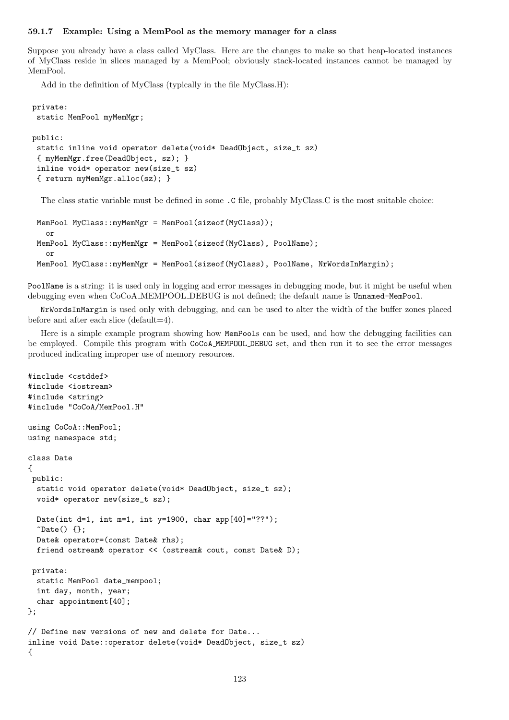### 59.1.7 Example: Using a MemPool as the memory manager for a class

Suppose you already have a class called MyClass. Here are the changes to make so that heap-located instances of MyClass reside in slices managed by a MemPool; obviously stack-located instances cannot be managed by MemPool.

Add in the definition of MyClass (typically in the file MyClass.H):

```
private:
 static MemPool myMemMgr;
public:
 static inline void operator delete(void* DeadObject, size_t sz)
 { myMemMgr.free(DeadObject, sz); }
 inline void* operator new(size_t sz)
 { return myMemMgr.alloc(sz); }
```
The class static variable must be defined in some .C file, probably MyClass.C is the most suitable choice:

```
MemPool MyClass::myMemMgr = MemPool(sizeof(MyClass));
  or
MemPool MyClass::myMemMgr = MemPool(sizeof(MyClass), PoolName);
  or
MemPool MyClass::myMemMgr = MemPool(sizeof(MyClass), PoolName, NrWordsInMargin);
```
PoolName is a string: it is used only in logging and error messages in debugging mode, but it might be useful when debugging even when CoCoA MEMPOOL DEBUG is not defined; the default name is Unnamed-MemPool.

NrWordsInMargin is used only with debugging, and can be used to alter the width of the buffer zones placed before and after each slice (default=4).

Here is a simple example program showing how MemPools can be used, and how the debugging facilities can be employed. Compile this program with CoCoA MEMPOOL DEBUG set, and then run it to see the error messages produced indicating improper use of memory resources.

```
#include <cstddef>
#include <iostream>
#include <string>
#include "CoCoA/MemPool.H"
using CoCoA::MemPool;
using namespace std;
class Date
{
public:
  static void operator delete(void* DeadObject, size_t sz);
 void* operator new(size_t sz);
 Date(int d=1, int m=1, int y=1900, char app[40]="??");
  \tilde{\text{Date}}() \{ \}:
 Date& operator=(const Date& rhs);
 friend ostream& operator << (ostream& cout, const Date& D);
 private:
  static MemPool date_mempool;
  int day, month, year;
  char appointment[40];
};
// Define new versions of new and delete for Date...
inline void Date::operator delete(void* DeadObject, size_t sz)
{
```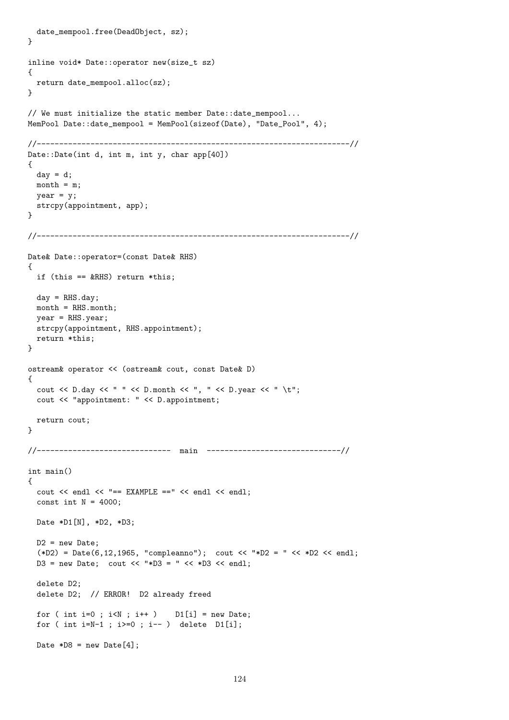```
date_mempool.free(DeadObject, sz);
}
inline void* Date::operator new(size t sz)
{
 return date_mempool.alloc(sz);
}
// We must initialize the static member Date::date_mempool...
MemPool Date::date_mempool = MemPool(sizeof(Date), "Date_Pool", 4);
//----------------------------------------------------------------------//
Date::Date(int d, int m, int y, char app[40])
{
 day = d;month = m;year = y;strcpy(appointment, app);
}
//----------------------------------------------------------------------//
Date& Date::operator=(const Date& RHS)
{
 if (this == kRHS) return *this;
 day = RHS.day;month = RHS.month;
 year = RHS.year;
 strcpy(appointment, RHS.appointment);
 return *this;
}
ostream& operator << (ostream& cout, const Date& D)
{
 cout << D.day << " " << D.month << ", " << D.year << " \t";
 cout << "appointment: " << D.appointment;
 return cout;
}
//------------------------------ main ------------------------------//
int main()
{
 cout << endl << "== EXAMPLE ==" << endl << endl;
 const int N = 4000;
 Date *D1[N], *D2, *D3;
 D2 = new Date;(*D2) = Date(6, 12, 1965, "compleanno"); cout << "*D2 = " << *D2 << end];
 D3 = new Date; cout << "*D3 = " << *D3 << endl;
 delete D2;
 delete D2; // ERROR! D2 already freed
 for ( int i=0 ; i\le N ; i++ ) D1[i] = new Date;
 for ( int i=N-1 ; i>=0 ; i-- ) delete D1[i];
 Date *D8 = new Date[4];
```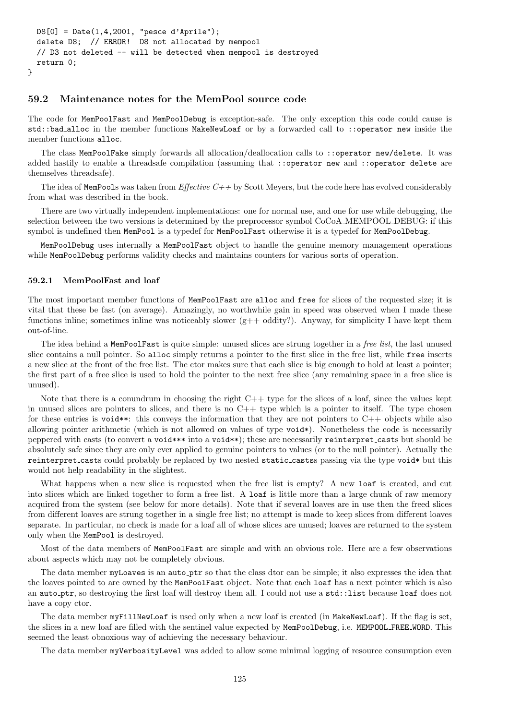```
D8[0] = Date(1,4,2001, "pesce d'Aprile");
delete D8; // ERROR! D8 not allocated by mempool
// D3 not deleted -- will be detected when mempool is destroyed
return 0;
```
## 59.2 Maintenance notes for the MemPool source code

The code for MemPoolFast and MemPoolDebug is exception-safe. The only exception this code could cause is std::bad alloc in the member functions MakeNewLoaf or by a forwarded call to ::operator new inside the member functions alloc.

The class MemPoolFake simply forwards all allocation/deallocation calls to ::operator new/delete. It was added hastily to enable a threadsafe compilation (assuming that ::operator new and ::operator delete are themselves threadsafe).

The idea of MemPools was taken from *Effective C++* by Scott Meyers, but the code here has evolved considerably from what was described in the book.

There are two virtually independent implementations: one for normal use, and one for use while debugging, the selection between the two versions is determined by the preprocessor symbol CoCoA MEMPOOL DEBUG: if this symbol is undefined then MemPool is a typedef for MemPoolFast otherwise it is a typedef for MemPoolDebug.

MemPoolDebug uses internally a MemPoolFast object to handle the genuine memory management operations while MemPoolDebug performs validity checks and maintains counters for various sorts of operation.

### 59.2.1 MemPoolFast and loaf

}

The most important member functions of MemPoolFast are alloc and free for slices of the requested size; it is vital that these be fast (on average). Amazingly, no worthwhile gain in speed was observed when I made these functions inline; sometimes inline was noticeably slower (g++ oddity?). Anyway, for simplicity I have kept them out-of-line.

The idea behind a MemPoolFast is quite simple: unused slices are strung together in a free list, the last unused slice contains a null pointer. So alloc simply returns a pointer to the first slice in the free list, while free inserts a new slice at the front of the free list. The ctor makes sure that each slice is big enough to hold at least a pointer; the first part of a free slice is used to hold the pointer to the next free slice (any remaining space in a free slice is unused).

Note that there is a conundrum in choosing the right  $C++$  type for the slices of a loaf, since the values kept in unused slices are pointers to slices, and there is no  $C++$  type which is a pointer to itself. The type chosen for these entries is void\*\*: this conveys the information that they are not pointers to  $C++$  objects while also allowing pointer arithmetic (which is not allowed on values of type void\*). Nonetheless the code is necessarily peppered with casts (to convert a void\*\*\* into a void\*\*); these are necessarily reinterpret casts but should be absolutely safe since they are only ever applied to genuine pointers to values (or to the null pointer). Actually the reinterpret casts could probably be replaced by two nested static casts passing via the type void\* but this would not help readability in the slightest.

What happens when a new slice is requested when the free list is empty? A new loaf is created, and cut into slices which are linked together to form a free list. A loaf is little more than a large chunk of raw memory acquired from the system (see below for more details). Note that if several loaves are in use then the freed slices from different loaves are strung together in a single free list; no attempt is made to keep slices from different loaves separate. In particular, no check is made for a loaf all of whose slices are unused; loaves are returned to the system only when the MemPool is destroyed.

Most of the data members of MemPoolFast are simple and with an obvious role. Here are a few observations about aspects which may not be completely obvious.

The data member myLoaves is an auto ptr so that the class dtor can be simple; it also expresses the idea that the loaves pointed to are owned by the MemPoolFast object. Note that each loaf has a next pointer which is also an auto\_ptr, so destroying the first loaf will destroy them all. I could not use a std::list because loaf does not have a copy ctor.

The data member myFillNewLoaf is used only when a new loaf is created (in MakeNewLoaf). If the flag is set, the slices in a new loaf are filled with the sentinel value expected by MemPoolDebug, i.e. MEMPOOL FREE WORD. This seemed the least obnoxious way of achieving the necessary behaviour.

The data member myVerbosityLevel was added to allow some minimal logging of resource consumption even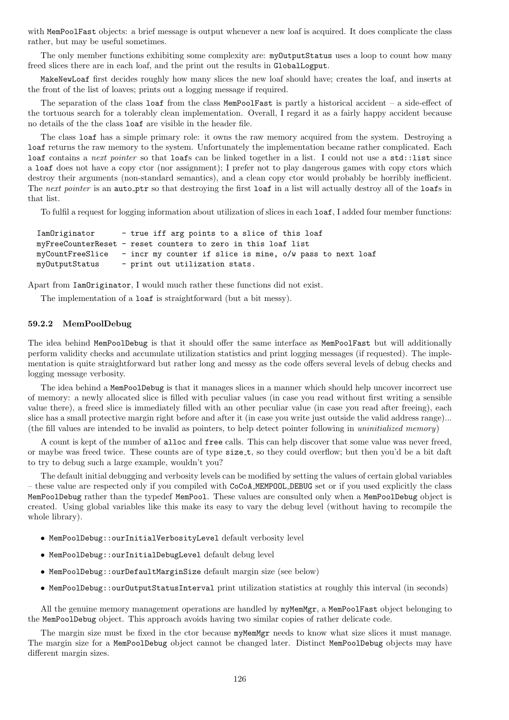with MemPoolFast objects: a brief message is output whenever a new loaf is acquired. It does complicate the class rather, but may be useful sometimes.

The only member functions exhibiting some complexity are: myOutputStatus uses a loop to count how many freed slices there are in each loaf, and the print out the results in GlobalLogput.

MakeNewLoaf first decides roughly how many slices the new loaf should have; creates the loaf, and inserts at the front of the list of loaves; prints out a logging message if required.

The separation of the class loaf from the class MemPoolFast is partly a historical accident – a side-effect of the tortuous search for a tolerably clean implementation. Overall, I regard it as a fairly happy accident because no details of the the class loaf are visible in the header file.

The class loaf has a simple primary role: it owns the raw memory acquired from the system. Destroying a loaf returns the raw memory to the system. Unfortunately the implementation became rather complicated. Each loaf contains a next pointer so that loafs can be linked together in a list. I could not use a std::list since a loaf does not have a copy ctor (nor assignment); I prefer not to play dangerous games with copy ctors which destroy their arguments (non-standard semantics), and a clean copy ctor would probably be horribly inefficient. The next pointer is an auto ptr so that destroying the first loaf in a list will actually destroy all of the loafs in that list.

To fulfil a request for logging information about utilization of slices in each loaf, I added four member functions:

```
IamOriginator - true iff arg points to a slice of this loaf
myFreeCounterReset - reset counters to zero in this loaf list
myCountFreeSlice - incr my counter if slice is mine, o/w pass to next loaf
myOutputStatus - print out utilization stats.
```
Apart from IamOriginator, I would much rather these functions did not exist.

The implementation of a loaf is straightforward (but a bit messy).

### 59.2.2 MemPoolDebug

The idea behind MemPoolDebug is that it should offer the same interface as MemPoolFast but will additionally perform validity checks and accumulate utilization statistics and print logging messages (if requested). The implementation is quite straightforward but rather long and messy as the code offers several levels of debug checks and logging message verbosity.

The idea behind a MemPoolDebug is that it manages slices in a manner which should help uncover incorrect use of memory: a newly allocated slice is filled with peculiar values (in case you read without first writing a sensible value there), a freed slice is immediately filled with an other peculiar value (in case you read after freeing), each slice has a small protective margin right before and after it (in case you write just outside the valid address range)... (the fill values are intended to be invalid as pointers, to help detect pointer following in uninitialized memory)

A count is kept of the number of alloc and free calls. This can help discover that some value was never freed, or maybe was freed twice. These counts are of type size\_t, so they could overflow; but then you'd be a bit daft to try to debug such a large example, wouldn't you?

The default initial debugging and verbosity levels can be modified by setting the values of certain global variables – these value are respected only if you compiled with CoCoA MEMPOOL DEBUG set or if you used explicitly the class MemPoolDebug rather than the typedef MemPool. These values are consulted only when a MemPoolDebug object is created. Using global variables like this make its easy to vary the debug level (without having to recompile the whole library).

- MemPoolDebug::ourInitialVerbosityLevel default verbosity level
- MemPoolDebug::ourInitialDebugLevel default debug level
- MemPoolDebug::ourDefaultMarginSize default margin size (see below)
- MemPoolDebug::ourOutputStatusInterval print utilization statistics at roughly this interval (in seconds)

All the genuine memory management operations are handled by  $myMemMgr$ , a MemPoolFast object belonging to the MemPoolDebug object. This approach avoids having two similar copies of rather delicate code.

The margin size must be fixed in the ctor because myMemMgr needs to know what size slices it must manage. The margin size for a MemPoolDebug object cannot be changed later. Distinct MemPoolDebug objects may have different margin sizes.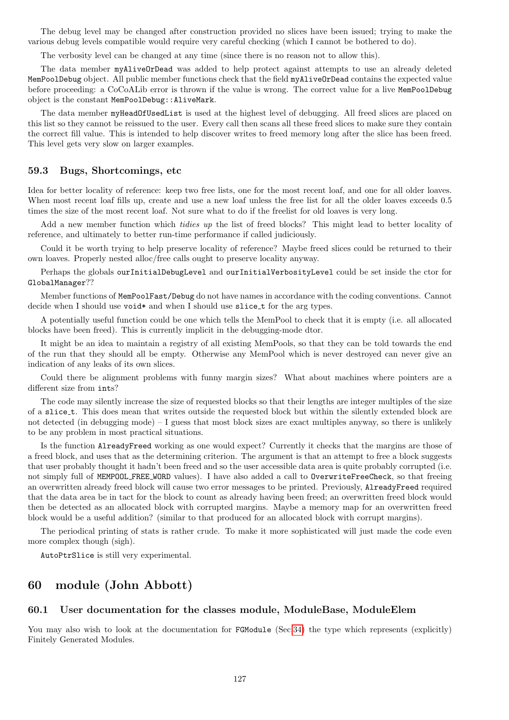The debug level may be changed after construction provided no slices have been issued; trying to make the various debug levels compatible would require very careful checking (which I cannot be bothered to do).

The verbosity level can be changed at any time (since there is no reason not to allow this).

The data member myAliveOrDead was added to help protect against attempts to use an already deleted MemPoolDebug object. All public member functions check that the field myAliveOrDead contains the expected value before proceeding: a CoCoALib error is thrown if the value is wrong. The correct value for a live MemPoolDebug object is the constant MemPoolDebug::AliveMark.

The data member myHeadOfUsedList is used at the highest level of debugging. All freed slices are placed on this list so they cannot be reissued to the user. Every call then scans all these freed slices to make sure they contain the correct fill value. This is intended to help discover writes to freed memory long after the slice has been freed. This level gets very slow on larger examples.

### 59.3 Bugs, Shortcomings, etc

Idea for better locality of reference: keep two free lists, one for the most recent loaf, and one for all older loaves. When most recent loaf fills up, create and use a new loaf unless the free list for all the older loaves exceeds 0.5 times the size of the most recent loaf. Not sure what to do if the freelist for old loaves is very long.

Add a new member function which tidies up the list of freed blocks? This might lead to better locality of reference, and ultimately to better run-time performance if called judiciously.

Could it be worth trying to help preserve locality of reference? Maybe freed slices could be returned to their own loaves. Properly nested alloc/free calls ought to preserve locality anyway.

Perhaps the globals ourInitialDebugLevel and ourInitialVerbosityLevel could be set inside the ctor for GlobalManager??

Member functions of MemPoolFast/Debug do not have names in accordance with the coding conventions. Cannot decide when I should use void\* and when I should use slice\_t for the arg types.

A potentially useful function could be one which tells the MemPool to check that it is empty (i.e. all allocated blocks have been freed). This is currently implicit in the debugging-mode dtor.

It might be an idea to maintain a registry of all existing MemPools, so that they can be told towards the end of the run that they should all be empty. Otherwise any MemPool which is never destroyed can never give an indication of any leaks of its own slices.

Could there be alignment problems with funny margin sizes? What about machines where pointers are a different size from ints?

The code may silently increase the size of requested blocks so that their lengths are integer multiples of the size of a slice\_t. This does mean that writes outside the requested block but within the silently extended block are not detected (in debugging mode) – I guess that most block sizes are exact multiples anyway, so there is unlikely to be any problem in most practical situations.

Is the function AlreadyFreed working as one would expect? Currently it checks that the margins are those of a freed block, and uses that as the determining criterion. The argument is that an attempt to free a block suggests that user probably thought it hadn't been freed and so the user accessible data area is quite probably corrupted (i.e. not simply full of MEMPOOL FREE WORD values). I have also added a call to OverwriteFreeCheck, so that freeing an overwritten already freed block will cause two error messages to be printed. Previously, AlreadyFreed required that the data area be in tact for the block to count as already having been freed; an overwritten freed block would then be detected as an allocated block with corrupted margins. Maybe a memory map for an overwritten freed block would be a useful addition? (similar to that produced for an allocated block with corrupt margins).

The periodical printing of stats is rather crude. To make it more sophisticated will just made the code even more complex though (sigh).

AutoPtrSlice is still very experimental.

# 60 module (John Abbott)

## 60.1 User documentation for the classes module, ModuleBase, ModuleElem

You may also wish to look at the documentation for FGModule (Sec. 34) the type which represents (explicitly) Finitely Generated Modules.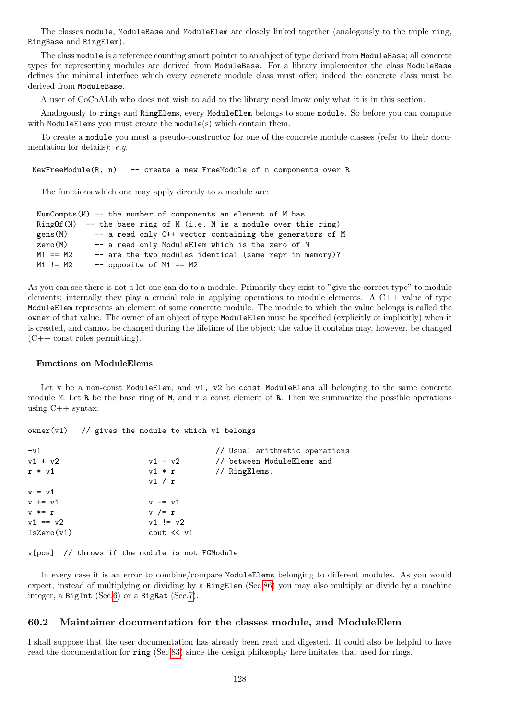The classes module, ModuleBase and ModuleElem are closely linked together (analogously to the triple ring, RingBase and RingElem).

The class module is a reference counting smart pointer to an object of type derived from ModuleBase; all concrete types for representing modules are derived from ModuleBase. For a library implementor the class ModuleBase defines the minimal interface which every concrete module class must offer; indeed the concrete class must be derived from ModuleBase.

A user of CoCoALib who does not wish to add to the library need know only what it is in this section.

Analogously to rings and RingElems, every ModuleElem belongs to some module. So before you can compute with ModuleElems you must create the module(s) which contain them.

To create a module you must a pseudo-constructor for one of the concrete module classes (refer to their documentation for details): e.g.

NewFreeModule(R, n) -- create a new FreeModule of n components over R

The functions which one may apply directly to a module are:

```
NumCompts(M) -- the number of components an element of M has
RingOf(M) -- the base ring of M (i.e. M is a module over this ring)
gens(M) -- a read only C++ vector containing the generators of M
zero(M) -- a read only ModuleElem which is the zero of M
M1 = M2 -- are the two modules identical (same repr in memory)?
M1 != M2 -- opposite of M1 == M2
```
As you can see there is not a lot one can do to a module. Primarily they exist to "give the correct type" to module elements; internally they play a crucial role in applying operations to module elements. A  $C++$  value of type ModuleElem represents an element of some concrete module. The module to which the value belongs is called the owner of that value. The owner of an object of type ModuleElem must be specified (explicitly or implicitly) when it is created, and cannot be changed during the lifetime of the object; the value it contains may, however, be changed  $(C++$  const rules permitting).

#### Functions on ModuleElems

Let v be a non-const ModuleElem, and v1, v2 be const ModuleElems all belonging to the same concrete module M. Let R be the base ring of M, and  $r$  a const element of R. Then we summarize the possible operations using  $C_{++}$  syntax:

 $owner(v1)$  // gives the module to which v1 belongs

| $-v1$             |                                                                 | // Usual arithmetic operations |
|-------------------|-----------------------------------------------------------------|--------------------------------|
| $v1 + v2$         | $v1 - v2$                                                       | // between ModuleElems and     |
| $r * v1$          | $v1 * r$                                                        | // RingElems.                  |
|                   | v1 / r                                                          |                                |
| $v = v1$          |                                                                 |                                |
| $v \leftarrow v1$ | $v$ $\overline{v}$ $\overline{v}$ $\overline{v}$ $\overline{v}$ |                                |
| $v * = r$         | $v$ /= $r$                                                      |                                |
| $v1 == v2$        | $v1 := v2$                                                      |                                |
| IsZero(v1)        | $\cot \lt \lt \vee 1$                                           |                                |
|                   |                                                                 |                                |

v[pos] // throws if the module is not FGModule

In every case it is an error to combine/compare ModuleElems belonging to different modules. As you would expect, instead of multiplying or dividing by a RingElem (Sec[.86\)](#page-174-0) you may also multiply or divide by a machine integer, a BigInt (Sec[.6\)](#page-34-0) or a BigRat (Sec[.7\)](#page-36-0).

### 60.2 Maintainer documentation for the classes module, and ModuleElem

I shall suppose that the user documentation has already been read and digested. It could also be helpful to have read the documentation for ring (Sec[.83\)](#page-169-0) since the design philosophy here imitates that used for rings.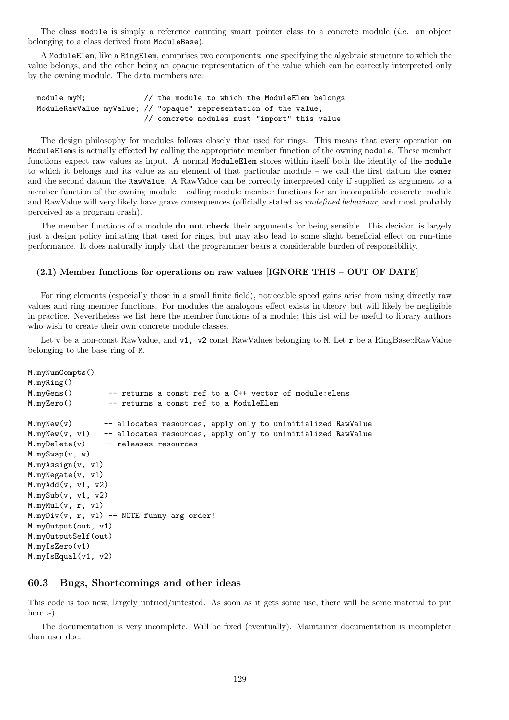The class module is simply a reference counting smart pointer class to a concrete module (i.e. an object belonging to a class derived from ModuleBase).

A ModuleElem, like a RingElem, comprises two components: one specifying the algebraic structure to which the value belongs, and the other being an opaque representation of the value which can be correctly interpreted only by the owning module. The data members are:

| module myM;                                                      |  |  | // the module to which the ModuleElem belongs |
|------------------------------------------------------------------|--|--|-----------------------------------------------|
| ModuleRawValue myValue; // "opaque" representation of the value, |  |  |                                               |
|                                                                  |  |  | // concrete modules must "import" this value. |

The design philosophy for modules follows closely that used for rings. This means that every operation on ModuleElems is actually effected by calling the appropriate member function of the owning module. These member functions expect raw values as input. A normal ModuleElem stores within itself both the identity of the module to which it belongs and its value as an element of that particular module – we call the first datum the owner and the second datum the RawValue. A RawValue can be correctly interpreted only if supplied as argument to a member function of the owning module – calling module member functions for an incompatible concrete module and RawValue will very likely have grave consequences (officially stated as undefined behaviour, and most probably perceived as a program crash).

The member functions of a module **do not check** their arguments for being sensible. This decision is largely just a design policy imitating that used for rings, but may also lead to some slight beneficial effect on run-time performance. It does naturally imply that the programmer bears a considerable burden of responsibility.

## (2.1) Member functions for operations on raw values [IGNORE THIS – OUT OF DATE]

For ring elements (especially those in a small finite field), noticeable speed gains arise from using directly raw values and ring member functions. For modules the analogous effect exists in theory but will likely be negligible in practice. Nevertheless we list here the member functions of a module; this list will be useful to library authors who wish to create their own concrete module classes.

Let v be a non-const RawValue, and v1, v2 const RawValues belonging to M. Let r be a RingBase::RawValue belonging to the base ring of M.

```
M.myNumCompts()
M.myRing()
M.myGens() -- returns a const ref to a C++ vector of module:elems
M.myZero() -- returns a const ref to a ModuleElem
M.myNew(v) -- allocates resources, apply only to uninitialized RawValue
M.myNew(v, v1) -- allocates resources, apply only to uninitialized RawValue
M.myDelete(v) -- releases resources
M.mySwap(v, w)
M.myAssign(v, v1)
M.myNegate(v, v1)
M.myAdd(v, v1, v2)
M.mySub(v, v1, v2)
M.myMul(v, r, v1)
M.myDiv(v, r, v1) -- NOTE funny arg order!
M.myOutput(out, v1)
M.myOutputSelf(out)
M.myIsZero(v1)
M.myIsEqual(v1, v2)
```
## 60.3 Bugs, Shortcomings and other ideas

This code is too new, largely untried/untested. As soon as it gets some use, there will be some material to put here :-)

The documentation is very incomplete. Will be fixed (eventually). Maintainer documentation is incompleter than user doc.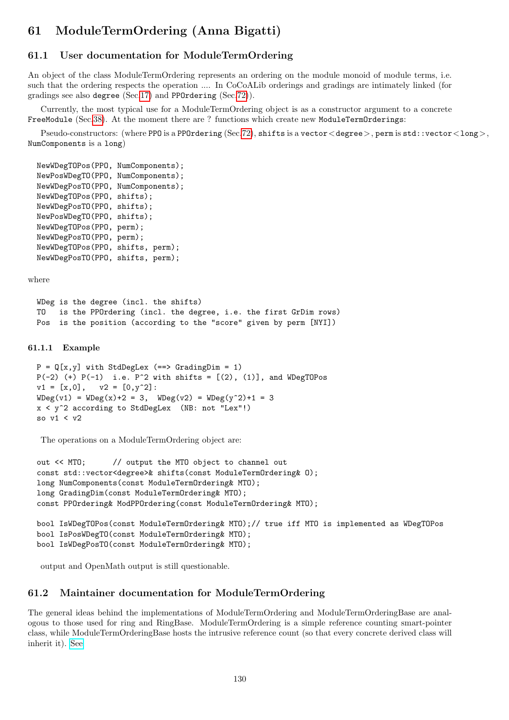# 61 ModuleTermOrdering (Anna Bigatti)

# 61.1 User documentation for ModuleTermOrdering

An object of the class ModuleTermOrdering represents an ordering on the module monoid of module terms, i.e. such that the ordering respects the operation .... In CoCoALib orderings and gradings are intimately linked (for gradings see also degree (Sec[.17\)](#page-52-0) and PPOrdering (Sec[.72\)](#page-153-0)).

Currently, the most typical use for a ModuleTermOrdering object is as a constructor argument to a concrete FreeModule (Sec[.38\)](#page-79-0). At the moment there are ? functions which create new ModuleTermOrderings:

Pseudo-constructors: (where PPO is a PPOrdering (Sec[.72\)](#page-153-0), shifts is a vector < degree >, perm is std::vector < long >, NumComponents is a long)

```
NewWDegTOPos(PPO, NumComponents);
NewPosWDegTO(PPO, NumComponents);
NewWDegPosTO(PPO, NumComponents);
NewWDegTOPos(PPO, shifts);
NewWDegPosTO(PPO, shifts);
NewPosWDegTO(PPO, shifts);
NewWDegTOPos(PPO, perm);
NewWDegPosTO(PPO, perm);
NewWDegTOPos(PPO, shifts, perm);
NewWDegPosTO(PPO, shifts, perm);
```
where

```
WDeg is the degree (incl. the shifts)
TO is the PPOrdering (incl. the degree, i.e. the first GrDim rows)
Pos is the position (according to the "score" given by perm [NYI])
```
## 61.1.1 Example

```
P = Q[x, y] with StdDegLex (==> GradingDim = 1)
P(-2) (+) P(-1) i.e. P^2 with shifts = [(2), (1)], and WDegTOPos
v1 = [x, 0], \quad v2 = [0, y^2]:WDeg(v1) = WDeg(x)+2 = 3, WDeg(v2) = WDeg(y^2)+1 = 3x < y^2 according to StdDegLex (NB: not "Lex"!)
so v1 < v2
```
The operations on a ModuleTermOrdering object are:

```
out << MTO; // output the MTO object to channel out
const std::vector<degree>& shifts(const ModuleTermOrdering& O);
long NumComponents(const ModuleTermOrdering& MTO);
long GradingDim(const ModuleTermOrdering& MTO);
const PPOrdering& ModPPOrdering(const ModuleTermOrdering& MTO);
bool IsWDegTOPos(const ModuleTermOrdering& MTO);// true iff MTO is implemented as WDegTOPos
bool IsPosWDegTO(const ModuleTermOrdering& MTO);
bool IsWDegPosTO(const ModuleTermOrdering& MTO);
```
output and OpenMath output is still questionable.

# 61.2 Maintainer documentation for ModuleTermOrdering

The general ideas behind the implementations of ModuleTermOrdering and ModuleTermOrderingBase are analogous to those used for ring and RingBase. ModuleTermOrdering is a simple reference counting smart-pointer class, while ModuleTermOrderingBase hosts the intrusive reference count (so that every concrete derived class will inherit it). [See](SmartPtrIRC.txt)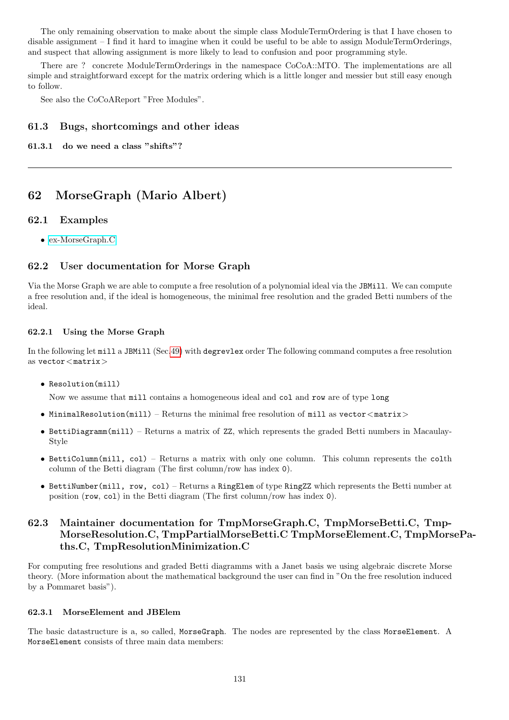The only remaining observation to make about the simple class ModuleTermOrdering is that I have chosen to disable assignment – I find it hard to imagine when it could be useful to be able to assign ModuleTermOrderings, and suspect that allowing assignment is more likely to lead to confusion and poor programming style.

There are ? concrete ModuleTermOrderings in the namespace CoCoA::MTO. The implementations are all simple and straightforward except for the matrix ordering which is a little longer and messier but still easy enough to follow.

See also the CoCoAReport "Free Modules".

# 61.3 Bugs, shortcomings and other ideas

61.3.1 do we need a class "shifts"?

# 62 MorseGraph (Mario Albert)

# 62.1 Examples

• [ex-MorseGraph.C](../../examples/index.html#ex-MorseGraph.C)

# 62.2 User documentation for Morse Graph

Via the Morse Graph we are able to compute a free resolution of a polynomial ideal via the JBMill. We can compute a free resolution and, if the ideal is homogeneous, the minimal free resolution and the graded Betti numbers of the ideal.

# 62.2.1 Using the Morse Graph

In the following let mill a JBMill (Sec[.49\)](#page-98-0) with degrevlex order The following command computes a free resolution as  $vector <$ matrix $>$ 

• Resolution(mill)

Now we assume that mill contains a homogeneous ideal and col and row are of type long

- MinimalResolution(mill) Returns the minimal free resolution of mill as vector  $\langle$  matrix $\rangle$
- BettiDiagramm(mill) Returns a matrix of ZZ, which represents the graded Betti numbers in Macaulay-Style
- BettiColumn(mill, col) Returns a matrix with only one column. This column represents the colth column of the Betti diagram (The first column/row has index 0).
- BettiNumber(mill, row, col) Returns a RingElem of type RingZZ which represents the Betti number at position (row, col) in the Betti diagram (The first column/row has index 0).

# 62.3 Maintainer documentation for TmpMorseGraph.C, TmpMorseBetti.C, Tmp-MorseResolution.C, TmpPartialMorseBetti.C TmpMorseElement.C, TmpMorsePaths.C, TmpResolutionMinimization.C

For computing free resolutions and graded Betti diagramms with a Janet basis we using algebraic discrete Morse theory. (More information about the mathematical background the user can find in "On the free resolution induced by a Pommaret basis").

## 62.3.1 MorseElement and JBElem

The basic datastructure is a, so called, MorseGraph. The nodes are represented by the class MorseElement. A MorseElement consists of three main data members: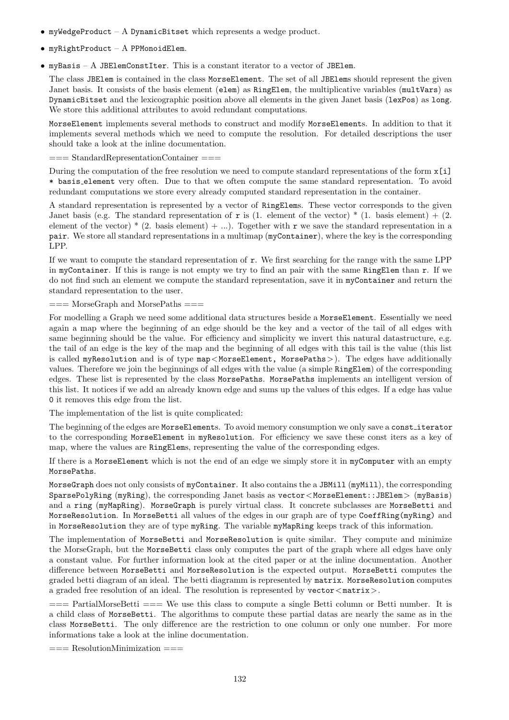- myWedgeProduct A DynamicBitset which represents a wedge product.
- $\bullet$  myRightProduct  $A$  PPMonoidElem.
- myBasis A JBElemConstIter. This is a constant iterator to a vector of JBElem.

The class JBElem is contained in the class MorseElement. The set of all JBElems should represent the given Janet basis. It consists of the basis element (elem) as RingElem, the multiplicative variables (multVars) as DynamicBitset and the lexicographic position above all elements in the given Janet basis (lexPos) as long. We store this additional attributes to avoid redundant computations.

MorseElement implements several methods to construct and modify MorseElements. In addition to that it implements several methods which we need to compute the resolution. For detailed descriptions the user should take a look at the inline documentation.

=== StandardRepresentationContainer ===

During the computation of the free resolution we need to compute standard representations of the form x[i] \* basis element very often. Due to that we often compute the same standard representation. To avoid redundant computations we store every already computed standard representation in the container.

A standard representation is represented by a vector of RingElems. These vector corresponds to the given Janet basis (e.g. The standard representation of r is (1. element of the vector)  $*$  (1. basis element) + (2. element of the vector)  $*(2.5)$  basis element) + ...). Together with r we save the standard representation in a pair. We store all standard representations in a multimap (myContainer), where the key is the corresponding LPP.

If we want to compute the standard representation of r. We first searching for the range with the same LPP in myContainer. If this is range is not empty we try to find an pair with the same RingElem than r. If we do not find such an element we compute the standard representation, save it in myContainer and return the standard representation to the user.

 $==$  MorseGraph and MorsePaths  $==$ 

For modelling a Graph we need some additional data structures beside a MorseElement. Essentially we need again a map where the beginning of an edge should be the key and a vector of the tail of all edges with same beginning should be the value. For efficiency and simplicity we invert this natural datastructure, e.g. the tail of an edge is the key of the map and the beginning of all edges with this tail is the value (this list is called myResolution and is of type map<MorseElement, MorsePaths>). The edges have additionally values. Therefore we join the beginnings of all edges with the value (a simple RingElem) of the corresponding edges. These list is represented by the class MorsePaths. MorsePaths implements an intelligent version of this list. It notices if we add an already known edge and sums up the values of this edges. If a edge has value 0 it removes this edge from the list.

The implementation of the list is quite complicated:

The beginning of the edges are MorseElements. To avoid memory consumption we only save a constiterator to the corresponding MorseElement in myResolution. For efficiency we save these const iters as a key of map, where the values are RingElems, representing the value of the corresponding edges.

If there is a MorseElement which is not the end of an edge we simply store it in myComputer with an empty MorsePaths.

MorseGraph does not only consists of myContainer. It also contains the a JBMill (myMill), the corresponding SparsePolyRing (myRing), the corresponding Janet basis as vector<MorseElement::JBElem> (myBasis) and a ring (myMapRing). MorseGraph is purely virtual class. It concrete subclasses are MorseBetti and MorseResolution. In MorseBetti all values of the edges in our graph are of type CoeffRing(myRing) and in MorseResolution they are of type myRing. The variable myMapRing keeps track of this information.

The implementation of MorseBetti and MorseResolution is quite similar. They compute and minimize the MorseGraph, but the MorseBetti class only computes the part of the graph where all edges have only a constant value. For further information look at the cited paper or at the inline documentation. Another difference between MorseBetti and MorseResolution is the expected output. MorseBetti computes the graded betti diagram of an ideal. The betti diagramm is represented by matrix. MorseResolution computes a graded free resolution of an ideal. The resolution is represented by  $\text{vector} \leq \text{matrix}$ .

 $==$  PartialMorseBetti  $==$  We use this class to compute a single Betti column or Betti number. It is a child class of MorseBetti. The algorithms to compute these partial datas are nearly the same as in the class MorseBetti. The only difference are the restriction to one column or only one number. For more informations take a look at the inline documentation.

 $==$  ResolutionMinimization  $==$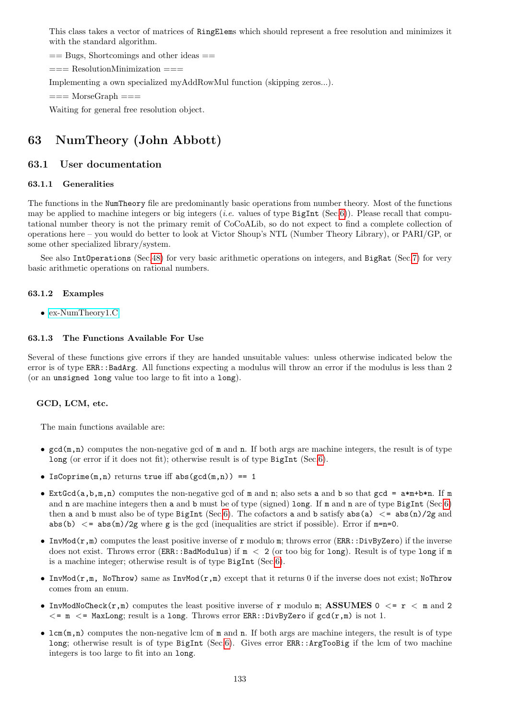This class takes a vector of matrices of RingElems which should represent a free resolution and minimizes it with the standard algorithm.

 $==$  Bugs, Shortcomings and other ideas  $==$ 

=== ResolutionMinimization ===

Implementing a own specialized myAddRowMul function (skipping zeros...).

 $==$  MorseGraph  $==$ 

Waiting for general free resolution object.

# 63 NumTheory (John Abbott)

## 63.1 User documentation

### 63.1.1 Generalities

The functions in the NumTheory file are predominantly basic operations from number theory. Most of the functions may be applied to machine integers or big integers (*i.e.* values of type  $BigInt (Sec.6)$  $BigInt (Sec.6)$ ). Please recall that computational number theory is not the primary remit of CoCoALib, so do not expect to find a complete collection of operations here – you would do better to look at Victor Shoup's NTL (Number Theory Library), or PARI/GP, or some other specialized library/system.

See also IntOperations (Sec[.48\)](#page-94-0) for very basic arithmetic operations on integers, and BigRat (Sec[.7\)](#page-36-0) for very basic arithmetic operations on rational numbers.

## 63.1.2 Examples

• [ex-NumTheory1.C](../../examples/index.html#ex-NumTheory1.C)

### 63.1.3 The Functions Available For Use

Several of these functions give errors if they are handed unsuitable values: unless otherwise indicated below the error is of type ERR::BadArg. All functions expecting a modulus will throw an error if the modulus is less than 2 (or an unsigned long value too large to fit into a long).

### GCD, LCM, etc.

The main functions available are:

- $gcd(m,n)$  computes the non-negative gcd of m and n. If both args are machine integers, the result is of type long (or error if it does not fit); otherwise result is of type BigInt (Sec[.6\)](#page-34-0).
- IsCoprime $(m,n)$  returns true iff abs $(gcd(m,n)) == 1$
- Ext $Gcd(a,b,m,n)$  computes the non-negative gcd of m and n; also sets a and b so that gcd =  $a*m+b*n$ . If m and **n** are machine integers then **a** and **b** must be of type (signed) long. If **m** and **n** are of type BigInt (Sec[.6\)](#page-34-0) then a and b must also be of type BigInt (Sec[.6\)](#page-34-0). The cofactors a and b satisfy  $abs(a) < = abs(n)/2g$  and abs(b)  $\lt$  = abs(m)/2g where g is the gcd (inequalities are strict if possible). Error if m=n=0.
- InvMod $(r,m)$  computes the least positive inverse of r modulo m; throws error (ERR::DivByZero) if the inverse does not exist. Throws error (ERR::BadModulus) if  $m < 2$  (or too big for long). Result is of type long if m is a machine integer; otherwise result is of type BigInt (Sec[.6\)](#page-34-0).
- InvMod( $r,m$ , NoThrow) same as InvMod( $r,m$ ) except that it returns 0 if the inverse does not exist; NoThrow comes from an enum.
- InvModNoCheck $(r,m)$  computes the least positive inverse of r modulo m; ASSUMES 0  $\lt$  = r  $\lt$  m and 2  $\epsilon$  = m  $\epsilon$  = MaxLong; result is a long. Throws error ERR::DivByZero if  $gcd(r,m)$  is not 1.
- lcm(m,n) computes the non-negative lcm of m and n. If both args are machine integers, the result is of type long; otherwise result is of type BigInt (Sec[.6\)](#page-34-0). Gives error ERR::ArgTooBig if the lcm of two machine integers is too large to fit into an long.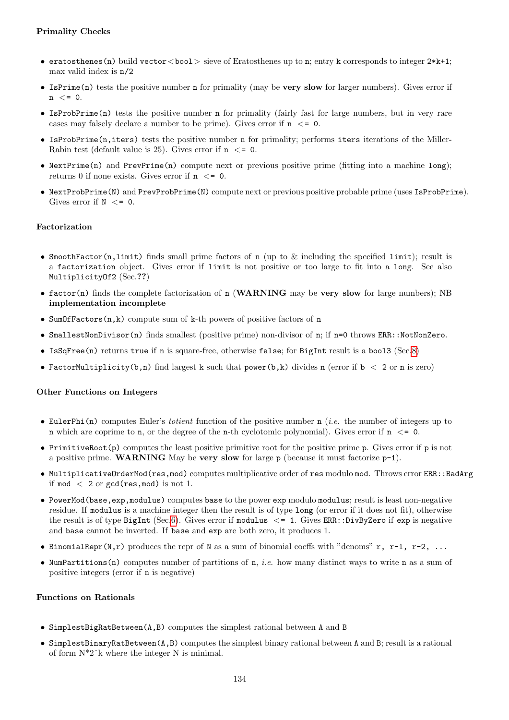# Primality Checks

- eratosthenes (n) build vector  $\lt$  bool  $>$  sieve of Eratosthenes up to n; entry k corresponds to integer 2\*k+1; max valid index is n/2
- IsPrime(n) tests the positive number n for primality (may be very slow for larger numbers). Gives error if  $n \leq 0$ .
- IsProbPrime(n) tests the positive number n for primality (fairly fast for large numbers, but in very rare cases may falsely declare a number to be prime). Gives error if  $n \le 0$ .
- IsProbPrime(n,iters) tests the positive number n for primality; performs iters iterations of the Miller-Rabin test (default value is 25). Gives error if  $n \le 0$ .
- NextPrime(n) and PrevPrime(n) compute next or previous positive prime (fitting into a machine long); returns 0 if none exists. Gives error if  $n \leq 0$ .
- NextProbPrime(N) and PrevProbPrime(N) compute next or previous positive probable prime (uses IsProbPrime). Gives error if  $N \leq 0$ .

## Factorization

- SmoothFactor(n,limit) finds small prime factors of n (up to  $\&$  including the specified limit); result is a factorization object. Gives error if limit is not positive or too large to fit into a long. See also MultiplicityOf2 (Sec.??)
- factor(n) finds the complete factorization of n (WARNING may be very slow for large numbers); NB implementation incomplete
- SumOfFactors(n,k) compute sum of k-th powers of positive factors of n
- SmallestNonDivisor(n) finds smallest (positive prime) non-divisor of n; if n=0 throws ERR::NotNonZero.
- IsSqFree(n) returns true if n is square-free, otherwise false; for BigInt result is a bool3 (Sec[.8\)](#page-39-0)
- FactorMultiplicity(b,n) find largest k such that power(b,k) divides n (error if  $b < 2$  or n is zero)

## Other Functions on Integers

- EulerPhi(n) computes Euler's *totient* function of the positive number  $n$  (*i.e.* the number of integers up to n which are coprime to n, or the degree of the n-th cyclotomic polynomial). Gives error if  $n \leq 0$ .
- PrimitiveRoot(p) computes the least positive primitive root for the positive prime p. Gives error if p is not a positive prime. WARNING May be very slow for large  $p$  (because it must factorize  $p-1$ ).
- MultiplicativeOrderMod(res,mod) computes multiplicative order of res modulo mod. Throws error ERR::BadArg if mod  $\langle$  2 or gcd(res, mod) is not 1.
- PowerMod(base,exp,modulus) computes base to the power exp modulo modulus; result is least non-negative residue. If modulus is a machine integer then the result is of type long (or error if it does not fit), otherwise the result is of type BigInt (Sec[.6\)](#page-34-0). Gives error if modulus  $\leq 1$ . Gives ERR::DivByZero if exp is negative and base cannot be inverted. If base and exp are both zero, it produces 1.
- BinomialRepr(N,r) produces the repr of N as a sum of binomial coeffs with "denoms" r, r-1, r-2, ...
- NumPartitions(n) computes number of partitions of n, *i.e.* how many distinct ways to write n as a sum of positive integers (error if n is negative)

## Functions on Rationals

- SimplestBigRatBetween(A,B) computes the simplest rational between A and B
- SimplestBinaryRatBetween(A,B) computes the simplest binary rational between A and B; result is a rational of form  $N^*2^k$  where the integer N is minimal.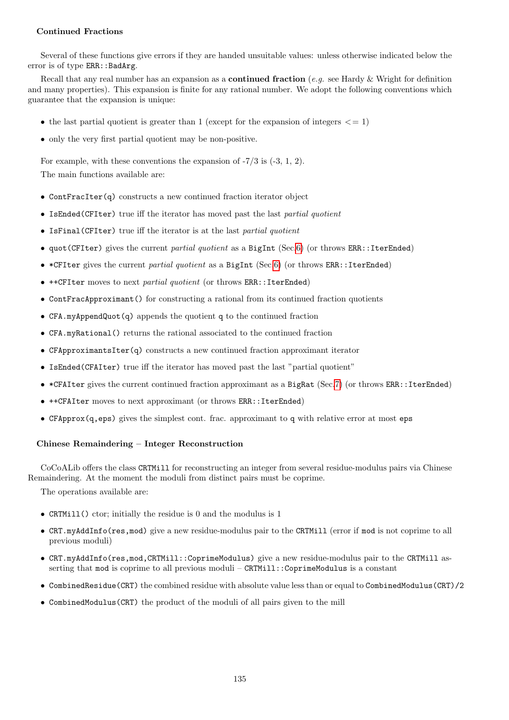## Continued Fractions

Several of these functions give errors if they are handed unsuitable values: unless otherwise indicated below the error is of type ERR:: BadArg.

Recall that any real number has an expansion as a **continued fraction** (e.g. see Hardy & Wright for definition and many properties). This expansion is finite for any rational number. We adopt the following conventions which guarantee that the expansion is unique:

- the last partial quotient is greater than 1 (except for the expansion of integers  $\leq$  = 1)
- only the very first partial quotient may be non-positive.

For example, with these conventions the expansion of -7/3 is (-3, 1, 2). The main functions available are:

- ContFracIter(q) constructs a new continued fraction iterator object
- IsEnded(CFIter) true iff the iterator has moved past the last partial quotient
- IsFinal(CFIter) true iff the iterator is at the last partial quotient
- quot(CFIter) gives the current partial quotient as a BigInt (Sec[.6\)](#page-34-0) (or throws ERR::IterEnded)
- \*CFIter gives the current partial quotient as a BigInt (Sec[.6\)](#page-34-0) (or throws ERR::IterEnded)
- ++CFIter moves to next partial quotient (or throws ERR::IterEnded)
- ContFracApproximant() for constructing a rational from its continued fraction quotients
- CFA.myAppendQuot(q) appends the quotient q to the continued fraction
- CFA.myRational() returns the rational associated to the continued fraction
- CFApproximantsIter(q) constructs a new continued fraction approximant iterator
- IsEnded(CFAIter) true iff the iterator has moved past the last "partial quotient"
- \*CFAIter gives the current continued fraction approximant as a BigRat (Sec[.7\)](#page-36-0) (or throws ERR::IterEnded)
- ++CFAIter moves to next approximant (or throws ERR::IterEnded)
- CFApprox(q,eps) gives the simplest cont. frac. approximant to q with relative error at most eps

# Chinese Remaindering – Integer Reconstruction

CoCoALib offers the class CRTMill for reconstructing an integer from several residue-modulus pairs via Chinese Remaindering. At the moment the moduli from distinct pairs must be coprime.

The operations available are:

- CRTMill() ctor; initially the residue is 0 and the modulus is 1
- CRT.myAddInfo(res,mod) give a new residue-modulus pair to the CRTMill (error if mod is not coprime to all previous moduli)
- CRT.myAddInfo(res,mod,CRTMill::CoprimeModulus) give a new residue-modulus pair to the CRTMill asserting that mod is coprime to all previous moduli – CRTMill::CoprimeModulus is a constant
- CombinedResidue(CRT) the combined residue with absolute value less than or equal to CombinedModulus(CRT)/2
- CombinedModulus(CRT) the product of the moduli of all pairs given to the mill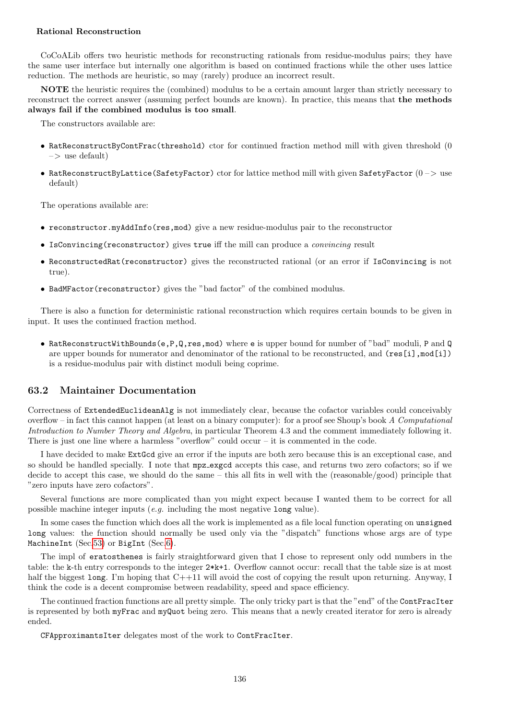## Rational Reconstruction

CoCoALib offers two heuristic methods for reconstructing rationals from residue-modulus pairs; they have the same user interface but internally one algorithm is based on continued fractions while the other uses lattice reduction. The methods are heuristic, so may (rarely) produce an incorrect result.

NOTE the heuristic requires the (combined) modulus to be a certain amount larger than strictly necessary to reconstruct the correct answer (assuming perfect bounds are known). In practice, this means that the methods always fail if the combined modulus is too small.

The constructors available are:

- RatReconstructByContFrac(threshold) ctor for continued fraction method mill with given threshold (0  $\Rightarrow$  use default)
- RatReconstructByLattice(SafetyFactor) ctor for lattice method mill with given SafetyFactor  $(0 >)$  use default)

The operations available are:

- reconstructor.myAddInfo(res,mod) give a new residue-modulus pair to the reconstructor
- IsConvincing(reconstructor) gives true iff the mill can produce a convincing result
- ReconstructedRat(reconstructor) gives the reconstructed rational (or an error if IsConvincing is not true).
- BadMFactor(reconstructor) gives the "bad factor" of the combined modulus.

There is also a function for deterministic rational reconstruction which requires certain bounds to be given in input. It uses the continued fraction method.

• RatReconstructWithBounds(e,P,Q,res,mod) where e is upper bound for number of "bad" moduli, P and Q are upper bounds for numerator and denominator of the rational to be reconstructed, and (res[i],mod[i]) is a residue-modulus pair with distinct moduli being coprime.

# 63.2 Maintainer Documentation

Correctness of ExtendedEuclideanAlg is not immediately clear, because the cofactor variables could conceivably overflow – in fact this cannot happen (at least on a binary computer): for a proof see Shoup's book A Computational Introduction to Number Theory and Algebra, in particular Theorem 4.3 and the comment immediately following it. There is just one line where a harmless "overflow" could occur  $-$  it is commented in the code.

I have decided to make ExtGcd give an error if the inputs are both zero because this is an exceptional case, and so should be handled specially. I note that mpz exgcd accepts this case, and returns two zero cofactors; so if we decide to accept this case, we should do the same – this all fits in well with the (reasonable/good) principle that "zero inputs have zero cofactors".

Several functions are more complicated than you might expect because I wanted them to be correct for all possible machine integer inputs (e.g. including the most negative long value).

In some cases the function which does all the work is implemented as a file local function operating on unsigned long values: the function should normally be used only via the "dispatch" functions whose args are of type MachineInt (Sec[.53\)](#page-105-0) or BigInt (Sec[.6\)](#page-34-0).

The impl of eratosthenes is fairly straightforward given that I chose to represent only odd numbers in the table: the k-th entry corresponds to the integer 2\*k+1. Overflow cannot occur: recall that the table size is at most half the biggest long. I'm hoping that  $C+11$  will avoid the cost of copying the result upon returning. Anyway, I think the code is a decent compromise between readability, speed and space efficiency.

The continued fraction functions are all pretty simple. The only tricky part is that the "end" of the ContFracIter is represented by both myFrac and myQuot being zero. This means that a newly created iterator for zero is already ended.

CFApproximantsIter delegates most of the work to ContFracIter.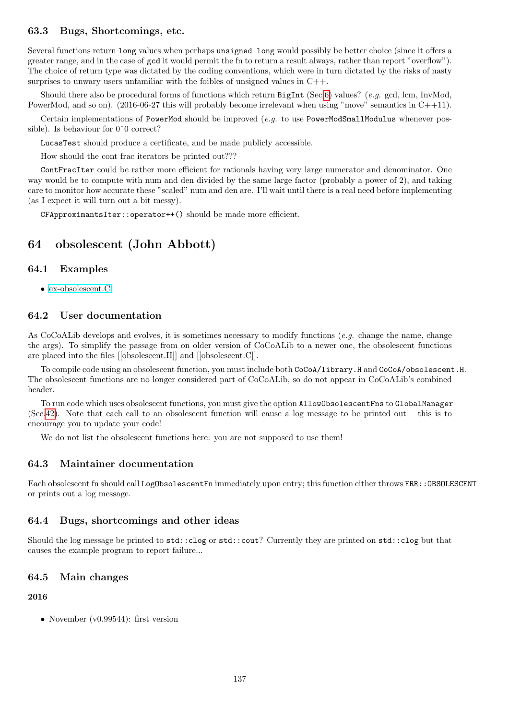## 63.3 Bugs, Shortcomings, etc.

Several functions return long values when perhaps unsigned long would possibly be better choice (since it offers a greater range, and in the case of gcd it would permit the fn to return a result always, rather than report "overflow"). The choice of return type was dictated by the coding conventions, which were in turn dictated by the risks of nasty surprises to unwary users unfamiliar with the foibles of unsigned values in  $C++$ .

Should there also be procedural forms of functions which return  $Big[Set, (See 6)$  values? (e.g. gcd, lcm, InvMod, PowerMod, and so on). (2016-06-27 this will probably become irrelevant when using "move" semantics in C++11).

Certain implementations of PowerMod should be improved  $(e.q.$  to use PowerModSmallModulus whenever possible). Is behaviour for 0ˆ0 correct?

LucasTest should produce a certificate, and be made publicly accessible.

How should the cont frac iterators be printed out???

ContFracIter could be rather more efficient for rationals having very large numerator and denominator. One way would be to compute with num and den divided by the same large factor (probably a power of 2), and taking care to monitor how accurate these "scaled" num and den are. I'll wait until there is a real need before implementing (as I expect it will turn out a bit messy).

CFApproximantsIter::operator++() should be made more efficient.

# 64 obsolescent (John Abbott)

# 64.1 Examples

• [ex-obsolescent.C](../../examples/index.html#ex-obsolescent.C)

# 64.2 User documentation

As CoCoALib develops and evolves, it is sometimes necessary to modify functions (e.g. change the name, change the args). To simplify the passage from on older version of CoCoALib to a newer one, the obsolescent functions are placed into the files [[obsolescent.H]] and [[obsolescent.C]].

To compile code using an obsolescent function, you must include both CoCoA/library.H and CoCoA/obsolescent.H. The obsolescent functions are no longer considered part of CoCoALib, so do not appear in CoCoALib's combined header.

To run code which uses obsolescent functions, you must give the option AllowObsolescentFns to GlobalManager (Sec[.42\)](#page-85-0). Note that each call to an obsolescent function will cause a log message to be printed out – this is to encourage you to update your code!

We do not list the obsolescent functions here: you are not supposed to use them!

# 64.3 Maintainer documentation

Each obsolescent fn should call LogObsolescentFn immediately upon entry; this function either throws ERR:: OBSOLESCENT or prints out a log message.

### 64.4 Bugs, shortcomings and other ideas

Should the log message be printed to std::clog or std::cout? Currently they are printed on std::clog but that causes the example program to report failure...

### 64.5 Main changes

2016

• November (v0.99544): first version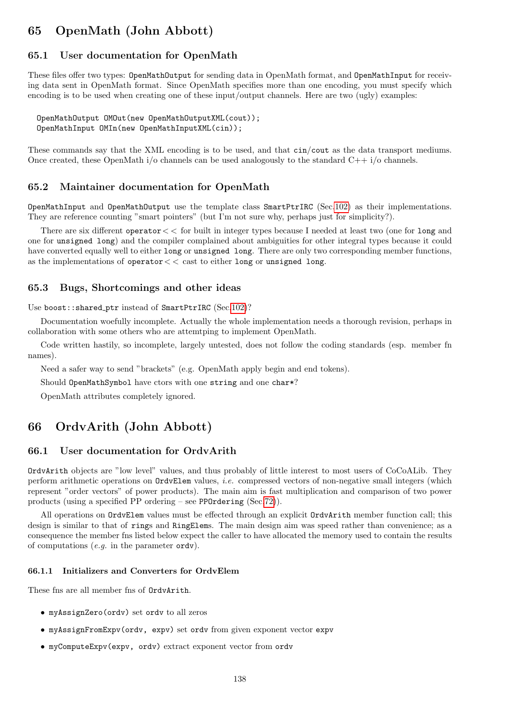# 65 OpenMath (John Abbott)

# 65.1 User documentation for OpenMath

These files offer two types: OpenMathOutput for sending data in OpenMath format, and OpenMathInput for receiving data sent in OpenMath format. Since OpenMath specifies more than one encoding, you must specify which encoding is to be used when creating one of these input/output channels. Here are two (ugly) examples:

OpenMathOutput OMOut(new OpenMathOutputXML(cout)); OpenMathInput OMIn(new OpenMathInputXML(cin));

These commands say that the XML encoding is to be used, and that cin/cout as the data transport mediums. Once created, these OpenMath  $i$  o channels can be used analogously to the standard  $C++i$  o channels.

## 65.2 Maintainer documentation for OpenMath

OpenMathInput and OpenMathOutput use the template class SmartPtrIRC (Sec[.102\)](#page-209-0) as their implementations. They are reference counting "smart pointers" (but I'm not sure why, perhaps just for simplicity?).

There are six different operator< < for built in integer types because I needed at least two (one for long and one for unsigned long) and the compiler complained about ambiguities for other integral types because it could have converted equally well to either long or unsigned long. There are only two corresponding member functions, as the implementations of operator  $<<$  cast to either long or unsigned long.

## 65.3 Bugs, Shortcomings and other ideas

Use boost::shared\_ptr instead of SmartPtrIRC (Sec[.102\)](#page-209-0)?

Documentation woefully incomplete. Actually the whole implementation needs a thorough revision, perhaps in collaboration with some others who are attemtping to implement OpenMath.

Code written hastily, so incomplete, largely untested, does not follow the coding standards (esp. member fn names).

Need a safer way to send "brackets" (e.g. OpenMath apply begin and end tokens).

Should OpenMathSymbol have ctors with one string and one char\*?

OpenMath attributes completely ignored.

# 66 OrdvArith (John Abbott)

# 66.1 User documentation for OrdvArith

OrdvArith objects are "low level" values, and thus probably of little interest to most users of CoCoALib. They perform arithmetic operations on OrdvElem values, i.e. compressed vectors of non-negative small integers (which represent "order vectors" of power products). The main aim is fast multiplication and comparison of two power products (using a specified PP ordering – see PPOrdering (Sec[.72\)](#page-153-0)).

All operations on OrdvElem values must be effected through an explicit OrdvArith member function call; this design is similar to that of rings and RingElems. The main design aim was speed rather than convenience; as a consequence the member fns listed below expect the caller to have allocated the memory used to contain the results of computations  $(e.g.$  in the parameter  $\texttt{ordv}$ ).

### 66.1.1 Initializers and Converters for OrdvElem

These fns are all member fns of OrdvArith.

- myAssignZero(ordv) set ordv to all zeros
- myAssignFromExpv(ordv, expv) set ordv from given exponent vector expv
- myComputeExpv(expv, ordv) extract exponent vector from ordv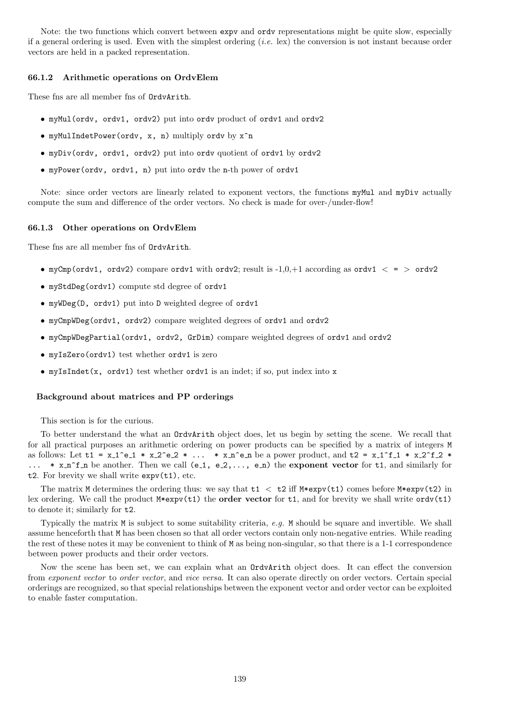Note: the two functions which convert between expv and ordv representations might be quite slow, especially if a general ordering is used. Even with the simplest ordering  $(i.e.$  lex) the conversion is not instant because order vectors are held in a packed representation.

### 66.1.2 Arithmetic operations on OrdvElem

These fns are all member fns of OrdvArith.

- myMul(ordv, ordv1, ordv2) put into ordv product of ordv1 and ordv2
- myMulIndetPower(ordv, x, n) multiply ordv by x^n
- myDiv(ordv, ordv1, ordv2) put into ordv quotient of ordv1 by ordv2
- myPower(ordv, ordv1, n) put into ordv the n-th power of ordv1

Note: since order vectors are linearly related to exponent vectors, the functions myMul and myDiv actually compute the sum and difference of the order vectors. No check is made for over-/under-flow!

### 66.1.3 Other operations on OrdvElem

These fns are all member fns of OrdvArith.

- myCmp(ordv1, ordv2) compare ordv1 with ordv2; result is  $-1.0,+1$  according as ordv1  $\lt$  =  $>$  ordv2
- myStdDeg(ordv1) compute std degree of ordv1
- myWDeg(D, ordv1) put into D weighted degree of ordv1
- myCmpWDeg(ordv1, ordv2) compare weighted degrees of ordv1 and ordv2
- myCmpWDegPartial(ordv1, ordv2, GrDim) compare weighted degrees of ordv1 and ordv2
- myIsZero(ordv1) test whether ordv1 is zero
- myIsIndet(x, ordv1) test whether ordv1 is an indet; if so, put index into x

## Background about matrices and PP orderings

This section is for the curious.

To better understand the what an OrdvArith object does, let us begin by setting the scene. We recall that for all practical purposes an arithmetic ordering on power products can be specified by a matrix of integers M as follows: Let  $t1 = x_1^e - 1 * x_2^e - 2 * ... * x_n^e - n$  be a power product, and  $t2 = x_1^f - 1 * x_2^f - 2 * ...$ ...  $*$  x n<sup>o</sup>f n be another. Then we call (e 1, e 2,..., e n) the exponent vector for t1, and similarly for t2. For brevity we shall write expv(t1), etc.

The matrix M determines the ordering thus: we say that  $t1 < t2$  iff M\*expv( $t1$ ) comes before M\*expv( $t2$ ) in lex ordering. We call the product  $M*$ expv(t1) the **order vector** for t1, and for brevity we shall write  $ordv(t1)$ to denote it; similarly for t2.

Typically the matrix  $M$  is subject to some suitability criteria, e.g.  $M$  should be square and invertible. We shall assume henceforth that M has been chosen so that all order vectors contain only non-negative entries. While reading the rest of these notes it may be convenient to think of M as being non-singular, so that there is a 1-1 correspondence between power products and their order vectors.

Now the scene has been set, we can explain what an OrdvArith object does. It can effect the conversion from exponent vector to order vector, and vice versa. It can also operate directly on order vectors. Certain special orderings are recognized, so that special relationships between the exponent vector and order vector can be exploited to enable faster computation.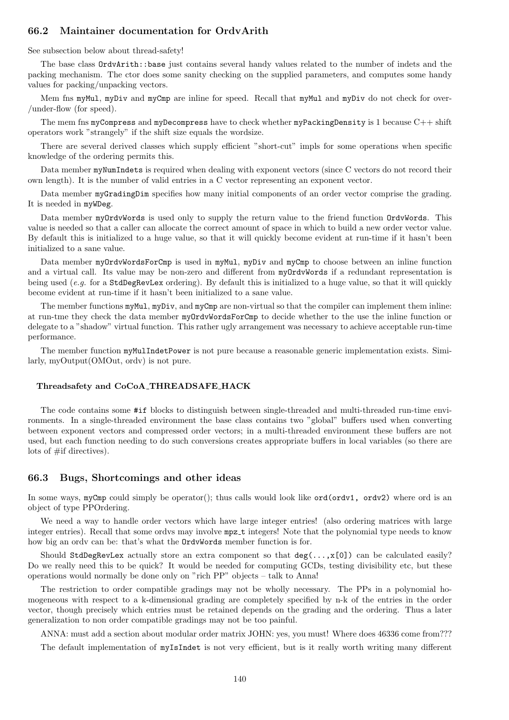# 66.2 Maintainer documentation for OrdvArith

See subsection below about thread-safety!

The base class OrdvArith::base just contains several handy values related to the number of indets and the packing mechanism. The ctor does some sanity checking on the supplied parameters, and computes some handy values for packing/unpacking vectors.

Mem fns myMul, myDiv and myCmp are inline for speed. Recall that myMul and myDiv do not check for over-/under-flow (for speed).

The mem fns myCompress and myDecompress have to check whether myPackingDensity is 1 because  $C++$  shift operators work "strangely" if the shift size equals the wordsize.

There are several derived classes which supply efficient "short-cut" impls for some operations when specific knowledge of the ordering permits this.

Data member myNumIndets is required when dealing with exponent vectors (since C vectors do not record their own length). It is the number of valid entries in a C vector representing an exponent vector.

Data member myGradingDim specifies how many initial components of an order vector comprise the grading. It is needed in myWDeg.

Data member myOrdvWords is used only to supply the return value to the friend function OrdvWords. This value is needed so that a caller can allocate the correct amount of space in which to build a new order vector value. By default this is initialized to a huge value, so that it will quickly become evident at run-time if it hasn't been initialized to a sane value.

Data member myOrdvWordsForCmp is used in myMul, myDiv and myCmp to choose between an inline function and a virtual call. Its value may be non-zero and different from myOrdvWords if a redundant representation is being used (e.g. for a StdDegRevLex ordering). By default this is initialized to a huge value, so that it will quickly become evident at run-time if it hasn't been initialized to a sane value.

The member functions  $myMul$ ,  $myDiv$ , and  $myCmp$  are non-virtual so that the compiler can implement them inline: at run-tme they check the data member myOrdvWordsForCmp to decide whether to the use the inline function or delegate to a "shadow" virtual function. This rather ugly arrangement was necessary to achieve acceptable run-time performance.

The member function myMulIndetPower is not pure because a reasonable generic implementation exists. Similarly, myOutput(OMOut, ordv) is not pure.

### Threadsafety and CoCoA THREADSAFE HACK

The code contains some #if blocks to distinguish between single-threaded and multi-threaded run-time environments. In a single-threaded environment the base class contains two "global" buffers used when converting between exponent vectors and compressed order vectors; in a multi-threaded environment these buffers are not used, but each function needing to do such conversions creates appropriate buffers in local variables (so there are lots of #if directives).

### 66.3 Bugs, Shortcomings and other ideas

In some ways,  $myCmp$  could simply be operator(); thus calls would look like ord(ordv1, ordv2) where ord is an object of type PPOrdering.

We need a way to handle order vectors which have large integer entries! (also ordering matrices with large integer entries). Recall that some ordvs may involve  $mpz$  tintegers! Note that the polynomial type needs to know how big an ordv can be: that's what the OrdvWords member function is for.

Should StdDegRevLex actually store an extra component so that deg(...,x[0]) can be calculated easily? Do we really need this to be quick? It would be needed for computing GCDs, testing divisibility etc, but these operations would normally be done only on "rich PP" objects – talk to Anna!

The restriction to order compatible gradings may not be wholly necessary. The PPs in a polynomial homogeneous with respect to a k-dimensional grading are completely specified by n-k of the entries in the order vector, though precisely which entries must be retained depends on the grading and the ordering. Thus a later generalization to non order compatible gradings may not be too painful.

ANNA: must add a section about modular order matrix JOHN: yes, you must! Where does 46336 come from???

The default implementation of myIsIndet is not very efficient, but is it really worth writing many different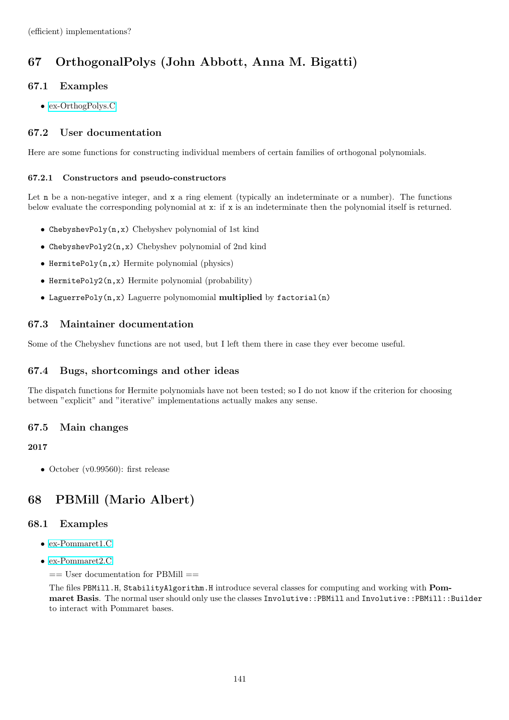# 67 OrthogonalPolys (John Abbott, Anna M. Bigatti)

# 67.1 Examples

• [ex-OrthogPolys.C](../../examples/index.html#ex-OrthogPolys.C)

# 67.2 User documentation

Here are some functions for constructing individual members of certain families of orthogonal polynomials.

# 67.2.1 Constructors and pseudo-constructors

Let **n** be a non-negative integer, and **x** a ring element (typically an indeterminate or a number). The functions below evaluate the corresponding polynomial at x: if x is an indeterminate then the polynomial itself is returned.

- ChebyshevPoly(n,x) Chebyshev polynomial of 1st kind
- ChebyshevPoly2(n,x) Chebyshev polynomial of 2nd kind
- HermitePoly(n,x) Hermite polynomial (physics)
- HermitePoly2(n,x) Hermite polynomial (probability)
- LaguerrePoly(n,x) Laguerre polynomomial multiplied by factorial(n)

# 67.3 Maintainer documentation

Some of the Chebyshev functions are not used, but I left them there in case they ever become useful.

# 67.4 Bugs, shortcomings and other ideas

The dispatch functions for Hermite polynomials have not been tested; so I do not know if the criterion for choosing between "explicit" and "iterative" implementations actually makes any sense.

# 67.5 Main changes

# 2017

• October (v0.99560): first release

# 68 PBMill (Mario Albert)

# 68.1 Examples

- [ex-Pommaret1.C](../../examples/index.html#ex-Pommaret1.C)
- [ex-Pommaret2.C](../../examples/index.html#ex-Pommaret2.C)
	- $==$  User documentation for PBMill  $==$

The files PBMill.H, StabilityAlgorithm.H introduce several classes for computing and working with Pommaret Basis. The normal user should only use the classes Involutive::PBMill and Involutive::PBMill::Builder to interact with Pommaret bases.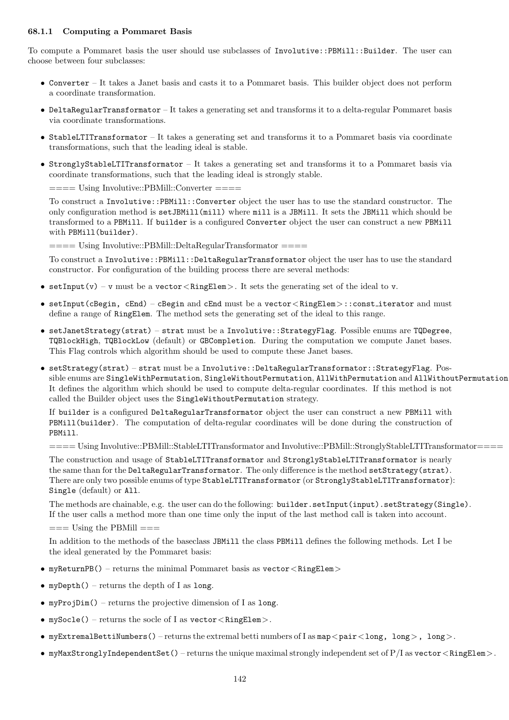## 68.1.1 Computing a Pommaret Basis

To compute a Pommaret basis the user should use subclasses of Involutive::PBMill::Builder. The user can choose between four subclasses:

- Converter It takes a Janet basis and casts it to a Pommaret basis. This builder object does not perform a coordinate transformation.
- DeltaRegularTransformator It takes a generating set and transforms it to a delta-regular Pommaret basis via coordinate transformations.
- StableLTITransformator It takes a generating set and transforms it to a Pommaret basis via coordinate transformations, such that the leading ideal is stable.
- StronglyStableLTITransformator It takes a generating set and transforms it to a Pommaret basis via coordinate transformations, such that the leading ideal is strongly stable.

==== Using Involutive::PBMill::Converter ====

To construct a Involutive::PBMill::Converter object the user has to use the standard constructor. The only configuration method is setJBMill(mill) where mill is a JBMill. It sets the JBMill which should be transformed to a PBMill. If builder is a configured Converter object the user can construct a new PBMill with PBMill(builder).

==== Using Involutive::PBMill::DeltaRegularTransformator ====

To construct a Involutive::PBMill::DeltaRegularTransformator object the user has to use the standard constructor. For configuration of the building process there are several methods:

- setInput(v) v must be a vector  $\langle$  RingElem $\rangle$ . It sets the generating set of the ideal to v.
- setInput(cBegin, cEnd) cBegin and cEnd must be a vector<RingElem>::const iterator and must define a range of RingElem. The method sets the generating set of the ideal to this range.
- setJanetStrategy(strat) strat must be a Involutive::StrategyFlag. Possible enums are TQDegree, TQBlockHigh, TQBlockLow (default) or GBCompletion. During the computation we compute Janet bases. This Flag controls which algorithm should be used to compute these Janet bases.
- setStrategy(strat) strat must be a Involutive::DeltaRegularTransformator::StrategyFlag. Possible enums are SingleWithPermutation, SingleWithoutPermutation, AllWithPermutation and AllWithoutPermutation It defines the algorithm which should be used to compute delta-regular coordinates. If this method is not called the Builder object uses the SingleWithoutPermutation strategy.

If builder is a configured DeltaRegularTransformator object the user can construct a new PBMill with PBMill(builder). The computation of delta-regular coordinates will be done during the construction of PBMill.

==== Using Involutive::PBMill::StableLTITransformator and Involutive::PBMill::StronglyStableLTITransformator====

The construction and usage of StableLTITransformator and StronglyStableLTITransformator is nearly the same than for the DeltaRegularTransformator. The only difference is the method setStrategy(strat). There are only two possible enums of type StableLTITransformator (or StronglyStableLTITransformator): Single (default) or All.

The methods are chainable, e.g. the user can do the following: builder.setInput(input).setStrategy(Single). If the user calls a method more than one time only the input of the last method call is taken into account.

 $=$  Using the PBMill  $=$ 

In addition to the methods of the baseclass JBMill the class PBMill defines the following methods. Let I be the ideal generated by the Pommaret basis:

- myReturnPB() returns the minimal Pommaret basis as  $\text{vector} \leq \text{RingElement}$
- myDepth() returns the depth of I as long.
- myProjDim() returns the projective dimension of I as long.
- mySocle() returns the socle of I as  $\texttt{vector} \textlt{RingElement}$ .
- myExtremalBettiNumbers() returns the extremal betti numbers of I as map  $\langle$  pair $\langle$  long $\rangle$ , long $\rangle$ .
- myMaxStronglyIndependentSet() returns the unique maximal strongly independent set of  $P/I$  as vector  $\langle$  RingElem $\rangle$ .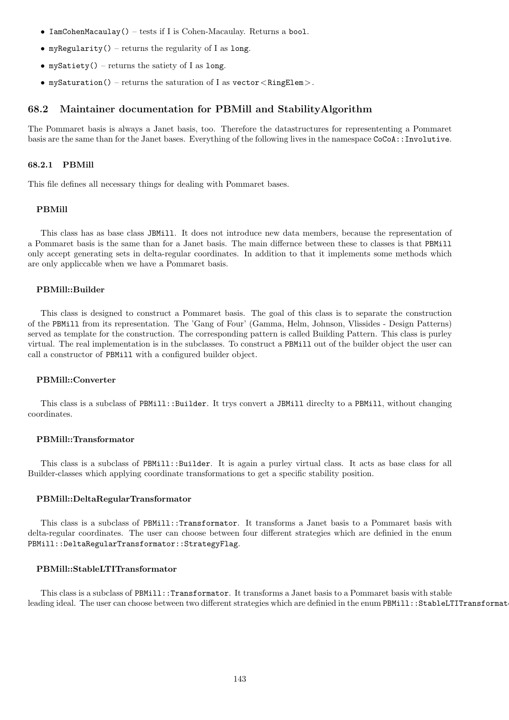- IamCohenMacaulay() tests if I is Cohen-Macaulay. Returns a bool.
- myRegularity() returns the regularity of I as long.
- mySatiety() returns the satiety of I as long.
- mySaturation() returns the saturation of I as vector  $\langle$  RingElem $\rangle$ .

## 68.2 Maintainer documentation for PBMill and StabilityAlgorithm

The Pommaret basis is always a Janet basis, too. Therefore the datastructures for represententing a Pommaret basis are the same than for the Janet bases. Everything of the following lives in the namespace CoCoA::Involutive.

### 68.2.1 PBMill

This file defines all necessary things for dealing with Pommaret bases.

### PBMill

This class has as base class JBMill. It does not introduce new data members, because the representation of a Pommaret basis is the same than for a Janet basis. The main differnce between these to classes is that PBMill only accept generating sets in delta-regular coordinates. In addition to that it implements some methods which are only appliccable when we have a Pommaret basis.

### PBMill::Builder

This class is designed to construct a Pommaret basis. The goal of this class is to separate the construction of the PBMill from its representation. The 'Gang of Four' (Gamma, Helm, Johnson, Vlissides - Design Patterns) served as template for the construction. The corresponding pattern is called Building Pattern. This class is purley virtual. The real implementation is in the subclasses. To construct a PBMill out of the builder object the user can call a constructor of PBMill with a configured builder object.

### PBMill::Converter

This class is a subclass of PBMill::Builder. It trys convert a JBMill direclty to a PBMill, without changing coordinates.

### PBMill::Transformator

This class is a subclass of PBMill::Builder. It is again a purley virtual class. It acts as base class for all Builder-classes which applying coordinate transformations to get a specific stability position.

### PBMill::DeltaRegularTransformator

This class is a subclass of PBMill::Transformator. It transforms a Janet basis to a Pommaret basis with delta-regular coordinates. The user can choose between four different strategies which are definied in the enum PBMill::DeltaRegularTransformator::StrategyFlag.

## PBMill::StableLTITransformator

This class is a subclass of PBMill::Transformator. It transforms a Janet basis to a Pommaret basis with stable leading ideal. The user can choose between two different strategies which are definied in the enum PBMill::StableLTITransformat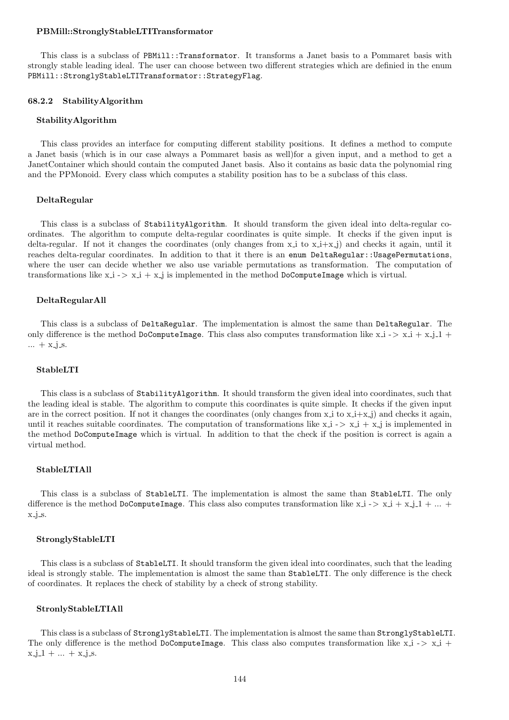### PBMill::StronglyStableLTITransformator

This class is a subclass of PBMill::Transformator. It transforms a Janet basis to a Pommaret basis with strongly stable leading ideal. The user can choose between two different strategies which are definied in the enum PBMill::StronglyStableLTITransformator::StrategyFlag.

#### 68.2.2 StabilityAlgorithm

#### StabilityAlgorithm

This class provides an interface for computing different stability positions. It defines a method to compute a Janet basis (which is in our case always a Pommaret basis as well)for a given input, and a method to get a JanetContainer which should contain the computed Janet basis. Also it contains as basic data the polynomial ring and the PPMonoid. Every class which computes a stability position has to be a subclass of this class.

### DeltaRegular

This class is a subclass of StabilityAlgorithm. It should transform the given ideal into delta-regular coordinates. The algorithm to compute delta-regular coordinates is quite simple. It checks if the given input is delta-regular. If not it changes the coordinates (only changes from  $x_i$  to  $x_i+x_i$ ) and checks it again, until it reaches delta-regular coordinates. In addition to that it there is an enum DeltaRegular::UsagePermutations, where the user can decide whether we also use variable permutations as transformation. The computation of transformations like  $x_i - > x_i + x_j$  is implemented in the method DoComputeImage which is virtual.

### DeltaRegularAll

This class is a subclass of DeltaRegular. The implementation is almost the same than DeltaRegular. The only difference is the method DoComputeImage. This class also computes transformation like  $x_i - > x_i + x_j - 1 + ...$  $... + x_{-j}$  s.

### StableLTI

This class is a subclass of StabilityAlgorithm. It should transform the given ideal into coordinates, such that the leading ideal is stable. The algorithm to compute this coordinates is quite simple. It checks if the given input are in the correct position. If not it changes the coordinates (only changes from  $x \perp$  to  $x \perp + x \perp$ ) and checks it again, until it reaches suitable coordinates. The computation of transformations like  $x_i - > x_i + x_j$  is implemented in the method DoComputeImage which is virtual. In addition to that the check if the position is correct is again a virtual method.

#### StableLTIAll

This class is a subclass of StableLTI. The implementation is almost the same than StableLTI. The only difference is the method DoComputeImage. This class also computes transformation like  $x_i - > x_i + x_j - 1 + ... +$  $x_j$  s.

### StronglyStableLTI

This class is a subclass of StableLTI. It should transform the given ideal into coordinates, such that the leading ideal is strongly stable. The implementation is almost the same than StableLTI. The only difference is the check of coordinates. It replaces the check of stability by a check of strong stability.

#### StronlyStableLTIAll

This class is a subclass of StronglyStableLTI. The implementation is almost the same than StronglyStableLTI. The only difference is the method DoComputeImage. This class also computes transformation like  $x_i \rightarrow x_i +$  $x - j - 1 + \ldots + x - j - s$ .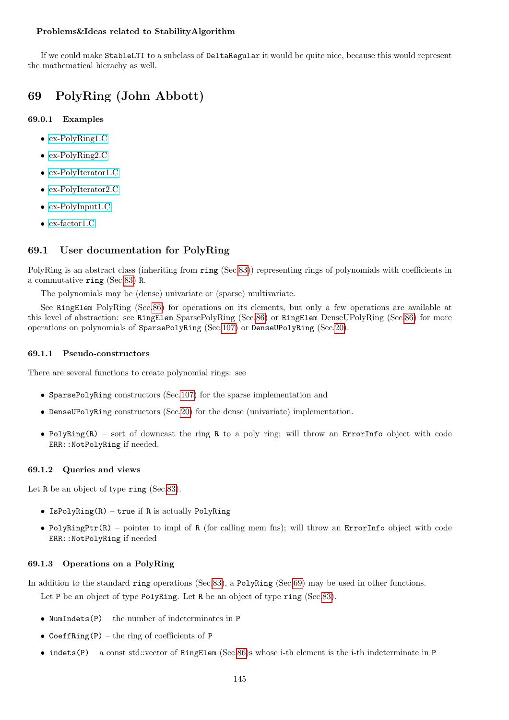## Problems&Ideas related to StabilityAlgorithm

If we could make StableLTI to a subclass of DeltaRegular it would be quite nice, because this would represent the mathematical hierachy as well.

# <span id="page-144-0"></span>69 PolyRing (John Abbott)

# 69.0.1 Examples

- [ex-PolyRing1.C](../../examples/index.html#ex-PolyRing1.C)
- [ex-PolyRing2.C](../../examples/index.html#ex-PolyRing2.C)
- [ex-PolyIterator1.C](../../examples/index.html#ex-PolyIterator1.C)
- [ex-PolyIterator2.C](../../examples/index.html#ex-PolyIterator2.C)
- [ex-PolyInput1.C](../../examples/index.html#ex-PolyInput1.C)
- [ex-factor1.C](../../examples/index.html#ex-factor1.C)

# 69.1 User documentation for PolyRing

PolyRing is an abstract class (inheriting from ring (Sec[.83\)](#page-169-0)) representing rings of polynomials with coefficients in a commutative ring (Sec[.83\)](#page-169-0) R.

The polynomials may be (dense) univariate or (sparse) multivariate.

See RingElem PolyRing (Sec[.86\)](#page-174-0) for operations on its elements, but only a few operations are available at this level of abstraction: see RingElem SparsePolyRing (Sec[.86\)](#page-174-0) or RingElem DenseUPolyRing (Sec[.86\)](#page-174-0) for more operations on polynomials of SparsePolyRing (Sec[.107\)](#page-214-0) or DenseUPolyRing (Sec[.20\)](#page-55-0).

## 69.1.1 Pseudo-constructors

There are several functions to create polynomial rings: see

- SparsePolyRing constructors (Sec[.107\)](#page-214-0) for the sparse implementation and
- DenseUPolyRing constructors (Sec[.20\)](#page-55-0) for the dense (univariate) implementation.
- PolyRing $(R)$  sort of downcast the ring R to a poly ring; will throw an ErrorInfo object with code ERR::NotPolyRing if needed.

# 69.1.2 Queries and views

Let R be an object of type ring (Sec[.83\)](#page-169-0).

- Is $PolvRing(R)$  true if R is actually PolyRing
- PolyRingPtr(R) pointer to impl of R (for calling mem fns); will throw an ErrorInfo object with code ERR::NotPolyRing if needed

# 69.1.3 Operations on a PolyRing

In addition to the standard ring operations (Sec[.83\)](#page-169-0), a PolyRing (Sec[.69\)](#page-144-0) may be used in other functions.

Let P be an object of type PolyRing. Let R be an object of type ring (Sec[.83\)](#page-169-0).

- NumIndets $(P)$  the number of indeterminates in P
- CoeffRing(P) the ring of coefficients of P
- indets $(P)$  a const std::vector of RingElem (Sec[.86\)](#page-174-0)s whose i-th element is the i-th indeterminate in P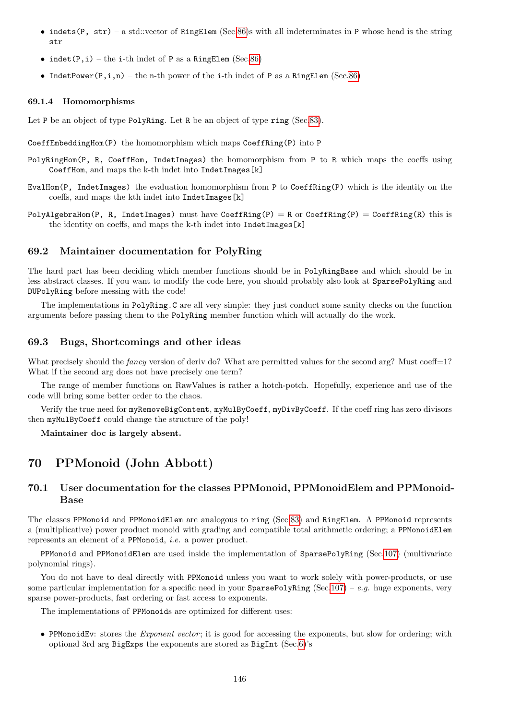- indets (P, str) a std::vector of RingElem (Sec[.86\)](#page-174-0)s with all indeterminates in P whose head is the string str
- indet(P,i) the i-th indet of P as a RingElem (Sec[.86\)](#page-174-0)
- IndetPower( $P, i, n$ ) the n-th power of the i-th indet of P as a RingElem (Sec[.86\)](#page-174-0)

### 69.1.4 Homomorphisms

Let P be an object of type PolyRing. Let R be an object of type ring (Sec[.83\)](#page-169-0).

CoeffEmbeddingHom(P) the homomorphism which maps CoeffRing(P) into P

- PolyRingHom(P, R, CoeffHom, IndetImages) the homomorphism from P to R which maps the coeffs using CoeffHom, and maps the k-th indet into IndetImages[k]
- EvalHom(P, IndetImages) the evaluation homomorphism from P to CoeffRing(P) which is the identity on the coeffs, and maps the kth indet into IndetImages[k]
- PolyAlgebraHom(P, R, IndetImages) must have CoeffRing(P) = R or CoeffRing(P) = CoeffRing(R) this is the identity on coeffs, and maps the k-th indet into IndetImages[k]

### 69.2 Maintainer documentation for PolyRing

The hard part has been deciding which member functions should be in PolyRingBase and which should be in less abstract classes. If you want to modify the code here, you should probably also look at SparsePolyRing and DUPolyRing before messing with the code!

The implementations in PolyRing.C are all very simple: they just conduct some sanity checks on the function arguments before passing them to the PolyRing member function which will actually do the work.

## 69.3 Bugs, Shortcomings and other ideas

What precisely should the *fancy* version of deriv do? What are permitted values for the second arg? Must coeff=1? What if the second arg does not have precisely one term?

The range of member functions on RawValues is rather a hotch-potch. Hopefully, experience and use of the code will bring some better order to the chaos.

Verify the true need for myRemoveBigContent, myMulByCoeff, myDivByCoeff. If the coeff ring has zero divisors then myMulByCoeff could change the structure of the poly!

Maintainer doc is largely absent.

# <span id="page-145-0"></span>70 PPMonoid (John Abbott)

# 70.1 User documentation for the classes PPMonoid, PPMonoidElem and PPMonoid-Base

The classes PPMonoid and PPMonoidElem are analogous to ring (Sec[.83\)](#page-169-0) and RingElem. A PPMonoid represents a (multiplicative) power product monoid with grading and compatible total arithmetic ordering; a PPMonoidElem represents an element of a PPMonoid, i.e. a power product.

PPMonoid and PPMonoidElem are used inside the implementation of SparsePolyRing (Sec[.107\)](#page-214-0) (multivariate polynomial rings).

You do not have to deal directly with PPMonoid unless you want to work solely with power-products, or use some particular implementation for a specific need in your  $\text{SparsePolyRing}$  (Sec[.107\)](#page-214-0) – e.g. huge exponents, very sparse power-products, fast ordering or fast access to exponents.

The implementations of PPMonoids are optimized for different uses:

• PPMonoidEv: stores the *Exponent vector*; it is good for accessing the exponents, but slow for ordering; with optional 3rd arg BigExps the exponents are stored as BigInt (Sec[.6\)](#page-34-0)'s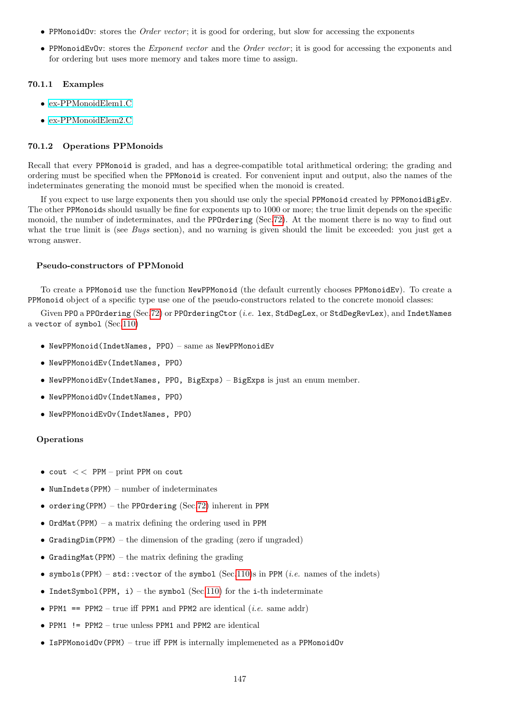- PPMonoidOv: stores the *Order vector*; it is good for ordering, but slow for accessing the exponents
- PPMonoidEvOv: stores the *Exponent vector* and the *Order vector*; it is good for accessing the exponents and for ordering but uses more memory and takes more time to assign.

### 70.1.1 Examples

- [ex-PPMonoidElem1.C](../../examples/index.html#ex-PPMonoidElem1.C)
- [ex-PPMonoidElem2.C](../../examples/index.html#ex-PPMonoidElem2.C)

### 70.1.2 Operations PPMonoids

Recall that every PPMonoid is graded, and has a degree-compatible total arithmetical ordering; the grading and ordering must be specified when the PPMonoid is created. For convenient input and output, also the names of the indeterminates generating the monoid must be specified when the monoid is created.

If you expect to use large exponents then you should use only the special PPMonoid created by PPMonoidBigEv. The other PPMonoids should usually be fine for exponents up to 1000 or more; the true limit depends on the specific monoid, the number of indeterminates, and the PPOrdering (Sec[.72\)](#page-153-0). At the moment there is no way to find out what the true limit is (see Bugs section), and no warning is given should the limit be exceeded: you just get a wrong answer.

### Pseudo-constructors of PPMonoid

To create a PPMonoid use the function NewPPMonoid (the default currently chooses PPMonoidEv). To create a PPMonoid object of a specific type use one of the pseudo-constructors related to the concrete monoid classes:

Given PPO a PPOrdering  $(Sec.72)$  $(Sec.72)$  or PPOrderingCtor  $(i.e.$  lex, StdDegLex, or StdDegRevLex), and IndetNames a vector of symbol (Sec[.110\)](#page-218-0)

- NewPPMonoid(IndetNames, PPO) same as NewPPMonoidEv
- NewPPMonoidEv(IndetNames, PPO)
- NewPPMonoidEv(IndetNames, PPO, BigExps) BigExps is just an enum member.
- NewPPMonoidOv(IndetNames, PPO)
- NewPPMonoidEvOv(IndetNames, PPO)

### **Operations**

- $\text{count} <$  PPM print PPM on cout
- NumIndets(PPM) number of indeterminates
- ordering(PPM) the PPOrdering (Sec[.72\)](#page-153-0) inherent in PPM
- OrdMat(PPM) a matrix defining the ordering used in PPM
- GradingDim(PPM) the dimension of the grading (zero if ungraded)
- GradingMat(PPM) the matrix defining the grading
- symbols (PPM) std::vector of the symbol (Sec[.110\)](#page-218-0)s in PPM (*i.e.* names of the indets)
- IndetSymbol(PPM, i) the symbol (Sec[.110\)](#page-218-0) for the i-th indeterminate
- PPM1 == PPM2 true iff PPM1 and PPM2 are identical (*i.e.* same addr)
- PPM1 != PPM2 true unless PPM1 and PPM2 are identical
- IsPPMonoidOv(PPM) true iff PPM is internally implemeneted as a PPMonoidOv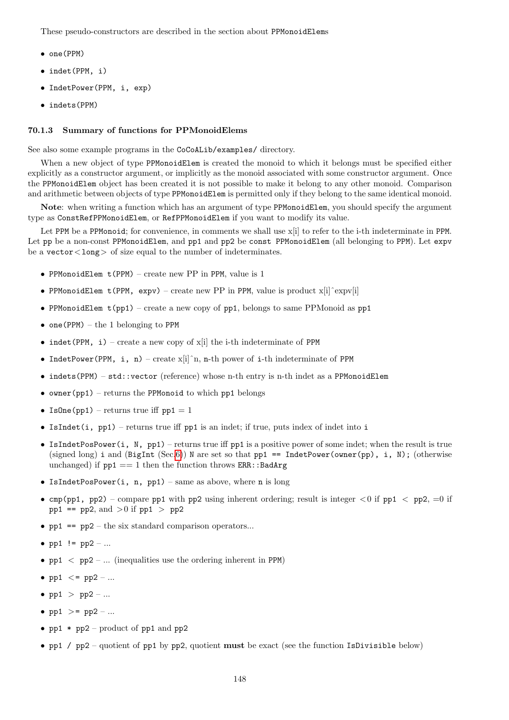These pseudo-constructors are described in the section about PPMonoidElems

- one(PPM)
- indet(PPM, i)
- IndetPower(PPM, i, exp)
- indets(PPM)

### 70.1.3 Summary of functions for PPMonoidElems

See also some example programs in the CoCoALib/examples/ directory.

When a new object of type PPMonoidElem is created the monoid to which it belongs must be specified either explicitly as a constructor argument, or implicitly as the monoid associated with some constructor argument. Once the PPMonoidElem object has been created it is not possible to make it belong to any other monoid. Comparison and arithmetic between objects of type PPMonoidElem is permitted only if they belong to the same identical monoid.

Note: when writing a function which has an argument of type PPMonoidElem, you should specify the argument type as ConstRefPPMonoidElem, or RefPPMonoidElem if you want to modify its value.

Let PPM be a PPMonoid; for convenience, in comments we shall use  $x[i]$  to refer to the i-th indeterminate in PPM. Let pp be a non-const PPMonoidElem, and pp1 and pp2 be const PPMonoidElem (all belonging to PPM). Let expv be a vector  $\langle$  long  $\rangle$  of size equal to the number of indeterminates.

- PPMonoidElem t(PPM) create new PP in PPM, value is 1
- PPMonoidElem t(PPM, expv) create new PP in PPM, value is product x[i]ˆexpv[i]
- PPMonoidElem  $t(pp1)$  create a new copy of pp1, belongs to same PPMonoid as pp1
- one (PPM) the 1 belonging to PPM
- indet(PPM, i) create a new copy of  $x[i]$  the i-th indeterminate of PPM
- IndetPower(PPM, i, n) create  $x[i]$ <sup>n</sup>, n-th power of i-th indeterminate of PPM
- indets (PPM) std::vector (reference) whose n-th entry is n-th indet as a PPMonoidElem
- owner(pp1) returns the PPMonoid to which pp1 belongs
- IsOne(pp1) returns true iff  $pp1 = 1$
- IsIndet(i,  $pp1$ ) returns true iff  $pp1$  is an indet; if true, puts index of indet into i
- IsIndetPosPower(i, N, pp1) returns true iff pp1 is a positive power of some indet; when the result is true (signed long) i and (BigInt (Sec[.6\)](#page-34-0)) N are set so that pp1 == IndetPower(owner(pp), i, N); (otherwise unchanged) if  $pp1 == 1$  then the function throws ERR::BadArg
- IsIndetPosPower(i, n, pp1) same as above, where n is long
- cmp(pp1, pp2) compare pp1 with pp2 using inherent ordering; result is integer  $\lt 0$  if pp1  $\lt$  pp2,  $=0$  if pp1 == pp2, and  $>0$  if pp1  $>$  pp2
- $pp1$  =  $pp2$  the six standard comparison operators...
- pp1  $!=$  pp2 ...
- pp1  $\lt$  pp2 ... (inequalities use the ordering inherent in PPM)
- pp1  $\lt$  = pp2 ...
- $pp1$  >  $pp2$  -...
- pp1 >=  $pp2 ...$
- pp1  $*$  pp2 product of pp1 and pp2
- pp1 /  $pp2$  quotient of pp1 by pp2, quotient must be exact (see the function IsDivisible below)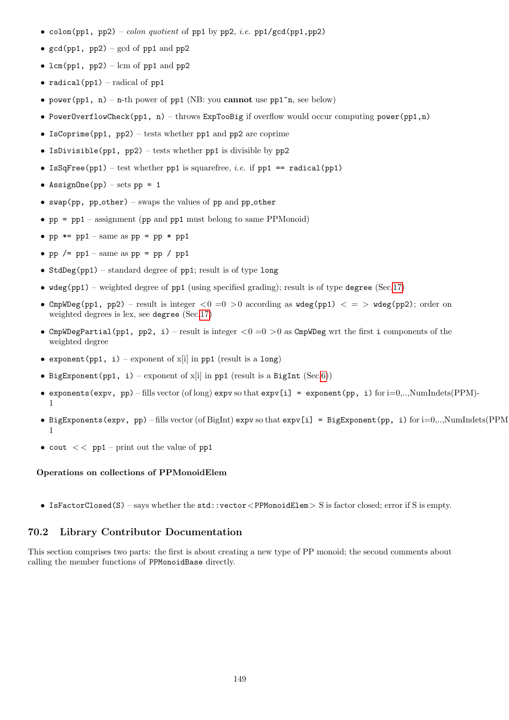- colon(pp1, pp2) colon quotient of pp1 by pp2, i.e. pp1/gcd(pp1,pp2)
- $gcd(pp1, pp2) gcd of pp1 and pp2$
- lcm(pp1, pp2) lcm of pp1 and pp2
- radical(pp1) radical of pp1
- power(pp1, n) n-th power of pp1 (NB: you cannot use pp1^n, see below)
- PowerOverflowCheck(pp1, n) throws ExpTooBig if overflow would occur computing power(pp1,n)
- IsCoprime(pp1, pp2) tests whether pp1 and pp2 are coprime
- IsDivisible(pp1, pp2) tests whether pp1 is divisible by pp2
- IsSqFree(pp1) test whether pp1 is squarefree, *i.e.* if pp1 == radical(pp1)
- AssignOne(pp) sets  $pp = 1$
- swap(pp, pp\_other) swaps the values of pp and pp\_other
- pp = pp1 assignment (pp and pp1 must belong to same PPMonoid)
- pp  $*=$  pp1 same as pp = pp  $*$  pp1
- pp  $/=$  pp1 same as pp = pp  $/$  pp1
- StdDeg(pp1) standard degree of  $pp1$ ; result is of type long
- $\text{wdeg}(pp1)$  weighted degree of  $pp1$  (using specified grading); result is of type degree (Sec[.17\)](#page-52-0)
- CmpWDeg(pp1, pp2) result is integer  $0 = 0 > 0$  according as  $wdeg(pp1) < z$  wdeg(pp2); order on weighted degrees is lex, see degree (Sec[.17\)](#page-52-0)
- CmpWDegPartial(pp1, pp2, i) result is integer  $<0=0$  >0 as CmpWDeg wrt the first i components of the weighted degree
- exponent (pp1, i) exponent of  $x[i]$  in pp1 (result is a long)
- BigExponent(pp1, i) exponent of  $x[i]$  in pp1 (result is a BigInt (Sec[.6\)](#page-34-0))
- exponents (expv, pp) fills vector (of long) expv so that  $\exp[i] = \exp\{[pp, i\)}$  for  $i=0,..,N$ umIndets(PPM)-1
- BigExponents(expv, pp) fills vector (of BigInt) expv so that expv[i] = BigExponent(pp, i) for i=0,..,NumIndets(PPM)- 1
- cout  $<<$  pp1 print out the value of pp1

## Operations on collections of PPMonoidElem

• IsFactorClosed(S) – says whether the  $std$ ::vector<PPMonoidElem> S is factor closed; error if S is empty.

## 70.2 Library Contributor Documentation

This section comprises two parts: the first is about creating a new type of PP monoid; the second comments about calling the member functions of PPMonoidBase directly.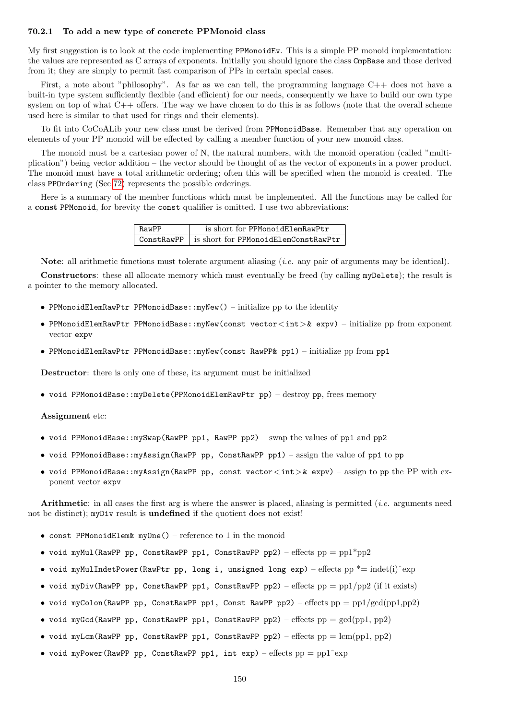### 70.2.1 To add a new type of concrete PPMonoid class

My first suggestion is to look at the code implementing PPMonoidEv. This is a simple PP monoid implementation: the values are represented as C arrays of exponents. Initially you should ignore the class CmpBase and those derived from it; they are simply to permit fast comparison of PPs in certain special cases.

First, a note about "philosophy". As far as we can tell, the programming language C++ does not have a built-in type system sufficiently flexible (and efficient) for our needs, consequently we have to build our own type system on top of what C++ offers. The way we have chosen to do this is as follows (note that the overall scheme used here is similar to that used for rings and their elements).

To fit into CoCoALib your new class must be derived from PPMonoidBase. Remember that any operation on elements of your PP monoid will be effected by calling a member function of your new monoid class.

The monoid must be a cartesian power of N, the natural numbers, with the monoid operation (called "multiplication") being vector addition – the vector should be thought of as the vector of exponents in a power product. The monoid must have a total arithmetic ordering; often this will be specified when the monoid is created. The class PPOrdering (Sec[.72\)](#page-153-0) represents the possible orderings.

Here is a summary of the member functions which must be implemented. All the functions may be called for a const PPMonoid, for brevity the const qualifier is omitted. I use two abbreviations:

| RawPP | is short for PPMonoidElemRawPtr                   |
|-------|---------------------------------------------------|
|       | ConstRawPP   is short for PPMonoidElemConstRawPtr |

Note: all arithmetic functions must tolerate argument aliasing (*i.e.* any pair of arguments may be identical).

Constructors: these all allocate memory which must eventually be freed (by calling myDelete); the result is a pointer to the memory allocated.

- PPMonoidElemRawPtr PPMonoidBase::myNew() initialize pp to the identity
- PPMonoidElemRawPtr PPMonoidBase::myNew(const vector<int>& expv) initialize pp from exponent vector expv
- PPMonoidElemRawPtr PPMonoidBase::myNew(const RawPP& pp1) initialize pp from pp1

Destructor: there is only one of these, its argument must be initialized

• void PPMonoidBase::myDelete(PPMonoidElemRawPtr pp) – destroy pp, frees memory

Assignment etc:

- void PPMonoidBase::mySwap(RawPP pp1, RawPP pp2) swap the values of pp1 and pp2
- void PPMonoidBase::myAssign(RawPP pp, ConstRawPP pp1) assign the value of pp1 to pp
- void PPMonoidBase::myAssign(RawPP pp, const vector<int>& expv) assign to pp the PP with exponent vector expv

Arithmetic: in all cases the first arg is where the answer is placed, aliasing is permitted *(i.e.* arguments need not be distinct); myDiv result is **undefined** if the quotient does not exist!

- const PPMonoidElem&  $myOne()$  reference to 1 in the monoid
- void myMul(RawPP pp, ConstRawPP pp1, ConstRawPP pp2) effects  $pp = pp1*pp2$
- void myMulIndetPower(RawPtr pp, long i, unsigned long exp) effects pp  $*$  = indet(i) $\exp$
- void myDiv(RawPP pp, ConstRawPP pp1, ConstRawPP pp2) effects  $pp = pp1/pp2$  (if it exists)
- void myColon(RawPP pp, ConstRawPP pp1, Const RawPP pp2) effects  $pp = pp1/gcd(pp1,pp2)$
- void myGcd(RawPP pp, ConstRawPP pp1, ConstRawPP pp2) effects  $pp = \gcd(pp1, pp2)$
- void myLcm(RawPP pp, ConstRawPP pp1, ConstRawPP pp2) effects  $pp = lcm(pp1, pp2)$
- void myPower(RawPP pp, ConstRawPP pp1, int  $exp$ ) effects  $pp = pp1^{\degree}exp$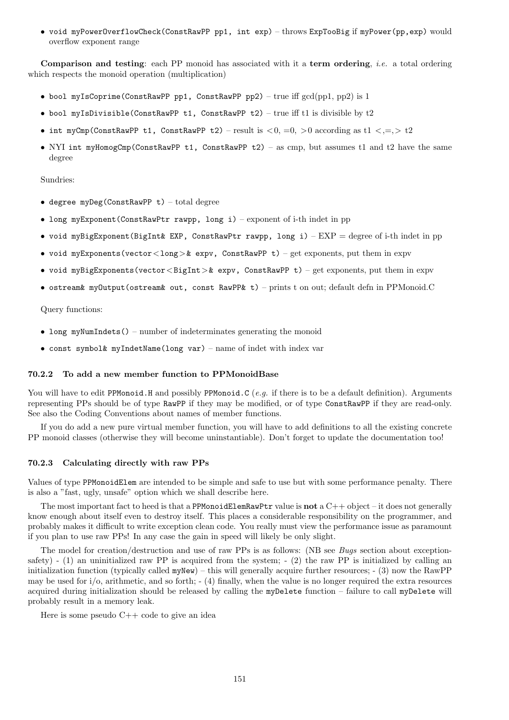• void myPowerOverflowCheck(ConstRawPP pp1, int exp) – throws ExpTooBig if myPower(pp,exp) would overflow exponent range

Comparison and testing: each PP monoid has associated with it a term ordering, *i.e.* a total ordering which respects the monoid operation (multiplication)

- bool myIsCoprime(ConstRawPP pp1, ConstRawPP pp2) true iff  $gcd(pp1, pp2)$  is 1
- bool myIsDivisible(ConstRawPP t1, ConstRawPP t2) true iff t1 is divisible by  $t2$
- int myCmp(ConstRawPP t1, ConstRawPP t2) result is  $\langle 0, =0, >0$  according as t1  $\langle , =, > t2 \rangle$
- NYI int myHomogCmp(ConstRawPP t1, ConstRawPP t2) as cmp, but assumes t1 and t2 have the same degree

#### Sundries:

- degree  $mv$ Deg(ConstRawPP t) total degree
- long myExponent(ConstRawPtr rawpp, long i) exponent of i-th indet in pp
- void myBigExponent(BigInt& EXP, ConstRawPtr rawpp, long i)  $EXP = degree of$  i-th indet in pp
- void myExponents(vector<long>& expv, ConstRawPP t) get exponents, put them in expv
- void myBigExponents(vector<BigInt>& expv, ConstRawPP t) get exponents, put them in expv
- ostream& myOutput(ostream& out, const RawPP& t) prints t on out; default defn in PPMonoid.C

#### Query functions:

- long myNumIndets() number of indeterminates generating the monoid
- const symbol& myIndetName(long var) name of indet with index var

#### 70.2.2 To add a new member function to PPMonoidBase

You will have to edit PPMonoid.H and possibly PPMonoid.C (e.g. if there is to be a default definition). Arguments representing PPs should be of type RawPP if they may be modified, or of type ConstRawPP if they are read-only. See also the Coding Conventions about names of member functions.

If you do add a new pure virtual member function, you will have to add definitions to all the existing concrete PP monoid classes (otherwise they will become uninstantiable). Don't forget to update the documentation too!

### 70.2.3 Calculating directly with raw PPs

Values of type PPMonoidElem are intended to be simple and safe to use but with some performance penalty. There is also a "fast, ugly, unsafe" option which we shall describe here.

The most important fact to heed is that a PPMonoidElemRawPtr value is not a  $C++$  object – it does not generally know enough about itself even to destroy itself. This places a considerable responsibility on the programmer, and probably makes it difficult to write exception clean code. You really must view the performance issue as paramount if you plan to use raw PPs! In any case the gain in speed will likely be only slight.

The model for creation/destruction and use of raw PPs is as follows: (NB see Bugs section about exceptionsafety) -  $(1)$  an uninitialized raw PP is acquired from the system; -  $(2)$  the raw PP is initialized by calling an initialization function (typically called  $myNew$ ) – this will generally acquire further resources;  $-$  (3) now the RawPP may be used for  $i$ ,  $\alpha$ , arithmetic, and so forth;  $-$  (4) finally, when the value is no longer required the extra resources acquired during initialization should be released by calling the myDelete function – failure to call myDelete will probably result in a memory leak.

Here is some pseudo C++ code to give an idea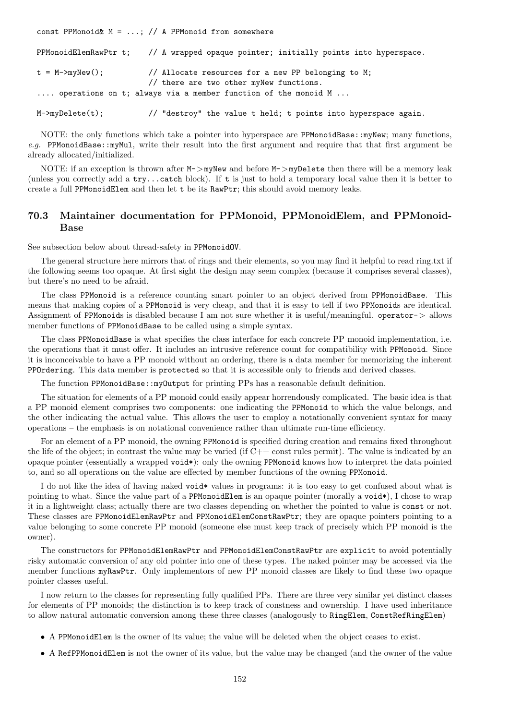const PPMonoid&  $M = ...;$  // A PPMonoid from somewhere

|                 | PPMonoidElemRawPtr t; // A wrapped opaque pointer; initially points into hyperspace.          |
|-----------------|-----------------------------------------------------------------------------------------------|
| t = M->myNew(); | // Allocate resources for a new PP belonging to M;<br>// there are two other myNew functions. |
|                 | operations on t; always via a member function of the monoid M                                 |
| M->myDelete(t); | // "destroy" the value t held; t points into hyperspace again.                                |

NOTE: the only functions which take a pointer into hyperspace are PPMonoidBase::myNew; many functions, e.g. PPMonoidBase::myMul, write their result into the first argument and require that that first argument be already allocated/initialized.

NOTE: if an exception is thrown after  $M$ ->myNew and before  $M$ ->myDelete then there will be a memory leak (unless you correctly add a try...catch block). If t is just to hold a temporary local value then it is better to create a full PPMonoidElem and then let t be its RawPtr; this should avoid memory leaks.

# 70.3 Maintainer documentation for PPMonoid, PPMonoidElem, and PPMonoid-Base

See subsection below about thread-safety in PPMonoidOV.

The general structure here mirrors that of rings and their elements, so you may find it helpful to read ring.txt if the following seems too opaque. At first sight the design may seem complex (because it comprises several classes), but there's no need to be afraid.

The class PPMonoid is a reference counting smart pointer to an object derived from PPMonoidBase. This means that making copies of a PPMonoid is very cheap, and that it is easy to tell if two PPMonoids are identical. Assignment of PPMonoids is disabled because I am not sure whether it is useful/meaningful. operator-> allows member functions of PPMonoidBase to be called using a simple syntax.

The class PPMonoidBase is what specifies the class interface for each concrete PP monoid implementation, i.e. the operations that it must offer. It includes an intrusive reference count for compatibility with PPMonoid. Since it is inconceivable to have a PP monoid without an ordering, there is a data member for memorizing the inherent PPOrdering. This data member is protected so that it is accessible only to friends and derived classes.

The function PPMonoidBase::myOutput for printing PPs has a reasonable default definition.

The situation for elements of a PP monoid could easily appear horrendously complicated. The basic idea is that a PP monoid element comprises two components: one indicating the PPMonoid to which the value belongs, and the other indicating the actual value. This allows the user to employ a notationally convenient syntax for many operations – the emphasis is on notational convenience rather than ultimate run-time efficiency.

For an element of a PP monoid, the owning PPMonoid is specified during creation and remains fixed throughout the life of the object; in contrast the value may be varied (if C++ const rules permit). The value is indicated by an opaque pointer (essentially a wrapped void\*): only the owning PPMonoid knows how to interpret the data pointed to, and so all operations on the value are effected by member functions of the owning PPMonoid.

I do not like the idea of having naked void\* values in programs: it is too easy to get confused about what is pointing to what. Since the value part of a PPMonoidElem is an opaque pointer (morally a void\*), I chose to wrap it in a lightweight class; actually there are two classes depending on whether the pointed to value is const or not. These classes are PPMonoidElemRawPtr and PPMonoidElemConstRawPtr; they are opaque pointers pointing to a value belonging to some concrete PP monoid (someone else must keep track of precisely which PP monoid is the owner).

The constructors for PPMonoidElemRawPtr and PPMonoidElemConstRawPtr are explicit to avoid potentially risky automatic conversion of any old pointer into one of these types. The naked pointer may be accessed via the member functions myRawPtr. Only implementors of new PP monoid classes are likely to find these two opaque pointer classes useful.

I now return to the classes for representing fully qualified PPs. There are three very similar yet distinct classes for elements of PP monoids; the distinction is to keep track of constness and ownership. I have used inheritance to allow natural automatic conversion among these three classes (analogously to RingElem, ConstRefRingElem)

- A PPMonoidElem is the owner of its value; the value will be deleted when the object ceases to exist.
- A RefPPMonoidElem is not the owner of its value, but the value may be changed (and the owner of the value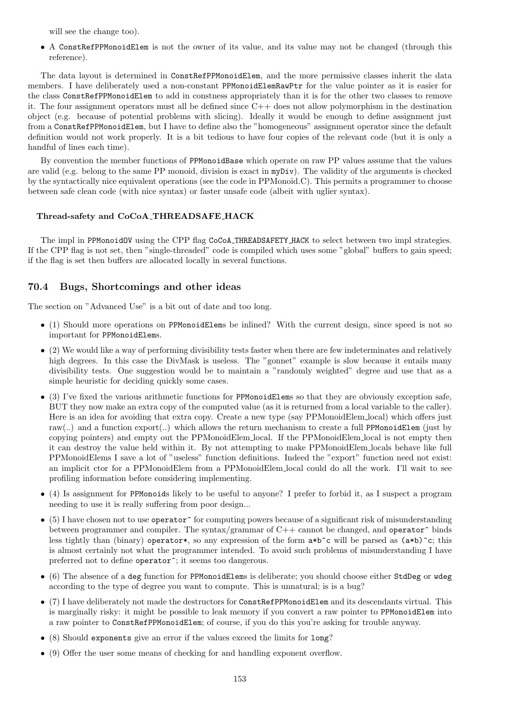will see the change too).

• A ConstRefPPMonoidElem is not the owner of its value, and its value may not be changed (through this reference).

The data layout is determined in ConstRefPPMonoidElem, and the more permissive classes inherit the data members. I have deliberately used a non-constant PPMonoidElemRawPtr for the value pointer as it is easier for the class ConstRefPPMonoidElem to add in constness appropriately than it is for the other two classes to remove it. The four assignment operators must all be defined since C++ does not allow polymorphism in the destination object (e.g. because of potential problems with slicing). Ideally it would be enough to define assignment just from a ConstRefPPMonoidElem, but I have to define also the "homogeneous" assignment operator since the default definition would not work properly. It is a bit tedious to have four copies of the relevant code (but it is only a handful of lines each time).

By convention the member functions of PPMonoidBase which operate on raw PP values assume that the values are valid (e.g. belong to the same PP monoid, division is exact in myDiv). The validity of the arguments is checked by the syntactically nice equivalent operations (see the code in PPMonoid.C). This permits a programmer to choose between safe clean code (with nice syntax) or faster unsafe code (albeit with uglier syntax).

### Thread-safety and CoCoA THREADSAFE HACK

The impl in PPMonoidOV using the CPP flag CoCoA THREADSAFETY HACK to select between two impl strategies. If the CPP flag is not set, then "single-threaded" code is compiled which uses some "global" buffers to gain speed; if the flag is set then buffers are allocated locally in several functions.

# 70.4 Bugs, Shortcomings and other ideas

The section on "Advanced Use" is a bit out of date and too long.

- (1) Should more operations on PPMonoidElems be inlined? With the current design, since speed is not so important for PPMonoidElems.
- (2) We would like a way of performing divisibility tests faster when there are few indeterminates and relatively high degrees. In this case the DivMask is useless. The "gonnet" example is slow because it entails many divisibility tests. One suggestion would be to maintain a "randomly weighted" degree and use that as a simple heuristic for deciding quickly some cases.
- (3) I've fixed the various arithmetic functions for PPMonoidElems so that they are obviously exception safe, BUT they now make an extra copy of the computed value (as it is returned from a local variable to the caller). Here is an idea for avoiding that extra copy. Create a new type (say PPMonoidElem local) which offers just raw(..) and a function export(..) which allows the return mechanism to create a full PPMonoidElem (just by copying pointers) and empty out the PPMonoidElem local. If the PPMonoidElem local is not empty then it can destroy the value held within it. By not attempting to make PPMonoidElem locals behave like full PPMonoidElems I save a lot of "useless" function definitions. Indeed the "export" function need not exist: an implicit ctor for a PPMonoidElem from a PPMonoidElem local could do all the work. I'll wait to see profiling information before considering implementing.
- (4) Is assignment for PPMonoids likely to be useful to anyone? I prefer to forbid it, as I suspect a program needing to use it is really suffering from poor design...
- $\bullet$  (5) I have chosen not to use operator<sup> $\circ$ </sup> for computing powers because of a significant risk of misunderstanding between programmer and compiler. The syntax/grammar of  $C++$  cannot be changed, and operator<sup> $\sim$ </sup> binds less tightly than (binary) operator\*, so any expression of the form  $a*b^c$  will be parsed as  $(a*b)^c$ ; this is almost certainly not what the programmer intended. To avoid such problems of misunderstanding I have preferred not to define operator<sup>\*</sup>; it seems too dangerous.
- (6) The absence of a deg function for PPMonoidElems is deliberate; you should choose either StdDeg or wdeg according to the type of degree you want to compute. This is unnatural; is is a bug?
- (7) I have deliberately not made the destructors for ConstRefPPMonoidElem and its descendants virtual. This is marginally risky: it might be possible to leak memory if you convert a raw pointer to PPMonoidElem into a raw pointer to ConstRefPPMonoidElem; of course, if you do this you're asking for trouble anyway.
- (8) Should exponents give an error if the values exceed the limits for long?
- (9) Offer the user some means of checking for and handling exponent overflow.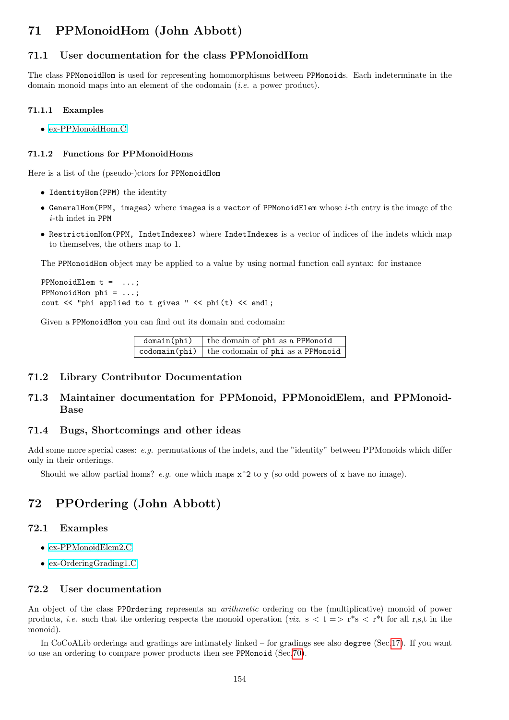# 71 PPMonoidHom (John Abbott)

# 71.1 User documentation for the class PPMonoidHom

The class PPMonoidHom is used for representing homomorphisms between PPMonoids. Each indeterminate in the domain monoid maps into an element of the codomain (i.e. a power product).

### 71.1.1 Examples

• [ex-PPMonoidHom.C](../../examples/index.html#ex-PPMonoidHom1.C)

## 71.1.2 Functions for PPMonoidHoms

Here is a list of the (pseudo-)ctors for PPMonoidHom

- IdentityHom(PPM) the identity
- GeneralHom(PPM, images) where images is a vector of PPMonoidElem whose i-th entry is the image of the  $i$ -th indet in PPM
- RestrictionHom(PPM, IndetIndexes) where IndetIndexes is a vector of indices of the indets which map to themselves, the others map to 1.

The PPMonoidHom object may be applied to a value by using normal function call syntax: for instance

```
PPMonoidElem t = ...;
PPMonoidHom phi = ...;
cout << "phi applied to t gives " << phi(t) << endl;
```
Given a PPMonoidHom you can find out its domain and codomain:

 $domain(\phi h i)$  the domain of phi as a PPMonoid  $codomain(\phi h i)$  the codomain of  $phi$  as a PPMonoid

### 71.2 Library Contributor Documentation

# 71.3 Maintainer documentation for PPMonoid, PPMonoidElem, and PPMonoid-Base

### 71.4 Bugs, Shortcomings and other ideas

Add some more special cases: e.g. permutations of the indets, and the "identity" between PPMonoids which differ only in their orderings.

Should we allow partial homs? e.g. one which maps  $x^2$  to y (so odd powers of x have no image).

# <span id="page-153-0"></span>72 PPOrdering (John Abbott)

# 72.1 Examples

- [ex-PPMonoidElem2.C](../../examples/index.html#ex-PPMonoidElem2.C)
- [ex-OrderingGrading1.C](../../examples/index.html#ex-OrderingGrading1.C)

### 72.2 User documentation

An object of the class PPOrdering represents an *arithmetic* ordering on the (multiplicative) monoid of power products, *i.e.* such that the ordering respects the monoid operation (*viz.*  $s < t \Rightarrow r^*s < r^*t$  for all r,s,t in the monoid).

In CoCoALib orderings and gradings are intimately linked – for gradings see also degree (Sec[.17\)](#page-52-0). If you want to use an ordering to compare power products then see PPMonoid (Sec[.70\)](#page-145-0).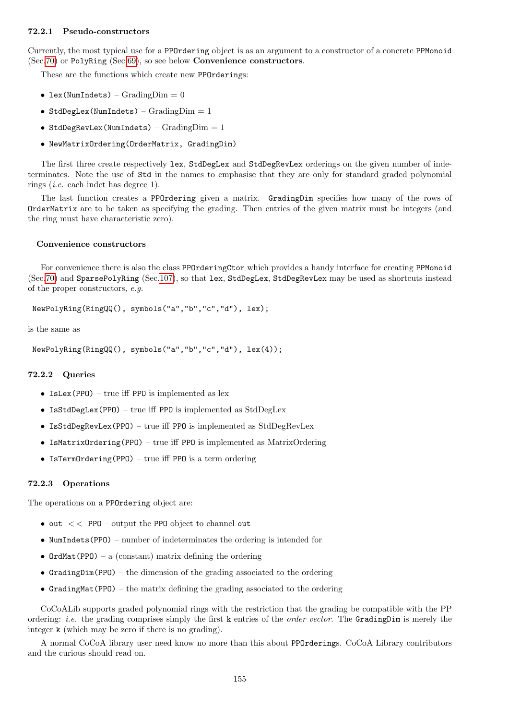## 72.2.1 Pseudo-constructors

Currently, the most typical use for a PPOrdering object is as an argument to a constructor of a concrete PPMonoid (Sec[.70\)](#page-145-0) or PolyRing (Sec[.69\)](#page-144-0), so see below Convenience constructors.

These are the functions which create new PPOrderings:

- lex(NumIndets)  $GradingDim = 0$
- StdDegLex(NumIndets)  $Gradient$   $Dim = 1$
- StdDegRevLex(NumIndets)  $Gradient$  $Dim = 1$
- NewMatrixOrdering(OrderMatrix, GradingDim)

The first three create respectively lex, StdDegLex and StdDegRevLex orderings on the given number of indeterminates. Note the use of Std in the names to emphasise that they are only for standard graded polynomial rings (i.e. each indet has degree 1).

The last function creates a PPOrdering given a matrix. GradingDim specifies how many of the rows of OrderMatrix are to be taken as specifying the grading. Then entries of the given matrix must be integers (and the ring must have characteristic zero).

#### Convenience constructors

For convenience there is also the class PPOrderingCtor which provides a handy interface for creating PPMonoid (Sec[.70\)](#page-145-0) and SparsePolyRing (Sec[.107\)](#page-214-0), so that lex, StdDegLex, StdDegRevLex may be used as shortcuts instead of the proper constructors, e.g.

NewPolyRing(RingQQ(), symbols("a","b","c","d"), lex);

is the same as

```
NewPolyRing(RingQQ(), symbols("a","b","c","d"), lex(4));
```
### 72.2.2 Queries

- IsLex(PPO) true iff PPO is implemented as lex
- IsStdDegLex(PPO) true iff PPO is implemented as StdDegLex
- IsStdDegRevLex(PPO) true iff PPO is implemented as StdDegRevLex
- IsMatrixOrdering(PPO) true iff PPO is implemented as MatrixOrdering
- IsTermOrdering(PPO) true iff PPO is a term ordering

### 72.2.3 Operations

The operations on a PPOrdering object are:

- out  $<<$  PPO output the PPO object to channel out
- NumIndets(PPO) number of indeterminates the ordering is intended for
- OrdMat(PPO) a (constant) matrix defining the ordering
- GradingDim(PPO) the dimension of the grading associated to the ordering
- GradingMat(PPO) the matrix defining the grading associated to the ordering

CoCoALib supports graded polynomial rings with the restriction that the grading be compatible with the PP ordering: *i.e.* the grading comprises simply the first k entries of the *order vector*. The GradingDim is merely the integer k (which may be zero if there is no grading).

A normal CoCoA library user need know no more than this about PPOrderings. CoCoA Library contributors and the curious should read on.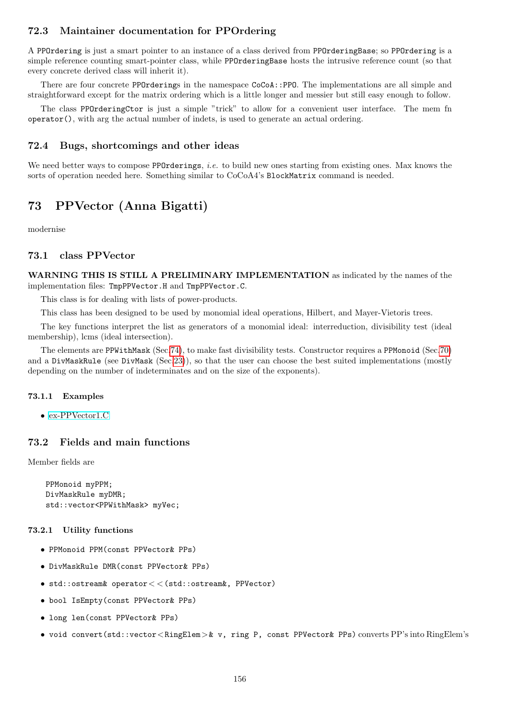# 72.3 Maintainer documentation for PPOrdering

A PPOrdering is just a smart pointer to an instance of a class derived from PPOrderingBase; so PPOrdering is a simple reference counting smart-pointer class, while PPOrderingBase hosts the intrusive reference count (so that every concrete derived class will inherit it).

There are four concrete PPOrderings in the namespace CoCoA::PPO. The implementations are all simple and straightforward except for the matrix ordering which is a little longer and messier but still easy enough to follow.

The class PPOrderingCtor is just a simple "trick" to allow for a convenient user interface. The mem fn operator(), with arg the actual number of indets, is used to generate an actual ordering.

## 72.4 Bugs, shortcomings and other ideas

We need better ways to compose **PPOrderings**, *i.e.* to build new ones starting from existing ones. Max knows the sorts of operation needed here. Something similar to  $CoCoA4$ 's BlockMatrix command is needed.

# 73 PPVector (Anna Bigatti)

modernise

## 73.1 class PPVector

WARNING THIS IS STILL A PRELIMINARY IMPLEMENTATION as indicated by the names of the implementation files: TmpPPVector.H and TmpPPVector.C.

This class is for dealing with lists of power-products.

This class has been designed to be used by monomial ideal operations, Hilbert, and Mayer-Vietoris trees.

The key functions interpret the list as generators of a monomial ideal: interreduction, divisibility test (ideal membership), lcms (ideal intersection).

The elements are PPWithMask (Sec[.74\)](#page-156-0), to make fast divisibility tests. Constructor requires a PPMonoid (Sec[.70\)](#page-145-0) and a DivMaskRule (see DivMask (Sec[.23\)](#page-56-0)), so that the user can choose the best suited implementations (mostly depending on the number of indeterminates and on the size of the exponents).

### 73.1.1 Examples

• [ex-PPVector1.C](../../examples/index.html#ex-PPVector1.C)

# 73.2 Fields and main functions

Member fields are

```
PPMonoid myPPM;
DivMaskRule myDMR;
std::vector<PPWithMask> myVec;
```
### 73.2.1 Utility functions

- PPMonoid PPM(const PPVector& PPs)
- DivMaskRule DMR(const PPVector& PPs)
- std::ostream& operator< <(std::ostream&, PPVector)
- bool IsEmpty(const PPVector& PPs)
- long len(const PPVector& PPs)
- void convert(std::vector<RingElem>& v, ring P, const PPVector& PPs) converts PP's into RingElem's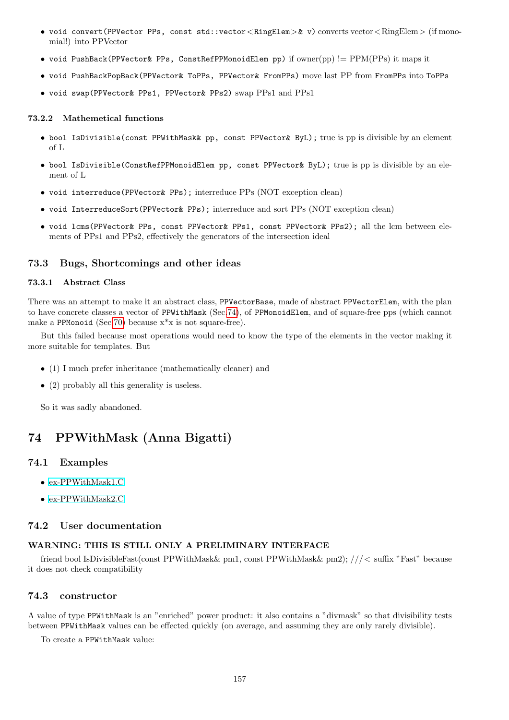- void convert(PPVector PPs, const std::vector<RingElem>& v) converts vector<RingElem> (if monomial!) into PPVector
- void PushBack(PPVector& PPs, ConstRefPPMonoidElem pp) if owner(pp) != PPM(PPs) it maps it
- void PushBackPopBack(PPVector& ToPPs, PPVector& FromPPs) move last PP from FromPPs into ToPPs
- void swap(PPVector& PPs1, PPVector& PPs2) swap PPs1 and PPs1

### 73.2.2 Mathemetical functions

- bool IsDivisible(const PPWithMask& pp, const PPVector& ByL); true is pp is divisible by an element of L
- bool IsDivisible(ConstRefPPMonoidElem pp, const PPVector& ByL); true is pp is divisible by an element of L
- void interreduce(PPVector& PPs); interreduce PPs (NOT exception clean)
- void InterreduceSort(PPVector& PPs); interreduce and sort PPs (NOT exception clean)
- void lcms(PPVector& PPs, const PPVector& PPs1, const PPVector& PPs2); all the lcm between elements of PPs1 and PPs2, effectively the generators of the intersection ideal

# 73.3 Bugs, Shortcomings and other ideas

### 73.3.1 Abstract Class

There was an attempt to make it an abstract class, PPVectorBase, made of abstract PPVectorElem, with the plan to have concrete classes a vector of PPWithMask (Sec[.74\)](#page-156-0), of PPMonoidElem, and of square-free pps (which cannot make a PPMonoid (Sec[.70\)](#page-145-0) because  $x^*x$  is not square-free).

But this failed because most operations would need to know the type of the elements in the vector making it more suitable for templates. But

- (1) I much prefer inheritance (mathematically cleaner) and
- (2) probably all this generality is useless.

So it was sadly abandoned.

# <span id="page-156-0"></span>74 PPWithMask (Anna Bigatti)

## 74.1 Examples

- [ex-PPWithMask1.C](../../examples/index.html#ex-PPWithMask1.C)
- [ex-PPWithMask2.C](../../examples/index.html#ex-PPWithMask2.C)

## 74.2 User documentation

## WARNING: THIS IS STILL ONLY A PRELIMINARY INTERFACE

friend bool IsDivisibleFast(const PPWithMask& pm1, const PPWithMask& pm2); ///< suffix "Fast" because it does not check compatibility

# 74.3 constructor

A value of type PPWithMask is an "enriched" power product: it also contains a "divmask" so that divisibility tests between PPWithMask values can be effected quickly (on average, and assuming they are only rarely divisible).

To create a PPWithMask value: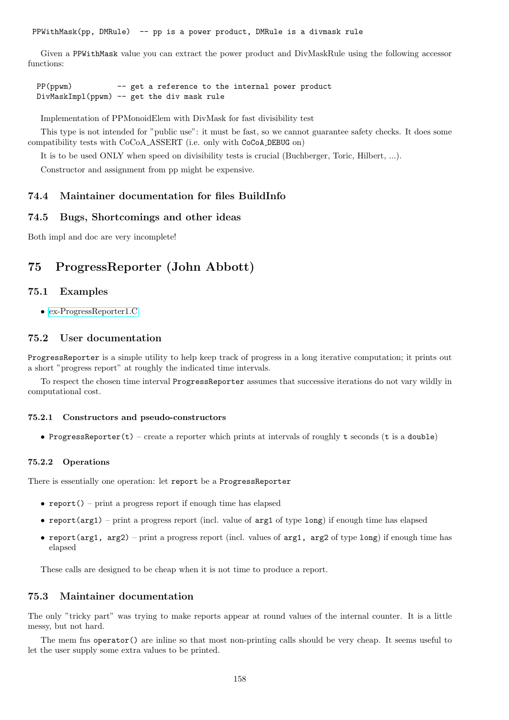PPWithMask(pp, DMRule) -- pp is a power product, DMRule is a divmask rule

Given a PPWithMask value you can extract the power product and DivMaskRule using the following accessor functions:

PP(ppwm) -- get a reference to the internal power product DivMaskImpl(ppwm) -- get the div mask rule

Implementation of PPMonoidElem with DivMask for fast divisibility test

This type is not intended for "public use": it must be fast, so we cannot guarantee safety checks. It does some compatibility tests with CoCoA ASSERT (i.e. only with CoCoA DEBUG on)

It is to be used ONLY when speed on divisibility tests is crucial (Buchberger, Toric, Hilbert, ...).

Constructor and assignment from pp might be expensive.

## 74.4 Maintainer documentation for files BuildInfo

### 74.5 Bugs, Shortcomings and other ideas

Both impl and doc are very incomplete!

# 75 ProgressReporter (John Abbott)

## 75.1 Examples

• [ex-ProgressReporter1.C](../../examples/index.html#ex-ProgressReporter1.C)

# 75.2 User documentation

ProgressReporter is a simple utility to help keep track of progress in a long iterative computation; it prints out a short "progress report" at roughly the indicated time intervals.

To respect the chosen time interval ProgressReporter assumes that successive iterations do not vary wildly in computational cost.

### 75.2.1 Constructors and pseudo-constructors

• ProgressReporter(t) – create a reporter which prints at intervals of roughly t seconds (t is a double)

### 75.2.2 Operations

There is essentially one operation: let report be a ProgressReporter

- report() print a progress report if enough time has elapsed
- report(arg1) print a progress report (incl. value of arg1 of type long) if enough time has elapsed
- report(arg1,  $arg2$ ) print a progress report (incl. values of  $arg1$ ,  $arg2$  of type long) if enough time has elapsed

These calls are designed to be cheap when it is not time to produce a report.

## 75.3 Maintainer documentation

The only "tricky part" was trying to make reports appear at round values of the internal counter. It is a little messy, but not hard.

The mem fns operator() are inline so that most non-printing calls should be very cheap. It seems useful to let the user supply some extra values to be printed.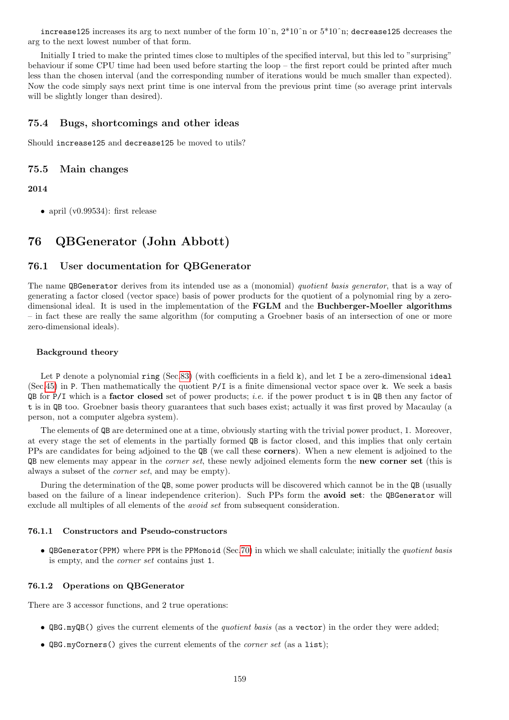increase125 increases its arg to next number of the form  $10^{\degree}$ n,  $2*10^{\degree}$ n or  $5*10^{\degree}$ n; decrease125 decreases the arg to the next lowest number of that form.

Initially I tried to make the printed times close to multiples of the specified interval, but this led to "surprising" behaviour if some CPU time had been used before starting the loop – the first report could be printed after much less than the chosen interval (and the corresponding number of iterations would be much smaller than expected). Now the code simply says next print time is one interval from the previous print time (so average print intervals will be slightly longer than desired).

## 75.4 Bugs, shortcomings and other ideas

Should increase125 and decrease125 be moved to utils?

### 75.5 Main changes

### 2014

• april (v0.99534): first release

# 76 QBGenerator (John Abbott)

### 76.1 User documentation for QBGenerator

The name QBGenerator derives from its intended use as a (monomial) quotient basis generator, that is a way of generating a factor closed (vector space) basis of power products for the quotient of a polynomial ring by a zerodimensional ideal. It is used in the implementation of the FGLM and the Buchberger-Moeller algorithms – in fact these are really the same algorithm (for computing a Groebner basis of an intersection of one or more zero-dimensional ideals).

### Background theory

Let P denote a polynomial ring (Sec[.83\)](#page-169-0) (with coefficients in a field k), and let I be a zero-dimensional ideal (Sec[.45\)](#page-89-0) in P. Then mathematically the quotient P/I is a finite dimensional vector space over k. We seek a basis QB for  $P/I$  which is a factor closed set of power products; *i.e.* if the power product t is in QB then any factor of t is in QB too. Groebner basis theory guarantees that such bases exist; actually it was first proved by Macaulay (a person, not a computer algebra system).

The elements of QB are determined one at a time, obviously starting with the trivial power product, 1. Moreover, at every stage the set of elements in the partially formed QB is factor closed, and this implies that only certain PPs are candidates for being adjoined to the QB (we call these corners). When a new element is adjoined to the QB new elements may appear in the corner set, these newly adjoined elements form the new corner set (this is always a subset of the corner set, and may be empty).

During the determination of the QB, some power products will be discovered which cannot be in the QB (usually based on the failure of a linear independence criterion). Such PPs form the avoid set: the QBGenerator will exclude all multiples of all elements of the *avoid set* from subsequent consideration.

#### 76.1.1 Constructors and Pseudo-constructors

• QBGenerator(PPM) where PPM is the PPMonoid (Sec[.70\)](#page-145-0) in which we shall calculate; initially the quotient basis is empty, and the corner set contains just 1.

### 76.1.2 Operations on QBGenerator

There are 3 accessor functions, and 2 true operations:

- QBG.myQB() gives the current elements of the *quotient basis* (as a vector) in the order they were added;
- $QBG.myCorners()$  gives the current elements of the *corner set* (as a list);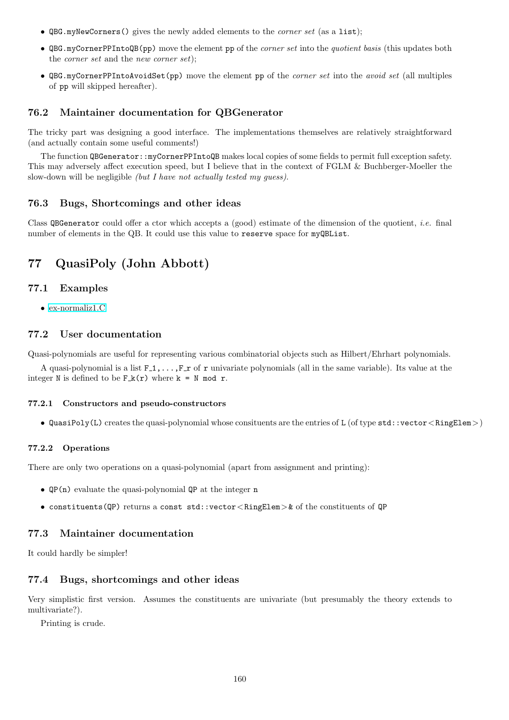- QBG.myNewCorners() gives the newly added elements to the *corner set* (as a list);
- QBG.myCornerPPIntoQB(pp) move the element pp of the *corner set* into the *quotient basis* (this updates both the *corner set* and the *new corner set*);
- QBG.myCornerPPIntoAvoidSet(pp) move the element pp of the *corner set* into the *avoid set* (all multiples of pp will skipped hereafter).

## 76.2 Maintainer documentation for QBGenerator

The tricky part was designing a good interface. The implementations themselves are relatively straightforward (and actually contain some useful comments!)

The function QBGenerator::myCornerPPIntoQB makes local copies of some fields to permit full exception safety. This may adversely affect execution speed, but I believe that in the context of FGLM & Buchberger-Moeller the slow-down will be negligible *(but I have not actually tested my guess)*.

## 76.3 Bugs, Shortcomings and other ideas

Class QBGenerator could offer a ctor which accepts a (good) estimate of the dimension of the quotient, *i.e.* final number of elements in the QB. It could use this value to reserve space for myQBList.

# 77 QuasiPoly (John Abbott)

# 77.1 Examples

• [ex-normaliz1.C](../../examples/index.html#ex-normaliz1.C)

# 77.2 User documentation

Quasi-polynomials are useful for representing various combinatorial objects such as Hilbert/Ehrhart polynomials.

A quasi-polynomial is a list  $F_1, \ldots, F_r$  of r univariate polynomials (all in the same variable). Its value at the integer N is defined to be  $F_k(r)$  where  $k = N \mod r$ .

### 77.2.1 Constructors and pseudo-constructors

• QuasiPoly(L) creates the quasi-polynomial whose consituents are the entries of L (of type  $\texttt{std}$ : vector < RingElem >)

#### 77.2.2 Operations

There are only two operations on a quasi-polynomial (apart from assignment and printing):

- QP(n) evaluate the quasi-polynomial QP at the integer n
- constituents(QP) returns a const std::vector<RingElem>& of the constituents of QP

# 77.3 Maintainer documentation

It could hardly be simpler!

## 77.4 Bugs, shortcomings and other ideas

Very simplistic first version. Assumes the constituents are univariate (but presumably the theory extends to multivariate?).

Printing is crude.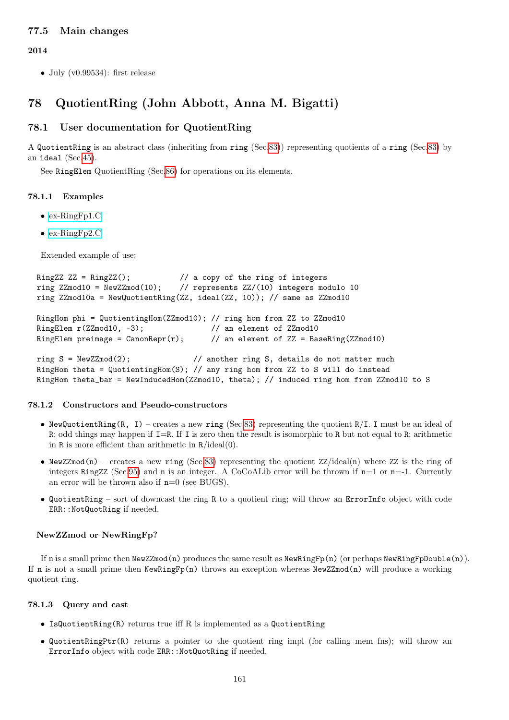# 77.5 Main changes

2014

• July  $(v0.99534)$ : first release

# <span id="page-160-0"></span>78 QuotientRing (John Abbott, Anna M. Bigatti)

# 78.1 User documentation for QuotientRing

A QuotientRing is an abstract class (inheriting from ring (Sec[.83\)](#page-169-0)) representing quotients of a ring (Sec[.83\)](#page-169-0) by an ideal (Sec[.45\)](#page-89-0).

See RingElem QuotientRing (Sec[.86\)](#page-174-0) for operations on its elements.

### 78.1.1 Examples

- [ex-RingFp1.C](../../examples/index.html#ex-RingFp1.C)
- [ex-RingFp2.C](../../examples/index.html#ex-RingFp2.C)

Extended example of use:

```
RingZZ ZZ = RingZZ(); \frac{1}{2} a copy of the ring of integers
ring ZZmod10 = NewZZmod(10); // represents ZZ/(10) integers modulo 10
ring ZZmod10a = NewQuotientRing(ZZ, ideal(ZZ, 10)); // same as ZZmod10
RingHom phi = QuotientingHom(ZZmod10); // ring hom from ZZ to ZZmod10
RingElem r(ZZmod10, -3); \frac{1}{10} an element of ZZmod10
RingElem preimage = CanonRepr(r); \frac{1}{2} an element of ZZ = BaseRing(ZZmod10)
ring S = NewZmod(2); // another ring S, details do not matter much
RingHom theta = QuotientingHom(S); // any ring hom from ZZ to S will do instead
RingHom theta_bar = NewInducedHom(ZZmod10, theta); // induced ring hom from ZZmod10 to S
```
### 78.1.2 Constructors and Pseudo-constructors

- NewQuotientRing(R, I) creates a new ring (Sec[.83\)](#page-169-0) representing the quotient  $R/I$ . I must be an ideal of R; odd things may happen if  $I=R$ . If I is zero then the result is isomorphic to R but not equal to R; arithmetic in  $R$  is more efficient than arithmetic in  $R/ideal(0)$ .
- NewZZmod(n) creates a new ring (Sec[.83\)](#page-169-0) representing the quotient  $ZZ/ideal(n)$  where ZZ is the ring of integers RingZZ (Sec[.95\)](#page-200-0) and n is an integer. A CoCoALib error will be thrown if  $n=1$  or  $n=-1$ . Currently an error will be thrown also if  $n=0$  (see BUGS).
- QuotientRing sort of downcast the ring R to a quotient ring; will throw an ErrorInfo object with code ERR::NotQuotRing if needed.

### NewZZmod or NewRingFp?

If n is a small prime then  ${\tt NewZZmod}(n)$  produces the same result as  ${\tt NewRingFp}(n)$  (or perhaps  ${\tt NewRingFpDouble}(n)$ ). If n is not a small prime then  $NewRingFp(n)$  throws an exception whereas  $NewZZmod(n)$  will produce a working quotient ring.

### 78.1.3 Query and cast

- IsQuotientRing $(R)$  returns true iff R is implemented as a QuotientRing
- QuotientRingPtr(R) returns a pointer to the quotient ring impl (for calling mem fns); will throw an ErrorInfo object with code ERR::NotQuotRing if needed.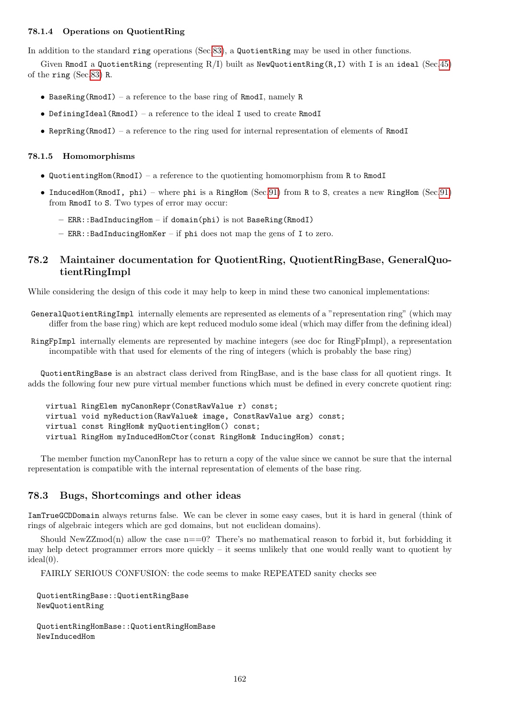## 78.1.4 Operations on QuotientRing

In addition to the standard ring operations (Sec[.83\)](#page-169-0), a QuotientRing may be used in other functions.

Given RmodI a QuotientRing (representing  $R/I$ ) built as NewQuotientRing(R,I) with I is an ideal (Sec[.45\)](#page-89-0) of the ring (Sec[.83\)](#page-169-0) R.

- BaseRing(RmodI) a reference to the base ring of RmodI, namely R
- DefiningIdeal(RmodI) a reference to the ideal I used to create RmodI
- ReprRing(RmodI) a reference to the ring used for internal representation of elements of RmodI

### 78.1.5 Homomorphisms

- QuotientingHom(RmodI) a reference to the quotienting homomorphism from R to RmodI
- InducedHom(RmodI, phi) where phi is a RingHom (Sec[.91\)](#page-191-0) from R to S, creates a new RingHom (Sec[.91\)](#page-191-0) from RmodI to S. Two types of error may occur:
	- ERR::BadInducingHom if domain(phi) is not BaseRing(RmodI)
	- ERR::BadInducingHomKer if phi does not map the gens of I to zero.

# 78.2 Maintainer documentation for QuotientRing, QuotientRingBase, GeneralQuotientRingImpl

While considering the design of this code it may help to keep in mind these two canonical implementations:

GeneralQuotientRingImpl internally elements are represented as elements of a "representation ring" (which may differ from the base ring) which are kept reduced modulo some ideal (which may differ from the defining ideal)

RingFpImpl internally elements are represented by machine integers (see doc for RingFpImpl), a representation incompatible with that used for elements of the ring of integers (which is probably the base ring)

QuotientRingBase is an abstract class derived from RingBase, and is the base class for all quotient rings. It adds the following four new pure virtual member functions which must be defined in every concrete quotient ring:

```
virtual RingElem myCanonRepr(ConstRawValue r) const;
virtual void myReduction(RawValue& image, ConstRawValue arg) const;
virtual const RingHom& myQuotientingHom() const;
virtual RingHom myInducedHomCtor(const RingHom& InducingHom) const;
```
The member function myCanonRepr has to return a copy of the value since we cannot be sure that the internal representation is compatible with the internal representation of elements of the base ring.

## 78.3 Bugs, Shortcomings and other ideas

IamTrueGCDDomain always returns false. We can be clever in some easy cases, but it is hard in general (think of rings of algebraic integers which are gcd domains, but not euclidean domains).

Should NewZZmod(n) allow the case  $n == 0$ ? There's no mathematical reason to forbid it, but forbidding it may help detect programmer errors more quickly – it seems unlikely that one would really want to quotient by  $ideal(0)$ .

FAIRLY SERIOUS CONFUSION: the code seems to make REPEATED sanity checks see

QuotientRingBase::QuotientRingBase NewQuotientRing

QuotientRingHomBase::QuotientRingHomBase NewInducedHom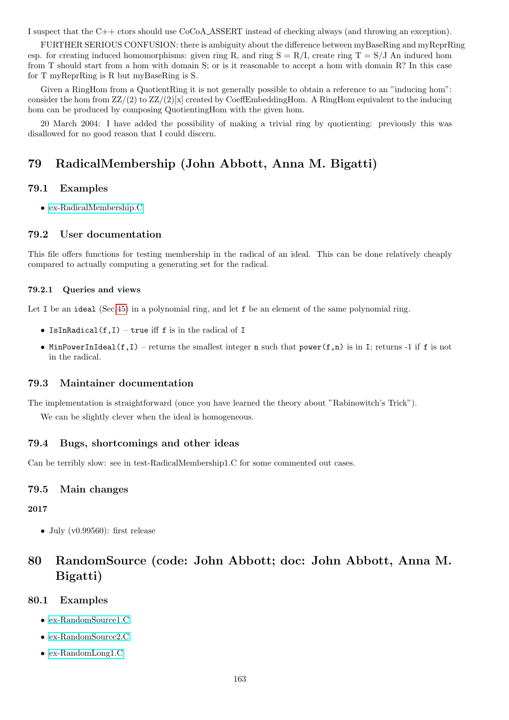I suspect that the C++ ctors should use CoCoA ASSERT instead of checking always (and throwing an exception).

FURTHER SERIOUS CONFUSION: there is ambiguity about the difference between myBaseRing and myReprRing esp. for creating induced homomorphisms: given ring R, and ring  $S = R/I$ , create ring  $T = S/J$  An induced hom from T should start from a hom with domain S; or is it reasonable to accept a hom with domain R? In this case for T myReprRing is R but myBaseRing is S.

Given a RingHom from a QuotientRing it is not generally possible to obtain a reference to an "inducing hom": consider the hom from  $\mathbb{Z}Z/(2)$  to  $\mathbb{Z}Z/(2)[x]$  created by CoeffEmbeddingHom. A RingHom equivalent to the inducing hom can be produced by composing QuotientingHom with the given hom.

20 March 2004: I have added the possibility of making a trivial ring by quotienting: previously this was disallowed for no good reason that I could discern.

# 79 RadicalMembership (John Abbott, Anna M. Bigatti)

## 79.1 Examples

• [ex-RadicalMembership.C](../../examples/index.html#ex-RadicalMembership.C)

### 79.2 User documentation

This file offers functions for testing membership in the radical of an ideal. This can be done relatively cheaply compared to actually computing a generating set for the radical.

#### 79.2.1 Queries and views

Let I be an ideal (Sec[.45\)](#page-89-0) in a polynomial ring, and let f be an element of the same polynomial ring.

- IsInRadical $(f,I)$  true iff f is in the radical of I
- MinPowerInIdeal(f,I) returns the smallest integer n such that  $power(f, n)$  is in I; returns -1 if f is not in the radical.

### 79.3 Maintainer documentation

The implementation is straightforward (once you have learned the theory about "Rabinowitch's Trick").

We can be slightly clever when the ideal is homogeneous.

## 79.4 Bugs, shortcomings and other ideas

Can be terribly slow: see in test-RadicalMembership1.C for some commented out cases.

### 79.5 Main changes

2017

• July ( $v(0.99560)$ : first release

# <span id="page-162-0"></span>80 RandomSource (code: John Abbott; doc: John Abbott, Anna M. Bigatti)

# 80.1 Examples

- [ex-RandomSource1.C](../../examples/index.html#ex-RandomSource1.C)
- [ex-RandomSource2.C](../../examples/index.html#ex-RandomSource2.C)
- [ex-RandomLong1.C](../../examples/index.html#ex-RandomLong1.C)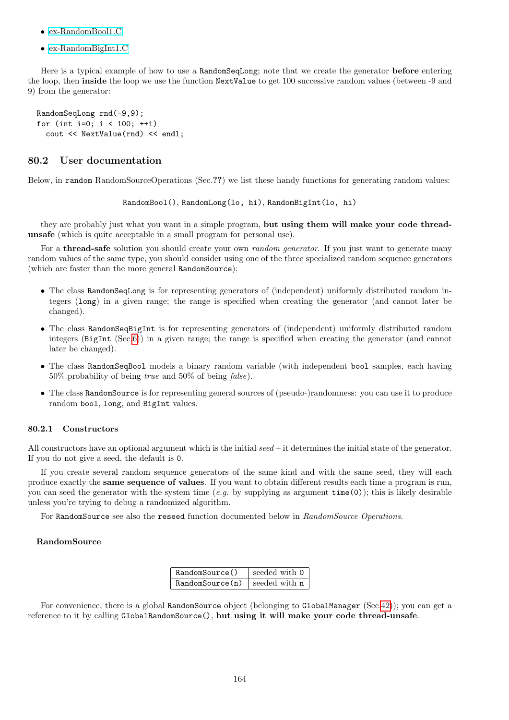- [ex-RandomBool1.C](../../examples/index.html#ex-RandomBool1.C)
- [ex-RandomBigInt1.C](../../examples/index.html#ex-RandomBigInt1.C)

Here is a typical example of how to use a RandomSeqLong; note that we create the generator before entering the loop, then inside the loop we use the function NextValue to get 100 successive random values (between -9 and 9) from the generator:

RandomSeqLong rnd(-9,9); for (int i=0; i < 100; ++i) cout << NextValue(rnd) << endl;

## 80.2 User documentation

Below, in random RandomSourceOperations (Sec.??) we list these handy functions for generating random values:

RandomBool(), RandomLong(lo, hi), RandomBigInt(lo, hi)

they are probably just what you want in a simple program, but using them will make your code threadunsafe (which is quite acceptable in a small program for personal use).

For a **thread-safe** solution you should create your own *random generator*. If you just want to generate many random values of the same type, you should consider using one of the three specialized random sequence generators (which are faster than the more general RandomSource):

- The class RandomSeqLong is for representing generators of (independent) uniformly distributed random integers (long) in a given range; the range is specified when creating the generator (and cannot later be changed).
- The class RandomSeqBigInt is for representing generators of (independent) uniformly distributed random integers (BigInt (Sec[.6\)](#page-34-0)) in a given range; the range is specified when creating the generator (and cannot later be changed).
- The class RandomSeqBool models a binary random variable (with independent bool samples, each having 50% probability of being true and 50% of being false).
- The class RandomSource is for representing general sources of (pseudo-)randomness: you can use it to produce random bool, long, and BigInt values.

## 80.2.1 Constructors

All constructors have an optional argument which is the initial seed – it determines the initial state of the generator. If you do not give a seed, the default is 0.

If you create several random sequence generators of the same kind and with the same seed, they will each produce exactly the same sequence of values. If you want to obtain different results each time a program is run, you can seed the generator with the system time (e.g. by supplying as argument  $time(0)$ ); this is likely desirable unless you're trying to debug a randomized algorithm.

For RandomSource see also the reseed function documented below in RandomSource Operations.

## RandomSource

| RandomSource()  | seeded with 0 |
|-----------------|---------------|
| RandomSource(n) | seeded with n |

For convenience, there is a global RandomSource object (belonging to GlobalManager (Sec[.42\)](#page-85-0)); you can get a reference to it by calling GlobalRandomSource(), but using it will make your code thread-unsafe.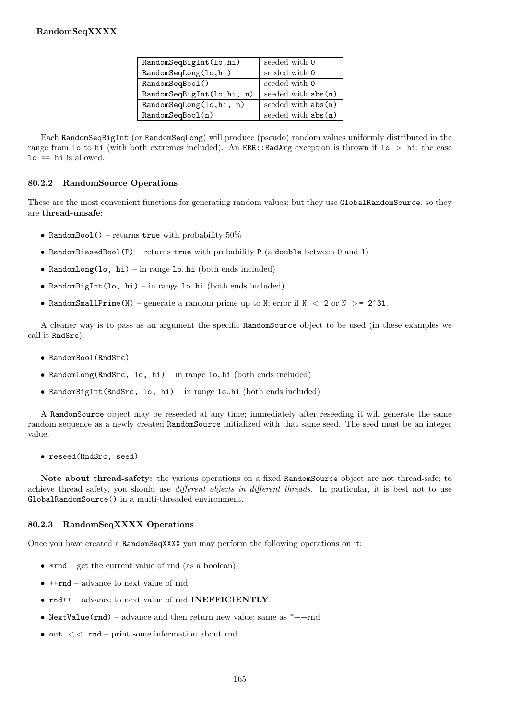| RandomSeqBigInt(lo,hi)    | seeded with 0        |
|---------------------------|----------------------|
| RandomSeqLong(lo,hi)      | seeded with 0        |
| RandomSeqBool()           | seeded with 0        |
| RandomSeqBigInt(lo,hi, n) | seeded with abs (n)  |
| RandomSeqLong(lo,hi, n)   | seeded with $abs(n)$ |
| RandomSeqBool(n)          | seeded with abs (n)  |

Each RandomSeqBigInt (or RandomSeqLong) will produce (pseudo) random values uniformly distributed in the range from 10 to hi (with both extremes included). An ERR: :BadArg exception is thrown if  $10 > \text{hi}$ ; the case lo == hi is allowed.

# 80.2.2 RandomSource Operations

These are the most convenient functions for generating random values; but they use GlobalRandomSource, so they are thread-unsafe:

- RandomBool() returns true with probability  $50\%$
- RandomBiasedBool(P) returns true with probability P (a double between 0 and 1)
- RandomLong(lo, hi) in range lo..hi (both ends included)
- RandomBigInt(lo, hi) in range lo..hi (both ends included)
- RandomSmallPrime(N) generate a random prime up to N; error if  $N < 2$  or  $N > = 2^31$ .

A cleaner way is to pass as an argument the specific RandomSource object to be used (in these examples we call it RndSrc):

- RandomBool(RndSrc)
- RandomLong(RndSrc, lo, hi) in range lo..hi (both ends included)
- RandomBigInt(RndSrc, lo, hi) in range lo..hi (both ends included)

A RandomSource object may be reseeded at any time; immediately after reseeding it will generate the same random sequence as a newly created RandomSource initialized with that same seed. The seed must be an integer value.

• reseed(RndSrc, seed)

Note about thread-safety: the various operations on a fixed RandomSource object are not thread-safe; to achieve thread safety, you should use different objects in different threads. In particular, it is best not to use GlobalRandomSource() in a multi-threaded environment.

## 80.2.3 RandomSeqXXXX Operations

Once you have created a RandomSeqXXXX you may perform the following operations on it:

- $***rnd** get the current value of **rnd** (as a boolean).$
- ++rnd advance to next value of rnd.
- rnd++ advance to next value of rnd **INEFFICIENTLY**.
- NextValue(rnd) advance and then return new value; same as  $*++rnd$
- out  $<<$  rnd print some information about rnd.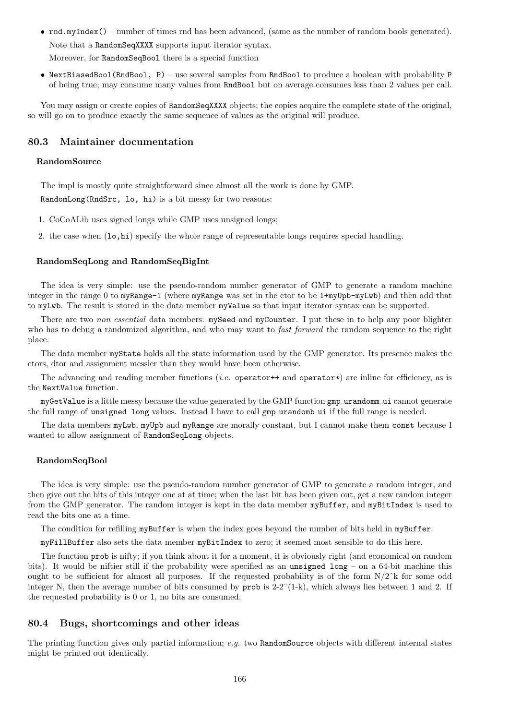- rnd.myIndex() number of times rnd has been advanced, (same as the number of random bools generated). Note that a RandomSeqXXXX supports input iterator syntax. Moreover, for RandomSeqBool there is a special function
- NextBiasedBool(RndBool, P) use several samples from RndBool to produce a boolean with probability P of being true; may consume many values from RndBool but on average consumes less than 2 values per call.

You may assign or create copies of RandomSeqXXXX objects; the copies acquire the complete state of the original, so will go on to produce exactly the same sequence of values as the original will produce.

# 80.3 Maintainer documentation

### RandomSource

The impl is mostly quite straightforward since almost all the work is done by GMP. RandomLong(RndSrc, lo, hi) is a bit messy for two reasons:

- 1. CoCoALib uses signed longs while GMP uses unsigned longs;
- 2. the case when  $(1\circ,hi)$  specify the whole range of representable longs requires special handling.

### RandomSeqLong and RandomSeqBigInt

The idea is very simple: use the pseudo-random number generator of GMP to generate a random machine integer in the range 0 to myRange-1 (where myRange was set in the ctor to be 1+myUpb-myLwb) and then add that to myLwb. The result is stored in the data member myValue so that input iterator syntax can be supported.

There are two non essential data members: mySeed and myCounter. I put these in to help any poor blighter who has to debug a randomized algorithm, and who may want to *fast forward* the random sequence to the right place.

The data member myState holds all the state information used by the GMP generator. Its presence makes the ctors, dtor and assignment messier than they would have been otherwise.

The advancing and reading member functions (*i.e.* operator++ and operator\*) are inline for efficiency, as is the NextValue function.

myGetValue is a little messy because the value generated by the GMP function gmp urandomm ui cannot generate the full range of unsigned long values. Instead I have to call gmp\_urandomb\_ui if the full range is needed.

The data members myLwb, myUpb and myRange are morally constant, but I cannot make them const because I wanted to allow assignment of RandomSeqLong objects.

### RandomSeqBool

The idea is very simple: use the pseudo-random number generator of GMP to generate a random integer, and then give out the bits of this integer one at at time; when the last bit has been given out, get a new random integer from the GMP generator. The random integer is kept in the data member myBuffer, and myBitIndex is used to read the bits one at a time.

The condition for refilling myBuffer is when the index goes beyond the number of bits held in myBuffer.

myFillBuffer also sets the data member myBitIndex to zero; it seemed most sensible to do this here.

The function prob is nifty; if you think about it for a moment, it is obviously right (and economical on random bits). It would be niftier still if the probability were specified as an unsigned long – on a 64-bit machine this ought to be sufficient for almost all purposes. If the requested probability is of the form  $N/2^k$  for some odd integer N, then the average number of bits consumed by prob is  $2-2^(1-k)$ , which always lies between 1 and 2. If the requested probability is 0 or 1, no bits are consumed.

## 80.4 Bugs, shortcomings and other ideas

The printing function gives only partial information;  $e.g.$  two RandomSource objects with different internal states might be printed out identically.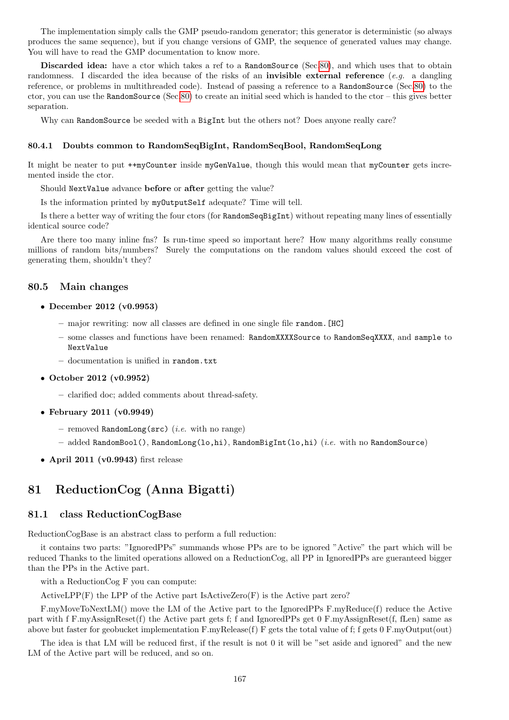The implementation simply calls the GMP pseudo-random generator; this generator is deterministic (so always produces the same sequence), but if you change versions of GMP, the sequence of generated values may change. You will have to read the GMP documentation to know more.

Discarded idea: have a ctor which takes a ref to a RandomSource (Sec[.80\)](#page-162-0), and which uses that to obtain randomness. I discarded the idea because of the risks of an **invisible external reference** (*e.g.* a dangling reference, or problems in multithreaded code). Instead of passing a reference to a RandomSource (Sec[.80\)](#page-162-0) to the ctor, you can use the RandomSource (Sec[.80\)](#page-162-0) to create an initial seed which is handed to the ctor – this gives better separation.

Why can RandomSource be seeded with a BigInt but the others not? Does anyone really care?

### 80.4.1 Doubts common to RandomSeqBigInt, RandomSeqBool, RandomSeqLong

It might be neater to put ++myCounter inside myGenValue, though this would mean that myCounter gets incremented inside the ctor.

Should NextValue advance before or after getting the value?

Is the information printed by myOutputSelf adequate? Time will tell.

Is there a better way of writing the four ctors (for RandomSeqBigInt) without repeating many lines of essentially identical source code?

Are there too many inline fns? Is run-time speed so important here? How many algorithms really consume millions of random bits/numbers? Surely the computations on the random values should exceed the cost of generating them, shouldn't they?

### 80.5 Main changes

#### • December 2012 (v0.9953)

- major rewriting: now all classes are defined in one single file random.[HC]
- some classes and functions have been renamed: RandomXXXXSource to RandomSeqXXXX, and sample to NextValue
- documentation is unified in random.txt
- October 2012 (v0.9952)
	- clarified doc; added comments about thread-safety.
- February 2011 (v0.9949)
	- removed RandomLong( $src$ ) (*i.e.* with no range)
	- added RandomBool(), RandomLong(lo,hi), RandomBigInt(lo,hi) (i.e. with no RandomSource)
- April 2011 (v0.9943) first release

# 81 ReductionCog (Anna Bigatti)

### 81.1 class ReductionCogBase

ReductionCogBase is an abstract class to perform a full reduction:

it contains two parts: "IgnoredPPs" summands whose PPs are to be ignored "Active" the part which will be reduced Thanks to the limited operations allowed on a ReductionCog, all PP in IgnoredPPs are gueranteed bigger than the PPs in the Active part.

with a ReductionCog F you can compute:

ActiveLPP $(F)$  the LPP of the Active part IsActiveZero $(F)$  is the Active part zero?

F.myMoveToNextLM() move the LM of the Active part to the IgnoredPPs F.myReduce(f) reduce the Active part with f F.myAssignReset(f) the Active part gets f; f and IgnoredPPs get 0 F.myAssignReset(f, fLen) same as above but faster for geobucket implementation F.myRelease(f) F gets the total value of f; f gets 0 F.myOutput(out)

The idea is that LM will be reduced first, if the result is not 0 it will be "set aside and ignored" and the new LM of the Active part will be reduced, and so on.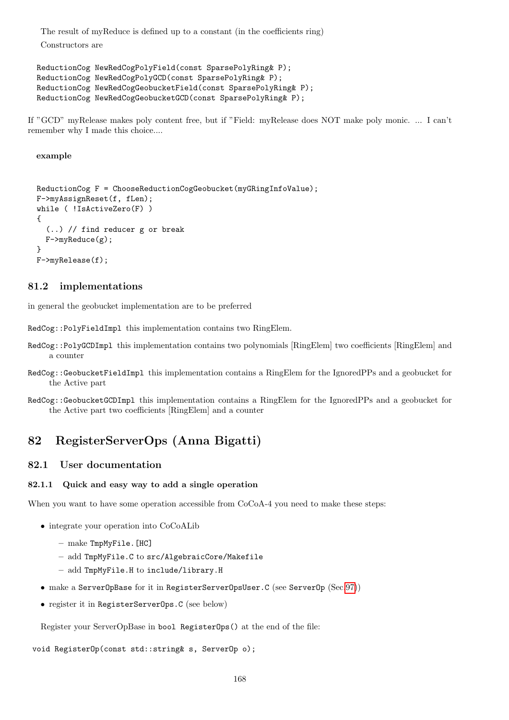The result of myReduce is defined up to a constant (in the coefficients ring) Constructors are

```
ReductionCog NewRedCogPolyField(const SparsePolyRing& P);
ReductionCog NewRedCogPolyGCD(const SparsePolyRing& P);
ReductionCog NewRedCogGeobucketField(const SparsePolyRing& P);
ReductionCog NewRedCogGeobucketGCD(const SparsePolyRing& P);
```
If "GCD" myRelease makes poly content free, but if "Field: myRelease does NOT make poly monic. ... I can't remember why I made this choice....

### example

```
ReductionCog F = ChooseReductionCogGeobucket(myGRingInfoValue);
F->myAssignReset(f, fLen);
while ( !IsActiveZero(F) )
{
  (..) // find reducer g or break
  F->myReduce(g);
}
F->myRelease(f);
```
# 81.2 implementations

in general the geobucket implementation are to be preferred

RedCog::PolyFieldImpl this implementation contains two RingElem.

- RedCog::PolyGCDImpl this implementation contains two polynomials [RingElem] two coefficients [RingElem] and a counter
- RedCog::GeobucketFieldImpl this implementation contains a RingElem for the IgnoredPPs and a geobucket for the Active part
- RedCog::GeobucketGCDImpl this implementation contains a RingElem for the IgnoredPPs and a geobucket for the Active part two coefficients [RingElem] and a counter

# 82 RegisterServerOps (Anna Bigatti)

## 82.1 User documentation

## 82.1.1 Quick and easy way to add a single operation

When you want to have some operation accessible from  $CoCoA-4$  you need to make these steps:

- integrate your operation into CoCoALib
	- make TmpMyFile.[HC]
	- add TmpMyFile.C to src/AlgebraicCore/Makefile
	- add TmpMyFile.H to include/library.H
- make a ServerOpBase for it in RegisterServerOpsUser.C (see ServerOp (Sec[.97\)](#page-202-0))
- register it in RegisterServerOps.C (see below)

Register your ServerOpBase in bool RegisterOps() at the end of the file:

### void RegisterOp(const std::string& s, ServerOp o);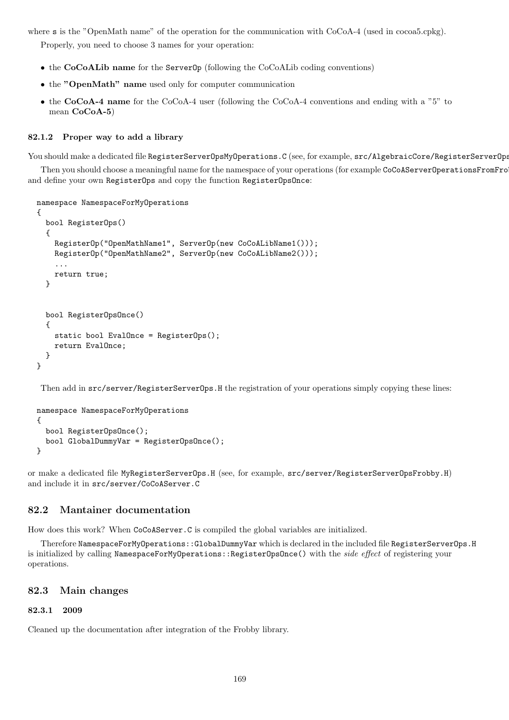where s is the "OpenMath name" of the operation for the communication with CoCoA-4 (used in cocoa5.cpkg).

Properly, you need to choose 3 names for your operation:

- the CoCoALib name for the ServerOp (following the CoCoALib coding conventions)
- the "OpenMath" name used only for computer communication
- the CoCoA-4 name for the CoCoA-4 user (following the CoCoA-4 conventions and ending with a "5" to mean CoCoA-5)

### 82.1.2 Proper way to add a library

You should make a dedicated file RegisterServerOpsMyOperations.C (see, for example,  $src/AlgebraicCore/RegisterServerOps$ 

Then you should choose a meaningful name for the namespace of your operations (for example CoCoAServerOperationsFromFro and define your own RegisterOps and copy the function RegisterOpsOnce:

namespace NamespaceForMyOperations

```
{
 bool RegisterOps()
  {
    RegisterOp("OpenMathName1", ServerOp(new CoCoALibName1()));
    RegisterOp("OpenMathName2", ServerOp(new CoCoALibName2()));
    ...
    return true;
  }
 bool RegisterOpsOnce()
  {
    static bool EvalOnce = RegisterOps();
    return EvalOnce;
  }
}
```
Then add in src/server/RegisterServerOps.H the registration of your operations simply copying these lines:

namespace NamespaceForMyOperations { bool RegisterOpsOnce(); bool GlobalDummyVar = RegisterOpsOnce(); }

or make a dedicated file MyRegisterServerOps.H (see, for example, src/server/RegisterServerOpsFrobby.H) and include it in src/server/CoCoAServer.C

# 82.2 Mantainer documentation

How does this work? When CoCoAServer.C is compiled the global variables are initialized.

Therefore NamespaceForMyOperations::GlobalDummyVar which is declared in the included file RegisterServerOps.H is initialized by calling NamespaceForMyOperations::RegisterOpsOnce() with the side effect of registering your operations.

### 82.3 Main changes

### 82.3.1 2009

Cleaned up the documentation after integration of the Frobby library.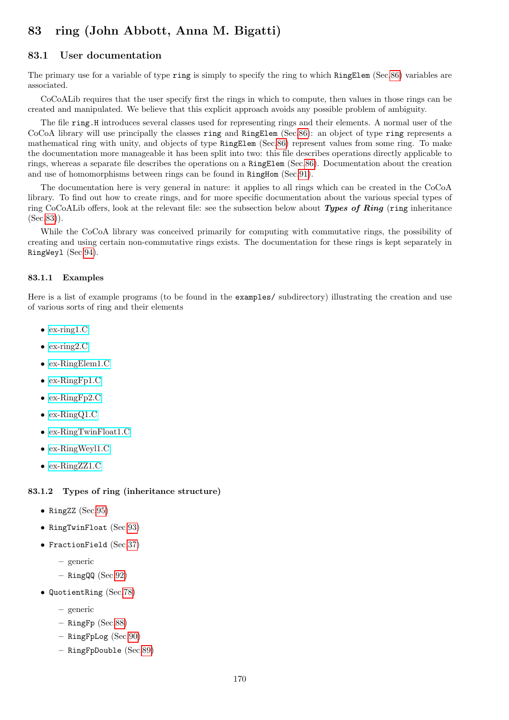# <span id="page-169-0"></span>83 ring (John Abbott, Anna M. Bigatti)

# 83.1 User documentation

The primary use for a variable of type ring is simply to specify the ring to which RingElem (Sec[.86\)](#page-174-0) variables are associated.

CoCoALib requires that the user specify first the rings in which to compute, then values in those rings can be created and manipulated. We believe that this explicit approach avoids any possible problem of ambiguity.

The file ring.H introduces several classes used for representing rings and their elements. A normal user of the CoCoA library will use principally the classes ring and RingElem (Sec[.86\)](#page-174-0): an object of type ring represents a mathematical ring with unity, and objects of type RingElem (Sec[.86\)](#page-174-0) represent values from some ring. To make the documentation more manageable it has been split into two: this file describes operations directly applicable to rings, whereas a separate file describes the operations on a RingElem (Sec[.86\)](#page-174-0). Documentation about the creation and use of homomorphisms between rings can be found in RingHom (Sec[.91\)](#page-191-0).

The documentation here is very general in nature: it applies to all rings which can be created in the CoCoA library. To find out how to create rings, and for more specific documentation about the various special types of ring CoCoALib offers, look at the relevant file: see the subsection below about Types of Ring (ring inheritance (Sec[.83\)](#page-169-0)).

While the CoCoA library was conceived primarily for computing with commutative rings, the possibility of creating and using certain non-commutative rings exists. The documentation for these rings is kept separately in RingWeyl (Sec[.94\)](#page-199-0).

### 83.1.1 Examples

Here is a list of example programs (to be found in the examples/ subdirectory) illustrating the creation and use of various sorts of ring and their elements

- [ex-ring1.C](../../examples/index.html#ex-ring1.C)
- [ex-ring2.C](../../examples/index.html#ex-ring2.C)
- [ex-RingElem1.C](../../examples/index.html#ex-RingElem1.C)
- [ex-RingFp1.C](../../examples/index.html#ex-RingFp1.C)
- [ex-RingFp2.C](../../examples/index.html#ex-RingFp2.C)
- [ex-RingQ1.C](../../examples/index.html#ex-RingQ1.C)
- [ex-RingTwinFloat1.C](../../examples/index.html#ex-RingTwinFloat1.C)
- [ex-RingWeyl1.C](../../examples/index.html#ex-RingWeyl1.C)
- [ex-RingZZ1.C](../../examples/index.html#ex-RingZZ1.C)

### 83.1.2 Types of ring (inheritance structure)

- RingZZ (Sec[.95\)](#page-200-0)
- RingTwinFloat (Sec[.93\)](#page-196-0)
- FractionField (Sec[.37\)](#page-77-0)
	- generic
	- $-$  RingQQ (Sec[.92\)](#page-195-0)
- QuotientRing (Sec[.78\)](#page-160-0)
	- generic
	- $-$  RingFp (Sec[.88\)](#page-186-0)
	- RingFpLog (Sec[.90\)](#page-189-0)
	- RingFpDouble (Sec[.89\)](#page-188-0)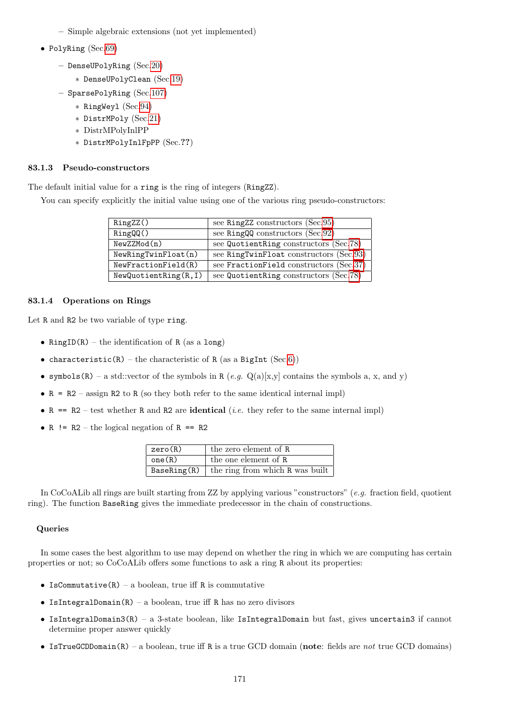- Simple algebraic extensions (not yet implemented)
- PolyRing (Sec[.69\)](#page-144-0)
	- DenseUPolyRing (Sec[.20\)](#page-55-0)
		- ∗ DenseUPolyClean (Sec[.19\)](#page-54-0)
	- SparsePolyRing (Sec[.107\)](#page-214-0)
		- ∗ RingWeyl (Sec[.94\)](#page-199-0)
		- ∗ DistrMPoly (Sec[.21\)](#page-56-1)
		- ∗ DistrMPolyInlPP
		- ∗ DistrMPolyInlFpPP (Sec.??)

# 83.1.3 Pseudo-constructors

The default initial value for a ring is the ring of integers (RingZZ).

You can specify explicitly the initial value using one of the various ring pseudo-constructors:

| RingZZ()             | see RingZZ constructors (Sec.95)        |
|----------------------|-----------------------------------------|
| RingQQ()             | see RingQQ constructors (Sec.92)        |
| NewZZMod(n)          | see QuotientRing constructors (Sec.78)  |
| NewRingTwinFloat(n)  | see RingTwinFloat constructors (Sec.93) |
| NewFractionField(R)  | see FractionField constructors (Sec.37) |
| NewQuotientRing(R,I) | see QuotientRing constructors (Sec.78)  |

# 83.1.4 Operations on Rings

Let R and R2 be two variable of type ring.

- RingID(R) the identification of R (as a long)
- characteristic(R) the characteristic of R (as a BigInt (Sec[.6\)](#page-34-0))
- symbols(R) a std::vector of the symbols in R  $(e.g. Q(a)[x,y]$  contains the symbols a, x, and y)
- $R = R2 \text{assign } R2$  to R (so they both refer to the same identical internal impl)
- R == R2 test whether R and R2 are **identical** (*i.e.* they refer to the same internal impl)
- R !=  $R2$  the logical negation of R ==  $R2$

| zero(R) | the zero element of R                         |
|---------|-----------------------------------------------|
| one(R)  | the one element of R                          |
|         | BaseRing(R)   the ring from which R was built |

In CoCoALib all rings are built starting from ZZ by applying various "constructors"  $(e,q.$  fraction field, quotient ring). The function BaseRing gives the immediate predecessor in the chain of constructions.

## Queries

In some cases the best algorithm to use may depend on whether the ring in which we are computing has certain properties or not; so CoCoALib offers some functions to ask a ring R about its properties:

- IsCommutative(R) a boolean, true iff R is commutative
- IsIntegralDomain $(R)$  a boolean, true iff R has no zero divisors
- IsIntegralDomain3(R) a 3-state boolean, like IsIntegralDomain but fast, gives uncertain3 if cannot determine proper answer quickly
- IsTrueGCDDomain(R) a boolean, true iff R is a true GCD domain (note: fields are not true GCD domains)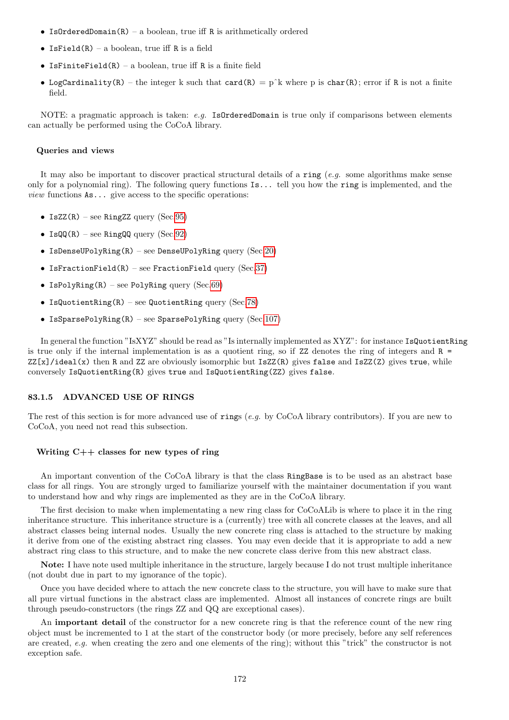- IsOrderedDomain $(R)$  a boolean, true iff R is arithmetically ordered
- IsField $(R)$  a boolean, true iff R is a field
- IsFiniteField(R) a boolean, true iff R is a finite field
- LogCardinality(R) the integer k such that card(R) = p<sup> $\lambda$ </sup> where p is char(R); error if R is not a finite field.

NOTE: a pragmatic approach is taken:  $e.g.$  IsOrderedDomain is true only if comparisons between elements can actually be performed using the CoCoA library.

#### Queries and views

It may also be important to discover practical structural details of a ring  $(e, a)$  some algorithms make sense only for a polynomial ring). The following query functions  $\mathbf{I}$ s... tell you how the ring is implemented, and the *view* functions  $\text{As} \dots$  give access to the specific operations:

- IsZZ $(R)$  see RingZZ query (Sec[.95\)](#page-200-0)
- IsQQ $(R)$  see RingQQ query (Sec[.92\)](#page-195-0)
- IsDenseUPolyRing(R) see DenseUPolyRing query (Sec[.20\)](#page-55-0)
- IsFractionField(R) see FractionField query (Sec[.37\)](#page-77-0)
- IsPolyRing(R) see PolyRing query (Sec[.69\)](#page-144-0)
- IsQuotientRing(R) see QuotientRing query (Sec[.78\)](#page-160-0)
- IsSparsePolyRing $(R)$  see SparsePolyRing query  $(Sec.107)$  $(Sec.107)$

In general the function "IsXYZ" should be read as "Is internally implemented as XYZ": for instance IsQuotientRing is true only if the internal implementation is as a quotient ring, so if  $ZZ$  denotes the ring of integers and  $R =$  $ZZ[x]/ideal(x)$  then R and ZZ are obviously isomorphic but IsZ $Z(R)$  gives false and IsZ $Z(Z)$  gives true, while conversely IsQuotientRing(R) gives true and IsQuotientRing(ZZ) gives false.

### 83.1.5 ADVANCED USE OF RINGS

The rest of this section is for more advanced use of rings (e.g. by CoCoA library contributors). If you are new to CoCoA, you need not read this subsection.

#### Writing C++ classes for new types of ring

An important convention of the CoCoA library is that the class RingBase is to be used as an abstract base class for all rings. You are strongly urged to familiarize yourself with the maintainer documentation if you want to understand how and why rings are implemented as they are in the CoCoA library.

The first decision to make when implementating a new ring class for CoCoALib is where to place it in the ring inheritance structure. This inheritance structure is a (currently) tree with all concrete classes at the leaves, and all abstract classes being internal nodes. Usually the new concrete ring class is attached to the structure by making it derive from one of the existing abstract ring classes. You may even decide that it is appropriate to add a new abstract ring class to this structure, and to make the new concrete class derive from this new abstract class.

Note: I have note used multiple inheritance in the structure, largely because I do not trust multiple inheritance (not doubt due in part to my ignorance of the topic).

Once you have decided where to attach the new concrete class to the structure, you will have to make sure that all pure virtual functions in the abstract class are implemented. Almost all instances of concrete rings are built through pseudo-constructors (the rings ZZ and QQ are exceptional cases).

An important detail of the constructor for a new concrete ring is that the reference count of the new ring object must be incremented to 1 at the start of the constructor body (or more precisely, before any self references are created, e.g. when creating the zero and one elements of the ring); without this "trick" the constructor is not exception safe.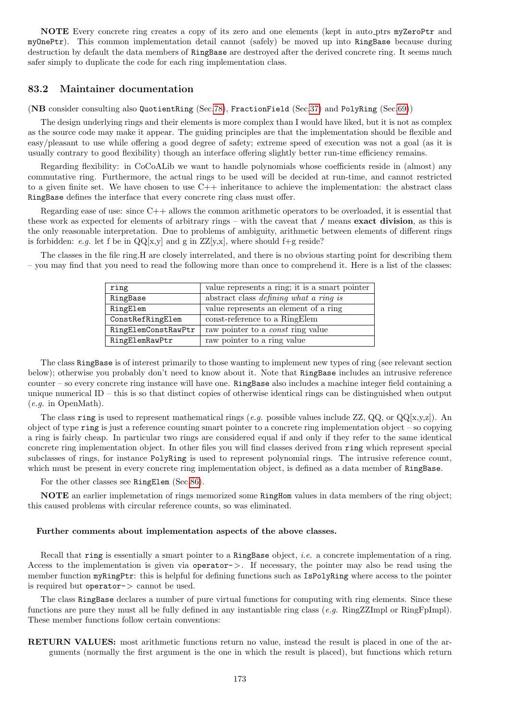NOTE Every concrete ring creates a copy of its zero and one elements (kept in auto ptrs myZeroPtr and myOnePtr). This common implementation detail cannot (safely) be moved up into RingBase because during destruction by default the data members of RingBase are destroyed after the derived concrete ring. It seems much safer simply to duplicate the code for each ring implementation class.

# 83.2 Maintainer documentation

(NB consider consulting also QuotientRing (Sec[.78\)](#page-160-0), FractionField (Sec[.37\)](#page-77-0) and PolyRing (Sec[.69\)](#page-144-0))

The design underlying rings and their elements is more complex than I would have liked, but it is not as complex as the source code may make it appear. The guiding principles are that the implementation should be flexible and easy/pleasant to use while offering a good degree of safety; extreme speed of execution was not a goal (as it is usually contrary to good flexibility) though an interface offering slightly better run-time efficiency remains.

Regarding flexibility: in CoCoALib we want to handle polynomials whose coefficients reside in (almost) any commutative ring. Furthermore, the actual rings to be used will be decided at run-time, and cannot restricted to a given finite set. We have chosen to use  $C++$  inheritance to achieve the implementation: the abstract class RingBase defines the interface that every concrete ring class must offer.

Regarding ease of use: since C++ allows the common arithmetic operators to be overloaded, it is essential that these work as expected for elements of arbitrary rings – with the caveat that / means exact division, as this is the only reasonable interpretation. Due to problems of ambiguity, arithmetic between elements of different rings is forbidden: e.g. let f be in  $QQ[x,y]$  and g in  $ZZ[y,x]$ , where should f+g reside?

The classes in the file ring.H are closely interrelated, and there is no obvious starting point for describing them – you may find that you need to read the following more than once to comprehend it. Here is a list of the classes:

| ring                | value represents a ring; it is a smart pointer |
|---------------------|------------------------------------------------|
| RingBase            | abstract class <i>defining what a ring is</i>  |
| RingElem            | value represents an element of a ring          |
| ConstRefRingElem    | const-reference to a RingElem                  |
| RingElemConstRawPtr | raw pointer to a <i>const</i> ring value       |
| RingElemRawPtr      | raw pointer to a ring value                    |

The class RingBase is of interest primarily to those wanting to implement new types of ring (see relevant section below); otherwise you probably don't need to know about it. Note that RingBase includes an intrusive reference counter – so every concrete ring instance will have one. RingBase also includes a machine integer field containing a unique numerical ID – this is so that distinct copies of otherwise identical rings can be distinguished when output (e.g. in OpenMath).

The class ring is used to represent mathematical rings (e.g. possible values include ZZ,  $QQ$ , or  $QQ[x,y,z]$ ). An object of type ring is just a reference counting smart pointer to a concrete ring implementation object – so copying a ring is fairly cheap. In particular two rings are considered equal if and only if they refer to the same identical concrete ring implementation object. In other files you will find classes derived from ring which represent special subclasses of rings, for instance PolyRing is used to represent polynomial rings. The intrusive reference count, which must be present in every concrete ring implementation object, is defined as a data member of RingBase.

For the other classes see RingElem (Sec[.86\)](#page-174-0).

NOTE an earlier implemetation of rings memorized some RingHom values in data members of the ring object; this caused problems with circular reference counts, so was eliminated.

### Further comments about implementation aspects of the above classes.

Recall that ring is essentially a smart pointer to a RingBase object, *i.e.* a concrete implementation of a ring. Access to the implementation is given via operator->. If necessary, the pointer may also be read using the member function myRingPtr: this is helpful for defining functions such as IsPolyRing where access to the pointer is required but operator- $>$  cannot be used.

The class RingBase declares a number of pure virtual functions for computing with ring elements. Since these functions are pure they must all be fully defined in any instantiable ring class (e.g. RingZZImpl or RingFpImpl). These member functions follow certain conventions:

RETURN VALUES: most arithmetic functions return no value, instead the result is placed in one of the arguments (normally the first argument is the one in which the result is placed), but functions which return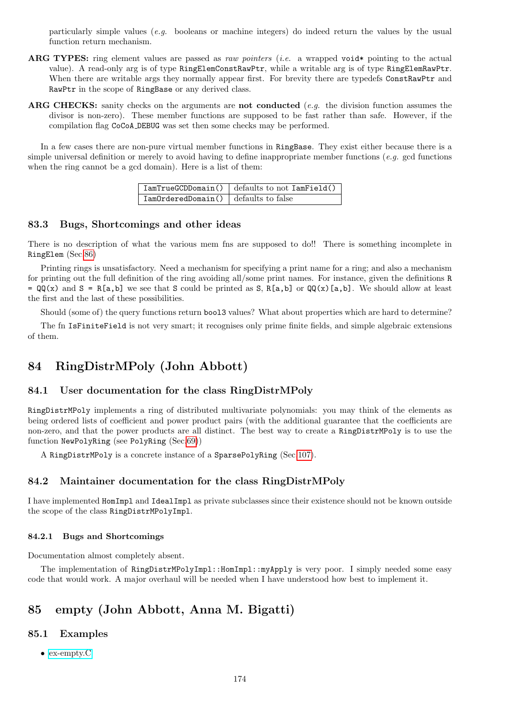particularly simple values (e.g. booleans or machine integers) do indeed return the values by the usual function return mechanism.

- ARG TYPES: ring element values are passed as raw pointers (i.e. a wrapped void\* pointing to the actual value). A read-only arg is of type RingElemConstRawPtr, while a writable arg is of type RingElemRawPtr. When there are writable args they normally appear first. For brevity there are typedefs ConstRawPtr and RawPtr in the scope of RingBase or any derived class.
- ARG CHECKS: sanity checks on the arguments are not conducted (e.g. the division function assumes the divisor is non-zero). These member functions are supposed to be fast rather than safe. However, if the compilation flag CoCoA DEBUG was set then some checks may be performed.

In a few cases there are non-pure virtual member functions in RingBase. They exist either because there is a simple universal definition or merely to avoid having to define inappropriate member functions (e.g. gcd functions) when the ring cannot be a gcd domain). Here is a list of them:

|                                      | $IamTrueGCDDomain()   defaults to not IamField()$ |
|--------------------------------------|---------------------------------------------------|
| IamOrderedDomain() defaults to false |                                                   |

# 83.3 Bugs, Shortcomings and other ideas

There is no description of what the various mem fns are supposed to do!! There is something incomplete in RingElem (Sec[.86\)](#page-174-0)

Printing rings is unsatisfactory. Need a mechanism for specifying a print name for a ring; and also a mechanism for printing out the full definition of the ring avoiding all/some print names. For instance, given the definitions R  $= \mathbb{Q}(\mathbf{x})$  and  $\mathbf{S} = \mathbf{R}[\mathbf{a},\mathbf{b}]$  we see that S could be printed as S,  $\mathbf{R}[\mathbf{a},\mathbf{b}]$  or  $\mathbb{Q}(\mathbf{x})[\mathbf{a},\mathbf{b}]$ . We should allow at least the first and the last of these possibilities.

Should (some of) the query functions return bool3 values? What about properties which are hard to determine?

The fn IsFiniteField is not very smart; it recognises only prime finite fields, and simple algebraic extensions of them.

# 84 RingDistrMPoly (John Abbott)

# 84.1 User documentation for the class RingDistrMPoly

RingDistrMPoly implements a ring of distributed multivariate polynomials: you may think of the elements as being ordered lists of coefficient and power product pairs (with the additional guarantee that the coefficients are non-zero, and that the power products are all distinct. The best way to create a RingDistrMPoly is to use the function NewPolyRing (see PolyRing (Sec[.69\)](#page-144-0))

A RingDistrMPoly is a concrete instance of a SparsePolyRing (Sec[.107\)](#page-214-0).

# 84.2 Maintainer documentation for the class RingDistrMPoly

I have implemented HomImpl and IdealImpl as private subclasses since their existence should not be known outside the scope of the class RingDistrMPolyImpl.

### 84.2.1 Bugs and Shortcomings

Documentation almost completely absent.

The implementation of RingDistrMPolyImpl::HomImpl::myApply is very poor. I simply needed some easy code that would work. A major overhaul will be needed when I have understood how best to implement it.

# 85 empty (John Abbott, Anna M. Bigatti)

# 85.1 Examples

• [ex-empty.C](../../examples/index.html#ex-empty.C)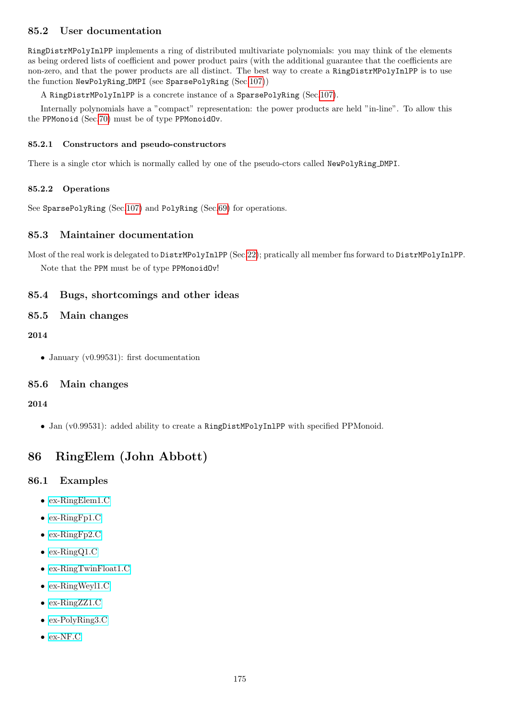# 85.2 User documentation

RingDistrMPolyInlPP implements a ring of distributed multivariate polynomials: you may think of the elements as being ordered lists of coefficient and power product pairs (with the additional guarantee that the coefficients are non-zero, and that the power products are all distinct. The best way to create a RingDistrMPolyInlPP is to use the function NewPolyRing DMPI (see SparsePolyRing (Sec[.107\)](#page-214-0))

A RingDistrMPolyInlPP is a concrete instance of a SparsePolyRing (Sec[.107\)](#page-214-0).

Internally polynomials have a "compact" representation: the power products are held "in-line". To allow this the PPMonoid (Sec[.70\)](#page-145-0) must be of type PPMonoidOv.

## 85.2.1 Constructors and pseudo-constructors

There is a single ctor which is normally called by one of the pseudo-ctors called NewPolyRing DMPI.

# 85.2.2 Operations

See SparsePolyRing (Sec[.107\)](#page-214-0) and PolyRing (Sec[.69\)](#page-144-0) for operations.

# 85.3 Maintainer documentation

Most of the real work is delegated to DistrMPolyInlPP (Sec[.22\)](#page-56-2); pratically all member fns forward to DistrMPolyInlPP. Note that the PPM must be of type PPMonoidOv!

# 85.4 Bugs, shortcomings and other ideas

# 85.5 Main changes

# 2014

• January (v0.99531): first documentation

# 85.6 Main changes

# 2014

• Jan (v0.99531): added ability to create a RingDistMPolyInlPP with specified PPMonoid.

# <span id="page-174-0"></span>86 RingElem (John Abbott)

# 86.1 Examples

- [ex-RingElem1.C](../../examples/index.html#ex-RingElem1.C)
- [ex-RingFp1.C](../../examples/index.html#ex-RingFp1.C)
- [ex-RingFp2.C](../../examples/index.html#ex-RingFp2.C)
- [ex-RingQ1.C](../../examples/index.html#ex-RingQ1.C)
- [ex-RingTwinFloat1.C](../../examples/index.html#ex-RingTwinFloat1.C)
- [ex-RingWeyl1.C](../../examples/index.html#ex-RingWeyl1.C)
- [ex-RingZZ1.C](../../examples/index.html#ex-RingZZ1.C)
- [ex-PolyRing3.C](../../examples/index.html#ex-PolyRing3.C)
- [ex-NF.C](../../examples/index.html#ex-NF.C)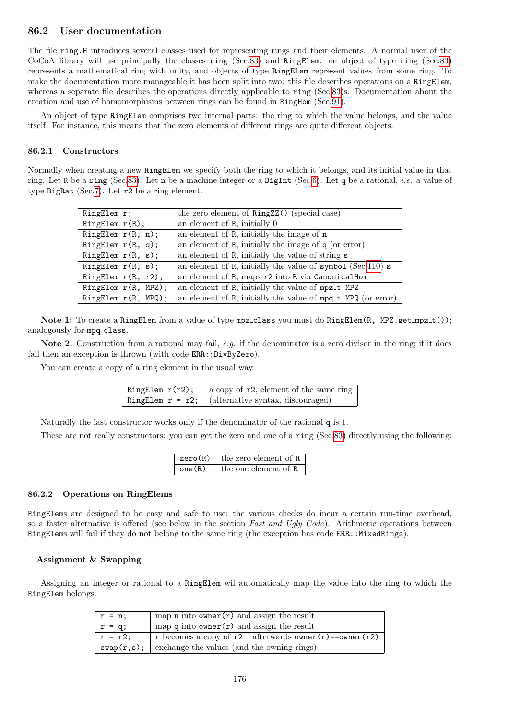# 86.2 User documentation

The file ring.H introduces several classes used for representing rings and their elements. A normal user of the CoCoA library will use principally the classes ring (Sec[.83\)](#page-169-0) and RingElem: an object of type ring (Sec[.83\)](#page-169-0) represents a mathematical ring with unity, and objects of type RingElem represent values from some ring. To make the documentation more manageable it has been split into two: this file describes operations on a RingElem, whereas a separate file describes the operations directly applicable to ring (Sec[.83\)](#page-169-0)s. Documentation about the creation and use of homomorphisms between rings can be found in RingHom (Sec[.91\)](#page-191-0).

An object of type RingElem comprises two internal parts: the ring to which the value belongs, and the value itself. For instance, this means that the zero elements of different rings are quite different objects.

### 86.2.1 Constructors

Normally when creating a new RingElem we specify both the ring to which it belongs, and its initial value in that ring. Let R be a ring (Sec[.83\)](#page-169-0). Let n be a machine integer or a BigInt (Sec[.6\)](#page-34-0). Let q be a rational, i.e. a value of type BigRat (Sec[.7\)](#page-36-0). Let r2 be a ring element.

| RingElem r;            | the zero element of RingZZ() (special case)                  |
|------------------------|--------------------------------------------------------------|
| RingElem r(R);         | an element of $R$ , initially $0$                            |
| RingElem $r(R, n)$ ;   | an element of R, initially the image of n                    |
| RingElem $r(R, q)$ ;   | an element of $R$ , initially the image of $q$ (or error)    |
| RingElem $r(R, s)$ ;   | an element of R, initially the value of string s             |
| RingElem $r(R, s)$ ;   | an element of R, initially the value of symbol $(Sec.110)$ s |
| RingElem $r(R, r2);$   | an element of R, maps r2 into R via CanonicalHom             |
| RingElem $r(R, MPZ)$ ; | an element of R, initially the value of mpz_t MPZ            |
| RingElem $r(R, MPQ)$ ; | an element of R, initially the value of mpq_t MPQ (or error) |

Note 1: To create a RingElem from a value of type mpz\_class you must do RingElem(R, MPZ.get\_mpz\_t()); analogously for mpq\_class.

Note 2: Construction from a rational may fail, e.g. if the denominator is a zero divisor in the ring; if it does fail then an exception is thrown (with code ERR::DivByZero).

You can create a copy of a ring element in the usual way:

| RingElem r(r2); | a copy of $r2$ , element of the same ring             |
|-----------------|-------------------------------------------------------|
|                 | RingElem $r = r2$ ; (alternative syntax, discouraged) |

Naturally the last constructor works only if the denominator of the rational q is 1.

These are not really constructors: you can get the zero and one of a ring (Sec[.83\)](#page-169-0) directly using the following:

|        | $zero(R)$ the zero element of R |
|--------|---------------------------------|
| one(R) | the one element of R            |

### 86.2.2 Operations on RingElems

RingElems are designed to be easy and safe to use; the various checks do incur a certain run-time overhead, so a faster alternative is offered (see below in the section Fast and Ugly Code). Arithmetic operations between RingElems will fail if they do not belong to the same ring (the exception has code ERR::MixedRings).

### Assignment & Swapping

Assigning an integer or rational to a RingElem wil automatically map the value into the ring to which the RingElem belongs.

| $\vert r = n;$  | map n into owner $(r)$ and assign the result                       |
|-----------------|--------------------------------------------------------------------|
| $r = q;$        | map $q$ into owner $(r)$ and assign the result                     |
| $\vert$ r = r2; | r becomes a copy of $r2$ – afterwards owner $(r)$ = = owner $(r2)$ |
|                 | $\text{swap}(r,s)$ ; exchange the values (and the owning rings)    |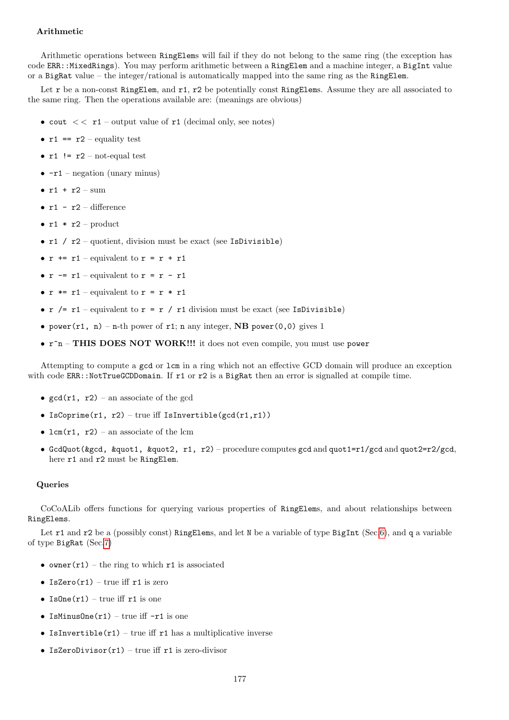## Arithmetic

Arithmetic operations between RingElems will fail if they do not belong to the same ring (the exception has code ERR::MixedRings). You may perform arithmetic between a RingElem and a machine integer, a BigInt value or a BigRat value – the integer/rational is automatically mapped into the same ring as the RingElem.

Let r be a non-const RingElem, and r1, r2 be potentially const RingElems. Assume they are all associated to the same ring. Then the operations available are: (meanings are obvious)

- cout  $<< r1$  output value of r1 (decimal only, see notes)
- $r1 == r2$  equality test
- $r1$  !=  $r2$  not-equal test
- $-r1$  negation (unary minus)
- $r1 + r2 \text{sum}$
- $r1 r2 difference$
- $r1 * r2$  product
- $r1 / r2$  quotient, division must be exact (see IsDivisible)
- $r \leftrightarrow r1$  equivalent to  $r = r + r1$
- $r = r1$  equivalent to  $r = r r1$
- $r \equiv r1$  equivalent to  $r = r \cdot r1$
- $r$  /=  $r1$  equivalent to  $r = r / r1$  division must be exact (see IsDivisible)
- power(r1, n) n-th power of r1; n any integer, NB power(0,0) gives 1
- r^n THIS DOES NOT WORK!!! it does not even compile, you must use power

Attempting to compute a gcd or lcm in a ring which not an effective GCD domain will produce an exception with code ERR::NotTrueGCDDomain. If r1 or r2 is a BigRat then an error is signalled at compile time.

- $gcd(r1, r2)$  an associate of the gcd
- IsCoprime(r1, r2) true iff IsInvertible( $gcd(r1,r1)$ )
- lcm( $r1$ ,  $r2$ ) an associate of the lcm
- GcdQuot(&gcd, &quot1, &quot2, r1, r2) procedure computes gcd and quot1=r1/gcd and quot2=r2/gcd, here r1 and r2 must be RingElem.

### **Queries**

CoCoALib offers functions for querying various properties of RingElems, and about relationships between RingElems.

Let r1 and r2 be a (possibly const) RingElems, and let N be a variable of type BigInt (Sec[.6\)](#page-34-0), and q a variable of type BigRat (Sec[.7\)](#page-36-0)

- owner $(r1)$  the ring to which r1 is associated
- IsZero $(r1)$  true iff  $r1$  is zero
- IsOne $(r1)$  true iff  $r1$  is one
- IsMinusOne $(r1)$  true iff  $-r1$  is one
- IsInvertible(r1) true iff r1 has a multiplicative inverse
- IsZeroDivisor $(r1)$  true iff  $r1$  is zero-divisor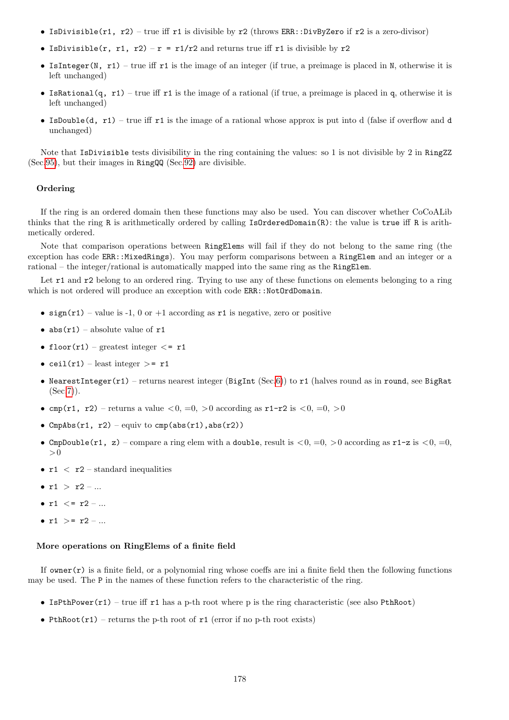- IsDivisible(r1, r2) true iff r1 is divisible by r2 (throws ERR::DivByZero if r2 is a zero-divisor)
- IsDivisible(r, r1, r2) r = r1/r2 and returns true iff r1 is divisible by r2
- IsInteger(N, r1) true iff r1 is the image of an integer (if true, a preimage is placed in N, otherwise it is left unchanged)
- IsRational(q, r1) true iff r1 is the image of a rational (if true, a preimage is placed in q, otherwise it is left unchanged)
- IsDouble(d, r1) true iff r1 is the image of a rational whose approx is put into d (false if overflow and d unchanged)

Note that IsDivisible tests divisibility in the ring containing the values: so 1 is not divisible by 2 in RingZZ (Sec[.95\)](#page-200-0), but their images in RingQQ (Sec[.92\)](#page-195-0) are divisible.

### Ordering

If the ring is an ordered domain then these functions may also be used. You can discover whether CoCoALib thinks that the ring R is arithmetically ordered by calling IsOrderedDomain(R): the value is true iff R is arithmetically ordered.

Note that comparison operations between RingElems will fail if they do not belong to the same ring (the exception has code ERR::MixedRings). You may perform comparisons between a RingElem and an integer or a rational – the integer/rational is automatically mapped into the same ring as the RingElem.

Let r1 and r2 belong to an ordered ring. Trying to use any of these functions on elements belonging to a ring which is not ordered will produce an exception with code ERR::NotOrdDomain.

- sign(r1) value is -1, 0 or +1 according as r1 is negative, zero or positive
- $abs(r1)$  absolute value of  $r1$
- floor(r1) greatest integer  $\langle$  = r1
- ceil $(r1)$  least integer  $>=$  r1
- NearestInteger(r1) returns nearest integer (BigInt (Sec[.6\)](#page-34-0)) to r1 (halves round as in round, see BigRat  $(Sec.7)$  $(Sec.7)$ .
- cmp(r1, r2) returns a value  $\lt 0, =0, >0$  according as r1-r2 is  $\lt 0, =0, >0$
- CmpAbs(r1, r2) equiv to cmp(abs(r1), abs(r2))
- CmpDouble(r1, z) compare a ring elem with a double, result is  $\langle 0, =0, >0$  according as r1-z is  $\langle 0, =0,$  $>0$
- $r1 < r2$  standard inequalities
- $r1 > r2 ...$
- $r1 \le r2 ...$
- $r1 > = r2 ...$

#### More operations on RingElems of a finite field

If owner( $r$ ) is a finite field, or a polynomial ring whose coeffs are ini a finite field then the following functions may be used. The P in the names of these function refers to the characteristic of the ring.

- IsPthPower(r1) true iff r1 has a p-th root where p is the ring characteristic (see also PthRoot)
- PthRoot( $r1$ ) returns the p-th root of  $r1$  (error if no p-th root exists)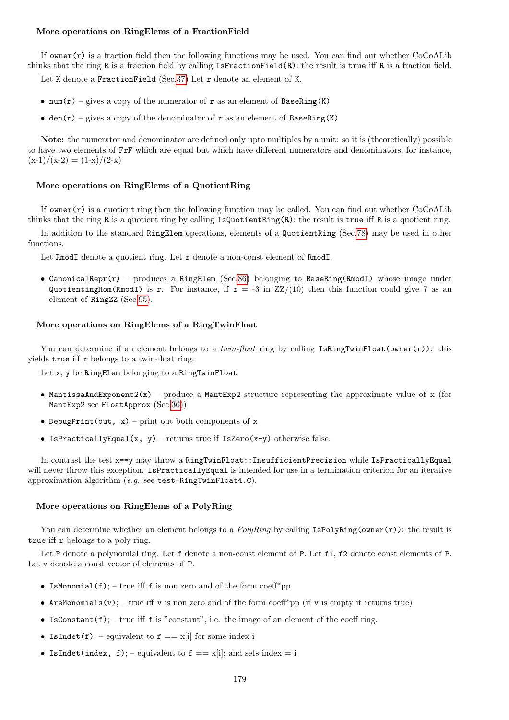### More operations on RingElems of a FractionField

If owner( $r$ ) is a fraction field then the following functions may be used. You can find out whether CoCoALib thinks that the ring R is a fraction field by calling IsFractionField(R): the result is true iff R is a fraction field.

Let K denote a FractionField (Sec[.37\)](#page-77-0) Let r denote an element of K.

- num(r) gives a copy of the numerator of r as an element of BaseRing(K)
- den(r) gives a copy of the denominator of r as an element of BaseRing(K)

Note: the numerator and denominator are defined only upto multiples by a unit: so it is (theoretically) possible to have two elements of FrF which are equal but which have different numerators and denominators, for instance,  $(x-1)/(x-2) = (1-x)/(2-x)$ 

### More operations on RingElems of a QuotientRing

If  $\alpha$  owner(r) is a quotient ring then the following function may be called. You can find out whether CoCoALib thinks that the ring R is a quotient ring by calling IsQuotientRing(R): the result is true iff R is a quotient ring.

In addition to the standard RingElem operations, elements of a QuotientRing (Sec[.78\)](#page-160-0) may be used in other functions.

Let RmodI denote a quotient ring. Let r denote a non-const element of RmodI.

• CanonicalRepr( $r$ ) – produces a RingElem (Sec[.86\)](#page-174-0) belonging to BaseRing(RmodI) whose image under QuotientingHom(RmodI) is r. For instance, if  $r = -3$  in  $ZZ/(10)$  then this function could give 7 as an element of RingZZ (Sec[.95\)](#page-200-0).

#### More operations on RingElems of a RingTwinFloat

You can determine if an element belongs to a *twin-float* ring by calling IsRingTwinFloat(owner(r)): this yields true iff r belongs to a twin-float ring.

Let x, y be RingElem belonging to a RingTwinFloat

- MantissaAndExponent2(x) produce a MantExp2 structure representing the approximate value of x (for MantExp2 see FloatApprox (Sec[.36\)](#page-76-0))
- DebugPrint(out,  $x$ ) print out both components of x
- IsPracticallyEqual(x, y) returns true if IsZero(x-y) otherwise false.

In contrast the test x==y may throw a RingTwinFloat::InsufficientPrecision while IsPracticallyEqual will never throw this exception. IsPracticallyEqual is intended for use in a termination criterion for an iterative approximation algorithm (e.g. see test-RingTwinFloat4.C).

#### More operations on RingElems of a PolyRing

You can determine whether an element belongs to a *PolyRing* by calling  $IsPolyRing(\text{owner}(r))$ : the result is true iff r belongs to a poly ring.

Let P denote a polynomial ring. Let f denote a non-const element of P. Let f1, f2 denote const elements of P. Let v denote a const vector of elements of P.

- IsMonomial $(f)$ ; true iff f is non zero and of the form coeff<sup>\*</sup>pp
- AreMonomials(v); true iff v is non zero and of the form coeff\*pp (if v is empty it returns true)
- IsConstant(f); true iff f is "constant", i.e. the image of an element of the coeff ring.
- IsIndet(f); equivalent to  $f == x[i]$  for some index i
- IsIndet(index, f); equivalent to  $f == x[i]$ ; and sets index = i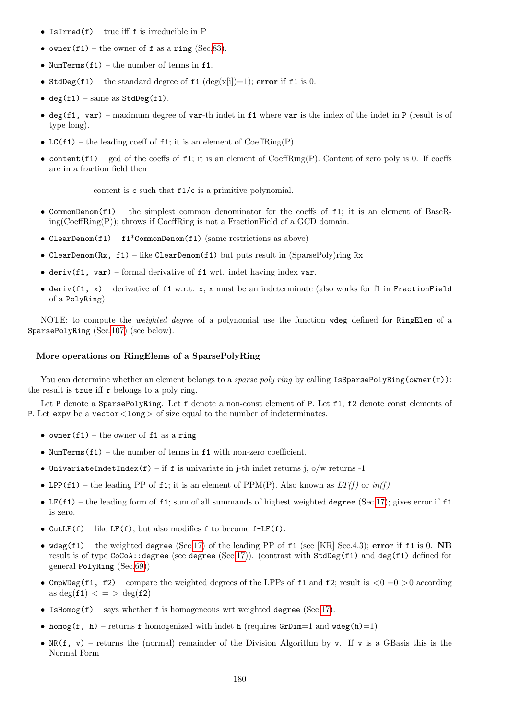- IsIrred(f) true iff  $f$  is irreducible in  $P$
- owner(f1) the owner of f as a ring (Sec[.83\)](#page-169-0).
- NumTerms $(f1)$  the number of terms in f1.
- StdDeg(f1) the standard degree of f1 (deg(x[i])=1); error if f1 is 0.
- deg(f1) same as  $StdDeg(f1)$ .
- deg(f1, var) maximum degree of var-th indet in f1 where var is the index of the indet in  $P$  (result is of type long).
- LC(f1) the leading coeff of f1; it is an element of CoeffRing(P).
- content(f1) gcd of the coeffs of f1; it is an element of CoeffRing(P). Content of zero poly is 0. If coeffs are in a fraction field then

content is c such that f1/c is a primitive polynomial.

- CommonDenom(f1) the simplest common denominator for the coeffs of f1; it is an element of BaseRing(CoeffRing(P)); throws if CoeffRing is not a FractionField of a GCD domain.
- ClearDenom(f1) f1\*CommonDenom(f1) (same restrictions as above)
- ClearDenom(Rx, f1) like ClearDenom(f1) but puts result in (SparsePoly)ring Rx
- deriv(f1, var) formal derivative of f1 wrt. indet having index var.
- deriv(f1, x) derivative of f1 w.r.t. x, x must be an indeterminate (also works for f1 in FractionField of a PolyRing)

NOTE: to compute the *weighted degree* of a polynomial use the function wdeg defined for RingElem of a SparsePolyRing (Sec[.107\)](#page-214-0) (see below).

#### More operations on RingElems of a SparsePolyRing

You can determine whether an element belongs to a *sparse poly ring* by calling  $IsSparsePolyRing(\text{owner}(r))$ : the result is true iff r belongs to a poly ring.

Let P denote a SparsePolyRing. Let f denote a non-const element of P. Let f1, f2 denote const elements of P. Let expv be a vector  $\langle \text{long} \rangle$  of size equal to the number of indeterminates.

- owner(f1) the owner of f1 as a ring
- NumTerms $(f1)$  the number of terms in  $f1$  with non-zero coefficient.
- UnivariateIndetIndex(f) if f is univariate in j-th indet returns j,  $o/w$  returns -1
- LPP(f1) the leading PP of f1; it is an element of PPM(P). Also known as  $LT(f)$  or  $in(f)$
- LF(f1) the leading form of f1; sum of all summands of highest weighted degree (Sec[.17\)](#page-52-0); gives error if f1 is zero.
- CutLF(f) like LF(f), but also modifies f to become  $f$ -LF(f).
- $\text{wdeg}(f1)$  the weighted degree (Sec[.17\)](#page-52-0) of the leading PP of  $f1$  (see [KR] Sec.4.3); error if  $f1$  is 0. NB result is of type CoCoA::degree (see degree (Sec[.17\)](#page-52-0)). (contrast with StdDeg(f1) and deg(f1) defined for general PolyRing (Sec[.69\)](#page-144-0))
- CmpWDeg(f1, f2) compare the weighted degrees of the LPPs of f1 and f2; result is  $\langle 0| = 0 \rangle$  according as deg(f1)  $\langle = \rangle$  deg(f2)
- IsHomog(f) says whether f is homogeneous wrt weighted degree (Sec[.17\)](#page-52-0).
- homog(f, h) returns f homogenized with indet h (requires  $GrDim=1$  and  $wdeg(h)=1$ )
- $\mathbb{R}(f, v)$  returns the (normal) remainder of the Division Algorithm by v. If v is a GBasis this is the Normal Form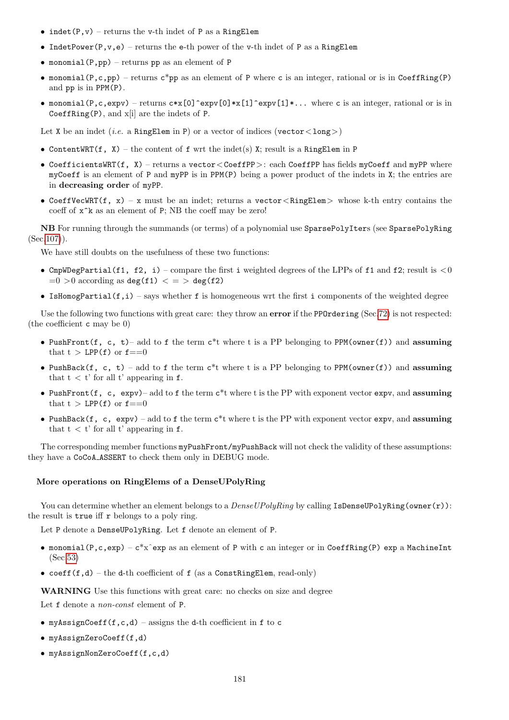- indet(P,v) returns the v-th indet of P as a RingElem
- IndetPower(P,v,e) returns the e-th power of the v-th indet of P as a RingElem
- monomial(P, pp) returns pp as an element of P
- monomial(P,c,pp) returns  $c^*$ pp as an element of P where c is an integer, rational or is in CoeffRing(P) and pp is in PPM(P).
- monomial(P,c,expv) returns  $c*x[0]$ <sup>-</sup>expv[0]\*x[1]<sup>\*</sup>expv[1]\*... where c is an integer, rational or is in CoeffRing $(P)$ , and  $x[i]$  are the indets of P.

Let X be an indet (*i.e.* a RingElem in P) or a vector of indices (vector  $\langle \text{long} \rangle$ )

- ContentWRT(f, X) the content of f wrt the indet(s) X; result is a RingElem in P
- CoefficientsWRT(f, X) returns a vector  $\leq$  CoeffPP $>$ : each CoeffPP has fields myCoeff and myPP where myCoeff is an element of P and myPP is in PPM(P) being a power product of the indets in X; the entries are in decreasing order of myPP.
- CoeffVecWRT(f, x) x must be an indet; returns a vector <RingElem> whose k-th entry contains the coeff of  $x^k$  as an element of P; NB the coeff may be zero!

NB For running through the summands (or terms) of a polynomial use SparsePolyIters (see SparsePolyRing  $(Sec.107)$  $(Sec.107)$ .

We have still doubts on the usefulness of these two functions:

- CmpWDegPartial(f1, f2, i) compare the first i weighted degrees of the LPPs of f1 and f2; result is  $< 0$  $=0$  > 0 according as deg(f1)  $\lt$  = > deg(f2)
- IsHomogPartial( $f, i$ ) says whether f is homogeneous wrt the first i components of the weighted degree

Use the following two functions with great care: they throw an **error** if the PPOrdering (Sec[.72\)](#page-153-0) is not respected: (the coefficient c may be 0)

- PushFront(f, c, t)– add to f the term  $c^*$ t where t is a PP belonging to PPM(owner(f)) and assuming that  $t > LPP(f)$  or  $f == 0$
- PushBack(f, c, t) add to f the term  $c^*$ t where t is a PP belonging to PPM(owner(f)) and assuming that  $t < t'$  for all t' appearing in  $f$ .
- PushFront(f, c,  $expv$ )– add to f the term  $c*t$  where t is the PP with exponent vector  $expv$ , and assuming that  $t > LPP(f)$  or  $f == 0$
- PushBack $(f, c, \text{expv})$  add to f the term  $c^*$ t where t is the PP with exponent vector expv, and assuming that  $t < t'$  for all t' appearing in f.

The corresponding member functions  $myPushFront/myPushBack will not check the validity of these assumptions:$ they have a CoCoA ASSERT to check them only in DEBUG mode.

#### More operations on RingElems of a DenseUPolyRing

You can determine whether an element belongs to a  $DenseUPolyRing$  by calling IsDenseUPolyRing(owner(r)): the result is true iff r belongs to a poly ring.

Let P denote a DenseUPolyRing. Let f denote an element of P.

- monomial(P,c,exp)  $c*x^{\hat{}}$  exp as an element of P with c an integer or in CoeffRing(P) exp a MachineInt (Sec[.53\)](#page-105-0)
- coeff $(f,d)$  the d-th coefficient of f (as a ConstRingElem, read-only)

WARNING Use this functions with great care: no checks on size and degree

Let  $f$  denote a *non-const* element of  $P$ .

- myAssignCoeff(f,c,d) assigns the d-th coefficient in f to c
- myAssignZeroCoeff(f,d)
- myAssignNonZeroCoeff(f,c,d)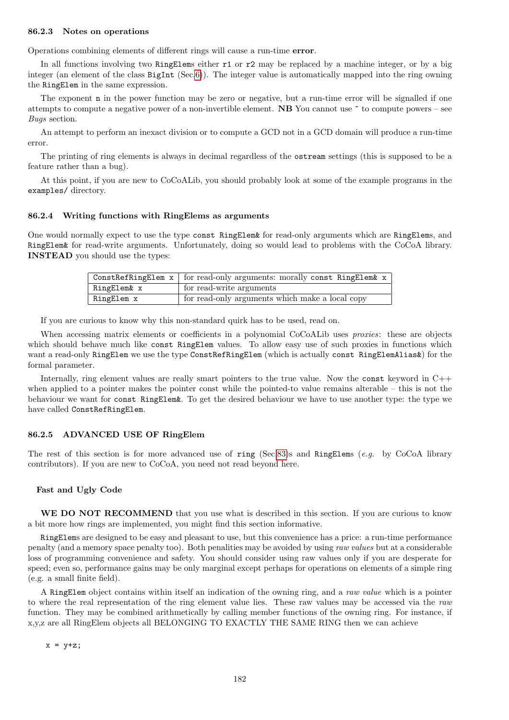#### 86.2.3 Notes on operations

Operations combining elements of different rings will cause a run-time error.

In all functions involving two RingElems either  $r1$  or  $r2$  may be replaced by a machine integer, or by a big integer (an element of the class BigInt (Sec[.6\)](#page-34-0)). The integer value is automatically mapped into the ring owning the RingElem in the same expression.

The exponent n in the power function may be zero or negative, but a run-time error will be signalled if one attempts to compute a negative power of a non-invertible element.  $NB$  You cannot use  $\degree$  to compute powers – see Bugs section.

An attempt to perform an inexact division or to compute a GCD not in a GCD domain will produce a run-time error.

The printing of ring elements is always in decimal regardless of the ostream settings (this is supposed to be a feature rather than a bug).

At this point, if you are new to CoCoALib, you should probably look at some of the example programs in the examples/ directory.

#### 86.2.4 Writing functions with RingElems as arguments

One would normally expect to use the type const RingElem& for read-only arguments which are RingElems, and RingElem& for read-write arguments. Unfortunately, doing so would lead to problems with the CoCoA library. INSTEAD you should use the types:

|             | ConstRefRingElem $x$   for read-only arguments: morally const RingElem& $x$ |
|-------------|-----------------------------------------------------------------------------|
| RingElem& x | $\frac{1}{1}$ for read-write arguments                                      |
| RingElem x  | for read-only arguments which make a local copy                             |

If you are curious to know why this non-standard quirk has to be used, read on.

When accessing matrix elements or coefficients in a polynomial CoCoALib uses *proxies*: these are objects which should behave much like const RingElem values. To allow easy use of such proxies in functions which want a read-only RingElem we use the type ConstRefRingElem (which is actually const RingElemAlias&) for the formal parameter.

Internally, ring element values are really smart pointers to the true value. Now the const keyword in C++ when applied to a pointer makes the pointer const while the pointed-to value remains alterable – this is not the behaviour we want for const RingElem&. To get the desired behaviour we have to use another type: the type we have called ConstRefRingElem.

#### 86.2.5 ADVANCED USE OF RingElem

The rest of this section is for more advanced use of ring (Sec[.83\)](#page-169-0)s and RingElems (e.g. by CoCoA library contributors). If you are new to CoCoA, you need not read beyond here.

#### Fast and Ugly Code

WE DO NOT RECOMMEND that you use what is described in this section. If you are curious to know a bit more how rings are implemented, you might find this section informative.

RingElems are designed to be easy and pleasant to use, but this convenience has a price: a run-time performance penalty (and a memory space penalty too). Both penalities may be avoided by using raw values but at a considerable loss of programming convenience and safety. You should consider using raw values only if you are desperate for speed; even so, performance gains may be only marginal except perhaps for operations on elements of a simple ring (e.g. a small finite field).

A RingElem object contains within itself an indication of the owning ring, and a raw value which is a pointer to where the real representation of the ring element value lies. These raw values may be accessed via the raw function. They may be combined arithmetically by calling member functions of the owning ring. For instance, if x,y,z are all RingElem objects all BELONGING TO EXACTLY THE SAME RING then we can achieve

 $x = y+z;$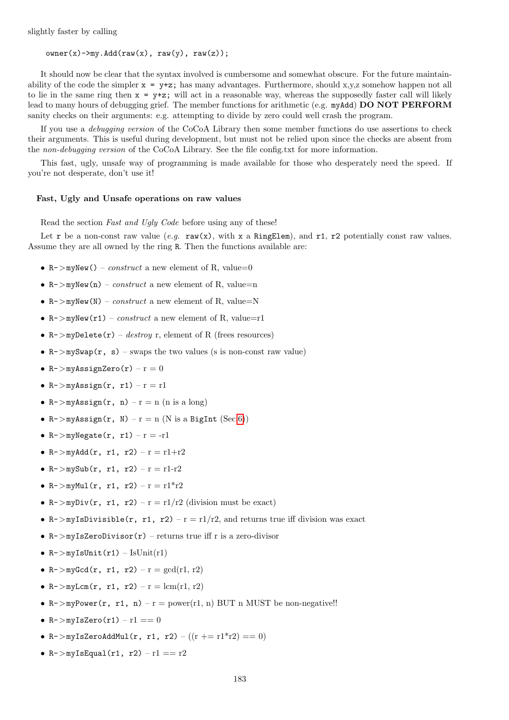slightly faster by calling

 $owner(x)->my.Add(raw(x), raw(y), raw(z));$ 

It should now be clear that the syntax involved is cumbersome and somewhat obscure. For the future maintainability of the code the simpler  $x = y+z$ ; has many advantages. Furthermore, should x,y,z somehow happen not all to lie in the same ring then  $x = y+z$ ; will act in a reasonable way, whereas the supposedly faster call will likely lead to many hours of debugging grief. The member functions for arithmetic (e.g. myAdd) DO NOT PERFORM sanity checks on their arguments: e.g. attempting to divide by zero could well crash the program.

If you use a debugging version of the CoCoA Library then some member functions do use assertions to check their arguments. This is useful during development, but must not be relied upon since the checks are absent from the non-debugging version of the CoCoA Library. See the file config.txt for more information.

This fast, ugly, unsafe way of programming is made available for those who desperately need the speed. If you're not desperate, don't use it!

#### Fast, Ugly and Unsafe operations on raw values

Read the section Fast and Ugly Code before using any of these!

Let r be a non-const raw value (e.g.  $\text{raw}(x)$ , with x a RingElem), and r1, r2 potentially const raw values. Assume they are all owned by the ring R. Then the functions available are:

- R->myNew() construct a new element of R, value=0
- $R$ ->myNew(n) *construct* a new element of R, value=n
- R->myNew(N) construct a new element of R, value=N
- R->myNew(r1) construct a new element of R, value=r1
- R->myDelete(r) destroy r, element of R (frees resources)
- $R$ ->mySwap(r, s) swaps the two values (s is non-const raw value)
- $R$ ->myAssignZero(r)  $r = 0$
- $R->myAssign(r, r1) r = r1$
- R->myAssign(r, n) r = n (n is a long)
- R->myAssign(r, N)  $r = n$  (N is a BigInt (Sec[.6\)](#page-34-0))
- $R$ ->myNegate(r, r1) r = -r1
- R->myAdd(r, r1, r2)  $r = r1+r2$
- $R$ ->mySub(r, r1, r2) r = r1-r2
- R->myMul(r, r1, r2)  $r = r1*r2$
- R->myDiv(r, r1, r2)  $r = r1/r2$  (division must be exact)
- R->myIsDivisible(r, r1, r2)  $r = r1/r2$ , and returns true iff division was exact
- $R$ ->myIsZeroDivisor(r) returns true iff r is a zero-divisor
- $R$ ->myIsUnit(r1) IsUnit(r1)
- R->myGcd(r, r1, r2)  $r = \gcd(r1, r2)$
- R->myLcm(r, r1, r2)  $r = lcm(r1, r2)$
- R->myPower(r, r1, n) r = power(r1, n) BUT n MUST be non-negative!!
- $R$ ->myIsZero(r1) r1 == 0
- R->myIsZeroAddMul(r, r1, r2)  $((r + r1)^*r2) == 0)$
- $R$ ->mvIsEqual(r1, r2) r1 == r2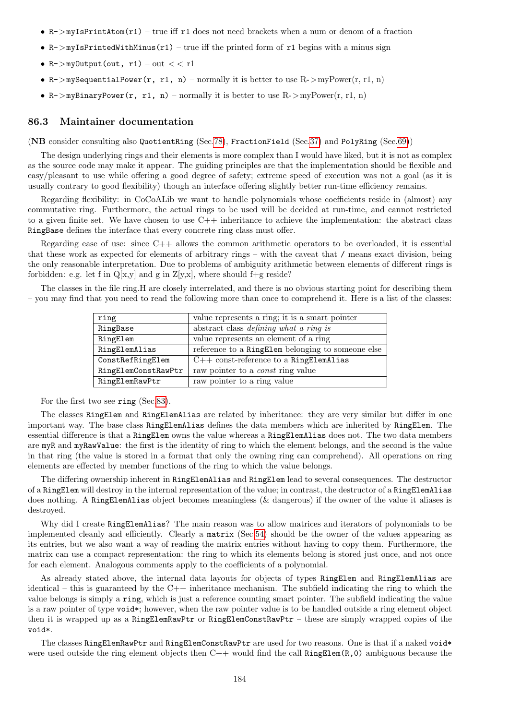- $R$ ->myIsPrintAtom(r1) true iff r1 does not need brackets when a num or denom of a fraction
- $R$ ->myIsPrintedWithMinus(r1) true iff the printed form of r1 begins with a minus sign
- R->myOutput(out,  $r1$ ) out  $<< r1$
- R->mySequentialPower(r, r1, n) normally it is better to use R->myPower(r, r1, n)
- R->myBinaryPower(r, r1, n) normally it is better to use  $R$ ->myPower(r, r1, n)

#### 86.3 Maintainer documentation

(NB consider consulting also QuotientRing (Sec[.78\)](#page-160-0), FractionField (Sec[.37\)](#page-77-0) and PolyRing (Sec[.69\)](#page-144-0))

The design underlying rings and their elements is more complex than I would have liked, but it is not as complex as the source code may make it appear. The guiding principles are that the implementation should be flexible and easy/pleasant to use while offering a good degree of safety; extreme speed of execution was not a goal (as it is usually contrary to good flexibility) though an interface offering slightly better run-time efficiency remains.

Regarding flexibility: in CoCoALib we want to handle polynomials whose coefficients reside in (almost) any commutative ring. Furthermore, the actual rings to be used will be decided at run-time, and cannot restricted to a given finite set. We have chosen to use  $C++$  inheritance to achieve the implementation: the abstract class RingBase defines the interface that every concrete ring class must offer.

Regarding ease of use: since C++ allows the common arithmetic operators to be overloaded, it is essential that these work as expected for elements of arbitrary rings – with the caveat that / means exact division, being the only reasonable interpretation. Due to problems of ambiguity arithmetic between elements of different rings is forbidden: e.g. let f in  $Q[x,y]$  and g in  $Z[y,x]$ , where should f+g reside?

The classes in the file ring.H are closely interrelated, and there is no obvious starting point for describing them – you may find that you need to read the following more than once to comprehend it. Here is a list of the classes:

| ring                | value represents a ring; it is a smart pointer    |
|---------------------|---------------------------------------------------|
| RingBase            | abstract class <i>defining what a ring is</i>     |
| RingElem            | value represents an element of a ring             |
| RingElemAlias       | reference to a RingElem belonging to someone else |
| ConstRefRingElem    | $C++$ const-reference to a RingElemAlias          |
| RingElemConstRawPtr | raw pointer to a <i>const</i> ring value          |
| RingElemRawPtr      | raw pointer to a ring value                       |

For the first two see ring (Sec[.83\)](#page-169-0).

The classes RingElem and RingElemAlias are related by inheritance: they are very similar but differ in one important way. The base class RingElemAlias defines the data members which are inherited by RingElem. The essential difference is that a RingElem owns the value whereas a RingElemAlias does not. The two data members are myR and myRawValue: the first is the identity of ring to which the element belongs, and the second is the value in that ring (the value is stored in a format that only the owning ring can comprehend). All operations on ring elements are effected by member functions of the ring to which the value belongs.

The differing ownership inherent in RingElemAlias and RingElem lead to several consequences. The destructor of a RingElem will destroy in the internal representation of the value; in contrast, the destructor of a RingElemAlias does nothing. A RingElemAlias object becomes meaningless (& dangerous) if the owner of the value it aliases is destroyed.

Why did I create RingElemAlias? The main reason was to allow matrices and iterators of polynomials to be implemented cleanly and efficiently. Clearly a matrix (Sec[.54\)](#page-107-0) should be the owner of the values appearing as its entries, but we also want a way of reading the matrix entries without having to copy them. Furthermore, the matrix can use a compact representation: the ring to which its elements belong is stored just once, and not once for each element. Analogous comments apply to the coefficients of a polynomial.

As already stated above, the internal data layouts for objects of types RingElem and RingElemAlias are identical – this is guaranteed by the  $C++$  inheritance mechanism. The subfield indicating the ring to which the value belongs is simply a ring, which is just a reference counting smart pointer. The subfield indicating the value is a raw pointer of type void\*; however, when the raw pointer value is to be handled outside a ring element object then it is wrapped up as a RingElemRawPtr or RingElemConstRawPtr – these are simply wrapped copies of the void\*.

The classes RingElemRawPtr and RingElemConstRawPtr are used for two reasons. One is that if a naked void\* were used outside the ring element objects then  $C++$  would find the call RingElem(R,0) ambiguous because the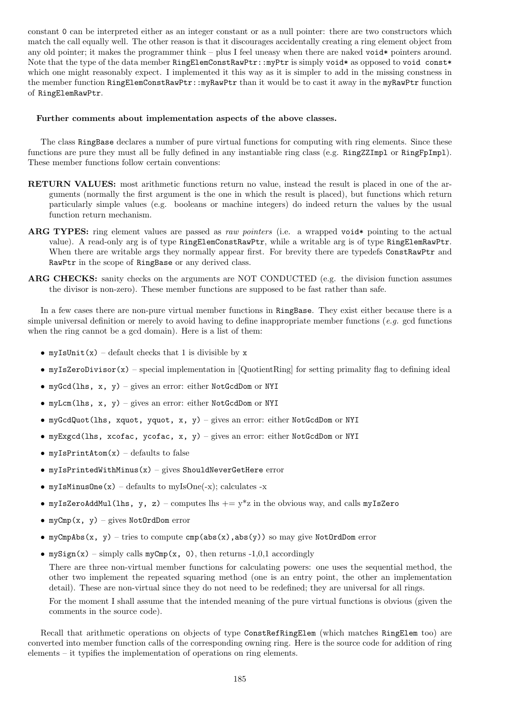constant 0 can be interpreted either as an integer constant or as a null pointer: there are two constructors which match the call equally well. The other reason is that it discourages accidentally creating a ring element object from any old pointer; it makes the programmer think – plus I feel uneasy when there are naked void\* pointers around. Note that the type of the data member RingElemConstRawPtr::myPtr is simply void\* as opposed to void const\* which one might reasonably expect. I implemented it this way as it is simpler to add in the missing constness in the member function RingElemConstRawPtr::myRawPtr than it would be to cast it away in the myRawPtr function of RingElemRawPtr.

#### Further comments about implementation aspects of the above classes.

The class RingBase declares a number of pure virtual functions for computing with ring elements. Since these functions are pure they must all be fully defined in any instantiable ring class (e.g. RingZZImpl or RingFpImpl). These member functions follow certain conventions:

- RETURN VALUES: most arithmetic functions return no value, instead the result is placed in one of the arguments (normally the first argument is the one in which the result is placed), but functions which return particularly simple values (e.g. booleans or machine integers) do indeed return the values by the usual function return mechanism.
- ARG TYPES: ring element values are passed as raw pointers (i.e. a wrapped void\* pointing to the actual value). A read-only arg is of type RingElemConstRawPtr, while a writable arg is of type RingElemRawPtr. When there are writable args they normally appear first. For brevity there are typedefs ConstRawPtr and RawPtr in the scope of RingBase or any derived class.
- ARG CHECKS: sanity checks on the arguments are NOT CONDUCTED (e.g. the division function assumes the divisor is non-zero). These member functions are supposed to be fast rather than safe.

In a few cases there are non-pure virtual member functions in RingBase. They exist either because there is a simple universal definition or merely to avoid having to define inappropriate member functions (e.g. gcd functions) when the ring cannot be a gcd domain). Here is a list of them:

- myIsUnit(x) default checks that 1 is divisible by  $x$
- myIsZeroDivisor(x) special implementation in [QuotientRing] for setting primality flag to defining ideal
- myGcd(lhs, x, y) gives an error: either NotGcdDom or NYI
- myLcm(lhs, x, y) gives an error: either NotGcdDom or NYI
- myGcdQuot(lhs, xquot, yquot, x, y) gives an error: either NotGcdDom or NYI
- myExgcd(lhs, xcofac, ycofac, x, y) gives an error: either NotGcdDom or NYI
- myIsPrintAtom $(x)$  defaults to false
- $myIsPrintedWithMinus(x) gives ShouldNeverGetHere error$
- myIsMinusOne $(x)$  defaults to myIsOne $(-x)$ ; calculates  $-x$
- myIsZeroAddMul(lhs, y, z) computes lhs  $+= y * z$  in the obvious way, and calls myIsZero
- myCmp $(x, y)$  gives NotOrdDom error
- myCmpAbs(x, y) tries to compute cmp(abs(x),abs(y)) so may give NotOrdDom error
- mySign(x) simply calls myCmp(x, 0), then returns -1,0,1 accordingly

There are three non-virtual member functions for calculating powers: one uses the sequential method, the other two implement the repeated squaring method (one is an entry point, the other an implementation detail). These are non-virtual since they do not need to be redefined; they are universal for all rings.

For the moment I shall assume that the intended meaning of the pure virtual functions is obvious (given the comments in the source code).

Recall that arithmetic operations on objects of type ConstRefRingElem (which matches RingElem too) are converted into member function calls of the corresponding owning ring. Here is the source code for addition of ring elements – it typifies the implementation of operations on ring elements.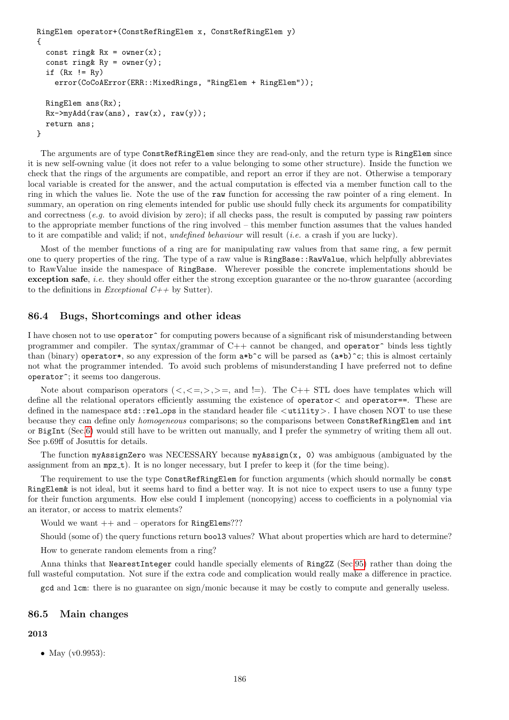```
RingElem operator+(ConstRefRingElem x, ConstRefRingElem y)
{
  const ring& Rx = owner(x);
  const ring& Rv = owner(v):
  if (Rx := Ry)error(CoCoAError(ERR::MixedRings, "RingElem + RingElem"));
  RingElem ans(Rx);
  Rx \rightarrow myAdd(raw(ans), raw(x), raw(y));return ans;
}
```
The arguments are of type ConstRefRingElem since they are read-only, and the return type is RingElem since it is new self-owning value (it does not refer to a value belonging to some other structure). Inside the function we check that the rings of the arguments are compatible, and report an error if they are not. Otherwise a temporary local variable is created for the answer, and the actual computation is effected via a member function call to the ring in which the values lie. Note the use of the raw function for accessing the raw pointer of a ring element. In summary, an operation on ring elements intended for public use should fully check its arguments for compatibility and correctness (e.g. to avoid division by zero); if all checks pass, the result is computed by passing raw pointers to the appropriate member functions of the ring involved – this member function assumes that the values handed to it are compatible and valid; if not, undefined behaviour will result (i.e. a crash if you are lucky).

Most of the member functions of a ring are for manipulating raw values from that same ring, a few permit one to query properties of the ring. The type of a raw value is RingBase::RawValue, which helpfully abbreviates to RawValue inside the namespace of RingBase. Wherever possible the concrete implementations should be exception safe, *i.e.* they should offer either the strong exception guarantee or the no-throw guarantee (according to the definitions in Exceptional  $C_{++}$  by Sutter).

#### 86.4 Bugs, Shortcomings and other ideas

I have chosen not to use operator<sup>5</sup> for computing powers because of a significant risk of misunderstanding between programmer and compiler. The syntax/grammar of C++ cannot be changed, and operator^ binds less tightly than (binary) operator\*, so any expression of the form  $a*b^c$  will be parsed as  $(a*b)^c$ ; this is almost certainly not what the programmer intended. To avoid such problems of misunderstanding I have preferred not to define operator^; it seems too dangerous.

Note about comparison operators  $(<, < =, >, > =$ , and !=). The C++ STL does have templates which will define all the relational operators efficiently assuming the existence of operator  $\lt$  and operator==. These are defined in the namespace  $std::rel\_ops$  in the standard header file  $\lt$ utility  $>$ . I have chosen NOT to use these because they can define only *homogeneous* comparisons; so the comparisons between ConstRefRingElem and int or BigInt (Sec[.6\)](#page-34-0) would still have to be written out manually, and I prefer the symmetry of writing them all out. See p.69ff of Josuttis for details.

The function myAssignZero was NECESSARY because myAssign(x, 0) was ambiguous (ambiguated by the assignment from an  $mpz_t$ ). It is no longer necessary, but I prefer to keep it (for the time being).

The requirement to use the type ConstRefRingElem for function arguments (which should normally be const RingElem& is not ideal, but it seems hard to find a better way. It is not nice to expect users to use a funny type for their function arguments. How else could I implement (noncopying) access to coefficients in a polynomial via an iterator, or access to matrix elements?

Would we want  $++$  and – operators for RingElems???

Should (some of) the query functions return bool3 values? What about properties which are hard to determine?

How to generate random elements from a ring?

Anna thinks that NearestInteger could handle specially elements of RingZZ (Sec[.95\)](#page-200-0) rather than doing the full wasteful computation. Not sure if the extra code and complication would really make a difference in practice.

gcd and lcm: there is no guarantee on sign/monic because it may be costly to compute and generally useless.

### 86.5 Main changes

## 2013

• May (v0.9953):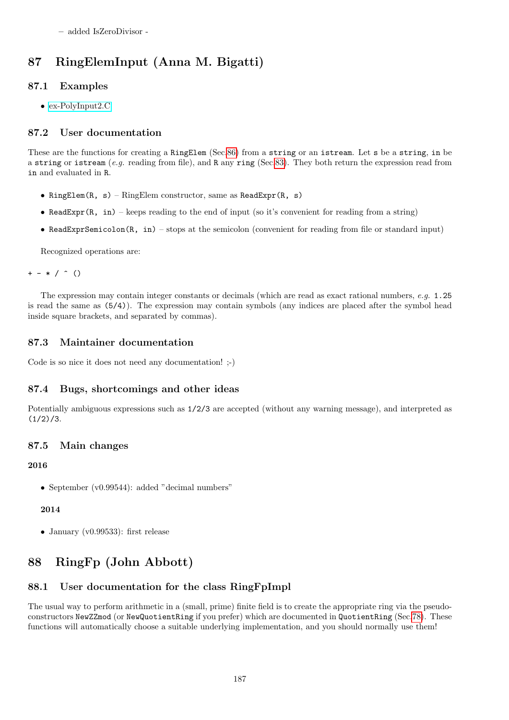– added IsZeroDivisor -

# 87 RingElemInput (Anna M. Bigatti)

# 87.1 Examples

• [ex-PolyInput2.C](../../examples/index.html#ex-PolyInput2.C)

# 87.2 User documentation

These are the functions for creating a RingElem (Sec[.86\)](#page-174-0) from a string or an istream. Let s be a string, in be a string or istream (e.g. reading from file), and R any ring (Sec[.83\)](#page-169-0). They both return the expression read from in and evaluated in R.

- RingElem(R, s) RingElem constructor, same as ReadExpr(R, s)
- ReadExpr(R, in) keeps reading to the end of input (so it's convenient for reading from a string)
- ReadExprSemicolon(R, in) stops at the semicolon (convenient for reading from file or standard input)

Recognized operations are:

 $+ - * /$  ()

The expression may contain integer constants or decimals (which are read as exact rational numbers, e.g. 1.25 is read the same as (5/4)). The expression may contain symbols (any indices are placed after the symbol head inside square brackets, and separated by commas).

# 87.3 Maintainer documentation

Code is so nice it does not need any documentation! ;-)

# 87.4 Bugs, shortcomings and other ideas

Potentially ambiguous expressions such as 1/2/3 are accepted (without any warning message), and interpreted as  $(1/2)/3$ .

# 87.5 Main changes

## 2016

• September (v0.99544): added "decimal numbers"

## 2014

• January (v0.99533): first release

# <span id="page-186-0"></span>88 RingFp (John Abbott)

# 88.1 User documentation for the class RingFpImpl

The usual way to perform arithmetic in a (small, prime) finite field is to create the appropriate ring via the pseudoconstructors NewZZmod (or NewQuotientRing if you prefer) which are documented in QuotientRing (Sec[.78\)](#page-160-0). These functions will automatically choose a suitable underlying implementation, and you should normally use them!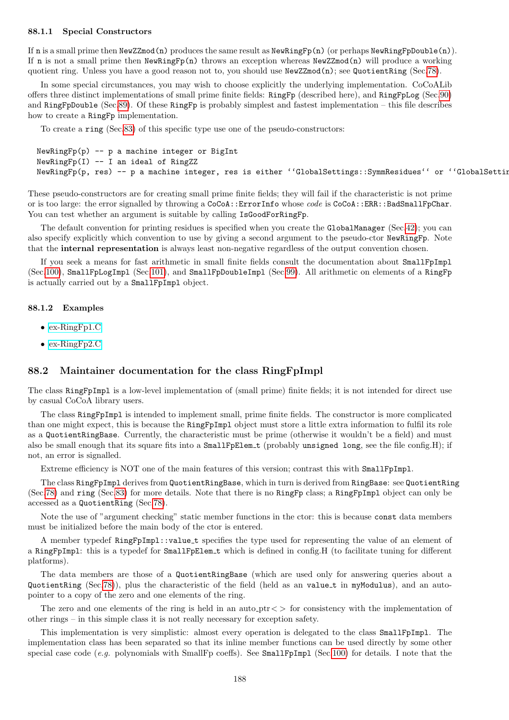#### 88.1.1 Special Constructors

If n is a small prime then NewZZmod(n) produces the same result as NewRingFp(n) (or perhaps NewRingFpDouble(n)). If n is not a small prime then NewRingFp(n) throws an exception whereas NewZZmod(n) will produce a working quotient ring. Unless you have a good reason not to, you should use  $\text{NewZZmod}(n)$ ; see QuotientRing (Sec[.78\)](#page-160-0).

In some special circumstances, you may wish to choose explicitly the underlying implementation. CoCoALib offers three distinct implementations of small prime finite fields: RingFp (described here), and RingFpLog (Sec[.90\)](#page-189-0) and RingFpDouble (Sec[.89\)](#page-188-0). Of these RingFp is probably simplest and fastest implementation – this file describes how to create a RingFp implementation.

To create a ring (Sec[.83\)](#page-169-0) of this specific type use one of the pseudo-constructors:

```
NewRingFp(p) -- p a machine integer or BigInt
NewRingFp(I) -- I an ideal of RingZZ
NewRingFp(p, res) -- p a machine integer, res is either ''GlobalSettings::SymmResidues'' or ''GlobalSettin
```
These pseudo-constructors are for creating small prime finite fields; they will fail if the characteristic is not prime or is too large: the error signalled by throwing a CoCoA::ErrorInfo whose code is CoCoA::ERR::BadSmallFpChar. You can test whether an argument is suitable by calling IsGoodForRingFp.

The default convention for printing residues is specified when you create the GlobalManager (Sec[.42\)](#page-85-0); you can also specify explicitly which convention to use by giving a second argument to the pseudo-ctor NewRingFp. Note that the internal representation is always least non-negative regardless of the output convention chosen.

If you seek a means for fast arithmetic in small finite fields consult the documentation about SmallFpImpl (Sec[.100\)](#page-206-0), SmallFpLogImpl (Sec[.101\)](#page-208-0), and SmallFpDoubleImpl (Sec[.99\)](#page-205-0). All arithmetic on elements of a RingFp is actually carried out by a SmallFpImpl object.

#### 88.1.2 Examples

- [ex-RingFp1.C](../../examples/index.html#ex-RingFp1.C)
- [ex-RingFp2.C](../../examples/index.html#ex-RingFp2.C)

## 88.2 Maintainer documentation for the class RingFpImpl

The class RingFpImpl is a low-level implementation of (small prime) finite fields; it is not intended for direct use by casual CoCoA library users.

The class RingFpImpl is intended to implement small, prime finite fields. The constructor is more complicated than one might expect, this is because the RingFpImpl object must store a little extra information to fulfil its role as a QuotientRingBase. Currently, the characteristic must be prime (otherwise it wouldn't be a field) and must also be small enough that its square fits into a SmallFpElem<sub>-t</sub> (probably unsigned long, see the file config.H); if not, an error is signalled.

Extreme efficiency is NOT one of the main features of this version; contrast this with SmallFpImpl.

The class RingFpImpl derives from QuotientRingBase, which in turn is derived from RingBase: see QuotientRing (Sec[.78\)](#page-160-0) and ring (Sec[.83\)](#page-169-0) for more details. Note that there is no RingFp class; a RingFpImpl object can only be accessed as a QuotientRing (Sec[.78\)](#page-160-0).

Note the use of "argument checking" static member functions in the ctor: this is because const data members must be initialized before the main body of the ctor is entered.

A member typedef RingFpImpl::value t specifies the type used for representing the value of an element of a RingFpImpl: this is a typedef for SmallFpElem\_t which is defined in config.H (to facilitate tuning for different platforms).

The data members are those of a QuotientRingBase (which are used only for answering queries about a QuotientRing (Sec[.78\)](#page-160-0)), plus the characteristic of the field (held as an value t in myModulus), and an autopointer to a copy of the zero and one elements of the ring.

The zero and one elements of the ring is held in an auto<sub>-ptr</sub>  $\epsilon$  for consistency with the implementation of other rings – in this simple class it is not really necessary for exception safety.

This implementation is very simplistic: almost every operation is delegated to the class SmallFpImpl. The implementation class has been separated so that its inline member functions can be used directly by some other special case code (e.g. polynomials with SmallFp coeffs). See SmallFpImpl (Sec[.100\)](#page-206-0) for details. I note that the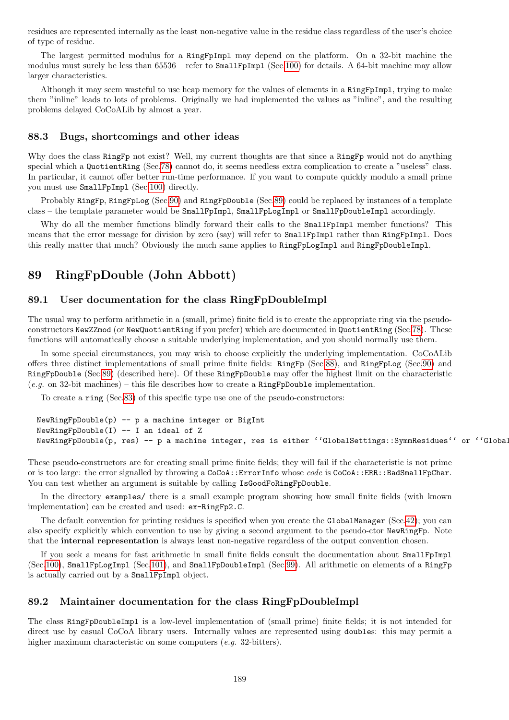residues are represented internally as the least non-negative value in the residue class regardless of the user's choice of type of residue.

The largest permitted modulus for a RingFpImpl may depend on the platform. On a 32-bit machine the modulus must surely be less than 65536 – refer to SmallFpImpl (Sec[.100\)](#page-206-0) for details. A 64-bit machine may allow larger characteristics.

Although it may seem wasteful to use heap memory for the values of elements in a RingFpImpl, trying to make them "inline" leads to lots of problems. Originally we had implemented the values as "inline", and the resulting problems delayed CoCoALib by almost a year.

#### 88.3 Bugs, shortcomings and other ideas

Why does the class RingFp not exist? Well, my current thoughts are that since a RingFp would not do anything special which a QuotientRing (Sec[.78\)](#page-160-0) cannot do, it seems needless extra complication to create a "useless" class. In particular, it cannot offer better run-time performance. If you want to compute quickly modulo a small prime you must use SmallFpImpl (Sec[.100\)](#page-206-0) directly.

Probably RingFp, RingFpLog (Sec[.90\)](#page-189-0) and RingFpDouble (Sec[.89\)](#page-188-0) could be replaced by instances of a template class – the template parameter would be SmallFpImpl, SmallFpLogImpl or SmallFpDoubleImpl accordingly.

Why do all the member functions blindly forward their calls to the **SmallFpImpl** member functions? This means that the error message for division by zero (say) will refer to SmallFpImpl rather than RingFpImpl. Does this really matter that much? Obviously the much same applies to RingFpLogImpl and RingFpDoubleImpl.

# <span id="page-188-0"></span>89 RingFpDouble (John Abbott)

## 89.1 User documentation for the class RingFpDoubleImpl

The usual way to perform arithmetic in a (small, prime) finite field is to create the appropriate ring via the pseudoconstructors NewZZmod (or NewQuotientRing if you prefer) which are documented in QuotientRing (Sec[.78\)](#page-160-0). These functions will automatically choose a suitable underlying implementation, and you should normally use them.

In some special circumstances, you may wish to choose explicitly the underlying implementation. CoCoALib offers three distinct implementations of small prime finite fields: RingFp (Sec[.88\)](#page-186-0), and RingFpLog (Sec[.90\)](#page-189-0) and RingFpDouble (Sec[.89\)](#page-188-0) (described here). Of these RingFpDouble may offer the highest limit on the characteristic  $(e.g. \text{ on } 32\text{-bit machines}) - \text{this file describes how to create a RingFpDouble implementation.}$ 

To create a ring (Sec[.83\)](#page-169-0) of this specific type use one of the pseudo-constructors:

```
NewRingFpDouble(p) -- p a machine integer or BigIntNewRingFpDouble(I) -- I an ideal of Z
NewRingFpDouble(p, res) -- p a machine integer, res is either ''GlobalSettings::SymmResidues'' or ''Global
```
These pseudo-constructors are for creating small prime finite fields; they will fail if the characteristic is not prime or is too large: the error signalled by throwing a CoCoA::ErrorInfo whose code is CoCoA::ERR::BadSmallFpChar. You can test whether an argument is suitable by calling IsGoodFoRingFpDouble.

In the directory examples/ there is a small example program showing how small finite fields (with known implementation) can be created and used: ex-RingFp2.C.

The default convention for printing residues is specified when you create the GlobalManager (Sec[.42\)](#page-85-0); you can also specify explicitly which convention to use by giving a second argument to the pseudo-ctor NewRingFp. Note that the internal representation is always least non-negative regardless of the output convention chosen.

If you seek a means for fast arithmetic in small finite fields consult the documentation about SmallFpImpl (Sec[.100\)](#page-206-0), SmallFpLogImpl (Sec[.101\)](#page-208-0), and SmallFpDoubleImpl (Sec[.99\)](#page-205-0). All arithmetic on elements of a RingFp is actually carried out by a SmallFpImpl object.

## 89.2 Maintainer documentation for the class RingFpDoubleImpl

The class RingFpDoubleImpl is a low-level implementation of (small prime) finite fields; it is not intended for direct use by casual CoCoA library users. Internally values are represented using doubles: this may permit a higher maximum characteristic on some computers (e.g. 32-bitters).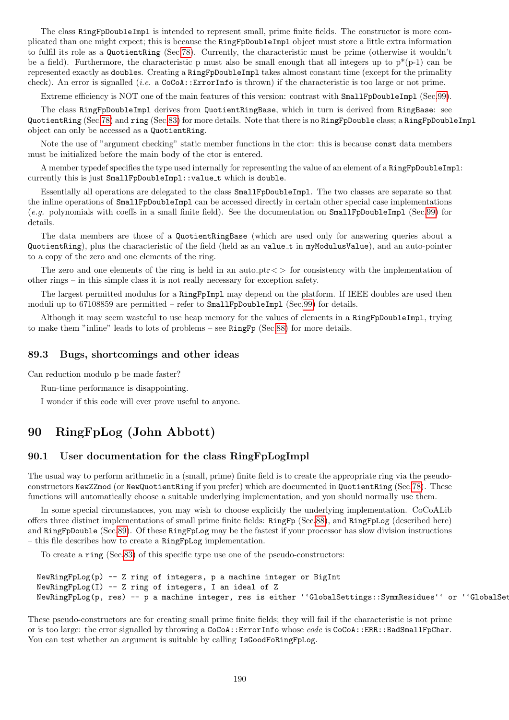The class RingFpDoubleImpl is intended to represent small, prime finite fields. The constructor is more complicated than one might expect; this is because the RingFpDoubleImpl object must store a little extra information to fulfil its role as a QuotientRing (Sec[.78\)](#page-160-0). Currently, the characteristic must be prime (otherwise it wouldn't be a field). Furthermore, the characteristic p must also be small enough that all integers up to  $p^*(p-1)$  can be represented exactly as doubles. Creating a RingFpDoubleImpl takes almost constant time (except for the primality check). An error is signalled (i.e. a CoCoA::ErrorInfo is thrown) if the characteristic is too large or not prime.

Extreme efficiency is NOT one of the main features of this version: contrast with SmallFpDoubleImpl (Sec[.99\)](#page-205-0).

The class RingFpDoubleImpl derives from QuotientRingBase, which in turn is derived from RingBase: see QuotientRing (Sec[.78\)](#page-160-0) and ring (Sec[.83\)](#page-169-0) for more details. Note that there is no RingFpDouble class; a RingFpDoubleImpl object can only be accessed as a QuotientRing.

Note the use of "argument checking" static member functions in the ctor: this is because const data members must be initialized before the main body of the ctor is entered.

A member typedef specifies the type used internally for representing the value of an element of a RingFpDoubleImpl: currently this is just SmallFpDoubleImpl::value t which is double.

Essentially all operations are delegated to the class SmallFpDoubleImpl. The two classes are separate so that the inline operations of SmallFpDoubleImpl can be accessed directly in certain other special case implementations (e.g. polynomials with coeffs in a small finite field). See the documentation on SmallFpDoubleImpl (Sec[.99\)](#page-205-0) for details.

The data members are those of a QuotientRingBase (which are used only for answering queries about a QuotientRing), plus the characteristic of the field (held as an value t in myModulusValue), and an auto-pointer to a copy of the zero and one elements of the ring.

The zero and one elements of the ring is held in an auto- $ptr <$  for consistency with the implementation of other rings – in this simple class it is not really necessary for exception safety.

The largest permitted modulus for a RingFpImpl may depend on the platform. If IEEE doubles are used then moduli up to 67108859 are permitted – refer to SmallFpDoubleImpl (Sec[.99\)](#page-205-0) for details.

Although it may seem wasteful to use heap memory for the values of elements in a RingFpDoubleImpl, trying to make them "inline" leads to lots of problems – see RingFp (Sec[.88\)](#page-186-0) for more details.

#### 89.3 Bugs, shortcomings and other ideas

Can reduction modulo p be made faster?

Run-time performance is disappointing.

I wonder if this code will ever prove useful to anyone.

# <span id="page-189-0"></span>90 RingFpLog (John Abbott)

## 90.1 User documentation for the class RingFpLogImpl

The usual way to perform arithmetic in a (small, prime) finite field is to create the appropriate ring via the pseudoconstructors NewZZmod (or NewQuotientRing if you prefer) which are documented in QuotientRing (Sec[.78\)](#page-160-0). These functions will automatically choose a suitable underlying implementation, and you should normally use them.

In some special circumstances, you may wish to choose explicitly the underlying implementation. CoCoALib offers three distinct implementations of small prime finite fields: RingFp (Sec[.88\)](#page-186-0), and RingFpLog (described here) and RingFpDouble (Sec[.89\)](#page-188-0). Of these RingFpLog may be the fastest if your processor has slow division instructions – this file describes how to create a RingFpLog implementation.

To create a ring (Sec[.83\)](#page-169-0) of this specific type use one of the pseudo-constructors:

```
NewRingFpLog(p) -- Z ring of integers, p a machine integer or BigInt
NewRingFpLog(I) -- Z ring of integers, I an ideal of Z
NewRingFpLog(p, res) -- p a machine integer, res is either ''GlobalSettings::SymmResidues'' or ''GlobalSet
```
These pseudo-constructors are for creating small prime finite fields; they will fail if the characteristic is not prime or is too large: the error signalled by throwing a CoCoA::ErrorInfo whose code is CoCoA::ERR::BadSmallFpChar. You can test whether an argument is suitable by calling IsGoodFoRingFpLog.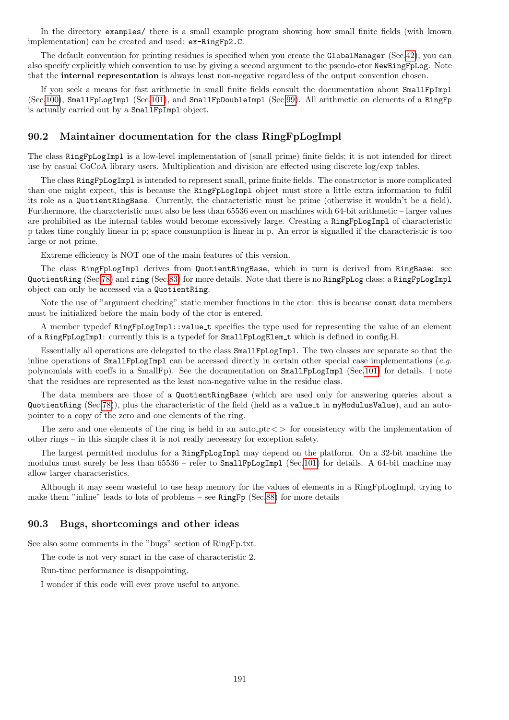In the directory examples/ there is a small example program showing how small finite fields (with known implementation) can be created and used: ex-RingFp2.C.

The default convention for printing residues is specified when you create the GlobalManager (Sec[.42\)](#page-85-0); you can also specify explicitly which convention to use by giving a second argument to the pseudo-ctor NewRingFpLog. Note that the internal representation is always least non-negative regardless of the output convention chosen.

If you seek a means for fast arithmetic in small finite fields consult the documentation about SmallFpImpl (Sec[.100\)](#page-206-0), SmallFpLogImpl (Sec[.101\)](#page-208-0), and SmallFpDoubleImpl (Sec[.99\)](#page-205-0). All arithmetic on elements of a RingFp is actually carried out by a SmallFpImpl object.

### 90.2 Maintainer documentation for the class RingFpLogImpl

The class RingFpLogImpl is a low-level implementation of (small prime) finite fields; it is not intended for direct use by casual CoCoA library users. Multiplication and division are effected using discrete log/exp tables.

The class RingFpLogImpl is intended to represent small, prime finite fields. The constructor is more complicated than one might expect, this is because the RingFpLogImpl object must store a little extra information to fulfil its role as a QuotientRingBase. Currently, the characteristic must be prime (otherwise it wouldn't be a field). Furthermore, the characteristic must also be less than 65536 even on machines with 64-bit arithmetic – larger values are prohibited as the internal tables would become excessively large. Creating a RingFpLogImpl of characteristic p takes time roughly linear in p; space consumption is linear in p. An error is signalled if the characteristic is too large or not prime.

Extreme efficiency is NOT one of the main features of this version.

The class RingFpLogImpl derives from QuotientRingBase, which in turn is derived from RingBase: see QuotientRing (Sec[.78\)](#page-160-0) and ring (Sec[.83\)](#page-169-0) for more details. Note that there is no RingFpLog class; a RingFpLogImpl object can only be accessed via a QuotientRing.

Note the use of "argument checking" static member functions in the ctor: this is because const data members must be initialized before the main body of the ctor is entered.

A member typedef RingFpLogImpl::value t specifies the type used for representing the value of an element of a RingFpLogImpl: currently this is a typedef for SmallFpLogElem t which is defined in config.H.

Essentially all operations are delegated to the class SmallFpLogImpl. The two classes are separate so that the inline operations of SmallFpLogImpl can be accessed directly in certain other special case implementations (e.g. polynomials with coeffs in a SmallFp). See the documentation on SmallFpLogImpl (Sec[.101\)](#page-208-0) for details. I note that the residues are represented as the least non-negative value in the residue class.

The data members are those of a QuotientRingBase (which are used only for answering queries about a QuotientRing (Sec[.78\)](#page-160-0)), plus the characteristic of the field (held as a value t in myModulusValue), and an autopointer to a copy of the zero and one elements of the ring.

The zero and one elements of the ring is held in an auto  $ptr <$  for consistency with the implementation of other rings – in this simple class it is not really necessary for exception safety.

The largest permitted modulus for a RingFpLogImpl may depend on the platform. On a 32-bit machine the modulus must surely be less than 65536 – refer to SmallFpLogImpl (Sec[.101\)](#page-208-0) for details. A 64-bit machine may allow larger characteristics.

Although it may seem wasteful to use heap memory for the values of elements in a RingFpLogImpl, trying to make them "inline" leads to lots of problems – see RingFp (Sec[.88\)](#page-186-0) for more details

## 90.3 Bugs, shortcomings and other ideas

See also some comments in the "bugs" section of RingFp.txt.

The code is not very smart in the case of characteristic 2.

Run-time performance is disappointing.

I wonder if this code will ever prove useful to anyone.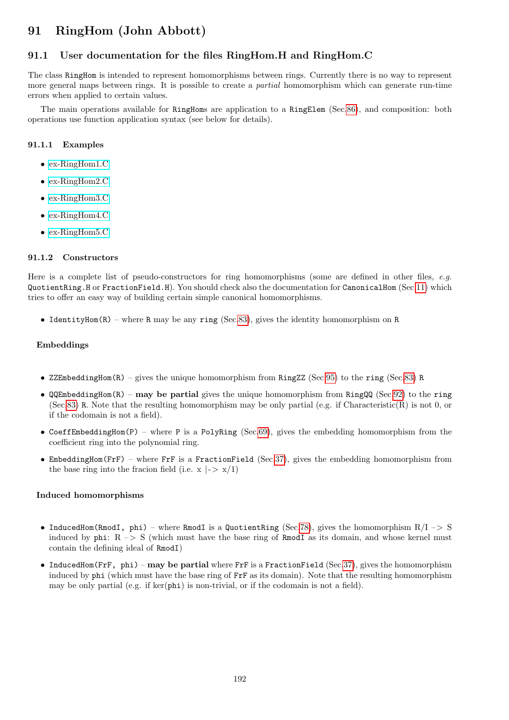# 91 RingHom (John Abbott)

# 91.1 User documentation for the files RingHom.H and RingHom.C

The class RingHom is intended to represent homomorphisms between rings. Currently there is no way to represent more general maps between rings. It is possible to create a partial homomorphism which can generate run-time errors when applied to certain values.

The main operations available for RingHoms are application to a RingElem (Sec[.86\)](#page-174-0), and composition: both operations use function application syntax (see below for details).

#### 91.1.1 Examples

- [ex-RingHom1.C](../../examples/index.html#ex-RingHom1.C)
- [ex-RingHom2.C](../../examples/index.html#ex-RingHom2.C)
- [ex-RingHom3.C](../../examples/index.html#ex-RingHom3.C)
- [ex-RingHom4.C](../../examples/index.html#ex-RingHom4.C)
- [ex-RingHom5.C](../../examples/index.html#ex-RingHom5.C)

#### 91.1.2 Constructors

Here is a complete list of pseudo-constructors for ring homomorphisms (some are defined in other files, e.g. QuotientRing.H or FractionField.H). You should check also the documentation for CanonicalHom (Sec[.11\)](#page-44-0) which tries to offer an easy way of building certain simple canonical homomorphisms.

• IdentityHom(R) – where R may be any ring (Sec[.83\)](#page-169-0), gives the identity homomorphism on R

#### Embeddings

- ZZEmbeddingHom(R) gives the unique homomorphism from RingZZ (Sec[.95\)](#page-200-0) to the ring (Sec[.83\)](#page-169-0) R
- $\mathbb{Q}$ QEmbeddingHom(R) may be partial gives the unique homomorphism from RingQQ (Sec[.92\)](#page-195-0) to the ring (Sec[.83\)](#page-169-0) R. Note that the resulting homomorphism may be only partial (e.g. if Characteristic(R) is not 0, or if the codomain is not a field).
- CoeffEmbeddingHom(P) where P is a PolyRing (Sec[.69\)](#page-144-0), gives the embedding homomorphism from the coefficient ring into the polynomial ring.
- EmbeddingHom(FrF) where FrF is a FractionField (Sec[.37\)](#page-77-0), gives the embedding homomorphism from the base ring into the fracion field (i.e.  $x \mid -\frac{1}{x}$ )

#### Induced homomorphisms

- InducedHom(RmodI, phi) where RmodI is a QuotientRing (Sec[.78\)](#page-160-0), gives the homomorphism  $R/I \rightarrow S$ induced by  $phi: R \rightarrow S$  (which must have the base ring of RmodI as its domain, and whose kernel must contain the defining ideal of RmodI)
- InducedHom(FrF, phi) may be partial where FrF is a FractionField (Sec[.37\)](#page-77-0), gives the homomorphism induced by phi (which must have the base ring of FrF as its domain). Note that the resulting homomorphism may be only partial (e.g. if  $ker(\text{phi})$  is non-trivial, or if the codomain is not a field).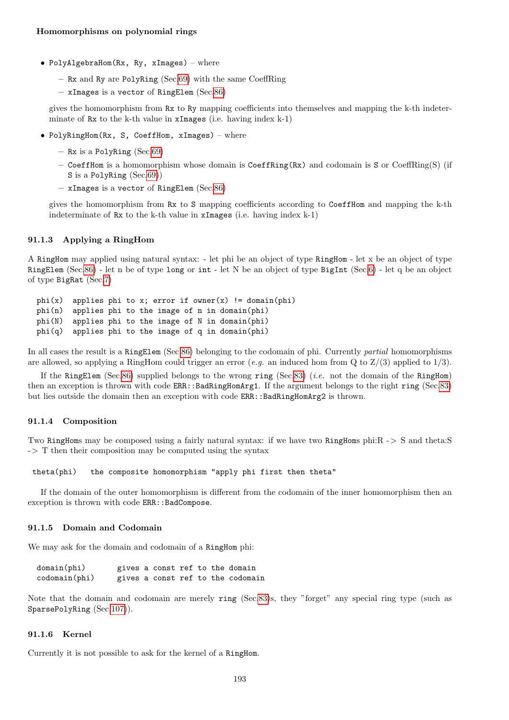- PolyAlgebraHom( $Rx$ ,  $Ry$ , xImages) where
	- Rx and Ry are PolyRing (Sec[.69\)](#page-144-0) with the same CoeffRing
	- xImages is a vector of RingElem (Sec[.86\)](#page-174-0)

gives the homomorphism from Rx to Ry mapping coefficients into themselves and mapping the k-th indeterminate of Rx to the k-th value in xImages (i.e. having index k-1)

- PolyRingHom(Rx, S, CoeffHom, xImages) where
	- Rx is a PolyRing (Sec[.69\)](#page-144-0)
	- CoeffHom is a homomorphism whose domain is CoeffRing(Rx) and codomain is S or CoeffRing(S) (if S is a PolyRing (Sec[.69\)](#page-144-0))
	- xImages is a vector of RingElem (Sec[.86\)](#page-174-0)

gives the homomorphism from Rx to S mapping coefficients according to CoeffHom and mapping the k-th indeterminate of Rx to the k-th value in xImages (i.e. having index k-1)

### 91.1.3 Applying a RingHom

A RingHom may applied using natural syntax: - let phi be an object of type RingHom - let x be an object of type RingElem (Sec[.86\)](#page-174-0) - let n be of type long or int - let N be an object of type BigInt (Sec[.6\)](#page-34-0) - let q be an object of type BigRat (Sec[.7\)](#page-36-0)

phi(x) applies phi to x; error if owner(x) != domain(phi) phi(n) applies phi to the image of n in domain(phi) phi(N) applies phi to the image of N in domain(phi) phi(q) applies phi to the image of q in domain(phi)

In all cases the result is a RingElem (Sec[.86\)](#page-174-0) belonging to the codomain of phi. Currently *partial* homomorphisms are allowed, so applying a RingHom could trigger an error (e.g. an induced hom from Q to  $Z/(3)$  applied to 1/3).

If the RingElem (Sec[.86\)](#page-174-0) supplied belongs to the wrong ring (Sec[.83\)](#page-169-0) (*i.e.* not the domain of the RingHom) then an exception is thrown with code ERR::BadRingHomArg1. If the argument belongs to the right ring (Sec[.83\)](#page-169-0) but lies outside the domain then an exception with code ERR::BadRingHomArg2 is thrown.

#### 91.1.4 Composition

Two RingHoms may be composed using a fairly natural syntax: if we have two RingHoms phi:R -> S and theta:S  $\Rightarrow$  T then their composition may be computed using the syntax

theta(phi) the composite homomorphism "apply phi first then theta"

If the domain of the outer homomorphism is different from the codomain of the inner homomorphism then an exception is thrown with code ERR:: BadCompose.

#### 91.1.5 Domain and Codomain

We may ask for the domain and codomain of a RingHom phi:

| $domain(\phi h i)$   |  |  |  | gives a const ref to the domain   |
|----------------------|--|--|--|-----------------------------------|
| $codomain(\phi h i)$ |  |  |  | gives a const ref to the codomain |

Note that the domain and codomain are merely ring (Sec[.83\)](#page-169-0)s, they "forget" any special ring type (such as SparsePolyRing (Sec[.107\)](#page-214-0)).

#### 91.1.6 Kernel

Currently it is not possible to ask for the kernel of a RingHom.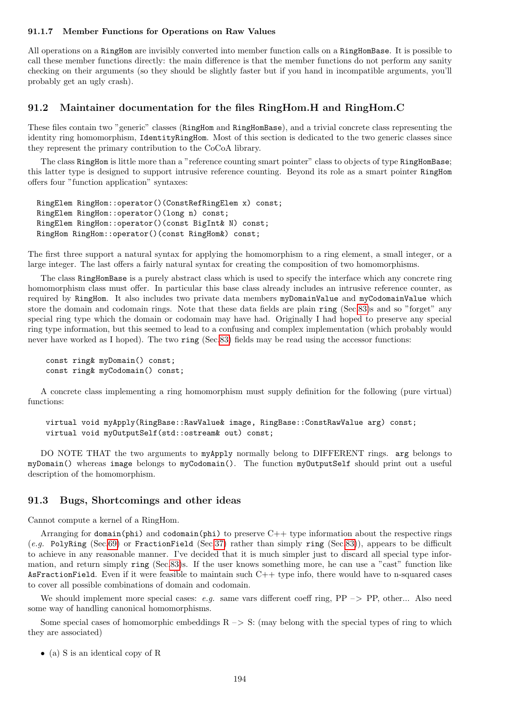#### 91.1.7 Member Functions for Operations on Raw Values

All operations on a RingHom are invisibly converted into member function calls on a RingHomBase. It is possible to call these member functions directly: the main difference is that the member functions do not perform any sanity checking on their arguments (so they should be slightly faster but if you hand in incompatible arguments, you'll probably get an ugly crash).

## 91.2 Maintainer documentation for the files RingHom.H and RingHom.C

These files contain two "generic" classes (RingHom and RingHomBase), and a trivial concrete class representing the identity ring homomorphism, IdentityRingHom. Most of this section is dedicated to the two generic classes since they represent the primary contribution to the CoCoA library.

The class RingHom is little more than a "reference counting smart pointer" class to objects of type RingHomBase; this latter type is designed to support intrusive reference counting. Beyond its role as a smart pointer RingHom offers four "function application" syntaxes:

RingElem RingHom::operator()(ConstRefRingElem x) const; RingElem RingHom::operator()(long n) const; RingElem RingHom::operator()(const BigInt& N) const; RingHom RingHom::operator()(const RingHom&) const;

The first three support a natural syntax for applying the homomorphism to a ring element, a small integer, or a large integer. The last offers a fairly natural syntax for creating the composition of two homomorphisms.

The class RingHomBase is a purely abstract class which is used to specify the interface which any concrete ring homomorphism class must offer. In particular this base class already includes an intrusive reference counter, as required by RingHom. It also includes two private data members myDomainValue and myCodomainValue which store the domain and codomain rings. Note that these data fields are plain ring (Sec[.83\)](#page-169-0)s and so "forget" any special ring type which the domain or codomain may have had. Originally I had hoped to preserve any special ring type information, but this seemed to lead to a confusing and complex implementation (which probably would never have worked as I hoped). The two ring (Sec[.83\)](#page-169-0) fields may be read using the accessor functions:

const ring& myDomain() const; const ring& myCodomain() const;

A concrete class implementing a ring homomorphism must supply definition for the following (pure virtual) functions:

virtual void myApply(RingBase::RawValue& image, RingBase::ConstRawValue arg) const; virtual void myOutputSelf(std::ostream& out) const;

DO NOTE THAT the two arguments to myApply normally belong to DIFFERENT rings. arg belongs to myDomain() whereas image belongs to myCodomain(). The function myOutputSelf should print out a useful description of the homomorphism.

## 91.3 Bugs, Shortcomings and other ideas

Cannot compute a kernel of a RingHom.

Arranging for domain(phi) and codomain(phi) to preserve  $C++$  type information about the respective rings (e.g. PolyRing (Sec[.69\)](#page-144-0) or FractionField (Sec[.37\)](#page-77-0) rather than simply ring (Sec[.83\)](#page-169-0)), appears to be difficult to achieve in any reasonable manner. I've decided that it is much simpler just to discard all special type information, and return simply ring (Sec[.83\)](#page-169-0)s. If the user knows something more, he can use a "cast" function like AsFractionField. Even if it were feasible to maintain such C++ type info, there would have to n-squared cases to cover all possible combinations of domain and codomain.

We should implement more special cases: e.g. same vars different coeff ring,  $PP \rightarrow PP$ , other... Also need some way of handling canonical homomorphisms.

Some special cases of homomorphic embeddings  $R \rightarrow S$ : (may belong with the special types of ring to which they are associated)

• (a) S is an identical copy of R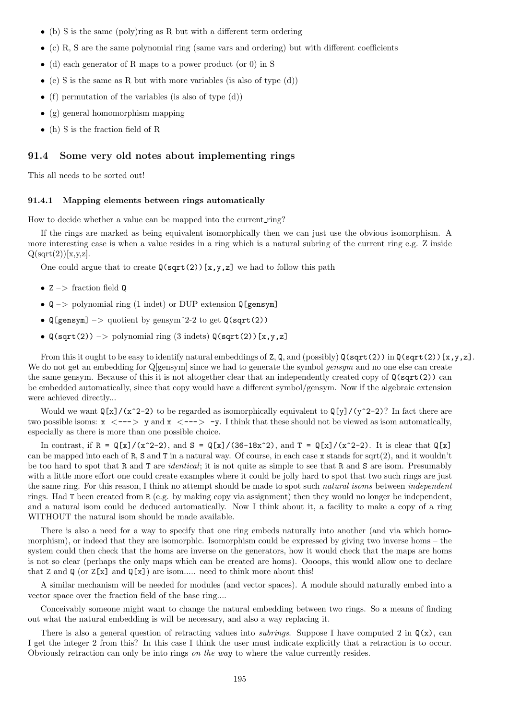- (b) S is the same (poly)ring as R but with a different term ordering
- $\bullet$  (c) R, S are the same polynomial ring (same vars and ordering) but with different coefficients
- (d) each generator of R maps to a power product (or 0) in S
- (e) S is the same as R but with more variables (is also of type  $(d)$ )
- (f) permutation of the variables (is also of type  $(d)$ )
- (g) general homomorphism mapping
- (h) S is the fraction field of R

#### 91.4 Some very old notes about implementing rings

This all needs to be sorted out!

#### 91.4.1 Mapping elements between rings automatically

How to decide whether a value can be mapped into the current ring?

If the rings are marked as being equivalent isomorphically then we can just use the obvious isomorphism. A more interesting case is when a value resides in a ring which is a natural subring of the current ring e.g. Z inside  $Q(sqrt(2))[x,y,z].$ 

One could argue that to create  $\mathbb{Q}(\sqrt{\sqrt{2}})[x,y,z]$  we had to follow this path

- $Z \rightarrow$  fraction field Q
- $Q \rightarrow$  polynomial ring (1 indet) or DUP extension  $Q$ [gensym]
- $\mathbb{Q}[\text{gensym}]$  –> quotient by gensym<sup>2</sup>-2 to get  $\mathbb{Q}(\text{sqrt}(2))$
- $\mathbb{Q}(\text{sqrt}(2)) \rightarrow \text{polynomial ring } (3 \text{ indets}) \mathbb{Q}(\text{sqrt}(2)) [x, y, z]$

From this it ought to be easy to identify natural embeddings of Z, Q, and (possibly)  $Q(sqrt(2))$  in  $Q(sqrt(2))$ [x,y,z]. We do not get an embedding for Q[gensym] since we had to generate the symbol gensym and no one else can create the same gensym. Because of this it is not altogether clear that an independently created copy of Q(sqrt(2)) can be embedded automatically, since that copy would have a different symbol/gensym. Now if the algebraic extension were achieved directly...

Would we want  $\mathbb{Q}[x]/(x^2-2)$  to be regarded as isomorphically equivalent to  $\mathbb{Q}[y]/(y^2-2)$ ? In fact there are two possible isoms:  $x < - - \rightarrow y$  and  $x < - - \rightarrow -y$ . I think that these should not be viewed as isom automatically, especially as there is more than one possible choice.

In contrast, if  $R = \frac{Q[x]}{(x^2-2)}$ , and  $S = \frac{Q[x]}{(36-18x^2)}$ , and  $T = \frac{Q[x]}{(x^2-2)}$ . It is clear that  $Q[x]$ can be mapped into each of R, S and T in a natural way. Of course, in each case x stands for sqrt(2), and it wouldn't be too hard to spot that R and T are identical; it is not quite as simple to see that R and S are isom. Presumably with a little more effort one could create examples where it could be jolly hard to spot that two such rings are just the same ring. For this reason, I think no attempt should be made to spot such *natural isoms* between *independent* rings. Had T been created from R (e.g. by making copy via assignment) then they would no longer be independent, and a natural isom could be deduced automatically. Now I think about it, a facility to make a copy of a ring WITHOUT the natural isom should be made available.

There is also a need for a way to specify that one ring embeds naturally into another (and via which homomorphism), or indeed that they are isomorphic. Isomorphism could be expressed by giving two inverse homs – the system could then check that the homs are inverse on the generators, how it would check that the maps are homs is not so clear (perhaps the only maps which can be created are homs). Oooops, this would allow one to declare that Z and  $\mathbb{Q}$  (or  $Z[x]$  and  $\mathbb{Q}[x]$ ) are isom..... need to think more about this!

A similar mechanism will be needed for modules (and vector spaces). A module should naturally embed into a vector space over the fraction field of the base ring....

Conceivably someone might want to change the natural embedding between two rings. So a means of finding out what the natural embedding is will be necessary, and also a way replacing it.

There is also a general question of retracting values into *subrings*. Suppose I have computed 2 in  $\mathbb{Q}(x)$ , can I get the integer 2 from this? In this case I think the user must indicate explicitly that a retraction is to occur. Obviously retraction can only be into rings on the way to where the value currently resides.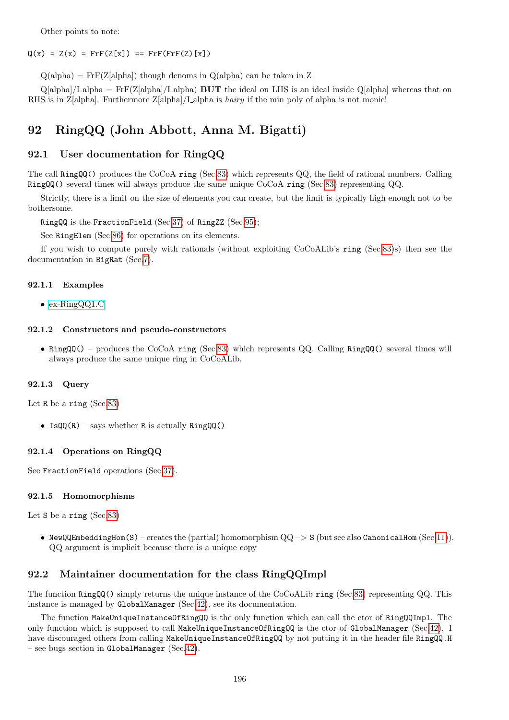Other points to note:

#### $Q(x) = Z(x) = FrF(Z[x]) == FrF(FrF(Z)[x])$

 $Q(\text{alpha}) = \text{Fr}F(Z[\text{alpha}])$  though denoms in  $Q(\text{alpha})$  can be taken in Z

 $Q[alpha]/I_alpha = FrF(Z[alpha]/I_alpha)$  BUT the ideal on LHS is an ideal inside  $Q[alpha]$  whereas that on RHS is in Z[alpha]. Furthermore Z[alpha]/I alpha is hairy if the min poly of alpha is not monic!

# <span id="page-195-0"></span>92 RingQQ (John Abbott, Anna M. Bigatti)

## 92.1 User documentation for RingQQ

The call RingQQ() produces the CoCoA ring (Sec[.83\)](#page-169-0) which represents QQ, the field of rational numbers. Calling RingQQ() several times will always produce the same unique CoCoA ring (Sec[.83\)](#page-169-0) representing QQ.

Strictly, there is a limit on the size of elements you can create, but the limit is typically high enough not to be bothersome.

RingQQ is the FractionField (Sec[.37\)](#page-77-0) of RingZZ (Sec[.95\)](#page-200-0);

See RingElem (Sec[.86\)](#page-174-0) for operations on its elements.

If you wish to compute purely with rationals (without exploiting CoCoALib's ring (Sec[.83\)](#page-169-0)s) then see the documentation in BigRat (Sec[.7\)](#page-36-0).

#### 92.1.1 Examples

• [ex-RingQQ1.C](../../examples/index.html#ex-RingQQ1.C)

#### 92.1.2 Constructors and pseudo-constructors

• RingQQ() – produces the CoCoA ring (Sec[.83\)](#page-169-0) which represents QQ. Calling RingQQ() several times will always produce the same unique ring in CoCoALib.

#### 92.1.3 Query

Let R be a ring (Sec[.83\)](#page-169-0)

• Is $QQ(R)$  – says whether R is actually Ring $QQ()$ 

#### 92.1.4 Operations on RingQQ

See FractionField operations (Sec[.37\)](#page-77-0).

#### 92.1.5 Homomorphisms

Let S be a ring (Sec[.83\)](#page-169-0)

• NewQQEmbeddingHom(S) – creates the (partial) homomorphism  $QQ \rightarrow S$  (but see also CanonicalHom (Sec[.11\)](#page-44-0)). QQ argument is implicit because there is a unique copy

## 92.2 Maintainer documentation for the class RingQQImpl

The function RingQQ() simply returns the unique instance of the CoCoALib ring (Sec[.83\)](#page-169-0) representing QQ. This instance is managed by GlobalManager (Sec[.42\)](#page-85-0), see its documentation.

The function MakeUniqueInstanceOfRingQQ is the only function which can call the ctor of RingQQImpl. The only function which is supposed to call MakeUniqueInstanceOfRingQQ is the ctor of GlobalManager (Sec[.42\)](#page-85-0). I have discouraged others from calling MakeUniqueInstanceOfRingQQ by not putting it in the header file RingQQ.H – see bugs section in GlobalManager (Sec[.42\)](#page-85-0).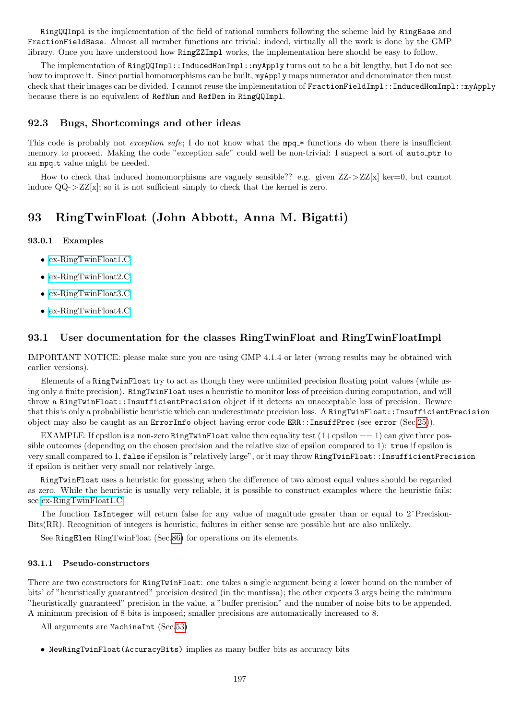RingQQImpl is the implementation of the field of rational numbers following the scheme laid by RingBase and FractionFieldBase. Almost all member functions are trivial: indeed, virtually all the work is done by the GMP library. Once you have understood how RingZZImpl works, the implementation here should be easy to follow.

The implementation of RingQQImpl::InducedHomImpl::myApply turns out to be a bit lengthy, but I do not see how to improve it. Since partial homomorphisms can be built, myApply maps numerator and denominator then must check that their images can be divided. I cannot reuse the implementation of FractionFieldImpl::InducedHomImpl::myApply because there is no equivalent of RefNum and RefDen in RingQQImpl.

## 92.3 Bugs, Shortcomings and other ideas

This code is probably not *exception safe*; I do not know what the mpq  $*$  functions do when there is insufficient memory to proceed. Making the code "exception safe" could well be non-trivial: I suspect a sort of auto-ptr to an mpq\_t value might be needed.

How to check that induced homomorphisms are vaguely sensible?? e.g. given  $ZZ-zZ[x]$  ker=0, but cannot induce  $QQ - \frac{ZZ[x]}{x}$ ; so it is not sufficient simply to check that the kernel is zero.

# 93 RingTwinFloat (John Abbott, Anna M. Bigatti)

## 93.0.1 Examples

- [ex-RingTwinFloat1.C](../../examples/index.html#ex-RingTwinFloat1.C)
- [ex-RingTwinFloat2.C](../../examples/index.html#ex-RingTwinFloat2.C)
- [ex-RingTwinFloat3.C](../../examples/index.html#ex-RingTwinFloat3.C)
- [ex-RingTwinFloat4.C](../../examples/index.html#ex-RingTwinFloat4.C)

## 93.1 User documentation for the classes RingTwinFloat and RingTwinFloatImpl

IMPORTANT NOTICE: please make sure you are using GMP 4.1.4 or later (wrong results may be obtained with earlier versions).

Elements of a RingTwinFloat try to act as though they were unlimited precision floating point values (while using only a finite precision). RingTwinFloat uses a heuristic to monitor loss of precision during computation, and will throw a RingTwinFloat::InsufficientPrecision object if it detects an unacceptable loss of precision. Beware that this is only a probabilistic heuristic which can underestimate precision loss. A RingTwinFloat::InsufficientPrecision object may also be caught as an ErrorInfo object having error code ERR::InsuffPrec (see error (Sec[.25\)](#page-62-0)).

EXAMPLE: If epsilon is a non-zero RingTwinFloat value then equality test  $(1+epsilon == 1)$  can give three possible outcomes (depending on the chosen precision and the relative size of epsilon compared to 1): true if epsilon is very small compared to 1, false if epsilon is "relatively large", or it may throw RingTwinFloat::InsufficientPrecision if epsilon is neither very small nor relatively large.

RingTwinFloat uses a heuristic for guessing when the difference of two almost equal values should be regarded as zero. While the heuristic is usually very reliable, it is possible to construct examples where the heuristic fails: see [ex-RingTwinFloat1.C.](../../examples/index.html#ex-RingTwinFloat1.C)

The function IsInteger will return false for any value of magnitude greater than or equal to  $2^{\degree}$ Precision-Bits(RR). Recognition of integers is heuristic; failures in either sense are possible but are also unlikely.

See RingElem RingTwinFloat (Sec[.86\)](#page-174-0) for operations on its elements.

#### 93.1.1 Pseudo-constructors

There are two constructors for RingTwinFloat: one takes a single argument being a lower bound on the number of bits' of "heuristically guaranteed" precision desired (in the mantissa); the other expects 3 args being the minimum "heuristically guaranteed" precision in the value, a "buffer precision" and the number of noise bits to be appended. A minimum precision of 8 bits is imposed; smaller precisions are automatically increased to 8.

All arguments are MachineInt (Sec[.53\)](#page-105-0)

• NewRingTwinFloat(AccuracyBits) implies as many buffer bits as accuracy bits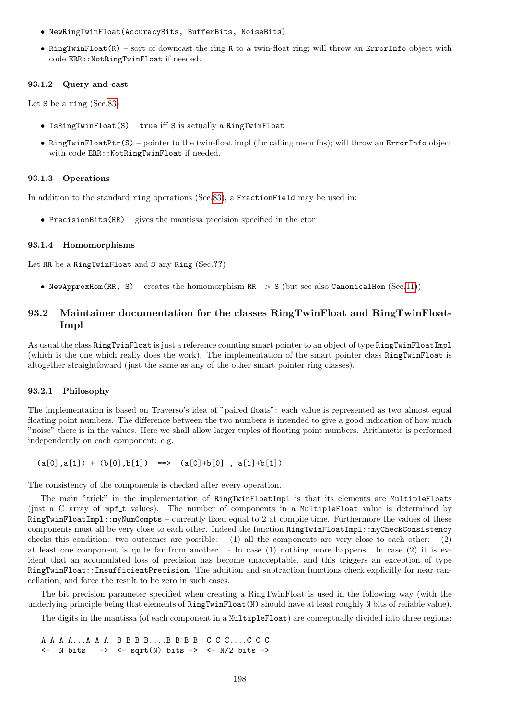- NewRingTwinFloat(AccuracyBits, BufferBits, NoiseBits)
- RingTwinFloat(R) sort of downcast the ring R to a twin-float ring; will throw an ErrorInfo object with code ERR:: NotRingTwinFloat if needed.

#### 93.1.2 Query and cast

Let S be a ring (Sec[.83\)](#page-169-0)

- Is $RingTwinFload(S)$  true iff S is actually a RingTwinFloat
- RingTwinFloatPtr(S) pointer to the twin-float impl (for calling mem fins); will throw an ErrorInfo object with code ERR::NotRingTwinFloat if needed.

#### 93.1.3 Operations

In addition to the standard ring operations (Sec[.83\)](#page-169-0), a FractionField may be used in:

• PrecisionBits $(RR)$  – gives the mantissa precision specified in the ctor

#### 93.1.4 Homomorphisms

Let RR be a RingTwinFloat and S any Ring (Sec.??)

• NewApproxHom(RR, S) – creates the homomorphism  $RR \rightarrow S$  (but see also CanonicalHom (Sec[.11\)](#page-44-0))

## 93.2 Maintainer documentation for the classes RingTwinFloat and RingTwinFloat-Impl

As usual the class RingTwinFloat is just a reference counting smart pointer to an object of type RingTwinFloatImpl (which is the one which really does the work). The implementation of the smart pointer class RingTwinFloat is altogether straightfoward (just the same as any of the other smart pointer ring classes).

#### 93.2.1 Philosophy

The implementation is based on Traverso's idea of "paired floats": each value is represented as two almost equal floating point numbers. The difference between the two numbers is intended to give a good indication of how much "noise" there is in the values. Here we shall allow larger tuples of floating point numbers. Arithmetic is performed independently on each component: e.g.

 $(a[0], a[1]) + (b[0], b[1]) == (a[0]+b[0], a[1]+b[1])$ 

The consistency of the components is checked after every operation.

The main "trick" in the implementation of RingTwinFloatImpl is that its elements are MultipleFloats (just a C array of mpf\_t values). The number of components in a MultipleFloat value is determined by RingTwinFloatImpl::myNumCompts – currently fixed equal to 2 at compile time. Furthermore the values of these components must all be very close to each other. Indeed the function RingTwinFloatImpl::myCheckConsistency checks this condition: two outcomes are possible:  $- (1)$  all the components are very close to each other;  $- (2)$ at least one component is quite far from another. - In case (1) nothing more happens. In case (2) it is evident that an accumulated loss of precision has become unacceptable, and this triggers an exception of type RingTwinFloat::InsufficientPrecision. The addition and subtraction functions check explicitly for near cancellation, and force the result to be zero in such cases.

The bit precision parameter specified when creating a RingTwinFloat is used in the following way (with the underlying principle being that elements of RingTwinFloat(N) should have at least roughly N bits of reliable value).

The digits in the mantissa (of each component in a MultipleFloat) are conceptually divided into three regions:

A A A A...A A A B B B B....B B B B C C C....C C C  $\leftarrow$  N bits  $\rightarrow$   $\leftarrow$  sqrt(N) bits  $\rightarrow$   $\leftarrow$  N/2 bits  $\rightarrow$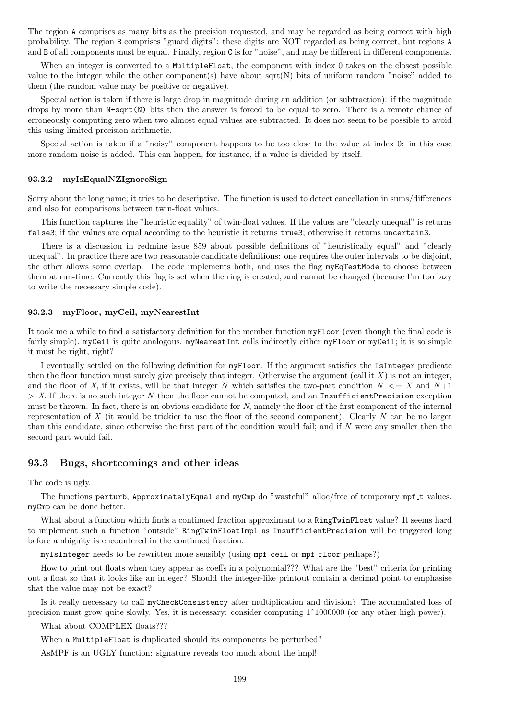The region A comprises as many bits as the precision requested, and may be regarded as being correct with high probability. The region B comprises "guard digits": these digits are NOT regarded as being correct, but regions A and B of all components must be equal. Finally, region C is for "noise", and may be different in different components.

When an integer is converted to a MultipleFloat, the component with index 0 takes on the closest possible value to the integer while the other component(s) have about  $sqrt(N)$  bits of uniform random "noise" added to them (the random value may be positive or negative).

Special action is taken if there is large drop in magnitude during an addition (or subtraction): if the magnitude drops by more than  $N+sqrt(N)$  bits then the answer is forced to be equal to zero. There is a remote chance of erroneously computing zero when two almost equal values are subtracted. It does not seem to be possible to avoid this using limited precision arithmetic.

Special action is taken if a "noisy" component happens to be too close to the value at index 0: in this case more random noise is added. This can happen, for instance, if a value is divided by itself.

#### 93.2.2 myIsEqualNZIgnoreSign

Sorry about the long name; it tries to be descriptive. The function is used to detect cancellation in sums/differences and also for comparisons between twin-float values.

This function captures the "heuristic equality" of twin-float values. If the values are "clearly unequal" is returns false3; if the values are equal according to the heuristic it returns true3; otherwise it returns uncertain3.

There is a discussion in redmine issue 859 about possible definitions of "heuristically equal" and "clearly unequal". In practice there are two reasonable candidate definitions: one requires the outer intervals to be disjoint, the other allows some overlap. The code implements both, and uses the flag myEqTestMode to choose between them at run-time. Currently this flag is set when the ring is created, and cannot be changed (because I'm too lazy to write the necessary simple code).

#### 93.2.3 myFloor, myCeil, myNearestInt

It took me a while to find a satisfactory definition for the member function myFloor (even though the final code is fairly simple). myCeil is quite analogous. myNearestInt calls indirectly either myFloor or myCeil; it is so simple it must be right, right?

I eventually settled on the following definition for myFloor. If the argument satisfies the IsInteger predicate then the floor function must surely give precisely that integer. Otherwise the argument (call it  $X$ ) is not an integer, and the floor of X, if it exists, will be that integer N which satisfies the two-part condition  $N \leq X$  and  $N+1$  $> X$ . If there is no such integer N then the floor cannot be computed, and an InsufficientPrecision exception must be thrown. In fact, there is an obvious candidate for N, namely the floor of the first component of the internal representation of X (it would be trickier to use the floor of the second component). Clearly N can be no larger than this candidate, since otherwise the first part of the condition would fail; and if  $N$  were any smaller then the second part would fail.

## 93.3 Bugs, shortcomings and other ideas

The code is ugly.

The functions perturb, ApproximatelyEqual and myCmp do "wasteful" alloc/free of temporary mpf\_t values. myCmp can be done better.

What about a function which finds a continued fraction approximant to a RingTwinFloat value? It seems hard to implement such a function "outside" RingTwinFloatImpl as InsufficientPrecision will be triggered long before ambiguity is encountered in the continued fraction.

myIsInteger needs to be rewritten more sensibly (using mpf ceil or mpf floor perhaps?)

How to print out floats when they appear as coeffs in a polynomial??? What are the "best" criteria for printing out a float so that it looks like an integer? Should the integer-like printout contain a decimal point to emphasise that the value may not be exact?

Is it really necessary to call myCheckConsistency after multiplication and division? The accumulated loss of precision must grow quite slowly. Yes, it is necessary: consider computing 1ˆ1000000 (or any other high power).

What about COMPLEX floats???

When a MultipleFloat is duplicated should its components be perturbed?

AsMPF is an UGLY function: signature reveals too much about the impl!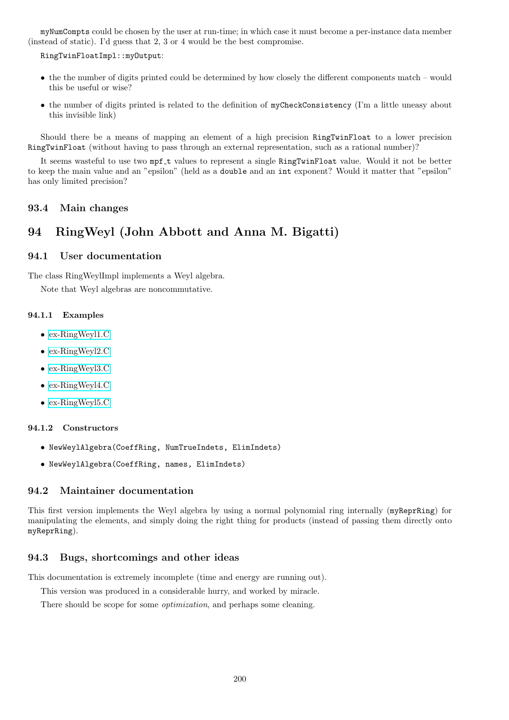myNumCompts could be chosen by the user at run-time; in which case it must become a per-instance data member (instead of static). I'd guess that 2, 3 or 4 would be the best compromise.

RingTwinFloatImpl::myOutput:

- the the number of digits printed could be determined by how closely the different components match would this be useful or wise?
- the number of digits printed is related to the definition of myCheckConsistency (I'm a little uneasy about this invisible link)

Should there be a means of mapping an element of a high precision RingTwinFloat to a lower precision RingTwinFloat (without having to pass through an external representation, such as a rational number)?

It seems wasteful to use two mpf\_t values to represent a single RingTwinFloat value. Would it not be better to keep the main value and an "epsilon" (held as a double and an int exponent? Would it matter that "epsilon" has only limited precision?

### 93.4 Main changes

# 94 RingWeyl (John Abbott and Anna M. Bigatti)

## 94.1 User documentation

The class RingWeylImpl implements a Weyl algebra.

Note that Weyl algebras are noncommutative.

#### 94.1.1 Examples

- [ex-RingWeyl1.C](../../examples/index.html#ex-RingWeyl1.C)
- [ex-RingWeyl2.C](../../examples/index.html#ex-RingWeyl2.C)
- [ex-RingWeyl3.C](../../examples/index.html#ex-RingWeyl3.C)
- [ex-RingWeyl4.C](../../examples/index.html#ex-RingWeyl4.C)
- [ex-RingWeyl5.C](../../examples/index.html#ex-RingWeyl5.C)

#### 94.1.2 Constructors

- NewWeylAlgebra(CoeffRing, NumTrueIndets, ElimIndets)
- NewWeylAlgebra(CoeffRing, names, ElimIndets)

## 94.2 Maintainer documentation

This first version implements the Weyl algebra by using a normal polynomial ring internally (myReprRing) for manipulating the elements, and simply doing the right thing for products (instead of passing them directly onto myReprRing).

#### 94.3 Bugs, shortcomings and other ideas

This documentation is extremely incomplete (time and energy are running out).

This version was produced in a considerable hurry, and worked by miracle.

There should be scope for some *optimization*, and perhaps some cleaning.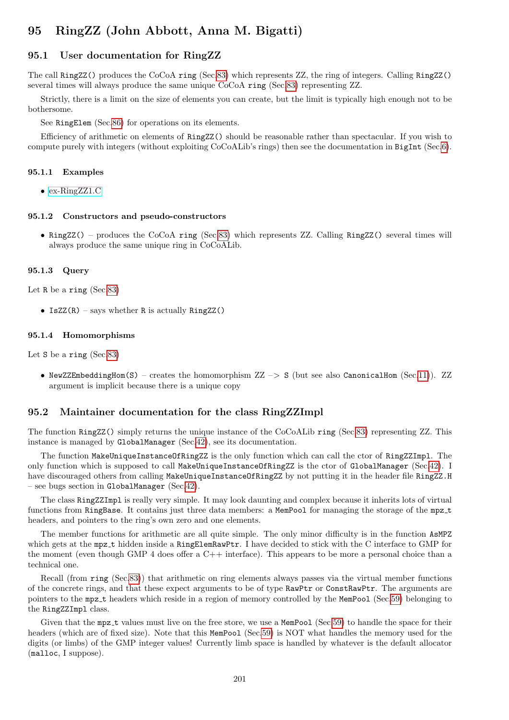# <span id="page-200-0"></span>95 RingZZ (John Abbott, Anna M. Bigatti)

## 95.1 User documentation for RingZZ

The call RingZZ() produces the CoCoA ring (Sec[.83\)](#page-169-0) which represents ZZ, the ring of integers. Calling RingZZ() several times will always produce the same unique CoCoA ring (Sec[.83\)](#page-169-0) representing ZZ.

Strictly, there is a limit on the size of elements you can create, but the limit is typically high enough not to be bothersome.

See RingElem (Sec[.86\)](#page-174-0) for operations on its elements.

Efficiency of arithmetic on elements of RingZZ() should be reasonable rather than spectacular. If you wish to compute purely with integers (without exploiting CoCoALib's rings) then see the documentation in BigInt (Sec[.6\)](#page-34-0).

#### 95.1.1 Examples

• [ex-RingZZ1.C](../../examples/index.html#ex-RingZZ1.C)

#### 95.1.2 Constructors and pseudo-constructors

• RingZZ() – produces the CoCoA ring (Sec[.83\)](#page-169-0) which represents ZZ. Calling RingZZ() several times will always produce the same unique ring in CoCoALib.

#### 95.1.3 Query

Let R be a ring (Sec[.83\)](#page-169-0)

• IsZZ $(R)$  – says whether R is actually RingZZ $()$ 

#### 95.1.4 Homomorphisms

Let S be a ring (Sec[.83\)](#page-169-0)

• NewZZEmbeddingHom(S) – creates the homomorphism  $ZZ \rightarrow S$  (but see also CanonicalHom (Sec[.11\)](#page-44-0)). ZZ argument is implicit because there is a unique copy

#### 95.2 Maintainer documentation for the class RingZZImpl

The function RingZZ() simply returns the unique instance of the CoCoALib ring (Sec[.83\)](#page-169-0) representing ZZ. This instance is managed by GlobalManager (Sec[.42\)](#page-85-0), see its documentation.

The function MakeUniqueInstanceOfRingZZ is the only function which can call the ctor of RingZZImpl. The only function which is supposed to call MakeUniqueInstanceOfRingZZ is the ctor of GlobalManager (Sec[.42\)](#page-85-0). I have discouraged others from calling MakeUniqueInstanceOfRingZZ by not putting it in the header file RingZZ.H – see bugs section in GlobalManager (Sec[.42\)](#page-85-0).

The class RingZZImpl is really very simple. It may look daunting and complex because it inherits lots of virtual functions from RingBase. It contains just three data members: a MemPool for managing the storage of the mpz\_t headers, and pointers to the ring's own zero and one elements.

The member functions for arithmetic are all quite simple. The only minor difficulty is in the function AsMPZ which gets at the mpz\_t hidden inside a RingElemRawPtr. I have decided to stick with the C interface to GMP for the moment (even though GMP 4 does offer a C++ interface). This appears to be more a personal choice than a technical one.

Recall (from ring (Sec[.83\)](#page-169-0)) that arithmetic on ring elements always passes via the virtual member functions of the concrete rings, and that these expect arguments to be of type RawPtr or ConstRawPtr. The arguments are pointers to the mpz t headers which reside in a region of memory controlled by the MemPool (Sec[.59\)](#page-119-0) belonging to the RingZZImpl class.

Given that the mpz\_t values must live on the free store, we use a MemPool (Sec[.59\)](#page-119-0) to handle the space for their headers (which are of fixed size). Note that this MemPool (Sec[.59\)](#page-119-0) is NOT what handles the memory used for the digits (or limbs) of the GMP integer values! Currently limb space is handled by whatever is the default allocator (malloc, I suppose).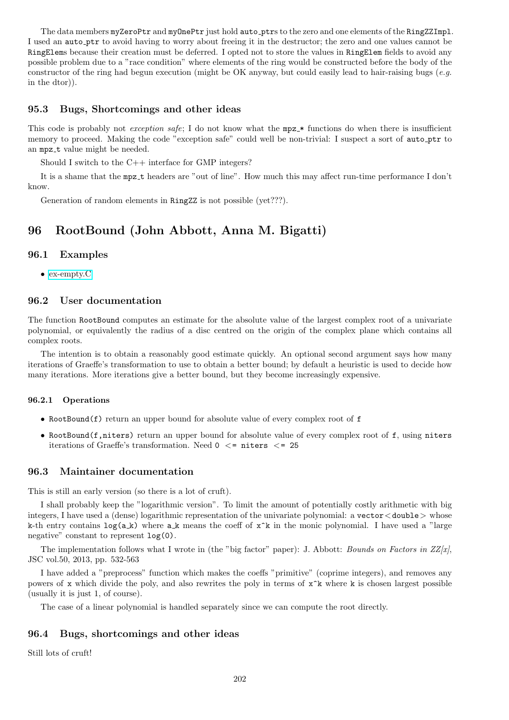The data members myZeroPtr and myOnePtr just hold auto\_ptrs to the zero and one elements of the RingZZImpl. I used an auto ptr to avoid having to worry about freeing it in the destructor; the zero and one values cannot be RingElems because their creation must be deferred. I opted not to store the values in RingElem fields to avoid any possible problem due to a "race condition" where elements of the ring would be constructed before the body of the constructor of the ring had begun execution (might be OK anyway, but could easily lead to hair-raising bugs  $(e.a.$ in the dtor)).

## 95.3 Bugs, Shortcomings and other ideas

This code is probably not exception safe; I do not know what the  $mpz$  functions do when there is insufficient memory to proceed. Making the code "exception safe" could well be non-trivial: I suspect a sort of auto ptr to an mpz\_t value might be needed.

Should I switch to the C++ interface for GMP integers?

It is a shame that the mpz t headers are "out of line". How much this may affect run-time performance I don't know.

Generation of random elements in RingZZ is not possible (yet???).

# 96 RootBound (John Abbott, Anna M. Bigatti)

#### 96.1 Examples

• [ex-empty.C](../../examples/index.html#ex-empty.C)

## 96.2 User documentation

The function RootBound computes an estimate for the absolute value of the largest complex root of a univariate polynomial, or equivalently the radius of a disc centred on the origin of the complex plane which contains all complex roots.

The intention is to obtain a reasonably good estimate quickly. An optional second argument says how many iterations of Graeffe's transformation to use to obtain a better bound; by default a heuristic is used to decide how many iterations. More iterations give a better bound, but they become increasingly expensive.

#### 96.2.1 Operations

- RootBound $(f)$  return an upper bound for absolute value of every complex root of  $f$
- RootBound(f,niters) return an upper bound for absolute value of every complex root of f, using niters iterations of Graeffe's transformation. Need  $0 \le$  = niters  $\le$  = 25

## 96.3 Maintainer documentation

This is still an early version (so there is a lot of cruft).

I shall probably keep the "logarithmic version". To limit the amount of potentially costly arithmetic with big integers, I have used a (dense) logarithmic representation of the univariate polynomial: a vector<double> whose k-th entry contains  $\log(a_k)$  where a k means the coeff of  $x^k$  in the monic polynomial. I have used a "large negative" constant to represent  $log(0)$ .

The implementation follows what I wrote in (the "big factor" paper): J. Abbott: Bounds on Factors in  $ZZ[x]$ , JSC vol.50, 2013, pp. 532-563

I have added a "preprocess" function which makes the coeffs "primitive" (coprime integers), and removes any powers of x which divide the poly, and also rewrites the poly in terms of  $x^k$  where k is chosen largest possible (usually it is just 1, of course).

The case of a linear polynomial is handled separately since we can compute the root directly.

#### 96.4 Bugs, shortcomings and other ideas

Still lots of cruft!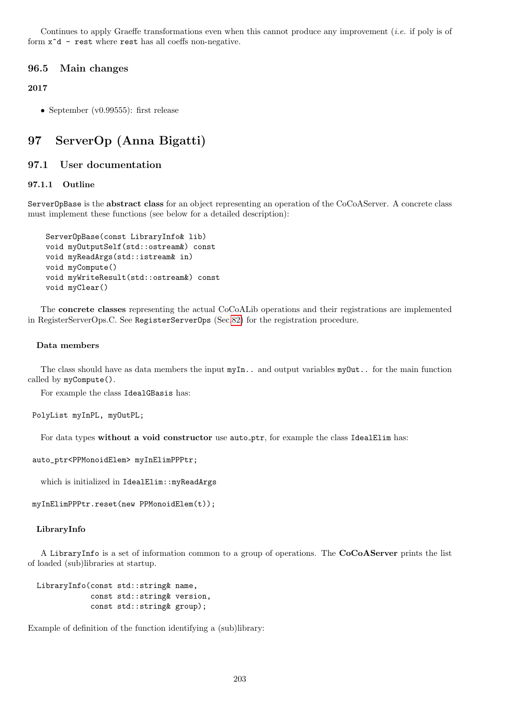Continues to apply Graeffe transformations even when this cannot produce any improvement (i.e. if poly is of form x^d - rest where rest has all coeffs non-negative.

## 96.5 Main changes

## 2017

• September (v0.99555): first release

# 97 ServerOp (Anna Bigatti)

## 97.1 User documentation

## 97.1.1 Outline

ServerOpBase is the abstract class for an object representing an operation of the CoCoAServer. A concrete class must implement these functions (see below for a detailed description):

```
ServerOpBase(const LibraryInfo& lib)
void myOutputSelf(std::ostream&) const
void myReadArgs(std::istream& in)
void myCompute()
void myWriteResult(std::ostream&) const
void myClear()
```
The concrete classes representing the actual CoCoALib operations and their registrations are implemented in RegisterServerOps.C. See RegisterServerOps (Sec[.82\)](#page-167-0) for the registration procedure.

#### Data members

The class should have as data members the input  $myIn.$  and output variables  $myOut.$  for the main function called by myCompute().

For example the class IdealGBasis has:

PolyList myInPL, myOutPL;

For data types without a void constructor use auto ptr, for example the class IdealElim has:

```
auto_ptr<PPMonoidElem> myInElimPPPtr;
```
which is initialized in IdealElim::myReadArgs

myInElimPPPtr.reset(new PPMonoidElem(t));

#### LibraryInfo

A LibraryInfo is a set of information common to a group of operations. The CoCoAServer prints the list of loaded (sub)libraries at startup.

```
LibraryInfo(const std::string& name,
            const std::string& version,
            const std::string& group);
```
Example of definition of the function identifying a (sub)library: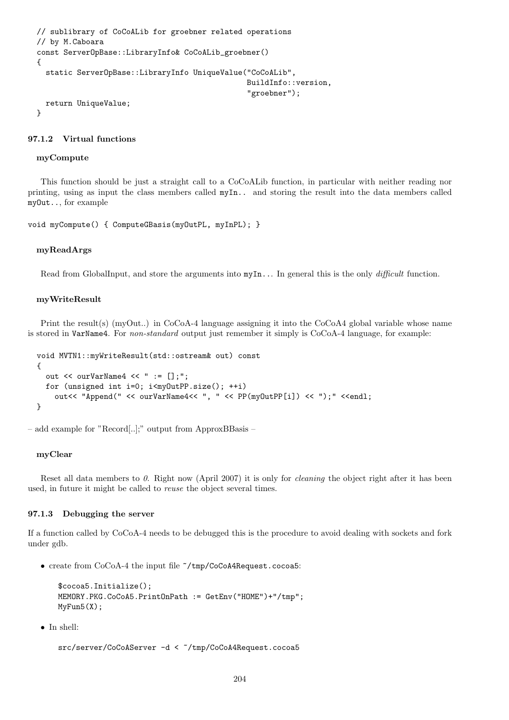```
// sublibrary of CoCoALib for groebner related operations
// by M.Caboara
const ServerOpBase::LibraryInfo& CoCoALib_groebner()
{
  static ServerOpBase::LibraryInfo UniqueValue("CoCoALib",
                                                BuildInfo::version,
                                                "groebner");
  return UniqueValue;
}
```
#### 97.1.2 Virtual functions

#### myCompute

This function should be just a straight call to a CoCoALib function, in particular with neither reading nor printing, using as input the class members called myIn.. and storing the result into the data members called myOut.., for example

void myCompute() { ComputeGBasis(myOutPL, myInPL); }

#### myReadArgs

Read from GlobalInput, and store the arguments into  $myIn...$  In general this is the only *difficult* function.

#### myWriteResult

Print the result(s) (myOut..) in CoCoA-4 language assigning it into the CoCoA4 global variable whose name is stored in VarName4. For non-standard output just remember it simply is CoCoA-4 language, for example:

```
void MVTN1::myWriteResult(std::ostream& out) const
{
  out << ourVarName4 << " := [];";
  for (unsigned int i=0; i<myOutPP.size(); ++i)
    out<< "Append(" << ourVarName4<< ", " << PP(myOutPP[i]) << ");" <<endl;
}
```
– add example for "Record[..];" output from ApproxBBasis –

#### myClear

Reset all data members to 0. Right now (April 2007) it is only for *cleaning* the object right after it has been used, in future it might be called to reuse the object several times.

#### 97.1.3 Debugging the server

If a function called by CoCoA-4 needs to be debugged this is the procedure to avoid dealing with sockets and fork under gdb.

• create from CoCoA-4 the input file ~/tmp/CoCoA4Request.cocoa5:

```
$cocoa5.Initialize();
MEMORY.PKG.CoCoA5.PrintOnPath := GetEnv("HOME")+"/tmp";
MyFun5(X);
```
• In shell:

```
src/server/CoCoAServer -d < "/tmp/CoCoA4Request.cocoa5
```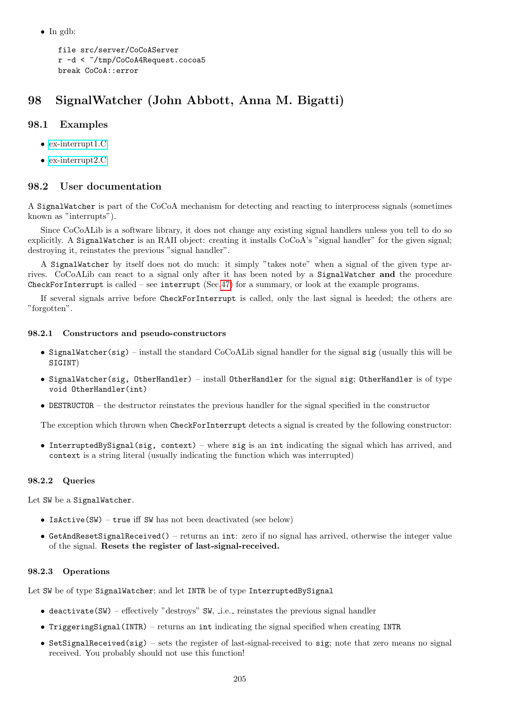• In gdb:

```
file src/server/CoCoAServer
r -d < ~/tmp/CoCoA4Request.cocoa5
break CoCoA::error
```
# 98 SignalWatcher (John Abbott, Anna M. Bigatti)

## 98.1 Examples

- [ex-interrupt1.C](../../examples/index.html#ex-interrupt1.C)
- [ex-interrupt2.C](../../examples/index.html#ex-interrupt2.C)

## 98.2 User documentation

A SignalWatcher is part of the CoCoA mechanism for detecting and reacting to interprocess signals (sometimes known as "interrupts").

Since CoCoALib is a software library, it does not change any existing signal handlers unless you tell to do so explicitly. A SignalWatcher is an RAII object: creating it installs CoCoA's "signal handler" for the given signal; destroying it, reinstates the previous "signal handler".

A SignalWatcher by itself does not do much: it simply "takes note" when a signal of the given type arrives. CoCoALib can react to a signal only after it has been noted by a SignalWatcher and the procedure CheckForInterrupt is called – see interrupt (Sec[.47\)](#page-93-0) for a summary, or look at the example programs.

If several signals arrive before CheckForInterrupt is called, only the last signal is heeded; the others are "forgotten".

## 98.2.1 Constructors and pseudo-constructors

- SignalWatcher(sig) install the standard CoCoALib signal handler for the signal sig (usually this will be SIGINT)
- SignalWatcher(sig, OtherHandler) install OtherHandler for the signal sig; OtherHandler is of type void OtherHandler(int)
- DESTRUCTOR the destructor reinstates the previous handler for the signal specified in the constructor

The exception which thrown when CheckForInterrupt detects a signal is created by the following constructor:

• InterruptedBySignal(sig, context) – where sig is an int indicating the signal which has arrived, and context is a string literal (usually indicating the function which was interrupted)

## 98.2.2 Queries

Let SW be a SignalWatcher.

- Is $\texttt{Active(SW)}$  true iff SW has not been deactivated (see below)
- GetAndResetSignalReceived() returns an int: zero if no signal has arrived, otherwise the integer value of the signal. Resets the register of last-signal-received.

## 98.2.3 Operations

Let SW be of type SignalWatcher; and let INTR be of type InterruptedBySignal

- $\bullet$  deactivate(SW) effectively "destroys" SW, i.e. reinstates the previous signal handler
- TriggeringSignal(INTR) returns an int indicating the signal specified when creating INTR
- SetSignalReceived(sig) sets the register of last-signal-received to sig; note that zero means no signal received. You probably should not use this function!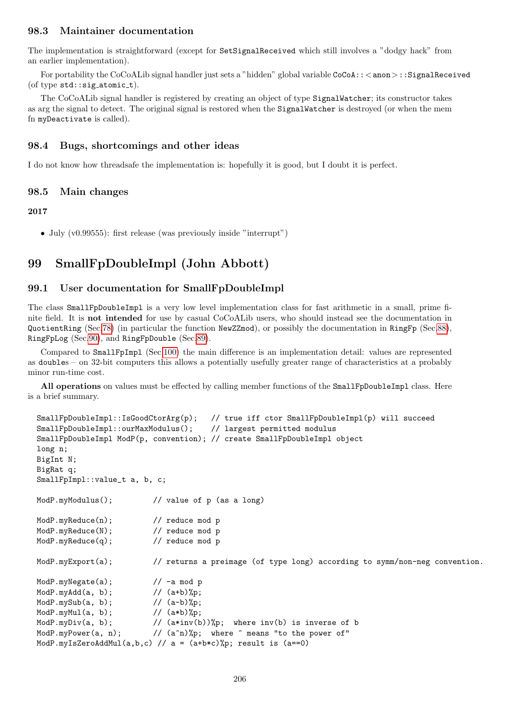## 98.3 Maintainer documentation

The implementation is straightforward (except for SetSignalReceived which still involves a "dodgy hack" from an earlier implementation).

For portability the CoCoALib signal handler just sets a "hidden" global variable CoCoA:: < anon>::SignalReceived (of type  $\texttt{std::sig\_atomic\_t}$ ).

The CoCoALib signal handler is registered by creating an object of type SignalWatcher; its constructor takes as arg the signal to detect. The original signal is restored when the SignalWatcher is destroyed (or when the mem fn myDeactivate is called).

## 98.4 Bugs, shortcomings and other ideas

I do not know how threadsafe the implementation is: hopefully it is good, but I doubt it is perfect.

## 98.5 Main changes

## 2017

• July (v0.99555): first release (was previously inside "interrupt")

# <span id="page-205-0"></span>99 SmallFpDoubleImpl (John Abbott)

## 99.1 User documentation for SmallFpDoubleImpl

The class SmallFpDoubleImpl is a very low level implementation class for fast arithmetic in a small, prime finite field. It is not intended for use by casual CoCoALib users, who should instead see the documentation in QuotientRing (Sec[.78\)](#page-160-0) (in particular the function NewZZmod), or possibly the documentation in RingFp (Sec[.88\)](#page-186-0), RingFpLog (Sec[.90\)](#page-189-0), and RingFpDouble (Sec[.89\)](#page-188-0).

Compared to SmallFpImpl (Sec[.100\)](#page-206-0) the main difference is an implementation detail: values are represented as doubles – on 32-bit computers this allows a potentially usefully greater range of characteristics at a probably minor run-time cost.

All operations on values must be effected by calling member functions of the SmallFpDoubleImpl class. Here is a brief summary.

```
SmallFpDoubleImpl::IsGoodCtorArg(p); // true iff ctor SmallFpDoubleImpl(p) will succeed
SmallFpDoubleImpl::ourMaxModulus(); // largest permitted modulus
SmallFpDoubleImpl ModP(p, convention); // create SmallFpDoubleImpl object
long n;
BigInt N;
BigRat q;
SmallFpImpl::value_t a, b, c;
ModP.myModulus(); // value of p (as a long)
ModP.myReduce(n); // reduce mod p
ModP.myReduce(N); // reduce mod p
ModP.myReduce(q); // reduce mod p
ModP.myExport(a); \frac{1}{2} // returns a preimage (of type long) according to symm/non-neg convention.
ModP.myNegate(a); // -a mod p
ModP.myAdd(a, b); // (a+b)%p;
ModP.mySub(a, b); // (a-b)%p;
ModP.myMul(a, b); \frac{1}{2} \frac{1}{2} \frac{1}{2} \frac{1}{2} \frac{1}{2} \frac{1}{2} \frac{1}{2} \frac{1}{2} \frac{1}{2} \frac{1}{2} \frac{1}{2} \frac{1}{2} \frac{1}{2} \frac{1}{2} \frac{1}{2} \frac{1}{2} \frac{1}{2} \frac{1}{2} \frac{1}{2} \frac{1}{2} \fracModP.myDiv(a, b); \frac{1}{2} // (a*inv(b))%p; where inv(b) is inverse of b
ModP.myPower(a, n); // (a^n)%p; where \hat{ } means "to the power of"
ModP.myIsZeroAddMul(a,b,c) // a = (a+b*c)%p; result is (a==0)
```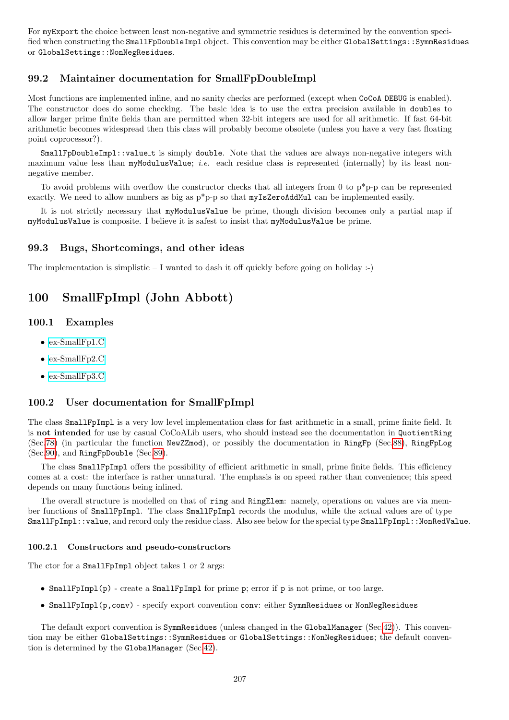For myExport the choice between least non-negative and symmetric residues is determined by the convention specified when constructing the SmallFpDoubleImpl object. This convention may be either GlobalSettings::SymmResidues or GlobalSettings::NonNegResidues.

# 99.2 Maintainer documentation for SmallFpDoubleImpl

Most functions are implemented inline, and no sanity checks are performed (except when CoCoA DEBUG is enabled). The constructor does do some checking. The basic idea is to use the extra precision available in doubles to allow larger prime finite fields than are permitted when 32-bit integers are used for all arithmetic. If fast 64-bit arithmetic becomes widespread then this class will probably become obsolete (unless you have a very fast floating point coprocessor?).

SmallFpDoubleImpl::value t is simply double. Note that the values are always non-negative integers with maximum value less than myModulusValue; *i.e.* each residue class is represented (internally) by its least nonnegative member.

To avoid problems with overflow the constructor checks that all integers from 0 to p\*p-p can be represented exactly. We need to allow numbers as big as  $p^*p-p$  so that myIsZeroAddMul can be implemented easily.

It is not strictly necessary that myModulusValue be prime, though division becomes only a partial map if myModulusValue is composite. I believe it is safest to insist that myModulusValue be prime.

#### 99.3 Bugs, Shortcomings, and other ideas

The implementation is simplistic  $-I$  wanted to dash it off quickly before going on holiday :-)

# <span id="page-206-0"></span>100 SmallFpImpl (John Abbott)

## 100.1 Examples

- [ex-SmallFp1.C](../../examples/index.html#ex-SmallFp1.C)
- [ex-SmallFp2.C](../../examples/index.html#ex-SmallFp2.C)
- [ex-SmallFp3.C](../../examples/index.html#ex-SmallFp3.C)

## 100.2 User documentation for SmallFpImpl

The class SmallFpImpl is a very low level implementation class for fast arithmetic in a small, prime finite field. It is not intended for use by casual CoCoALib users, who should instead see the documentation in QuotientRing (Sec[.78\)](#page-160-0) (in particular the function NewZZmod), or possibly the documentation in RingFp (Sec[.88\)](#page-186-0), RingFpLog (Sec[.90\)](#page-189-0), and RingFpDouble (Sec[.89\)](#page-188-0).

The class SmallFpImpl offers the possibility of efficient arithmetic in small, prime finite fields. This efficiency comes at a cost: the interface is rather unnatural. The emphasis is on speed rather than convenience; this speed depends on many functions being inlined.

The overall structure is modelled on that of ring and RingElem: namely, operations on values are via member functions of SmallFpImpl. The class SmallFpImpl records the modulus, while the actual values are of type SmallFpImpl::value, and record only the residue class. Also see below for the special type SmallFpImpl::NonRedValue.

#### 100.2.1 Constructors and pseudo-constructors

The ctor for a SmallFpImpl object takes 1 or 2 args:

- SmallFpImpl(p) create a SmallFpImpl for prime p; error if p is not prime, or too large.
- SmallFpImpl(p,conv) specify export convention conv: either SymmResidues or NonNegResidues

The default export convention is SymmResidues (unless changed in the GlobalManager (Sec[.42\)](#page-85-0)). This convention may be either GlobalSettings::SymmResidues or GlobalSettings::NonNegResidues; the default convention is determined by the GlobalManager (Sec[.42\)](#page-85-0).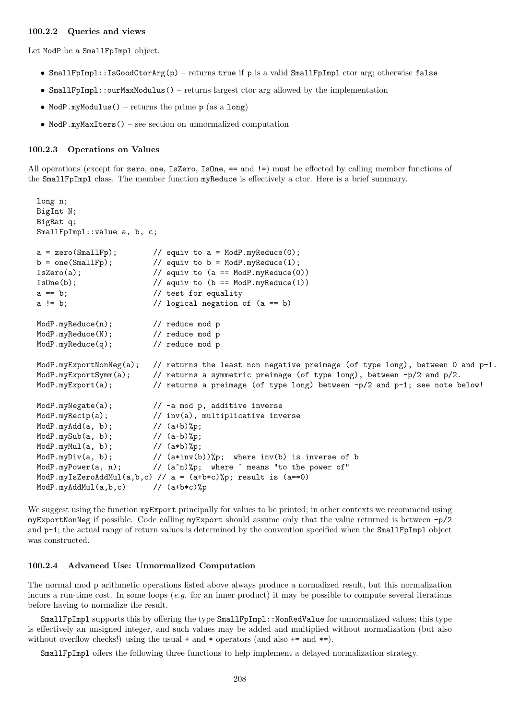#### 100.2.2 Queries and views

Let ModP be a SmallFpImpl object.

- SmallFpImpl::IsGoodCtorArg(p) returns true if p is a valid SmallFpImpl ctor arg; otherwise false
- SmallFpImpl::ourMaxModulus() returns largest ctor arg allowed by the implementation
- ModP.myModulus() returns the prime p (as a long)
- ModP.myMaxIters() see section on unnormalized computation

#### 100.2.3 Operations on Values

All operations (except for zero, one, IsZero, IsOne, == and !=) must be effected by calling member functions of the SmallFpImpl class. The member function myReduce is effectively a ctor. Here is a brief summary.

```
long n;
BigInt N;
BigRat q;
SmallFpImpl::value a, b, c;
a = zero(SmallFp); // equiv to a = ModP(myReduce(0);b = one(SmallFp); // equiv to b = ModP(myReduce(1);IsZero(a); // equiv to (a == ModP.\text{myReduce}(0))ISOne(b); // equiv to (b == ModP.myReduce(1))a == b; // test for equalitya := b; // logical negation of (a == b)ModP.myReduce(n); // reduce mod p
ModP.myReduce(N); // reduce mod p
ModP.myReduce(q); // reduce mod p
ModP.myExportNonNeg(a); // returns the least non negative preimage (of type long), between 0 and p-1.
ModP.myExportSymm(a); // returns a symmetric preimage (of type long), between -p/2 and p/2.
ModP.myExport(a); // returns a preimage (of type long) between -p/2 and p-1; see note below!
ModP.myNegate(a); \frac{1}{2} // -a mod p, additive inverse
ModP.myRecip(a); \frac{1}{2} inv(a), multiplicative inverse
ModP.myAdd(a, b); // (a+b)%p;
\texttt{ModP}.\texttt{mySub(a, b)};\qquad \qquad \texttt{// (a-b)%p};ModP.myMul(a, b); \frac{1}{2} \frac{1}{2} \frac{1}{2} \frac{1}{2} \frac{1}{2} \frac{1}{2} \frac{1}{2} \frac{1}{2} \frac{1}{2} \frac{1}{2} \frac{1}{2} \frac{1}{2} \frac{1}{2} \frac{1}{2} \frac{1}{2} \frac{1}{2} \frac{1}{2} \frac{1}{2} \frac{1}{2} \frac{1}{2} \fracModP.myDiv(a, b); \frac{1}{2} (a*inv(b))%p; where inv(b) is inverse of b
ModP.myPower(a, n); \frac{1}{2} (a^n)%p; where \hat{ } means "to the power of"
ModP.myIsZeroAddMul(a,b,c) // a = (a+b*c)%p; result is (a == 0)ModP.myAddMul(a,b,c) // (a+b*c)%
```
We suggest using the function myExport principally for values to be printed; in other contexts we recommend using myExportNonNeg if possible. Code calling myExport should assume only that the value returned is between -p/2 and p-1; the actual range of return values is determined by the convention specified when the SmallFpImpl object was constructed.

#### 100.2.4 Advanced Use: Unnormalized Computation

The normal mod p arithmetic operations listed above always produce a normalized result, but this normalization incurs a run-time cost. In some loops (e.g. for an inner product) it may be possible to compute several iterations before having to normalize the result.

SmallFpImpl supports this by offering the type SmallFpImpl::NonRedValue for unnormalized values; this type is effectively an unsigned integer, and such values may be added and multiplied without normalization (but also without overflow checks!) using the usual  $+$  and  $*$  operators (and also  $+=$  and  $*=$ ).

SmallFpImpl offers the following three functions to help implement a delayed normalization strategy.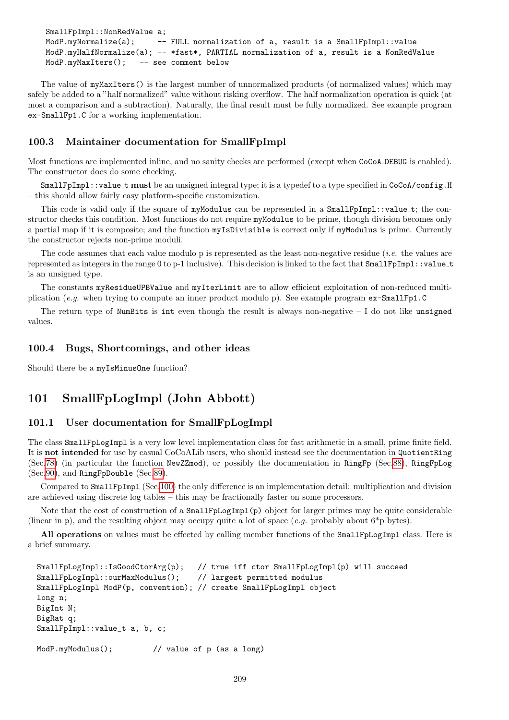```
SmallFpImpl::NonRedValue a;
ModP.myNormalize(a); -- FULL normalization of a, result is a SmallFpImpl::value
ModP.myHalfNormalize(a); -- *fast*, PARTIAL normalization of a, result is a NonRedValue
ModP.myMaxIters(): -- see comment below
```
The value of myMaxIters() is the largest number of unnormalized products (of normalized values) which may safely be added to a "half normalized" value without risking overflow. The half normalization operation is quick (at most a comparison and a subtraction). Naturally, the final result must be fully normalized. See example program ex-SmallFp1.C for a working implementation.

## 100.3 Maintainer documentation for SmallFpImpl

Most functions are implemented inline, and no sanity checks are performed (except when CoCoA DEBUG is enabled). The constructor does do some checking.

SmallFpImpl::value\_t must be an unsigned integral type; it is a typedef to a type specified in CoCoA/config.H – this should allow fairly easy platform-specific customization.

This code is valid only if the square of myModulus can be represented in a SmallFpImpl::value\_t; the constructor checks this condition. Most functions do not require myModulus to be prime, though division becomes only a partial map if it is composite; and the function myIsDivisible is correct only if myModulus is prime. Currently the constructor rejects non-prime moduli.

The code assumes that each value modulo p is represented as the least non-negative residue (i.e. the values are represented as integers in the range 0 to p-1 inclusive). This decision is linked to the fact that SmallFpImpl::value t is an unsigned type.

The constants myResidueUPBValue and myIterLimit are to allow efficient exploitation of non-reduced multiplication (e.g. when trying to compute an inner product modulo p). See example program ex-SmallFp1.C

The return type of NumBits is int even though the result is always non-negative  $-1$  do not like unsigned values.

#### 100.4 Bugs, Shortcomings, and other ideas

Should there be a myIsMinusOne function?

# <span id="page-208-0"></span>101 SmallFpLogImpl (John Abbott)

## 101.1 User documentation for SmallFpLogImpl

The class SmallFpLogImpl is a very low level implementation class for fast arithmetic in a small, prime finite field. It is not intended for use by casual CoCoALib users, who should instead see the documentation in QuotientRing (Sec[.78\)](#page-160-0) (in particular the function NewZZmod), or possibly the documentation in RingFp (Sec[.88\)](#page-186-0), RingFpLog (Sec[.90\)](#page-189-0), and RingFpDouble (Sec[.89\)](#page-188-0).

Compared to SmallFpImpl (Sec[.100\)](#page-206-0) the only difference is an implementation detail: multiplication and division are achieved using discrete log tables – this may be fractionally faster on some processors.

Note that the cost of construction of a **SmallFpLogImpl(p)** object for larger primes may be quite considerable (linear in p), and the resulting object may occupy quite a lot of space (e.g. probably about  $6^*p$  bytes).

All operations on values must be effected by calling member functions of the SmallFpLogImpl class. Here is a brief summary.

```
SmallFpLogImpl::IsGoodCtorArg(p); // true iff ctor SmallFpLogImpl(p) will succeed
SmallFpLogImpl::ourMaxModulus(); // largest permitted modulus
SmallFpLogImpl ModP(p, convention); // create SmallFpLogImpl object
long n;
BigInt N;
BigRat q;
SmallFpImpl::value_t a, b, c;
ModP.myModulus(); // value of p (as a long)
```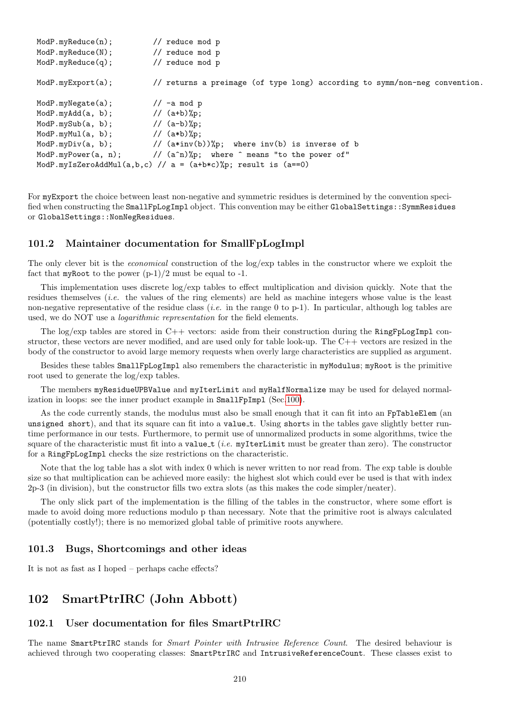```
ModP.myReduce(n); // reduce mod p
ModP.myReduce(N); // reduce mod p
ModP.myReduce(q); // reduce mod p
ModP.myExport(a); // returns a preimage (of type long) according to symm/non-neg convention.
ModP.myNegate(a); // -a mod p
ModP.myAdd(a, b); // (a+b)%p;
ModP.mySub(a, b); // (a-b)\%p;ModP.myMul(a, b); // (a*b)%p;
ModP.myDiv(a, b); \frac{1}{2} // (a*inv(b))%p; where inv(b) is inverse of b
ModP.myPower(a, n); // (a^n)%p; where ^ means "to the power of"
ModP.myIsZeroAddMul(a,b,c) // a = (a+b*c)%p; result is (a==0)
```
For myExport the choice between least non-negative and symmetric residues is determined by the convention specified when constructing the SmallFpLogImpl object. This convention may be either GlobalSettings::SymmResidues or GlobalSettings::NonNegResidues.

## 101.2 Maintainer documentation for SmallFpLogImpl

The only clever bit is the economical construction of the log/exp tables in the constructor where we exploit the fact that myRoot to the power  $(p-1)/2$  must be equal to -1.

This implementation uses discrete log/exp tables to effect multiplication and division quickly. Note that the residues themselves (i.e. the values of the ring elements) are held as machine integers whose value is the least non-negative representative of the residue class (*i.e.* in the range 0 to p-1). In particular, although log tables are used, we do NOT use a logarithmic representation for the field elements.

The log/exp tables are stored in C++ vectors: aside from their construction during the RingFpLogImpl constructor, these vectors are never modified, and are used only for table look-up. The C++ vectors are resized in the body of the constructor to avoid large memory requests when overly large characteristics are supplied as argument.

Besides these tables SmallFpLogImpl also remembers the characteristic in myModulus; myRoot is the primitive root used to generate the log/exp tables.

The members myResidueUPBValue and myIterLimit and myHalfNormalize may be used for delayed normalization in loops: see the inner product example in SmallFpImpl (Sec[.100\)](#page-206-0).

As the code currently stands, the modulus must also be small enough that it can fit into an FpTableElem (an unsigned short), and that its square can fit into a value t. Using shorts in the tables gave slightly better runtime performance in our tests. Furthermore, to permit use of unnormalized products in some algorithms, twice the square of the characteristic must fit into a value  $t$  (*i.e.* myIterLimit must be greater than zero). The constructor for a RingFpLogImpl checks the size restrictions on the characteristic.

Note that the log table has a slot with index 0 which is never written to nor read from. The exp table is double size so that multiplication can be achieved more easily: the highest slot which could ever be used is that with index 2p-3 (in division), but the constructor fills two extra slots (as this makes the code simpler/neater).

The only slick part of the implementation is the filling of the tables in the constructor, where some effort is made to avoid doing more reductions modulo p than necessary. Note that the primitive root is always calculated (potentially costly!); there is no memorized global table of primitive roots anywhere.

### 101.3 Bugs, Shortcomings and other ideas

It is not as fast as I hoped – perhaps cache effects?

# <span id="page-209-0"></span>102 SmartPtrIRC (John Abbott)

## 102.1 User documentation for files SmartPtrIRC

The name SmartPtrIRC stands for *Smart Pointer with Intrusive Reference Count*. The desired behaviour is achieved through two cooperating classes: SmartPtrIRC and IntrusiveReferenceCount. These classes exist to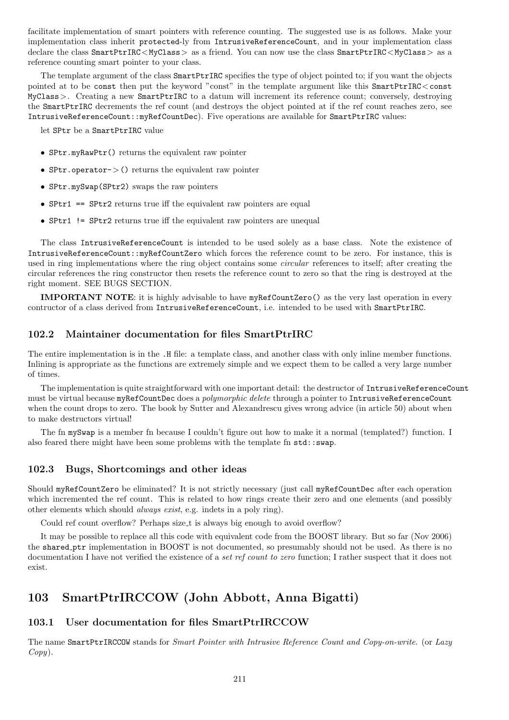facilitate implementation of smart pointers with reference counting. The suggested use is as follows. Make your implementation class inherit protected-ly from IntrusiveReferenceCount, and in your implementation class declare the class SmartPtrIRC<MyClass> as a friend. You can now use the class SmartPtrIRC<MyClass> as a reference counting smart pointer to your class.

The template argument of the class SmartPtrIRC specifies the type of object pointed to; if you want the objects pointed at to be const then put the keyword "const" in the template argument like this SmartPtrIRC<const MyClass>. Creating a new SmartPtrIRC to a datum will increment its reference count; conversely, destroying the SmartPtrIRC decrements the ref count (and destroys the object pointed at if the ref count reaches zero, see IntrusiveReferenceCount::myRefCountDec). Five operations are available for SmartPtrIRC values:

let SPtr be a SmartPtrIRC value

- SPtr.myRawPtr() returns the equivalent raw pointer
- SPtr.operator->() returns the equivalent raw pointer
- SPtr.mySwap(SPtr2) swaps the raw pointers
- $Sptr1$  ==  $Sptr2$  returns true iff the equivalent raw pointers are equal
- SPtr1 != SPtr2 returns true iff the equivalent raw pointers are unequal

The class IntrusiveReferenceCount is intended to be used solely as a base class. Note the existence of IntrusiveReferenceCount::myRefCountZero which forces the reference count to be zero. For instance, this is used in ring implementations where the ring object contains some *circular* references to itself; after creating the circular references the ring constructor then resets the reference count to zero so that the ring is destroyed at the right moment. SEE BUGS SECTION.

IMPORTANT NOTE: it is highly advisable to have myRefCountZero() as the very last operation in every contructor of a class derived from IntrusiveReferenceCount, i.e. intended to be used with SmartPtrIRC.

# 102.2 Maintainer documentation for files SmartPtrIRC

The entire implementation is in the .H file: a template class, and another class with only inline member functions. Inlining is appropriate as the functions are extremely simple and we expect them to be called a very large number of times.

The implementation is quite straightforward with one important detail: the destructor of IntrusiveReferenceCount must be virtual because myRefCountDec does a *polymorphic delete* through a pointer to IntrusiveReferenceCount when the count drops to zero. The book by Sutter and Alexandrescu gives wrong advice (in article 50) about when to make destructors virtual!

The fn mySwap is a member fn because I couldn't figure out how to make it a normal (templated?) function. I also feared there might have been some problems with the template fn std::swap.

## 102.3 Bugs, Shortcomings and other ideas

Should myRefCountZero be eliminated? It is not strictly necessary (just call myRefCountDec after each operation which incremented the ref count. This is related to how rings create their zero and one elements (and possibly other elements which should always exist, e.g. indets in a poly ring).

Could ref count overflow? Perhaps size\_t is always big enough to avoid overflow?

It may be possible to replace all this code with equivalent code from the BOOST library. But so far (Nov 2006) the shared ptr implementation in BOOST is not documented, so presumably should not be used. As there is no documentation I have not verified the existence of a set ref count to zero function; I rather suspect that it does not exist.

# 103 SmartPtrIRCCOW (John Abbott, Anna Bigatti)

## 103.1 User documentation for files SmartPtrIRCCOW

The name SmartPtrIRCCOW stands for Smart Pointer with Intrusive Reference Count and Copy-on-write. (or Lazy  $Copy).$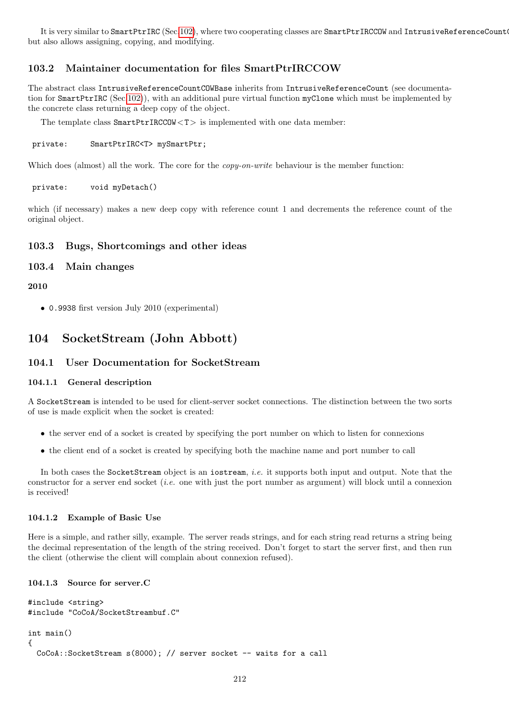It is very similar to SmartPtrIRC (Sec[.102\)](#page-209-0), where two cooperating classes are SmartPtrIRCCOW and IntrusiveReferenceCount but also allows assigning, copying, and modifying.

# 103.2 Maintainer documentation for files SmartPtrIRCCOW

The abstract class IntrusiveReferenceCountCOWBase inherits from IntrusiveReferenceCount (see documentation for SmartPtrIRC (Sec[.102\)](#page-209-0)), with an additional pure virtual function myClone which must be implemented by the concrete class returning a deep copy of the object.

The template class  $SmartPtrIRCCOW < T >$  is implemented with one data member:

```
private: SmartPtrIRC<T> mySmartPtr;
```
Which does (almost) all the work. The core for the *copy-on-write* behaviour is the member function:

private: void myDetach()

which (if necessary) makes a new deep copy with reference count 1 and decrements the reference count of the original object.

#### 103.3 Bugs, Shortcomings and other ideas

### 103.4 Main changes

2010

• 0.9938 first version July 2010 (experimental)

# 104 SocketStream (John Abbott)

## 104.1 User Documentation for SocketStream

#### 104.1.1 General description

A SocketStream is intended to be used for client-server socket connections. The distinction between the two sorts of use is made explicit when the socket is created:

- the server end of a socket is created by specifying the port number on which to listen for connexions
- the client end of a socket is created by specifying both the machine name and port number to call

In both cases the SocketStream object is an iostream, *i.e.* it supports both input and output. Note that the constructor for a server end socket *(i.e.* one with just the port number as argument) will block until a connexion is received!

#### 104.1.2 Example of Basic Use

Here is a simple, and rather silly, example. The server reads strings, and for each string read returns a string being the decimal representation of the length of the string received. Don't forget to start the server first, and then run the client (otherwise the client will complain about connexion refused).

#### 104.1.3 Source for server.C

```
#include <string>
#include "CoCoA/SocketStreambuf.C"
int main()
{
  CoCoA::SocketStream s(8000); // server socket -- waits for a call
```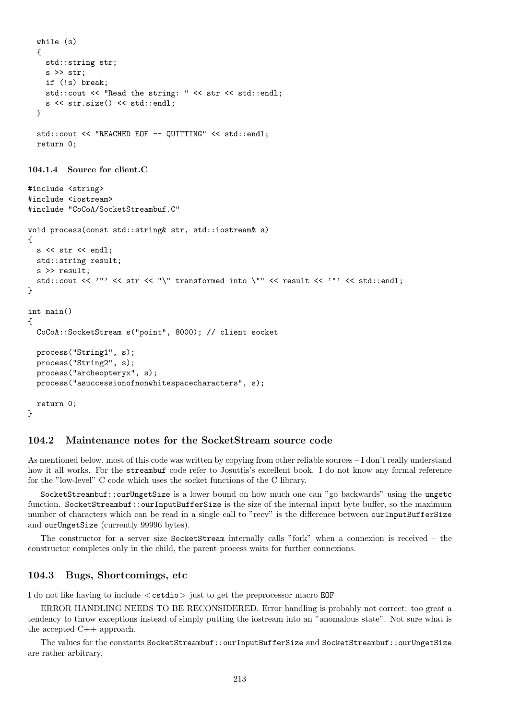```
while (s)
{
  std::string str;
  s >> str;
  if (!s) break;
  std::cout << "Read the string: " << str << std::endl;
  s << str.size() << std::endl;
}
std::cout << "REACHED EOF -- QUITTING" << std::endl;
return 0;
```

```
104.1.4 Source for client.C
```

```
#include <string>
#include <iostream>
#include "CoCoA/SocketStreambuf.C"
void process(const std::string& str, std::iostream& s)
{
 s << str << endl;
 std::string result;
 s >> result;
  std::cout << '"' << str << "\" transformed into \"" << result << '"' << std::endl;
}
int main()
{
  CoCoA::SocketStream s("point", 8000); // client socket
 process("String1", s);
 process("String2", s);
 process("archeopteryx", s);
 process("asuccessionofnonwhitespacecharacters", s);
  return 0;
}
```
## 104.2 Maintenance notes for the SocketStream source code

As mentioned below, most of this code was written by copying from other reliable sources – I don't really understand how it all works. For the streambuf code refer to Josuttis's excellent book. I do not know any formal reference for the "low-level" C code which uses the socket functions of the C library.

SocketStreambuf::ourUngetSize is a lower bound on how much one can "go backwards" using the ungetc function. SocketStreambuf::ourInputBufferSize is the size of the internal input byte buffer, so the maximum number of characters which can be read in a single call to "recv" is the difference between ourInputBufferSize and ourUngetSize (currently 99996 bytes).

The constructor for a server size SocketStream internally calls "fork" when a connexion is received – the constructor completes only in the child, the parent process waits for further connexions.

#### 104.3 Bugs, Shortcomings, etc

I do not like having to include  $\langle \text{cstdio} \rangle$  just to get the preprocessor macro EQF

ERROR HANDLING NEEDS TO BE RECONSIDERED. Error handling is probably not correct: too great a tendency to throw exceptions instead of simply putting the iostream into an "anomalous state". Not sure what is the accepted C++ approach.

The values for the constants SocketStreambuf::ourInputBufferSize and SocketStreambuf::ourUngetSize are rather arbitrary.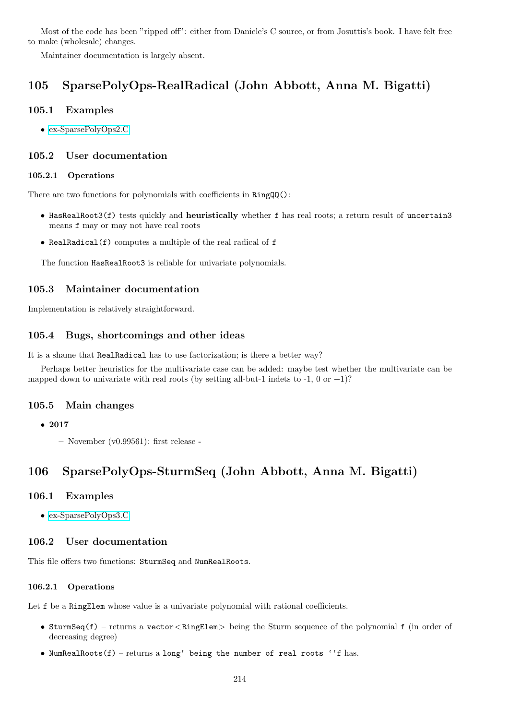Most of the code has been "ripped off": either from Daniele's C source, or from Josuttis's book. I have felt free to make (wholesale) changes.

Maintainer documentation is largely absent.

# 105 SparsePolyOps-RealRadical (John Abbott, Anna M. Bigatti)

## 105.1 Examples

• [ex-SparsePolyOps2.C](../../examples/index.html#ex-SparsePolyOps2.C)

## 105.2 User documentation

#### 105.2.1 Operations

There are two functions for polynomials with coefficients in RingQQ():

- HasRealRoot3(f) tests quickly and heuristically whether f has real roots; a return result of uncertain3 means f may or may not have real roots
- RealRadical(f) computes a multiple of the real radical of f

The function HasRealRoot3 is reliable for univariate polynomials.

## 105.3 Maintainer documentation

Implementation is relatively straightforward.

## 105.4 Bugs, shortcomings and other ideas

It is a shame that RealRadical has to use factorization; is there a better way?

Perhaps better heuristics for the multivariate case can be added: maybe test whether the multivariate can be mapped down to univariate with real roots (by setting all-but-1 indets to -1, 0 or  $+1$ )?

## 105.5 Main changes

– November (v0.99561): first release -

# 106 SparsePolyOps-SturmSeq (John Abbott, Anna M. Bigatti)

## 106.1 Examples

• [ex-SparsePolyOps3.C](../../examples/index.html#ex-SparsePolyOps3.C)

## 106.2 User documentation

This file offers two functions: SturmSeq and NumRealRoots.

## 106.2.1 Operations

Let f be a RingElem whose value is a univariate polynomial with rational coefficients.

- SturmSeq(f) returns a vector  $\langle$  RingElem  $\rangle$  being the Sturm sequence of the polynomial f (in order of decreasing degree)
- NumRealRoots $(f)$  returns a long' being the number of real roots ''f has.

<sup>•</sup> 2017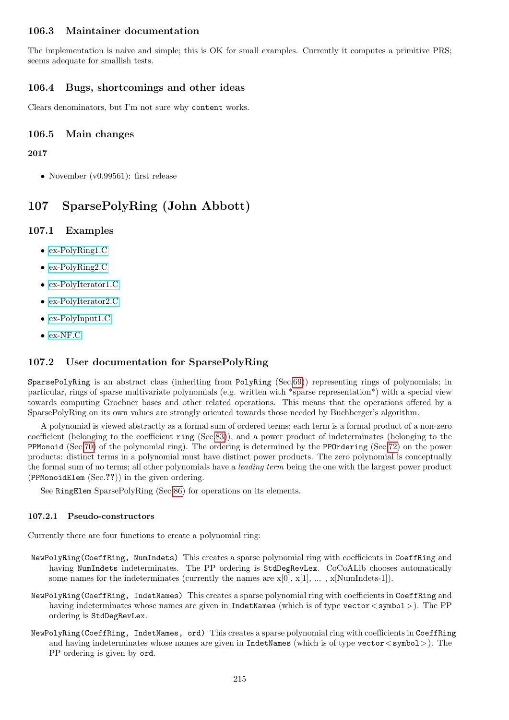## 106.3 Maintainer documentation

The implementation is naive and simple; this is OK for small examples. Currently it computes a primitive PRS; seems adequate for smallish tests.

## 106.4 Bugs, shortcomings and other ideas

Clears denominators, but I'm not sure why content works.

## 106.5 Main changes

2017

• November (v0.99561): first release

# <span id="page-214-0"></span>107 SparsePolyRing (John Abbott)

## 107.1 Examples

- [ex-PolyRing1.C](../../examples/index.html#ex-PolyRing1.C)
- [ex-PolyRing2.C](../../examples/index.html#ex-PolyRing2.C)
- [ex-PolyIterator1.C](../../examples/index.html#ex-PolyIterator1.C)
- [ex-PolyIterator2.C](../../examples/index.html#ex-PolyIterator2.C)
- [ex-PolyInput1.C](../../examples/index.html#ex-PolyInput1.C)
- [ex-NF.C](../../examples/index.html#ex-NF.C)

# 107.2 User documentation for SparsePolyRing

SparsePolyRing is an abstract class (inheriting from PolyRing (Sec[.69\)](#page-144-0)) representing rings of polynomials; in particular, rings of sparse multivariate polynomials (e.g. written with \*sparse representation\*) with a special view towards computing Groebner bases and other related operations. This means that the operations offered by a SparsePolyRing on its own values are strongly oriented towards those needed by Buchberger's algorithm.

A polynomial is viewed abstractly as a formal sum of ordered terms; each term is a formal product of a non-zero coefficient (belonging to the coefficient ring (Sec[.83\)](#page-169-0)), and a power product of indeterminates (belonging to the PPMonoid (Sec[.70\)](#page-145-0) of the polynomial ring). The ordering is determined by the PPOrdering (Sec[.72\)](#page-153-0) on the power products: distinct terms in a polynomial must have distinct power products. The zero polynomial is conceptually the formal sum of no terms; all other polynomials have a *leading term* being the one with the largest power product (PPMonoidElem (Sec.??)) in the given ordering.

See RingElem SparsePolyRing (Sec[.86\)](#page-174-0) for operations on its elements.

#### 107.2.1 Pseudo-constructors

Currently there are four functions to create a polynomial ring:

- NewPolyRing(CoeffRing, NumIndets) This creates a sparse polynomial ring with coefficients in CoeffRing and having NumIndets indeterminates. The PP ordering is StdDegRevLex. CoCoALib chooses automatically some names for the indeterminates (currently the names are  $x[0], x[1], \ldots, x[NumIndets-1]$ ).
- NewPolyRing(CoeffRing, IndetNames) This creates a sparse polynomial ring with coefficients in CoeffRing and having indeterminates whose names are given in IndetNames (which is of type vector  $\langle$  symbol  $\rangle$ ). The PP ordering is StdDegRevLex.
- NewPolyRing(CoeffRing, IndetNames, ord) This creates a sparse polynomial ring with coefficients in CoeffRing and having indeterminates whose names are given in IndetNames (which is of type vector  $\langle$  symbol $\rangle$ ). The PP ordering is given by ord.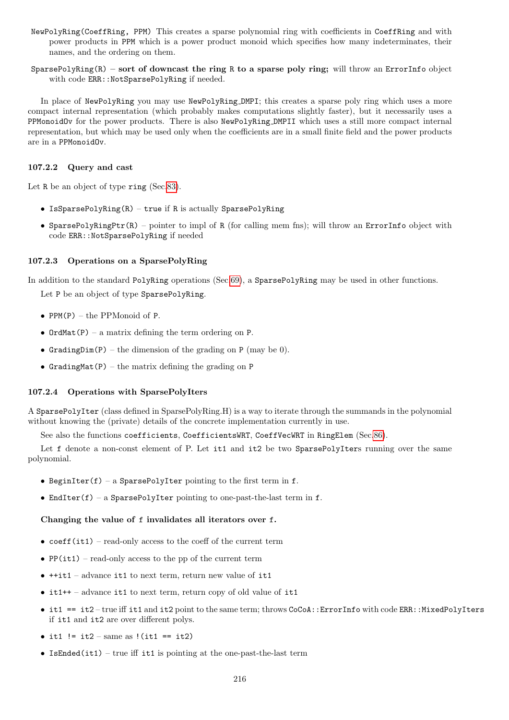- NewPolyRing(CoeffRing, PPM) This creates a sparse polynomial ring with coefficients in CoeffRing and with power products in PPM which is a power product monoid which specifies how many indeterminates, their names, and the ordering on them.
- SparsePolyRing(R) sort of downcast the ring R to a sparse poly ring; will throw an ErrorInfo object with code ERR:: NotSparsePolyRing if needed.

In place of NewPolyRing you may use NewPolyRing DMPI; this creates a sparse poly ring which uses a more compact internal representation (which probably makes computations slightly faster), but it necessarily uses a PPMonoidOv for the power products. There is also NewPolyRing DMPII which uses a still more compact internal representation, but which may be used only when the coefficients are in a small finite field and the power products are in a PPMonoidOv.

## 107.2.2 Query and cast

Let R be an object of type ring (Sec[.83\)](#page-169-0).

- IsSparsePolyRing(R) true if R is actually SparsePolyRing
- SparsePolyRingPtr(R) pointer to impl of R (for calling mem fns); will throw an ErrorInfo object with code ERR::NotSparsePolyRing if needed

## 107.2.3 Operations on a SparsePolyRing

In addition to the standard PolyRing operations (Sec[.69\)](#page-144-0), a SparsePolyRing may be used in other functions.

Let P be an object of type SparsePolyRing.

- PPM $(P)$  the PPMonoid of P.
- OrdMat(P) a matrix defining the term ordering on P.
- GradingDim(P) the dimension of the grading on P (may be 0).
- GradingMat(P) the matrix defining the grading on  $P$

## 107.2.4 Operations with SparsePolyIters

A SparsePolyIter (class defined in SparsePolyRing.H) is a way to iterate through the summands in the polynomial without knowing the (private) details of the concrete implementation currently in use.

See also the functions coefficients, CoefficientsWRT, CoeffVecWRT in RingElem (Sec[.86\)](#page-174-0).

Let f denote a non-const element of P. Let it1 and it2 be two SparsePolyIters running over the same polynomial.

- BeginIter(f) a SparsePolyIter pointing to the first term in f.
- EndIter(f) a SparsePolyIter pointing to one-past-the-last term in  $f$ .

## Changing the value of f invalidates all iterators over f.

- $coeff(it1)$  read-only access to the coeff of the current term
- PP(it1) read-only access to the pp of the current term
- ++it1 advance it1 to next term, return new value of it1
- it1++ advance it1 to next term, return copy of old value of it1
- it1 == it2 true iff it1 and it2 point to the same term; throws CoCoA:: ErrorInfo with code ERR:: MixedPolyIters if it1 and it2 are over different polys.
- it1  $!=$  it2 same as  $!($ it1 == it2)
- IsEnded(it1) true iff it1 is pointing at the one-past-the-last term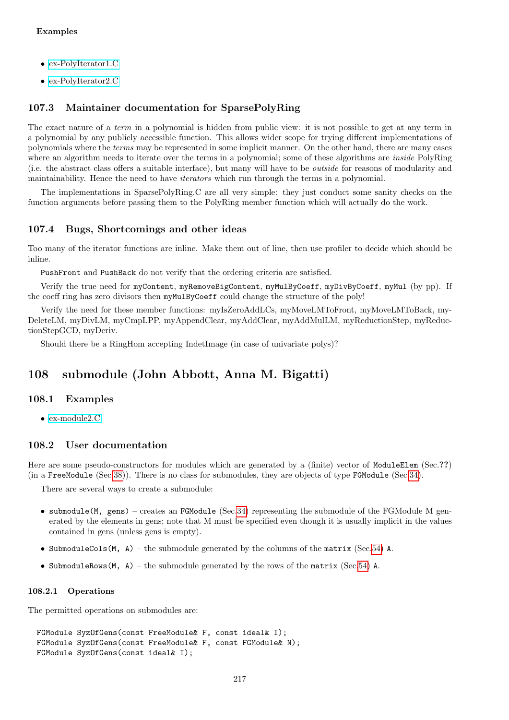- [ex-PolyIterator1.C](../../examples/index.html#ex-PolyIterator1.C)
- [ex-PolyIterator2.C](../../examples/index.html#ex-PolyIterator2.C)

## 107.3 Maintainer documentation for SparsePolyRing

The exact nature of a *term* in a polynomial is hidden from public view: it is not possible to get at any term in a polynomial by any publicly accessible function. This allows wider scope for trying different implementations of polynomials where the terms may be represented in some implicit manner. On the other hand, there are many cases where an algorithm needs to iterate over the terms in a polynomial; some of these algorithms are *inside* PolyRing (i.e. the abstract class offers a suitable interface), but many will have to be outside for reasons of modularity and maintainability. Hence the need to have iterators which run through the terms in a polynomial.

The implementations in SparsePolyRing.C are all very simple: they just conduct some sanity checks on the function arguments before passing them to the PolyRing member function which will actually do the work.

## 107.4 Bugs, Shortcomings and other ideas

Too many of the iterator functions are inline. Make them out of line, then use profiler to decide which should be inline.

PushFront and PushBack do not verify that the ordering criteria are satisfied.

Verify the true need for myContent, myRemoveBigContent, myMulByCoeff, myDivByCoeff, myMul (by pp). If the coeff ring has zero divisors then myMulByCoeff could change the structure of the poly!

Verify the need for these member functions: myIsZeroAddLCs, myMoveLMToFront, myMoveLMToBack, my-DeleteLM, myDivLM, myCmpLPP, myAppendClear, myAddClear, myAddMulLM, myReductionStep, myReductionStepGCD, myDeriv.

Should there be a RingHom accepting IndetImage (in case of univariate polys)?

# 108 submodule (John Abbott, Anna M. Bigatti)

## 108.1 Examples

 $\bullet$  ex-module2. $C$ 

## 108.2 User documentation

Here are some pseudo-constructors for modules which are generated by a (finite) vector of ModuleElem (Sec.??) (in a FreeModule (Sec[.38\)](#page-79-0)). There is no class for submodules, they are objects of type FGModule (Sec[.34\)](#page-75-0).

There are several ways to create a submodule:

- submodule(M, gens) creates an FGModule (Sec. 34) representing the submodule of the FGModule M generated by the elements in gens; note that M must be specified even though it is usually implicit in the values contained in gens (unless gens is empty).
- SubmoduleCols(M, A) the submodule generated by the columns of the matrix (Sec[.54\)](#page-107-0) A.
- SubmoduleRows(M, A) the submodule generated by the rows of the matrix (Sec[.54\)](#page-107-0) A.

#### 108.2.1 Operations

The permitted operations on submodules are:

```
FGModule SyzOfGens(const FreeModule& F, const ideal& I);
FGModule SyzOfGens(const FreeModule& F, const FGModule& N);
FGModule SyzOfGens(const ideal& I);
```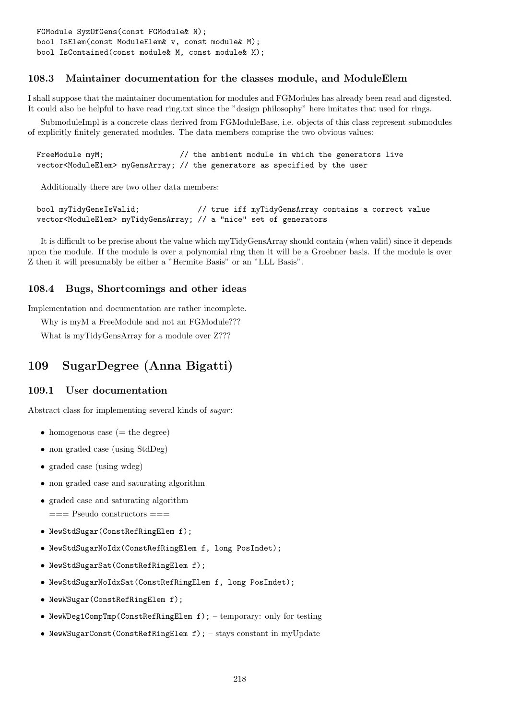# 108.3 Maintainer documentation for the classes module, and ModuleElem

I shall suppose that the maintainer documentation for modules and FGModules has already been read and digested. It could also be helpful to have read ring.txt since the "design philosophy" here imitates that used for rings.

SubmoduleImpl is a concrete class derived from FGModuleBase, i.e. objects of this class represent submodules of explicitly finitely generated modules. The data members comprise the two obvious values:

```
FreeModule myM; \frac{1}{\sqrt{1}} the ambient module in which the generators live
vector<ModuleElem> myGensArray; // the generators as specified by the user
```
Additionally there are two other data members:

bool myTidyGensIsValid; // true iff myTidyGensArray contains a correct value vector<ModuleElem> myTidyGensArray; // a "nice" set of generators

It is difficult to be precise about the value which myTidyGensArray should contain (when valid) since it depends upon the module. If the module is over a polynomial ring then it will be a Groebner basis. If the module is over Z then it will presumably be either a "Hermite Basis" or an "LLL Basis".

## 108.4 Bugs, Shortcomings and other ideas

Implementation and documentation are rather incomplete.

Why is myM a FreeModule and not an FGModule???

What is myTidyGensArray for a module over Z???

# 109 SugarDegree (Anna Bigatti)

## 109.1 User documentation

Abstract class for implementing several kinds of *sugar*:

- homogenous case  $(=$  the degree)
- non graded case (using StdDeg)
- graded case (using wdeg)
- non graded case and saturating algorithm
- graded case and saturating algorithm  $==$  Pseudo constructors  $==$
- NewStdSugar(ConstRefRingElem f);
- NewStdSugarNoIdx(ConstRefRingElem f, long PosIndet);
- NewStdSugarSat(ConstRefRingElem f);
- NewStdSugarNoIdxSat(ConstRefRingElem f, long PosIndet);
- NewWSugar(ConstRefRingElem f);
- NewWDeg1CompTmp(ConstRefRingElem f); temporary: only for testing
- NewWSugarConst(ConstRefRingElem f); stays constant in myUpdate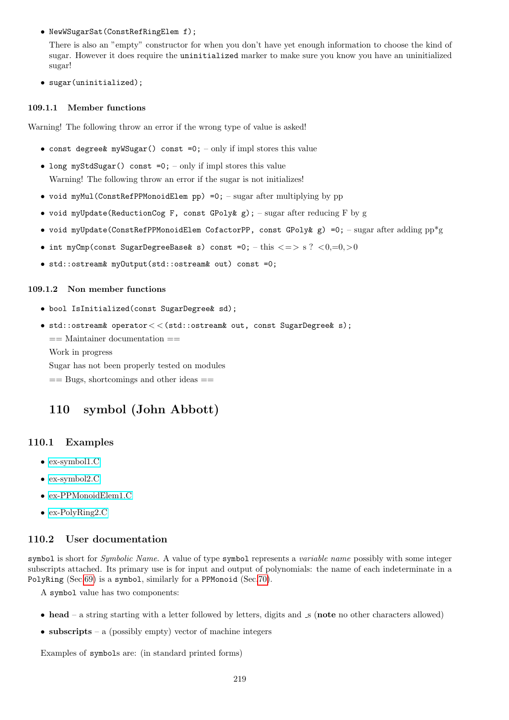• NewWSugarSat(ConstRefRingElem f);

There is also an "empty" constructor for when you don't have yet enough information to choose the kind of sugar. However it does require the uninitialized marker to make sure you know you have an uninitialized sugar!

• sugar(uninitialized);

#### 109.1.1 Member functions

Warning! The following throw an error if the wrong type of value is asked!

- const degree& myWSugar() const =0; only if impl stores this value
- long myStdSugar() const =0; only if impl stores this value Warning! The following throw an error if the sugar is not initializes!
- void myMul(ConstRefPPMonoidElem pp) =0;  $-$  sugar after multiplying by pp
- void myUpdate(ReductionCog F, const GPoly & g); sugar after reducing F by g
- void myUpdate(ConstRefPPMonoidElem CofactorPP, const GPoly  $g$ ) =0; sugar after adding pp\*g
- int myCmp(const SugarDegreeBase  $s$ ) const =0; this  $\langle = \rangle$  s ?  $\langle 0, =0, >0$
- std::ostream& myOutput(std::ostream& out) const =0;

### 109.1.2 Non member functions

- bool IsInitialized(const SugarDegree& sd);
- std::ostream& operator  $<<$  (std::ostream& out, const SugarDegree& s);

== Maintainer documentation ==

Work in progress

Sugar has not been properly tested on modules

 $==$  Bugs, shortcomings and other ideas  $==$ 

# 110 symbol (John Abbott)

## 110.1 Examples

- [ex-symbol1.C](../../examples/index.html#ex-symbol1.C)
- [ex-symbol2.C](../../examples/index.html#ex-symbol2.C)
- [ex-PPMonoidElem1.C](../../examples/index.html#ex-PPMonoidElem1.C)
- [ex-PolyRing2.C](../../examples/index.html#ex-PolyRing2.C)

# 110.2 User documentation

symbol is short for Symbolic Name. A value of type symbol represents a variable name possibly with some integer subscripts attached. Its primary use is for input and output of polynomials: the name of each indeterminate in a PolyRing (Sec[.69\)](#page-144-0) is a symbol, similarly for a PPMonoid (Sec[.70\)](#page-145-0).

A symbol value has two components:

- head a string starting with a letter followed by letters, digits and  $\mathcal{S}$  (note no other characters allowed)
- subscripts a (possibly empty) vector of machine integers

Examples of symbols are: (in standard printed forms)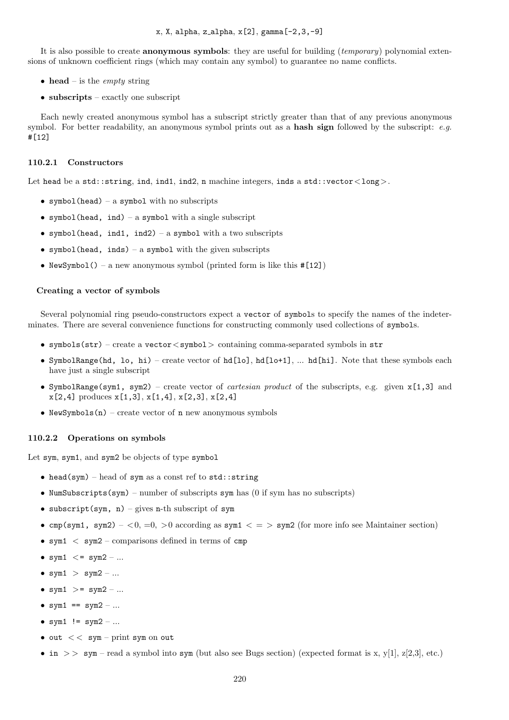It is also possible to create anonymous symbols: they are useful for building (temporary) polynomial extensions of unknown coefficient rings (which may contain any symbol) to guarantee no name conflicts.

- head is the *empty* string
- subscripts exactly one subscript

Each newly created anonymous symbol has a subscript strictly greater than that of any previous anonymous symbol. For better readability, an anonymous symbol prints out as a hash sign followed by the subscript:  $e.q$ . #[12]

#### 110.2.1 Constructors

Let head be a std::string, ind, ind1, ind2, n machine integers, inds a std::vector<long>.

- symbol(head) a symbol with no subscripts
- symbol(head, ind) a symbol with a single subscript
- symbol(head, ind1, ind2) a symbol with a two subscripts
- symbol(head, inds) a symbol with the given subscripts
- NewSymbol() a new anonymous symbol (printed form is like this  $\#[12]$ )

#### Creating a vector of symbols

Several polynomial ring pseudo-constructors expect a vector of symbols to specify the names of the indeterminates. There are several convenience functions for constructing commonly used collections of symbols.

- symbols(str) create a vector  $\langle$  symbol $\rangle$  containing comma-separated symbols in str
- SymbolRange(hd, lo, hi) create vector of hd[lo], hd[lo+1], ... hd[hi]. Note that these symbols each have just a single subscript
- SymbolRange(sym1, sym2) create vector of *cartesian product* of the subscripts, e.g. given  $x[1,3]$  and  $x[2,4]$  produces  $x[1,3], x[1,4], x[2,3], x[2,4]$
- NewSymbols $(n)$  create vector of n new anonymous symbols

#### 110.2.2 Operations on symbols

Let sym, sym1, and sym2 be objects of type symbol

- head(sym) head of sym as a const ref to std:: string
- NumSubscripts(sym) number of subscripts sym has (0 if sym has no subscripts)
- subscript(sym,  $n$ ) gives n-th subscript of sym
- cmp(sym1, sym2) <0, =0, >0 according as sym1 < = > sym2 (for more info see Maintainer section)
- sym $1 <$  sym $2$  comparisons defined in terms of cmp
- sym $1 \leq s$  sym $2 ...$
- sym $1 >$  sym $2 ...$
- sym $1 \geq s$  sym $2 ...$
- sym $1 ==$  sym $2 ...$
- sym1  $!=$  sym2 ...
- out  $<<$  sym print sym on out
- in >> sym read a symbol into sym (but also see Bugs section) (expected format is x, y[1], z[2,3], etc.)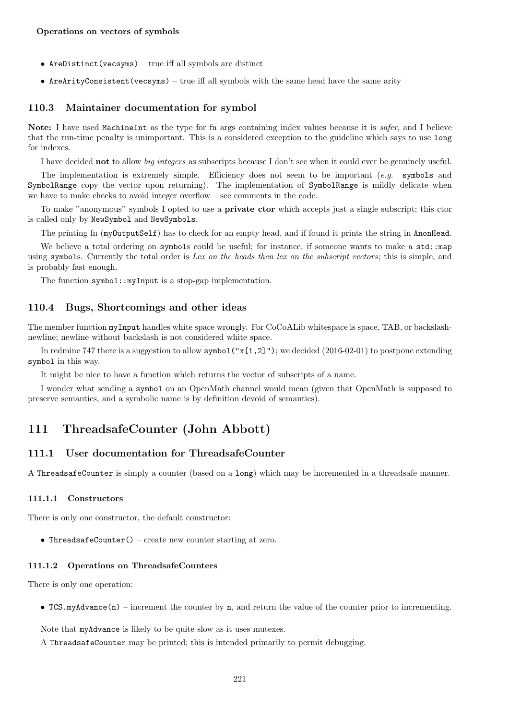- AreDistinct(vecsyms) true iff all symbols are distinct
- AreArityConsistent(vecsyms) true iff all symbols with the same head have the same arity

## 110.3 Maintainer documentation for symbol

Note: I have used MachineInt as the type for fn args containing index values because it is *safer*, and I believe that the run-time penalty is unimportant. This is a considered exception to the guideline which says to use long for indexes.

I have decided not to allow big integers as subscripts because I don't see when it could ever be genuinely useful.

The implementation is extremely simple. Efficiency does not seem to be important (e.g. symbols and SymbolRange copy the vector upon returning). The implementation of SymbolRange is mildly delicate when we have to make checks to avoid integer overflow – see comments in the code.

To make "anonymous" symbols I opted to use a private ctor which accepts just a single subscript; this ctor is called only by NewSymbol and NewSymbols.

The printing fn (myOutputSelf) has to check for an empty head, and if found it prints the string in AnonHead.

We believe a total ordering on symbols could be useful; for instance, if someone wants to make a std::map using symbols. Currently the total order is Lex on the heads then lex on the subscript vectors; this is simple, and is probably fast enough.

The function symbol::myInput is a stop-gap implementation.

### 110.4 Bugs, Shortcomings and other ideas

The member function myInput handles white space wrongly. For CoCoALib whitespace is space, TAB, or backslashnewline; newline without backslash is not considered white space.

In redmine 747 there is a suggestion to allow symbol  $("x[1,2]")$ ; we decided  $(2016-02-01)$  to postpone extending symbol in this way.

It might be nice to have a function which returns the vector of subscripts of a name.

I wonder what sending a symbol on an OpenMath channel would mean (given that OpenMath is supposed to preserve semantics, and a symbolic name is by definition devoid of semantics).

# 111 ThreadsafeCounter (John Abbott)

## 111.1 User documentation for ThreadsafeCounter

A ThreadsafeCounter is simply a counter (based on a long) which may be incremented in a threadsafe manner.

#### 111.1.1 Constructors

There is only one constructor, the default constructor:

• ThreadsafeCounter() – create new counter starting at zero.

### 111.1.2 Operations on ThreadsafeCounters

There is only one operation:

• TCS.myAdvance(n) – increment the counter by n, and return the value of the counter prior to incrementing.

Note that myAdvance is likely to be quite slow as it uses mutexes.

A ThreadsafeCounter may be printed; this is intended primarily to permit debugging.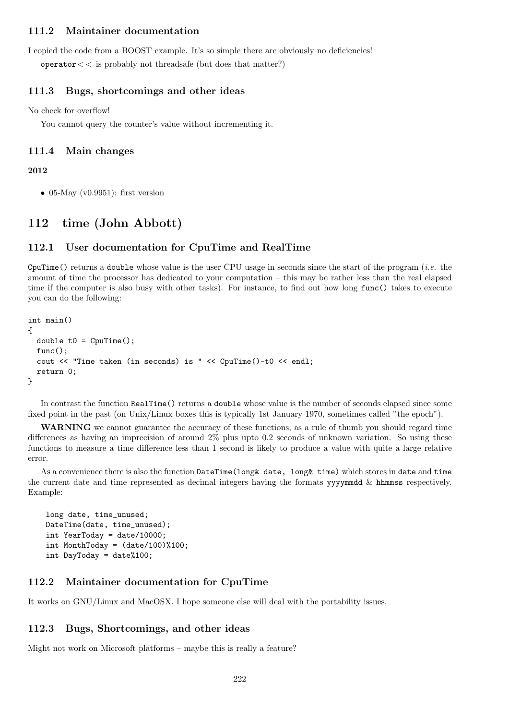## 111.2 Maintainer documentation

I copied the code from a BOOST example. It's so simple there are obviously no deficiencies! operator  $<<$  is probably not threads afe (but does that matter?)

## 111.3 Bugs, shortcomings and other ideas

No check for overflow!

You cannot query the counter's value without incrementing it.

### 111.4 Main changes

#### 2012

• 05-May (v0.9951): first version

# 112 time (John Abbott)

## 112.1 User documentation for CpuTime and RealTime

CpuTime() returns a double whose value is the user CPU usage in seconds since the start of the program (*i.e.* the amount of time the processor has dedicated to your computation – this may be rather less than the real elapsed time if the computer is also busy with other tasks). For instance, to find out how long func() takes to execute you can do the following:

```
int main()
{
  double t0 = CpuTime();
  func();
  cout << "Time taken (in seconds) is " << CpuTime()-t0 << endl;
  return 0;
}
```
In contrast the function RealTime() returns a double whose value is the number of seconds elapsed since some fixed point in the past (on Unix/Linux boxes this is typically 1st January 1970, sometimes called "the epoch").

WARNING we cannot guarantee the accuracy of these functions; as a rule of thumb you should regard time differences as having an imprecision of around 2% plus upto 0.2 seconds of unknown variation. So using these functions to measure a time difference less than 1 second is likely to produce a value with quite a large relative error.

As a convenience there is also the function DateTime(long& date, long& time) which stores in date and time the current date and time represented as decimal integers having the formats yyyymmdd & hhmmss respectively. Example:

```
long date, time_unused;
DateTime(date, time_unused);
int YearToday = date/10000;
int MonthToday = (date/100)%100;
int DayToday = date%100;
```
## 112.2 Maintainer documentation for CpuTime

It works on GNU/Linux and MacOSX. I hope someone else will deal with the portability issues.

### 112.3 Bugs, Shortcomings, and other ideas

Might not work on Microsoft platforms – maybe this is really a feature?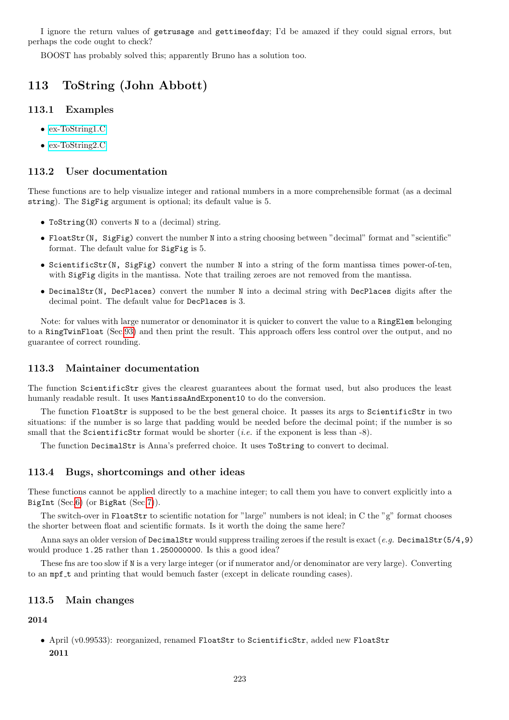I ignore the return values of getrusage and gettimeofday; I'd be amazed if they could signal errors, but perhaps the code ought to check?

BOOST has probably solved this; apparently Bruno has a solution too.

# 113 ToString (John Abbott)

## 113.1 Examples

- [ex-ToString1.C](../../examples/index.html#ex-ToString1.C)
- [ex-ToString2.C](../../examples/index.html#ex-ToString2.C)

## 113.2 User documentation

These functions are to help visualize integer and rational numbers in a more comprehensible format (as a decimal string). The SigFig argument is optional; its default value is 5.

- ToString(N) converts N to a (decimal) string.
- FloatStr(N, SigFig) convert the number N into a string choosing between "decimal" format and "scientific" format. The default value for SigFig is 5.
- ScientificStr(N, SigFig) convert the number N into a string of the form mantissa times power-of-ten, with SigFig digits in the mantissa. Note that trailing zeroes are not removed from the mantissa.
- DecimalStr(N, DecPlaces) convert the number N into a decimal string with DecPlaces digits after the decimal point. The default value for DecPlaces is 3.

Note: for values with large numerator or denominator it is quicker to convert the value to a RingElem belonging to a RingTwinFloat (Sec[.93\)](#page-196-0) and then print the result. This approach offers less control over the output, and no guarantee of correct rounding.

## 113.3 Maintainer documentation

The function ScientificStr gives the clearest guarantees about the format used, but also produces the least humanly readable result. It uses MantissaAndExponent10 to do the conversion.

The function FloatStr is supposed to be the best general choice. It passes its args to ScientificStr in two situations: if the number is so large that padding would be needed before the decimal point; if the number is so small that the ScientificStr format would be shorter (*i.e.* if the exponent is less than  $-8$ ).

The function DecimalStr is Anna's preferred choice. It uses ToString to convert to decimal.

## 113.4 Bugs, shortcomings and other ideas

These functions cannot be applied directly to a machine integer; to call them you have to convert explicitly into a BigInt (Sec[.6\)](#page-34-0) (or BigRat (Sec[.7\)](#page-36-0)).

The switch-over in FloatStr to scientific notation for "large" numbers is not ideal; in C the "g" format chooses the shorter between float and scientific formats. Is it worth the doing the same here?

Anna says an older version of DecimalStr would suppress trailing zeroes if the result is exact (e.g. DecimalStr(5/4,9) would produce 1.25 rather than 1.250000000. Is this a good idea?

These fns are too slow if N is a very large integer (or if numerator and/or denominator are very large). Converting to an mpf\_t and printing that would bemuch faster (except in delicate rounding cases).

## 113.5 Main changes

### 2014

• April (v0.99533): reorganized, renamed FloatStr to ScientificStr, added new FloatStr 2011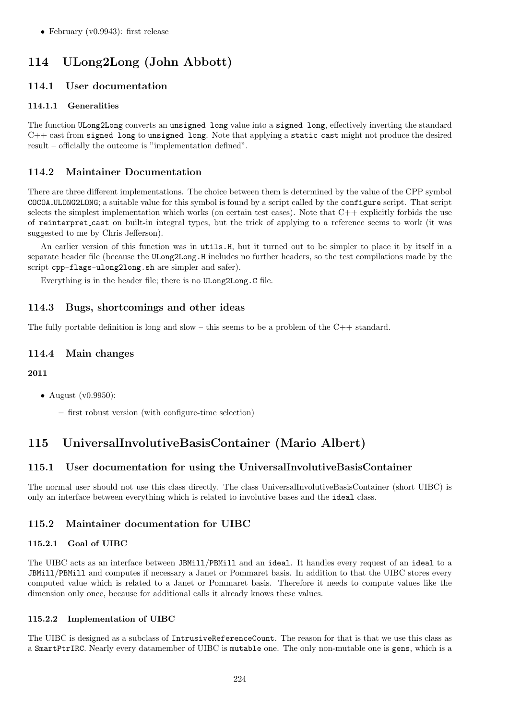# 114 ULong2Long (John Abbott)

## 114.1 User documentation

## 114.1.1 Generalities

The function ULong2Long converts an unsigned long value into a signed long, effectively inverting the standard C++ cast from signed long to unsigned long. Note that applying a static cast might not produce the desired result – officially the outcome is "implementation defined".

# 114.2 Maintainer Documentation

There are three different implementations. The choice between them is determined by the value of the CPP symbol COCOA ULONG2LONG; a suitable value for this symbol is found by a script called by the configure script. That script selects the simplest implementation which works (on certain test cases). Note that  $C++$  explicitly forbids the use of reinterpret cast on built-in integral types, but the trick of applying to a reference seems to work (it was suggested to me by Chris Jefferson).

An earlier version of this function was in utils.H, but it turned out to be simpler to place it by itself in a separate header file (because the ULong2Long.H includes no further headers, so the test compilations made by the script cpp-flags-ulong2long.sh are simpler and safer).

Everything is in the header file; there is no ULong2Long.C file.

# 114.3 Bugs, shortcomings and other ideas

The fully portable definition is long and slow – this seems to be a problem of the  $C++$  standard.

## 114.4 Main changes

## 2011

- August (v0.9950):
	- first robust version (with configure-time selection)

# 115 UniversalInvolutiveBasisContainer (Mario Albert)

# 115.1 User documentation for using the UniversalInvolutiveBasisContainer

The normal user should not use this class directly. The class UniversalInvolutiveBasisContainer (short UIBC) is only an interface between everything which is related to involutive bases and the ideal class.

# 115.2 Maintainer documentation for UIBC

## 115.2.1 Goal of UIBC

The UIBC acts as an interface between JBMill/PBMill and an ideal. It handles every request of an ideal to a JBMill/PBMill and computes if necessary a Janet or Pommaret basis. In addition to that the UIBC stores every computed value which is related to a Janet or Pommaret basis. Therefore it needs to compute values like the dimension only once, because for additional calls it already knows these values.

## 115.2.2 Implementation of UIBC

The UIBC is designed as a subclass of IntrusiveReferenceCount. The reason for that is that we use this class as a SmartPtrIRC. Nearly every datamember of UIBC is mutable one. The only non-mutable one is gens, which is a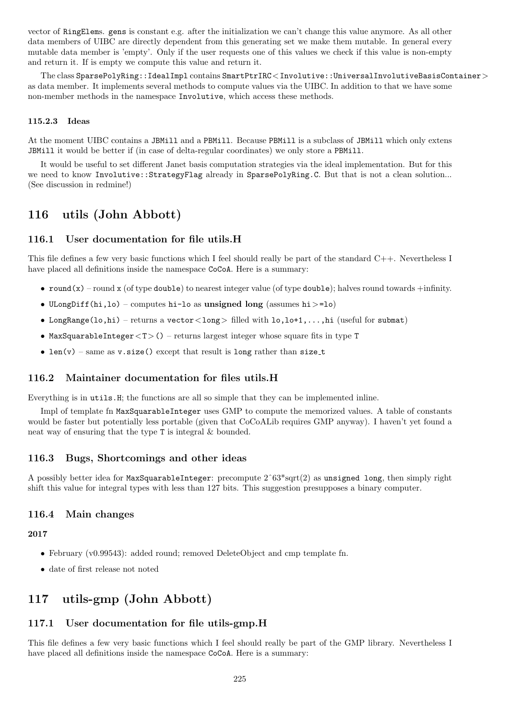vector of RingElems. gens is constant e.g. after the initialization we can't change this value anymore. As all other data members of UIBC are directly dependent from this generating set we make them mutable. In general every mutable data member is 'empty'. Only if the user requests one of this values we check if this value is non-empty and return it. If is empty we compute this value and return it.

The class SparsePolyRing::IdealImpl contains SmartPtrIRC<Involutive::UniversalInvolutiveBasisContainer> as data member. It implements several methods to compute values via the UIBC. In addition to that we have some non-member methods in the namespace Involutive, which access these methods.

## 115.2.3 Ideas

At the moment UIBC contains a JBMill and a PBMill. Because PBMill is a subclass of JBMill which only extens JBMill it would be better if (in case of delta-regular coordinates) we only store a PBMill.

It would be useful to set different Janet basis computation strategies via the ideal implementation. But for this we need to know Involutive::StrategyFlag already in SparsePolyRing.C. But that is not a clean solution... (See discussion in redmine!)

# 116 utils (John Abbott)

## 116.1 User documentation for file utils.H

This file defines a few very basic functions which I feel should really be part of the standard C++. Nevertheless I have placed all definitions inside the namespace CoCoA. Here is a summary:

- round(x) round x (of type double) to nearest integer value (of type double); halves round towards  $+$ infinity.
- ULongDiff(hi,lo) computes hi-lo as unsigned long (assumes hi  $> =$ lo)
- LongRange(lo,hi) returns a vector  $\langle \text{long} \rangle$  filled with  $l$ o,lo+1,...,hi (useful for submat)
- MaxSquarableInteger  $(T > 0 -$  returns largest integer whose square fits in type T
- len(v) same as v.size() except that result is long rather than size\_t

# 116.2 Maintainer documentation for files utils.H

Everything is in utils.H; the functions are all so simple that they can be implemented inline.

Impl of template fn MaxSquarableInteger uses GMP to compute the memorized values. A table of constants would be faster but potentially less portable (given that CoCoALib requires GMP anyway). I haven't yet found a neat way of ensuring that the type T is integral & bounded.

# 116.3 Bugs, Shortcomings and other ideas

A possibly better idea for MaxSquarableInteger: precompute  $2^63*sqrt(2)$  as unsigned long, then simply right shift this value for integral types with less than 127 bits. This suggestion presupposes a binary computer.

## 116.4 Main changes

## 2017

- February (v0.99543): added round; removed DeleteObject and cmp template fn.
- date of first release not noted

# 117 utils-gmp (John Abbott)

# 117.1 User documentation for file utils-gmp.H

This file defines a few very basic functions which I feel should really be part of the GMP library. Nevertheless I have placed all definitions inside the namespace CoCoA. Here is a summary: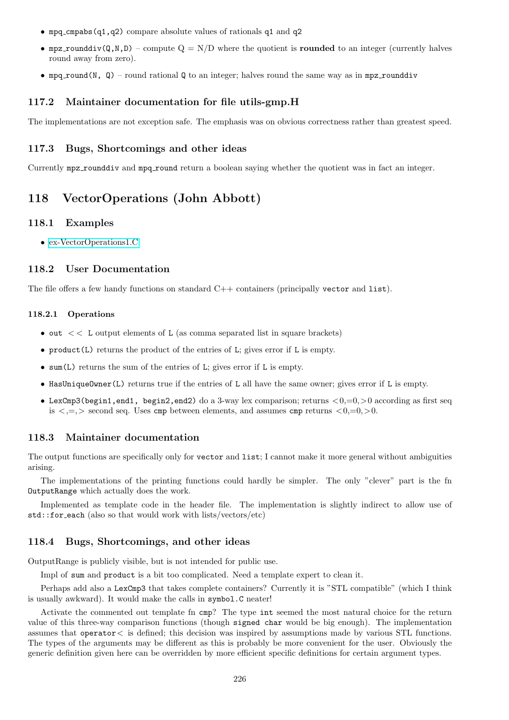- mpq cmpabs(q1,q2) compare absolute values of rationals q1 and q2
- mpz rounddiv( $Q, N, D$ ) compute  $Q = N/D$  where the quotient is **rounded** to an integer (currently halves round away from zero).
- mpq round(N, Q) round rational Q to an integer; halves round the same way as in mpz rounddiv

## 117.2 Maintainer documentation for file utils-gmp.H

The implementations are not exception safe. The emphasis was on obvious correctness rather than greatest speed.

#### 117.3 Bugs, Shortcomings and other ideas

Currently mpz rounddiv and mpq round return a boolean saying whether the quotient was in fact an integer.

# 118 VectorOperations (John Abbott)

### 118.1 Examples

• [ex-VectorOperations1.C](../../examples/index.html#ex-VectorOperations1.C)

## 118.2 User Documentation

The file offers a few handy functions on standard C++ containers (principally vector and list).

#### 118.2.1 Operations

- out  $<< L$  output elements of L (as comma separated list in square brackets)
- product(L) returns the product of the entries of L; gives error if L is empty.
- sum(L) returns the sum of the entries of L; gives error if L is empty.
- HasUniqueOwner(L) returns true if the entries of L all have the same owner; gives error if L is empty.
- LexCmp3(begin1,end1, begin2,end2) do a 3-way lex comparison; returns  $\langle 0,-0,\rangle$  according as first seq is  $\langle -\rangle$  second seq. Uses cmp between elements, and assumes cmp returns  $\langle 0, =0, \rangle$ .

## 118.3 Maintainer documentation

The output functions are specifically only for vector and list; I cannot make it more general without ambiguities arising.

The implementations of the printing functions could hardly be simpler. The only "clever" part is the fn OutputRange which actually does the work.

Implemented as template code in the header file. The implementation is slightly indirect to allow use of std::for each (also so that would work with lists/vectors/etc)

## 118.4 Bugs, Shortcomings, and other ideas

OutputRange is publicly visible, but is not intended for public use.

Impl of sum and product is a bit too complicated. Need a template expert to clean it.

Perhaps add also a LexCmp3 that takes complete containers? Currently it is "STL compatible" (which I think is usually awkward). It would make the calls in symbol.C neater!

Activate the commented out template fn cmp? The type int seemed the most natural choice for the return value of this three-way comparison functions (though signed char would be big enough). The implementation assumes that operator< is defined; this decision was inspired by assumptions made by various STL functions. The types of the arguments may be different as this is probably be more convenient for the user. Obviously the generic definition given here can be overridden by more efficient specific definitions for certain argument types.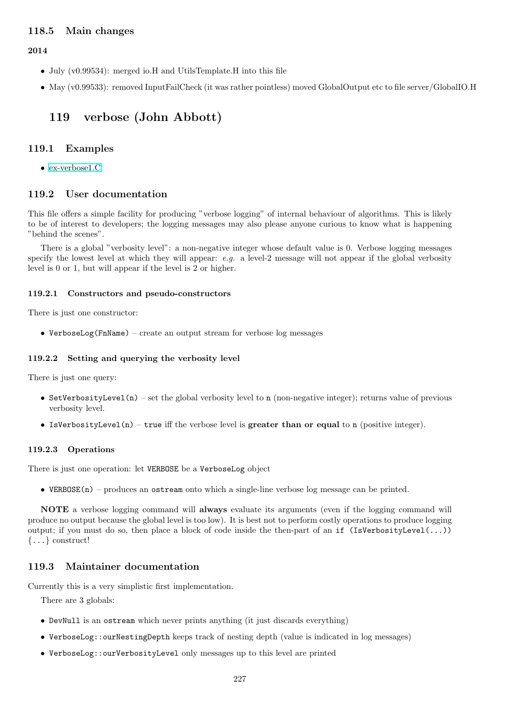## 118.5 Main changes

2014

- July (v0.99534): merged io.H and UtilsTemplate.H into this file
- May (v0.99533): removed InputFailCheck (it was rather pointless) moved GlobalOutput etc to file server/GlobalIO.H

# 119 verbose (John Abbott)

## 119.1 Examples

• [ex-verbose1.C](../../examples/index.html#ex-verbose1.C)

## 119.2 User documentation

This file offers a simple facility for producing "verbose logging" of internal behaviour of algorithms. This is likely to be of interest to developers; the logging messages may also please anyone curious to know what is happening "behind the scenes".

There is a global "verbosity level": a non-negative integer whose default value is 0. Verbose logging messages specify the lowest level at which they will appear:  $e.g.$  a level-2 message will not appear if the global verbosity level is 0 or 1, but will appear if the level is 2 or higher.

#### 119.2.1 Constructors and pseudo-constructors

There is just one constructor:

• VerboseLog(FnName) – create an output stream for verbose log messages

#### 119.2.2 Setting and querying the verbosity level

There is just one query:

- SetVerbosityLevel(n) set the global verbosity level to n (non-negative integer); returns value of previous verbosity level.
- IsVerbosityLevel(n) true iff the verbose level is greater than or equal to n (positive integer).

#### 119.2.3 Operations

There is just one operation: let VERBOSE be a VerboseLog object

• VERBOSE(n) – produces an ostream onto which a single-line verbose log message can be printed.

NOTE a verbose logging command will always evaluate its arguments (even if the logging command will produce no output because the global level is too low). It is best not to perform costly operations to produce logging output; if you must do so, then place a block of code inside the then-part of an if (IsVerbosityLevel(...)) {...} construct!

## 119.3 Maintainer documentation

Currently this is a very simplistic first implementation.

There are 3 globals:

- DevNull is an ostream which never prints anything (it just discards everything)
- VerboseLog::ourNestingDepth keeps track of nesting depth (value is indicated in log messages)
- VerboseLog::ourVerbosityLevel only messages up to this level are printed